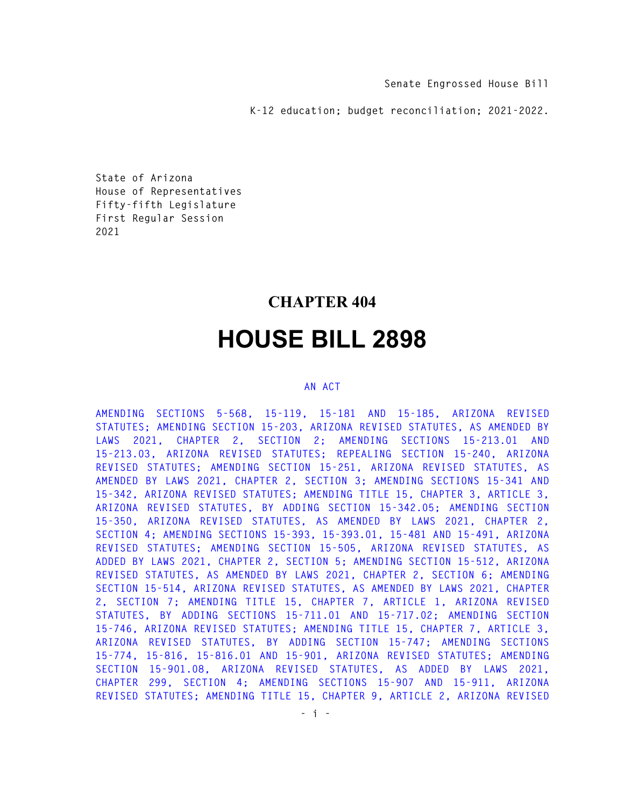**Senate Engrossed House Bill** 

**K-12 education; budget reconciliation; 2021-2022.** 

**State of Arizona House of Representatives Fifty-fifth Legislature First Regular Session 2021** 

## **CHAPTER 404**

# **HOUSE BILL 2898**

#### **AN ACT**

**AMENDING SECTIONS 5-568, 15-119, 15-181 AND 15-185, ARIZONA REVISED STATUTES; AMENDING SECTION 15-203, ARIZONA REVISED STATUTES, AS AMENDED BY LAWS 2021, CHAPTER 2, SECTION 2; AMENDING SECTIONS 15-213.01 AND 15-213.03, ARIZONA REVISED STATUTES; REPEALING SECTION 15-240, ARIZONA REVISED STATUTES; AMENDING SECTION 15-251, ARIZONA REVISED STATUTES, AS AMENDED BY LAWS 2021, CHAPTER 2, SECTION 3; AMENDING SECTIONS 15-341 AND 15-342, ARIZONA REVISED STATUTES; AMENDING TITLE 15, CHAPTER 3, ARTICLE 3, ARIZONA REVISED STATUTES, BY ADDING SECTION 15-342.05; AMENDING SECTION 15-350, ARIZONA REVISED STATUTES, AS AMENDED BY LAWS 2021, CHAPTER 2, SECTION 4; AMENDING SECTIONS 15-393, 15-393.01, 15-481 AND 15-491, ARIZONA REVISED STATUTES; AMENDING SECTION 15-505, ARIZONA REVISED STATUTES, AS ADDED BY LAWS 2021, CHAPTER 2, SECTION 5; AMENDING SECTION 15-512, ARIZONA REVISED STATUTES, AS AMENDED BY LAWS 2021, CHAPTER 2, SECTION 6; AMENDING SECTION 15-514, ARIZONA REVISED STATUTES, AS AMENDED BY LAWS 2021, CHAPTER 2, SECTION 7; AMENDING TITLE 15, CHAPTER 7, ARTICLE 1, ARIZONA REVISED STATUTES, BY ADDING SECTIONS 15-711.01 AND 15-717.02; AMENDING SECTION 15-746, ARIZONA REVISED STATUTES; AMENDING TITLE 15, CHAPTER 7, ARTICLE 3, ARIZONA REVISED STATUTES, BY ADDING SECTION 15-747; AMENDING SECTIONS 15-774, 15-816, 15-816.01 AND 15-901, ARIZONA REVISED STATUTES; AMENDING SECTION 15-901.08, ARIZONA REVISED STATUTES, AS ADDED BY LAWS 2021, CHAPTER 299, SECTION 4; AMENDING SECTIONS 15-907 AND 15-911, ARIZONA REVISED STATUTES; AMENDING TITLE 15, CHAPTER 9, ARTICLE 2, ARIZONA REVISED**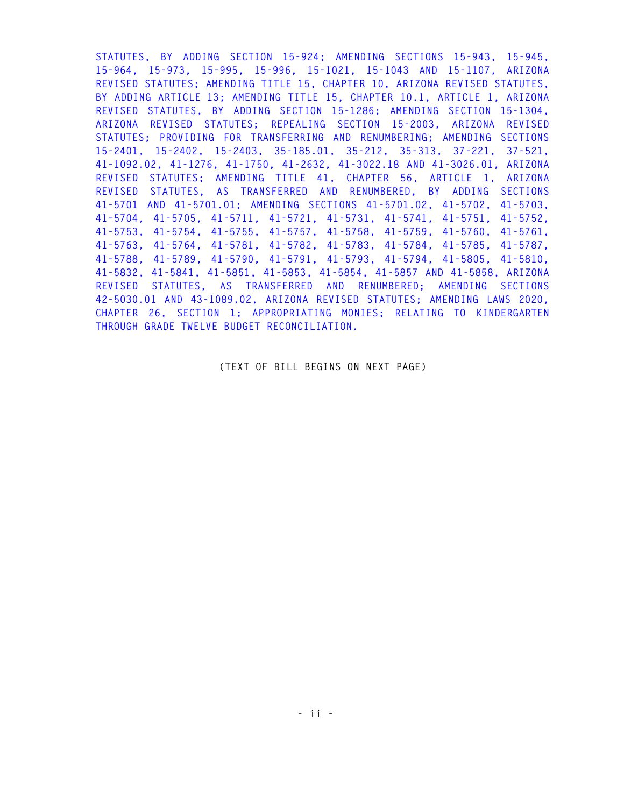**STATUTES, BY ADDING SECTION 15-924; AMENDING SECTIONS 15-943, 15-945, 15-964, 15-973, 15-995, 15-996, 15-1021, 15-1043 AND 15-1107, ARIZONA REVISED STATUTES; AMENDING TITLE 15, CHAPTER 10, ARIZONA REVISED STATUTES, BY ADDING ARTICLE 13; AMENDING TITLE 15, CHAPTER 10.1, ARTICLE 1, ARIZONA REVISED STATUTES, BY ADDING SECTION 15-1286; AMENDING SECTION 15-1304, ARIZONA REVISED STATUTES; REPEALING SECTION 15-2003, ARIZONA REVISED STATUTES; PROVIDING FOR TRANSFERRING AND RENUMBERING; AMENDING SECTIONS 15-2401, 15-2402, 15-2403, 35-185.01, 35-212, 35-313, 37-221, 37-521, 41-1092.02, 41-1276, 41-1750, 41-2632, 41-3022.18 AND 41-3026.01, ARIZONA REVISED STATUTES; AMENDING TITLE 41, CHAPTER 56, ARTICLE 1, ARIZONA REVISED STATUTES, AS TRANSFERRED AND RENUMBERED, BY ADDING SECTIONS 41-5701 AND 41-5701.01; AMENDING SECTIONS 41-5701.02, 41-5702, 41-5703, 41-5704, 41-5705, 41-5711, 41-5721, 41-5731, 41-5741, 41-5751, 41-5752, 41-5753, 41-5754, 41-5755, 41-5757, 41-5758, 41-5759, 41-5760, 41-5761, 41-5763, 41-5764, 41-5781, 41-5782, 41-5783, 41-5784, 41-5785, 41-5787, 41-5788, 41-5789, 41-5790, 41-5791, 41-5793, 41-5794, 41-5805, 41-5810, 41-5832, 41-5841, 41-5851, 41-5853, 41-5854, 41-5857 AND 41-5858, ARIZONA REVISED STATUTES, AS TRANSFERRED AND RENUMBERED; AMENDING SECTIONS 42-5030.01 AND 43-1089.02, ARIZONA REVISED STATUTES; AMENDING LAWS 2020, CHAPTER 26, SECTION 1; APPROPRIATING MONIES; RELATING TO KINDERGARTEN THROUGH GRADE TWELVE BUDGET RECONCILIATION.** 

### **(TEXT OF BILL BEGINS ON NEXT PAGE)**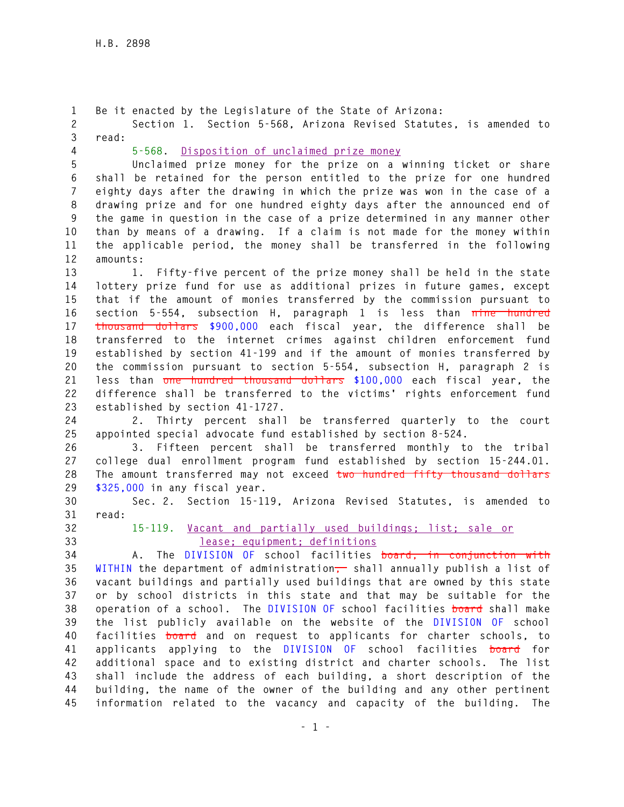**1 Be it enacted by the Legislature of the State of Arizona: 2 Section 1. Section 5-568, Arizona Revised Statutes, is amended to 3 read: 4 5-568. Disposition of unclaimed prize money 5 Unclaimed prize money for the prize on a winning ticket or share 6 shall be retained for the person entitled to the prize for one hundred 7 eighty days after the drawing in which the prize was won in the case of a 8 drawing prize and for one hundred eighty days after the announced end of 9 the game in question in the case of a prize determined in any manner other 10 than by means of a drawing. If a claim is not made for the money within 11 the applicable period, the money shall be transferred in the following 12 amounts: 13 1. Fifty-five percent of the prize money shall be held in the state 14 lottery prize fund for use as additional prizes in future games, except 15 that if the amount of monies transferred by the commission pursuant to 16 section 5-554, subsection H, paragraph 1 is less than nine hundred 17 thousand dollars \$900,000 each fiscal year, the difference shall be 18 transferred to the internet crimes against children enforcement fund 19 established by section 41-199 and if the amount of monies transferred by 20 the commission pursuant to section 5-554, subsection H, paragraph 2 is 21 less than one hundred thousand dollars \$100,000 each fiscal year, the 22 difference shall be transferred to the victims' rights enforcement fund 23 established by section 41-1727. 24 2. Thirty percent shall be transferred quarterly to the court 25 appointed special advocate fund established by section 8-524. 26 3. Fifteen percent shall be transferred monthly to the tribal 27 college dual enrollment program fund established by section 15-244.01. 28 The amount transferred may not exceed two hundred fifty thousand dollars 29 \$325,000 in any fiscal year. 30 Sec. 2. Section 15-119, Arizona Revised Statutes, is amended to 31 read: 32 15-119. Vacant and partially used buildings; list; sale or 33 lease; equipment; definitions 34 A. The DIVISION OF school facilities board, in conjunction with 35 WITHIN the department of administration, shall annually publish a list of 36 vacant buildings and partially used buildings that are owned by this state 37 or by school districts in this state and that may be suitable for the 38 operation of a school. The DIVISION OF school facilities board shall make 39 the list publicly available on the website of the DIVISION OF school 40 facilities board and on request to applicants for charter schools, to 41 applicants applying to the DIVISION OF school facilities board for 42 additional space and to existing district and charter schools. The list 43 shall include the address of each building, a short description of the 44 building, the name of the owner of the building and any other pertinent 45 information related to the vacancy and capacity of the building. The**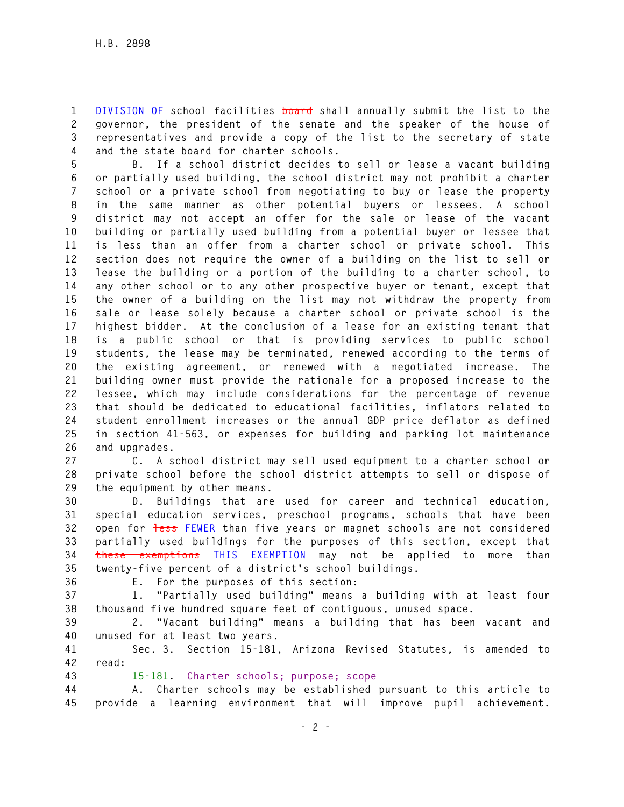**1 DIVISION OF school facilities board shall annually submit the list to the 2 governor, the president of the senate and the speaker of the house of 3 representatives and provide a copy of the list to the secretary of state 4 and the state board for charter schools.** 

**5 B. If a school district decides to sell or lease a vacant building 6 or partially used building, the school district may not prohibit a charter 7 school or a private school from negotiating to buy or lease the property 8 in the same manner as other potential buyers or lessees. A school 9 district may not accept an offer for the sale or lease of the vacant 10 building or partially used building from a potential buyer or lessee that 11 is less than an offer from a charter school or private school. This 12 section does not require the owner of a building on the list to sell or 13 lease the building or a portion of the building to a charter school, to 14 any other school or to any other prospective buyer or tenant, except that 15 the owner of a building on the list may not withdraw the property from 16 sale or lease solely because a charter school or private school is the 17 highest bidder. At the conclusion of a lease for an existing tenant that 18 is a public school or that is providing services to public school 19 students, the lease may be terminated, renewed according to the terms of 20 the existing agreement, or renewed with a negotiated increase. The 21 building owner must provide the rationale for a proposed increase to the 22 lessee, which may include considerations for the percentage of revenue 23 that should be dedicated to educational facilities, inflators related to 24 student enrollment increases or the annual GDP price deflator as defined 25 in section 41-563, or expenses for building and parking lot maintenance 26 and upgrades.** 

**27 C. A school district may sell used equipment to a charter school or 28 private school before the school district attempts to sell or dispose of 29 the equipment by other means.** 

**30 D. Buildings that are used for career and technical education, 31 special education services, preschool programs, schools that have been 32 open for less FEWER than five years or magnet schools are not considered 33 partially used buildings for the purposes of this section, except that 34 these exemptions THIS EXEMPTION may not be applied to more than 35 twenty-five percent of a district's school buildings.** 

**36 E. For the purposes of this section:** 

**37 1. "Partially used building" means a building with at least four 38 thousand five hundred square feet of contiguous, unused space.** 

**39 2. "Vacant building" means a building that has been vacant and 40 unused for at least two years.** 

**41 Sec. 3. Section 15-181, Arizona Revised Statutes, is amended to 42 read:** 

**43 15-181. Charter schools; purpose; scope**

**44 A. Charter schools may be established pursuant to this article to 45 provide a learning environment that will improve pupil achievement.**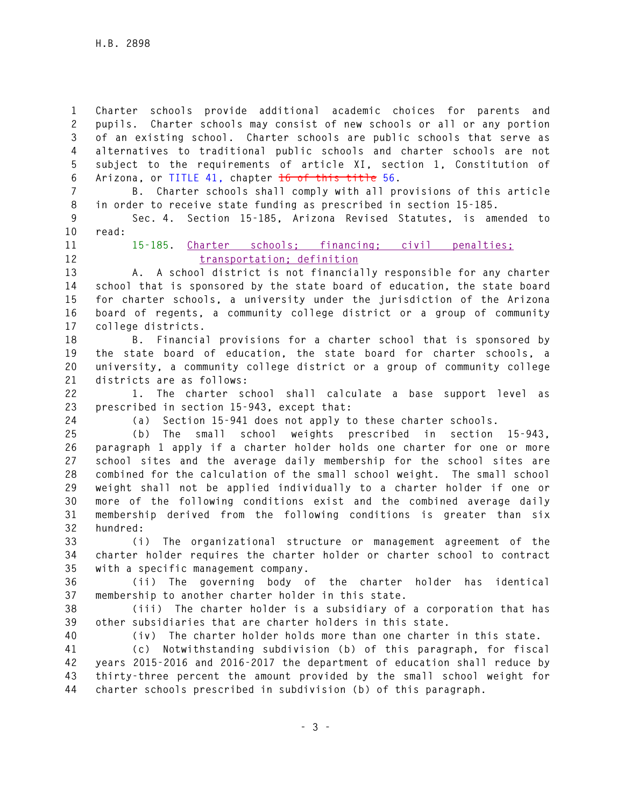**1 Charter schools provide additional academic choices for parents and 2 pupils. Charter schools may consist of new schools or all or any portion 3 of an existing school. Charter schools are public schools that serve as 4 alternatives to traditional public schools and charter schools are not 5 subject to the requirements of article XI, section 1, Constitution of 6 Arizona, or TITLE 41, chapter 16 of this title 56.** 

**7 B. Charter schools shall comply with all provisions of this article 8 in order to receive state funding as prescribed in section 15-185.** 

**9 Sec. 4. Section 15-185, Arizona Revised Statutes, is amended to 10 read:** 

**11 15-185. Charter schools; financing; civil penalties;**  12 transportation; definition

**13 A. A school district is not financially responsible for any charter 14 school that is sponsored by the state board of education, the state board 15 for charter schools, a university under the jurisdiction of the Arizona 16 board of regents, a community college district or a group of community 17 college districts.** 

**18 B. Financial provisions for a charter school that is sponsored by 19 the state board of education, the state board for charter schools, a 20 university, a community college district or a group of community college 21 districts are as follows:** 

**22 1. The charter school shall calculate a base support level as 23 prescribed in section 15-943, except that:** 

**24 (a) Section 15-941 does not apply to these charter schools.** 

**25 (b) The small school weights prescribed in section 15-943, 26 paragraph 1 apply if a charter holder holds one charter for one or more 27 school sites and the average daily membership for the school sites are 28 combined for the calculation of the small school weight. The small school 29 weight shall not be applied individually to a charter holder if one or 30 more of the following conditions exist and the combined average daily 31 membership derived from the following conditions is greater than six 32 hundred:** 

**33 (i) The organizational structure or management agreement of the 34 charter holder requires the charter holder or charter school to contract 35 with a specific management company.** 

**36 (ii) The governing body of the charter holder has identical 37 membership to another charter holder in this state.** 

**38 (iii) The charter holder is a subsidiary of a corporation that has 39 other subsidiaries that are charter holders in this state.** 

**40 (iv) The charter holder holds more than one charter in this state.** 

**41 (c) Notwithstanding subdivision (b) of this paragraph, for fiscal 42 years 2015-2016 and 2016-2017 the department of education shall reduce by 43 thirty-three percent the amount provided by the small school weight for 44 charter schools prescribed in subdivision (b) of this paragraph.**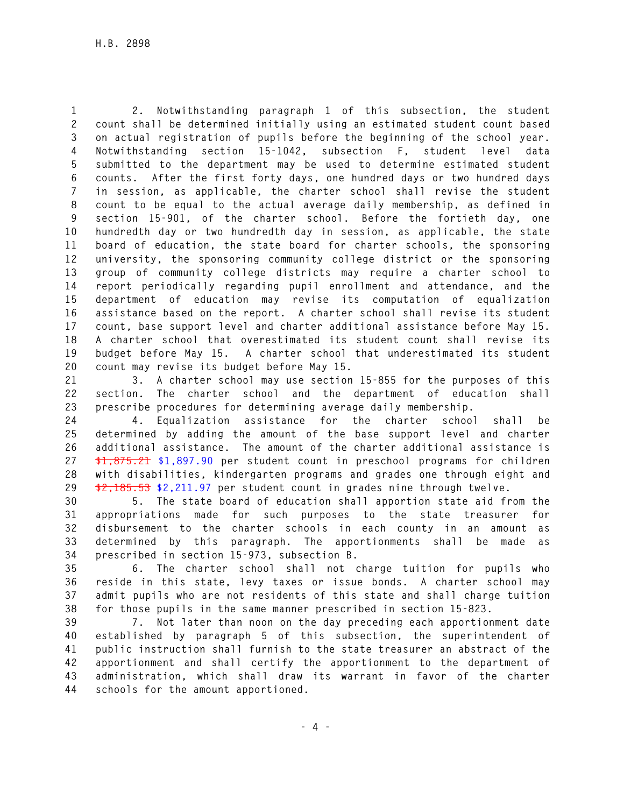**1 2. Notwithstanding paragraph 1 of this subsection, the student 2 count shall be determined initially using an estimated student count based 3 on actual registration of pupils before the beginning of the school year. 4 Notwithstanding section 15-1042, subsection F, student level data 5 submitted to the department may be used to determine estimated student 6 counts. After the first forty days, one hundred days or two hundred days 7 in session, as applicable, the charter school shall revise the student 8 count to be equal to the actual average daily membership, as defined in 9 section 15-901, of the charter school. Before the fortieth day, one 10 hundredth day or two hundredth day in session, as applicable, the state 11 board of education, the state board for charter schools, the sponsoring 12 university, the sponsoring community college district or the sponsoring 13 group of community college districts may require a charter school to 14 report periodically regarding pupil enrollment and attendance, and the 15 department of education may revise its computation of equalization 16 assistance based on the report. A charter school shall revise its student 17 count, base support level and charter additional assistance before May 15. 18 A charter school that overestimated its student count shall revise its 19 budget before May 15. A charter school that underestimated its student 20 count may revise its budget before May 15.** 

**21 3. A charter school may use section 15-855 for the purposes of this 22 section. The charter school and the department of education shall 23 prescribe procedures for determining average daily membership.** 

**24 4. Equalization assistance for the charter school shall be 25 determined by adding the amount of the base support level and charter 26 additional assistance. The amount of the charter additional assistance is 27 \$1,875.21 \$1,897.90 per student count in preschool programs for children 28 with disabilities, kindergarten programs and grades one through eight and 29 \$2,185.53 \$2,211.97 per student count in grades nine through twelve.** 

**30 5. The state board of education shall apportion state aid from the 31 appropriations made for such purposes to the state treasurer for 32 disbursement to the charter schools in each county in an amount as 33 determined by this paragraph. The apportionments shall be made as 34 prescribed in section 15-973, subsection B.** 

**35 6. The charter school shall not charge tuition for pupils who 36 reside in this state, levy taxes or issue bonds. A charter school may 37 admit pupils who are not residents of this state and shall charge tuition 38 for those pupils in the same manner prescribed in section 15-823.** 

**39 7. Not later than noon on the day preceding each apportionment date 40 established by paragraph 5 of this subsection, the superintendent of 41 public instruction shall furnish to the state treasurer an abstract of the 42 apportionment and shall certify the apportionment to the department of 43 administration, which shall draw its warrant in favor of the charter 44 schools for the amount apportioned.**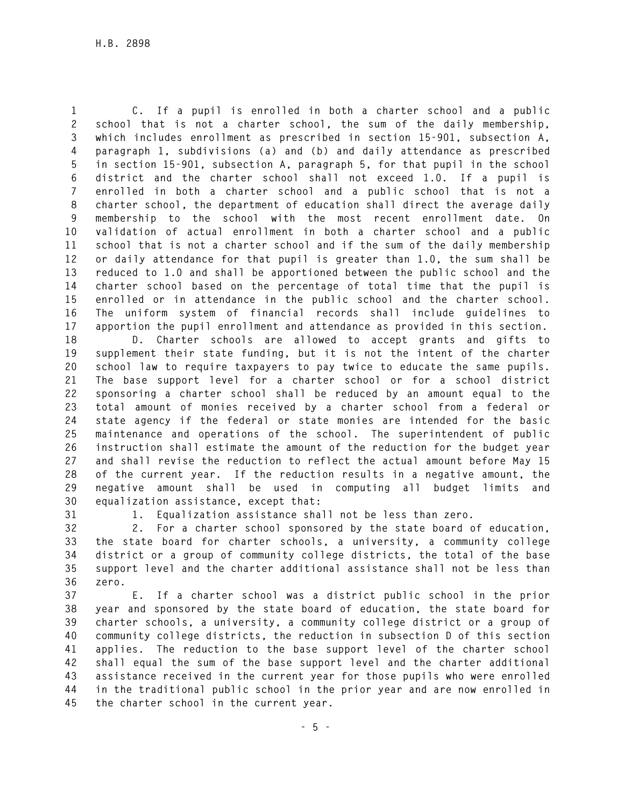**1 C. If a pupil is enrolled in both a charter school and a public 2 school that is not a charter school, the sum of the daily membership, 3 which includes enrollment as prescribed in section 15-901, subsection A, 4 paragraph 1, subdivisions (a) and (b) and daily attendance as prescribed 5 in section 15-901, subsection A, paragraph 5, for that pupil in the school 6 district and the charter school shall not exceed 1.0. If a pupil is 7 enrolled in both a charter school and a public school that is not a 8 charter school, the department of education shall direct the average daily 9 membership to the school with the most recent enrollment date. On 10 validation of actual enrollment in both a charter school and a public 11 school that is not a charter school and if the sum of the daily membership 12 or daily attendance for that pupil is greater than 1.0, the sum shall be 13 reduced to 1.0 and shall be apportioned between the public school and the 14 charter school based on the percentage of total time that the pupil is 15 enrolled or in attendance in the public school and the charter school. 16 The uniform system of financial records shall include guidelines to 17 apportion the pupil enrollment and attendance as provided in this section.** 

**18 D. Charter schools are allowed to accept grants and gifts to 19 supplement their state funding, but it is not the intent of the charter 20 school law to require taxpayers to pay twice to educate the same pupils. 21 The base support level for a charter school or for a school district 22 sponsoring a charter school shall be reduced by an amount equal to the 23 total amount of monies received by a charter school from a federal or 24 state agency if the federal or state monies are intended for the basic 25 maintenance and operations of the school. The superintendent of public 26 instruction shall estimate the amount of the reduction for the budget year 27 and shall revise the reduction to reflect the actual amount before May 15 28 of the current year. If the reduction results in a negative amount, the 29 negative amount shall be used in computing all budget limits and 30 equalization assistance, except that:** 

**31 1. Equalization assistance shall not be less than zero.** 

**32 2. For a charter school sponsored by the state board of education, 33 the state board for charter schools, a university, a community college 34 district or a group of community college districts, the total of the base 35 support level and the charter additional assistance shall not be less than 36 zero.** 

**37 E. If a charter school was a district public school in the prior 38 year and sponsored by the state board of education, the state board for 39 charter schools, a university, a community college district or a group of 40 community college districts, the reduction in subsection D of this section 41 applies. The reduction to the base support level of the charter school 42 shall equal the sum of the base support level and the charter additional 43 assistance received in the current year for those pupils who were enrolled 44 in the traditional public school in the prior year and are now enrolled in 45 the charter school in the current year.**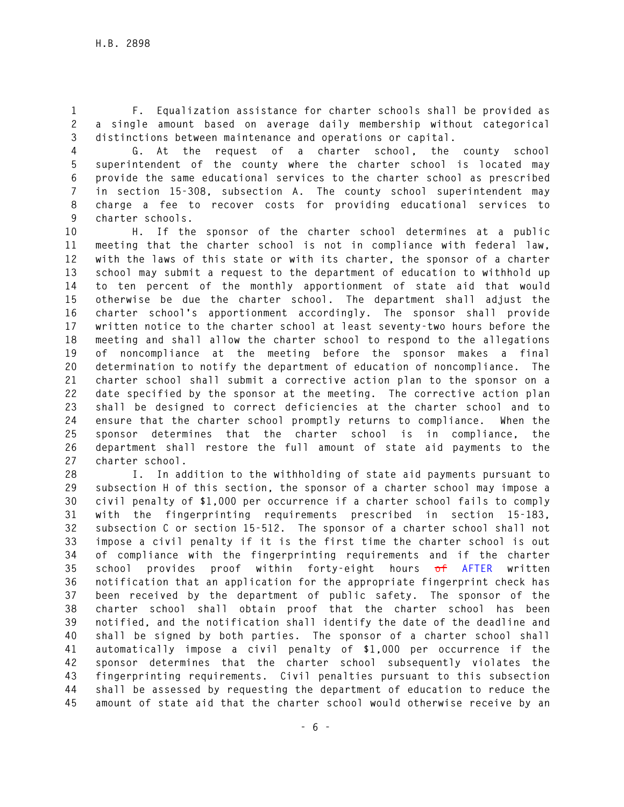**1 F. Equalization assistance for charter schools shall be provided as 2 a single amount based on average daily membership without categorical 3 distinctions between maintenance and operations or capital.** 

**4 G. At the request of a charter school, the county school 5 superintendent of the county where the charter school is located may 6 provide the same educational services to the charter school as prescribed 7 in section 15-308, subsection A. The county school superintendent may 8 charge a fee to recover costs for providing educational services to 9 charter schools.** 

**10 H. If the sponsor of the charter school determines at a public 11 meeting that the charter school is not in compliance with federal law, 12 with the laws of this state or with its charter, the sponsor of a charter 13 school may submit a request to the department of education to withhold up 14 to ten percent of the monthly apportionment of state aid that would 15 otherwise be due the charter school. The department shall adjust the 16 charter school's apportionment accordingly. The sponsor shall provide 17 written notice to the charter school at least seventy-two hours before the 18 meeting and shall allow the charter school to respond to the allegations 19 of noncompliance at the meeting before the sponsor makes a final 20 determination to notify the department of education of noncompliance. The 21 charter school shall submit a corrective action plan to the sponsor on a 22 date specified by the sponsor at the meeting. The corrective action plan 23 shall be designed to correct deficiencies at the charter school and to 24 ensure that the charter school promptly returns to compliance. When the 25 sponsor determines that the charter school is in compliance, the 26 department shall restore the full amount of state aid payments to the 27 charter school.** 

**28 I. In addition to the withholding of state aid payments pursuant to 29 subsection H of this section, the sponsor of a charter school may impose a 30 civil penalty of \$1,000 per occurrence if a charter school fails to comply 31 with the fingerprinting requirements prescribed in section 15-183, 32 subsection C or section 15-512. The sponsor of a charter school shall not 33 impose a civil penalty if it is the first time the charter school is out 34 of compliance with the fingerprinting requirements and if the charter 35 school provides proof within forty-eight hours of AFTER written 36 notification that an application for the appropriate fingerprint check has 37 been received by the department of public safety. The sponsor of the 38 charter school shall obtain proof that the charter school has been 39 notified, and the notification shall identify the date of the deadline and 40 shall be signed by both parties. The sponsor of a charter school shall 41 automatically impose a civil penalty of \$1,000 per occurrence if the 42 sponsor determines that the charter school subsequently violates the 43 fingerprinting requirements. Civil penalties pursuant to this subsection 44 shall be assessed by requesting the department of education to reduce the 45 amount of state aid that the charter school would otherwise receive by an**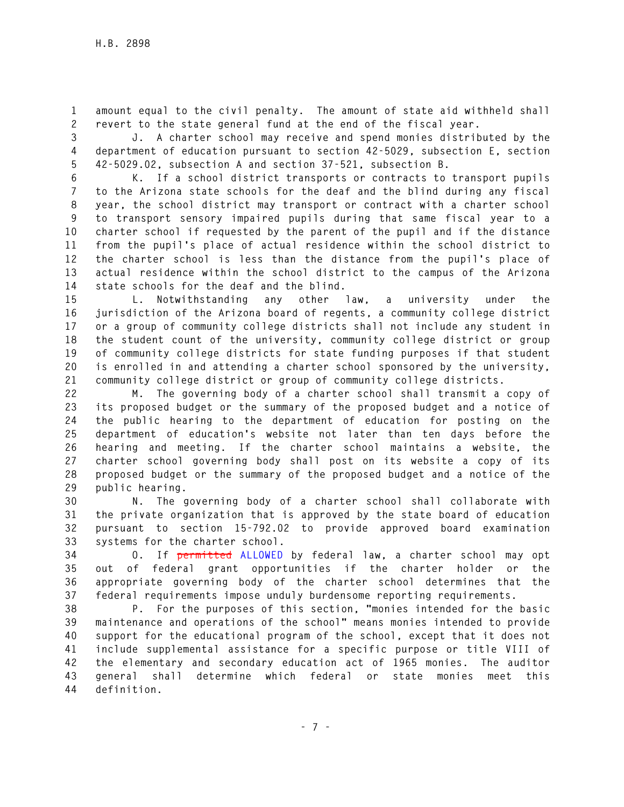**1 amount equal to the civil penalty. The amount of state aid withheld shall 2 revert to the state general fund at the end of the fiscal year.** 

**3 J. A charter school may receive and spend monies distributed by the 4 department of education pursuant to section 42-5029, subsection E, section 5 42-5029.02, subsection A and section 37-521, subsection B.** 

**6 K. If a school district transports or contracts to transport pupils 7 to the Arizona state schools for the deaf and the blind during any fiscal 8 year, the school district may transport or contract with a charter school 9 to transport sensory impaired pupils during that same fiscal year to a 10 charter school if requested by the parent of the pupil and if the distance 11 from the pupil's place of actual residence within the school district to 12 the charter school is less than the distance from the pupil's place of 13 actual residence within the school district to the campus of the Arizona 14 state schools for the deaf and the blind.** 

**15 L. Notwithstanding any other law, a university under the 16 jurisdiction of the Arizona board of regents, a community college district 17 or a group of community college districts shall not include any student in 18 the student count of the university, community college district or group 19 of community college districts for state funding purposes if that student 20 is enrolled in and attending a charter school sponsored by the university, 21 community college district or group of community college districts.** 

**22 M. The governing body of a charter school shall transmit a copy of 23 its proposed budget or the summary of the proposed budget and a notice of 24 the public hearing to the department of education for posting on the 25 department of education's website not later than ten days before the 26 hearing and meeting. If the charter school maintains a website, the 27 charter school governing body shall post on its website a copy of its 28 proposed budget or the summary of the proposed budget and a notice of the 29 public hearing.** 

**30 N. The governing body of a charter school shall collaborate with 31 the private organization that is approved by the state board of education 32 pursuant to section 15-792.02 to provide approved board examination 33 systems for the charter school.** 

**34 O. If permitted ALLOWED by federal law, a charter school may opt 35 out of federal grant opportunities if the charter holder or the 36 appropriate governing body of the charter school determines that the 37 federal requirements impose unduly burdensome reporting requirements.** 

**38 P. For the purposes of this section, "monies intended for the basic 39 maintenance and operations of the school" means monies intended to provide 40 support for the educational program of the school, except that it does not 41 include supplemental assistance for a specific purpose or title VIII of 42 the elementary and secondary education act of 1965 monies. The auditor 43 general shall determine which federal or state monies meet this 44 definition.**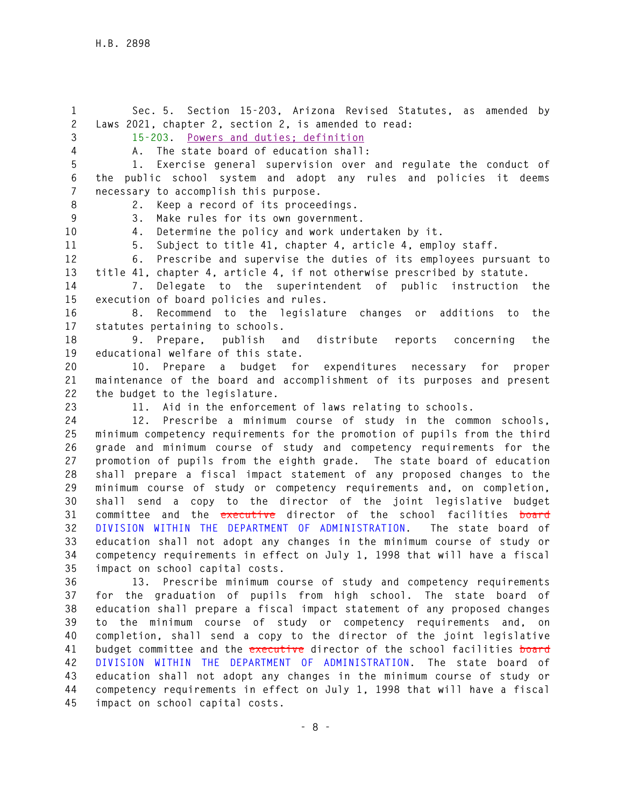**1 Sec. 5. Section 15-203, Arizona Revised Statutes, as amended by 2 Laws 2021, chapter 2, section 2, is amended to read: 3 15-203. Powers and duties; definition 4 A. The state board of education shall: 5 1. Exercise general supervision over and regulate the conduct of 6 the public school system and adopt any rules and policies it deems 7 necessary to accomplish this purpose. 8 2. Keep a record of its proceedings. 9 3. Make rules for its own government. 10 4. Determine the policy and work undertaken by it. 11 5. Subject to title 41, chapter 4, article 4, employ staff. 12 6. Prescribe and supervise the duties of its employees pursuant to 13 title 41, chapter 4, article 4, if not otherwise prescribed by statute. 14 7. Delegate to the superintendent of public instruction the 15 execution of board policies and rules. 16 8. Recommend to the legislature changes or additions to the 17 statutes pertaining to schools. 18 9. Prepare, publish and distribute reports concerning the 19 educational welfare of this state. 20 10. Prepare a budget for expenditures necessary for proper 21 maintenance of the board and accomplishment of its purposes and present 22 the budget to the legislature. 23 11. Aid in the enforcement of laws relating to schools. 24 12. Prescribe a minimum course of study in the common schools, 25 minimum competency requirements for the promotion of pupils from the third 26 grade and minimum course of study and competency requirements for the 27 promotion of pupils from the eighth grade. The state board of education 28 shall prepare a fiscal impact statement of any proposed changes to the 29 minimum course of study or competency requirements and, on completion, 30 shall send a copy to the director of the joint legislative budget 31 committee and the executive director of the school facilities board 32 DIVISION WITHIN THE DEPARTMENT OF ADMINISTRATION. The state board of 33 education shall not adopt any changes in the minimum course of study or 34 competency requirements in effect on July 1, 1998 that will have a fiscal 35 impact on school capital costs. 36 13. Prescribe minimum course of study and competency requirements 37 for the graduation of pupils from high school. The state board of 38 education shall prepare a fiscal impact statement of any proposed changes 39 to the minimum course of study or competency requirements and, on 40 completion, shall send a copy to the director of the joint legislative 41 budget committee and the executive director of the school facilities board**

**42 DIVISION WITHIN THE DEPARTMENT OF ADMINISTRATION. The state board of 43 education shall not adopt any changes in the minimum course of study or 44 competency requirements in effect on July 1, 1998 that will have a fiscal 45 impact on school capital costs.**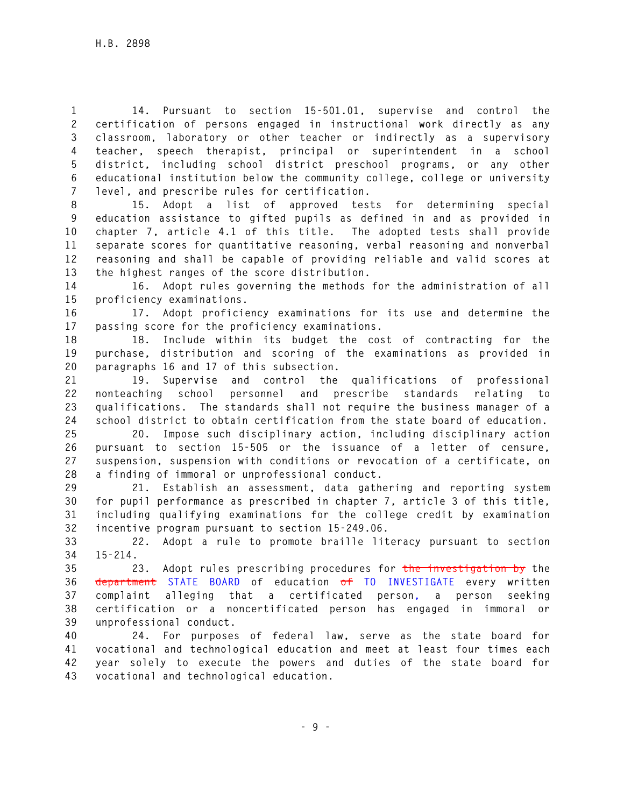**1 14. Pursuant to section 15-501.01, supervise and control the 2 certification of persons engaged in instructional work directly as any 3 classroom, laboratory or other teacher or indirectly as a supervisory 4 teacher, speech therapist, principal or superintendent in a school 5 district, including school district preschool programs, or any other 6 educational institution below the community college, college or university 7 level, and prescribe rules for certification.** 

**8 15. Adopt a list of approved tests for determining special 9 education assistance to gifted pupils as defined in and as provided in 10 chapter 7, article 4.1 of this title. The adopted tests shall provide 11 separate scores for quantitative reasoning, verbal reasoning and nonverbal 12 reasoning and shall be capable of providing reliable and valid scores at 13 the highest ranges of the score distribution.** 

**14 16. Adopt rules governing the methods for the administration of all 15 proficiency examinations.** 

**16 17. Adopt proficiency examinations for its use and determine the 17 passing score for the proficiency examinations.** 

**18 18. Include within its budget the cost of contracting for the 19 purchase, distribution and scoring of the examinations as provided in 20 paragraphs 16 and 17 of this subsection.** 

**21 19. Supervise and control the qualifications of professional 22 nonteaching school personnel and prescribe standards relating to 23 qualifications. The standards shall not require the business manager of a 24 school district to obtain certification from the state board of education.** 

**25 20. Impose such disciplinary action, including disciplinary action 26 pursuant to section 15-505 or the issuance of a letter of censure, 27 suspension, suspension with conditions or revocation of a certificate, on 28 a finding of immoral or unprofessional conduct.** 

**29 21. Establish an assessment, data gathering and reporting system 30 for pupil performance as prescribed in chapter 7, article 3 of this title, 31 including qualifying examinations for the college credit by examination 32 incentive program pursuant to section 15-249.06.** 

**33 22. Adopt a rule to promote braille literacy pursuant to section 34 15-214.** 

**35 23. Adopt rules prescribing procedures for the investigation by the 36 department STATE BOARD of education of TO INVESTIGATE every written 37 complaint alleging that a certificated person, a person seeking 38 certification or a noncertificated person has engaged in immoral or 39 unprofessional conduct.** 

**40 24. For purposes of federal law, serve as the state board for 41 vocational and technological education and meet at least four times each 42 year solely to execute the powers and duties of the state board for 43 vocational and technological education.**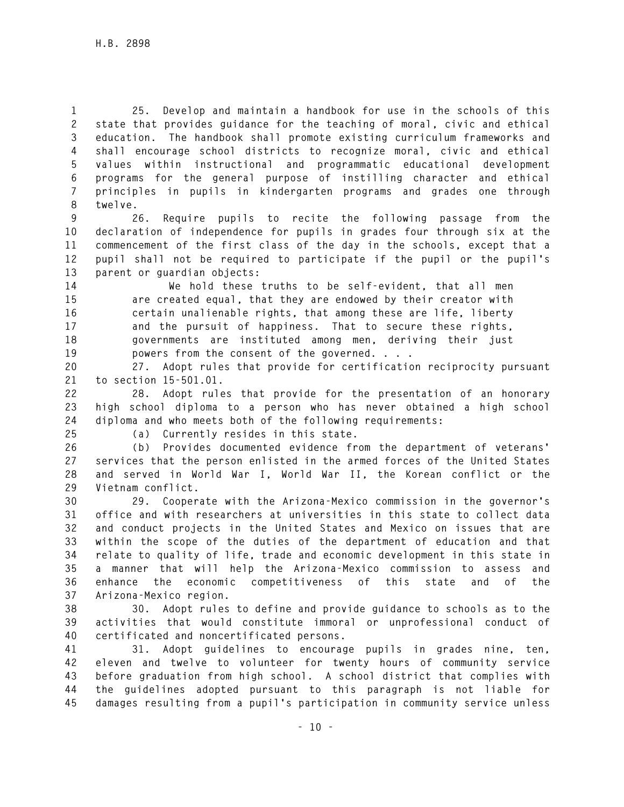**1 25. Develop and maintain a handbook for use in the schools of this 2 state that provides guidance for the teaching of moral, civic and ethical 3 education. The handbook shall promote existing curriculum frameworks and 4 shall encourage school districts to recognize moral, civic and ethical 5 values within instructional and programmatic educational development 6 programs for the general purpose of instilling character and ethical 7 principles in pupils in kindergarten programs and grades one through 8 twelve.** 

**9 26. Require pupils to recite the following passage from the 10 declaration of independence for pupils in grades four through six at the 11 commencement of the first class of the day in the schools, except that a 12 pupil shall not be required to participate if the pupil or the pupil's 13 parent or guardian objects:** 

**14 We hold these truths to be self-evident, that all men 15 are created equal, that they are endowed by their creator with 16 certain unalienable rights, that among these are life, liberty 17 and the pursuit of happiness. That to secure these rights, 18 governments are instituted among men, deriving their just 19 powers from the consent of the governed. . . .** 

**20 27. Adopt rules that provide for certification reciprocity pursuant 21 to section 15-501.01.** 

**22 28. Adopt rules that provide for the presentation of an honorary 23 high school diploma to a person who has never obtained a high school 24 diploma and who meets both of the following requirements:** 

**25 (a) Currently resides in this state.** 

**26 (b) Provides documented evidence from the department of veterans' 27 services that the person enlisted in the armed forces of the United States 28 and served in World War I, World War II, the Korean conflict or the 29 Vietnam conflict.** 

**30 29. Cooperate with the Arizona-Mexico commission in the governor's 31 office and with researchers at universities in this state to collect data 32 and conduct projects in the United States and Mexico on issues that are 33 within the scope of the duties of the department of education and that 34 relate to quality of life, trade and economic development in this state in 35 a manner that will help the Arizona-Mexico commission to assess and 36 enhance the economic competitiveness of this state and of the 37 Arizona-Mexico region.** 

**38 30. Adopt rules to define and provide guidance to schools as to the 39 activities that would constitute immoral or unprofessional conduct of 40 certificated and noncertificated persons.** 

**41 31. Adopt guidelines to encourage pupils in grades nine, ten, 42 eleven and twelve to volunteer for twenty hours of community service 43 before graduation from high school. A school district that complies with 44 the guidelines adopted pursuant to this paragraph is not liable for 45 damages resulting from a pupil's participation in community service unless**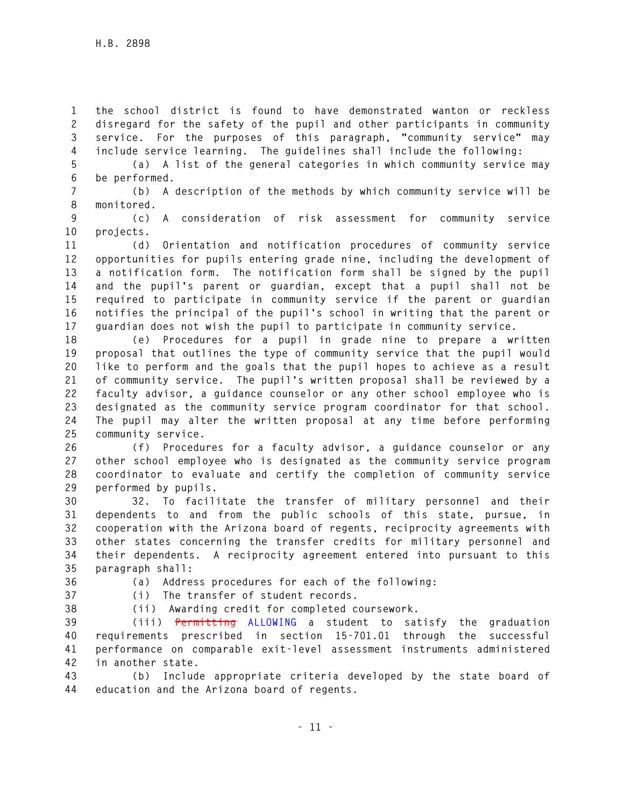**1 the school district is found to have demonstrated wanton or reckless 2 disregard for the safety of the pupil and other participants in community 3 service. For the purposes of this paragraph, "community service" may 4 include service learning. The guidelines shall include the following:** 

**5 (a) A list of the general categories in which community service may 6 be performed.** 

**7 (b) A description of the methods by which community service will be 8 monitored.** 

**9 (c) A consideration of risk assessment for community service 10 projects.** 

**11 (d) Orientation and notification procedures of community service 12 opportunities for pupils entering grade nine, including the development of 13 a notification form. The notification form shall be signed by the pupil 14 and the pupil's parent or guardian, except that a pupil shall not be 15 required to participate in community service if the parent or guardian 16 notifies the principal of the pupil's school in writing that the parent or 17 guardian does not wish the pupil to participate in community service.** 

**18 (e) Procedures for a pupil in grade nine to prepare a written 19 proposal that outlines the type of community service that the pupil would 20 like to perform and the goals that the pupil hopes to achieve as a result 21 of community service. The pupil's written proposal shall be reviewed by a 22 faculty advisor, a guidance counselor or any other school employee who is 23 designated as the community service program coordinator for that school. 24 The pupil may alter the written proposal at any time before performing 25 community service.** 

**26 (f) Procedures for a faculty advisor, a guidance counselor or any 27 other school employee who is designated as the community service program 28 coordinator to evaluate and certify the completion of community service 29 performed by pupils.** 

**30 32. To facilitate the transfer of military personnel and their 31 dependents to and from the public schools of this state, pursue, in 32 cooperation with the Arizona board of regents, reciprocity agreements with 33 other states concerning the transfer credits for military personnel and 34 their dependents. A reciprocity agreement entered into pursuant to this 35 paragraph shall:** 

**36 (a) Address procedures for each of the following:** 

- **37 (i) The transfer of student records.**
- 

**38 (ii) Awarding credit for completed coursework.** 

**39 (iii) Permitting ALLOWING a student to satisfy the graduation 40 requirements prescribed in section 15-701.01 through the successful 41 performance on comparable exit-level assessment instruments administered 42 in another state.** 

**43 (b) Include appropriate criteria developed by the state board of 44 education and the Arizona board of regents.**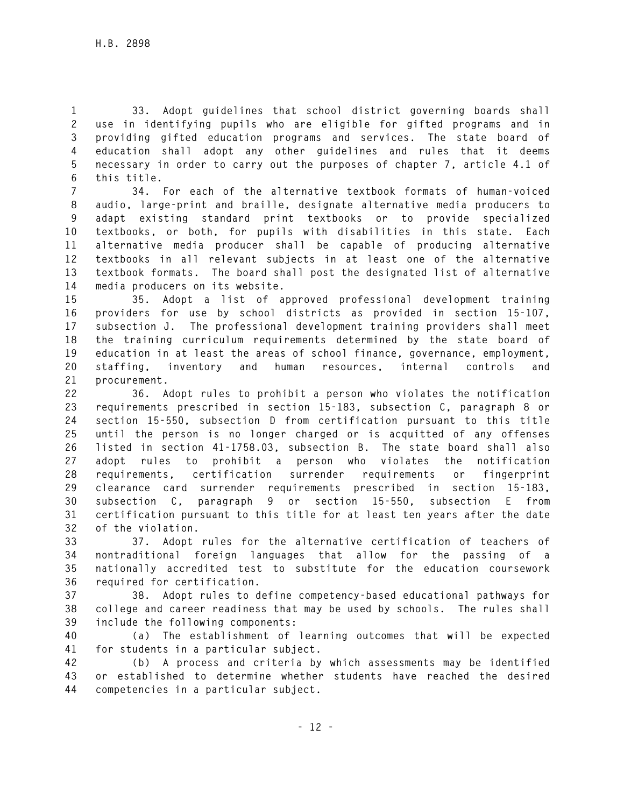**1 33. Adopt guidelines that school district governing boards shall 2 use in identifying pupils who are eligible for gifted programs and in 3 providing gifted education programs and services. The state board of 4 education shall adopt any other guidelines and rules that it deems 5 necessary in order to carry out the purposes of chapter 7, article 4.1 of 6 this title.** 

**7 34. For each of the alternative textbook formats of human-voiced 8 audio, large-print and braille, designate alternative media producers to 9 adapt existing standard print textbooks or to provide specialized 10 textbooks, or both, for pupils with disabilities in this state. Each 11 alternative media producer shall be capable of producing alternative 12 textbooks in all relevant subjects in at least one of the alternative 13 textbook formats. The board shall post the designated list of alternative 14 media producers on its website.** 

**15 35. Adopt a list of approved professional development training 16 providers for use by school districts as provided in section 15-107, 17 subsection J. The professional development training providers shall meet 18 the training curriculum requirements determined by the state board of 19 education in at least the areas of school finance, governance, employment, 20 staffing, inventory and human resources, internal controls and 21 procurement.** 

**22 36. Adopt rules to prohibit a person who violates the notification 23 requirements prescribed in section 15-183, subsection C, paragraph 8 or 24 section 15-550, subsection D from certification pursuant to this title 25 until the person is no longer charged or is acquitted of any offenses 26 listed in section 41-1758.03, subsection B. The state board shall also 27 adopt rules to prohibit a person who violates the notification 28 requirements, certification surrender requirements or fingerprint 29 clearance card surrender requirements prescribed in section 15-183, 30 subsection C, paragraph 9 or section 15-550, subsection E from 31 certification pursuant to this title for at least ten years after the date 32 of the violation.** 

**33 37. Adopt rules for the alternative certification of teachers of 34 nontraditional foreign languages that allow for the passing of a 35 nationally accredited test to substitute for the education coursework 36 required for certification.** 

**37 38. Adopt rules to define competency-based educational pathways for 38 college and career readiness that may be used by schools. The rules shall 39 include the following components:** 

**40 (a) The establishment of learning outcomes that will be expected 41 for students in a particular subject.** 

**42 (b) A process and criteria by which assessments may be identified 43 or established to determine whether students have reached the desired 44 competencies in a particular subject.**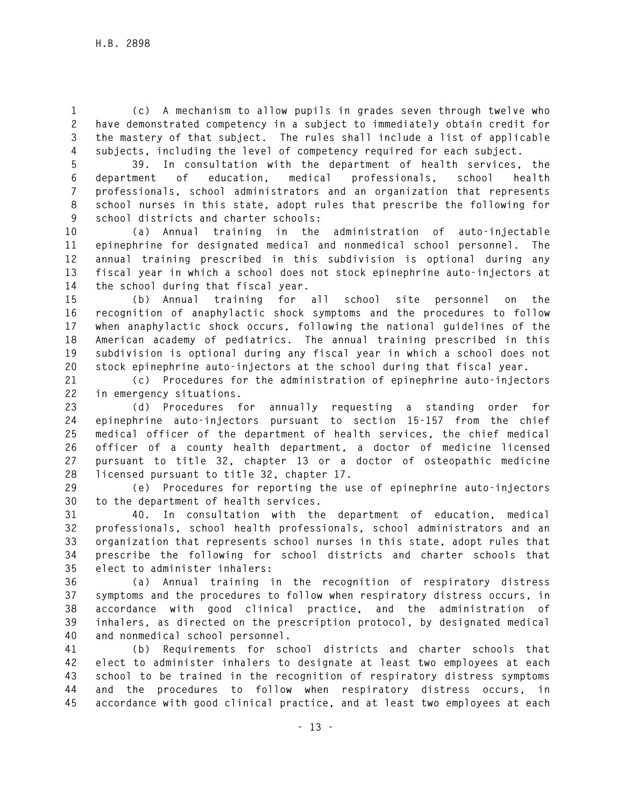**1 (c) A mechanism to allow pupils in grades seven through twelve who 2 have demonstrated competency in a subject to immediately obtain credit for 3 the mastery of that subject. The rules shall include a list of applicable 4 subjects, including the level of competency required for each subject.** 

**5 39. In consultation with the department of health services, the 6 department of education, medical professionals, school health 7 professionals, school administrators and an organization that represents 8 school nurses in this state, adopt rules that prescribe the following for 9 school districts and charter schools:** 

**10 (a) Annual training in the administration of auto-injectable 11 epinephrine for designated medical and nonmedical school personnel. The 12 annual training prescribed in this subdivision is optional during any 13 fiscal year in which a school does not stock epinephrine auto-injectors at 14 the school during that fiscal year.** 

**15 (b) Annual training for all school site personnel on the 16 recognition of anaphylactic shock symptoms and the procedures to follow 17 when anaphylactic shock occurs, following the national guidelines of the 18 American academy of pediatrics. The annual training prescribed in this 19 subdivision is optional during any fiscal year in which a school does not 20 stock epinephrine auto-injectors at the school during that fiscal year.** 

**21 (c) Procedures for the administration of epinephrine auto-injectors 22 in emergency situations.** 

**23 (d) Procedures for annually requesting a standing order for 24 epinephrine auto-injectors pursuant to section 15-157 from the chief 25 medical officer of the department of health services, the chief medical 26 officer of a county health department, a doctor of medicine licensed 27 pursuant to title 32, chapter 13 or a doctor of osteopathic medicine 28 licensed pursuant to title 32, chapter 17.** 

**29 (e) Procedures for reporting the use of epinephrine auto-injectors 30 to the department of health services.** 

**31 40. In consultation with the department of education, medical 32 professionals, school health professionals, school administrators and an 33 organization that represents school nurses in this state, adopt rules that 34 prescribe the following for school districts and charter schools that 35 elect to administer inhalers:** 

**36 (a) Annual training in the recognition of respiratory distress 37 symptoms and the procedures to follow when respiratory distress occurs, in 38 accordance with good clinical practice, and the administration of 39 inhalers, as directed on the prescription protocol, by designated medical 40 and nonmedical school personnel.** 

**41 (b) Requirements for school districts and charter schools that 42 elect to administer inhalers to designate at least two employees at each 43 school to be trained in the recognition of respiratory distress symptoms 44 and the procedures to follow when respiratory distress occurs, in 45 accordance with good clinical practice, and at least two employees at each**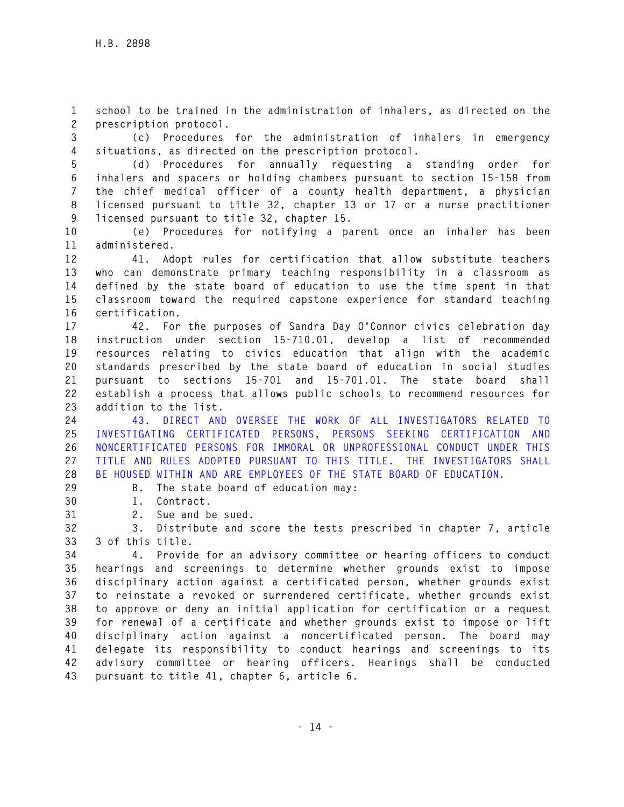**1 school to be trained in the administration of inhalers, as directed on the 2 prescription protocol.** 

**3 (c) Procedures for the administration of inhalers in emergency 4 situations, as directed on the prescription protocol.** 

**5 (d) Procedures for annually requesting a standing order for 6 inhalers and spacers or holding chambers pursuant to section 15-158 from 7 the chief medical officer of a county health department, a physician 8 licensed pursuant to title 32, chapter 13 or 17 or a nurse practitioner 9 licensed pursuant to title 32, chapter 15.** 

**10 (e) Procedures for notifying a parent once an inhaler has been 11 administered.** 

**12 41. Adopt rules for certification that allow substitute teachers 13 who can demonstrate primary teaching responsibility in a classroom as 14 defined by the state board of education to use the time spent in that 15 classroom toward the required capstone experience for standard teaching 16 certification.** 

**17 42. For the purposes of Sandra Day O'Connor civics celebration day 18 instruction under section 15-710.01, develop a list of recommended 19 resources relating to civics education that align with the academic 20 standards prescribed by the state board of education in social studies 21 pursuant to sections 15-701 and 15-701.01. The state board shall 22 establish a process that allows public schools to recommend resources for 23 addition to the list.** 

**24 43. DIRECT AND OVERSEE THE WORK OF ALL INVESTIGATORS RELATED TO 25 INVESTIGATING CERTIFICATED PERSONS, PERSONS SEEKING CERTIFICATION AND 26 NONCERTIFICATED PERSONS FOR IMMORAL OR UNPROFESSIONAL CONDUCT UNDER THIS 27 TITLE AND RULES ADOPTED PURSUANT TO THIS TITLE. THE INVESTIGATORS SHALL 28 BE HOUSED WITHIN AND ARE EMPLOYEES OF THE STATE BOARD OF EDUCATION.** 

- **29 B. The state board of education may:**
- **30 1. Contract.**
- **31 2. Sue and be sued.**

**32 3. Distribute and score the tests prescribed in chapter 7, article 33 3 of this title.** 

**34 4. Provide for an advisory committee or hearing officers to conduct 35 hearings and screenings to determine whether grounds exist to impose 36 disciplinary action against a certificated person, whether grounds exist 37 to reinstate a revoked or surrendered certificate, whether grounds exist 38 to approve or deny an initial application for certification or a request 39 for renewal of a certificate and whether grounds exist to impose or lift 40 disciplinary action against a noncertificated person. The board may 41 delegate its responsibility to conduct hearings and screenings to its 42 advisory committee or hearing officers. Hearings shall be conducted 43 pursuant to title 41, chapter 6, article 6.**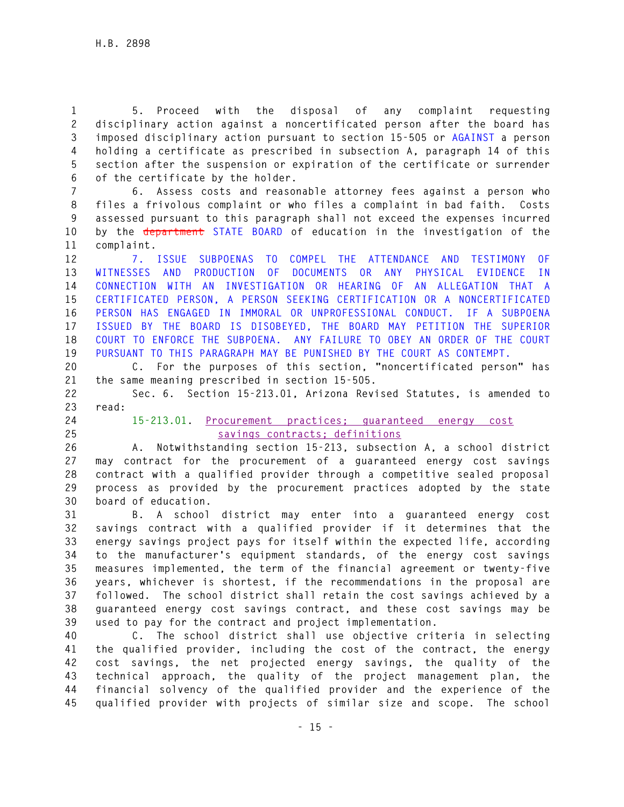**1 5. Proceed with the disposal of any complaint requesting 2 disciplinary action against a noncertificated person after the board has 3 imposed disciplinary action pursuant to section 15-505 or AGAINST a person 4 holding a certificate as prescribed in subsection A, paragraph 14 of this 5 section after the suspension or expiration of the certificate or surrender 6 of the certificate by the holder.** 

**7 6. Assess costs and reasonable attorney fees against a person who 8 files a frivolous complaint or who files a complaint in bad faith. Costs 9 assessed pursuant to this paragraph shall not exceed the expenses incurred 10 by the department STATE BOARD of education in the investigation of the 11 complaint.** 

**12 7. ISSUE SUBPOENAS TO COMPEL THE ATTENDANCE AND TESTIMONY OF 13 WITNESSES AND PRODUCTION OF DOCUMENTS OR ANY PHYSICAL EVIDENCE IN 14 CONNECTION WITH AN INVESTIGATION OR HEARING OF AN ALLEGATION THAT A 15 CERTIFICATED PERSON, A PERSON SEEKING CERTIFICATION OR A NONCERTIFICATED 16 PERSON HAS ENGAGED IN IMMORAL OR UNPROFESSIONAL CONDUCT. IF A SUBPOENA 17 ISSUED BY THE BOARD IS DISOBEYED, THE BOARD MAY PETITION THE SUPERIOR 18 COURT TO ENFORCE THE SUBPOENA. ANY FAILURE TO OBEY AN ORDER OF THE COURT 19 PURSUANT TO THIS PARAGRAPH MAY BE PUNISHED BY THE COURT AS CONTEMPT.** 

**20 C. For the purposes of this section, "noncertificated person" has 21 the same meaning prescribed in section 15-505.** 

**22 Sec. 6. Section 15-213.01, Arizona Revised Statutes, is amended to 23 read:** 

**24 15-213.01. Procurement practices; guaranteed energy cost 25 savings contracts; definitions**

**26 A. Notwithstanding section 15-213, subsection A, a school district 27 may contract for the procurement of a guaranteed energy cost savings 28 contract with a qualified provider through a competitive sealed proposal 29 process as provided by the procurement practices adopted by the state 30 board of education.** 

**31 B. A school district may enter into a guaranteed energy cost 32 savings contract with a qualified provider if it determines that the 33 energy savings project pays for itself within the expected life, according 34 to the manufacturer's equipment standards, of the energy cost savings 35 measures implemented, the term of the financial agreement or twenty-five 36 years, whichever is shortest, if the recommendations in the proposal are 37 followed. The school district shall retain the cost savings achieved by a 38 guaranteed energy cost savings contract, and these cost savings may be 39 used to pay for the contract and project implementation.** 

**40 C. The school district shall use objective criteria in selecting 41 the qualified provider, including the cost of the contract, the energy 42 cost savings, the net projected energy savings, the quality of the 43 technical approach, the quality of the project management plan, the 44 financial solvency of the qualified provider and the experience of the 45 qualified provider with projects of similar size and scope. The school**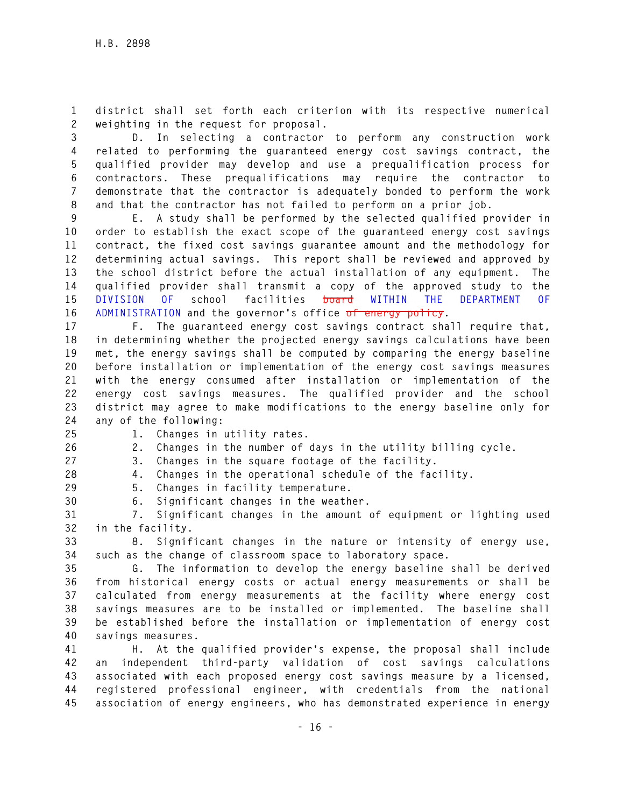**1 district shall set forth each criterion with its respective numerical 2 weighting in the request for proposal.** 

**3 D. In selecting a contractor to perform any construction work 4 related to performing the guaranteed energy cost savings contract, the 5 qualified provider may develop and use a prequalification process for 6 contractors. These prequalifications may require the contractor to 7 demonstrate that the contractor is adequately bonded to perform the work 8 and that the contractor has not failed to perform on a prior job.** 

**9 E. A study shall be performed by the selected qualified provider in 10 order to establish the exact scope of the guaranteed energy cost savings 11 contract, the fixed cost savings guarantee amount and the methodology for 12 determining actual savings. This report shall be reviewed and approved by 13 the school district before the actual installation of any equipment. The 14 qualified provider shall transmit a copy of the approved study to the 15 DIVISION OF school facilities board WITHIN THE DEPARTMENT OF 16 ADMINISTRATION and the governor's office of energy policy.** 

**17 F. The guaranteed energy cost savings contract shall require that, 18 in determining whether the projected energy savings calculations have been 19 met, the energy savings shall be computed by comparing the energy baseline 20 before installation or implementation of the energy cost savings measures 21 with the energy consumed after installation or implementation of the 22 energy cost savings measures. The qualified provider and the school 23 district may agree to make modifications to the energy baseline only for 24 any of the following:** 

**25 1. Changes in utility rates.** 

**26 2. Changes in the number of days in the utility billing cycle.** 

**27 3. Changes in the square footage of the facility.** 

**28 4. Changes in the operational schedule of the facility.** 

**29 5. Changes in facility temperature. 30 6. Significant changes in the weather.** 

**31 7. Significant changes in the amount of equipment or lighting used 32 in the facility.** 

**33 8. Significant changes in the nature or intensity of energy use, 34 such as the change of classroom space to laboratory space.** 

**35 G. The information to develop the energy baseline shall be derived 36 from historical energy costs or actual energy measurements or shall be 37 calculated from energy measurements at the facility where energy cost 38 savings measures are to be installed or implemented. The baseline shall 39 be established before the installation or implementation of energy cost 40 savings measures.** 

**41 H. At the qualified provider's expense, the proposal shall include 42 an independent third-party validation of cost savings calculations 43 associated with each proposed energy cost savings measure by a licensed, 44 registered professional engineer, with credentials from the national 45 association of energy engineers, who has demonstrated experience in energy**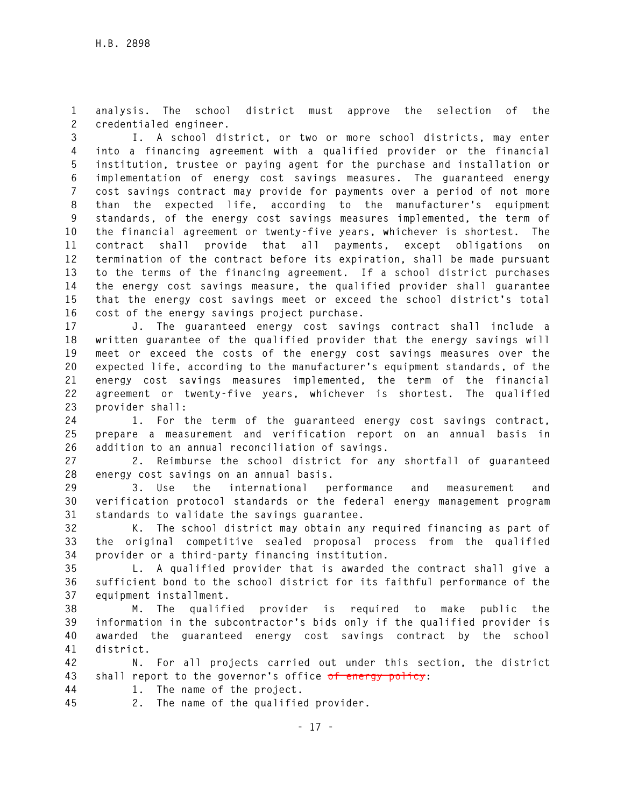**1 analysis. The school district must approve the selection of the 2 credentialed engineer.** 

**3 I. A school district, or two or more school districts, may enter 4 into a financing agreement with a qualified provider or the financial 5 institution, trustee or paying agent for the purchase and installation or 6 implementation of energy cost savings measures. The guaranteed energy 7 cost savings contract may provide for payments over a period of not more 8 than the expected life, according to the manufacturer's equipment 9 standards, of the energy cost savings measures implemented, the term of 10 the financial agreement or twenty-five years, whichever is shortest. The 11 contract shall provide that all payments, except obligations on 12 termination of the contract before its expiration, shall be made pursuant 13 to the terms of the financing agreement. If a school district purchases 14 the energy cost savings measure, the qualified provider shall guarantee 15 that the energy cost savings meet or exceed the school district's total 16 cost of the energy savings project purchase.** 

**17 J. The guaranteed energy cost savings contract shall include a 18 written guarantee of the qualified provider that the energy savings will 19 meet or exceed the costs of the energy cost savings measures over the 20 expected life, according to the manufacturer's equipment standards, of the 21 energy cost savings measures implemented, the term of the financial 22 agreement or twenty-five years, whichever is shortest. The qualified 23 provider shall:** 

**24 1. For the term of the guaranteed energy cost savings contract, 25 prepare a measurement and verification report on an annual basis in 26 addition to an annual reconciliation of savings.** 

**27 2. Reimburse the school district for any shortfall of guaranteed 28 energy cost savings on an annual basis.** 

**29 3. Use the international performance and measurement and 30 verification protocol standards or the federal energy management program 31 standards to validate the savings guarantee.** 

**32 K. The school district may obtain any required financing as part of 33 the original competitive sealed proposal process from the qualified 34 provider or a third-party financing institution.** 

**35 L. A qualified provider that is awarded the contract shall give a 36 sufficient bond to the school district for its faithful performance of the 37 equipment installment.** 

**38 M. The qualified provider is required to make public the 39 information in the subcontractor's bids only if the qualified provider is 40 awarded the guaranteed energy cost savings contract by the school 41 district.** 

**42 N. For all projects carried out under this section, the district 43 shall report to the governor's office of energy policy:** 

- **44 1. The name of the project.**
- **45 2. The name of the qualified provider.**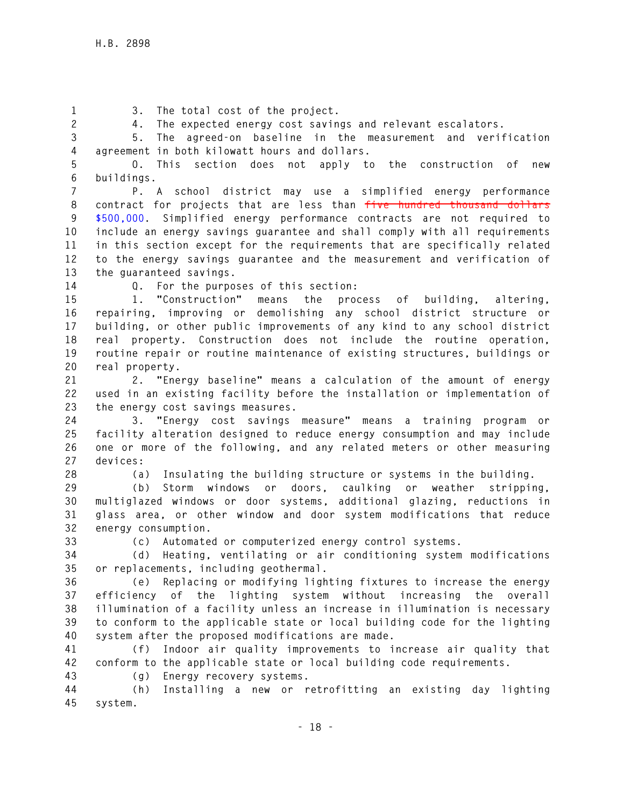**1 3. The total cost of the project.** 

**2 4. The expected energy cost savings and relevant escalators.** 

**3 5. The agreed-on baseline in the measurement and verification 4 agreement in both kilowatt hours and dollars.** 

**5 O. This section does not apply to the construction of new 6 buildings.** 

**7 P. A school district may use a simplified energy performance 8 contract for projects that are less than five hundred thousand dollars 9 \$500,000. Simplified energy performance contracts are not required to 10 include an energy savings guarantee and shall comply with all requirements 11 in this section except for the requirements that are specifically related 12 to the energy savings guarantee and the measurement and verification of 13 the guaranteed savings.** 

**14 Q. For the purposes of this section:** 

**15 1. "Construction" means the process of building, altering, 16 repairing, improving or demolishing any school district structure or 17 building, or other public improvements of any kind to any school district 18 real property. Construction does not include the routine operation, 19 routine repair or routine maintenance of existing structures, buildings or 20 real property.** 

**21 2. "Energy baseline" means a calculation of the amount of energy 22 used in an existing facility before the installation or implementation of 23 the energy cost savings measures.** 

**24 3. "Energy cost savings measure" means a training program or 25 facility alteration designed to reduce energy consumption and may include 26 one or more of the following, and any related meters or other measuring 27 devices:** 

**28 (a) Insulating the building structure or systems in the building.** 

**29 (b) Storm windows or doors, caulking or weather stripping, 30 multiglazed windows or door systems, additional glazing, reductions in 31 glass area, or other window and door system modifications that reduce 32 energy consumption.** 

**33 (c) Automated or computerized energy control systems.** 

**34 (d) Heating, ventilating or air conditioning system modifications 35 or replacements, including geothermal.** 

**36 (e) Replacing or modifying lighting fixtures to increase the energy 37 efficiency of the lighting system without increasing the overall 38 illumination of a facility unless an increase in illumination is necessary 39 to conform to the applicable state or local building code for the lighting 40 system after the proposed modifications are made.** 

**41 (f) Indoor air quality improvements to increase air quality that 42 conform to the applicable state or local building code requirements.** 

**43 (g) Energy recovery systems.** 

**44 (h) Installing a new or retrofitting an existing day lighting 45 system.**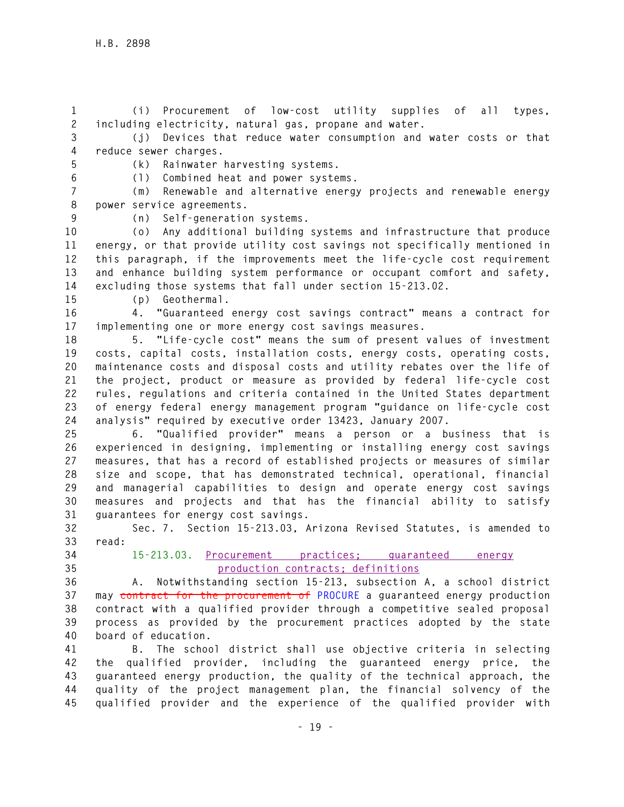**1 (i) Procurement of low-cost utility supplies of all types, 2 including electricity, natural gas, propane and water.** 

**3 (j) Devices that reduce water consumption and water costs or that 4 reduce sewer charges.** 

**5 (k) Rainwater harvesting systems.** 

**6 (l) Combined heat and power systems.** 

**7 (m) Renewable and alternative energy projects and renewable energy 8 power service agreements.** 

**9 (n) Self-generation systems.** 

**10 (o) Any additional building systems and infrastructure that produce 11 energy, or that provide utility cost savings not specifically mentioned in 12 this paragraph, if the improvements meet the life-cycle cost requirement 13 and enhance building system performance or occupant comfort and safety, 14 excluding those systems that fall under section 15-213.02.** 

**15 (p) Geothermal.** 

**16 4. "Guaranteed energy cost savings contract" means a contract for 17 implementing one or more energy cost savings measures.** 

**18 5. "Life-cycle cost" means the sum of present values of investment 19 costs, capital costs, installation costs, energy costs, operating costs, 20 maintenance costs and disposal costs and utility rebates over the life of 21 the project, product or measure as provided by federal life-cycle cost 22 rules, regulations and criteria contained in the United States department 23 of energy federal energy management program "guidance on life-cycle cost 24 analysis" required by executive order 13423, January 2007.** 

**25 6. "Qualified provider" means a person or a business that is 26 experienced in designing, implementing or installing energy cost savings 27 measures, that has a record of established projects or measures of similar 28 size and scope, that has demonstrated technical, operational, financial 29 and managerial capabilities to design and operate energy cost savings 30 measures and projects and that has the financial ability to satisfy 31 guarantees for energy cost savings.** 

**32 Sec. 7. Section 15-213.03, Arizona Revised Statutes, is amended to 33 read:** 

## **34 15-213.03. Procurement practices; guaranteed energy 35 production contracts; definitions**

**36 A. Notwithstanding section 15-213, subsection A, a school district 37 may contract for the procurement of PROCURE a guaranteed energy production 38 contract with a qualified provider through a competitive sealed proposal 39 process as provided by the procurement practices adopted by the state 40 board of education.** 

**41 B. The school district shall use objective criteria in selecting 42 the qualified provider, including the guaranteed energy price, the 43 guaranteed energy production, the quality of the technical approach, the 44 quality of the project management plan, the financial solvency of the 45 qualified provider and the experience of the qualified provider with**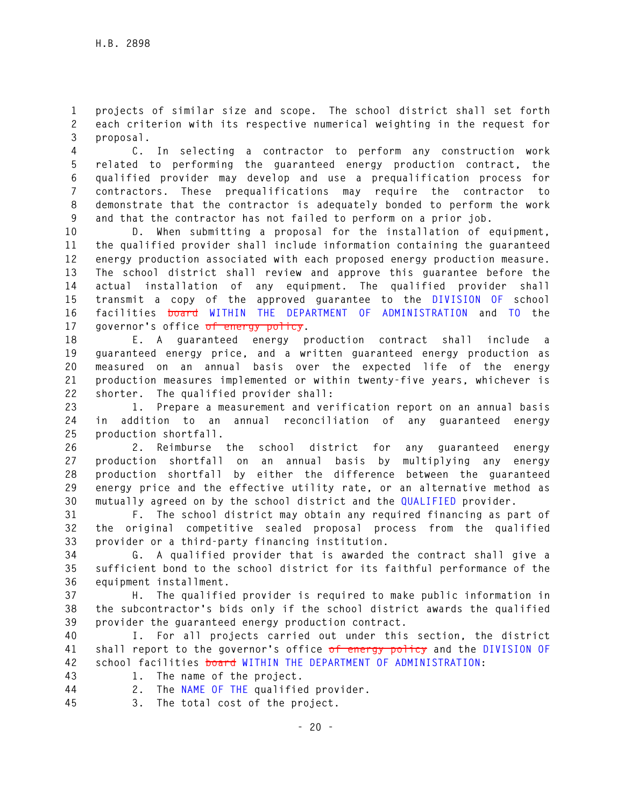**1 projects of similar size and scope. The school district shall set forth 2 each criterion with its respective numerical weighting in the request for 3 proposal.** 

**4 C. In selecting a contractor to perform any construction work 5 related to performing the guaranteed energy production contract, the 6 qualified provider may develop and use a prequalification process for 7 contractors. These prequalifications may require the contractor to 8 demonstrate that the contractor is adequately bonded to perform the work 9 and that the contractor has not failed to perform on a prior job.** 

**10 D. When submitting a proposal for the installation of equipment, 11 the qualified provider shall include information containing the guaranteed 12 energy production associated with each proposed energy production measure. 13 The school district shall review and approve this guarantee before the 14 actual installation of any equipment. The qualified provider shall 15 transmit a copy of the approved guarantee to the DIVISION OF school 16 facilities board WITHIN THE DEPARTMENT OF ADMINISTRATION and TO the 17 governor's office of energy policy.** 

**18 E. A guaranteed energy production contract shall include a 19 guaranteed energy price, and a written guaranteed energy production as 20 measured on an annual basis over the expected life of the energy 21 production measures implemented or within twenty-five years, whichever is 22 shorter. The qualified provider shall:** 

**23 1. Prepare a measurement and verification report on an annual basis 24 in addition to an annual reconciliation of any guaranteed energy 25 production shortfall.** 

**26 2. Reimburse the school district for any guaranteed energy 27 production shortfall on an annual basis by multiplying any energy 28 production shortfall by either the difference between the guaranteed 29 energy price and the effective utility rate, or an alternative method as 30 mutually agreed on by the school district and the QUALIFIED provider.** 

**31 F. The school district may obtain any required financing as part of 32 the original competitive sealed proposal process from the qualified 33 provider or a third-party financing institution.** 

**34 G. A qualified provider that is awarded the contract shall give a 35 sufficient bond to the school district for its faithful performance of the 36 equipment installment.** 

**37 H. The qualified provider is required to make public information in 38 the subcontractor's bids only if the school district awards the qualified 39 provider the guaranteed energy production contract.** 

**40 I. For all projects carried out under this section, the district 41 shall report to the governor's office of energy policy and the DIVISION OF 42 school facilities board WITHIN THE DEPARTMENT OF ADMINISTRATION:** 

- **43 1. The name of the project.**
- **44 2. The NAME OF THE qualified provider.**
- **45 3. The total cost of the project.**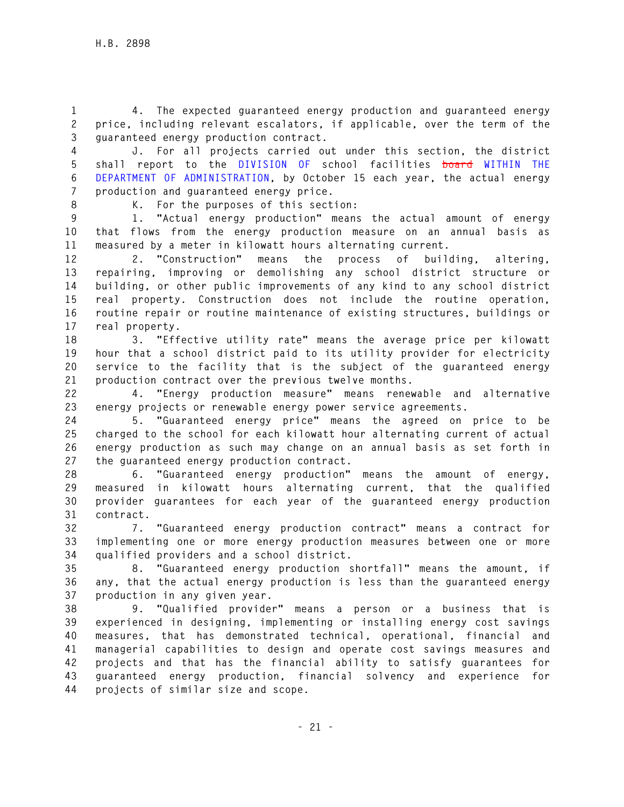**1 4. The expected guaranteed energy production and guaranteed energy 2 price, including relevant escalators, if applicable, over the term of the 3 guaranteed energy production contract.** 

**4 J. For all projects carried out under this section, the district 5 shall report to the DIVISION OF school facilities board WITHIN THE 6 DEPARTMENT OF ADMINISTRATION, by October 15 each year, the actual energy 7 production and guaranteed energy price.** 

**8 K. For the purposes of this section:** 

**9 1. "Actual energy production" means the actual amount of energy 10 that flows from the energy production measure on an annual basis as 11 measured by a meter in kilowatt hours alternating current.** 

**12 2. "Construction" means the process of building, altering, 13 repairing, improving or demolishing any school district structure or 14 building, or other public improvements of any kind to any school district 15 real property. Construction does not include the routine operation, 16 routine repair or routine maintenance of existing structures, buildings or 17 real property.** 

**18 3. "Effective utility rate" means the average price per kilowatt 19 hour that a school district paid to its utility provider for electricity 20 service to the facility that is the subject of the guaranteed energy 21 production contract over the previous twelve months.** 

**22 4. "Energy production measure" means renewable and alternative 23 energy projects or renewable energy power service agreements.** 

**24 5. "Guaranteed energy price" means the agreed on price to be 25 charged to the school for each kilowatt hour alternating current of actual 26 energy production as such may change on an annual basis as set forth in 27 the guaranteed energy production contract.** 

**28 6. "Guaranteed energy production" means the amount of energy, 29 measured in kilowatt hours alternating current, that the qualified 30 provider guarantees for each year of the guaranteed energy production 31 contract.** 

**32 7. "Guaranteed energy production contract" means a contract for 33 implementing one or more energy production measures between one or more 34 qualified providers and a school district.** 

**35 8. "Guaranteed energy production shortfall" means the amount, if 36 any, that the actual energy production is less than the guaranteed energy 37 production in any given year.** 

**38 9. "Qualified provider" means a person or a business that is 39 experienced in designing, implementing or installing energy cost savings 40 measures, that has demonstrated technical, operational, financial and 41 managerial capabilities to design and operate cost savings measures and 42 projects and that has the financial ability to satisfy guarantees for 43 guaranteed energy production, financial solvency and experience for 44 projects of similar size and scope.**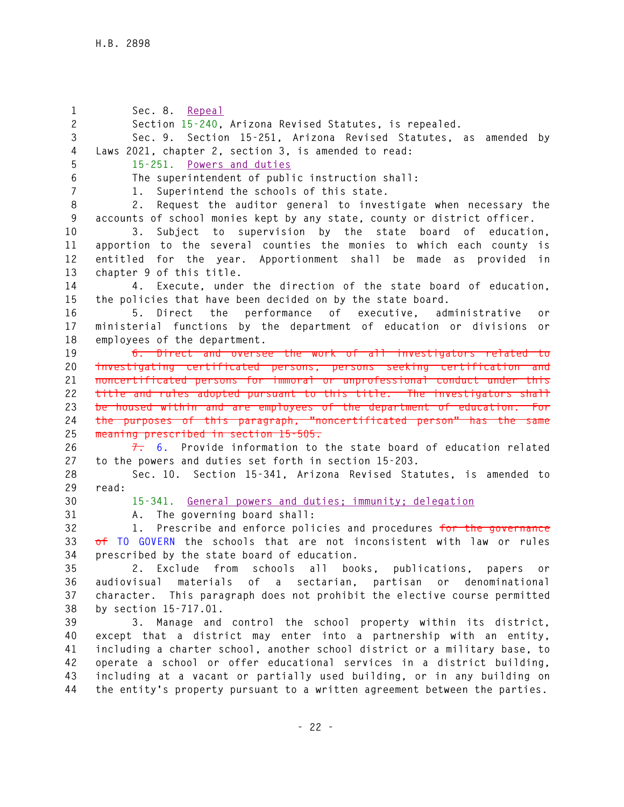**1 Sec. 8. Repeal 2 Section 15-240, Arizona Revised Statutes, is repealed. 3 Sec. 9. Section 15-251, Arizona Revised Statutes, as amended by 4 Laws 2021, chapter 2, section 3, is amended to read: 5 15-251. Powers and duties 6 The superintendent of public instruction shall: 7 1. Superintend the schools of this state. 8 2. Request the auditor general to investigate when necessary the 9 accounts of school monies kept by any state, county or district officer. 10 3. Subject to supervision by the state board of education, 11 apportion to the several counties the monies to which each county is 12 entitled for the year. Apportionment shall be made as provided in 13 chapter 9 of this title. 14 4. Execute, under the direction of the state board of education, 15 the policies that have been decided on by the state board. 16 5. Direct the performance of executive, administrative or 17 ministerial functions by the department of education or divisions or 18 employees of the department. 19 6. Direct and oversee the work of all investigators related to 20 investigating certificated persons, persons seeking certification and 21 noncertificated persons for immoral or unprofessional conduct under this 22 title and rules adopted pursuant to this title. The investigators shall 23 be housed within and are employees of the department of education. For 24 the purposes of this paragraph, "noncertificated person" has the same 25 meaning prescribed in section 15-505. 26 7. 6. Provide information to the state board of education related 27 to the powers and duties set forth in section 15-203. 28 Sec. 10. Section 15-341, Arizona Revised Statutes, is amended to 29 read: 30 15-341. General powers and duties; immunity; delegation 31 A. The governing board shall: 32 1. Prescribe and enforce policies and procedures for the governance 33 of TO GOVERN the schools that are not inconsistent with law or rules 34 prescribed by the state board of education. 35 2. Exclude from schools all books, publications, papers or 36 audiovisual materials of a sectarian, partisan or denominational 37 character. This paragraph does not prohibit the elective course permitted 38 by section 15-717.01. 39 3. Manage and control the school property within its district, 40 except that a district may enter into a partnership with an entity, 41 including a charter school, another school district or a military base, to 42 operate a school or offer educational services in a district building, 43 including at a vacant or partially used building, or in any building on 44 the entity's property pursuant to a written agreement between the parties.**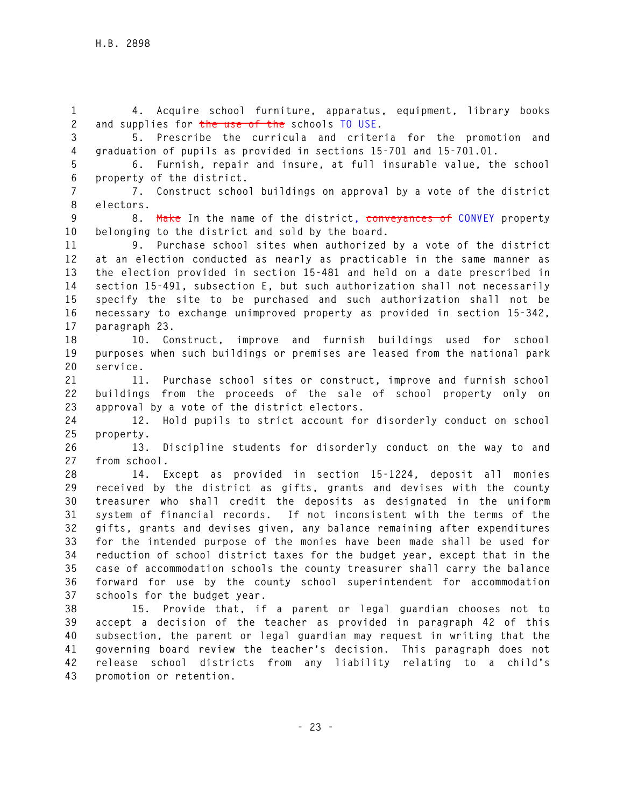**1 4. Acquire school furniture, apparatus, equipment, library books 2 and supplies for the use of the schools TO USE.** 

**3 5. Prescribe the curricula and criteria for the promotion and 4 graduation of pupils as provided in sections 15-701 and 15-701.01.** 

**5 6. Furnish, repair and insure, at full insurable value, the school 6 property of the district.** 

**7 7. Construct school buildings on approval by a vote of the district 8 electors.** 

**9 8. Make In the name of the district, conveyances of CONVEY property 10 belonging to the district and sold by the board.** 

**11 9. Purchase school sites when authorized by a vote of the district 12 at an election conducted as nearly as practicable in the same manner as 13 the election provided in section 15-481 and held on a date prescribed in 14 section 15-491, subsection E, but such authorization shall not necessarily 15 specify the site to be purchased and such authorization shall not be 16 necessary to exchange unimproved property as provided in section 15-342, 17 paragraph 23.** 

**18 10. Construct, improve and furnish buildings used for school 19 purposes when such buildings or premises are leased from the national park 20 service.** 

**21 11. Purchase school sites or construct, improve and furnish school 22 buildings from the proceeds of the sale of school property only on 23 approval by a vote of the district electors.** 

**24 12. Hold pupils to strict account for disorderly conduct on school 25 property.** 

**26 13. Discipline students for disorderly conduct on the way to and 27 from school.** 

**28 14. Except as provided in section 15-1224, deposit all monies 29 received by the district as gifts, grants and devises with the county 30 treasurer who shall credit the deposits as designated in the uniform 31 system of financial records. If not inconsistent with the terms of the 32 gifts, grants and devises given, any balance remaining after expenditures 33 for the intended purpose of the monies have been made shall be used for 34 reduction of school district taxes for the budget year, except that in the 35 case of accommodation schools the county treasurer shall carry the balance 36 forward for use by the county school superintendent for accommodation 37 schools for the budget year.** 

**38 15. Provide that, if a parent or legal guardian chooses not to 39 accept a decision of the teacher as provided in paragraph 42 of this 40 subsection, the parent or legal guardian may request in writing that the 41 governing board review the teacher's decision. This paragraph does not 42 release school districts from any liability relating to a child's 43 promotion or retention.**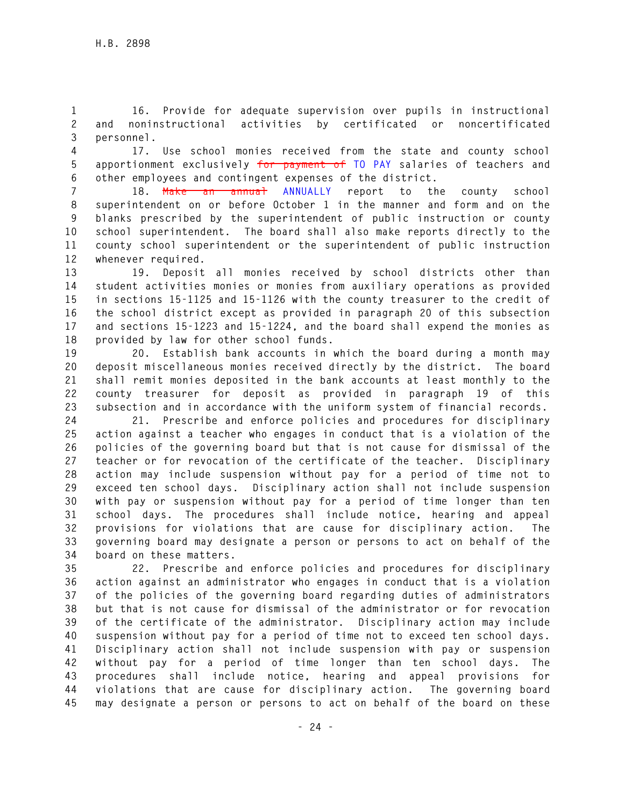**1 16. Provide for adequate supervision over pupils in instructional 2 and noninstructional activities by certificated or noncertificated 3 personnel.** 

**4 17. Use school monies received from the state and county school 5 apportionment exclusively for payment of TO PAY salaries of teachers and 6 other employees and contingent expenses of the district.** 

**7 18. Make an annual ANNUALLY report to the county school 8 superintendent on or before October 1 in the manner and form and on the 9 blanks prescribed by the superintendent of public instruction or county 10 school superintendent. The board shall also make reports directly to the 11 county school superintendent or the superintendent of public instruction 12 whenever required.** 

**13 19. Deposit all monies received by school districts other than 14 student activities monies or monies from auxiliary operations as provided 15 in sections 15-1125 and 15-1126 with the county treasurer to the credit of 16 the school district except as provided in paragraph 20 of this subsection 17 and sections 15-1223 and 15-1224, and the board shall expend the monies as 18 provided by law for other school funds.** 

**19 20. Establish bank accounts in which the board during a month may 20 deposit miscellaneous monies received directly by the district. The board 21 shall remit monies deposited in the bank accounts at least monthly to the 22 county treasurer for deposit as provided in paragraph 19 of this 23 subsection and in accordance with the uniform system of financial records.** 

**24 21. Prescribe and enforce policies and procedures for disciplinary 25 action against a teacher who engages in conduct that is a violation of the 26 policies of the governing board but that is not cause for dismissal of the 27 teacher or for revocation of the certificate of the teacher. Disciplinary 28 action may include suspension without pay for a period of time not to 29 exceed ten school days. Disciplinary action shall not include suspension 30 with pay or suspension without pay for a period of time longer than ten 31 school days. The procedures shall include notice, hearing and appeal 32 provisions for violations that are cause for disciplinary action. The 33 governing board may designate a person or persons to act on behalf of the 34 board on these matters.** 

**35 22. Prescribe and enforce policies and procedures for disciplinary 36 action against an administrator who engages in conduct that is a violation 37 of the policies of the governing board regarding duties of administrators 38 but that is not cause for dismissal of the administrator or for revocation 39 of the certificate of the administrator. Disciplinary action may include 40 suspension without pay for a period of time not to exceed ten school days. 41 Disciplinary action shall not include suspension with pay or suspension 42 without pay for a period of time longer than ten school days. The 43 procedures shall include notice, hearing and appeal provisions for 44 violations that are cause for disciplinary action. The governing board 45 may designate a person or persons to act on behalf of the board on these**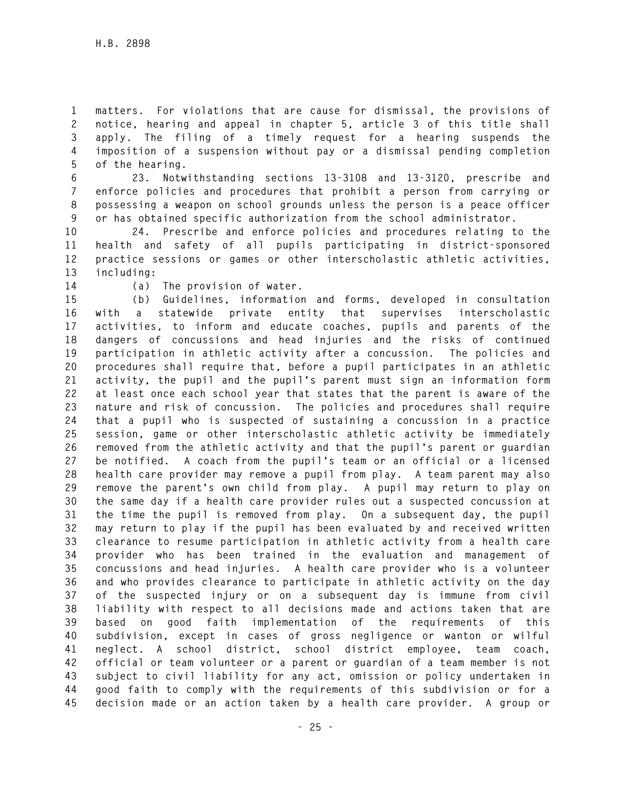**1 matters. For violations that are cause for dismissal, the provisions of 2 notice, hearing and appeal in chapter 5, article 3 of this title shall 3 apply. The filing of a timely request for a hearing suspends the 4 imposition of a suspension without pay or a dismissal pending completion 5 of the hearing.** 

**6 23. Notwithstanding sections 13-3108 and 13-3120, prescribe and 7 enforce policies and procedures that prohibit a person from carrying or 8 possessing a weapon on school grounds unless the person is a peace officer 9 or has obtained specific authorization from the school administrator.** 

**10 24. Prescribe and enforce policies and procedures relating to the 11 health and safety of all pupils participating in district-sponsored 12 practice sessions or games or other interscholastic athletic activities, 13 including:** 

**14 (a) The provision of water.** 

**15 (b) Guidelines, information and forms, developed in consultation 16 with a statewide private entity that supervises interscholastic 17 activities, to inform and educate coaches, pupils and parents of the 18 dangers of concussions and head injuries and the risks of continued 19 participation in athletic activity after a concussion. The policies and 20 procedures shall require that, before a pupil participates in an athletic 21 activity, the pupil and the pupil's parent must sign an information form 22 at least once each school year that states that the parent is aware of the 23 nature and risk of concussion. The policies and procedures shall require 24 that a pupil who is suspected of sustaining a concussion in a practice 25 session, game or other interscholastic athletic activity be immediately 26 removed from the athletic activity and that the pupil's parent or guardian 27 be notified. A coach from the pupil's team or an official or a licensed 28 health care provider may remove a pupil from play. A team parent may also 29 remove the parent's own child from play. A pupil may return to play on 30 the same day if a health care provider rules out a suspected concussion at 31 the time the pupil is removed from play. On a subsequent day, the pupil 32 may return to play if the pupil has been evaluated by and received written 33 clearance to resume participation in athletic activity from a health care 34 provider who has been trained in the evaluation and management of 35 concussions and head injuries. A health care provider who is a volunteer 36 and who provides clearance to participate in athletic activity on the day 37 of the suspected injury or on a subsequent day is immune from civil 38 liability with respect to all decisions made and actions taken that are 39 based on good faith implementation of the requirements of this 40 subdivision, except in cases of gross negligence or wanton or wilful 41 neglect. A school district, school district employee, team coach, 42 official or team volunteer or a parent or guardian of a team member is not 43 subject to civil liability for any act, omission or policy undertaken in 44 good faith to comply with the requirements of this subdivision or for a 45 decision made or an action taken by a health care provider. A group or**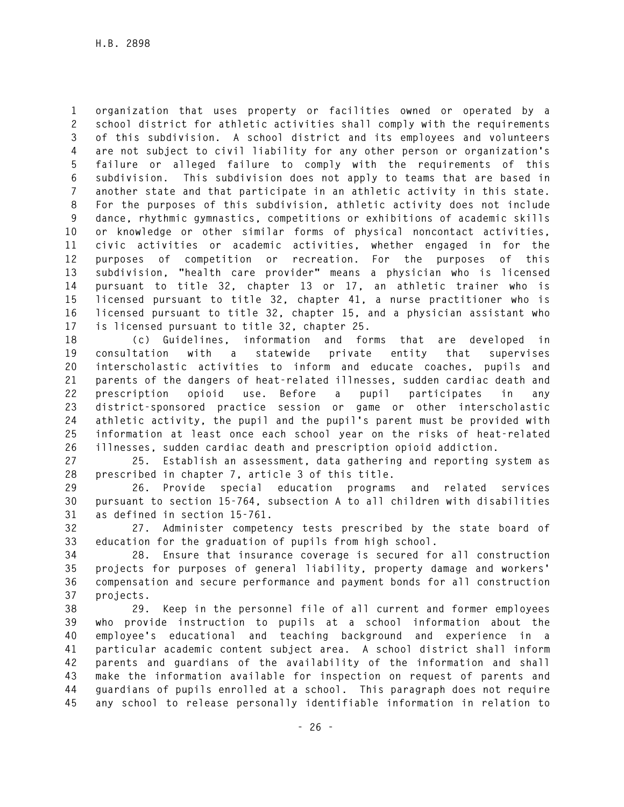**1 organization that uses property or facilities owned or operated by a 2 school district for athletic activities shall comply with the requirements 3 of this subdivision. A school district and its employees and volunteers 4 are not subject to civil liability for any other person or organization's 5 failure or alleged failure to comply with the requirements of this 6 subdivision. This subdivision does not apply to teams that are based in 7 another state and that participate in an athletic activity in this state. 8 For the purposes of this subdivision, athletic activity does not include 9 dance, rhythmic gymnastics, competitions or exhibitions of academic skills 10 or knowledge or other similar forms of physical noncontact activities, 11 civic activities or academic activities, whether engaged in for the 12 purposes of competition or recreation. For the purposes of this 13 subdivision, "health care provider" means a physician who is licensed 14 pursuant to title 32, chapter 13 or 17, an athletic trainer who is 15 licensed pursuant to title 32, chapter 41, a nurse practitioner who is 16 licensed pursuant to title 32, chapter 15, and a physician assistant who 17 is licensed pursuant to title 32, chapter 25.** 

**18 (c) Guidelines, information and forms that are developed in 19 consultation with a statewide private entity that supervises 20 interscholastic activities to inform and educate coaches, pupils and 21 parents of the dangers of heat-related illnesses, sudden cardiac death and 22 prescription opioid use. Before a pupil participates in any 23 district-sponsored practice session or game or other interscholastic 24 athletic activity, the pupil and the pupil's parent must be provided with 25 information at least once each school year on the risks of heat-related 26 illnesses, sudden cardiac death and prescription opioid addiction.** 

**27 25. Establish an assessment, data gathering and reporting system as 28 prescribed in chapter 7, article 3 of this title.** 

**29 26. Provide special education programs and related services 30 pursuant to section 15-764, subsection A to all children with disabilities 31 as defined in section 15-761.** 

**32 27. Administer competency tests prescribed by the state board of 33 education for the graduation of pupils from high school.** 

**34 28. Ensure that insurance coverage is secured for all construction 35 projects for purposes of general liability, property damage and workers' 36 compensation and secure performance and payment bonds for all construction 37 projects.** 

**38 29. Keep in the personnel file of all current and former employees 39 who provide instruction to pupils at a school information about the 40 employee's educational and teaching background and experience in a 41 particular academic content subject area. A school district shall inform 42 parents and guardians of the availability of the information and shall 43 make the information available for inspection on request of parents and 44 guardians of pupils enrolled at a school. This paragraph does not require 45 any school to release personally identifiable information in relation to**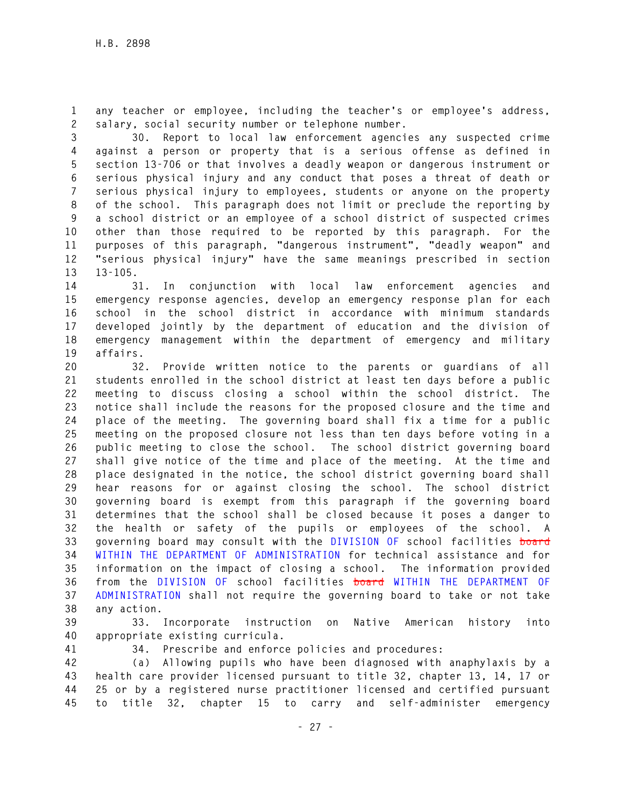**1 any teacher or employee, including the teacher's or employee's address, 2 salary, social security number or telephone number.** 

**3 30. Report to local law enforcement agencies any suspected crime 4 against a person or property that is a serious offense as defined in 5 section 13-706 or that involves a deadly weapon or dangerous instrument or 6 serious physical injury and any conduct that poses a threat of death or 7 serious physical injury to employees, students or anyone on the property 8 of the school. This paragraph does not limit or preclude the reporting by 9 a school district or an employee of a school district of suspected crimes 10 other than those required to be reported by this paragraph. For the 11 purposes of this paragraph, "dangerous instrument", "deadly weapon" and 12 "serious physical injury" have the same meanings prescribed in section 13 13-105.** 

**14 31. In conjunction with local law enforcement agencies and 15 emergency response agencies, develop an emergency response plan for each 16 school in the school district in accordance with minimum standards 17 developed jointly by the department of education and the division of 18 emergency management within the department of emergency and military 19 affairs.** 

**20 32. Provide written notice to the parents or guardians of all 21 students enrolled in the school district at least ten days before a public 22 meeting to discuss closing a school within the school district. The 23 notice shall include the reasons for the proposed closure and the time and 24 place of the meeting. The governing board shall fix a time for a public 25 meeting on the proposed closure not less than ten days before voting in a 26 public meeting to close the school. The school district governing board 27 shall give notice of the time and place of the meeting. At the time and 28 place designated in the notice, the school district governing board shall 29 hear reasons for or against closing the school. The school district 30 governing board is exempt from this paragraph if the governing board 31 determines that the school shall be closed because it poses a danger to 32 the health or safety of the pupils or employees of the school. A 33 governing board may consult with the DIVISION OF school facilities board 34 WITHIN THE DEPARTMENT OF ADMINISTRATION for technical assistance and for 35 information on the impact of closing a school. The information provided 36 from the DIVISION OF school facilities board WITHIN THE DEPARTMENT OF 37 ADMINISTRATION shall not require the governing board to take or not take 38 any action.** 

**39 33. Incorporate instruction on Native American history into 40 appropriate existing curricula.** 

**41 34. Prescribe and enforce policies and procedures:** 

**42 (a) Allowing pupils who have been diagnosed with anaphylaxis by a 43 health care provider licensed pursuant to title 32, chapter 13, 14, 17 or 44 25 or by a registered nurse practitioner licensed and certified pursuant 45 to title 32, chapter 15 to carry and self-administer emergency**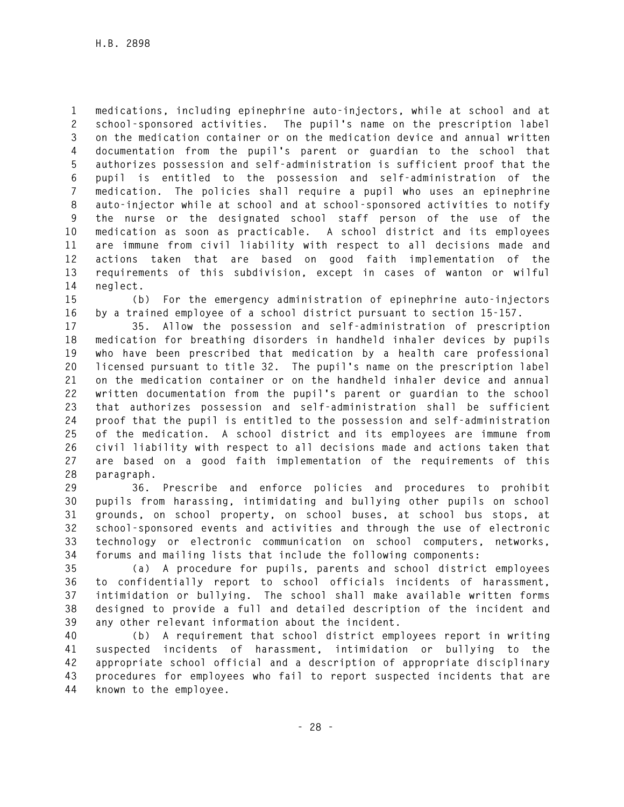**1 medications, including epinephrine auto-injectors, while at school and at 2 school-sponsored activities. The pupil's name on the prescription label 3 on the medication container or on the medication device and annual written 4 documentation from the pupil's parent or guardian to the school that 5 authorizes possession and self-administration is sufficient proof that the 6 pupil is entitled to the possession and self-administration of the 7 medication. The policies shall require a pupil who uses an epinephrine 8 auto-injector while at school and at school-sponsored activities to notify 9 the nurse or the designated school staff person of the use of the 10 medication as soon as practicable. A school district and its employees 11 are immune from civil liability with respect to all decisions made and 12 actions taken that are based on good faith implementation of the 13 requirements of this subdivision, except in cases of wanton or wilful 14 neglect.** 

**15 (b) For the emergency administration of epinephrine auto-injectors 16 by a trained employee of a school district pursuant to section 15-157.** 

**17 35. Allow the possession and self-administration of prescription 18 medication for breathing disorders in handheld inhaler devices by pupils 19 who have been prescribed that medication by a health care professional 20 licensed pursuant to title 32. The pupil's name on the prescription label 21 on the medication container or on the handheld inhaler device and annual 22 written documentation from the pupil's parent or guardian to the school 23 that authorizes possession and self-administration shall be sufficient 24 proof that the pupil is entitled to the possession and self-administration 25 of the medication. A school district and its employees are immune from 26 civil liability with respect to all decisions made and actions taken that 27 are based on a good faith implementation of the requirements of this 28 paragraph.** 

**29 36. Prescribe and enforce policies and procedures to prohibit 30 pupils from harassing, intimidating and bullying other pupils on school 31 grounds, on school property, on school buses, at school bus stops, at 32 school-sponsored events and activities and through the use of electronic 33 technology or electronic communication on school computers, networks, 34 forums and mailing lists that include the following components:** 

**35 (a) A procedure for pupils, parents and school district employees 36 to confidentially report to school officials incidents of harassment, 37 intimidation or bullying. The school shall make available written forms 38 designed to provide a full and detailed description of the incident and 39 any other relevant information about the incident.** 

**40 (b) A requirement that school district employees report in writing 41 suspected incidents of harassment, intimidation or bullying to the 42 appropriate school official and a description of appropriate disciplinary 43 procedures for employees who fail to report suspected incidents that are 44 known to the employee.**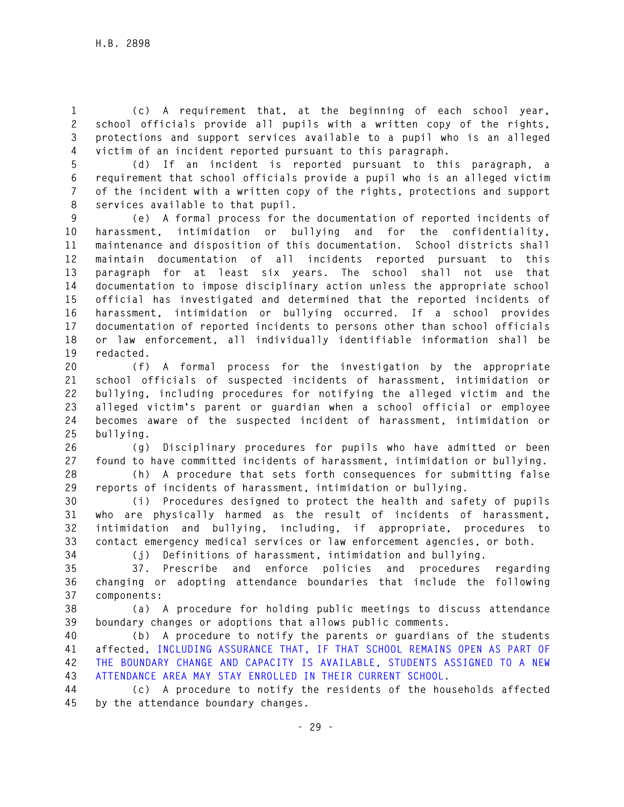**1 (c) A requirement that, at the beginning of each school year, 2 school officials provide all pupils with a written copy of the rights, 3 protections and support services available to a pupil who is an alleged 4 victim of an incident reported pursuant to this paragraph.** 

**5 (d) If an incident is reported pursuant to this paragraph, a 6 requirement that school officials provide a pupil who is an alleged victim 7 of the incident with a written copy of the rights, protections and support 8 services available to that pupil.** 

**9 (e) A formal process for the documentation of reported incidents of 10 harassment, intimidation or bullying and for the confidentiality, 11 maintenance and disposition of this documentation. School districts shall 12 maintain documentation of all incidents reported pursuant to this 13 paragraph for at least six years. The school shall not use that 14 documentation to impose disciplinary action unless the appropriate school 15 official has investigated and determined that the reported incidents of 16 harassment, intimidation or bullying occurred. If a school provides 17 documentation of reported incidents to persons other than school officials 18 or law enforcement, all individually identifiable information shall be 19 redacted.** 

**20 (f) A formal process for the investigation by the appropriate 21 school officials of suspected incidents of harassment, intimidation or 22 bullying, including procedures for notifying the alleged victim and the 23 alleged victim's parent or guardian when a school official or employee 24 becomes aware of the suspected incident of harassment, intimidation or 25 bullying.** 

**26 (g) Disciplinary procedures for pupils who have admitted or been 27 found to have committed incidents of harassment, intimidation or bullying.** 

**28 (h) A procedure that sets forth consequences for submitting false 29 reports of incidents of harassment, intimidation or bullying.** 

**30 (i) Procedures designed to protect the health and safety of pupils 31 who are physically harmed as the result of incidents of harassment, 32 intimidation and bullying, including, if appropriate, procedures to 33 contact emergency medical services or law enforcement agencies, or both.** 

**34 (j) Definitions of harassment, intimidation and bullying.** 

**35 37. Prescribe and enforce policies and procedures regarding 36 changing or adopting attendance boundaries that include the following 37 components:** 

**38 (a) A procedure for holding public meetings to discuss attendance 39 boundary changes or adoptions that allows public comments.** 

**40 (b) A procedure to notify the parents or guardians of the students 41 affected, INCLUDING ASSURANCE THAT, IF THAT SCHOOL REMAINS OPEN AS PART OF 42 THE BOUNDARY CHANGE AND CAPACITY IS AVAILABLE, STUDENTS ASSIGNED TO A NEW 43 ATTENDANCE AREA MAY STAY ENROLLED IN THEIR CURRENT SCHOOL.** 

**44 (c) A procedure to notify the residents of the households affected 45 by the attendance boundary changes.**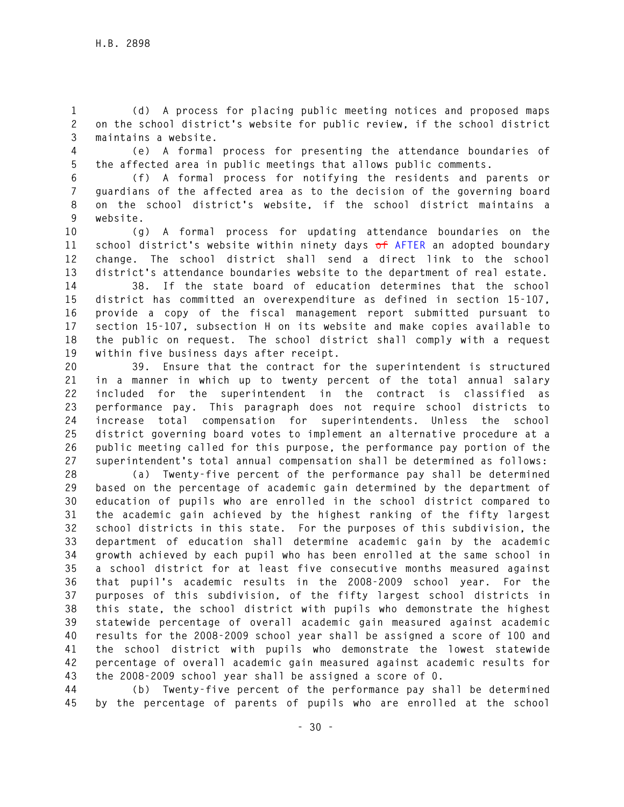**1 (d) A process for placing public meeting notices and proposed maps 2 on the school district's website for public review, if the school district 3 maintains a website.** 

**4 (e) A formal process for presenting the attendance boundaries of 5 the affected area in public meetings that allows public comments.** 

**6 (f) A formal process for notifying the residents and parents or 7 guardians of the affected area as to the decision of the governing board 8 on the school district's website, if the school district maintains a 9 website.** 

**10 (g) A formal process for updating attendance boundaries on the 11 school district's website within ninety days of AFTER an adopted boundary 12 change. The school district shall send a direct link to the school 13 district's attendance boundaries website to the department of real estate.** 

**14 38. If the state board of education determines that the school 15 district has committed an overexpenditure as defined in section 15-107, 16 provide a copy of the fiscal management report submitted pursuant to 17 section 15-107, subsection H on its website and make copies available to 18 the public on request. The school district shall comply with a request 19 within five business days after receipt.** 

**20 39. Ensure that the contract for the superintendent is structured 21 in a manner in which up to twenty percent of the total annual salary 22 included for the superintendent in the contract is classified as 23 performance pay. This paragraph does not require school districts to 24 increase total compensation for superintendents. Unless the school 25 district governing board votes to implement an alternative procedure at a 26 public meeting called for this purpose, the performance pay portion of the 27 superintendent's total annual compensation shall be determined as follows:** 

**28 (a) Twenty-five percent of the performance pay shall be determined 29 based on the percentage of academic gain determined by the department of 30 education of pupils who are enrolled in the school district compared to 31 the academic gain achieved by the highest ranking of the fifty largest 32 school districts in this state. For the purposes of this subdivision, the 33 department of education shall determine academic gain by the academic 34 growth achieved by each pupil who has been enrolled at the same school in 35 a school district for at least five consecutive months measured against 36 that pupil's academic results in the 2008-2009 school year. For the 37 purposes of this subdivision, of the fifty largest school districts in 38 this state, the school district with pupils who demonstrate the highest 39 statewide percentage of overall academic gain measured against academic 40 results for the 2008-2009 school year shall be assigned a score of 100 and 41 the school district with pupils who demonstrate the lowest statewide 42 percentage of overall academic gain measured against academic results for 43 the 2008-2009 school year shall be assigned a score of 0.** 

**44 (b) Twenty-five percent of the performance pay shall be determined 45 by the percentage of parents of pupils who are enrolled at the school**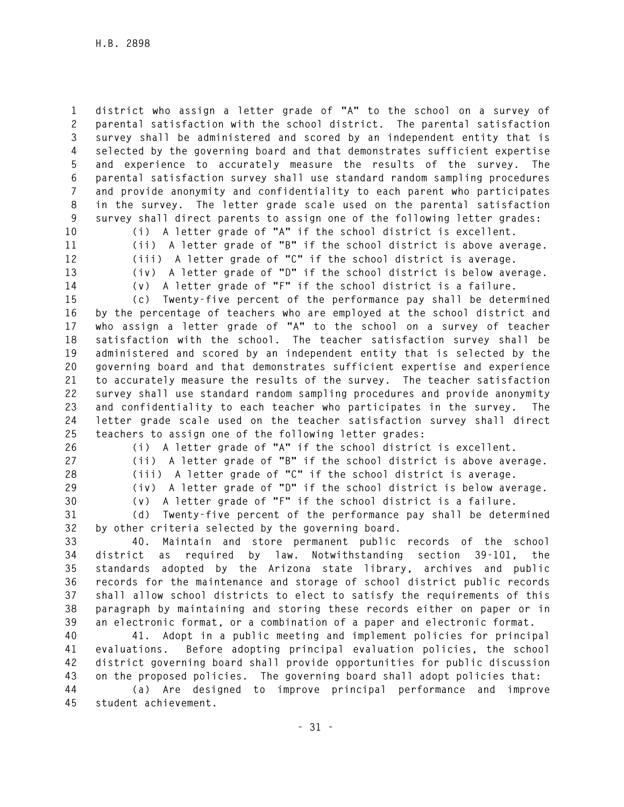**1 district who assign a letter grade of "A" to the school on a survey of 2 parental satisfaction with the school district. The parental satisfaction 3 survey shall be administered and scored by an independent entity that is 4 selected by the governing board and that demonstrates sufficient expertise 5 and experience to accurately measure the results of the survey. The 6 parental satisfaction survey shall use standard random sampling procedures 7 and provide anonymity and confidentiality to each parent who participates 8 in the survey. The letter grade scale used on the parental satisfaction 9 survey shall direct parents to assign one of the following letter grades:** 

**10 (i) A letter grade of "A" if the school district is excellent. 11 (ii) A letter grade of "B" if the school district is above average. 12 (iii) A letter grade of "C" if the school district is average. 13 (iv) A letter grade of "D" if the school district is below average.** 

**14 (v) A letter grade of "F" if the school district is a failure.** 

**15 (c) Twenty-five percent of the performance pay shall be determined 16 by the percentage of teachers who are employed at the school district and 17 who assign a letter grade of "A" to the school on a survey of teacher 18 satisfaction with the school. The teacher satisfaction survey shall be 19 administered and scored by an independent entity that is selected by the 20 governing board and that demonstrates sufficient expertise and experience 21 to accurately measure the results of the survey. The teacher satisfaction 22 survey shall use standard random sampling procedures and provide anonymity 23 and confidentiality to each teacher who participates in the survey. The 24 letter grade scale used on the teacher satisfaction survey shall direct 25 teachers to assign one of the following letter grades:** 

**26 (i) A letter grade of "A" if the school district is excellent.** 

**27 (ii) A letter grade of "B" if the school district is above average.** 

**28 (iii) A letter grade of "C" if the school district is average. 29 (iv) A letter grade of "D" if the school district is below average.** 

**30 (v) A letter grade of "F" if the school district is a failure.** 

**31 (d) Twenty-five percent of the performance pay shall be determined 32 by other criteria selected by the governing board.** 

**33 40. Maintain and store permanent public records of the school 34 district as required by law. Notwithstanding section 39-101, the 35 standards adopted by the Arizona state library, archives and public 36 records for the maintenance and storage of school district public records 37 shall allow school districts to elect to satisfy the requirements of this 38 paragraph by maintaining and storing these records either on paper or in 39 an electronic format, or a combination of a paper and electronic format.** 

**40 41. Adopt in a public meeting and implement policies for principal 41 evaluations. Before adopting principal evaluation policies, the school 42 district governing board shall provide opportunities for public discussion 43 on the proposed policies. The governing board shall adopt policies that:** 

**44 (a) Are designed to improve principal performance and improve 45 student achievement.**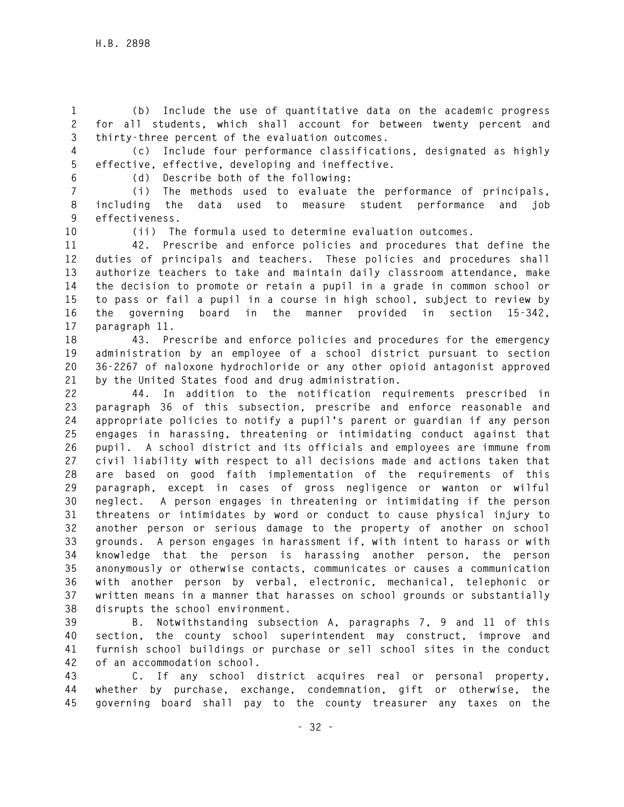**1 (b) Include the use of quantitative data on the academic progress 2 for all students, which shall account for between twenty percent and 3 thirty-three percent of the evaluation outcomes.** 

**4 (c) Include four performance classifications, designated as highly 5 effective, effective, developing and ineffective.** 

**6 (d) Describe both of the following:** 

**7 (i) The methods used to evaluate the performance of principals, 8 including the data used to measure student performance and job 9 effectiveness.** 

**10 (ii) The formula used to determine evaluation outcomes.** 

**11 42. Prescribe and enforce policies and procedures that define the 12 duties of principals and teachers. These policies and procedures shall 13 authorize teachers to take and maintain daily classroom attendance, make 14 the decision to promote or retain a pupil in a grade in common school or 15 to pass or fail a pupil in a course in high school, subject to review by 16 the governing board in the manner provided in section 15-342, 17 paragraph 11.** 

**18 43. Prescribe and enforce policies and procedures for the emergency 19 administration by an employee of a school district pursuant to section 20 36-2267 of naloxone hydrochloride or any other opioid antagonist approved 21 by the United States food and drug administration.** 

**22 44. In addition to the notification requirements prescribed in 23 paragraph 36 of this subsection, prescribe and enforce reasonable and 24 appropriate policies to notify a pupil's parent or guardian if any person 25 engages in harassing, threatening or intimidating conduct against that 26 pupil. A school district and its officials and employees are immune from 27 civil liability with respect to all decisions made and actions taken that 28 are based on good faith implementation of the requirements of this 29 paragraph, except in cases of gross negligence or wanton or wilful 30 neglect. A person engages in threatening or intimidating if the person 31 threatens or intimidates by word or conduct to cause physical injury to 32 another person or serious damage to the property of another on school 33 grounds. A person engages in harassment if, with intent to harass or with 34 knowledge that the person is harassing another person, the person 35 anonymously or otherwise contacts, communicates or causes a communication 36 with another person by verbal, electronic, mechanical, telephonic or 37 written means in a manner that harasses on school grounds or substantially 38 disrupts the school environment.** 

**39 B. Notwithstanding subsection A, paragraphs 7, 9 and 11 of this 40 section, the county school superintendent may construct, improve and 41 furnish school buildings or purchase or sell school sites in the conduct 42 of an accommodation school.** 

**43 C. If any school district acquires real or personal property, 44 whether by purchase, exchange, condemnation, gift or otherwise, the 45 governing board shall pay to the county treasurer any taxes on the**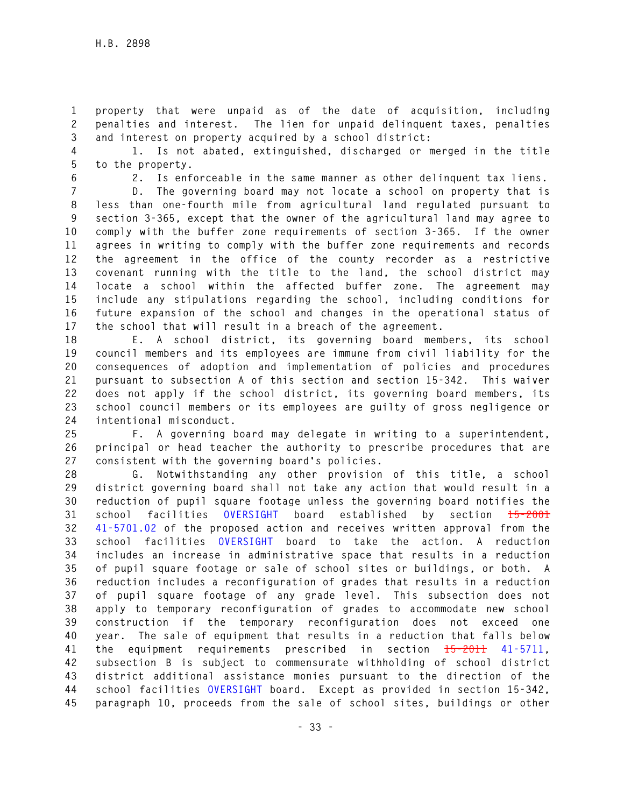**1 property that were unpaid as of the date of acquisition, including 2 penalties and interest. The lien for unpaid delinquent taxes, penalties 3 and interest on property acquired by a school district:** 

**4 1. Is not abated, extinguished, discharged or merged in the title 5 to the property.** 

**6 2. Is enforceable in the same manner as other delinquent tax liens.** 

**7 D. The governing board may not locate a school on property that is 8 less than one-fourth mile from agricultural land regulated pursuant to 9 section 3-365, except that the owner of the agricultural land may agree to 10 comply with the buffer zone requirements of section 3-365. If the owner 11 agrees in writing to comply with the buffer zone requirements and records 12 the agreement in the office of the county recorder as a restrictive 13 covenant running with the title to the land, the school district may 14 locate a school within the affected buffer zone. The agreement may 15 include any stipulations regarding the school, including conditions for 16 future expansion of the school and changes in the operational status of 17 the school that will result in a breach of the agreement.** 

**18 E. A school district, its governing board members, its school 19 council members and its employees are immune from civil liability for the 20 consequences of adoption and implementation of policies and procedures 21 pursuant to subsection A of this section and section 15-342. This waiver 22 does not apply if the school district, its governing board members, its 23 school council members or its employees are guilty of gross negligence or 24 intentional misconduct.** 

**25 F. A governing board may delegate in writing to a superintendent, 26 principal or head teacher the authority to prescribe procedures that are 27 consistent with the governing board's policies.** 

**28 G. Notwithstanding any other provision of this title, a school 29 district governing board shall not take any action that would result in a 30 reduction of pupil square footage unless the governing board notifies the 31 school facilities OVERSIGHT board established by section 15-2001 32 41-5701.02 of the proposed action and receives written approval from the 33 school facilities OVERSIGHT board to take the action. A reduction 34 includes an increase in administrative space that results in a reduction 35 of pupil square footage or sale of school sites or buildings, or both. A 36 reduction includes a reconfiguration of grades that results in a reduction 37 of pupil square footage of any grade level. This subsection does not 38 apply to temporary reconfiguration of grades to accommodate new school 39 construction if the temporary reconfiguration does not exceed one 40 year. The sale of equipment that results in a reduction that falls below 41 the equipment requirements prescribed in section 15-2011 41-5711, 42 subsection B is subject to commensurate withholding of school district 43 district additional assistance monies pursuant to the direction of the 44 school facilities OVERSIGHT board. Except as provided in section 15-342, 45 paragraph 10, proceeds from the sale of school sites, buildings or other**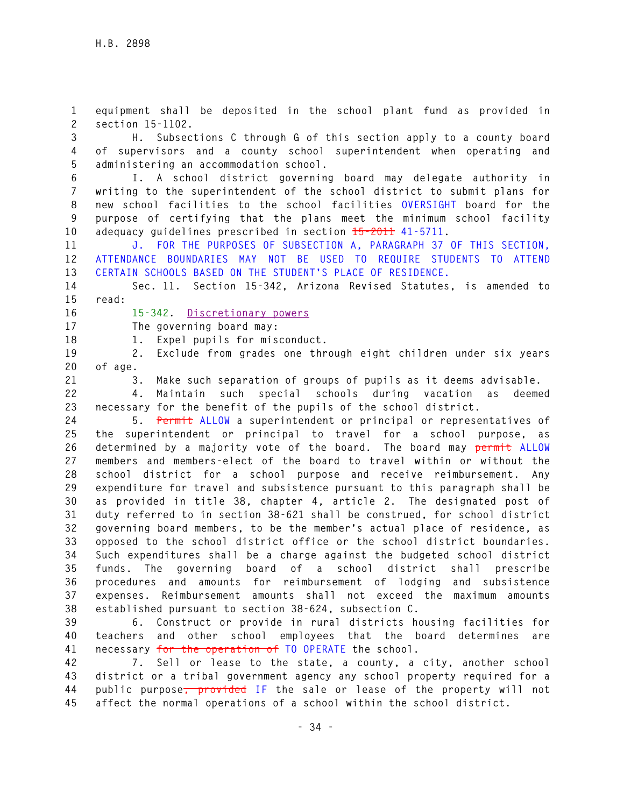**1 equipment shall be deposited in the school plant fund as provided in 2 section 15-1102.** 

**3 H. Subsections C through G of this section apply to a county board 4 of supervisors and a county school superintendent when operating and 5 administering an accommodation school.** 

**6 I. A school district governing board may delegate authority in 7 writing to the superintendent of the school district to submit plans for 8 new school facilities to the school facilities OVERSIGHT board for the 9 purpose of certifying that the plans meet the minimum school facility 10 adequacy guidelines prescribed in section 15-2011 41-5711.** 

**11 J. FOR THE PURPOSES OF SUBSECTION A, PARAGRAPH 37 OF THIS SECTION, 12 ATTENDANCE BOUNDARIES MAY NOT BE USED TO REQUIRE STUDENTS TO ATTEND 13 CERTAIN SCHOOLS BASED ON THE STUDENT'S PLACE OF RESIDENCE.** 

**14 Sec. 11. Section 15-342, Arizona Revised Statutes, is amended to 15 read:** 

**16 15-342. Discretionary powers** 

**17 The governing board may:** 

**18 1. Expel pupils for misconduct.** 

**19 2. Exclude from grades one through eight children under six years 20 of age.** 

**21 3. Make such separation of groups of pupils as it deems advisable.** 

**22 4. Maintain such special schools during vacation as deemed 23 necessary for the benefit of the pupils of the school district.** 

**24 5. Permit ALLOW a superintendent or principal or representatives of 25 the superintendent or principal to travel for a school purpose, as 26 determined by a majority vote of the board. The board may permit ALLOW 27 members and members-elect of the board to travel within or without the 28 school district for a school purpose and receive reimbursement. Any 29 expenditure for travel and subsistence pursuant to this paragraph shall be 30 as provided in title 38, chapter 4, article 2. The designated post of 31 duty referred to in section 38-621 shall be construed, for school district 32 governing board members, to be the member's actual place of residence, as 33 opposed to the school district office or the school district boundaries. 34 Such expenditures shall be a charge against the budgeted school district 35 funds. The governing board of a school district shall prescribe 36 procedures and amounts for reimbursement of lodging and subsistence 37 expenses. Reimbursement amounts shall not exceed the maximum amounts 38 established pursuant to section 38-624, subsection C.** 

**39 6. Construct or provide in rural districts housing facilities for 40 teachers and other school employees that the board determines are 41 necessary for the operation of TO OPERATE the school.** 

**42 7. Sell or lease to the state, a county, a city, another school 43 district or a tribal government agency any school property required for a 44 public purpose, provided IF the sale or lease of the property will not 45 affect the normal operations of a school within the school district.**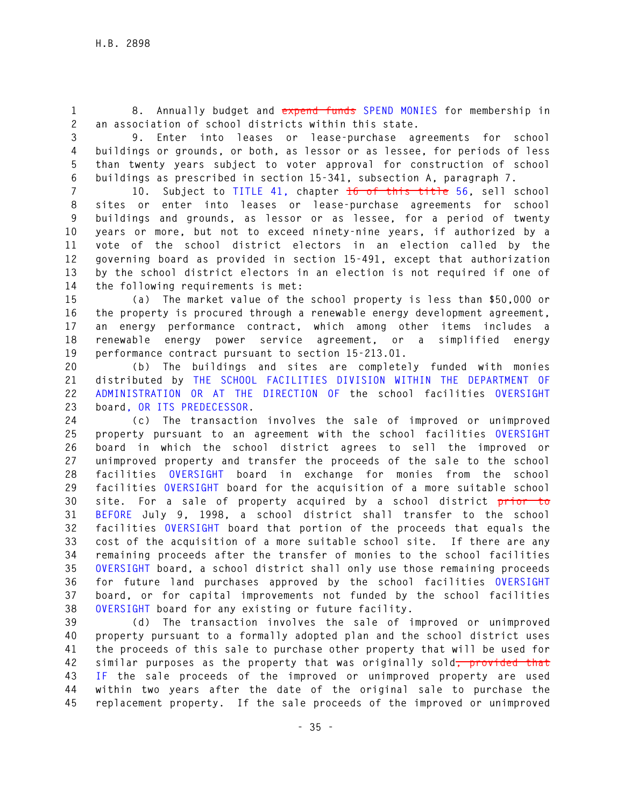**1 8. Annually budget and expend funds SPEND MONIES for membership in 2 an association of school districts within this state.** 

**3 9. Enter into leases or lease-purchase agreements for school 4 buildings or grounds, or both, as lessor or as lessee, for periods of less 5 than twenty years subject to voter approval for construction of school 6 buildings as prescribed in section 15-341, subsection A, paragraph 7.** 

**7 10. Subject to TITLE 41, chapter 16 of this title 56, sell school 8 sites or enter into leases or lease-purchase agreements for school 9 buildings and grounds, as lessor or as lessee, for a period of twenty 10 years or more, but not to exceed ninety-nine years, if authorized by a 11 vote of the school district electors in an election called by the 12 governing board as provided in section 15-491, except that authorization 13 by the school district electors in an election is not required if one of 14 the following requirements is met:** 

**15 (a) The market value of the school property is less than \$50,000 or 16 the property is procured through a renewable energy development agreement, 17 an energy performance contract, which among other items includes a 18 renewable energy power service agreement, or a simplified energy 19 performance contract pursuant to section 15-213.01.** 

**20 (b) The buildings and sites are completely funded with monies 21 distributed by THE SCHOOL FACILITIES DIVISION WITHIN THE DEPARTMENT OF 22 ADMINISTRATION OR AT THE DIRECTION OF the school facilities OVERSIGHT 23 board, OR ITS PREDECESSOR.** 

**24 (c) The transaction involves the sale of improved or unimproved 25 property pursuant to an agreement with the school facilities OVERSIGHT 26 board in which the school district agrees to sell the improved or 27 unimproved property and transfer the proceeds of the sale to the school 28 facilities OVERSIGHT board in exchange for monies from the school 29 facilities OVERSIGHT board for the acquisition of a more suitable school 30 site. For a sale of property acquired by a school district prior to 31 BEFORE July 9, 1998, a school district shall transfer to the school 32 facilities OVERSIGHT board that portion of the proceeds that equals the 33 cost of the acquisition of a more suitable school site. If there are any 34 remaining proceeds after the transfer of monies to the school facilities 35 OVERSIGHT board, a school district shall only use those remaining proceeds 36 for future land purchases approved by the school facilities OVERSIGHT 37 board, or for capital improvements not funded by the school facilities 38 OVERSIGHT board for any existing or future facility.** 

**39 (d) The transaction involves the sale of improved or unimproved 40 property pursuant to a formally adopted plan and the school district uses 41 the proceeds of this sale to purchase other property that will be used for 42 similar purposes as the property that was originally sold, provided that 43 IF the sale proceeds of the improved or unimproved property are used 44 within two years after the date of the original sale to purchase the 45 replacement property. If the sale proceeds of the improved or unimproved**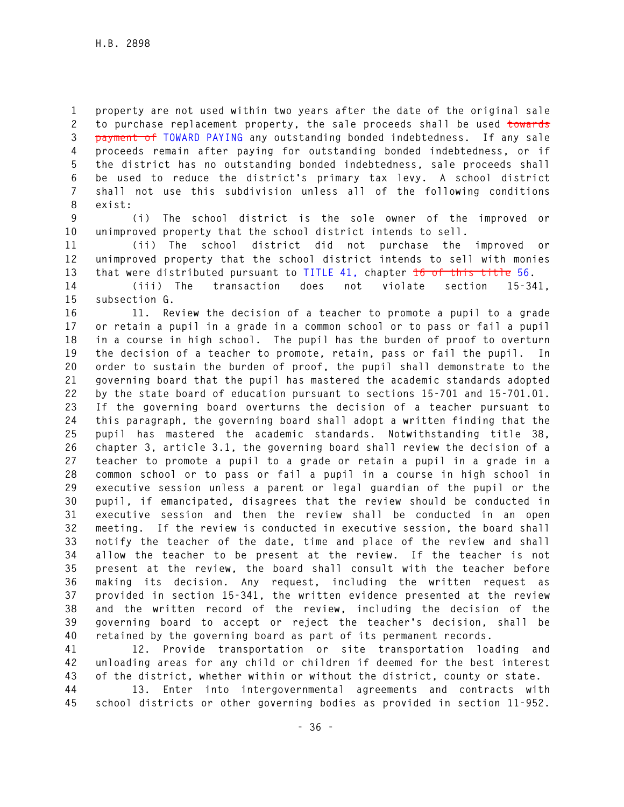**1 property are not used within two years after the date of the original sale 2 to purchase replacement property, the sale proceeds shall be used towards 3 payment of TOWARD PAYING any outstanding bonded indebtedness. If any sale 4 proceeds remain after paying for outstanding bonded indebtedness, or if 5 the district has no outstanding bonded indebtedness, sale proceeds shall 6 be used to reduce the district's primary tax levy. A school district 7 shall not use this subdivision unless all of the following conditions 8 exist:** 

**9 (i) The school district is the sole owner of the improved or 10 unimproved property that the school district intends to sell.** 

**11 (ii) The school district did not purchase the improved or 12 unimproved property that the school district intends to sell with monies 13 that were distributed pursuant to TITLE 41, chapter 16 of this title 56.** 

**14 (iii) The transaction does not violate section 15-341, 15 subsection G.** 

**16 11. Review the decision of a teacher to promote a pupil to a grade 17 or retain a pupil in a grade in a common school or to pass or fail a pupil 18 in a course in high school. The pupil has the burden of proof to overturn 19 the decision of a teacher to promote, retain, pass or fail the pupil. In 20 order to sustain the burden of proof, the pupil shall demonstrate to the 21 governing board that the pupil has mastered the academic standards adopted 22 by the state board of education pursuant to sections 15-701 and 15-701.01. 23 If the governing board overturns the decision of a teacher pursuant to 24 this paragraph, the governing board shall adopt a written finding that the 25 pupil has mastered the academic standards. Notwithstanding title 38, 26 chapter 3, article 3.1, the governing board shall review the decision of a 27 teacher to promote a pupil to a grade or retain a pupil in a grade in a 28 common school or to pass or fail a pupil in a course in high school in 29 executive session unless a parent or legal guardian of the pupil or the 30 pupil, if emancipated, disagrees that the review should be conducted in 31 executive session and then the review shall be conducted in an open 32 meeting. If the review is conducted in executive session, the board shall 33 notify the teacher of the date, time and place of the review and shall 34 allow the teacher to be present at the review. If the teacher is not 35 present at the review, the board shall consult with the teacher before 36 making its decision. Any request, including the written request as 37 provided in section 15-341, the written evidence presented at the review 38 and the written record of the review, including the decision of the 39 governing board to accept or reject the teacher's decision, shall be 40 retained by the governing board as part of its permanent records.** 

**41 12. Provide transportation or site transportation loading and 42 unloading areas for any child or children if deemed for the best interest 43 of the district, whether within or without the district, county or state.** 

**44 13. Enter into intergovernmental agreements and contracts with 45 school districts or other governing bodies as provided in section 11-952.**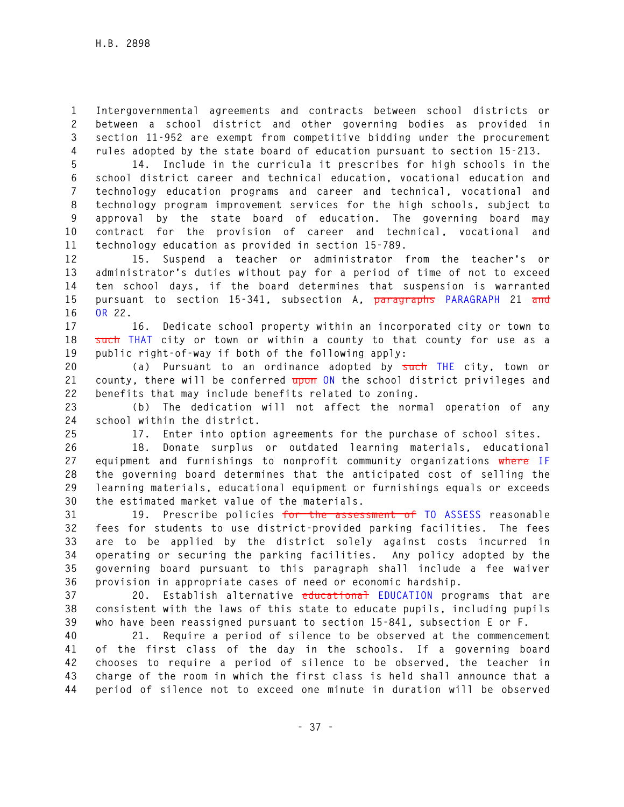**1 Intergovernmental agreements and contracts between school districts or 2 between a school district and other governing bodies as provided in 3 section 11-952 are exempt from competitive bidding under the procurement 4 rules adopted by the state board of education pursuant to section 15-213.** 

**5 14. Include in the curricula it prescribes for high schools in the 6 school district career and technical education, vocational education and 7 technology education programs and career and technical, vocational and 8 technology program improvement services for the high schools, subject to 9 approval by the state board of education. The governing board may 10 contract for the provision of career and technical, vocational and 11 technology education as provided in section 15-789.** 

**12 15. Suspend a teacher or administrator from the teacher's or 13 administrator's duties without pay for a period of time of not to exceed 14 ten school days, if the board determines that suspension is warranted 15 pursuant to section 15-341, subsection A, paragraphs PARAGRAPH 21 and 16 OR 22.** 

**17 16. Dedicate school property within an incorporated city or town to 18 such THAT city or town or within a county to that county for use as a 19 public right-of-way if both of the following apply:** 

**20 (a) Pursuant to an ordinance adopted by such THE city, town or 21 county, there will be conferred upon ON the school district privileges and 22 benefits that may include benefits related to zoning.** 

**23 (b) The dedication will not affect the normal operation of any 24 school within the district.** 

**25 17. Enter into option agreements for the purchase of school sites.** 

**26 18. Donate surplus or outdated learning materials, educational 27 equipment and furnishings to nonprofit community organizations where IF 28 the governing board determines that the anticipated cost of selling the 29 learning materials, educational equipment or furnishings equals or exceeds 30 the estimated market value of the materials.** 

**31 19. Prescribe policies for the assessment of TO ASSESS reasonable 32 fees for students to use district-provided parking facilities. The fees 33 are to be applied by the district solely against costs incurred in 34 operating or securing the parking facilities. Any policy adopted by the 35 governing board pursuant to this paragraph shall include a fee waiver 36 provision in appropriate cases of need or economic hardship.** 

**37 20. Establish alternative educational EDUCATION programs that are 38 consistent with the laws of this state to educate pupils, including pupils 39 who have been reassigned pursuant to section 15-841, subsection E or F.** 

**40 21. Require a period of silence to be observed at the commencement 41 of the first class of the day in the schools. If a governing board 42 chooses to require a period of silence to be observed, the teacher in 43 charge of the room in which the first class is held shall announce that a 44 period of silence not to exceed one minute in duration will be observed**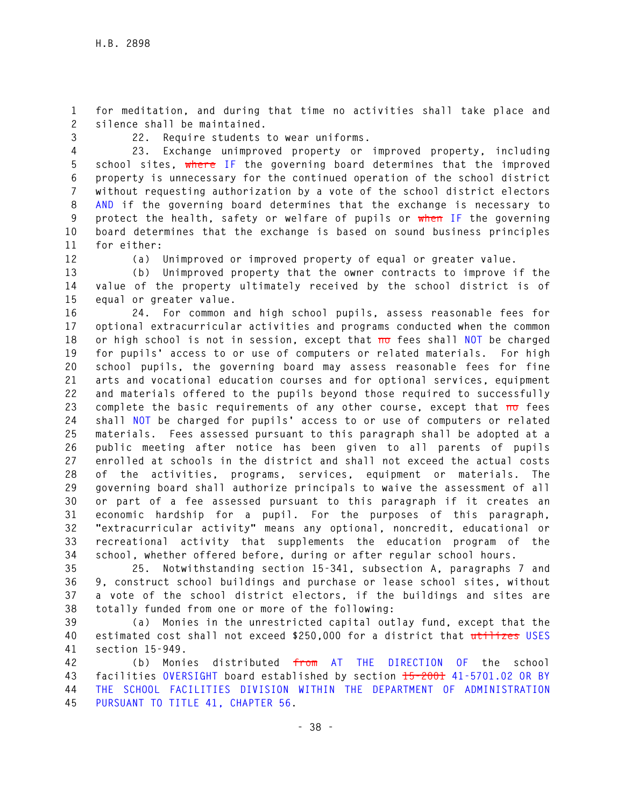**1 for meditation, and during that time no activities shall take place and 2 silence shall be maintained.** 

**3 22. Require students to wear uniforms.** 

**4 23. Exchange unimproved property or improved property, including 5 school sites, where IF the governing board determines that the improved 6 property is unnecessary for the continued operation of the school district 7 without requesting authorization by a vote of the school district electors 8 AND if the governing board determines that the exchange is necessary to 9 protect the health, safety or welfare of pupils or when IF the governing 10 board determines that the exchange is based on sound business principles 11 for either:** 

**12 (a) Unimproved or improved property of equal or greater value.** 

**13 (b) Unimproved property that the owner contracts to improve if the 14 value of the property ultimately received by the school district is of 15 equal or greater value.** 

**16 24. For common and high school pupils, assess reasonable fees for 17 optional extracurricular activities and programs conducted when the common**  18 or high school is not in session, except that no fees shall NOT be charged **19 for pupils' access to or use of computers or related materials. For high 20 school pupils, the governing board may assess reasonable fees for fine 21 arts and vocational education courses and for optional services, equipment 22 and materials offered to the pupils beyond those required to successfully 23 complete the basic requirements of any other course, except that no fees 24 shall NOT be charged for pupils' access to or use of computers or related 25 materials. Fees assessed pursuant to this paragraph shall be adopted at a 26 public meeting after notice has been given to all parents of pupils 27 enrolled at schools in the district and shall not exceed the actual costs 28 of the activities, programs, services, equipment or materials. The 29 governing board shall authorize principals to waive the assessment of all 30 or part of a fee assessed pursuant to this paragraph if it creates an 31 economic hardship for a pupil. For the purposes of this paragraph, 32 "extracurricular activity" means any optional, noncredit, educational or 33 recreational activity that supplements the education program of the 34 school, whether offered before, during or after regular school hours.** 

**35 25. Notwithstanding section 15-341, subsection A, paragraphs 7 and 36 9, construct school buildings and purchase or lease school sites, without 37 a vote of the school district electors, if the buildings and sites are 38 totally funded from one or more of the following:** 

**39 (a) Monies in the unrestricted capital outlay fund, except that the 40 estimated cost shall not exceed \$250,000 for a district that utilizes USES 41 section 15-949.** 

**42 (b) Monies distributed from AT THE DIRECTION OF the school 43 facilities OVERSIGHT board established by section 15-2001 41-5701.02 OR BY 44 THE SCHOOL FACILITIES DIVISION WITHIN THE DEPARTMENT OF ADMINISTRATION 45 PURSUANT TO TITLE 41, CHAPTER 56.**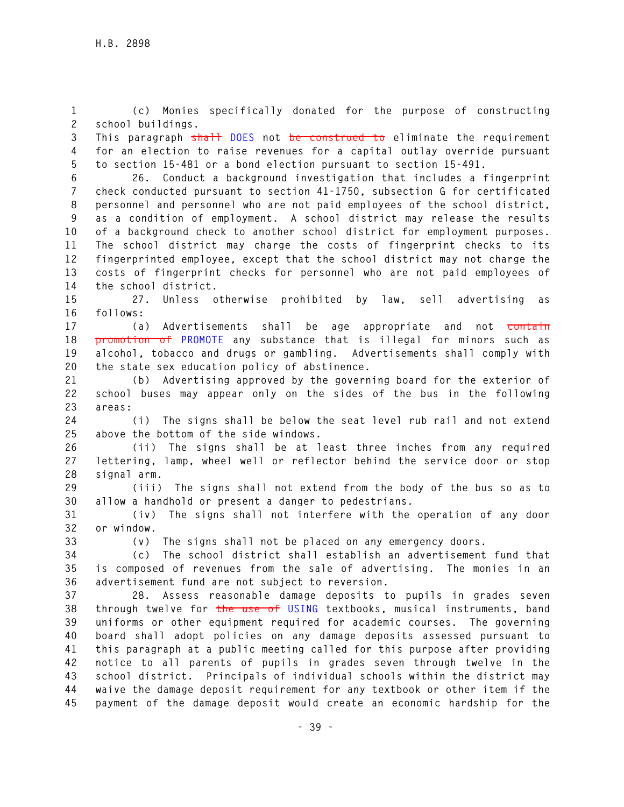**1 (c) Monies specifically donated for the purpose of constructing 2 school buildings.** 

**3 This paragraph shall DOES not be construed to eliminate the requirement 4 for an election to raise revenues for a capital outlay override pursuant 5 to section 15-481 or a bond election pursuant to section 15-491.** 

**6 26. Conduct a background investigation that includes a fingerprint 7 check conducted pursuant to section 41-1750, subsection G for certificated 8 personnel and personnel who are not paid employees of the school district, 9 as a condition of employment. A school district may release the results 10 of a background check to another school district for employment purposes. 11 The school district may charge the costs of fingerprint checks to its 12 fingerprinted employee, except that the school district may not charge the 13 costs of fingerprint checks for personnel who are not paid employees of 14 the school district.** 

**15 27. Unless otherwise prohibited by law, sell advertising as 16 follows:** 

**17 (a) Advertisements shall be age appropriate and not contain 18 promotion of PROMOTE any substance that is illegal for minors such as 19 alcohol, tobacco and drugs or gambling. Advertisements shall comply with 20 the state sex education policy of abstinence.** 

**21 (b) Advertising approved by the governing board for the exterior of 22 school buses may appear only on the sides of the bus in the following 23 areas:** 

**24 (i) The signs shall be below the seat level rub rail and not extend 25 above the bottom of the side windows.** 

**26 (ii) The signs shall be at least three inches from any required 27 lettering, lamp, wheel well or reflector behind the service door or stop 28 signal arm.** 

**29 (iii) The signs shall not extend from the body of the bus so as to 30 allow a handhold or present a danger to pedestrians.** 

**31 (iv) The signs shall not interfere with the operation of any door 32 or window.** 

**33 (v) The signs shall not be placed on any emergency doors.** 

**34 (c) The school district shall establish an advertisement fund that 35 is composed of revenues from the sale of advertising. The monies in an 36 advertisement fund are not subject to reversion.** 

**37 28. Assess reasonable damage deposits to pupils in grades seven 38 through twelve for the use of USING textbooks, musical instruments, band 39 uniforms or other equipment required for academic courses. The governing 40 board shall adopt policies on any damage deposits assessed pursuant to 41 this paragraph at a public meeting called for this purpose after providing 42 notice to all parents of pupils in grades seven through twelve in the 43 school district. Principals of individual schools within the district may 44 waive the damage deposit requirement for any textbook or other item if the 45 payment of the damage deposit would create an economic hardship for the**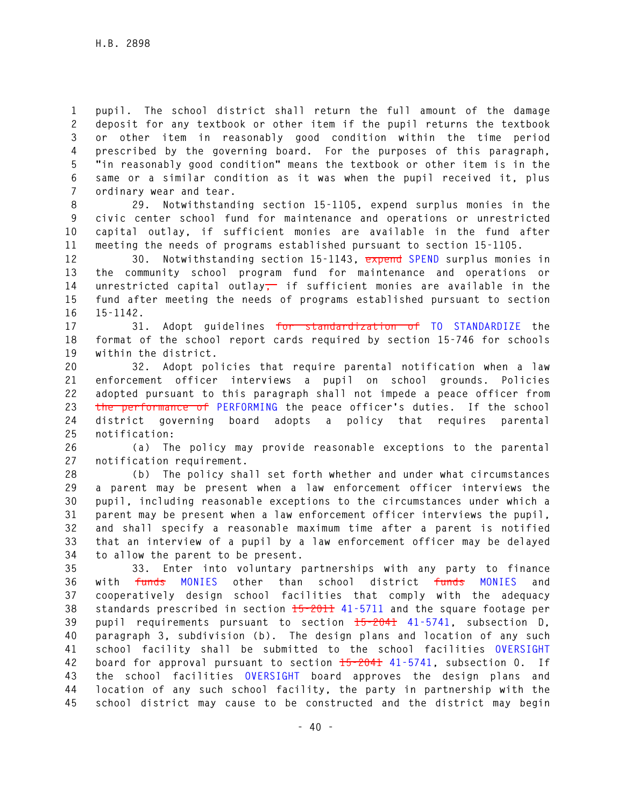**1 pupil. The school district shall return the full amount of the damage 2 deposit for any textbook or other item if the pupil returns the textbook 3 or other item in reasonably good condition within the time period 4 prescribed by the governing board. For the purposes of this paragraph, 5 "in reasonably good condition" means the textbook or other item is in the 6 same or a similar condition as it was when the pupil received it, plus 7 ordinary wear and tear.** 

**8 29. Notwithstanding section 15-1105, expend surplus monies in the 9 civic center school fund for maintenance and operations or unrestricted 10 capital outlay, if sufficient monies are available in the fund after 11 meeting the needs of programs established pursuant to section 15-1105.** 

**12 30. Notwithstanding section 15-1143, expend SPEND surplus monies in 13 the community school program fund for maintenance and operations or 14 unrestricted capital outlay, if sufficient monies are available in the 15 fund after meeting the needs of programs established pursuant to section 16 15-1142.** 

**17 31. Adopt guidelines for standardization of TO STANDARDIZE the 18 format of the school report cards required by section 15-746 for schools 19 within the district.** 

**20 32. Adopt policies that require parental notification when a law 21 enforcement officer interviews a pupil on school grounds. Policies 22 adopted pursuant to this paragraph shall not impede a peace officer from 23 the performance of PERFORMING the peace officer's duties. If the school 24 district governing board adopts a policy that requires parental 25 notification:** 

**26 (a) The policy may provide reasonable exceptions to the parental 27 notification requirement.** 

**28 (b) The policy shall set forth whether and under what circumstances 29 a parent may be present when a law enforcement officer interviews the 30 pupil, including reasonable exceptions to the circumstances under which a 31 parent may be present when a law enforcement officer interviews the pupil, 32 and shall specify a reasonable maximum time after a parent is notified 33 that an interview of a pupil by a law enforcement officer may be delayed 34 to allow the parent to be present.** 

**35 33. Enter into voluntary partnerships with any party to finance 36 with funds MONIES other than school district funds MONIES and 37 cooperatively design school facilities that comply with the adequacy 38 standards prescribed in section 15-2011 41-5711 and the square footage per 39 pupil requirements pursuant to section 15-2041 41-5741, subsection D, 40 paragraph 3, subdivision (b). The design plans and location of any such 41 school facility shall be submitted to the school facilities OVERSIGHT 42 board for approval pursuant to section 15-2041 41-5741, subsection 0. If 43 the school facilities OVERSIGHT board approves the design plans and 44 location of any such school facility, the party in partnership with the 45 school district may cause to be constructed and the district may begin**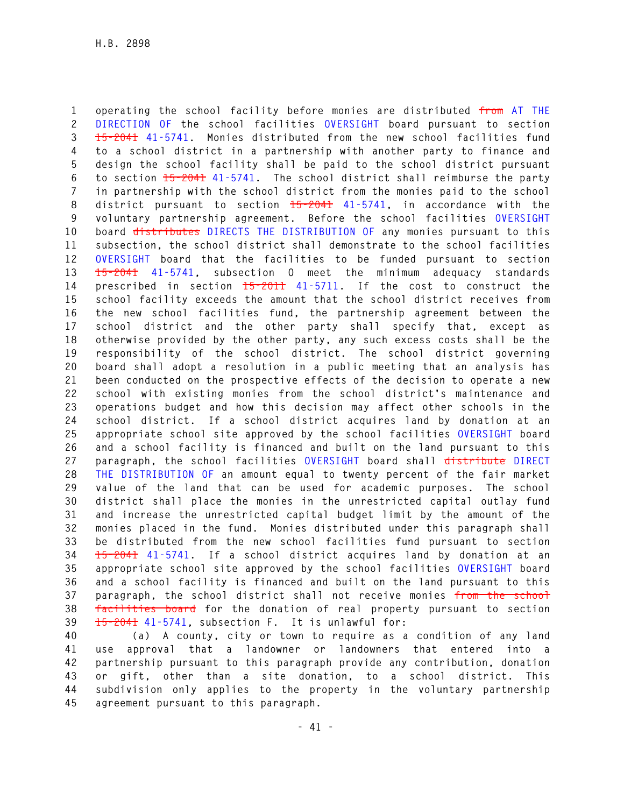**1 operating the school facility before monies are distributed from AT THE 2 DIRECTION OF the school facilities OVERSIGHT board pursuant to section 3 15-2041 41-5741. Monies distributed from the new school facilities fund 4 to a school district in a partnership with another party to finance and 5 design the school facility shall be paid to the school district pursuant 6 to section 15-2041 41-5741. The school district shall reimburse the party 7 in partnership with the school district from the monies paid to the school 8 district pursuant to section 15-2041 41-5741, in accordance with the 9 voluntary partnership agreement. Before the school facilities OVERSIGHT 10 board distributes DIRECTS THE DISTRIBUTION OF any monies pursuant to this 11 subsection, the school district shall demonstrate to the school facilities 12 OVERSIGHT board that the facilities to be funded pursuant to section 13 15-2041 41-5741, subsection O meet the minimum adequacy standards 14 prescribed in section 15-2011 41-5711. If the cost to construct the 15 school facility exceeds the amount that the school district receives from 16 the new school facilities fund, the partnership agreement between the 17 school district and the other party shall specify that, except as 18 otherwise provided by the other party, any such excess costs shall be the 19 responsibility of the school district. The school district governing 20 board shall adopt a resolution in a public meeting that an analysis has 21 been conducted on the prospective effects of the decision to operate a new 22 school with existing monies from the school district's maintenance and 23 operations budget and how this decision may affect other schools in the 24 school district. If a school district acquires land by donation at an 25 appropriate school site approved by the school facilities OVERSIGHT board 26 and a school facility is financed and built on the land pursuant to this 27 paragraph, the school facilities OVERSIGHT board shall distribute DIRECT 28 THE DISTRIBUTION OF an amount equal to twenty percent of the fair market 29 value of the land that can be used for academic purposes. The school 30 district shall place the monies in the unrestricted capital outlay fund 31 and increase the unrestricted capital budget limit by the amount of the 32 monies placed in the fund. Monies distributed under this paragraph shall 33 be distributed from the new school facilities fund pursuant to section 34 15-2041 41-5741. If a school district acquires land by donation at an 35 appropriate school site approved by the school facilities OVERSIGHT board 36 and a school facility is financed and built on the land pursuant to this 37 paragraph, the school district shall not receive monies from the school 38 facilities board for the donation of real property pursuant to section 39 15-2041 41-5741, subsection F. It is unlawful for:** 

**40 (a) A county, city or town to require as a condition of any land 41 use approval that a landowner or landowners that entered into a 42 partnership pursuant to this paragraph provide any contribution, donation 43 or gift, other than a site donation, to a school district. This 44 subdivision only applies to the property in the voluntary partnership 45 agreement pursuant to this paragraph.**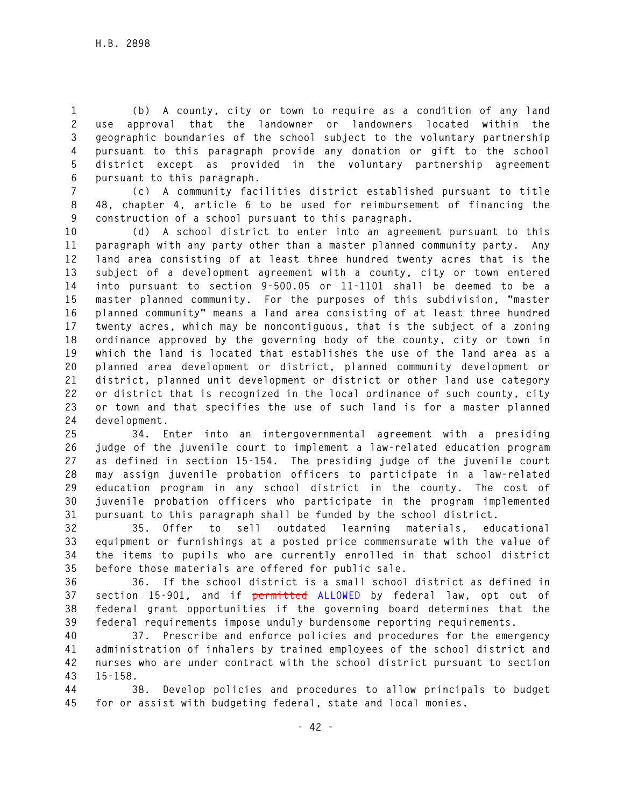**1 (b) A county, city or town to require as a condition of any land 2 use approval that the landowner or landowners located within the 3 geographic boundaries of the school subject to the voluntary partnership 4 pursuant to this paragraph provide any donation or gift to the school 5 district except as provided in the voluntary partnership agreement 6 pursuant to this paragraph.** 

**7 (c) A community facilities district established pursuant to title 8 48, chapter 4, article 6 to be used for reimbursement of financing the 9 construction of a school pursuant to this paragraph.** 

**10 (d) A school district to enter into an agreement pursuant to this 11 paragraph with any party other than a master planned community party. Any 12 land area consisting of at least three hundred twenty acres that is the 13 subject of a development agreement with a county, city or town entered 14 into pursuant to section 9-500.05 or 11-1101 shall be deemed to be a 15 master planned community. For the purposes of this subdivision, "master 16 planned community" means a land area consisting of at least three hundred 17 twenty acres, which may be noncontiguous, that is the subject of a zoning 18 ordinance approved by the governing body of the county, city or town in 19 which the land is located that establishes the use of the land area as a 20 planned area development or district, planned community development or 21 district, planned unit development or district or other land use category 22 or district that is recognized in the local ordinance of such county, city 23 or town and that specifies the use of such land is for a master planned 24 development.** 

**25 34. Enter into an intergovernmental agreement with a presiding 26 judge of the juvenile court to implement a law-related education program 27 as defined in section 15-154. The presiding judge of the juvenile court 28 may assign juvenile probation officers to participate in a law-related 29 education program in any school district in the county. The cost of 30 juvenile probation officers who participate in the program implemented 31 pursuant to this paragraph shall be funded by the school district.** 

**32 35. Offer to sell outdated learning materials, educational 33 equipment or furnishings at a posted price commensurate with the value of 34 the items to pupils who are currently enrolled in that school district 35 before those materials are offered for public sale.** 

**36 36. If the school district is a small school district as defined in 37 section 15-901, and if permitted ALLOWED by federal law, opt out of 38 federal grant opportunities if the governing board determines that the 39 federal requirements impose unduly burdensome reporting requirements.** 

**40 37. Prescribe and enforce policies and procedures for the emergency 41 administration of inhalers by trained employees of the school district and 42 nurses who are under contract with the school district pursuant to section 43 15-158.** 

**44 38. Develop policies and procedures to allow principals to budget 45 for or assist with budgeting federal, state and local monies.**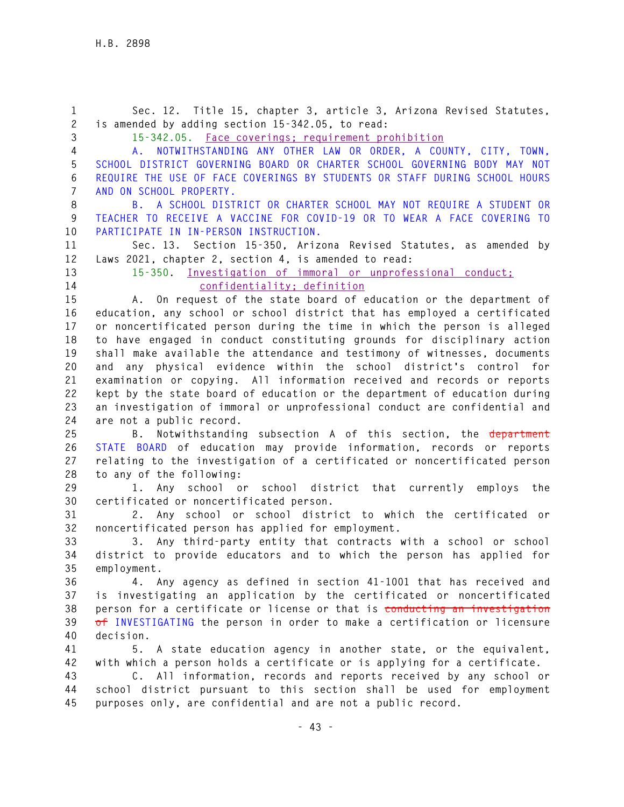**- 43 - 1 Sec. 12. Title 15, chapter 3, article 3, Arizona Revised Statutes, 2 is amended by adding section 15-342.05, to read: 3 15-342.05. Face coverings; requirement prohibition 4 A. NOTWITHSTANDING ANY OTHER LAW OR ORDER, A COUNTY, CITY, TOWN, 5 SCHOOL DISTRICT GOVERNING BOARD OR CHARTER SCHOOL GOVERNING BODY MAY NOT 6 REQUIRE THE USE OF FACE COVERINGS BY STUDENTS OR STAFF DURING SCHOOL HOURS 7 AND ON SCHOOL PROPERTY. 8 B. A SCHOOL DISTRICT OR CHARTER SCHOOL MAY NOT REQUIRE A STUDENT OR 9 TEACHER TO RECEIVE A VACCINE FOR COVID-19 OR TO WEAR A FACE COVERING TO 10 PARTICIPATE IN IN-PERSON INSTRUCTION. 11 Sec. 13. Section 15-350, Arizona Revised Statutes, as amended by 12 Laws 2021, chapter 2, section 4, is amended to read: 13 15-350. Investigation of immoral or unprofessional conduct; 14 confidentiality; definition 15 A. On request of the state board of education or the department of 16 education, any school or school district that has employed a certificated 17 or noncertificated person during the time in which the person is alleged 18 to have engaged in conduct constituting grounds for disciplinary action 19 shall make available the attendance and testimony of witnesses, documents 20 and any physical evidence within the school district's control for 21 examination or copying. All information received and records or reports 22 kept by the state board of education or the department of education during 23 an investigation of immoral or unprofessional conduct are confidential and 24 are not a public record. 25 B. Notwithstanding subsection A of this section, the department 26 STATE BOARD of education may provide information, records or reports 27 relating to the investigation of a certificated or noncertificated person 28 to any of the following: 29 1. Any school or school district that currently employs the 30 certificated or noncertificated person. 31 2. Any school or school district to which the certificated or 32 noncertificated person has applied for employment. 33 3. Any third-party entity that contracts with a school or school 34 district to provide educators and to which the person has applied for 35 employment. 36 4. Any agency as defined in section 41-1001 that has received and 37 is investigating an application by the certificated or noncertificated 38 person for a certificate or license or that is conducting an investigation 39 of INVESTIGATING the person in order to make a certification or licensure 40 decision. 41 5. A state education agency in another state, or the equivalent, 42 with which a person holds a certificate or is applying for a certificate. 43 C. All information, records and reports received by any school or 44 school district pursuant to this section shall be used for employment 45 purposes only, are confidential and are not a public record.**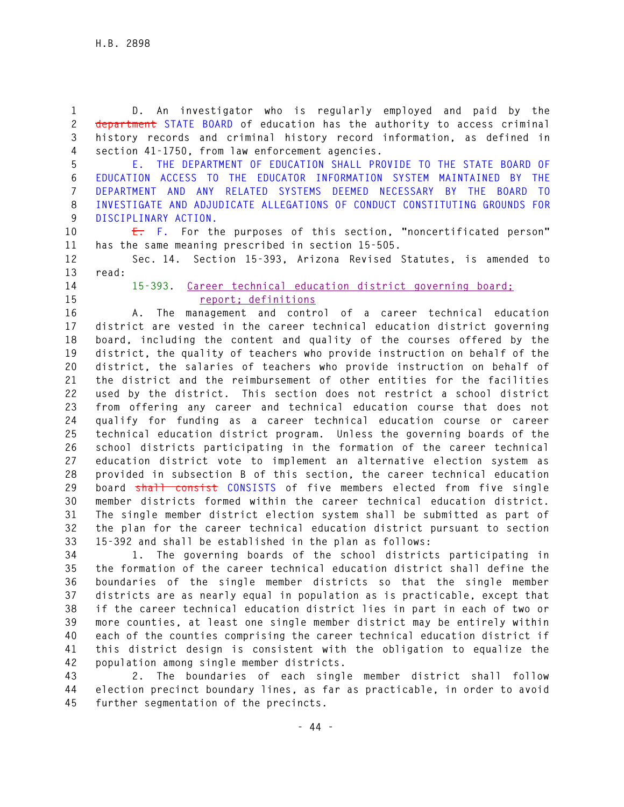**1 D. An investigator who is regularly employed and paid by the 2 department STATE BOARD of education has the authority to access criminal 3 history records and criminal history record information, as defined in 4 section 41-1750, from law enforcement agencies.** 

**5 E. THE DEPARTMENT OF EDUCATION SHALL PROVIDE TO THE STATE BOARD OF 6 EDUCATION ACCESS TO THE EDUCATOR INFORMATION SYSTEM MAINTAINED BY THE 7 DEPARTMENT AND ANY RELATED SYSTEMS DEEMED NECESSARY BY THE BOARD TO 8 INVESTIGATE AND ADJUDICATE ALLEGATIONS OF CONDUCT CONSTITUTING GROUNDS FOR 9 DISCIPLINARY ACTION.** 

**10 E. F. For the purposes of this section, "noncertificated person" 11 has the same meaning prescribed in section 15-505.** 

**12 Sec. 14. Section 15-393, Arizona Revised Statutes, is amended to 13 read:** 

**14 15-393. Career technical education district governing board; 15 report; definitions**

**16 A. The management and control of a career technical education 17 district are vested in the career technical education district governing 18 board, including the content and quality of the courses offered by the 19 district, the quality of teachers who provide instruction on behalf of the 20 district, the salaries of teachers who provide instruction on behalf of 21 the district and the reimbursement of other entities for the facilities 22 used by the district. This section does not restrict a school district 23 from offering any career and technical education course that does not 24 qualify for funding as a career technical education course or career 25 technical education district program. Unless the governing boards of the 26 school districts participating in the formation of the career technical 27 education district vote to implement an alternative election system as 28 provided in subsection B of this section, the career technical education 29 board shall consist CONSISTS of five members elected from five single 30 member districts formed within the career technical education district. 31 The single member district election system shall be submitted as part of 32 the plan for the career technical education district pursuant to section 33 15-392 and shall be established in the plan as follows:** 

**34 1. The governing boards of the school districts participating in 35 the formation of the career technical education district shall define the 36 boundaries of the single member districts so that the single member 37 districts are as nearly equal in population as is practicable, except that 38 if the career technical education district lies in part in each of two or 39 more counties, at least one single member district may be entirely within 40 each of the counties comprising the career technical education district if 41 this district design is consistent with the obligation to equalize the 42 population among single member districts.** 

**43 2. The boundaries of each single member district shall follow 44 election precinct boundary lines, as far as practicable, in order to avoid 45 further segmentation of the precincts.**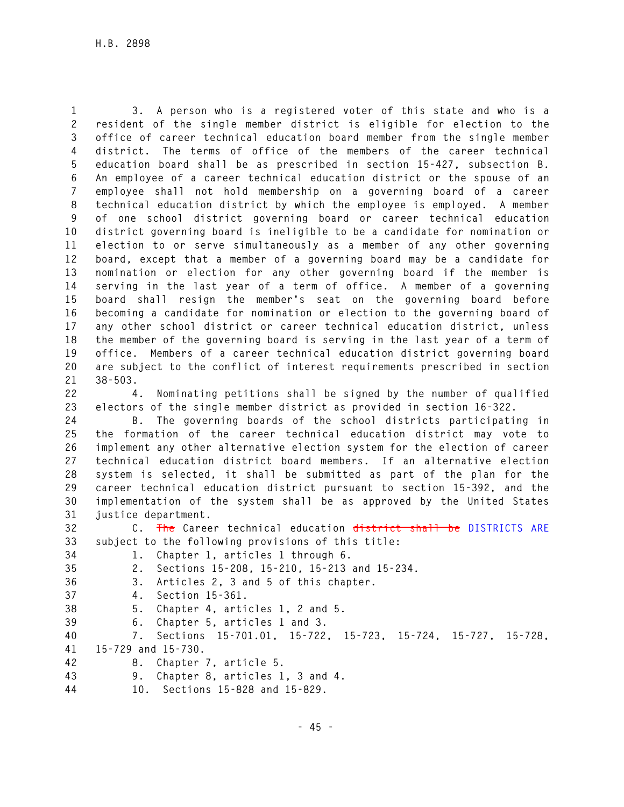**1 3. A person who is a registered voter of this state and who is a 2 resident of the single member district is eligible for election to the 3 office of career technical education board member from the single member 4 district. The terms of office of the members of the career technical 5 education board shall be as prescribed in section 15-427, subsection B. 6 An employee of a career technical education district or the spouse of an 7 employee shall not hold membership on a governing board of a career 8 technical education district by which the employee is employed. A member 9 of one school district governing board or career technical education 10 district governing board is ineligible to be a candidate for nomination or 11 election to or serve simultaneously as a member of any other governing 12 board, except that a member of a governing board may be a candidate for 13 nomination or election for any other governing board if the member is 14 serving in the last year of a term of office. A member of a governing 15 board shall resign the member's seat on the governing board before 16 becoming a candidate for nomination or election to the governing board of 17 any other school district or career technical education district, unless 18 the member of the governing board is serving in the last year of a term of 19 office. Members of a career technical education district governing board 20 are subject to the conflict of interest requirements prescribed in section 21 38-503.** 

**22 4. Nominating petitions shall be signed by the number of qualified 23 electors of the single member district as provided in section 16-322.** 

**24 B. The governing boards of the school districts participating in 25 the formation of the career technical education district may vote to 26 implement any other alternative election system for the election of career 27 technical education district board members. If an alternative election 28 system is selected, it shall be submitted as part of the plan for the 29 career technical education district pursuant to section 15-392, and the 30 implementation of the system shall be as approved by the United States 31 justice department.** 

**32 C. The Career technical education district shall be DISTRICTS ARE 33 subject to the following provisions of this title:** 

**34 1. Chapter 1, articles 1 through 6.** 

- **35 2. Sections 15-208, 15-210, 15-213 and 15-234. 36 3. Articles 2, 3 and 5 of this chapter.**
- **37 4. Section 15-361.**
- - **38 5. Chapter 4, articles 1, 2 and 5.**
	- **39 6. Chapter 5, articles 1 and 3.**

**40 7. Sections 15-701.01, 15-722, 15-723, 15-724, 15-727, 15-728, 41 15-729 and 15-730.** 

- **42 8. Chapter 7, article 5.**
- **43 9. Chapter 8, articles 1, 3 and 4.**
- **44 10. Sections 15-828 and 15-829.**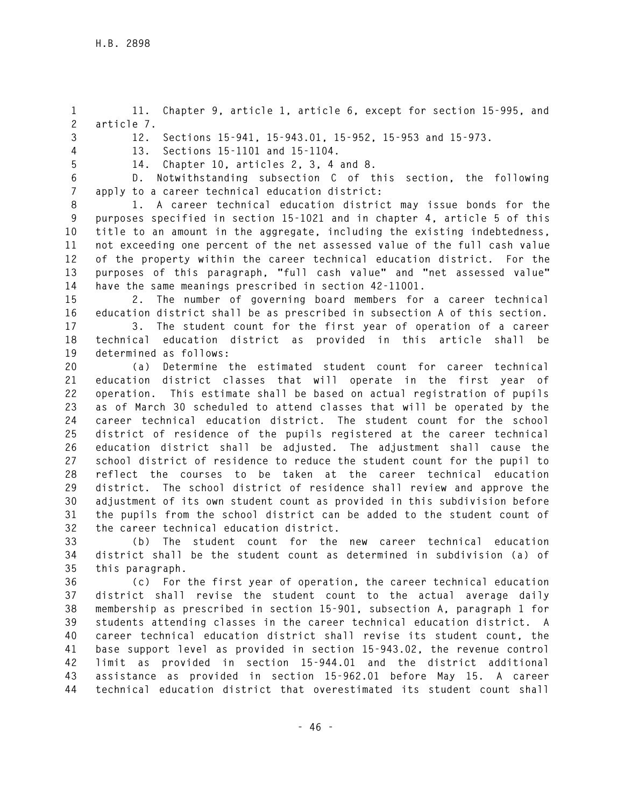**1 11. Chapter 9, article 1, article 6, except for section 15-995, and 2 article 7.** 

**3 12. Sections 15-941, 15-943.01, 15-952, 15-953 and 15-973.** 

**4 13. Sections 15-1101 and 15-1104. 5 14. Chapter 10, articles 2, 3, 4 and 8.** 

**6 D. Notwithstanding subsection C of this section, the following 7 apply to a career technical education district:** 

**8 1. A career technical education district may issue bonds for the 9 purposes specified in section 15-1021 and in chapter 4, article 5 of this 10 title to an amount in the aggregate, including the existing indebtedness, 11 not exceeding one percent of the net assessed value of the full cash value 12 of the property within the career technical education district. For the 13 purposes of this paragraph, "full cash value" and "net assessed value" 14 have the same meanings prescribed in section 42-11001.** 

**15 2. The number of governing board members for a career technical 16 education district shall be as prescribed in subsection A of this section.** 

**17 3. The student count for the first year of operation of a career 18 technical education district as provided in this article shall be 19 determined as follows:** 

**20 (a) Determine the estimated student count for career technical 21 education district classes that will operate in the first year of 22 operation. This estimate shall be based on actual registration of pupils 23 as of March 30 scheduled to attend classes that will be operated by the 24 career technical education district. The student count for the school 25 district of residence of the pupils registered at the career technical 26 education district shall be adjusted. The adjustment shall cause the 27 school district of residence to reduce the student count for the pupil to 28 reflect the courses to be taken at the career technical education 29 district. The school district of residence shall review and approve the 30 adjustment of its own student count as provided in this subdivision before 31 the pupils from the school district can be added to the student count of 32 the career technical education district.** 

**33 (b) The student count for the new career technical education 34 district shall be the student count as determined in subdivision (a) of 35 this paragraph.** 

**36 (c) For the first year of operation, the career technical education 37 district shall revise the student count to the actual average daily 38 membership as prescribed in section 15-901, subsection A, paragraph 1 for 39 students attending classes in the career technical education district. A 40 career technical education district shall revise its student count, the 41 base support level as provided in section 15-943.02, the revenue control 42 limit as provided in section 15-944.01 and the district additional 43 assistance as provided in section 15-962.01 before May 15. A career 44 technical education district that overestimated its student count shall**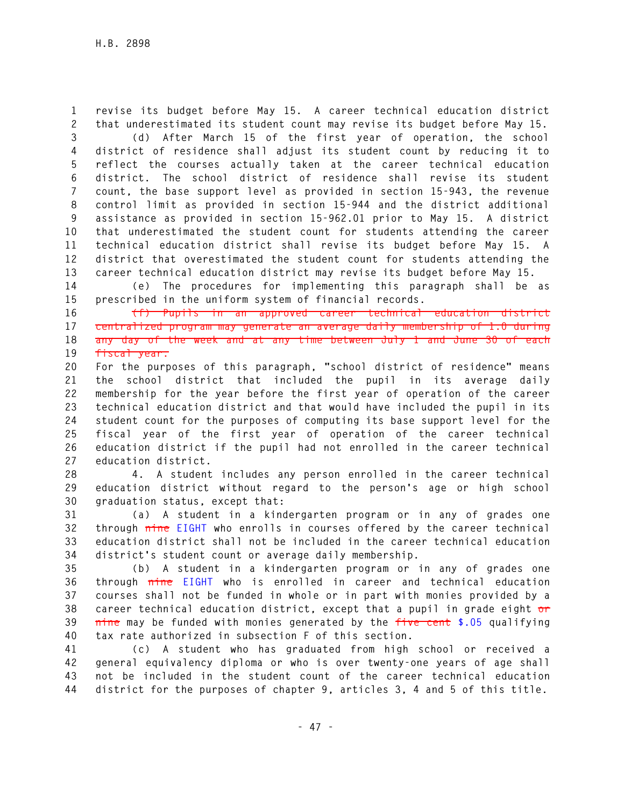**1 revise its budget before May 15. A career technical education district 2 that underestimated its student count may revise its budget before May 15.** 

**3 (d) After March 15 of the first year of operation, the school 4 district of residence shall adjust its student count by reducing it to 5 reflect the courses actually taken at the career technical education 6 district. The school district of residence shall revise its student 7 count, the base support level as provided in section 15-943, the revenue 8 control limit as provided in section 15-944 and the district additional 9 assistance as provided in section 15-962.01 prior to May 15. A district 10 that underestimated the student count for students attending the career 11 technical education district shall revise its budget before May 15. A 12 district that overestimated the student count for students attending the 13 career technical education district may revise its budget before May 15.** 

**14 (e) The procedures for implementing this paragraph shall be as 15 prescribed in the uniform system of financial records.** 

**16 (f) Pupils in an approved career technical education district 17 centralized program may generate an average daily membership of 1.0 during 18 any day of the week and at any time between July 1 and June 30 of each 19 fiscal year.**

**20 For the purposes of this paragraph, "school district of residence" means 21 the school district that included the pupil in its average daily 22 membership for the year before the first year of operation of the career 23 technical education district and that would have included the pupil in its 24 student count for the purposes of computing its base support level for the 25 fiscal year of the first year of operation of the career technical 26 education district if the pupil had not enrolled in the career technical 27 education district.** 

**28 4. A student includes any person enrolled in the career technical 29 education district without regard to the person's age or high school 30 graduation status, except that:** 

**31 (a) A student in a kindergarten program or in any of grades one 32 through nine EIGHT who enrolls in courses offered by the career technical 33 education district shall not be included in the career technical education 34 district's student count or average daily membership.** 

**35 (b) A student in a kindergarten program or in any of grades one 36 through nine EIGHT who is enrolled in career and technical education 37 courses shall not be funded in whole or in part with monies provided by a 38 career technical education district, except that a pupil in grade eight or 39 nine may be funded with monies generated by the five cent \$.05 qualifying 40 tax rate authorized in subsection F of this section.** 

**41 (c) A student who has graduated from high school or received a 42 general equivalency diploma or who is over twenty-one years of age shall 43 not be included in the student count of the career technical education 44 district for the purposes of chapter 9, articles 3, 4 and 5 of this title.**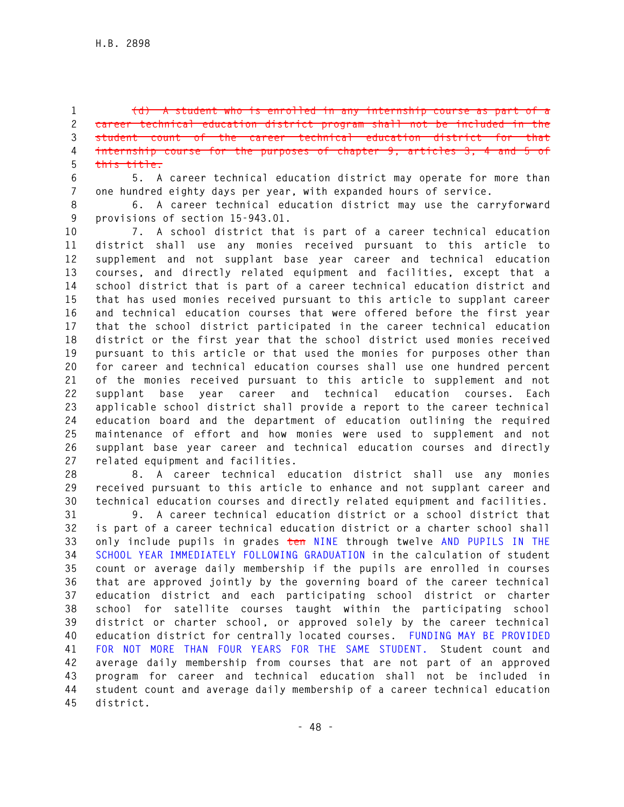**1 (d) A student who is enrolled in any internship course as part of a 2 career technical education district program shall not be included in the 3 student count of the career technical education district for that 4 internship course for the purposes of chapter 9, articles 3, 4 and 5 of 5 this title.** 

**6 5. A career technical education district may operate for more than 7 one hundred eighty days per year, with expanded hours of service.** 

**8 6. A career technical education district may use the carryforward 9 provisions of section 15-943.01.** 

**10 7. A school district that is part of a career technical education 11 district shall use any monies received pursuant to this article to 12 supplement and not supplant base year career and technical education 13 courses, and directly related equipment and facilities, except that a 14 school district that is part of a career technical education district and 15 that has used monies received pursuant to this article to supplant career 16 and technical education courses that were offered before the first year 17 that the school district participated in the career technical education 18 district or the first year that the school district used monies received 19 pursuant to this article or that used the monies for purposes other than 20 for career and technical education courses shall use one hundred percent 21 of the monies received pursuant to this article to supplement and not 22 supplant base year career and technical education courses. Each 23 applicable school district shall provide a report to the career technical 24 education board and the department of education outlining the required 25 maintenance of effort and how monies were used to supplement and not 26 supplant base year career and technical education courses and directly 27 related equipment and facilities.** 

**28 8. A career technical education district shall use any monies 29 received pursuant to this article to enhance and not supplant career and 30 technical education courses and directly related equipment and facilities.** 

**31 9. A career technical education district or a school district that 32 is part of a career technical education district or a charter school shall 33 only include pupils in grades ten NINE through twelve AND PUPILS IN THE 34 SCHOOL YEAR IMMEDIATELY FOLLOWING GRADUATION in the calculation of student 35 count or average daily membership if the pupils are enrolled in courses 36 that are approved jointly by the governing board of the career technical 37 education district and each participating school district or charter 38 school for satellite courses taught within the participating school 39 district or charter school, or approved solely by the career technical 40 education district for centrally located courses. FUNDING MAY BE PROVIDED 41 FOR NOT MORE THAN FOUR YEARS FOR THE SAME STUDENT. Student count and 42 average daily membership from courses that are not part of an approved 43 program for career and technical education shall not be included in 44 student count and average daily membership of a career technical education 45 district.**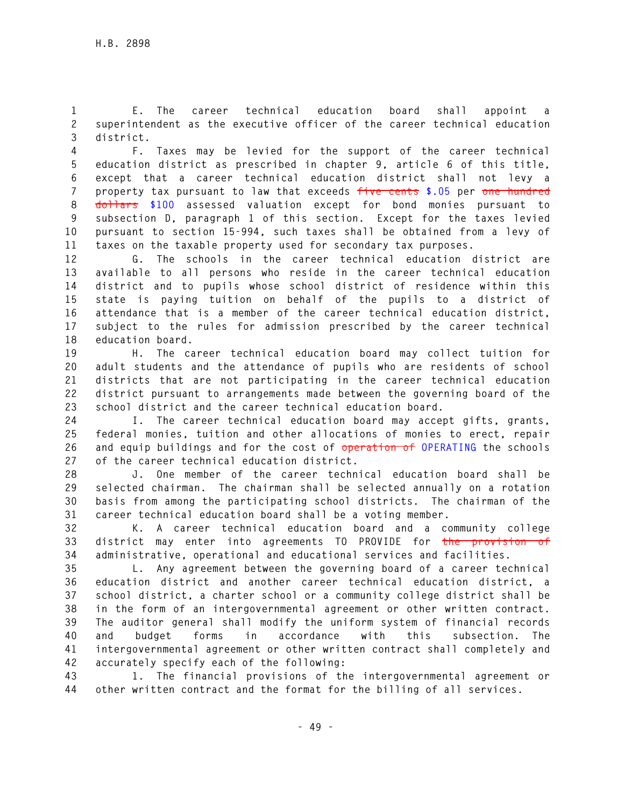**1 E. The career technical education board shall appoint a 2 superintendent as the executive officer of the career technical education 3 district.** 

**4 F. Taxes may be levied for the support of the career technical 5 education district as prescribed in chapter 9, article 6 of this title, 6 except that a career technical education district shall not levy a 7 property tax pursuant to law that exceeds five cents \$.05 per one hundred 8 dollars \$100 assessed valuation except for bond monies pursuant to 9 subsection D, paragraph 1 of this section. Except for the taxes levied 10 pursuant to section 15-994, such taxes shall be obtained from a levy of 11 taxes on the taxable property used for secondary tax purposes.** 

**12 G. The schools in the career technical education district are 13 available to all persons who reside in the career technical education 14 district and to pupils whose school district of residence within this 15 state is paying tuition on behalf of the pupils to a district of 16 attendance that is a member of the career technical education district, 17 subject to the rules for admission prescribed by the career technical 18 education board.** 

**19 H. The career technical education board may collect tuition for 20 adult students and the attendance of pupils who are residents of school 21 districts that are not participating in the career technical education 22 district pursuant to arrangements made between the governing board of the 23 school district and the career technical education board.** 

**24 I. The career technical education board may accept gifts, grants, 25 federal monies, tuition and other allocations of monies to erect, repair 26 and equip buildings and for the cost of operation of OPERATING the schools 27 of the career technical education district.** 

**28 J. One member of the career technical education board shall be 29 selected chairman. The chairman shall be selected annually on a rotation 30 basis from among the participating school districts. The chairman of the 31 career technical education board shall be a voting member.** 

**32 K. A career technical education board and a community college 33 district may enter into agreements TO PROVIDE for the provision of 34 administrative, operational and educational services and facilities.** 

**35 L. Any agreement between the governing board of a career technical 36 education district and another career technical education district, a 37 school district, a charter school or a community college district shall be 38 in the form of an intergovernmental agreement or other written contract. 39 The auditor general shall modify the uniform system of financial records 40 and budget forms in accordance with this subsection. The 41 intergovernmental agreement or other written contract shall completely and 42 accurately specify each of the following:** 

**43 1. The financial provisions of the intergovernmental agreement or 44 other written contract and the format for the billing of all services.**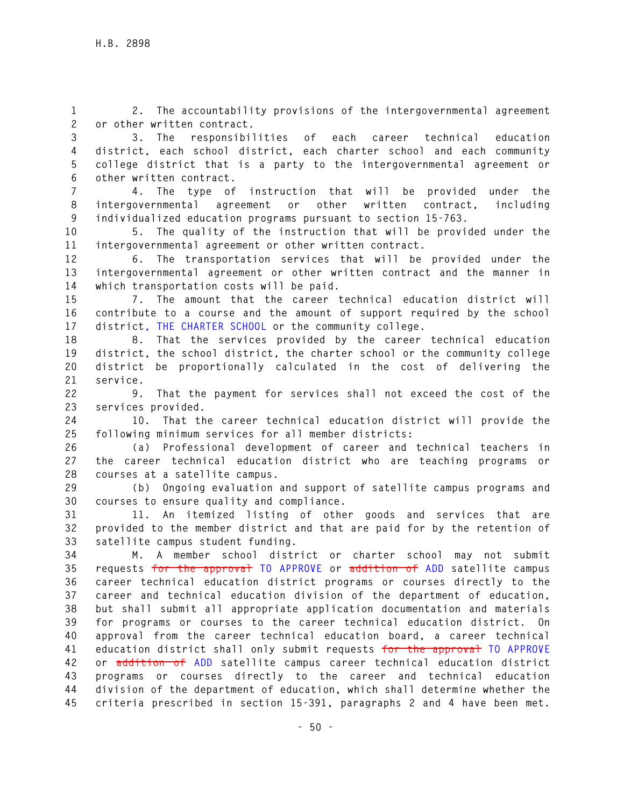**1 2. The accountability provisions of the intergovernmental agreement 2 or other written contract.** 

**3 3. The responsibilities of each career technical education 4 district, each school district, each charter school and each community 5 college district that is a party to the intergovernmental agreement or 6 other written contract.** 

**7 4. The type of instruction that will be provided under the 8 intergovernmental agreement or other written contract, including 9 individualized education programs pursuant to section 15-763.** 

**10 5. The quality of the instruction that will be provided under the 11 intergovernmental agreement or other written contract.** 

**12 6. The transportation services that will be provided under the 13 intergovernmental agreement or other written contract and the manner in 14 which transportation costs will be paid.** 

**15 7. The amount that the career technical education district will 16 contribute to a course and the amount of support required by the school 17 district, THE CHARTER SCHOOL or the community college.** 

**18 8. That the services provided by the career technical education 19 district, the school district, the charter school or the community college 20 district be proportionally calculated in the cost of delivering the 21 service.** 

**22 9. That the payment for services shall not exceed the cost of the 23 services provided.** 

**24 10. That the career technical education district will provide the 25 following minimum services for all member districts:** 

**26 (a) Professional development of career and technical teachers in 27 the career technical education district who are teaching programs or 28 courses at a satellite campus.** 

**29 (b) Ongoing evaluation and support of satellite campus programs and 30 courses to ensure quality and compliance.** 

**31 11. An itemized listing of other goods and services that are 32 provided to the member district and that are paid for by the retention of 33 satellite campus student funding.** 

**34 M. A member school district or charter school may not submit 35 requests for the approval TO APPROVE or addition of ADD satellite campus 36 career technical education district programs or courses directly to the 37 career and technical education division of the department of education, 38 but shall submit all appropriate application documentation and materials 39 for programs or courses to the career technical education district. On 40 approval from the career technical education board, a career technical 41 education district shall only submit requests for the approval TO APPROVE 42 or addition of ADD satellite campus career technical education district 43 programs or courses directly to the career and technical education 44 division of the department of education, which shall determine whether the 45 criteria prescribed in section 15-391, paragraphs 2 and 4 have been met.**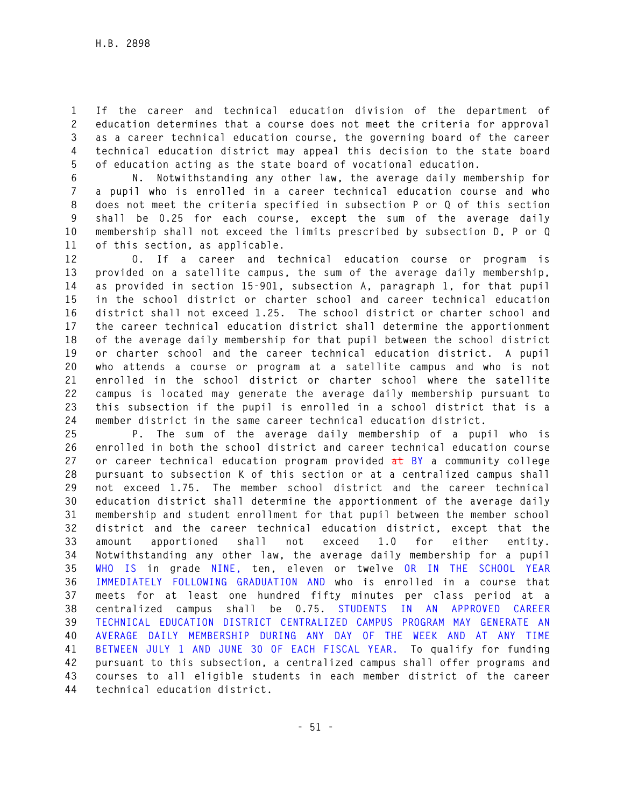**1 If the career and technical education division of the department of 2 education determines that a course does not meet the criteria for approval 3 as a career technical education course, the governing board of the career 4 technical education district may appeal this decision to the state board 5 of education acting as the state board of vocational education.** 

**6 N. Notwithstanding any other law, the average daily membership for 7 a pupil who is enrolled in a career technical education course and who 8 does not meet the criteria specified in subsection P or Q of this section 9 shall be 0.25 for each course, except the sum of the average daily 10 membership shall not exceed the limits prescribed by subsection D, P or Q 11 of this section, as applicable.** 

**12 O. If a career and technical education course or program is 13 provided on a satellite campus, the sum of the average daily membership, 14 as provided in section 15-901, subsection A, paragraph 1, for that pupil 15 in the school district or charter school and career technical education 16 district shall not exceed 1.25. The school district or charter school and 17 the career technical education district shall determine the apportionment 18 of the average daily membership for that pupil between the school district 19 or charter school and the career technical education district. A pupil 20 who attends a course or program at a satellite campus and who is not 21 enrolled in the school district or charter school where the satellite 22 campus is located may generate the average daily membership pursuant to 23 this subsection if the pupil is enrolled in a school district that is a 24 member district in the same career technical education district.** 

**25 P. The sum of the average daily membership of a pupil who is 26 enrolled in both the school district and career technical education course 27 or career technical education program provided at BY a community college 28 pursuant to subsection K of this section or at a centralized campus shall 29 not exceed 1.75. The member school district and the career technical 30 education district shall determine the apportionment of the average daily 31 membership and student enrollment for that pupil between the member school 32 district and the career technical education district, except that the 33 amount apportioned shall not exceed 1.0 for either entity. 34 Notwithstanding any other law, the average daily membership for a pupil 35 WHO IS in grade NINE, ten, eleven or twelve OR IN THE SCHOOL YEAR 36 IMMEDIATELY FOLLOWING GRADUATION AND who is enrolled in a course that 37 meets for at least one hundred fifty minutes per class period at a 38 centralized campus shall be 0.75. STUDENTS IN AN APPROVED CAREER 39 TECHNICAL EDUCATION DISTRICT CENTRALIZED CAMPUS PROGRAM MAY GENERATE AN 40 AVERAGE DAILY MEMBERSHIP DURING ANY DAY OF THE WEEK AND AT ANY TIME 41 BETWEEN JULY 1 AND JUNE 30 OF EACH FISCAL YEAR. To qualify for funding 42 pursuant to this subsection, a centralized campus shall offer programs and 43 courses to all eligible students in each member district of the career 44 technical education district.**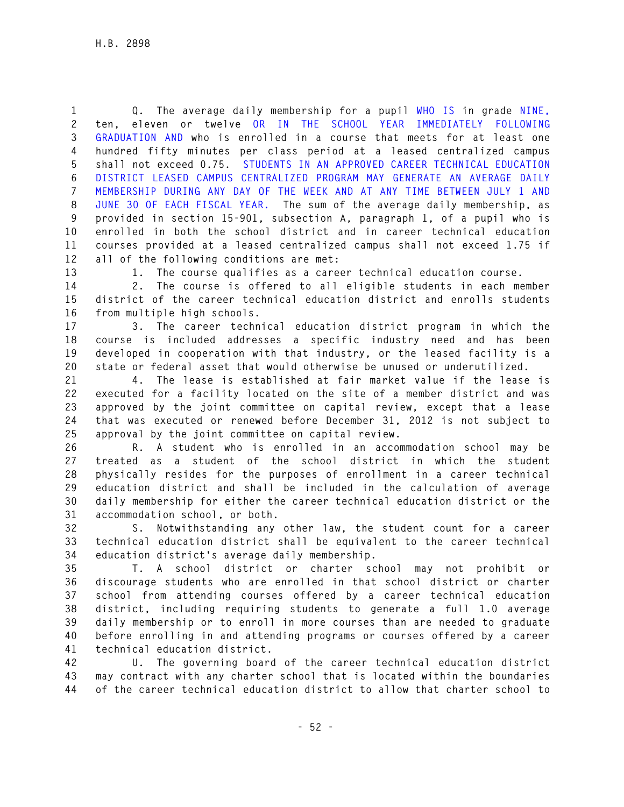**1 Q. The average daily membership for a pupil WHO IS in grade NINE, 2 ten, eleven or twelve OR IN THE SCHOOL YEAR IMMEDIATELY FOLLOWING 3 GRADUATION AND who is enrolled in a course that meets for at least one 4 hundred fifty minutes per class period at a leased centralized campus 5 shall not exceed 0.75. STUDENTS IN AN APPROVED CAREER TECHNICAL EDUCATION 6 DISTRICT LEASED CAMPUS CENTRALIZED PROGRAM MAY GENERATE AN AVERAGE DAILY 7 MEMBERSHIP DURING ANY DAY OF THE WEEK AND AT ANY TIME BETWEEN JULY 1 AND 8 JUNE 30 OF EACH FISCAL YEAR. The sum of the average daily membership, as 9 provided in section 15-901, subsection A, paragraph 1, of a pupil who is 10 enrolled in both the school district and in career technical education 11 courses provided at a leased centralized campus shall not exceed 1.75 if 12 all of the following conditions are met:** 

**13 1. The course qualifies as a career technical education course.** 

**14 2. The course is offered to all eligible students in each member 15 district of the career technical education district and enrolls students 16 from multiple high schools.** 

**17 3. The career technical education district program in which the 18 course is included addresses a specific industry need and has been 19 developed in cooperation with that industry, or the leased facility is a 20 state or federal asset that would otherwise be unused or underutilized.** 

**21 4. The lease is established at fair market value if the lease is 22 executed for a facility located on the site of a member district and was 23 approved by the joint committee on capital review, except that a lease 24 that was executed or renewed before December 31, 2012 is not subject to 25 approval by the joint committee on capital review.** 

**26 R. A student who is enrolled in an accommodation school may be 27 treated as a student of the school district in which the student 28 physically resides for the purposes of enrollment in a career technical 29 education district and shall be included in the calculation of average 30 daily membership for either the career technical education district or the 31 accommodation school, or both.** 

**32 S. Notwithstanding any other law, the student count for a career 33 technical education district shall be equivalent to the career technical 34 education district's average daily membership.** 

**35 T. A school district or charter school may not prohibit or 36 discourage students who are enrolled in that school district or charter 37 school from attending courses offered by a career technical education 38 district, including requiring students to generate a full 1.0 average 39 daily membership or to enroll in more courses than are needed to graduate 40 before enrolling in and attending programs or courses offered by a career 41 technical education district.** 

**42 U. The governing board of the career technical education district 43 may contract with any charter school that is located within the boundaries 44 of the career technical education district to allow that charter school to**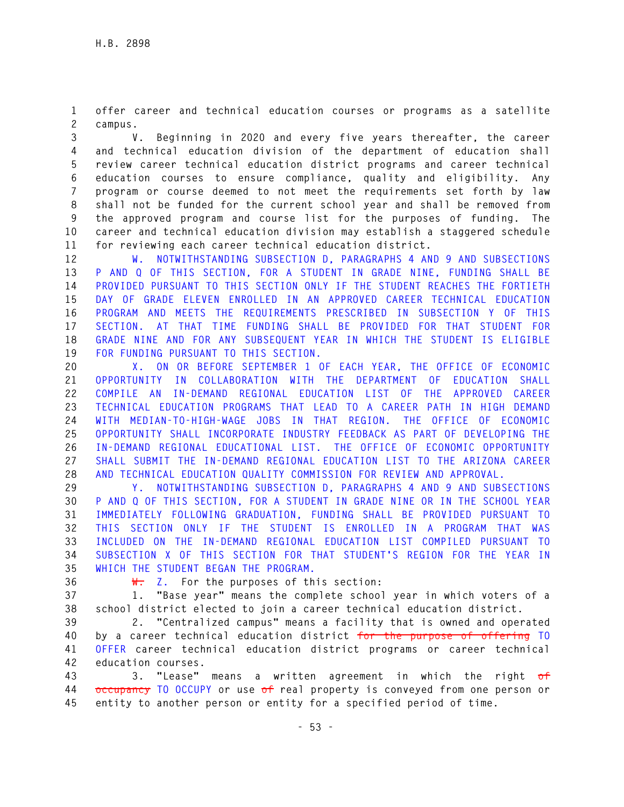**1 offer career and technical education courses or programs as a satellite 2 campus.** 

**3 V. Beginning in 2020 and every five years thereafter, the career 4 and technical education division of the department of education shall 5 review career technical education district programs and career technical 6 education courses to ensure compliance, quality and eligibility. Any 7 program or course deemed to not meet the requirements set forth by law 8 shall not be funded for the current school year and shall be removed from 9 the approved program and course list for the purposes of funding. The 10 career and technical education division may establish a staggered schedule 11 for reviewing each career technical education district.** 

**12 W. NOTWITHSTANDING SUBSECTION D, PARAGRAPHS 4 AND 9 AND SUBSECTIONS 13 P AND Q OF THIS SECTION, FOR A STUDENT IN GRADE NINE, FUNDING SHALL BE 14 PROVIDED PURSUANT TO THIS SECTION ONLY IF THE STUDENT REACHES THE FORTIETH 15 DAY OF GRADE ELEVEN ENROLLED IN AN APPROVED CAREER TECHNICAL EDUCATION 16 PROGRAM AND MEETS THE REQUIREMENTS PRESCRIBED IN SUBSECTION Y OF THIS 17 SECTION. AT THAT TIME FUNDING SHALL BE PROVIDED FOR THAT STUDENT FOR 18 GRADE NINE AND FOR ANY SUBSEQUENT YEAR IN WHICH THE STUDENT IS ELIGIBLE 19 FOR FUNDING PURSUANT TO THIS SECTION.** 

**20 X. ON OR BEFORE SEPTEMBER 1 OF EACH YEAR, THE OFFICE OF ECONOMIC 21 OPPORTUNITY IN COLLABORATION WITH THE DEPARTMENT OF EDUCATION SHALL 22 COMPILE AN IN-DEMAND REGIONAL EDUCATION LIST OF THE APPROVED CAREER 23 TECHNICAL EDUCATION PROGRAMS THAT LEAD TO A CAREER PATH IN HIGH DEMAND 24 WITH MEDIAN-TO-HIGH-WAGE JOBS IN THAT REGION. THE OFFICE OF ECONOMIC 25 OPPORTUNITY SHALL INCORPORATE INDUSTRY FEEDBACK AS PART OF DEVELOPING THE 26 IN-DEMAND REGIONAL EDUCATIONAL LIST. THE OFFICE OF ECONOMIC OPPORTUNITY 27 SHALL SUBMIT THE IN-DEMAND REGIONAL EDUCATION LIST TO THE ARIZONA CAREER 28 AND TECHNICAL EDUCATION QUALITY COMMISSION FOR REVIEW AND APPROVAL.** 

**29 Y. NOTWITHSTANDING SUBSECTION D, PARAGRAPHS 4 AND 9 AND SUBSECTIONS 30 P AND Q OF THIS SECTION, FOR A STUDENT IN GRADE NINE OR IN THE SCHOOL YEAR 31 IMMEDIATELY FOLLOWING GRADUATION, FUNDING SHALL BE PROVIDED PURSUANT TO 32 THIS SECTION ONLY IF THE STUDENT IS ENROLLED IN A PROGRAM THAT WAS 33 INCLUDED ON THE IN-DEMAND REGIONAL EDUCATION LIST COMPILED PURSUANT TO 34 SUBSECTION X OF THIS SECTION FOR THAT STUDENT'S REGION FOR THE YEAR IN 35 WHICH THE STUDENT BEGAN THE PROGRAM.** 

**36 W. Z. For the purposes of this section:** 

**37 1. "Base year" means the complete school year in which voters of a 38 school district elected to join a career technical education district.** 

**39 2. "Centralized campus" means a facility that is owned and operated 40 by a career technical education district for the purpose of offering TO 41 OFFER career technical education district programs or career technical 42 education courses.** 

**43 3. "Lease" means a written agreement in which the right of 44 occupancy TO OCCUPY or use of real property is conveyed from one person or 45 entity to another person or entity for a specified period of time.**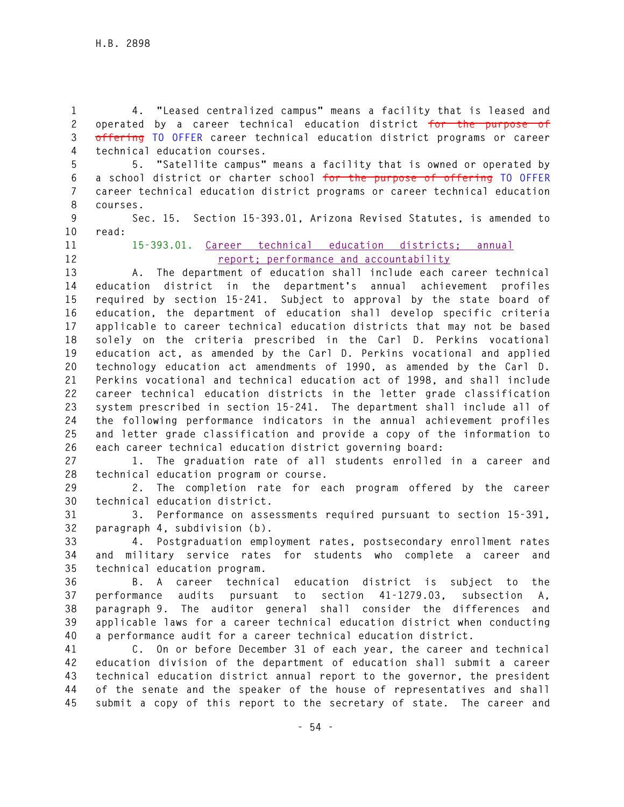**1 4. "Leased centralized campus" means a facility that is leased and 2 operated by a career technical education district for the purpose of 3 offering TO OFFER career technical education district programs or career 4 technical education courses.** 

**5 5. "Satellite campus" means a facility that is owned or operated by 6 a school district or charter school for the purpose of offering TO OFFER 7 career technical education district programs or career technical education 8 courses.** 

**9 Sec. 15. Section 15-393.01, Arizona Revised Statutes, is amended to 10 read:** 

**11 15-393.01. Career technical education districts; annual 12 report; performance and accountability**

**13 A. The department of education shall include each career technical 14 education district in the department's annual achievement profiles 15 required by section 15-241. Subject to approval by the state board of 16 education, the department of education shall develop specific criteria 17 applicable to career technical education districts that may not be based 18 solely on the criteria prescribed in the Carl D. Perkins vocational 19 education act, as amended by the Carl D. Perkins vocational and applied 20 technology education act amendments of 1990, as amended by the Carl D. 21 Perkins vocational and technical education act of 1998, and shall include 22 career technical education districts in the letter grade classification 23 system prescribed in section 15-241. The department shall include all of 24 the following performance indicators in the annual achievement profiles 25 and letter grade classification and provide a copy of the information to 26 each career technical education district governing board:** 

**27 1. The graduation rate of all students enrolled in a career and 28 technical education program or course.** 

**29 2. The completion rate for each program offered by the career 30 technical education district.** 

**31 3. Performance on assessments required pursuant to section 15-391, 32 paragraph 4, subdivision (b).** 

**33 4. Postgraduation employment rates, postsecondary enrollment rates 34 and military service rates for students who complete a career and 35 technical education program.** 

**36 B. A career technical education district is subject to the 37 performance audits pursuant to section 41-1279.03, subsection A, 38 paragraph 9. The auditor general shall consider the differences and 39 applicable laws for a career technical education district when conducting 40 a performance audit for a career technical education district.** 

**41 C. On or before December 31 of each year, the career and technical 42 education division of the department of education shall submit a career 43 technical education district annual report to the governor, the president 44 of the senate and the speaker of the house of representatives and shall 45 submit a copy of this report to the secretary of state. The career and**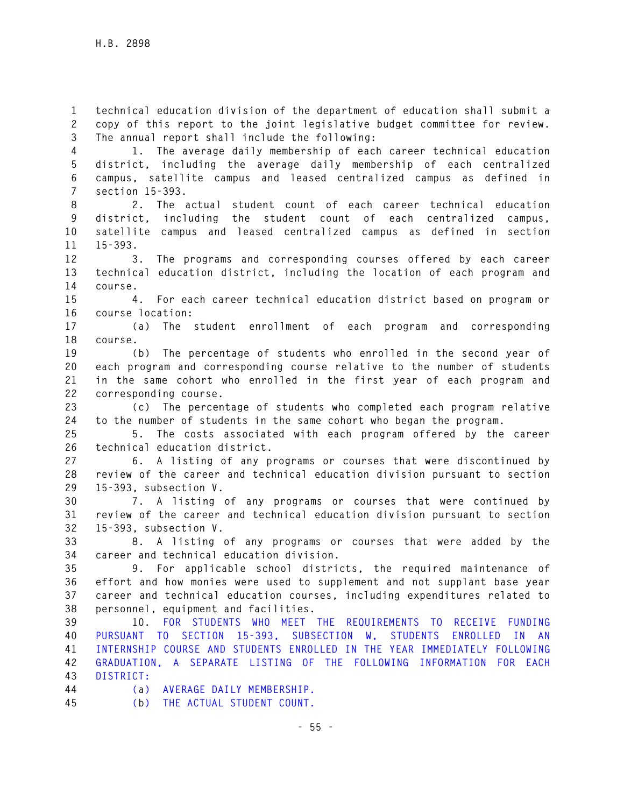**1 technical education division of the department of education shall submit a 2 copy of this report to the joint legislative budget committee for review. 3 The annual report shall include the following:** 

**4 1. The average daily membership of each career technical education 5 district, including the average daily membership of each centralized 6 campus, satellite campus and leased centralized campus as defined in 7 section 15-393.** 

**8 2. The actual student count of each career technical education 9 district, including the student count of each centralized campus, 10 satellite campus and leased centralized campus as defined in section 11 15-393.** 

**12 3. The programs and corresponding courses offered by each career 13 technical education district, including the location of each program and 14 course.** 

**15 4. For each career technical education district based on program or 16 course location:** 

**17 (a) The student enrollment of each program and corresponding 18 course.** 

**19 (b) The percentage of students who enrolled in the second year of 20 each program and corresponding course relative to the number of students 21 in the same cohort who enrolled in the first year of each program and 22 corresponding course.** 

**23 (c) The percentage of students who completed each program relative 24 to the number of students in the same cohort who began the program.** 

**25 5. The costs associated with each program offered by the career 26 technical education district.** 

**27 6. A listing of any programs or courses that were discontinued by 28 review of the career and technical education division pursuant to section 29 15-393, subsection V.** 

**30 7. A listing of any programs or courses that were continued by 31 review of the career and technical education division pursuant to section 32 15-393, subsection V.** 

**33 8. A listing of any programs or courses that were added by the 34 career and technical education division.** 

**35 9. For applicable school districts, the required maintenance of 36 effort and how monies were used to supplement and not supplant base year 37 career and technical education courses, including expenditures related to 38 personnel, equipment and facilities.** 

**39 10. FOR STUDENTS WHO MEET THE REQUIREMENTS TO RECEIVE FUNDING 40 PURSUANT TO SECTION 15-393, SUBSECTION W, STUDENTS ENROLLED IN AN 41 INTERNSHIP COURSE AND STUDENTS ENROLLED IN THE YEAR IMMEDIATELY FOLLOWING 42 GRADUATION, A SEPARATE LISTING OF THE FOLLOWING INFORMATION FOR EACH 43 DISTRICT:** 

**44 (a) AVERAGE DAILY MEMBERSHIP.** 

**45 (b) THE ACTUAL STUDENT COUNT.**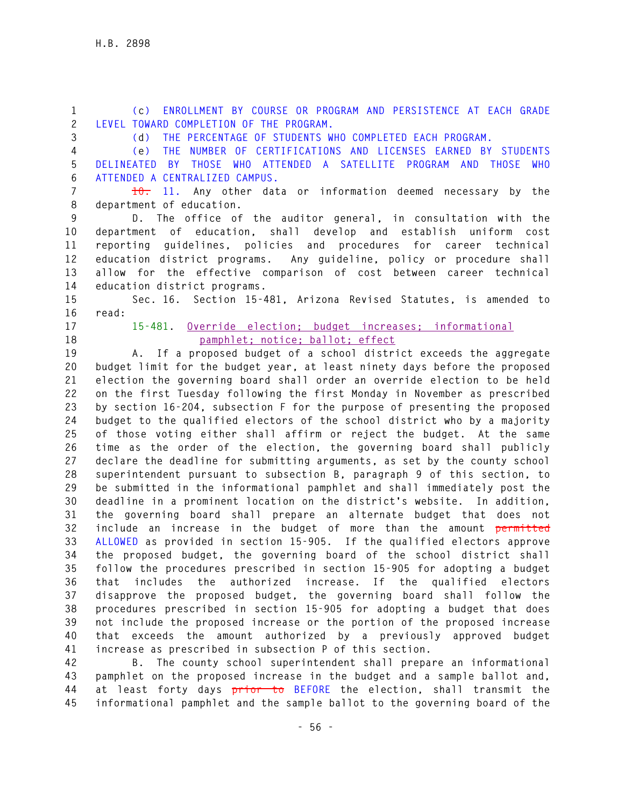**1 (c) ENROLLMENT BY COURSE OR PROGRAM AND PERSISTENCE AT EACH GRADE 2 LEVEL TOWARD COMPLETION OF THE PROGRAM.** 

**3 (d) THE PERCENTAGE OF STUDENTS WHO COMPLETED EACH PROGRAM.** 

**4 (e) THE NUMBER OF CERTIFICATIONS AND LICENSES EARNED BY STUDENTS 5 DELINEATED BY THOSE WHO ATTENDED A SATELLITE PROGRAM AND THOSE WHO 6 ATTENDED A CENTRALIZED CAMPUS.** 

**7 10. 11. Any other data or information deemed necessary by the 8 department of education.** 

**9 D. The office of the auditor general, in consultation with the 10 department of education, shall develop and establish uniform cost 11 reporting guidelines, policies and procedures for career technical 12 education district programs. Any guideline, policy or procedure shall 13 allow for the effective comparison of cost between career technical 14 education district programs.** 

**15 Sec. 16. Section 15-481, Arizona Revised Statutes, is amended to 16 read:** 

- 
- 

**17 15-481. Override election; budget increases; informational 18 pamphlet; notice; ballot; effect**

**19 A. If a proposed budget of a school district exceeds the aggregate 20 budget limit for the budget year, at least ninety days before the proposed 21 election the governing board shall order an override election to be held 22 on the first Tuesday following the first Monday in November as prescribed 23 by section 16-204, subsection F for the purpose of presenting the proposed 24 budget to the qualified electors of the school district who by a majority 25 of those voting either shall affirm or reject the budget. At the same 26 time as the order of the election, the governing board shall publicly 27 declare the deadline for submitting arguments, as set by the county school 28 superintendent pursuant to subsection B, paragraph 9 of this section, to 29 be submitted in the informational pamphlet and shall immediately post the 30 deadline in a prominent location on the district's website. In addition, 31 the governing board shall prepare an alternate budget that does not 32 include an increase in the budget of more than the amount permitted 33 ALLOWED as provided in section 15-905. If the qualified electors approve 34 the proposed budget, the governing board of the school district shall 35 follow the procedures prescribed in section 15-905 for adopting a budget 36 that includes the authorized increase. If the qualified electors 37 disapprove the proposed budget, the governing board shall follow the 38 procedures prescribed in section 15-905 for adopting a budget that does 39 not include the proposed increase or the portion of the proposed increase 40 that exceeds the amount authorized by a previously approved budget 41 increase as prescribed in subsection P of this section.** 

**42 B. The county school superintendent shall prepare an informational 43 pamphlet on the proposed increase in the budget and a sample ballot and, 44 at least forty days prior to BEFORE the election, shall transmit the 45 informational pamphlet and the sample ballot to the governing board of the**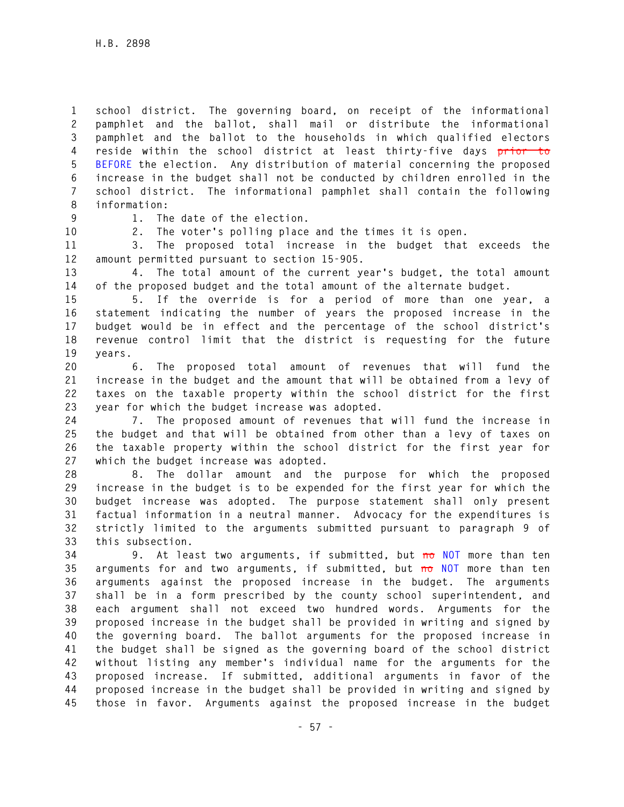**1 school district. The governing board, on receipt of the informational 2 pamphlet and the ballot, shall mail or distribute the informational 3 pamphlet and the ballot to the households in which qualified electors 4 reside within the school district at least thirty-five days prior to 5 BEFORE the election. Any distribution of material concerning the proposed 6 increase in the budget shall not be conducted by children enrolled in the 7 school district. The informational pamphlet shall contain the following 8 information:** 

**9 1. The date of the election.** 

**10 2. The voter's polling place and the times it is open.** 

**11 3. The proposed total increase in the budget that exceeds the 12 amount permitted pursuant to section 15-905.** 

**13 4. The total amount of the current year's budget, the total amount 14 of the proposed budget and the total amount of the alternate budget.** 

**15 5. If the override is for a period of more than one year, a 16 statement indicating the number of years the proposed increase in the 17 budget would be in effect and the percentage of the school district's 18 revenue control limit that the district is requesting for the future 19 years.** 

**20 6. The proposed total amount of revenues that will fund the 21 increase in the budget and the amount that will be obtained from a levy of 22 taxes on the taxable property within the school district for the first 23 year for which the budget increase was adopted.** 

**24 7. The proposed amount of revenues that will fund the increase in 25 the budget and that will be obtained from other than a levy of taxes on 26 the taxable property within the school district for the first year for 27 which the budget increase was adopted.** 

**28 8. The dollar amount and the purpose for which the proposed 29 increase in the budget is to be expended for the first year for which the 30 budget increase was adopted. The purpose statement shall only present 31 factual information in a neutral manner. Advocacy for the expenditures is 32 strictly limited to the arguments submitted pursuant to paragraph 9 of 33 this subsection.** 

**34 9. At least two arguments, if submitted, but no NOT more than ten 35 arguments for and two arguments, if submitted, but no NOT more than ten 36 arguments against the proposed increase in the budget. The arguments 37 shall be in a form prescribed by the county school superintendent, and 38 each argument shall not exceed two hundred words. Arguments for the 39 proposed increase in the budget shall be provided in writing and signed by 40 the governing board. The ballot arguments for the proposed increase in 41 the budget shall be signed as the governing board of the school district 42 without listing any member's individual name for the arguments for the 43 proposed increase. If submitted, additional arguments in favor of the 44 proposed increase in the budget shall be provided in writing and signed by 45 those in favor. Arguments against the proposed increase in the budget**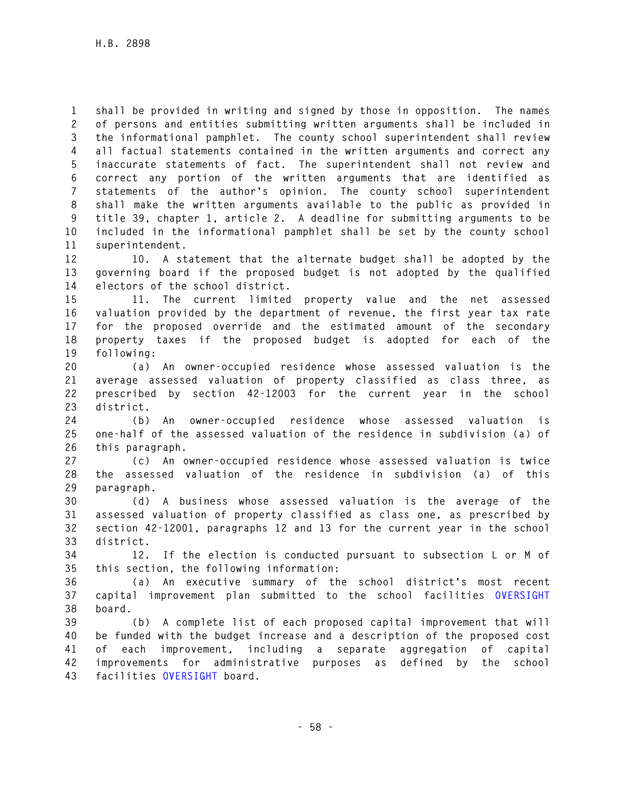**1 shall be provided in writing and signed by those in opposition. The names 2 of persons and entities submitting written arguments shall be included in 3 the informational pamphlet. The county school superintendent shall review 4 all factual statements contained in the written arguments and correct any 5 inaccurate statements of fact. The superintendent shall not review and 6 correct any portion of the written arguments that are identified as 7 statements of the author's opinion. The county school superintendent 8 shall make the written arguments available to the public as provided in 9 title 39, chapter 1, article 2. A deadline for submitting arguments to be 10 included in the informational pamphlet shall be set by the county school 11 superintendent.** 

**12 10. A statement that the alternate budget shall be adopted by the 13 governing board if the proposed budget is not adopted by the qualified 14 electors of the school district.** 

**15 11. The current limited property value and the net assessed 16 valuation provided by the department of revenue, the first year tax rate 17 for the proposed override and the estimated amount of the secondary 18 property taxes if the proposed budget is adopted for each of the 19 following:** 

**20 (a) An owner-occupied residence whose assessed valuation is the 21 average assessed valuation of property classified as class three, as 22 prescribed by section 42-12003 for the current year in the school 23 district.** 

**24 (b) An owner-occupied residence whose assessed valuation is 25 one-half of the assessed valuation of the residence in subdivision (a) of 26 this paragraph.** 

**27 (c) An owner-occupied residence whose assessed valuation is twice 28 the assessed valuation of the residence in subdivision (a) of this 29 paragraph.** 

**30 (d) A business whose assessed valuation is the average of the 31 assessed valuation of property classified as class one, as prescribed by 32 section 42-12001, paragraphs 12 and 13 for the current year in the school 33 district.** 

**34 12. If the election is conducted pursuant to subsection L or M of 35 this section, the following information:** 

**36 (a) An executive summary of the school district's most recent 37 capital improvement plan submitted to the school facilities OVERSIGHT 38 board.** 

**39 (b) A complete list of each proposed capital improvement that will 40 be funded with the budget increase and a description of the proposed cost 41 of each improvement, including a separate aggregation of capital 42 improvements for administrative purposes as defined by the school 43 facilities OVERSIGHT board.**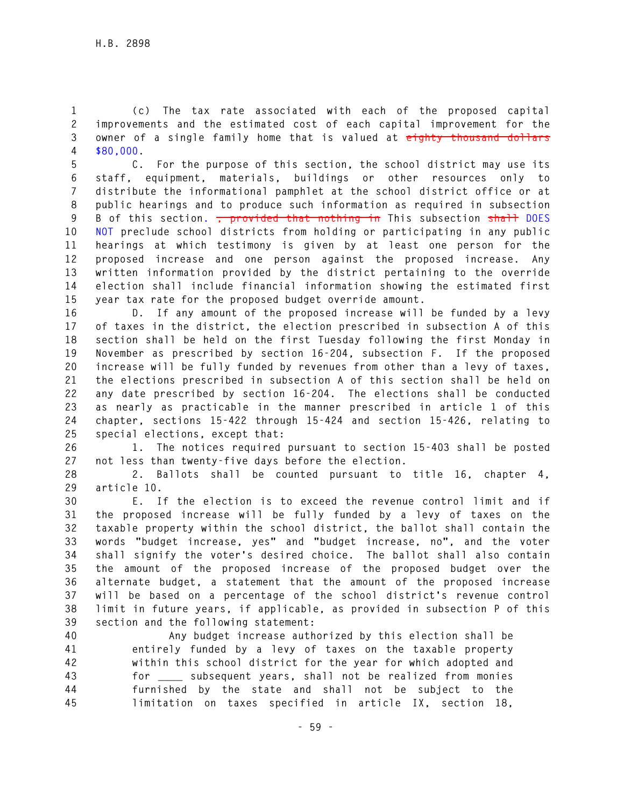**1 (c) The tax rate associated with each of the proposed capital 2 improvements and the estimated cost of each capital improvement for the 3 owner of a single family home that is valued at eighty thousand dollars 4 \$80,000.** 

**5 C. For the purpose of this section, the school district may use its 6 staff, equipment, materials, buildings or other resources only to 7 distribute the informational pamphlet at the school district office or at 8 public hearings and to produce such information as required in subsection 9 B of this section. , provided that nothing in This subsection shall DOES 10 NOT preclude school districts from holding or participating in any public 11 hearings at which testimony is given by at least one person for the 12 proposed increase and one person against the proposed increase. Any 13 written information provided by the district pertaining to the override 14 election shall include financial information showing the estimated first 15 year tax rate for the proposed budget override amount.** 

**16 D. If any amount of the proposed increase will be funded by a levy 17 of taxes in the district, the election prescribed in subsection A of this 18 section shall be held on the first Tuesday following the first Monday in 19 November as prescribed by section 16-204, subsection F. If the proposed 20 increase will be fully funded by revenues from other than a levy of taxes, 21 the elections prescribed in subsection A of this section shall be held on 22 any date prescribed by section 16-204. The elections shall be conducted 23 as nearly as practicable in the manner prescribed in article 1 of this 24 chapter, sections 15-422 through 15-424 and section 15-426, relating to 25 special elections, except that:** 

**26 1. The notices required pursuant to section 15-403 shall be posted 27 not less than twenty-five days before the election.** 

**28 2. Ballots shall be counted pursuant to title 16, chapter 4, 29 article 10.** 

**30 E. If the election is to exceed the revenue control limit and if 31 the proposed increase will be fully funded by a levy of taxes on the 32 taxable property within the school district, the ballot shall contain the 33 words "budget increase, yes" and "budget increase, no", and the voter 34 shall signify the voter's desired choice. The ballot shall also contain 35 the amount of the proposed increase of the proposed budget over the 36 alternate budget, a statement that the amount of the proposed increase 37 will be based on a percentage of the school district's revenue control 38 limit in future years, if applicable, as provided in subsection P of this 39 section and the following statement:** 

**40 Any budget increase authorized by this election shall be 41 entirely funded by a levy of taxes on the taxable property 42 within this school district for the year for which adopted and 43 for \_\_\_\_ subsequent years, shall not be realized from monies 44 furnished by the state and shall not be subject to the 45 limitation on taxes specified in article IX, section 18,**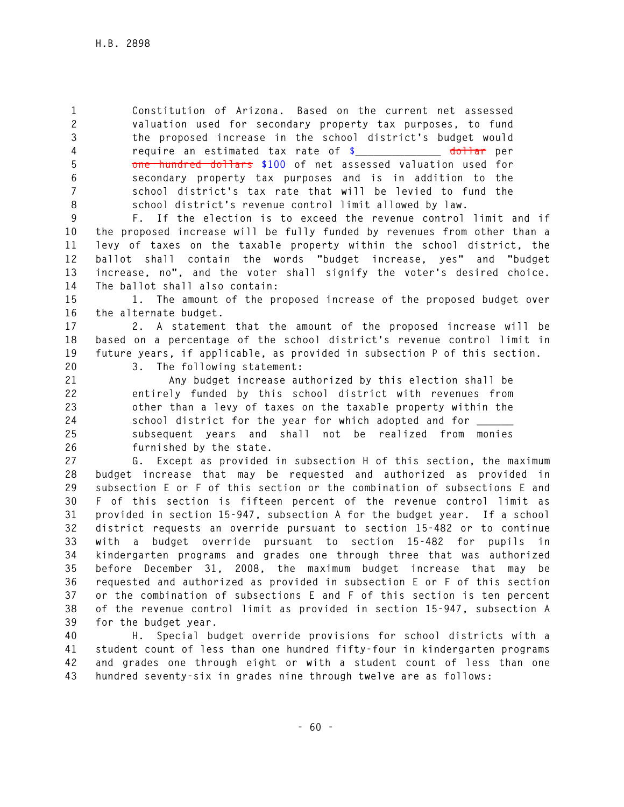**1 Constitution of Arizona. Based on the current net assessed 2 valuation used for secondary property tax purposes, to fund 3 the proposed increase in the school district's budget would 4 require an estimated tax rate of \$\_\_\_\_\_\_\_\_\_\_\_\_\_\_ dollar per 5 one hundred dollars \$100 of net assessed valuation used for 6 secondary property tax purposes and is in addition to the 7 school district's tax rate that will be levied to fund the 8 school district's revenue control limit allowed by law.** 

**9 F. If the election is to exceed the revenue control limit and if 10 the proposed increase will be fully funded by revenues from other than a 11 levy of taxes on the taxable property within the school district, the 12 ballot shall contain the words "budget increase, yes" and "budget 13 increase, no", and the voter shall signify the voter's desired choice. 14 The ballot shall also contain:** 

**15 1. The amount of the proposed increase of the proposed budget over 16 the alternate budget.** 

**17 2. A statement that the amount of the proposed increase will be 18 based on a percentage of the school district's revenue control limit in 19 future years, if applicable, as provided in subsection P of this section. 20 3. The following statement:** 

**21 Any budget increase authorized by this election shall be 22 entirely funded by this school district with revenues from 23 other than a levy of taxes on the taxable property within the 24 school district for the year for which adopted and for \_\_\_\_\_\_ 25 subsequent years and shall not be realized from monies 26 furnished by the state.** 

**27 G. Except as provided in subsection H of this section, the maximum 28 budget increase that may be requested and authorized as provided in 29 subsection E or F of this section or the combination of subsections E and 30 F of this section is fifteen percent of the revenue control limit as 31 provided in section 15-947, subsection A for the budget year. If a school 32 district requests an override pursuant to section 15-482 or to continue 33 with a budget override pursuant to section 15-482 for pupils in 34 kindergarten programs and grades one through three that was authorized 35 before December 31, 2008, the maximum budget increase that may be 36 requested and authorized as provided in subsection E or F of this section 37 or the combination of subsections E and F of this section is ten percent 38 of the revenue control limit as provided in section 15-947, subsection A 39 for the budget year.** 

**40 H. Special budget override provisions for school districts with a 41 student count of less than one hundred fifty-four in kindergarten programs 42 and grades one through eight or with a student count of less than one 43 hundred seventy-six in grades nine through twelve are as follows:**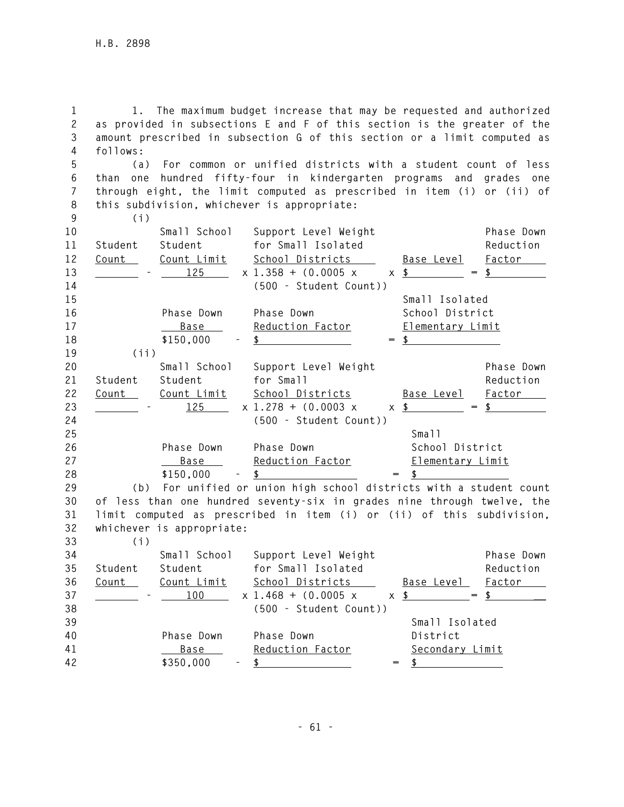**1 1. The maximum budget increase that may be requested and authorized 2 as provided in subsections E and F of this section is the greater of the 3 amount prescribed in subsection G of this section or a limit computed as 4 follows:** 

**5 (a) For common or unified districts with a student count of less 6 than one hundred fifty-four in kindergarten programs and grades one** 

**7 through eight, the limit computed as prescribed in item (i) or (ii) of 8 this subdivision, whichever is appropriate:** 

**33 (i)** 

| 9  | (i)     |                    |                                   |     |                    |               |
|----|---------|--------------------|-----------------------------------|-----|--------------------|---------------|
| 10 |         |                    | Small School Support Level Weight |     |                    | Phase Down    |
| 11 | Student | Student            | for Small Isolated                |     |                    | Reduction     |
| 12 | Count   | <u>Count Limit</u> | School Districts                  |     | Base Level         | Factor        |
| 13 |         | 125                | $x$ 1.358 + (0.0005 x             |     | $x$ \$<br>$=$      | $\frac{1}{2}$ |
| 14 |         |                    | (500 - Student Count))            |     |                    |               |
| 15 |         |                    |                                   |     | Small Isolated     |               |
| 16 |         | Phase Down         | Phase Down                        |     | School District    |               |
| 17 |         | <u>Base</u>        | Reduction Factor                  |     | Elementary Limit   |               |
| 18 |         | \$150,000          | $\mathbf{s}$                      | $=$ |                    |               |
| 19 | (i)     |                    |                                   |     |                    |               |
|    |         |                    |                                   |     |                    |               |
| 20 |         | Small School       | Support Level Weight              |     |                    | Phase Down    |
| 21 | Student | Student            | for Small                         |     |                    | Reduction     |
| 22 | Count   | Count Limit        | School Districts                  |     | <u>Base Level</u>  | <b>Factor</b> |
| 23 |         | 125                | $x 1.278 + (0.0003 x)$            |     | $\times$ \$<br>$=$ |               |
| 24 |         |                    | (500 - Student Count))            |     |                    |               |
| 25 |         |                    |                                   |     | Small              |               |
| 26 |         | Phase Down         | Phase Down                        |     | School District    |               |
| 27 |         | <u>Base</u>        | Reduction Factor                  |     | Elementary Limit   |               |
| 28 |         | \$150,000          | \$                                |     |                    |               |

**30 of less than one hundred seventy-six in grades nine through twelve, the 31 limit computed as prescribed in item (i) or (ii) of this subdivision, 32 whichever is appropriate:** 

| 34<br>35 | Student      | Small School<br>Student |            | Support Level Weight<br>for Small Isolated |     |                   | Phase Down<br>Reduction |
|----------|--------------|-------------------------|------------|--------------------------------------------|-----|-------------------|-------------------------|
| 36       | <u>Count</u> | Count Limit             |            | School Districts                           |     | <u>Base Level</u> | Factor                  |
| 37       |              | 100                     |            | $x 1.468 + (0.0005 x$                      |     | $\times$ \$       | $=$ \$                  |
| 38       |              |                         |            | (500 - Student Count))                     |     |                   |                         |
| 39       |              |                         |            |                                            |     | Small Isolated    |                         |
| 40       |              | Phase Down              |            | Phase Down                                 |     | District          |                         |
| 41       |              | Base ___                |            | Reduction Factor                           |     | Secondary Limit   |                         |
| 42       |              | \$350,000               | $\sim 100$ | $\sim$                                     | $=$ |                   |                         |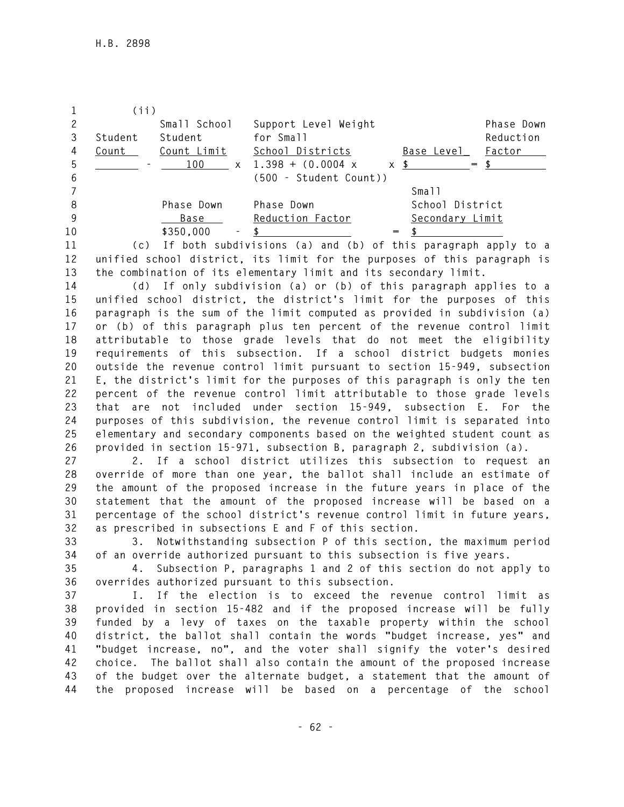|    | (ii)    |                                       |                                                                                                                                                                                                                                               |                 |            |
|----|---------|---------------------------------------|-----------------------------------------------------------------------------------------------------------------------------------------------------------------------------------------------------------------------------------------------|-----------------|------------|
|    |         | Small School                          | Support Level Weight                                                                                                                                                                                                                          |                 | Phase Down |
|    | Student | Student                               | for Small                                                                                                                                                                                                                                     |                 | Reduction  |
| 4  | Count   | Count Limit                           | School Districts                                                                                                                                                                                                                              | Base Level      | Factor     |
| 5  |         | 100<br>$\mathsf{X}$                   | $1.398 + (0.0004 x$                                                                                                                                                                                                                           | $x$ \$<br>$=$   |            |
| 6  |         |                                       | (500 - Student Count))                                                                                                                                                                                                                        |                 |            |
|    |         |                                       |                                                                                                                                                                                                                                               | Small           |            |
| 8  |         | Phase Down                            | Phase Down                                                                                                                                                                                                                                    | School District |            |
| 9  |         | Base                                  | Reduction Factor                                                                                                                                                                                                                              | Secondary Limit |            |
| 10 |         | \$350,000<br>$\overline{\phantom{a}}$ |                                                                                                                                                                                                                                               | $=$             |            |
| 11 |         |                                       | $\mathcal{L} \times \mathcal{N}$ . Then the state of the state of the state of the state of the state of the state of the state of the state of the state of the state of the state of the state of the state of the state of the state of th |                 |            |

**11 (c) If both subdivisions (a) and (b) of this paragraph apply to a 12 unified school district, its limit for the purposes of this paragraph is 13 the combination of its elementary limit and its secondary limit.** 

**14 (d) If only subdivision (a) or (b) of this paragraph applies to a 15 unified school district, the district's limit for the purposes of this 16 paragraph is the sum of the limit computed as provided in subdivision (a) 17 or (b) of this paragraph plus ten percent of the revenue control limit 18 attributable to those grade levels that do not meet the eligibility 19 requirements of this subsection. If a school district budgets monies 20 outside the revenue control limit pursuant to section 15-949, subsection 21 E, the district's limit for the purposes of this paragraph is only the ten 22 percent of the revenue control limit attributable to those grade levels 23 that are not included under section 15-949, subsection E. For the 24 purposes of this subdivision, the revenue control limit is separated into 25 elementary and secondary components based on the weighted student count as 26 provided in section 15-971, subsection B, paragraph 2, subdivision (a).** 

**27 2. If a school district utilizes this subsection to request an 28 override of more than one year, the ballot shall include an estimate of 29 the amount of the proposed increase in the future years in place of the 30 statement that the amount of the proposed increase will be based on a 31 percentage of the school district's revenue control limit in future years, 32 as prescribed in subsections E and F of this section.** 

**33 3. Notwithstanding subsection P of this section, the maximum period 34 of an override authorized pursuant to this subsection is five years.** 

**35 4. Subsection P, paragraphs 1 and 2 of this section do not apply to 36 overrides authorized pursuant to this subsection.** 

**37 I. If the election is to exceed the revenue control limit as 38 provided in section 15-482 and if the proposed increase will be fully 39 funded by a levy of taxes on the taxable property within the school 40 district, the ballot shall contain the words "budget increase, yes" and 41 "budget increase, no", and the voter shall signify the voter's desired 42 choice. The ballot shall also contain the amount of the proposed increase 43 of the budget over the alternate budget, a statement that the amount of 44 the proposed increase will be based on a percentage of the school**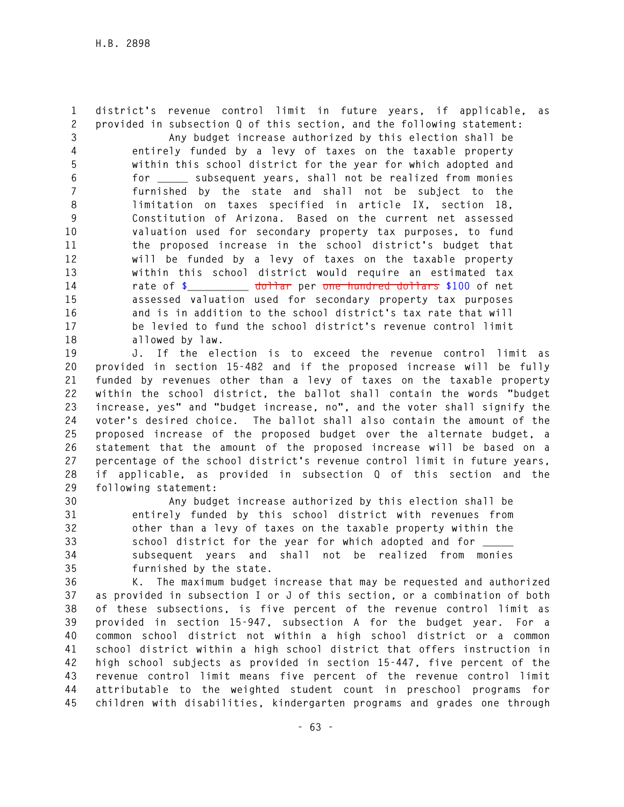**1 district's revenue control limit in future years, if applicable, as 2 provided in subsection Q of this section, and the following statement:** 

**3 Any budget increase authorized by this election shall be 4 entirely funded by a levy of taxes on the taxable property 5 within this school district for the year for which adopted and 6 for \_\_\_\_\_ subsequent years, shall not be realized from monies 7 furnished by the state and shall not be subject to the 8 limitation on taxes specified in article IX, section 18, 9 Constitution of Arizona. Based on the current net assessed 10 valuation used for secondary property tax purposes, to fund 11 the proposed increase in the school district's budget that 12 will be funded by a levy of taxes on the taxable property 13 within this school district would require an estimated tax 14 rate of \$\_\_\_\_\_\_\_\_\_\_ dollar per one hundred dollars \$100 of net 15 assessed valuation used for secondary property tax purposes 16 and is in addition to the school district's tax rate that will 17 be levied to fund the school district's revenue control limit 18 allowed by law.** 

**19 J. If the election is to exceed the revenue control limit as 20 provided in section 15-482 and if the proposed increase will be fully 21 funded by revenues other than a levy of taxes on the taxable property 22 within the school district, the ballot shall contain the words "budget 23 increase, yes" and "budget increase, no", and the voter shall signify the 24 voter's desired choice. The ballot shall also contain the amount of the 25 proposed increase of the proposed budget over the alternate budget, a 26 statement that the amount of the proposed increase will be based on a 27 percentage of the school district's revenue control limit in future years, 28 if applicable, as provided in subsection Q of this section and the 29 following statement:** 

**30 Any budget increase authorized by this election shall be 31 entirely funded by this school district with revenues from 32 other than a levy of taxes on the taxable property within the 33 school district for the year for which adopted and for \_\_\_\_\_ 34 subsequent years and shall not be realized from monies 35 furnished by the state.** 

**36 K. The maximum budget increase that may be requested and authorized 37 as provided in subsection I or J of this section, or a combination of both 38 of these subsections, is five percent of the revenue control limit as 39 provided in section 15-947, subsection A for the budget year. For a 40 common school district not within a high school district or a common 41 school district within a high school district that offers instruction in 42 high school subjects as provided in section 15-447, five percent of the 43 revenue control limit means five percent of the revenue control limit 44 attributable to the weighted student count in preschool programs for 45 children with disabilities, kindergarten programs and grades one through**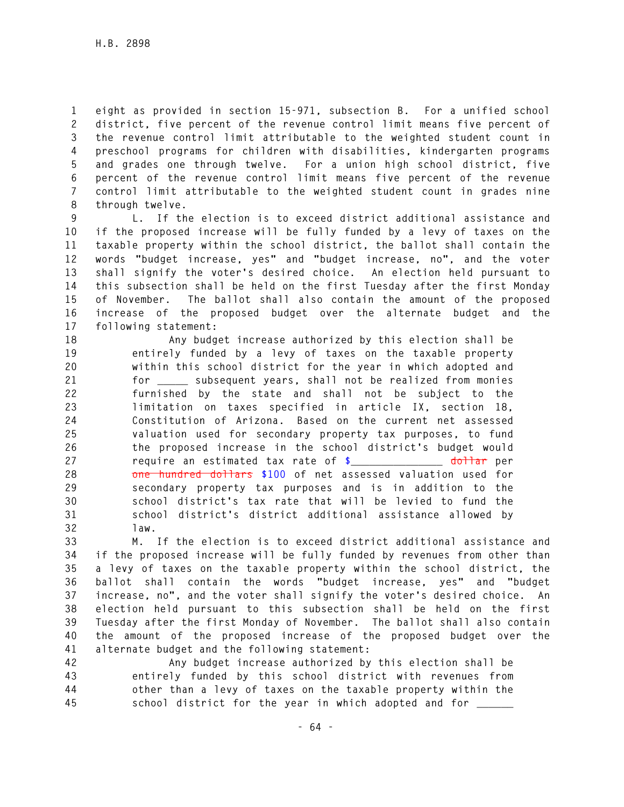**1 eight as provided in section 15-971, subsection B. For a unified school 2 district, five percent of the revenue control limit means five percent of 3 the revenue control limit attributable to the weighted student count in 4 preschool programs for children with disabilities, kindergarten programs 5 and grades one through twelve. For a union high school district, five 6 percent of the revenue control limit means five percent of the revenue 7 control limit attributable to the weighted student count in grades nine 8 through twelve.** 

**9 L. If the election is to exceed district additional assistance and 10 if the proposed increase will be fully funded by a levy of taxes on the 11 taxable property within the school district, the ballot shall contain the 12 words "budget increase, yes" and "budget increase, no", and the voter 13 shall signify the voter's desired choice. An election held pursuant to 14 this subsection shall be held on the first Tuesday after the first Monday 15 of November. The ballot shall also contain the amount of the proposed 16 increase of the proposed budget over the alternate budget and the 17 following statement:** 

**18 Any budget increase authorized by this election shall be 19 entirely funded by a levy of taxes on the taxable property 20 within this school district for the year in which adopted and 21 for \_\_\_\_\_ subsequent years, shall not be realized from monies 22 furnished by the state and shall not be subject to the 23 limitation on taxes specified in article IX, section 18, 24 Constitution of Arizona. Based on the current net assessed 25 valuation used for secondary property tax purposes, to fund 26 the proposed increase in the school district's budget would 27 require an estimated tax rate of \$\_\_\_\_\_\_\_\_\_\_\_\_\_\_\_ dollar per 28 one hundred dollars \$100 of net assessed valuation used for 29 secondary property tax purposes and is in addition to the 30 school district's tax rate that will be levied to fund the 31 school district's district additional assistance allowed by 32 law.** 

**33 M. If the election is to exceed district additional assistance and 34 if the proposed increase will be fully funded by revenues from other than 35 a levy of taxes on the taxable property within the school district, the 36 ballot shall contain the words "budget increase, yes" and "budget 37 increase, no", and the voter shall signify the voter's desired choice. An 38 election held pursuant to this subsection shall be held on the first 39 Tuesday after the first Monday of November. The ballot shall also contain 40 the amount of the proposed increase of the proposed budget over the 41 alternate budget and the following statement:** 

**42 Any budget increase authorized by this election shall be 43 entirely funded by this school district with revenues from 44 other than a levy of taxes on the taxable property within the 45 school district for the year in which adopted and for \_\_\_\_\_\_**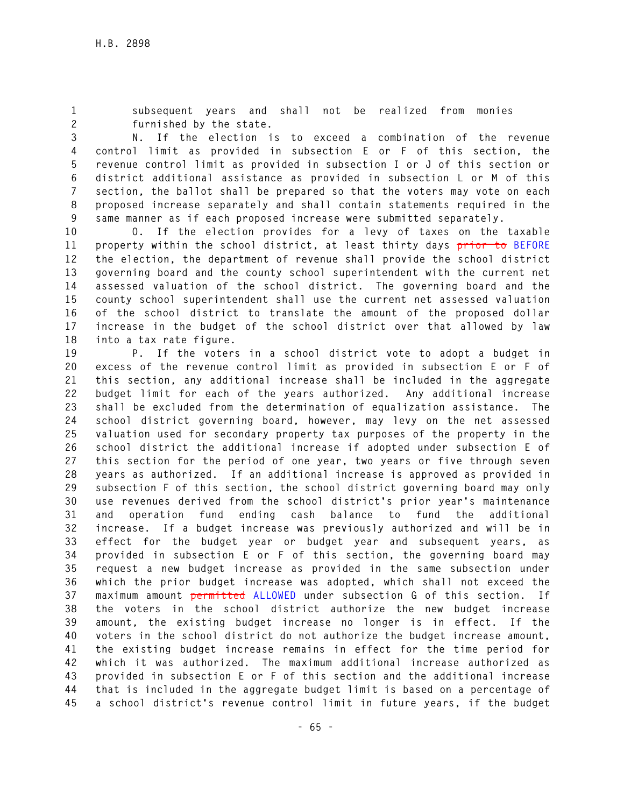**1 subsequent years and shall not be realized from monies 2 furnished by the state.** 

**3 N. If the election is to exceed a combination of the revenue 4 control limit as provided in subsection E or F of this section, the 5 revenue control limit as provided in subsection I or J of this section or 6 district additional assistance as provided in subsection L or M of this 7 section, the ballot shall be prepared so that the voters may vote on each 8 proposed increase separately and shall contain statements required in the 9 same manner as if each proposed increase were submitted separately.** 

**10 O. If the election provides for a levy of taxes on the taxable 11 property within the school district, at least thirty days prior to BEFORE 12 the election, the department of revenue shall provide the school district 13 governing board and the county school superintendent with the current net 14 assessed valuation of the school district. The governing board and the 15 county school superintendent shall use the current net assessed valuation 16 of the school district to translate the amount of the proposed dollar 17 increase in the budget of the school district over that allowed by law 18 into a tax rate figure.** 

**19 P. If the voters in a school district vote to adopt a budget in 20 excess of the revenue control limit as provided in subsection E or F of 21 this section, any additional increase shall be included in the aggregate 22 budget limit for each of the years authorized. Any additional increase 23 shall be excluded from the determination of equalization assistance. The 24 school district governing board, however, may levy on the net assessed 25 valuation used for secondary property tax purposes of the property in the 26 school district the additional increase if adopted under subsection E of 27 this section for the period of one year, two years or five through seven 28 years as authorized. If an additional increase is approved as provided in 29 subsection F of this section, the school district governing board may only 30 use revenues derived from the school district's prior year's maintenance 31 and operation fund ending cash balance to fund the additional 32 increase. If a budget increase was previously authorized and will be in 33 effect for the budget year or budget year and subsequent years, as 34 provided in subsection E or F of this section, the governing board may 35 request a new budget increase as provided in the same subsection under 36 which the prior budget increase was adopted, which shall not exceed the 37 maximum amount permitted ALLOWED under subsection G of this section. If 38 the voters in the school district authorize the new budget increase 39 amount, the existing budget increase no longer is in effect. If the 40 voters in the school district do not authorize the budget increase amount, 41 the existing budget increase remains in effect for the time period for 42 which it was authorized. The maximum additional increase authorized as 43 provided in subsection E or F of this section and the additional increase 44 that is included in the aggregate budget limit is based on a percentage of 45 a school district's revenue control limit in future years, if the budget**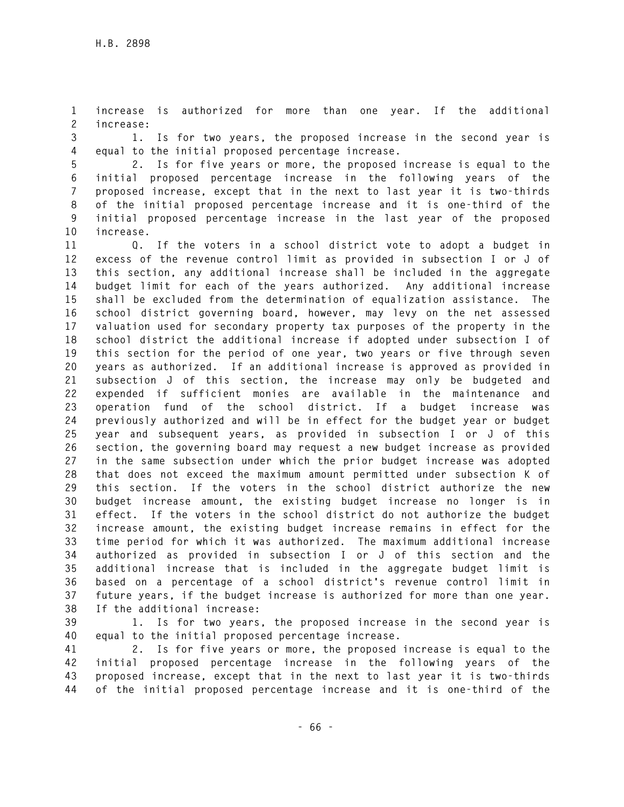**1 increase is authorized for more than one year. If the additional 2 increase:** 

**3 1. Is for two years, the proposed increase in the second year is 4 equal to the initial proposed percentage increase.** 

**5 2. Is for five years or more, the proposed increase is equal to the 6 initial proposed percentage increase in the following years of the 7 proposed increase, except that in the next to last year it is two-thirds 8 of the initial proposed percentage increase and it is one-third of the 9 initial proposed percentage increase in the last year of the proposed 10 increase.** 

**11 Q. If the voters in a school district vote to adopt a budget in 12 excess of the revenue control limit as provided in subsection I or J of 13 this section, any additional increase shall be included in the aggregate 14 budget limit for each of the years authorized. Any additional increase 15 shall be excluded from the determination of equalization assistance. The 16 school district governing board, however, may levy on the net assessed 17 valuation used for secondary property tax purposes of the property in the 18 school district the additional increase if adopted under subsection I of 19 this section for the period of one year, two years or five through seven 20 years as authorized. If an additional increase is approved as provided in 21 subsection J of this section, the increase may only be budgeted and 22 expended if sufficient monies are available in the maintenance and 23 operation fund of the school district. If a budget increase was 24 previously authorized and will be in effect for the budget year or budget 25 year and subsequent years, as provided in subsection I or J of this 26 section, the governing board may request a new budget increase as provided 27 in the same subsection under which the prior budget increase was adopted 28 that does not exceed the maximum amount permitted under subsection K of 29 this section. If the voters in the school district authorize the new 30 budget increase amount, the existing budget increase no longer is in 31 effect. If the voters in the school district do not authorize the budget 32 increase amount, the existing budget increase remains in effect for the 33 time period for which it was authorized. The maximum additional increase 34 authorized as provided in subsection I or J of this section and the 35 additional increase that is included in the aggregate budget limit is 36 based on a percentage of a school district's revenue control limit in 37 future years, if the budget increase is authorized for more than one year. 38 If the additional increase:** 

**39 1. Is for two years, the proposed increase in the second year is 40 equal to the initial proposed percentage increase.** 

**41 2. Is for five years or more, the proposed increase is equal to the 42 initial proposed percentage increase in the following years of the 43 proposed increase, except that in the next to last year it is two-thirds 44 of the initial proposed percentage increase and it is one-third of the**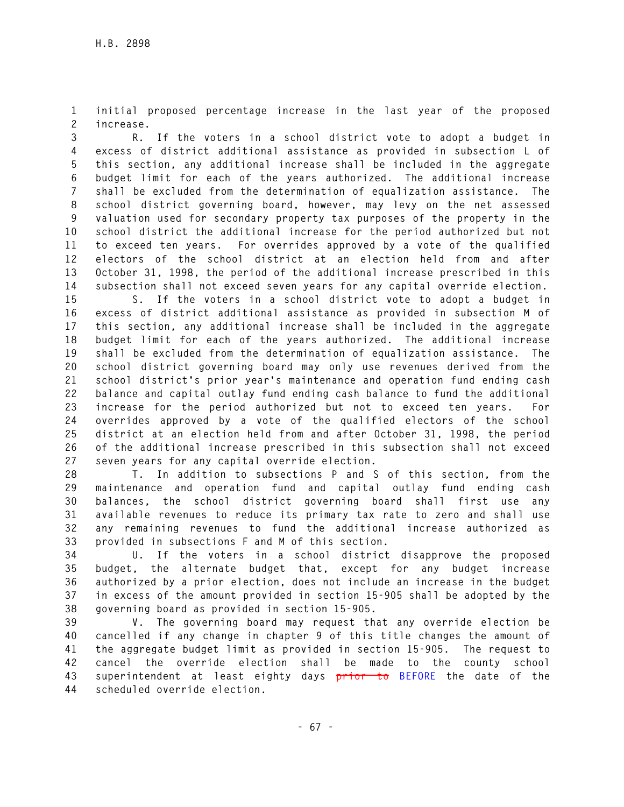**1 initial proposed percentage increase in the last year of the proposed 2 increase.** 

**3 R. If the voters in a school district vote to adopt a budget in 4 excess of district additional assistance as provided in subsection L of 5 this section, any additional increase shall be included in the aggregate 6 budget limit for each of the years authorized. The additional increase 7 shall be excluded from the determination of equalization assistance. The 8 school district governing board, however, may levy on the net assessed 9 valuation used for secondary property tax purposes of the property in the 10 school district the additional increase for the period authorized but not 11 to exceed ten years. For overrides approved by a vote of the qualified 12 electors of the school district at an election held from and after 13 October 31, 1998, the period of the additional increase prescribed in this 14 subsection shall not exceed seven years for any capital override election.** 

**15 S. If the voters in a school district vote to adopt a budget in 16 excess of district additional assistance as provided in subsection M of 17 this section, any additional increase shall be included in the aggregate 18 budget limit for each of the years authorized. The additional increase 19 shall be excluded from the determination of equalization assistance. The 20 school district governing board may only use revenues derived from the 21 school district's prior year's maintenance and operation fund ending cash 22 balance and capital outlay fund ending cash balance to fund the additional 23 increase for the period authorized but not to exceed ten years. For 24 overrides approved by a vote of the qualified electors of the school 25 district at an election held from and after October 31, 1998, the period 26 of the additional increase prescribed in this subsection shall not exceed 27 seven years for any capital override election.** 

**28 T. In addition to subsections P and S of this section, from the 29 maintenance and operation fund and capital outlay fund ending cash 30 balances, the school district governing board shall first use any 31 available revenues to reduce its primary tax rate to zero and shall use 32 any remaining revenues to fund the additional increase authorized as 33 provided in subsections F and M of this section.** 

**34 U. If the voters in a school district disapprove the proposed 35 budget, the alternate budget that, except for any budget increase 36 authorized by a prior election, does not include an increase in the budget 37 in excess of the amount provided in section 15-905 shall be adopted by the 38 governing board as provided in section 15-905.** 

**39 V. The governing board may request that any override election be 40 cancelled if any change in chapter 9 of this title changes the amount of 41 the aggregate budget limit as provided in section 15-905. The request to 42 cancel the override election shall be made to the county school 43 superintendent at least eighty days prior to BEFORE the date of the 44 scheduled override election.**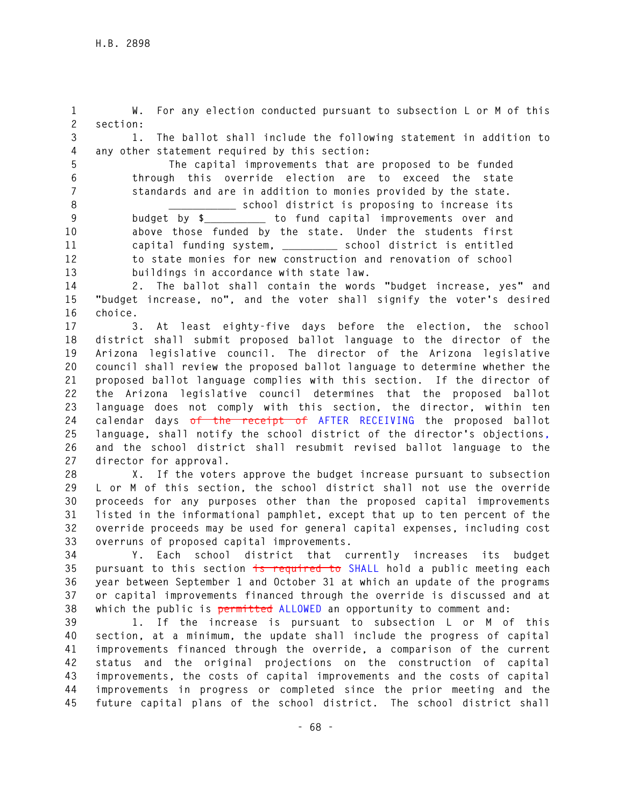**1 W. For any election conducted pursuant to subsection L or M of this 2 section:** 

**3 1. The ballot shall include the following statement in addition to 4 any other statement required by this section:** 

**5 The capital improvements that are proposed to be funded 6 through this override election are to exceed the state 7 standards and are in addition to monies provided by the state. 8 \_\_\_\_\_\_\_\_\_\_\_ school district is proposing to increase its 9 budget by \$\_\_\_\_\_\_\_\_\_\_ to fund capital improvements over and 10 above those funded by the state. Under the students first 11 capital funding system, \_\_\_\_\_\_\_\_\_ school district is entitled 12 to state monies for new construction and renovation of school 13 buildings in accordance with state law.** 

**14 2. The ballot shall contain the words "budget increase, yes" and 15 "budget increase, no", and the voter shall signify the voter's desired 16 choice.** 

**17 3. At least eighty-five days before the election, the school 18 district shall submit proposed ballot language to the director of the 19 Arizona legislative council. The director of the Arizona legislative 20 council shall review the proposed ballot language to determine whether the 21 proposed ballot language complies with this section. If the director of 22 the Arizona legislative council determines that the proposed ballot 23 language does not comply with this section, the director, within ten 24 calendar days of the receipt of AFTER RECEIVING the proposed ballot 25 language, shall notify the school district of the director's objections, 26 and the school district shall resubmit revised ballot language to the 27 director for approval.** 

**28 X. If the voters approve the budget increase pursuant to subsection 29 L or M of this section, the school district shall not use the override 30 proceeds for any purposes other than the proposed capital improvements 31 listed in the informational pamphlet, except that up to ten percent of the 32 override proceeds may be used for general capital expenses, including cost 33 overruns of proposed capital improvements.** 

**34 Y. Each school district that currently increases its budget 35 pursuant to this section is required to SHALL hold a public meeting each 36 year between September 1 and October 31 at which an update of the programs 37 or capital improvements financed through the override is discussed and at 38 which the public is permitted ALLOWED an opportunity to comment and:** 

**39 1. If the increase is pursuant to subsection L or M of this 40 section, at a minimum, the update shall include the progress of capital 41 improvements financed through the override, a comparison of the current 42 status and the original projections on the construction of capital 43 improvements, the costs of capital improvements and the costs of capital 44 improvements in progress or completed since the prior meeting and the 45 future capital plans of the school district. The school district shall**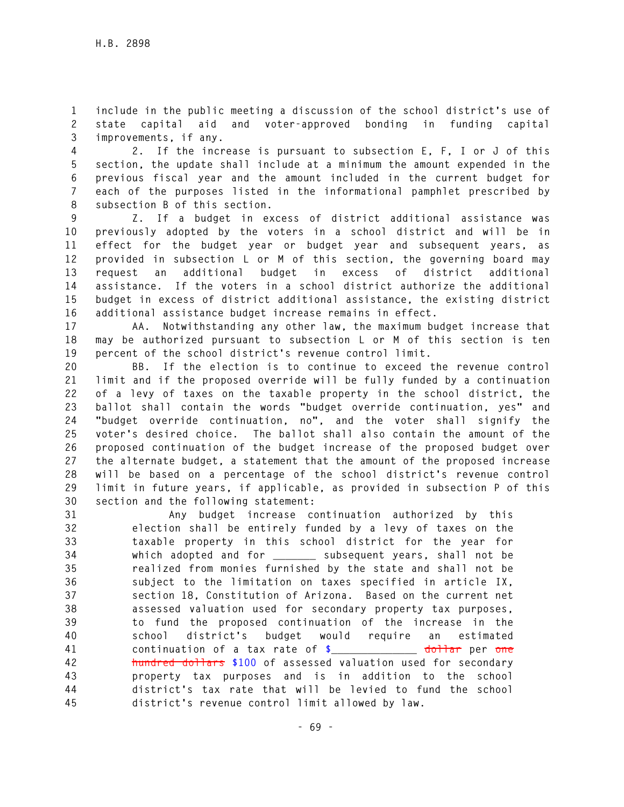**1 include in the public meeting a discussion of the school district's use of 2 state capital aid and voter-approved bonding in funding capital 3 improvements, if any.** 

**4 2. If the increase is pursuant to subsection E, F, I or J of this 5 section, the update shall include at a minimum the amount expended in the 6 previous fiscal year and the amount included in the current budget for 7 each of the purposes listed in the informational pamphlet prescribed by 8 subsection B of this section.** 

**9 Z. If a budget in excess of district additional assistance was 10 previously adopted by the voters in a school district and will be in 11 effect for the budget year or budget year and subsequent years, as 12 provided in subsection L or M of this section, the governing board may 13 request an additional budget in excess of district additional 14 assistance. If the voters in a school district authorize the additional 15 budget in excess of district additional assistance, the existing district 16 additional assistance budget increase remains in effect.** 

**17 AA. Notwithstanding any other law, the maximum budget increase that 18 may be authorized pursuant to subsection L or M of this section is ten 19 percent of the school district's revenue control limit.** 

**20 BB. If the election is to continue to exceed the revenue control 21 limit and if the proposed override will be fully funded by a continuation 22 of a levy of taxes on the taxable property in the school district, the 23 ballot shall contain the words "budget override continuation, yes" and 24 "budget override continuation, no", and the voter shall signify the 25 voter's desired choice. The ballot shall also contain the amount of the 26 proposed continuation of the budget increase of the proposed budget over 27 the alternate budget, a statement that the amount of the proposed increase 28 will be based on a percentage of the school district's revenue control 29 limit in future years, if applicable, as provided in subsection P of this 30 section and the following statement:** 

**31 Any budget increase continuation authorized by this 32 election shall be entirely funded by a levy of taxes on the 33 taxable property in this school district for the year for 34 which adopted and for \_\_\_\_\_\_\_ subsequent years, shall not be 35 realized from monies furnished by the state and shall not be 36 subject to the limitation on taxes specified in article IX, 37 section 18, Constitution of Arizona. Based on the current net 38 assessed valuation used for secondary property tax purposes, 39 to fund the proposed continuation of the increase in the 40 school district's budget would require an estimated 41 continuation of a tax rate of \$\_\_\_\_\_\_\_\_\_\_\_\_\_\_ dollar per one 42 hundred dollars \$100 of assessed valuation used for secondary 43 property tax purposes and is in addition to the school 44 district's tax rate that will be levied to fund the school 45 district's revenue control limit allowed by law.**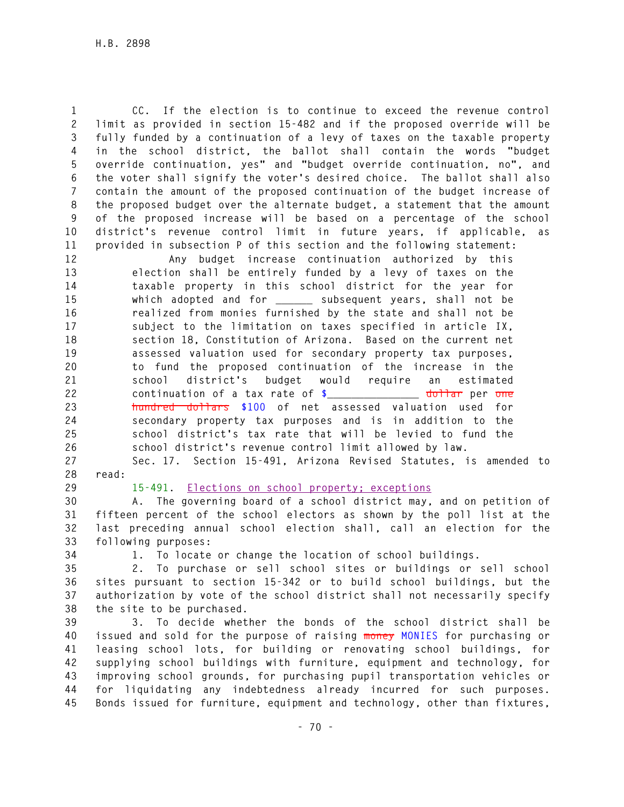**1 CC. If the election is to continue to exceed the revenue control 2 limit as provided in section 15-482 and if the proposed override will be 3 fully funded by a continuation of a levy of taxes on the taxable property 4 in the school district, the ballot shall contain the words "budget 5 override continuation, yes" and "budget override continuation, no", and 6 the voter shall signify the voter's desired choice. The ballot shall also 7 contain the amount of the proposed continuation of the budget increase of 8 the proposed budget over the alternate budget, a statement that the amount 9 of the proposed increase will be based on a percentage of the school 10 district's revenue control limit in future years, if applicable, as 11 provided in subsection P of this section and the following statement:** 

**12 Any budget increase continuation authorized by this 13 election shall be entirely funded by a levy of taxes on the 14 taxable property in this school district for the year for 15 which adopted and for \_\_\_\_\_\_ subsequent years, shall not be 16 realized from monies furnished by the state and shall not be 17 subject to the limitation on taxes specified in article IX, 18 section 18, Constitution of Arizona. Based on the current net 19 assessed valuation used for secondary property tax purposes, 20 to fund the proposed continuation of the increase in the 21 school district's budget would require an estimated 22 continuation of a tax rate of \$\_\_\_\_\_\_\_\_\_\_\_\_\_\_\_ dollar per one 23 hundred dollars \$100 of net assessed valuation used for 24 secondary property tax purposes and is in addition to the 25 school district's tax rate that will be levied to fund the 26 school district's revenue control limit allowed by law.** 

**27 Sec. 17. Section 15-491, Arizona Revised Statutes, is amended to 28 read:** 

**29 15-491. Elections on school property; exceptions** 

**30 A. The governing board of a school district may, and on petition of 31 fifteen percent of the school electors as shown by the poll list at the 32 last preceding annual school election shall, call an election for the 33 following purposes:** 

**34 1. To locate or change the location of school buildings.** 

**35 2. To purchase or sell school sites or buildings or sell school 36 sites pursuant to section 15-342 or to build school buildings, but the 37 authorization by vote of the school district shall not necessarily specify 38 the site to be purchased.** 

**39 3. To decide whether the bonds of the school district shall be 40 issued and sold for the purpose of raising money MONIES for purchasing or 41 leasing school lots, for building or renovating school buildings, for 42 supplying school buildings with furniture, equipment and technology, for 43 improving school grounds, for purchasing pupil transportation vehicles or 44 for liquidating any indebtedness already incurred for such purposes. 45 Bonds issued for furniture, equipment and technology, other than fixtures,**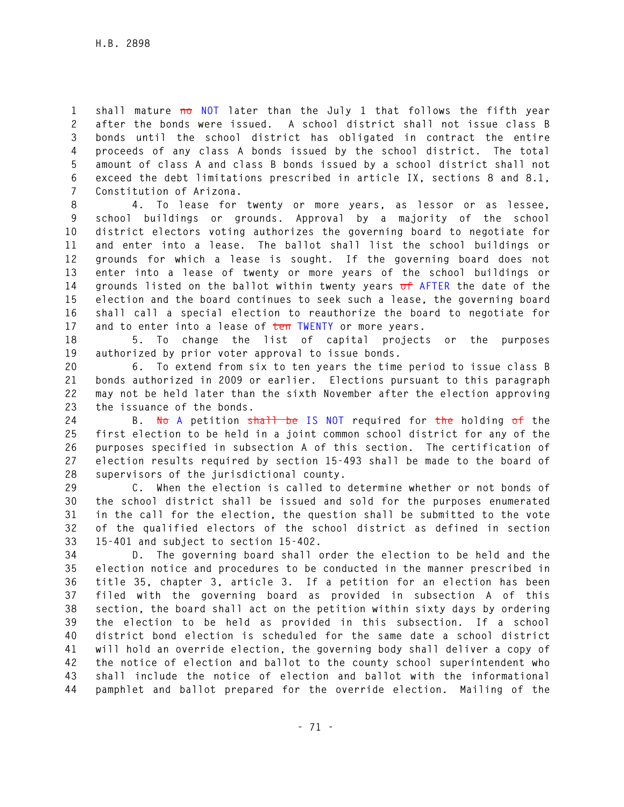**1 shall mature no NOT later than the July 1 that follows the fifth year 2 after the bonds were issued. A school district shall not issue class B 3 bonds until the school district has obligated in contract the entire 4 proceeds of any class A bonds issued by the school district. The total 5 amount of class A and class B bonds issued by a school district shall not 6 exceed the debt limitations prescribed in article IX, sections 8 and 8.1, 7 Constitution of Arizona.** 

**8 4. To lease for twenty or more years, as lessor or as lessee, 9 school buildings or grounds. Approval by a majority of the school 10 district electors voting authorizes the governing board to negotiate for 11 and enter into a lease. The ballot shall list the school buildings or 12 grounds for which a lease is sought. If the governing board does not 13 enter into a lease of twenty or more years of the school buildings or 14 grounds listed on the ballot within twenty years of AFTER the date of the 15 election and the board continues to seek such a lease, the governing board 16 shall call a special election to reauthorize the board to negotiate for 17 and to enter into a lease of ten TWENTY or more years.** 

**18 5. To change the list of capital projects or the purposes 19 authorized by prior voter approval to issue bonds.** 

**20 6. To extend from six to ten years the time period to issue class B 21 bonds authorized in 2009 or earlier. Elections pursuant to this paragraph 22 may not be held later than the sixth November after the election approving 23 the issuance of the bonds.** 

**24 B. No A petition shall be IS NOT required for the holding of the 25 first election to be held in a joint common school district for any of the 26 purposes specified in subsection A of this section. The certification of 27 election results required by section 15-493 shall be made to the board of 28 supervisors of the jurisdictional county.** 

**29 C. When the election is called to determine whether or not bonds of 30 the school district shall be issued and sold for the purposes enumerated 31 in the call for the election, the question shall be submitted to the vote 32 of the qualified electors of the school district as defined in section 33 15-401 and subject to section 15-402.** 

**34 D. The governing board shall order the election to be held and the 35 election notice and procedures to be conducted in the manner prescribed in 36 title 35, chapter 3, article 3. If a petition for an election has been 37 filed with the governing board as provided in subsection A of this 38 section, the board shall act on the petition within sixty days by ordering 39 the election to be held as provided in this subsection. If a school 40 district bond election is scheduled for the same date a school district 41 will hold an override election, the governing body shall deliver a copy of 42 the notice of election and ballot to the county school superintendent who 43 shall include the notice of election and ballot with the informational 44 pamphlet and ballot prepared for the override election. Mailing of the**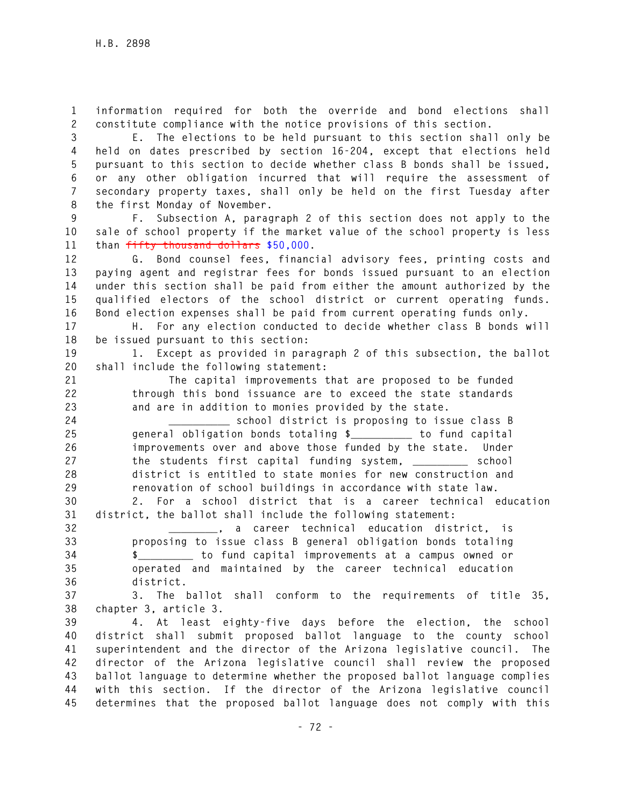**1 information required for both the override and bond elections shall 2 constitute compliance with the notice provisions of this section.** 

**3 E. The elections to be held pursuant to this section shall only be 4 held on dates prescribed by section 16-204, except that elections held 5 pursuant to this section to decide whether class B bonds shall be issued, 6 or any other obligation incurred that will require the assessment of 7 secondary property taxes, shall only be held on the first Tuesday after 8 the first Monday of November.** 

**9 F. Subsection A, paragraph 2 of this section does not apply to the 10 sale of school property if the market value of the school property is less 11 than fifty thousand dollars \$50,000.** 

**12 G. Bond counsel fees, financial advisory fees, printing costs and 13 paying agent and registrar fees for bonds issued pursuant to an election 14 under this section shall be paid from either the amount authorized by the 15 qualified electors of the school district or current operating funds. 16 Bond election expenses shall be paid from current operating funds only.** 

**17 H. For any election conducted to decide whether class B bonds will 18 be issued pursuant to this section:** 

**19 1. Except as provided in paragraph 2 of this subsection, the ballot 20 shall include the following statement:** 

**21 The capital improvements that are proposed to be funded 22 through this bond issuance are to exceed the state standards 23 and are in addition to monies provided by the state.** 

**24 \_\_\_\_\_\_\_\_\_\_ school district is proposing to issue class B 25 general obligation bonds totaling \$\_\_\_\_\_\_\_\_\_\_ to fund capital 26 improvements over and above those funded by the state. Under**  27 the students first capital funding system, school **28 district is entitled to state monies for new construction and 29 renovation of school buildings in accordance with state law.** 

**30 2. For a school district that is a career technical education 31 district, the ballot shall include the following statement:** 

**32 \_\_\_\_\_\_\_\_, a career technical education district, is 33 proposing to issue class B general obligation bonds totaling 34 \$\_\_\_\_\_\_\_\_\_ to fund capital improvements at a campus owned or 35 operated and maintained by the career technical education 36 district.** 

**37 3. The ballot shall conform to the requirements of title 35, 38 chapter 3, article 3.** 

**39 4. At least eighty-five days before the election, the school 40 district shall submit proposed ballot language to the county school 41 superintendent and the director of the Arizona legislative council. The 42 director of the Arizona legislative council shall review the proposed 43 ballot language to determine whether the proposed ballot language complies 44 with this section. If the director of the Arizona legislative council 45 determines that the proposed ballot language does not comply with this**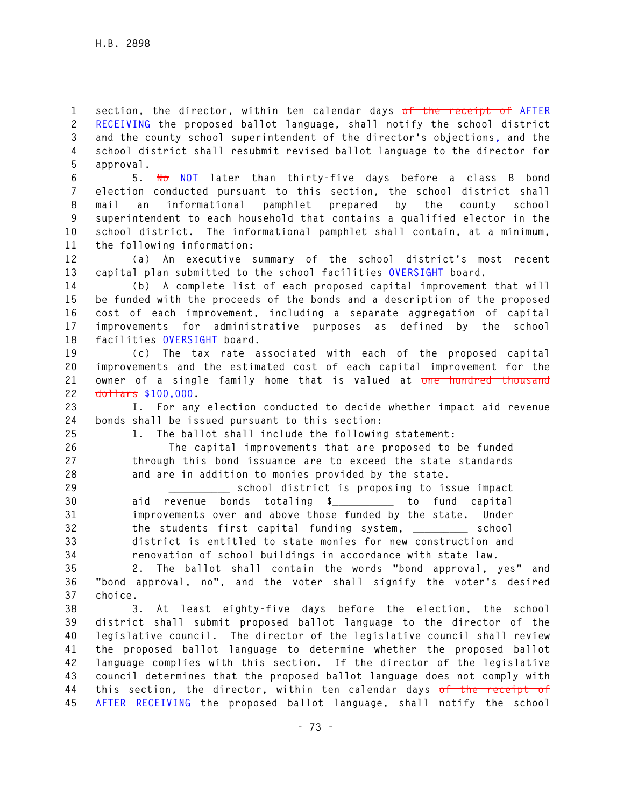**1 section, the director, within ten calendar days of the receipt of AFTER 2 RECEIVING the proposed ballot language, shall notify the school district 3 and the county school superintendent of the director's objections, and the 4 school district shall resubmit revised ballot language to the director for 5 approval.** 

**6 5. No NOT later than thirty-five days before a class B bond 7 election conducted pursuant to this section, the school district shall 8 mail an informational pamphlet prepared by the county school 9 superintendent to each household that contains a qualified elector in the 10 school district. The informational pamphlet shall contain, at a minimum, 11 the following information:** 

**12 (a) An executive summary of the school district's most recent 13 capital plan submitted to the school facilities OVERSIGHT board.** 

**14 (b) A complete list of each proposed capital improvement that will 15 be funded with the proceeds of the bonds and a description of the proposed 16 cost of each improvement, including a separate aggregation of capital 17 improvements for administrative purposes as defined by the school 18 facilities OVERSIGHT board.** 

**19 (c) The tax rate associated with each of the proposed capital 20 improvements and the estimated cost of each capital improvement for the 21 owner of a single family home that is valued at one hundred thousand 22 dollars \$100,000.** 

**23 I. For any election conducted to decide whether impact aid revenue 24 bonds shall be issued pursuant to this section:** 

**25 1. The ballot shall include the following statement:** 

**26 The capital improvements that are proposed to be funded 27 through this bond issuance are to exceed the state standards 28 and are in addition to monies provided by the state.** 

**29 \_\_\_\_\_\_\_\_\_\_ school district is proposing to issue impact 30 aid revenue bonds totaling \$\_\_\_\_\_\_\_\_\_\_ to fund capital 31 improvements over and above those funded by the state. Under 32 the students first capital funding system, \_\_\_\_\_\_\_\_\_ school 33 district is entitled to state monies for new construction and 34 renovation of school buildings in accordance with state law.** 

**35 2. The ballot shall contain the words "bond approval, yes" and 36 "bond approval, no", and the voter shall signify the voter's desired 37 choice.** 

**38 3. At least eighty-five days before the election, the school 39 district shall submit proposed ballot language to the director of the 40 legislative council. The director of the legislative council shall review 41 the proposed ballot language to determine whether the proposed ballot 42 language complies with this section. If the director of the legislative 43 council determines that the proposed ballot language does not comply with 44 this section, the director, within ten calendar days of the receipt of 45 AFTER RECEIVING the proposed ballot language, shall notify the school**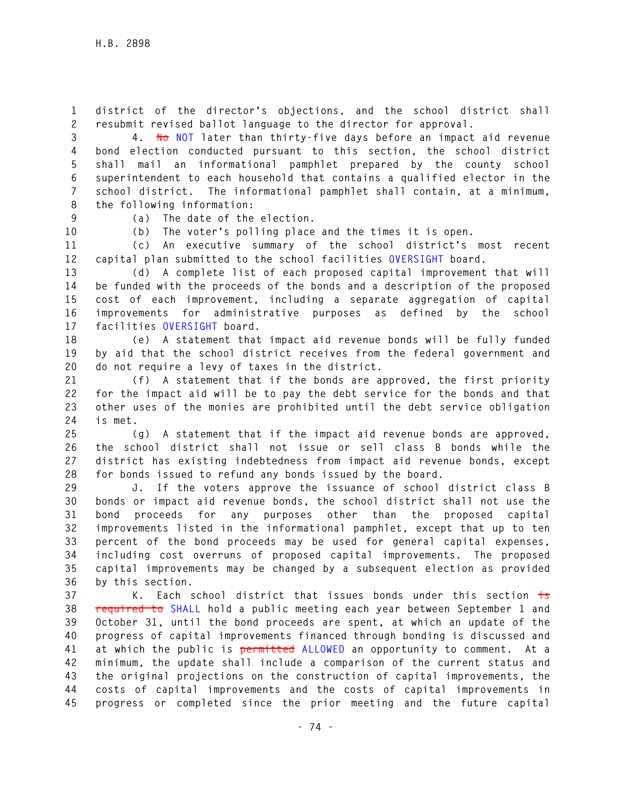**1 district of the director's objections, and the school district shall 2 resubmit revised ballot language to the director for approval.** 

**3 4. No NOT later than thirty-five days before an impact aid revenue 4 bond election conducted pursuant to this section, the school district 5 shall mail an informational pamphlet prepared by the county school 6 superintendent to each household that contains a qualified elector in the 7 school district. The informational pamphlet shall contain, at a minimum, 8 the following information:** 

**9 (a) The date of the election.** 

**10 (b) The voter's polling place and the times it is open.** 

**11 (c) An executive summary of the school district's most recent 12 capital plan submitted to the school facilities OVERSIGHT board.** 

**13 (d) A complete list of each proposed capital improvement that will 14 be funded with the proceeds of the bonds and a description of the proposed 15 cost of each improvement, including a separate aggregation of capital 16 improvements for administrative purposes as defined by the school 17 facilities OVERSIGHT board.** 

**18 (e) A statement that impact aid revenue bonds will be fully funded 19 by aid that the school district receives from the federal government and 20 do not require a levy of taxes in the district.** 

**21 (f) A statement that if the bonds are approved, the first priority 22 for the impact aid will be to pay the debt service for the bonds and that 23 other uses of the monies are prohibited until the debt service obligation 24 is met.** 

**25 (g) A statement that if the impact aid revenue bonds are approved, 26 the school district shall not issue or sell class B bonds while the 27 district has existing indebtedness from impact aid revenue bonds, except 28 for bonds issued to refund any bonds issued by the board.** 

**29 J. If the voters approve the issuance of school district class B 30 bonds or impact aid revenue bonds, the school district shall not use the 31 bond proceeds for any purposes other than the proposed capital 32 improvements listed in the informational pamphlet, except that up to ten 33 percent of the bond proceeds may be used for general capital expenses, 34 including cost overruns of proposed capital improvements. The proposed 35 capital improvements may be changed by a subsequent election as provided 36 by this section.** 

**37 K. Each school district that issues bonds under this section is 38 required to SHALL hold a public meeting each year between September 1 and 39 October 31, until the bond proceeds are spent, at which an update of the 40 progress of capital improvements financed through bonding is discussed and 41 at which the public is permitted ALLOWED an opportunity to comment. At a 42 minimum, the update shall include a comparison of the current status and 43 the original projections on the construction of capital improvements, the 44 costs of capital improvements and the costs of capital improvements in 45 progress or completed since the prior meeting and the future capital**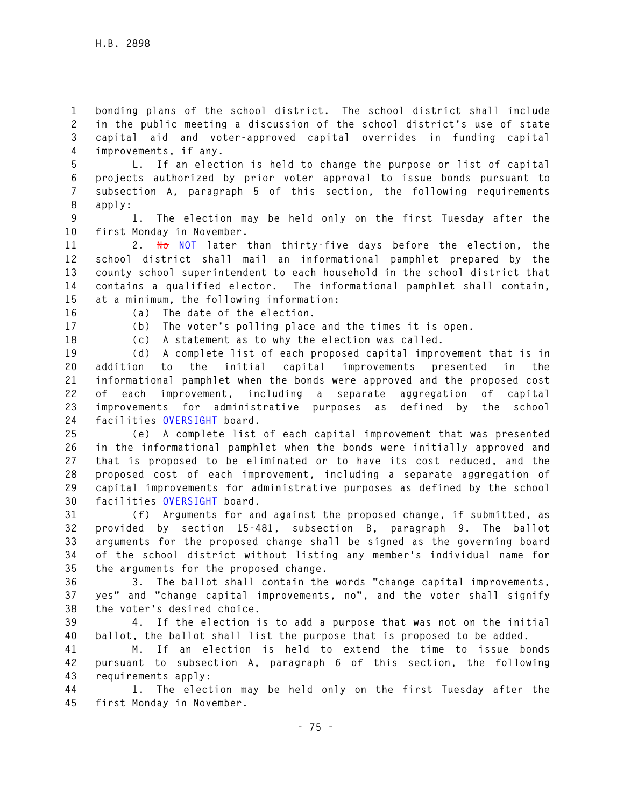**1 bonding plans of the school district. The school district shall include 2 in the public meeting a discussion of the school district's use of state 3 capital aid and voter-approved capital overrides in funding capital 4 improvements, if any.** 

**5 L. If an election is held to change the purpose or list of capital 6 projects authorized by prior voter approval to issue bonds pursuant to 7 subsection A, paragraph 5 of this section, the following requirements 8 apply:** 

**9 1. The election may be held only on the first Tuesday after the 10 first Monday in November.** 

**11 2. No NOT later than thirty-five days before the election, the 12 school district shall mail an informational pamphlet prepared by the 13 county school superintendent to each household in the school district that 14 contains a qualified elector. The informational pamphlet shall contain, 15 at a minimum, the following information:** 

**16 (a) The date of the election.** 

**17 (b) The voter's polling place and the times it is open. 18 (c) A statement as to why the election was called.** 

**19 (d) A complete list of each proposed capital improvement that is in 20 addition to the initial capital improvements presented in the 21 informational pamphlet when the bonds were approved and the proposed cost 22 of each improvement, including a separate aggregation of capital 23 improvements for administrative purposes as defined by the school 24 facilities OVERSIGHT board.** 

**25 (e) A complete list of each capital improvement that was presented 26 in the informational pamphlet when the bonds were initially approved and 27 that is proposed to be eliminated or to have its cost reduced, and the 28 proposed cost of each improvement, including a separate aggregation of 29 capital improvements for administrative purposes as defined by the school 30 facilities OVERSIGHT board.** 

**31 (f) Arguments for and against the proposed change, if submitted, as 32 provided by section 15-481, subsection B, paragraph 9. The ballot 33 arguments for the proposed change shall be signed as the governing board 34 of the school district without listing any member's individual name for 35 the arguments for the proposed change.** 

**36 3. The ballot shall contain the words "change capital improvements, 37 yes" and "change capital improvements, no", and the voter shall signify 38 the voter's desired choice.** 

**39 4. If the election is to add a purpose that was not on the initial 40 ballot, the ballot shall list the purpose that is proposed to be added.** 

**41 M. If an election is held to extend the time to issue bonds 42 pursuant to subsection A, paragraph 6 of this section, the following 43 requirements apply:** 

**44 1. The election may be held only on the first Tuesday after the 45 first Monday in November.**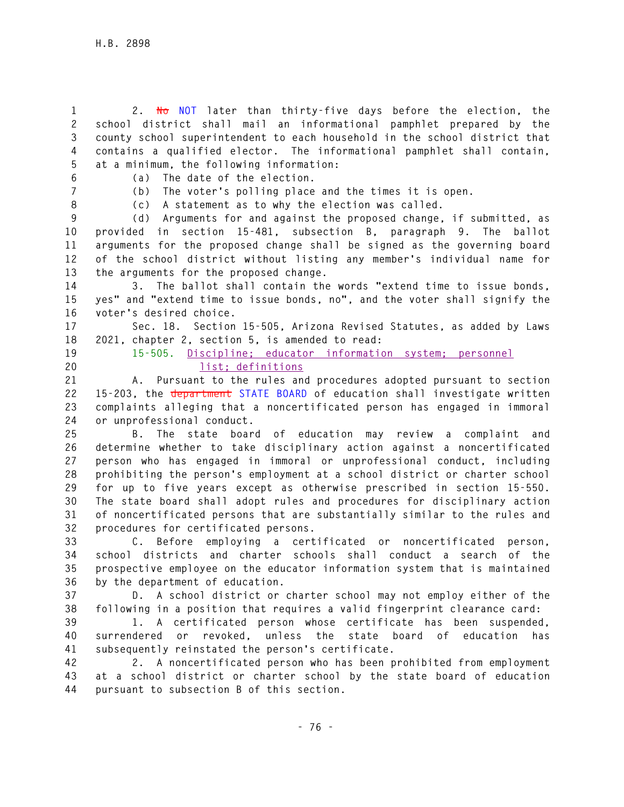**1 2. No NOT later than thirty-five days before the election, the 2 school district shall mail an informational pamphlet prepared by the 3 county school superintendent to each household in the school district that 4 contains a qualified elector. The informational pamphlet shall contain, 5 at a minimum, the following information:** 

**6 (a) The date of the election.** 

**7 (b) The voter's polling place and the times it is open.** 

**8 (c) A statement as to why the election was called.** 

**9 (d) Arguments for and against the proposed change, if submitted, as 10 provided in section 15-481, subsection B, paragraph 9. The ballot 11 arguments for the proposed change shall be signed as the governing board 12 of the school district without listing any member's individual name for 13 the arguments for the proposed change.** 

**14 3. The ballot shall contain the words "extend time to issue bonds, 15 yes" and "extend time to issue bonds, no", and the voter shall signify the 16 voter's desired choice.** 

**17 Sec. 18. Section 15-505, Arizona Revised Statutes, as added by Laws 18 2021, chapter 2, section 5, is amended to read:** 

**19 15-505. Discipline; educator information system; personnel 20 list; definitions** 

**21 A. Pursuant to the rules and procedures adopted pursuant to section 22 15-203, the department STATE BOARD of education shall investigate written 23 complaints alleging that a noncertificated person has engaged in immoral 24 or unprofessional conduct.** 

**25 B. The state board of education may review a complaint and 26 determine whether to take disciplinary action against a noncertificated 27 person who has engaged in immoral or unprofessional conduct, including 28 prohibiting the person's employment at a school district or charter school 29 for up to five years except as otherwise prescribed in section 15-550. 30 The state board shall adopt rules and procedures for disciplinary action 31 of noncertificated persons that are substantially similar to the rules and 32 procedures for certificated persons.** 

**33 C. Before employing a certificated or noncertificated person, 34 school districts and charter schools shall conduct a search of the 35 prospective employee on the educator information system that is maintained 36 by the department of education.** 

**37 D. A school district or charter school may not employ either of the 38 following in a position that requires a valid fingerprint clearance card:** 

**39 1. A certificated person whose certificate has been suspended, 40 surrendered or revoked, unless the state board of education has 41 subsequently reinstated the person's certificate.** 

**42 2. A noncertificated person who has been prohibited from employment 43 at a school district or charter school by the state board of education 44 pursuant to subsection B of this section.**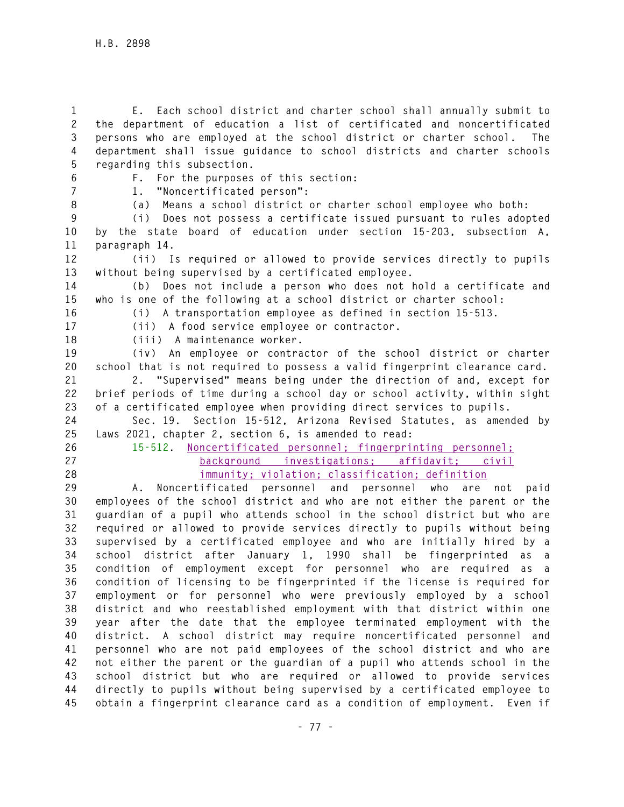**1 E. Each school district and charter school shall annually submit to 2 the department of education a list of certificated and noncertificated 3 persons who are employed at the school district or charter school. The 4 department shall issue guidance to school districts and charter schools 5 regarding this subsection. 6 F. For the purposes of this section: 7 1. "Noncertificated person": 8 (a) Means a school district or charter school employee who both: 9 (i) Does not possess a certificate issued pursuant to rules adopted 10 by the state board of education under section 15-203, subsection A, 11 paragraph 14. 12 (ii) Is required or allowed to provide services directly to pupils 13 without being supervised by a certificated employee. 14 (b) Does not include a person who does not hold a certificate and 15 who is one of the following at a school district or charter school: 16 (i) A transportation employee as defined in section 15-513. 17 (ii) A food service employee or contractor. 18 (iii) A maintenance worker. 19 (iv) An employee or contractor of the school district or charter 20 school that is not required to possess a valid fingerprint clearance card. 21 2. "Supervised" means being under the direction of and, except for 22 brief periods of time during a school day or school activity, within sight 23 of a certificated employee when providing direct services to pupils. 24 Sec. 19. Section 15-512, Arizona Revised Statutes, as amended by 25 Laws 2021, chapter 2, section 6, is amended to read: 26 15-512. Noncertificated personnel; fingerprinting personnel; 27 background investigations; affidavit; civil 28 immunity; violation; classification; definition 29 A. Noncertificated personnel and personnel who are not paid 30 employees of the school district and who are not either the parent or the 31 guardian of a pupil who attends school in the school district but who are 32 required or allowed to provide services directly to pupils without being 33 supervised by a certificated employee and who are initially hired by a 34 school district after January 1, 1990 shall be fingerprinted as a 35 condition of employment except for personnel who are required as a 36 condition of licensing to be fingerprinted if the license is required for 37 employment or for personnel who were previously employed by a school 38 district and who reestablished employment with that district within one 39 year after the date that the employee terminated employment with the 40 district. A school district may require noncertificated personnel and 41 personnel who are not paid employees of the school district and who are 42 not either the parent or the guardian of a pupil who attends school in the 43 school district but who are required or allowed to provide services 44 directly to pupils without being supervised by a certificated employee to 45 obtain a fingerprint clearance card as a condition of employment. Even if**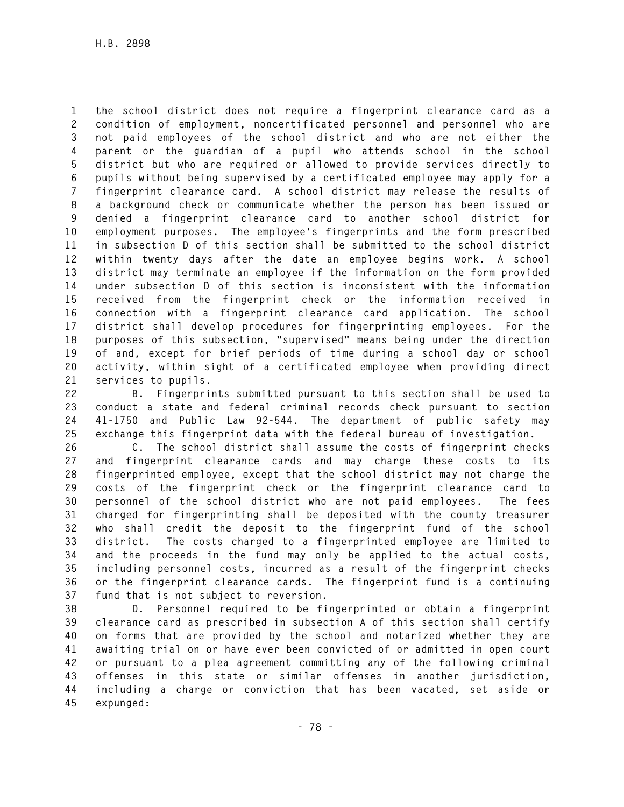**1 the school district does not require a fingerprint clearance card as a 2 condition of employment, noncertificated personnel and personnel who are 3 not paid employees of the school district and who are not either the 4 parent or the guardian of a pupil who attends school in the school 5 district but who are required or allowed to provide services directly to 6 pupils without being supervised by a certificated employee may apply for a 7 fingerprint clearance card. A school district may release the results of 8 a background check or communicate whether the person has been issued or 9 denied a fingerprint clearance card to another school district for 10 employment purposes. The employee's fingerprints and the form prescribed 11 in subsection D of this section shall be submitted to the school district 12 within twenty days after the date an employee begins work. A school 13 district may terminate an employee if the information on the form provided 14 under subsection D of this section is inconsistent with the information 15 received from the fingerprint check or the information received in 16 connection with a fingerprint clearance card application. The school 17 district shall develop procedures for fingerprinting employees. For the 18 purposes of this subsection, "supervised" means being under the direction 19 of and, except for brief periods of time during a school day or school 20 activity, within sight of a certificated employee when providing direct 21 services to pupils.** 

**22 B. Fingerprints submitted pursuant to this section shall be used to 23 conduct a state and federal criminal records check pursuant to section 24 41-1750 and Public Law 92-544. The department of public safety may 25 exchange this fingerprint data with the federal bureau of investigation.** 

**26 C. The school district shall assume the costs of fingerprint checks 27 and fingerprint clearance cards and may charge these costs to its 28 fingerprinted employee, except that the school district may not charge the 29 costs of the fingerprint check or the fingerprint clearance card to 30 personnel of the school district who are not paid employees. The fees 31 charged for fingerprinting shall be deposited with the county treasurer 32 who shall credit the deposit to the fingerprint fund of the school 33 district. The costs charged to a fingerprinted employee are limited to 34 and the proceeds in the fund may only be applied to the actual costs, 35 including personnel costs, incurred as a result of the fingerprint checks 36 or the fingerprint clearance cards. The fingerprint fund is a continuing 37 fund that is not subject to reversion.** 

**38 D. Personnel required to be fingerprinted or obtain a fingerprint 39 clearance card as prescribed in subsection A of this section shall certify 40 on forms that are provided by the school and notarized whether they are 41 awaiting trial on or have ever been convicted of or admitted in open court 42 or pursuant to a plea agreement committing any of the following criminal 43 offenses in this state or similar offenses in another jurisdiction, 44 including a charge or conviction that has been vacated, set aside or 45 expunged:**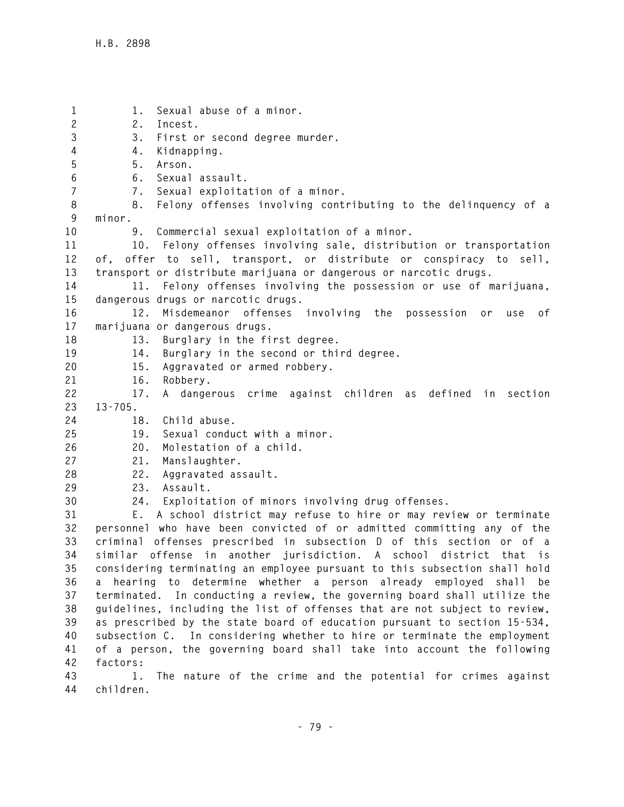**1 1. Sexual abuse of a minor. 2 2. Incest. 3 3. First or second degree murder. 4 4. Kidnapping. 5 5. Arson. 6 6. Sexual assault. 7 7. Sexual exploitation of a minor. 8 8. Felony offenses involving contributing to the delinquency of a 9 minor. 10 9. Commercial sexual exploitation of a minor. 11 10. Felony offenses involving sale, distribution or transportation 12 of, offer to sell, transport, or distribute or conspiracy to sell, 13 transport or distribute marijuana or dangerous or narcotic drugs. 14 11. Felony offenses involving the possession or use of marijuana, 15 dangerous drugs or narcotic drugs. 16 12. Misdemeanor offenses involving the possession or use of 17 marijuana or dangerous drugs. 18 13. Burglary in the first degree. 19 14. Burglary in the second or third degree. 20 15. Aggravated or armed robbery. 21 16. Robbery. 22 17. A dangerous crime against children as defined in section 23 13-705. 24 18. Child abuse. 25 19. Sexual conduct with a minor. 26 20. Molestation of a child. 27 21. Manslaughter. 28 22. Aggravated assault. 29 23. Assault. 30 24. Exploitation of minors involving drug offenses. 31 E. A school district may refuse to hire or may review or terminate 32 personnel who have been convicted of or admitted committing any of the 33 criminal offenses prescribed in subsection D of this section or of a 34 similar offense in another jurisdiction. A school district that is 35 considering terminating an employee pursuant to this subsection shall hold 36 a hearing to determine whether a person already employed shall be 37 terminated. In conducting a review, the governing board shall utilize the 38 guidelines, including the list of offenses that are not subject to review, 39 as prescribed by the state board of education pursuant to section 15-534, 40 subsection C. In considering whether to hire or terminate the employment 41 of a person, the governing board shall take into account the following 42 factors:** 

**43 1. The nature of the crime and the potential for crimes against 44 children.**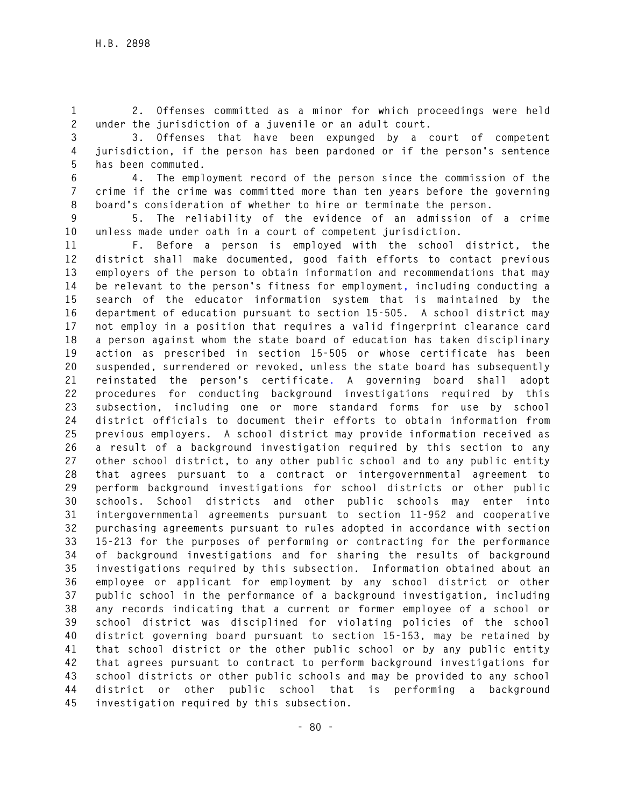**1 2. Offenses committed as a minor for which proceedings were held 2 under the jurisdiction of a juvenile or an adult court.** 

**3 3. Offenses that have been expunged by a court of competent 4 jurisdiction, if the person has been pardoned or if the person's sentence 5 has been commuted.** 

**6 4. The employment record of the person since the commission of the 7 crime if the crime was committed more than ten years before the governing 8 board's consideration of whether to hire or terminate the person.** 

**9 5. The reliability of the evidence of an admission of a crime 10 unless made under oath in a court of competent jurisdiction.** 

**11 F. Before a person is employed with the school district, the 12 district shall make documented, good faith efforts to contact previous 13 employers of the person to obtain information and recommendations that may 14 be relevant to the person's fitness for employment, including conducting a 15 search of the educator information system that is maintained by the 16 department of education pursuant to section 15-505. A school district may 17 not employ in a position that requires a valid fingerprint clearance card 18 a person against whom the state board of education has taken disciplinary 19 action as prescribed in section 15-505 or whose certificate has been 20 suspended, surrendered or revoked, unless the state board has subsequently 21 reinstated the person's certificate. A governing board shall adopt 22 procedures for conducting background investigations required by this 23 subsection, including one or more standard forms for use by school 24 district officials to document their efforts to obtain information from 25 previous employers. A school district may provide information received as 26 a result of a background investigation required by this section to any 27 other school district, to any other public school and to any public entity 28 that agrees pursuant to a contract or intergovernmental agreement to 29 perform background investigations for school districts or other public 30 schools. School districts and other public schools may enter into 31 intergovernmental agreements pursuant to section 11-952 and cooperative 32 purchasing agreements pursuant to rules adopted in accordance with section 33 15-213 for the purposes of performing or contracting for the performance 34 of background investigations and for sharing the results of background 35 investigations required by this subsection. Information obtained about an 36 employee or applicant for employment by any school district or other 37 public school in the performance of a background investigation, including 38 any records indicating that a current or former employee of a school or 39 school district was disciplined for violating policies of the school 40 district governing board pursuant to section 15-153, may be retained by 41 that school district or the other public school or by any public entity 42 that agrees pursuant to contract to perform background investigations for 43 school districts or other public schools and may be provided to any school 44 district or other public school that is performing a background 45 investigation required by this subsection.**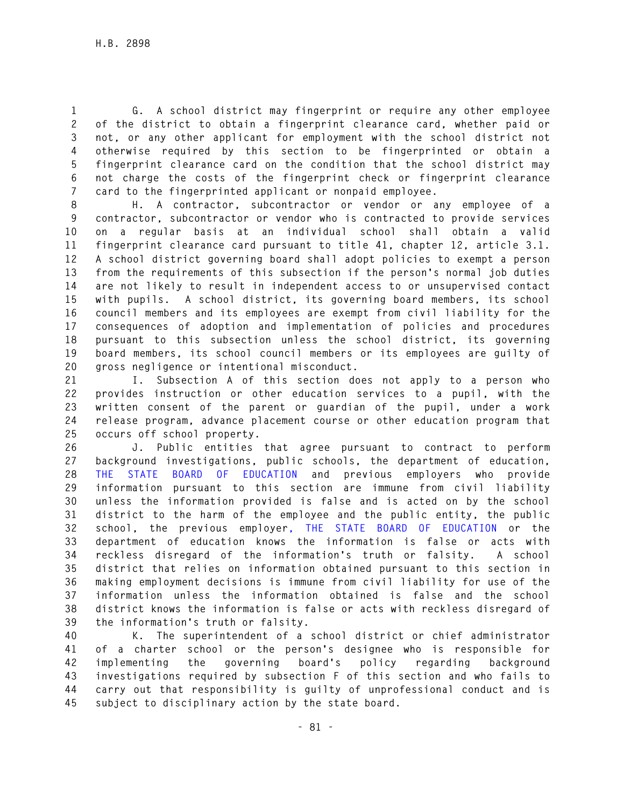**1 G. A school district may fingerprint or require any other employee 2 of the district to obtain a fingerprint clearance card, whether paid or 3 not, or any other applicant for employment with the school district not 4 otherwise required by this section to be fingerprinted or obtain a 5 fingerprint clearance card on the condition that the school district may 6 not charge the costs of the fingerprint check or fingerprint clearance 7 card to the fingerprinted applicant or nonpaid employee.** 

**8 H. A contractor, subcontractor or vendor or any employee of a 9 contractor, subcontractor or vendor who is contracted to provide services 10 on a regular basis at an individual school shall obtain a valid 11 fingerprint clearance card pursuant to title 41, chapter 12, article 3.1. 12 A school district governing board shall adopt policies to exempt a person 13 from the requirements of this subsection if the person's normal job duties 14 are not likely to result in independent access to or unsupervised contact 15 with pupils. A school district, its governing board members, its school 16 council members and its employees are exempt from civil liability for the 17 consequences of adoption and implementation of policies and procedures 18 pursuant to this subsection unless the school district, its governing 19 board members, its school council members or its employees are guilty of 20 gross negligence or intentional misconduct.** 

**21 I. Subsection A of this section does not apply to a person who 22 provides instruction or other education services to a pupil, with the 23 written consent of the parent or guardian of the pupil, under a work 24 release program, advance placement course or other education program that 25 occurs off school property.** 

**26 J. Public entities that agree pursuant to contract to perform 27 background investigations, public schools, the department of education, 28 THE STATE BOARD OF EDUCATION and previous employers who provide 29 information pursuant to this section are immune from civil liability 30 unless the information provided is false and is acted on by the school 31 district to the harm of the employee and the public entity, the public 32 school, the previous employer, THE STATE BOARD OF EDUCATION or the 33 department of education knows the information is false or acts with 34 reckless disregard of the information's truth or falsity. A school 35 district that relies on information obtained pursuant to this section in 36 making employment decisions is immune from civil liability for use of the 37 information unless the information obtained is false and the school 38 district knows the information is false or acts with reckless disregard of 39 the information's truth or falsity.** 

**40 K. The superintendent of a school district or chief administrator 41 of a charter school or the person's designee who is responsible for 42 implementing the governing board's policy regarding background 43 investigations required by subsection F of this section and who fails to 44 carry out that responsibility is guilty of unprofessional conduct and is 45 subject to disciplinary action by the state board.**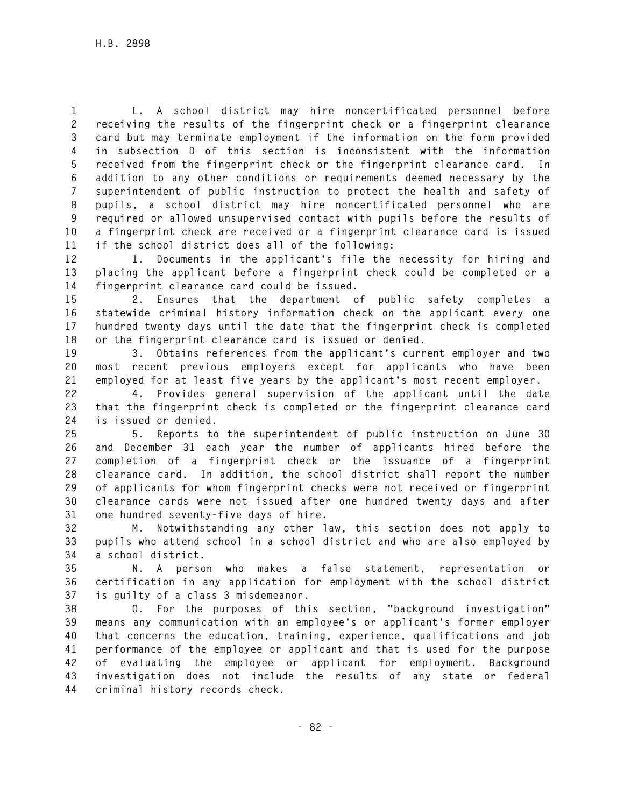**1 L. A school district may hire noncertificated personnel before 2 receiving the results of the fingerprint check or a fingerprint clearance 3 card but may terminate employment if the information on the form provided 4 in subsection D of this section is inconsistent with the information 5 received from the fingerprint check or the fingerprint clearance card. In 6 addition to any other conditions or requirements deemed necessary by the 7 superintendent of public instruction to protect the health and safety of 8 pupils, a school district may hire noncertificated personnel who are 9 required or allowed unsupervised contact with pupils before the results of 10 a fingerprint check are received or a fingerprint clearance card is issued 11 if the school district does all of the following:** 

**12 1. Documents in the applicant's file the necessity for hiring and 13 placing the applicant before a fingerprint check could be completed or a 14 fingerprint clearance card could be issued.** 

**15 2. Ensures that the department of public safety completes a 16 statewide criminal history information check on the applicant every one 17 hundred twenty days until the date that the fingerprint check is completed 18 or the fingerprint clearance card is issued or denied.** 

**19 3. Obtains references from the applicant's current employer and two 20 most recent previous employers except for applicants who have been 21 employed for at least five years by the applicant's most recent employer.** 

**22 4. Provides general supervision of the applicant until the date 23 that the fingerprint check is completed or the fingerprint clearance card 24 is issued or denied.** 

**25 5. Reports to the superintendent of public instruction on June 30 26 and December 31 each year the number of applicants hired before the 27 completion of a fingerprint check or the issuance of a fingerprint 28 clearance card. In addition, the school district shall report the number 29 of applicants for whom fingerprint checks were not received or fingerprint 30 clearance cards were not issued after one hundred twenty days and after 31 one hundred seventy-five days of hire.** 

**32 M. Notwithstanding any other law, this section does not apply to 33 pupils who attend school in a school district and who are also employed by 34 a school district.** 

**35 N. A person who makes a false statement, representation or 36 certification in any application for employment with the school district 37 is guilty of a class 3 misdemeanor.** 

**38 O. For the purposes of this section, "background investigation" 39 means any communication with an employee's or applicant's former employer 40 that concerns the education, training, experience, qualifications and job 41 performance of the employee or applicant and that is used for the purpose 42 of evaluating the employee or applicant for employment. Background 43 investigation does not include the results of any state or federal 44 criminal history records check.**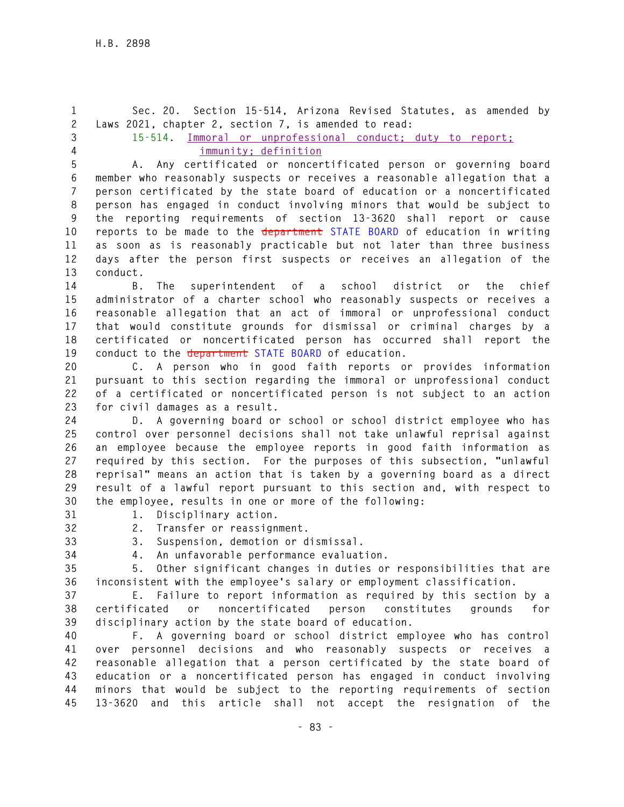**1 Sec. 20. Section 15-514, Arizona Revised Statutes, as amended by 2 Laws 2021, chapter 2, section 7, is amended to read: 3 15-514. Immoral or unprofessional conduct; duty to report; 4 immunity; definition 5 A. Any certificated or noncertificated person or governing board 6 member who reasonably suspects or receives a reasonable allegation that a 7 person certificated by the state board of education or a noncertificated 8 person has engaged in conduct involving minors that would be subject to 9 the reporting requirements of section 13-3620 shall report or cause 10 reports to be made to the department STATE BOARD of education in writing 11 as soon as is reasonably practicable but not later than three business 12 days after the person first suspects or receives an allegation of the 13 conduct. 14 B. The superintendent of a school district or the chief 15 administrator of a charter school who reasonably suspects or receives a 16 reasonable allegation that an act of immoral or unprofessional conduct 17 that would constitute grounds for dismissal or criminal charges by a 18 certificated or noncertificated person has occurred shall report the 19 conduct to the department STATE BOARD of education. 20 C. A person who in good faith reports or provides information 21 pursuant to this section regarding the immoral or unprofessional conduct 22 of a certificated or noncertificated person is not subject to an action 23 for civil damages as a result. 24 D. A governing board or school or school district employee who has 25 control over personnel decisions shall not take unlawful reprisal against 26 an employee because the employee reports in good faith information as 27 required by this section. For the purposes of this subsection, "unlawful 28 reprisal" means an action that is taken by a governing board as a direct 29 result of a lawful report pursuant to this section and, with respect to 30 the employee, results in one or more of the following: 31 1. Disciplinary action. 32 2. Transfer or reassignment. 33 3. Suspension, demotion or dismissal. 34 4. An unfavorable performance evaluation. 35 5. Other significant changes in duties or responsibilities that are 36 inconsistent with the employee's salary or employment classification. 37 E. Failure to report information as required by this section by a 38 certificated or noncertificated person constitutes grounds for 39 disciplinary action by the state board of education. 40 F. A governing board or school district employee who has control 41 over personnel decisions and who reasonably suspects or receives a 42 reasonable allegation that a person certificated by the state board of 43 education or a noncertificated person has engaged in conduct involving 44 minors that would be subject to the reporting requirements of section 45 13-3620 and this article shall not accept the resignation of the**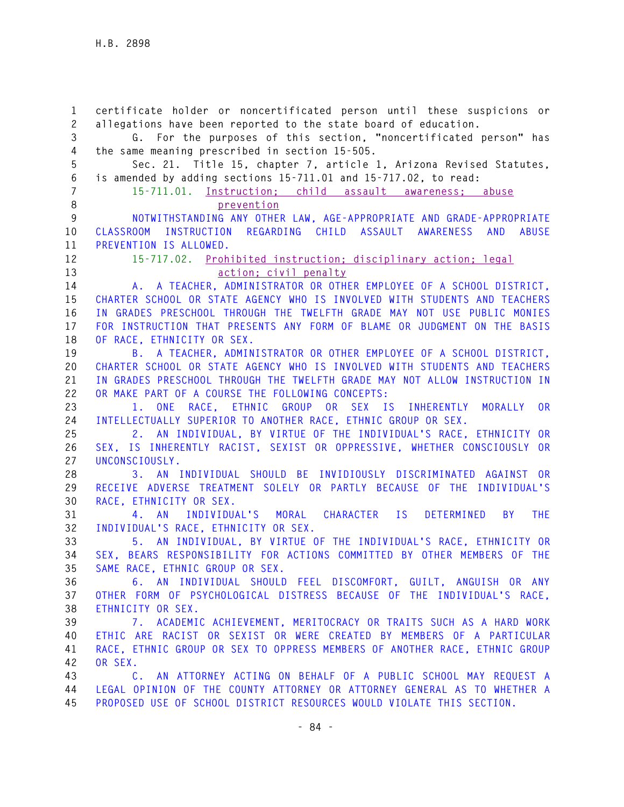**1 certificate holder or noncertificated person until these suspicions or 2 allegations have been reported to the state board of education. 3 G. For the purposes of this section, "noncertificated person" has 4 the same meaning prescribed in section 15-505. 5 Sec. 21. Title 15, chapter 7, article 1, Arizona Revised Statutes, 6 is amended by adding sections 15-711.01 and 15-717.02, to read: 7 15-711.01. Instruction; child assault awareness; abuse 8 prevention 9 NOTWITHSTANDING ANY OTHER LAW, AGE-APPROPRIATE AND GRADE-APPROPRIATE 10 CLASSROOM INSTRUCTION REGARDING CHILD ASSAULT AWARENESS AND ABUSE 11 PREVENTION IS ALLOWED. 12 15-717.02. Prohibited instruction; disciplinary action; legal 13 action; civil penalty 14 A. A TEACHER, ADMINISTRATOR OR OTHER EMPLOYEE OF A SCHOOL DISTRICT, 15 CHARTER SCHOOL OR STATE AGENCY WHO IS INVOLVED WITH STUDENTS AND TEACHERS 16 IN GRADES PRESCHOOL THROUGH THE TWELFTH GRADE MAY NOT USE PUBLIC MONIES 17 FOR INSTRUCTION THAT PRESENTS ANY FORM OF BLAME OR JUDGMENT ON THE BASIS 18 OF RACE, ETHNICITY OR SEX. 19 B. A TEACHER, ADMINISTRATOR OR OTHER EMPLOYEE OF A SCHOOL DISTRICT, 20 CHARTER SCHOOL OR STATE AGENCY WHO IS INVOLVED WITH STUDENTS AND TEACHERS 21 IN GRADES PRESCHOOL THROUGH THE TWELFTH GRADE MAY NOT ALLOW INSTRUCTION IN 22 OR MAKE PART OF A COURSE THE FOLLOWING CONCEPTS: 23 1. ONE RACE, ETHNIC GROUP OR SEX IS INHERENTLY MORALLY OR 24 INTELLECTUALLY SUPERIOR TO ANOTHER RACE, ETHNIC GROUP OR SEX. 25 2. AN INDIVIDUAL, BY VIRTUE OF THE INDIVIDUAL'S RACE, ETHNICITY OR 26 SEX, IS INHERENTLY RACIST, SEXIST OR OPPRESSIVE, WHETHER CONSCIOUSLY OR 27 UNCONSCIOUSLY. 28 3. AN INDIVIDUAL SHOULD BE INVIDIOUSLY DISCRIMINATED AGAINST OR 29 RECEIVE ADVERSE TREATMENT SOLELY OR PARTLY BECAUSE OF THE INDIVIDUAL'S 30 RACE, ETHNICITY OR SEX. 31 4. AN INDIVIDUAL'S MORAL CHARACTER IS DETERMINED BY THE 32 INDIVIDUAL'S RACE, ETHNICITY OR SEX. 33 5. AN INDIVIDUAL, BY VIRTUE OF THE INDIVIDUAL'S RACE, ETHNICITY OR 34 SEX, BEARS RESPONSIBILITY FOR ACTIONS COMMITTED BY OTHER MEMBERS OF THE 35 SAME RACE, ETHNIC GROUP OR SEX. 36 6. AN INDIVIDUAL SHOULD FEEL DISCOMFORT, GUILT, ANGUISH OR ANY 37 OTHER FORM OF PSYCHOLOGICAL DISTRESS BECAUSE OF THE INDIVIDUAL'S RACE, 38 ETHNICITY OR SEX. 39 7. ACADEMIC ACHIEVEMENT, MERITOCRACY OR TRAITS SUCH AS A HARD WORK 40 ETHIC ARE RACIST OR SEXIST OR WERE CREATED BY MEMBERS OF A PARTICULAR 41 RACE, ETHNIC GROUP OR SEX TO OPPRESS MEMBERS OF ANOTHER RACE, ETHNIC GROUP 42 OR SEX. 43 C. AN ATTORNEY ACTING ON BEHALF OF A PUBLIC SCHOOL MAY REQUEST A 44 LEGAL OPINION OF THE COUNTY ATTORNEY OR ATTORNEY GENERAL AS TO WHETHER A 45 PROPOSED USE OF SCHOOL DISTRICT RESOURCES WOULD VIOLATE THIS SECTION.**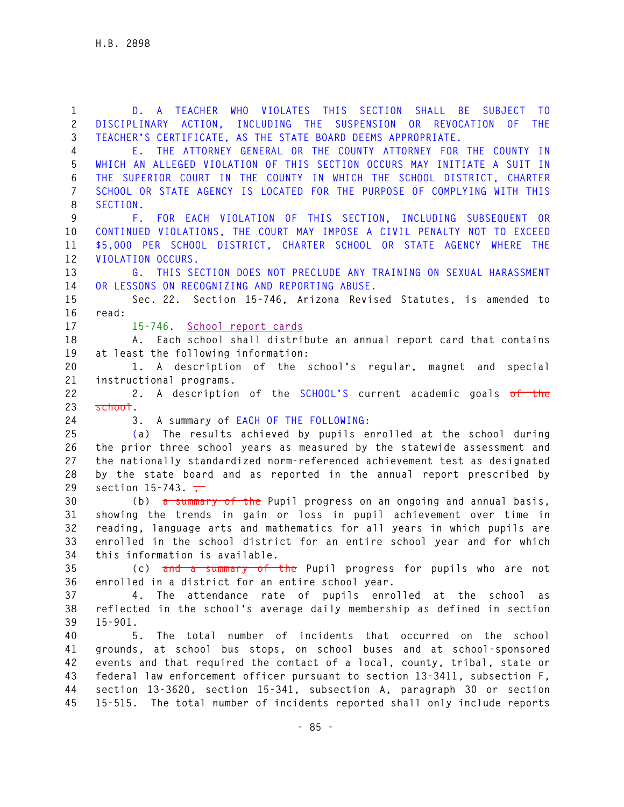**- 85 - 1 D. A TEACHER WHO VIOLATES THIS SECTION SHALL BE SUBJECT TO 2 DISCIPLINARY ACTION, INCLUDING THE SUSPENSION OR REVOCATION OF THE 3 TEACHER'S CERTIFICATE, AS THE STATE BOARD DEEMS APPROPRIATE. 4 E. THE ATTORNEY GENERAL OR THE COUNTY ATTORNEY FOR THE COUNTY IN 5 WHICH AN ALLEGED VIOLATION OF THIS SECTION OCCURS MAY INITIATE A SUIT IN 6 THE SUPERIOR COURT IN THE COUNTY IN WHICH THE SCHOOL DISTRICT, CHARTER 7 SCHOOL OR STATE AGENCY IS LOCATED FOR THE PURPOSE OF COMPLYING WITH THIS 8 SECTION. 9 F. FOR EACH VIOLATION OF THIS SECTION, INCLUDING SUBSEQUENT OR 10 CONTINUED VIOLATIONS, THE COURT MAY IMPOSE A CIVIL PENALTY NOT TO EXCEED 11 \$5,000 PER SCHOOL DISTRICT, CHARTER SCHOOL OR STATE AGENCY WHERE THE 12 VIOLATION OCCURS. 13 G. THIS SECTION DOES NOT PRECLUDE ANY TRAINING ON SEXUAL HARASSMENT 14 OR LESSONS ON RECOGNIZING AND REPORTING ABUSE. 15 Sec. 22. Section 15-746, Arizona Revised Statutes, is amended to 16 read: 17 15-746. School report cards 18 A. Each school shall distribute an annual report card that contains 19 at least the following information: 20 1. A description of the school's regular, magnet and special 21 instructional programs. 22 2. A description of the SCHOOL'S current academic goals of the 23 school. 24 3. A summary of EACH OF THE FOLLOWING: 25 (a) The results achieved by pupils enrolled at the school during 26 the prior three school years as measured by the statewide assessment and 27 the nationally standardized norm-referenced achievement test as designated 28 by the state board and as reported in the annual report prescribed by**  29 section 15-743. <del>,</del> **30 (b) a summary of the Pupil progress on an ongoing and annual basis, 31 showing the trends in gain or loss in pupil achievement over time in 32 reading, language arts and mathematics for all years in which pupils are 33 enrolled in the school district for an entire school year and for which 34 this information is available. 35 (c) and a summary of the Pupil progress for pupils who are not 36 enrolled in a district for an entire school year. 37 4. The attendance rate of pupils enrolled at the school as 38 reflected in the school's average daily membership as defined in section 39 15-901. 40 5. The total number of incidents that occurred on the school 41 grounds, at school bus stops, on school buses and at school-sponsored 42 events and that required the contact of a local, county, tribal, state or 43 federal law enforcement officer pursuant to section 13-3411, subsection F, 44 section 13-3620, section 15-341, subsection A, paragraph 30 or section 45 15-515. The total number of incidents reported shall only include reports**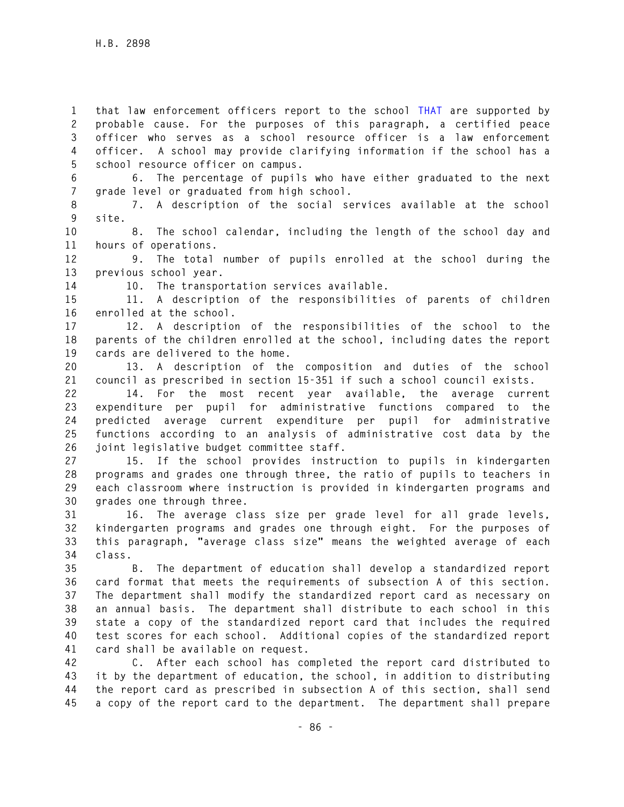**1 that law enforcement officers report to the school THAT are supported by 2 probable cause. For the purposes of this paragraph, a certified peace 3 officer who serves as a school resource officer is a law enforcement 4 officer. A school may provide clarifying information if the school has a 5 school resource officer on campus.** 

**6 6. The percentage of pupils who have either graduated to the next 7 grade level or graduated from high school.** 

**8 7. A description of the social services available at the school 9 site.** 

**10 8. The school calendar, including the length of the school day and 11 hours of operations.** 

**12 9. The total number of pupils enrolled at the school during the 13 previous school year.** 

**14 10. The transportation services available.** 

**15 11. A description of the responsibilities of parents of children 16 enrolled at the school.** 

**17 12. A description of the responsibilities of the school to the 18 parents of the children enrolled at the school, including dates the report 19 cards are delivered to the home.** 

**20 13. A description of the composition and duties of the school 21 council as prescribed in section 15-351 if such a school council exists.** 

**22 14. For the most recent year available, the average current 23 expenditure per pupil for administrative functions compared to the 24 predicted average current expenditure per pupil for administrative 25 functions according to an analysis of administrative cost data by the 26 joint legislative budget committee staff.** 

**27 15. If the school provides instruction to pupils in kindergarten 28 programs and grades one through three, the ratio of pupils to teachers in 29 each classroom where instruction is provided in kindergarten programs and 30 grades one through three.** 

**31 16. The average class size per grade level for all grade levels, 32 kindergarten programs and grades one through eight. For the purposes of 33 this paragraph, "average class size" means the weighted average of each 34 class.** 

**35 B. The department of education shall develop a standardized report 36 card format that meets the requirements of subsection A of this section. 37 The department shall modify the standardized report card as necessary on 38 an annual basis. The department shall distribute to each school in this 39 state a copy of the standardized report card that includes the required 40 test scores for each school. Additional copies of the standardized report 41 card shall be available on request.** 

**42 C. After each school has completed the report card distributed to 43 it by the department of education, the school, in addition to distributing 44 the report card as prescribed in subsection A of this section, shall send 45 a copy of the report card to the department. The department shall prepare**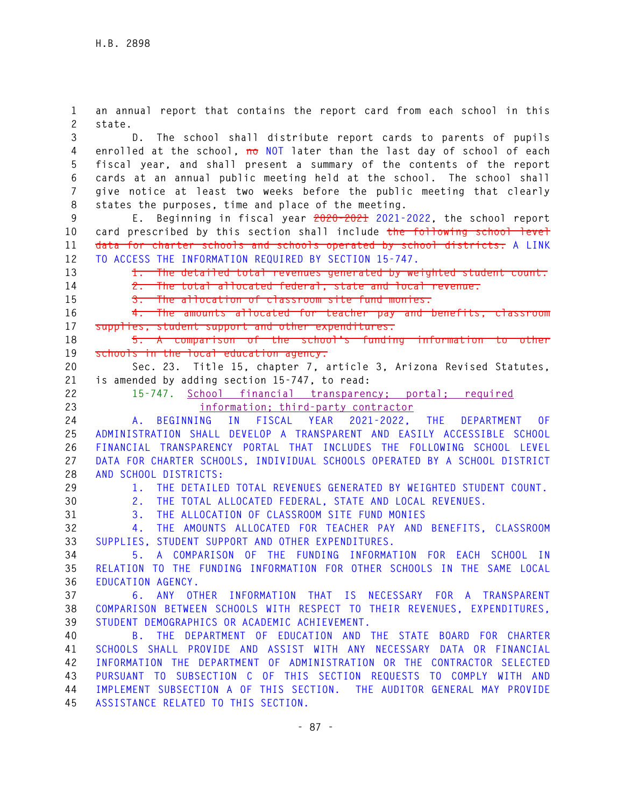**1 an annual report that contains the report card from each school in this 2 state. 3 D. The school shall distribute report cards to parents of pupils 4 enrolled at the school, no NOT later than the last day of school of each 5 fiscal year, and shall present a summary of the contents of the report 6 cards at an annual public meeting held at the school. The school shall 7 give notice at least two weeks before the public meeting that clearly 8 states the purposes, time and place of the meeting. 9 E. Beginning in fiscal year 2020-2021 2021-2022, the school report 10 card prescribed by this section shall include the following school level 11 data for charter schools and schools operated by school districts: A LINK 12 TO ACCESS THE INFORMATION REQUIRED BY SECTION 15-747. 13 1. The detailed total revenues generated by weighted student count. 14 2. The total allocated federal, state and local revenue. 15 3. The allocation of classroom site fund monies. 16 4. The amounts allocated for teacher pay and benefits, classroom 17 supplies, student support and other expenditures. 18 5. A comparison of the school's funding information to other 19 schools in the local education agency. 20 Sec. 23. Title 15, chapter 7, article 3, Arizona Revised Statutes, 21 is amended by adding section 15-747, to read: 22 15-747. School financial transparency; portal; required 23 information; third-party contractor 24 A. BEGINNING IN FISCAL YEAR 2021-2022, THE DEPARTMENT OF 25 ADMINISTRATION SHALL DEVELOP A TRANSPARENT AND EASILY ACCESSIBLE SCHOOL 26 FINANCIAL TRANSPARENCY PORTAL THAT INCLUDES THE FOLLOWING SCHOOL LEVEL 27 DATA FOR CHARTER SCHOOLS, INDIVIDUAL SCHOOLS OPERATED BY A SCHOOL DISTRICT 28 AND SCHOOL DISTRICTS: 29 1. THE DETAILED TOTAL REVENUES GENERATED BY WEIGHTED STUDENT COUNT. 30 2. THE TOTAL ALLOCATED FEDERAL, STATE AND LOCAL REVENUES. 31 3. THE ALLOCATION OF CLASSROOM SITE FUND MONIES 32 4. THE AMOUNTS ALLOCATED FOR TEACHER PAY AND BENEFITS, CLASSROOM 33 SUPPLIES, STUDENT SUPPORT AND OTHER EXPENDITURES. 34 5. A COMPARISON OF THE FUNDING INFORMATION FOR EACH SCHOOL IN 35 RELATION TO THE FUNDING INFORMATION FOR OTHER SCHOOLS IN THE SAME LOCAL 36 EDUCATION AGENCY. 37 6. ANY OTHER INFORMATION THAT IS NECESSARY FOR A TRANSPARENT 38 COMPARISON BETWEEN SCHOOLS WITH RESPECT TO THEIR REVENUES, EXPENDITURES, 39 STUDENT DEMOGRAPHICS OR ACADEMIC ACHIEVEMENT. 40 B. THE DEPARTMENT OF EDUCATION AND THE STATE BOARD FOR CHARTER 41 SCHOOLS SHALL PROVIDE AND ASSIST WITH ANY NECESSARY DATA OR FINANCIAL 42 INFORMATION THE DEPARTMENT OF ADMINISTRATION OR THE CONTRACTOR SELECTED 43 PURSUANT TO SUBSECTION C OF THIS SECTION REQUESTS TO COMPLY WITH AND 44 IMPLEMENT SUBSECTION A OF THIS SECTION. THE AUDITOR GENERAL MAY PROVIDE 45 ASSISTANCE RELATED TO THIS SECTION.**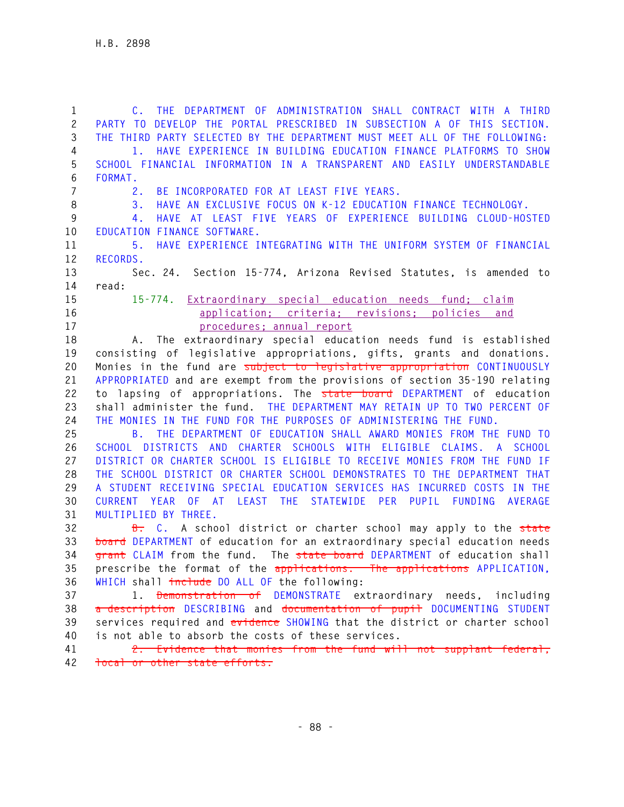**1 C. THE DEPARTMENT OF ADMINISTRATION SHALL CONTRACT WITH A THIRD 2 PARTY TO DEVELOP THE PORTAL PRESCRIBED IN SUBSECTION A OF THIS SECTION. 3 THE THIRD PARTY SELECTED BY THE DEPARTMENT MUST MEET ALL OF THE FOLLOWING: 4 1. HAVE EXPERIENCE IN BUILDING EDUCATION FINANCE PLATFORMS TO SHOW 5 SCHOOL FINANCIAL INFORMATION IN A TRANSPARENT AND EASILY UNDERSTANDABLE 6 FORMAT. 7 2. BE INCORPORATED FOR AT LEAST FIVE YEARS. 8 3. HAVE AN EXCLUSIVE FOCUS ON K-12 EDUCATION FINANCE TECHNOLOGY. 9 4. HAVE AT LEAST FIVE YEARS OF EXPERIENCE BUILDING CLOUD-HOSTED 10 EDUCATION FINANCE SOFTWARE. 11 5. HAVE EXPERIENCE INTEGRATING WITH THE UNIFORM SYSTEM OF FINANCIAL 12 RECORDS. 13 Sec. 24. Section 15-774, Arizona Revised Statutes, is amended to 14 read: 15 15-774. Extraordinary special education needs fund; claim 16 application; criteria; revisions; policies and 17 procedures; annual report 18 A. The extraordinary special education needs fund is established 19 consisting of legislative appropriations, gifts, grants and donations. 20 Monies in the fund are subject to legislative appropriation CONTINUOUSLY 21 APPROPRIATED and are exempt from the provisions of section 35-190 relating 22 to lapsing of appropriations. The state board DEPARTMENT of education 23 shall administer the fund. THE DEPARTMENT MAY RETAIN UP TO TWO PERCENT OF 24 THE MONIES IN THE FUND FOR THE PURPOSES OF ADMINISTERING THE FUND. 25 B. THE DEPARTMENT OF EDUCATION SHALL AWARD MONIES FROM THE FUND TO 26 SCHOOL DISTRICTS AND CHARTER SCHOOLS WITH ELIGIBLE CLAIMS. A SCHOOL 27 DISTRICT OR CHARTER SCHOOL IS ELIGIBLE TO RECEIVE MONIES FROM THE FUND IF 28 THE SCHOOL DISTRICT OR CHARTER SCHOOL DEMONSTRATES TO THE DEPARTMENT THAT 29 A STUDENT RECEIVING SPECIAL EDUCATION SERVICES HAS INCURRED COSTS IN THE 30 CURRENT YEAR OF AT LEAST THE STATEWIDE PER PUPIL FUNDING AVERAGE 31 MULTIPLIED BY THREE. 32 B. C. A school district or charter school may apply to the state 33 board DEPARTMENT of education for an extraordinary special education needs 34 grant CLAIM from the fund. The state board DEPARTMENT of education shall 35 prescribe the format of the applications. The applications APPLICATION, 36 WHICH shall include DO ALL OF the following: 37 1. Demonstration of DEMONSTRATE extraordinary needs, including 38 a description DESCRIBING and documentation of pupil DOCUMENTING STUDENT 39 services required and evidence SHOWING that the district or charter school 40 is not able to absorb the costs of these services. 41 2. Evidence that monies from the fund will not supplant federal, 42 local or other state efforts.**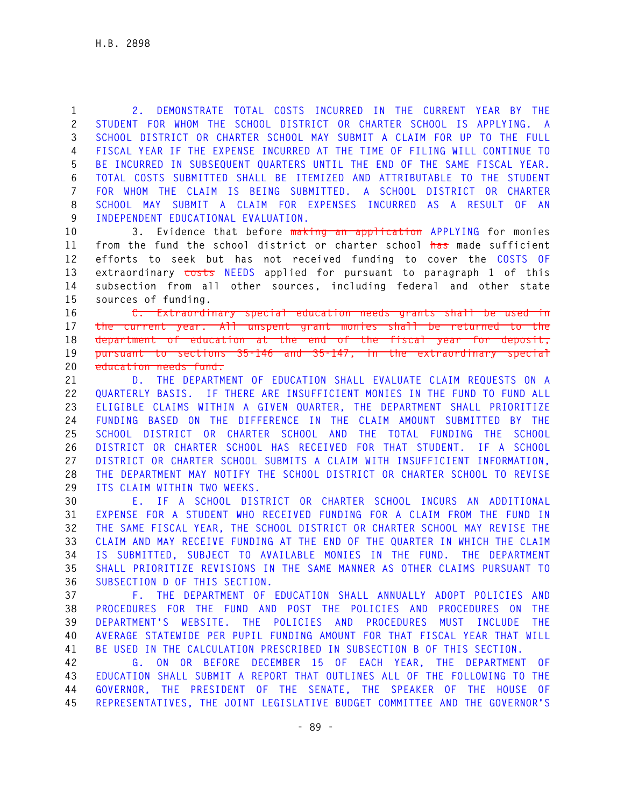**1 2. DEMONSTRATE TOTAL COSTS INCURRED IN THE CURRENT YEAR BY THE 2 STUDENT FOR WHOM THE SCHOOL DISTRICT OR CHARTER SCHOOL IS APPLYING. A 3 SCHOOL DISTRICT OR CHARTER SCHOOL MAY SUBMIT A CLAIM FOR UP TO THE FULL 4 FISCAL YEAR IF THE EXPENSE INCURRED AT THE TIME OF FILING WILL CONTINUE TO 5 BE INCURRED IN SUBSEQUENT QUARTERS UNTIL THE END OF THE SAME FISCAL YEAR. 6 TOTAL COSTS SUBMITTED SHALL BE ITEMIZED AND ATTRIBUTABLE TO THE STUDENT 7 FOR WHOM THE CLAIM IS BEING SUBMITTED. A SCHOOL DISTRICT OR CHARTER 8 SCHOOL MAY SUBMIT A CLAIM FOR EXPENSES INCURRED AS A RESULT OF AN 9 INDEPENDENT EDUCATIONAL EVALUATION.** 

**10 3. Evidence that before making an application APPLYING for monies 11 from the fund the school district or charter school has made sufficient 12 efforts to seek but has not received funding to cover the COSTS OF 13 extraordinary costs NEEDS applied for pursuant to paragraph 1 of this 14 subsection from all other sources, including federal and other state 15 sources of funding.** 

**16 C. Extraordinary special education needs grants shall be used in 17 the current year. All unspent grant monies shall be returned to the 18 department of education at the end of the fiscal year for deposit, 19 pursuant to sections 35-146 and 35-147, in the extraordinary special 20 education needs fund.** 

**21 D. THE DEPARTMENT OF EDUCATION SHALL EVALUATE CLAIM REQUESTS ON A 22 QUARTERLY BASIS. IF THERE ARE INSUFFICIENT MONIES IN THE FUND TO FUND ALL 23 ELIGIBLE CLAIMS WITHIN A GIVEN QUARTER, THE DEPARTMENT SHALL PRIORITIZE 24 FUNDING BASED ON THE DIFFERENCE IN THE CLAIM AMOUNT SUBMITTED BY THE 25 SCHOOL DISTRICT OR CHARTER SCHOOL AND THE TOTAL FUNDING THE SCHOOL 26 DISTRICT OR CHARTER SCHOOL HAS RECEIVED FOR THAT STUDENT. IF A SCHOOL 27 DISTRICT OR CHARTER SCHOOL SUBMITS A CLAIM WITH INSUFFICIENT INFORMATION, 28 THE DEPARTMENT MAY NOTIFY THE SCHOOL DISTRICT OR CHARTER SCHOOL TO REVISE 29 ITS CLAIM WITHIN TWO WEEKS.** 

**30 E. IF A SCHOOL DISTRICT OR CHARTER SCHOOL INCURS AN ADDITIONAL 31 EXPENSE FOR A STUDENT WHO RECEIVED FUNDING FOR A CLAIM FROM THE FUND IN 32 THE SAME FISCAL YEAR, THE SCHOOL DISTRICT OR CHARTER SCHOOL MAY REVISE THE 33 CLAIM AND MAY RECEIVE FUNDING AT THE END OF THE QUARTER IN WHICH THE CLAIM 34 IS SUBMITTED, SUBJECT TO AVAILABLE MONIES IN THE FUND. THE DEPARTMENT 35 SHALL PRIORITIZE REVISIONS IN THE SAME MANNER AS OTHER CLAIMS PURSUANT TO 36 SUBSECTION D OF THIS SECTION.** 

**37 F. THE DEPARTMENT OF EDUCATION SHALL ANNUALLY ADOPT POLICIES AND 38 PROCEDURES FOR THE FUND AND POST THE POLICIES AND PROCEDURES ON THE 39 DEPARTMENT'S WEBSITE. THE POLICIES AND PROCEDURES MUST INCLUDE THE 40 AVERAGE STATEWIDE PER PUPIL FUNDING AMOUNT FOR THAT FISCAL YEAR THAT WILL 41 BE USED IN THE CALCULATION PRESCRIBED IN SUBSECTION B OF THIS SECTION.** 

**42 G. ON OR BEFORE DECEMBER 15 OF EACH YEAR, THE DEPARTMENT OF 43 EDUCATION SHALL SUBMIT A REPORT THAT OUTLINES ALL OF THE FOLLOWING TO THE 44 GOVERNOR, THE PRESIDENT OF THE SENATE, THE SPEAKER OF THE HOUSE OF 45 REPRESENTATIVES, THE JOINT LEGISLATIVE BUDGET COMMITTEE AND THE GOVERNOR'S**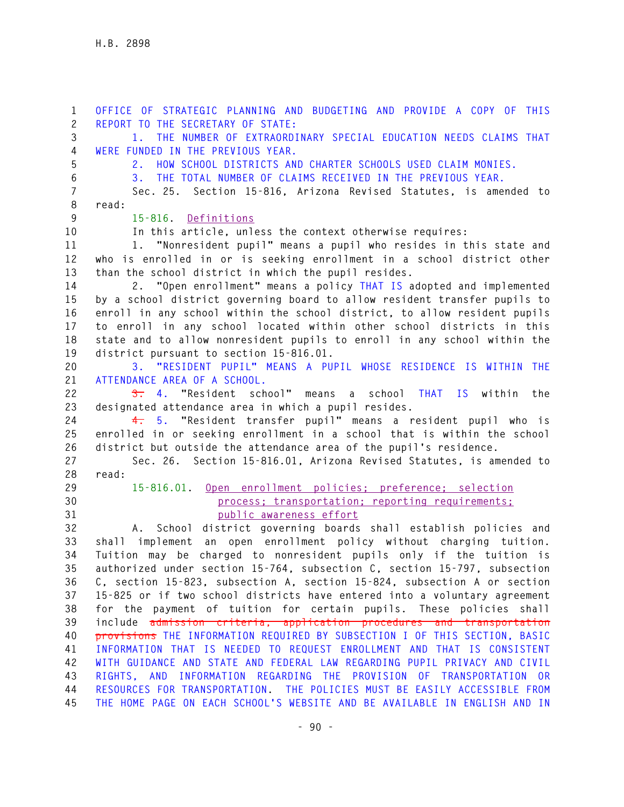**1 OFFICE OF STRATEGIC PLANNING AND BUDGETING AND PROVIDE A COPY OF THIS 2 REPORT TO THE SECRETARY OF STATE: 3 1. THE NUMBER OF EXTRAORDINARY SPECIAL EDUCATION NEEDS CLAIMS THAT 4 WERE FUNDED IN THE PREVIOUS YEAR. 5 2. HOW SCHOOL DISTRICTS AND CHARTER SCHOOLS USED CLAIM MONIES. 6 3. THE TOTAL NUMBER OF CLAIMS RECEIVED IN THE PREVIOUS YEAR. 7 Sec. 25. Section 15-816, Arizona Revised Statutes, is amended to 8 read: 9 15-816. Definitions 10 In this article, unless the context otherwise requires: 11 1. "Nonresident pupil" means a pupil who resides in this state and 12 who is enrolled in or is seeking enrollment in a school district other 13 than the school district in which the pupil resides. 14 2. "Open enrollment" means a policy THAT IS adopted and implemented 15 by a school district governing board to allow resident transfer pupils to 16 enroll in any school within the school district, to allow resident pupils 17 to enroll in any school located within other school districts in this 18 state and to allow nonresident pupils to enroll in any school within the 19 district pursuant to section 15-816.01. 20 3. "RESIDENT PUPIL" MEANS A PUPIL WHOSE RESIDENCE IS WITHIN THE 21 ATTENDANCE AREA OF A SCHOOL. 22 3. 4. "Resident school" means a school THAT IS within the 23 designated attendance area in which a pupil resides. 24 4. 5. "Resident transfer pupil" means a resident pupil who is 25 enrolled in or seeking enrollment in a school that is within the school 26 district but outside the attendance area of the pupil's residence. 27 Sec. 26. Section 15-816.01, Arizona Revised Statutes, is amended to 28 read: 29 15-816.01. Open enrollment policies; preference; selection 30 process; transportation; reporting requirements; 31 public awareness effort 32 A. School district governing boards shall establish policies and 33 shall implement an open enrollment policy without charging tuition. 34 Tuition may be charged to nonresident pupils only if the tuition is 35 authorized under section 15-764, subsection C, section 15-797, subsection 36 C, section 15-823, subsection A, section 15-824, subsection A or section 37 15-825 or if two school districts have entered into a voluntary agreement 38 for the payment of tuition for certain pupils. These policies shall 39 include admission criteria, application procedures and transportation 40 provisions THE INFORMATION REQUIRED BY SUBSECTION I OF THIS SECTION, BASIC 41 INFORMATION THAT IS NEEDED TO REQUEST ENROLLMENT AND THAT IS CONSISTENT 42 WITH GUIDANCE AND STATE AND FEDERAL LAW REGARDING PUPIL PRIVACY AND CIVIL 43 RIGHTS, AND INFORMATION REGARDING THE PROVISION OF TRANSPORTATION OR 44 RESOURCES FOR TRANSPORTATION. THE POLICIES MUST BE EASILY ACCESSIBLE FROM 45 THE HOME PAGE ON EACH SCHOOL'S WEBSITE AND BE AVAILABLE IN ENGLISH AND IN**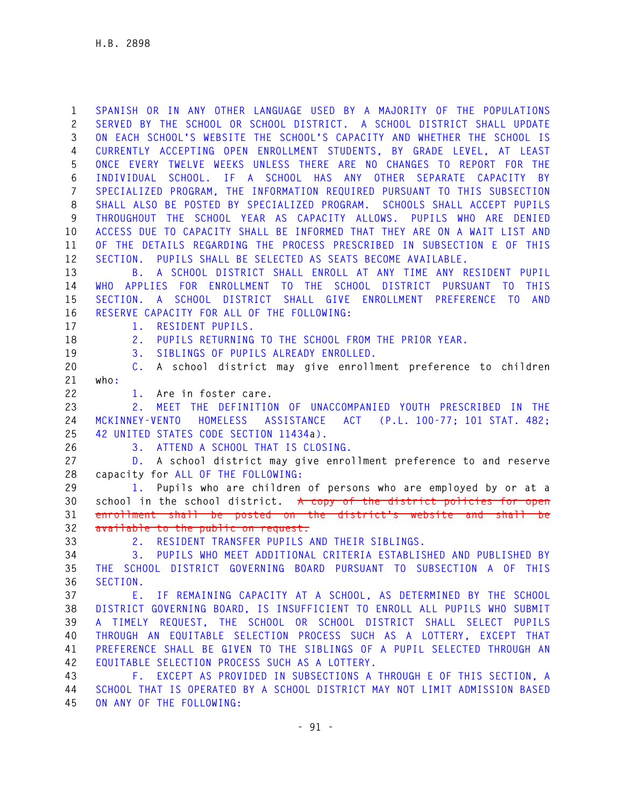**1 SPANISH OR IN ANY OTHER LANGUAGE USED BY A MAJORITY OF THE POPULATIONS 2 SERVED BY THE SCHOOL OR SCHOOL DISTRICT. A SCHOOL DISTRICT SHALL UPDATE 3 ON EACH SCHOOL'S WEBSITE THE SCHOOL'S CAPACITY AND WHETHER THE SCHOOL IS 4 CURRENTLY ACCEPTING OPEN ENROLLMENT STUDENTS, BY GRADE LEVEL, AT LEAST 5 ONCE EVERY TWELVE WEEKS UNLESS THERE ARE NO CHANGES TO REPORT FOR THE 6 INDIVIDUAL SCHOOL. IF A SCHOOL HAS ANY OTHER SEPARATE CAPACITY BY 7 SPECIALIZED PROGRAM, THE INFORMATION REQUIRED PURSUANT TO THIS SUBSECTION 8 SHALL ALSO BE POSTED BY SPECIALIZED PROGRAM. SCHOOLS SHALL ACCEPT PUPILS 9 THROUGHOUT THE SCHOOL YEAR AS CAPACITY ALLOWS. PUPILS WHO ARE DENIED 10 ACCESS DUE TO CAPACITY SHALL BE INFORMED THAT THEY ARE ON A WAIT LIST AND 11 OF THE DETAILS REGARDING THE PROCESS PRESCRIBED IN SUBSECTION E OF THIS 12 SECTION. PUPILS SHALL BE SELECTED AS SEATS BECOME AVAILABLE.** 

**13 B. A SCHOOL DISTRICT SHALL ENROLL AT ANY TIME ANY RESIDENT PUPIL 14 WHO APPLIES FOR ENROLLMENT TO THE SCHOOL DISTRICT PURSUANT TO THIS 15 SECTION. A SCHOOL DISTRICT SHALL GIVE ENROLLMENT PREFERENCE TO AND 16 RESERVE CAPACITY FOR ALL OF THE FOLLOWING:** 

**17 1. RESIDENT PUPILS.** 

**18 2. PUPILS RETURNING TO THE SCHOOL FROM THE PRIOR YEAR.** 

**19 3. SIBLINGS OF PUPILS ALREADY ENROLLED.** 

**20 C. A school district may give enrollment preference to children 21 who:** 

**22 1. Are in foster care.** 

**23 2. MEET THE DEFINITION OF UNACCOMPANIED YOUTH PRESCRIBED IN THE 24 MCKINNEY-VENTO HOMELESS ASSISTANCE ACT (P.L. 100-77; 101 STAT. 482; 25 42 UNITED STATES CODE SECTION 11434a).** 

**26 3. ATTEND A SCHOOL THAT IS CLOSING.** 

**27 D. A school district may give enrollment preference to and reserve 28 capacity for ALL OF THE FOLLOWING:** 

**29 1. Pupils who are children of persons who are employed by or at a 30 school in the school district. A copy of the district policies for open 31 enrollment shall be posted on the district's website and shall be 32 available to the public on request.** 

**33 2. RESIDENT TRANSFER PUPILS AND THEIR SIBLINGS.** 

**34 3. PUPILS WHO MEET ADDITIONAL CRITERIA ESTABLISHED AND PUBLISHED BY 35 THE SCHOOL DISTRICT GOVERNING BOARD PURSUANT TO SUBSECTION A OF THIS 36 SECTION.** 

**37 E. IF REMAINING CAPACITY AT A SCHOOL, AS DETERMINED BY THE SCHOOL 38 DISTRICT GOVERNING BOARD, IS INSUFFICIENT TO ENROLL ALL PUPILS WHO SUBMIT 39 A TIMELY REQUEST, THE SCHOOL OR SCHOOL DISTRICT SHALL SELECT PUPILS 40 THROUGH AN EQUITABLE SELECTION PROCESS SUCH AS A LOTTERY, EXCEPT THAT 41 PREFERENCE SHALL BE GIVEN TO THE SIBLINGS OF A PUPIL SELECTED THROUGH AN 42 EQUITABLE SELECTION PROCESS SUCH AS A LOTTERY.** 

**43 F. EXCEPT AS PROVIDED IN SUBSECTIONS A THROUGH E OF THIS SECTION, A 44 SCHOOL THAT IS OPERATED BY A SCHOOL DISTRICT MAY NOT LIMIT ADMISSION BASED 45 ON ANY OF THE FOLLOWING:**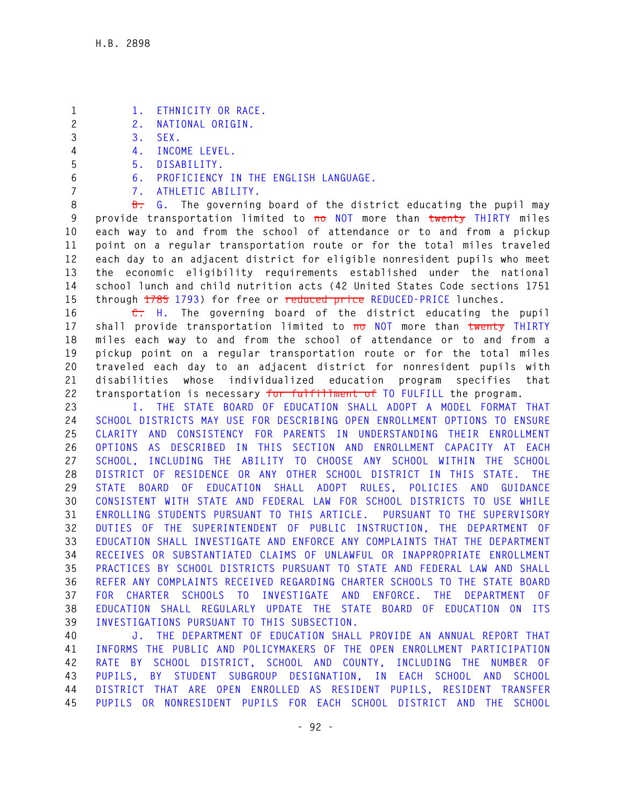- **1 1. ETHNICITY OR RACE.**
- **2 2. NATIONAL ORIGIN.**
- **3 3. SEX.**
- **4 4. INCOME LEVEL.**
- **5 5. DISABILITY.**
- **6 6. PROFICIENCY IN THE ENGLISH LANGUAGE.**
- **7 7. ATHLETIC ABILITY.**

**8 B. G. The governing board of the district educating the pupil may 9 provide transportation limited to no NOT more than twenty THIRTY miles 10 each way to and from the school of attendance or to and from a pickup 11 point on a regular transportation route or for the total miles traveled 12 each day to an adjacent district for eligible nonresident pupils who meet 13 the economic eligibility requirements established under the national 14 school lunch and child nutrition acts (42 United States Code sections 1751 15 through 1785 1793) for free or reduced price REDUCED-PRICE lunches.** 

**16 C. H. The governing board of the district educating the pupil 17 shall provide transportation limited to no NOT more than twenty THIRTY 18 miles each way to and from the school of attendance or to and from a 19 pickup point on a regular transportation route or for the total miles 20 traveled each day to an adjacent district for nonresident pupils with 21 disabilities whose individualized education program specifies that 22 transportation is necessary for fulfillment of TO FULFILL the program.** 

**23 I. THE STATE BOARD OF EDUCATION SHALL ADOPT A MODEL FORMAT THAT 24 SCHOOL DISTRICTS MAY USE FOR DESCRIBING OPEN ENROLLMENT OPTIONS TO ENSURE 25 CLARITY AND CONSISTENCY FOR PARENTS IN UNDERSTANDING THEIR ENROLLMENT 26 OPTIONS AS DESCRIBED IN THIS SECTION AND ENROLLMENT CAPACITY AT EACH 27 SCHOOL, INCLUDING THE ABILITY TO CHOOSE ANY SCHOOL WITHIN THE SCHOOL 28 DISTRICT OF RESIDENCE OR ANY OTHER SCHOOL DISTRICT IN THIS STATE. THE 29 STATE BOARD OF EDUCATION SHALL ADOPT RULES, POLICIES AND GUIDANCE 30 CONSISTENT WITH STATE AND FEDERAL LAW FOR SCHOOL DISTRICTS TO USE WHILE 31 ENROLLING STUDENTS PURSUANT TO THIS ARTICLE. PURSUANT TO THE SUPERVISORY 32 DUTIES OF THE SUPERINTENDENT OF PUBLIC INSTRUCTION, THE DEPARTMENT OF 33 EDUCATION SHALL INVESTIGATE AND ENFORCE ANY COMPLAINTS THAT THE DEPARTMENT 34 RECEIVES OR SUBSTANTIATED CLAIMS OF UNLAWFUL OR INAPPROPRIATE ENROLLMENT 35 PRACTICES BY SCHOOL DISTRICTS PURSUANT TO STATE AND FEDERAL LAW AND SHALL 36 REFER ANY COMPLAINTS RECEIVED REGARDING CHARTER SCHOOLS TO THE STATE BOARD 37 FOR CHARTER SCHOOLS TO INVESTIGATE AND ENFORCE. THE DEPARTMENT OF 38 EDUCATION SHALL REGULARLY UPDATE THE STATE BOARD OF EDUCATION ON ITS 39 INVESTIGATIONS PURSUANT TO THIS SUBSECTION.** 

**40 J. THE DEPARTMENT OF EDUCATION SHALL PROVIDE AN ANNUAL REPORT THAT 41 INFORMS THE PUBLIC AND POLICYMAKERS OF THE OPEN ENROLLMENT PARTICIPATION 42 RATE BY SCHOOL DISTRICT, SCHOOL AND COUNTY, INCLUDING THE NUMBER OF 43 PUPILS, BY STUDENT SUBGROUP DESIGNATION, IN EACH SCHOOL AND SCHOOL 44 DISTRICT THAT ARE OPEN ENROLLED AS RESIDENT PUPILS, RESIDENT TRANSFER 45 PUPILS OR NONRESIDENT PUPILS FOR EACH SCHOOL DISTRICT AND THE SCHOOL**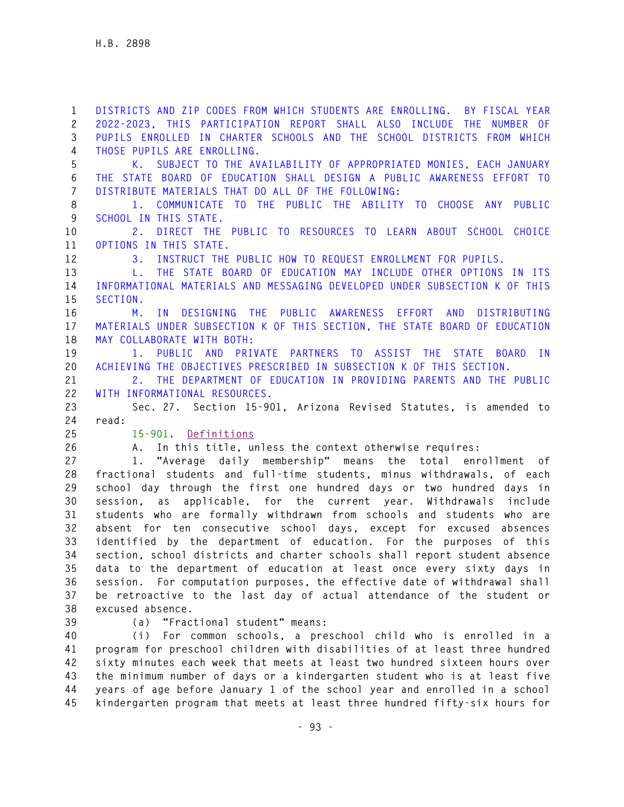**1 DISTRICTS AND ZIP CODES FROM WHICH STUDENTS ARE ENROLLING. BY FISCAL YEAR 2 2022-2023, THIS PARTICIPATION REPORT SHALL ALSO INCLUDE THE NUMBER OF 3 PUPILS ENROLLED IN CHARTER SCHOOLS AND THE SCHOOL DISTRICTS FROM WHICH 4 THOSE PUPILS ARE ENROLLING. 5 K. SUBJECT TO THE AVAILABILITY OF APPROPRIATED MONIES, EACH JANUARY 6 THE STATE BOARD OF EDUCATION SHALL DESIGN A PUBLIC AWARENESS EFFORT TO 7 DISTRIBUTE MATERIALS THAT DO ALL OF THE FOLLOWING: 8 1. COMMUNICATE TO THE PUBLIC THE ABILITY TO CHOOSE ANY PUBLIC 9 SCHOOL IN THIS STATE. 10 2. DIRECT THE PUBLIC TO RESOURCES TO LEARN ABOUT SCHOOL CHOICE 11 OPTIONS IN THIS STATE. 12 3. INSTRUCT THE PUBLIC HOW TO REQUEST ENROLLMENT FOR PUPILS. 13 L. THE STATE BOARD OF EDUCATION MAY INCLUDE OTHER OPTIONS IN ITS 14 INFORMATIONAL MATERIALS AND MESSAGING DEVELOPED UNDER SUBSECTION K OF THIS 15 SECTION. 16 M. IN DESIGNING THE PUBLIC AWARENESS EFFORT AND DISTRIBUTING 17 MATERIALS UNDER SUBSECTION K OF THIS SECTION, THE STATE BOARD OF EDUCATION 18 MAY COLLABORATE WITH BOTH: 19 1. PUBLIC AND PRIVATE PARTNERS TO ASSIST THE STATE BOARD IN 20 ACHIEVING THE OBJECTIVES PRESCRIBED IN SUBSECTION K OF THIS SECTION. 21 2. THE DEPARTMENT OF EDUCATION IN PROVIDING PARENTS AND THE PUBLIC 22 WITH INFORMATIONAL RESOURCES. 23 Sec. 27. Section 15-901, Arizona Revised Statutes, is amended to 24 read: 25 15-901. Definitions 26 A. In this title, unless the context otherwise requires: 27 1. "Average daily membership" means the total enrollment of 28 fractional students and full-time students, minus withdrawals, of each 29 school day through the first one hundred days or two hundred days in 30 session, as applicable, for the current year. Withdrawals include 31 students who are formally withdrawn from schools and students who are 32 absent for ten consecutive school days, except for excused absences 33 identified by the department of education. For the purposes of this** 

**34 section, school districts and charter schools shall report student absence 35 data to the department of education at least once every sixty days in 36 session. For computation purposes, the effective date of withdrawal shall 37 be retroactive to the last day of actual attendance of the student or 38 excused absence.** 

**39 (a) "Fractional student" means:** 

**40 (i) For common schools, a preschool child who is enrolled in a 41 program for preschool children with disabilities of at least three hundred 42 sixty minutes each week that meets at least two hundred sixteen hours over 43 the minimum number of days or a kindergarten student who is at least five 44 years of age before January 1 of the school year and enrolled in a school 45 kindergarten program that meets at least three hundred fifty-six hours for**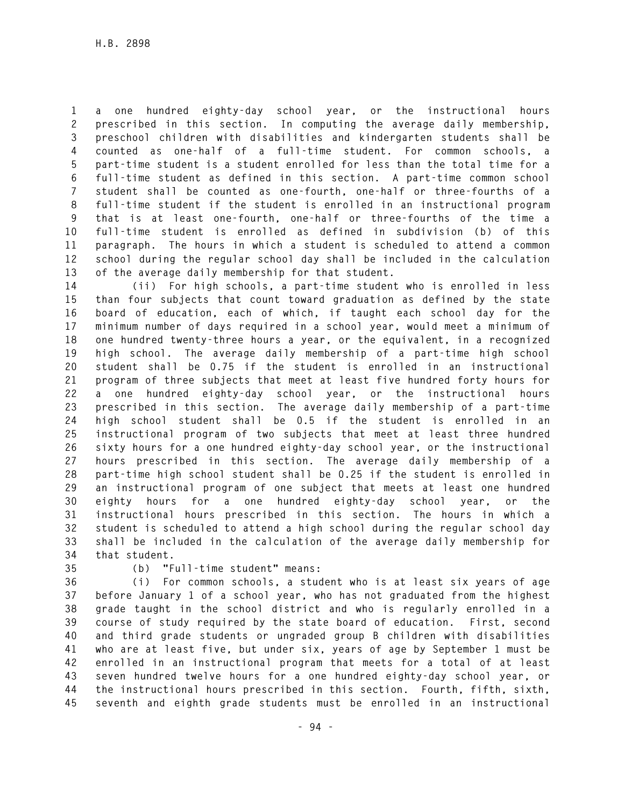**1 a one hundred eighty-day school year, or the instructional hours 2 prescribed in this section. In computing the average daily membership, 3 preschool children with disabilities and kindergarten students shall be 4 counted as one-half of a full-time student. For common schools, a 5 part-time student is a student enrolled for less than the total time for a 6 full-time student as defined in this section. A part-time common school 7 student shall be counted as one-fourth, one-half or three-fourths of a 8 full-time student if the student is enrolled in an instructional program 9 that is at least one-fourth, one-half or three-fourths of the time a 10 full-time student is enrolled as defined in subdivision (b) of this 11 paragraph. The hours in which a student is scheduled to attend a common 12 school during the regular school day shall be included in the calculation 13 of the average daily membership for that student.** 

**14 (ii) For high schools, a part-time student who is enrolled in less 15 than four subjects that count toward graduation as defined by the state 16 board of education, each of which, if taught each school day for the 17 minimum number of days required in a school year, would meet a minimum of 18 one hundred twenty-three hours a year, or the equivalent, in a recognized 19 high school. The average daily membership of a part-time high school 20 student shall be 0.75 if the student is enrolled in an instructional 21 program of three subjects that meet at least five hundred forty hours for 22 a one hundred eighty-day school year, or the instructional hours 23 prescribed in this section. The average daily membership of a part-time 24 high school student shall be 0.5 if the student is enrolled in an 25 instructional program of two subjects that meet at least three hundred 26 sixty hours for a one hundred eighty-day school year, or the instructional 27 hours prescribed in this section. The average daily membership of a 28 part-time high school student shall be 0.25 if the student is enrolled in 29 an instructional program of one subject that meets at least one hundred 30 eighty hours for a one hundred eighty-day school year, or the 31 instructional hours prescribed in this section. The hours in which a 32 student is scheduled to attend a high school during the regular school day 33 shall be included in the calculation of the average daily membership for 34 that student.** 

**35 (b) "Full-time student" means:** 

**36 (i) For common schools, a student who is at least six years of age 37 before January 1 of a school year, who has not graduated from the highest 38 grade taught in the school district and who is regularly enrolled in a 39 course of study required by the state board of education. First, second 40 and third grade students or ungraded group B children with disabilities 41 who are at least five, but under six, years of age by September 1 must be 42 enrolled in an instructional program that meets for a total of at least 43 seven hundred twelve hours for a one hundred eighty-day school year, or 44 the instructional hours prescribed in this section. Fourth, fifth, sixth, 45 seventh and eighth grade students must be enrolled in an instructional**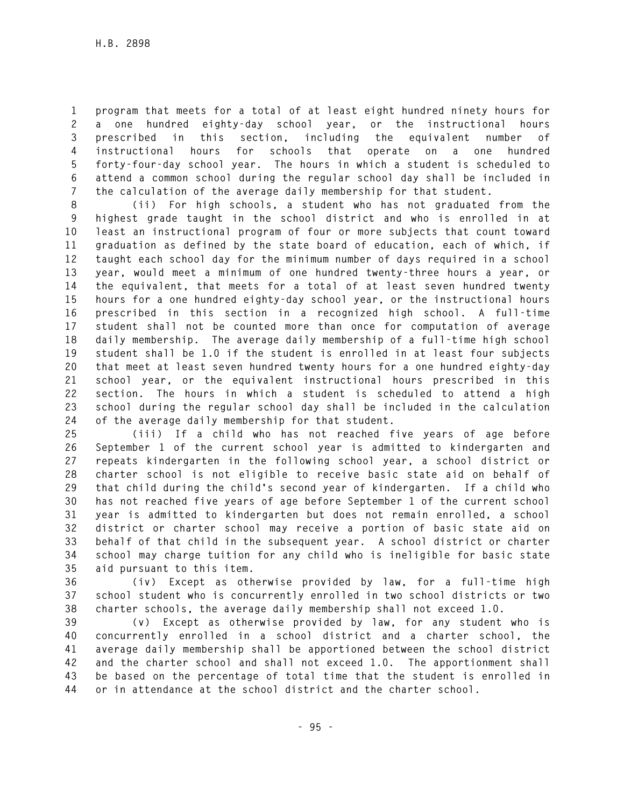**1 program that meets for a total of at least eight hundred ninety hours for 2 a one hundred eighty-day school year, or the instructional hours 3 prescribed in this section, including the equivalent number of 4 instructional hours for schools that operate on a one hundred 5 forty-four-day school year. The hours in which a student is scheduled to 6 attend a common school during the regular school day shall be included in 7 the calculation of the average daily membership for that student.** 

**8 (ii) For high schools, a student who has not graduated from the 9 highest grade taught in the school district and who is enrolled in at 10 least an instructional program of four or more subjects that count toward 11 graduation as defined by the state board of education, each of which, if 12 taught each school day for the minimum number of days required in a school 13 year, would meet a minimum of one hundred twenty-three hours a year, or 14 the equivalent, that meets for a total of at least seven hundred twenty 15 hours for a one hundred eighty-day school year, or the instructional hours 16 prescribed in this section in a recognized high school. A full-time 17 student shall not be counted more than once for computation of average 18 daily membership. The average daily membership of a full-time high school 19 student shall be 1.0 if the student is enrolled in at least four subjects 20 that meet at least seven hundred twenty hours for a one hundred eighty-day 21 school year, or the equivalent instructional hours prescribed in this 22 section. The hours in which a student is scheduled to attend a high 23 school during the regular school day shall be included in the calculation 24 of the average daily membership for that student.** 

**25 (iii) If a child who has not reached five years of age before 26 September 1 of the current school year is admitted to kindergarten and 27 repeats kindergarten in the following school year, a school district or 28 charter school is not eligible to receive basic state aid on behalf of 29 that child during the child's second year of kindergarten. If a child who 30 has not reached five years of age before September 1 of the current school 31 year is admitted to kindergarten but does not remain enrolled, a school 32 district or charter school may receive a portion of basic state aid on 33 behalf of that child in the subsequent year. A school district or charter 34 school may charge tuition for any child who is ineligible for basic state 35 aid pursuant to this item.** 

**36 (iv) Except as otherwise provided by law, for a full-time high 37 school student who is concurrently enrolled in two school districts or two 38 charter schools, the average daily membership shall not exceed 1.0.** 

**39 (v) Except as otherwise provided by law, for any student who is 40 concurrently enrolled in a school district and a charter school, the 41 average daily membership shall be apportioned between the school district 42 and the charter school and shall not exceed 1.0. The apportionment shall 43 be based on the percentage of total time that the student is enrolled in 44 or in attendance at the school district and the charter school.**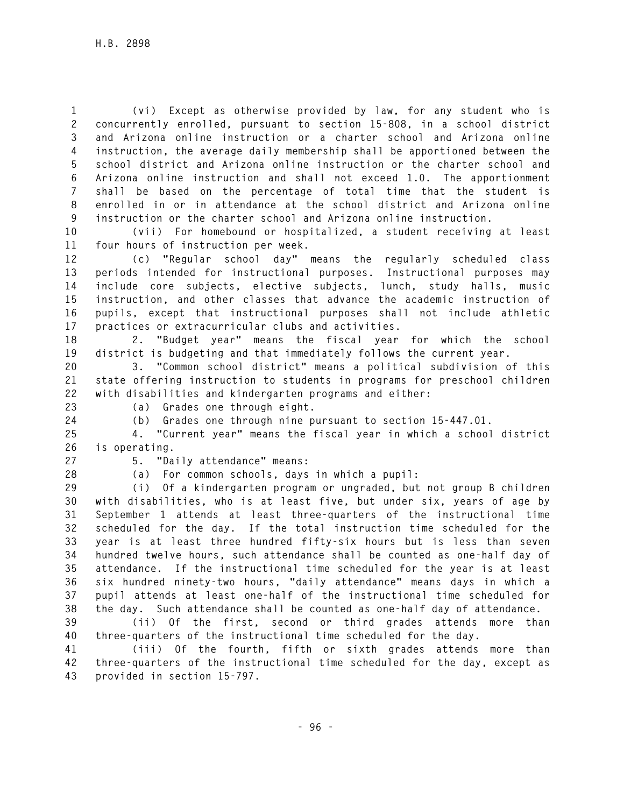**1 (vi) Except as otherwise provided by law, for any student who is 2 concurrently enrolled, pursuant to section 15-808, in a school district 3 and Arizona online instruction or a charter school and Arizona online 4 instruction, the average daily membership shall be apportioned between the 5 school district and Arizona online instruction or the charter school and 6 Arizona online instruction and shall not exceed 1.0. The apportionment 7 shall be based on the percentage of total time that the student is 8 enrolled in or in attendance at the school district and Arizona online 9 instruction or the charter school and Arizona online instruction.** 

**10 (vii) For homebound or hospitalized, a student receiving at least 11 four hours of instruction per week.** 

**12 (c) "Regular school day" means the regularly scheduled class 13 periods intended for instructional purposes. Instructional purposes may 14 include core subjects, elective subjects, lunch, study halls, music 15 instruction, and other classes that advance the academic instruction of 16 pupils, except that instructional purposes shall not include athletic 17 practices or extracurricular clubs and activities.** 

**18 2. "Budget year" means the fiscal year for which the school 19 district is budgeting and that immediately follows the current year.** 

**20 3. "Common school district" means a political subdivision of this 21 state offering instruction to students in programs for preschool children 22 with disabilities and kindergarten programs and either:** 

**23 (a) Grades one through eight.** 

**24 (b) Grades one through nine pursuant to section 15-447.01.** 

**25 4. "Current year" means the fiscal year in which a school district 26 is operating.** 

**27 5. "Daily attendance" means:** 

**28 (a) For common schools, days in which a pupil:** 

**29 (i) Of a kindergarten program or ungraded, but not group B children 30 with disabilities, who is at least five, but under six, years of age by 31 September 1 attends at least three-quarters of the instructional time 32 scheduled for the day. If the total instruction time scheduled for the 33 year is at least three hundred fifty-six hours but is less than seven 34 hundred twelve hours, such attendance shall be counted as one-half day of 35 attendance. If the instructional time scheduled for the year is at least 36 six hundred ninety-two hours, "daily attendance" means days in which a 37 pupil attends at least one-half of the instructional time scheduled for 38 the day. Such attendance shall be counted as one-half day of attendance.** 

**39 (ii) Of the first, second or third grades attends more than 40 three-quarters of the instructional time scheduled for the day.** 

**41 (iii) Of the fourth, fifth or sixth grades attends more than 42 three-quarters of the instructional time scheduled for the day, except as 43 provided in section 15-797.**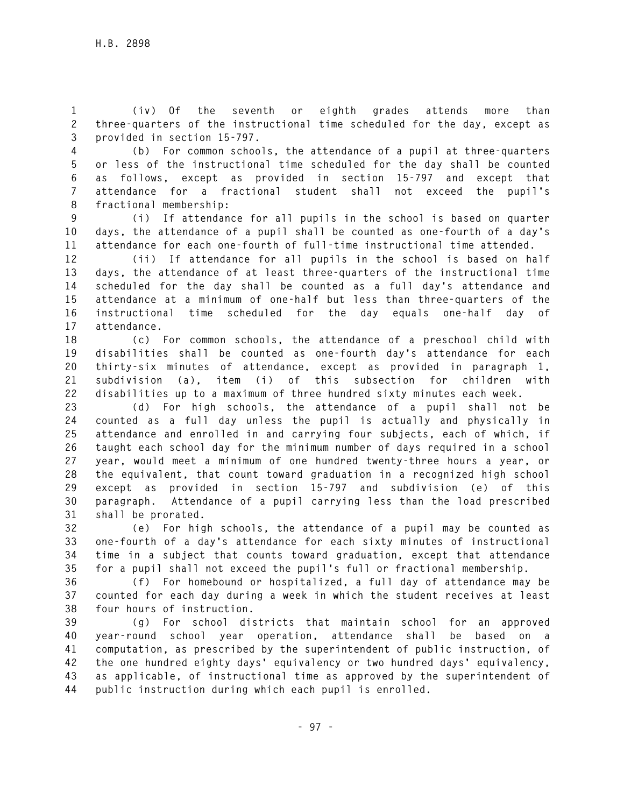**1 (iv) Of the seventh or eighth grades attends more than 2 three-quarters of the instructional time scheduled for the day, except as 3 provided in section 15-797.** 

**4 (b) For common schools, the attendance of a pupil at three-quarters 5 or less of the instructional time scheduled for the day shall be counted 6 as follows, except as provided in section 15-797 and except that 7 attendance for a fractional student shall not exceed the pupil's 8 fractional membership:** 

**9 (i) If attendance for all pupils in the school is based on quarter 10 days, the attendance of a pupil shall be counted as one-fourth of a day's 11 attendance for each one-fourth of full-time instructional time attended.** 

**12 (ii) If attendance for all pupils in the school is based on half 13 days, the attendance of at least three-quarters of the instructional time 14 scheduled for the day shall be counted as a full day's attendance and 15 attendance at a minimum of one-half but less than three-quarters of the 16 instructional time scheduled for the day equals one-half day of 17 attendance.** 

**18 (c) For common schools, the attendance of a preschool child with 19 disabilities shall be counted as one-fourth day's attendance for each 20 thirty-six minutes of attendance, except as provided in paragraph 1, 21 subdivision (a), item (i) of this subsection for children with 22 disabilities up to a maximum of three hundred sixty minutes each week.** 

**23 (d) For high schools, the attendance of a pupil shall not be 24 counted as a full day unless the pupil is actually and physically in 25 attendance and enrolled in and carrying four subjects, each of which, if 26 taught each school day for the minimum number of days required in a school 27 year, would meet a minimum of one hundred twenty-three hours a year, or 28 the equivalent, that count toward graduation in a recognized high school 29 except as provided in section 15-797 and subdivision (e) of this 30 paragraph. Attendance of a pupil carrying less than the load prescribed 31 shall be prorated.** 

**32 (e) For high schools, the attendance of a pupil may be counted as 33 one-fourth of a day's attendance for each sixty minutes of instructional 34 time in a subject that counts toward graduation, except that attendance 35 for a pupil shall not exceed the pupil's full or fractional membership.** 

**36 (f) For homebound or hospitalized, a full day of attendance may be 37 counted for each day during a week in which the student receives at least 38 four hours of instruction.** 

**39 (g) For school districts that maintain school for an approved 40 year-round school year operation, attendance shall be based on a 41 computation, as prescribed by the superintendent of public instruction, of 42 the one hundred eighty days' equivalency or two hundred days' equivalency, 43 as applicable, of instructional time as approved by the superintendent of 44 public instruction during which each pupil is enrolled.**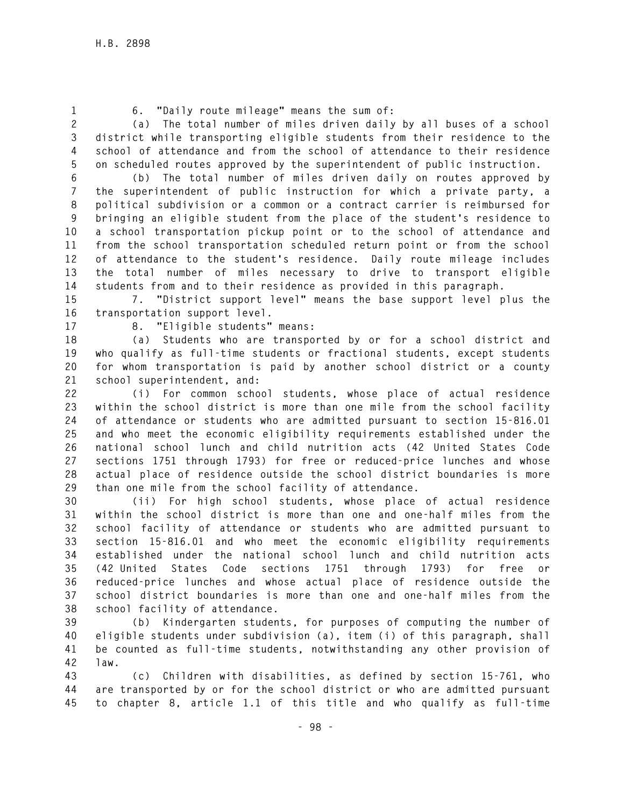- 
- **1 6. "Daily route mileage" means the sum of:**

**2 (a) The total number of miles driven daily by all buses of a school 3 district while transporting eligible students from their residence to the 4 school of attendance and from the school of attendance to their residence 5 on scheduled routes approved by the superintendent of public instruction.** 

**6 (b) The total number of miles driven daily on routes approved by 7 the superintendent of public instruction for which a private party, a 8 political subdivision or a common or a contract carrier is reimbursed for 9 bringing an eligible student from the place of the student's residence to 10 a school transportation pickup point or to the school of attendance and 11 from the school transportation scheduled return point or from the school 12 of attendance to the student's residence. Daily route mileage includes 13 the total number of miles necessary to drive to transport eligible 14 students from and to their residence as provided in this paragraph.** 

**15 7. "District support level" means the base support level plus the 16 transportation support level.** 

**17 8. "Eligible students" means:** 

**18 (a) Students who are transported by or for a school district and 19 who qualify as full-time students or fractional students, except students 20 for whom transportation is paid by another school district or a county 21 school superintendent, and:** 

**22 (i) For common school students, whose place of actual residence 23 within the school district is more than one mile from the school facility 24 of attendance or students who are admitted pursuant to section 15-816.01 25 and who meet the economic eligibility requirements established under the 26 national school lunch and child nutrition acts (42 United States Code 27 sections 1751 through 1793) for free or reduced-price lunches and whose 28 actual place of residence outside the school district boundaries is more 29 than one mile from the school facility of attendance.** 

**30 (ii) For high school students, whose place of actual residence 31 within the school district is more than one and one-half miles from the 32 school facility of attendance or students who are admitted pursuant to 33 section 15-816.01 and who meet the economic eligibility requirements 34 established under the national school lunch and child nutrition acts 35 (42 United States Code sections 1751 through 1793) for free or 36 reduced-price lunches and whose actual place of residence outside the 37 school district boundaries is more than one and one-half miles from the 38 school facility of attendance.** 

**39 (b) Kindergarten students, for purposes of computing the number of 40 eligible students under subdivision (a), item (i) of this paragraph, shall 41 be counted as full-time students, notwithstanding any other provision of 42 law.** 

**43 (c) Children with disabilities, as defined by section 15-761, who 44 are transported by or for the school district or who are admitted pursuant 45 to chapter 8, article 1.1 of this title and who qualify as full-time**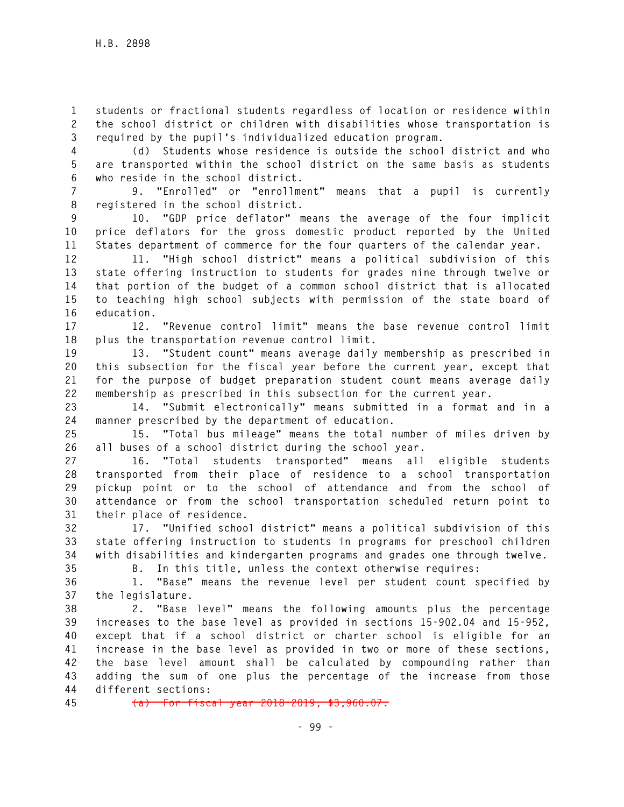**1 students or fractional students regardless of location or residence within 2 the school district or children with disabilities whose transportation is 3 required by the pupil's individualized education program.** 

**4 (d) Students whose residence is outside the school district and who 5 are transported within the school district on the same basis as students 6 who reside in the school district.** 

**7 9. "Enrolled" or "enrollment" means that a pupil is currently 8 registered in the school district.** 

**9 10. "GDP price deflator" means the average of the four implicit 10 price deflators for the gross domestic product reported by the United 11 States department of commerce for the four quarters of the calendar year.** 

**12 11. "High school district" means a political subdivision of this 13 state offering instruction to students for grades nine through twelve or 14 that portion of the budget of a common school district that is allocated 15 to teaching high school subjects with permission of the state board of 16 education.** 

**17 12. "Revenue control limit" means the base revenue control limit 18 plus the transportation revenue control limit.** 

**19 13. "Student count" means average daily membership as prescribed in 20 this subsection for the fiscal year before the current year, except that 21 for the purpose of budget preparation student count means average daily 22 membership as prescribed in this subsection for the current year.** 

**23 14. "Submit electronically" means submitted in a format and in a 24 manner prescribed by the department of education.** 

**25 15. "Total bus mileage" means the total number of miles driven by 26 all buses of a school district during the school year.** 

**27 16. "Total students transported" means all eligible students 28 transported from their place of residence to a school transportation 29 pickup point or to the school of attendance and from the school of 30 attendance or from the school transportation scheduled return point to 31 their place of residence.** 

**32 17. "Unified school district" means a political subdivision of this 33 state offering instruction to students in programs for preschool children 34 with disabilities and kindergarten programs and grades one through twelve.** 

**35 B. In this title, unless the context otherwise requires:** 

**36 1. "Base" means the revenue level per student count specified by 37 the legislature.** 

**38 2. "Base level" means the following amounts plus the percentage 39 increases to the base level as provided in sections 15-902.04 and 15-952, 40 except that if a school district or charter school is eligible for an 41 increase in the base level as provided in two or more of these sections, 42 the base level amount shall be calculated by compounding rather than 43 adding the sum of one plus the percentage of the increase from those 44 different sections:** 

**45 (a) For fiscal year 2018-2019, \$3,960.07.**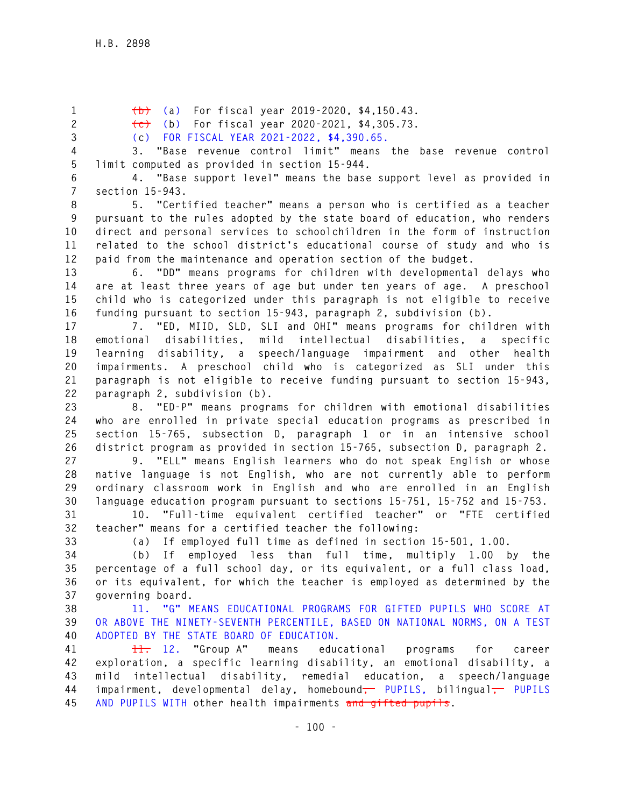**1 (b) (a) For fiscal year 2019-2020, \$4,150.43.** 

**2 (c) (b) For fiscal year 2020-2021, \$4,305.73.** 

**3 (c) FOR FISCAL YEAR 2021-2022, \$4,390.65.** 

**4 3. "Base revenue control limit" means the base revenue control 5 limit computed as provided in section 15-944.** 

**6 4. "Base support level" means the base support level as provided in 7 section 15-943.** 

**8 5. "Certified teacher" means a person who is certified as a teacher 9 pursuant to the rules adopted by the state board of education, who renders 10 direct and personal services to schoolchildren in the form of instruction 11 related to the school district's educational course of study and who is 12 paid from the maintenance and operation section of the budget.** 

**13 6. "DD" means programs for children with developmental delays who 14 are at least three years of age but under ten years of age. A preschool 15 child who is categorized under this paragraph is not eligible to receive 16 funding pursuant to section 15-943, paragraph 2, subdivision (b).** 

**17 7. "ED, MIID, SLD, SLI and OHI" means programs for children with 18 emotional disabilities, mild intellectual disabilities, a specific 19 learning disability, a speech/language impairment and other health 20 impairments. A preschool child who is categorized as SLI under this 21 paragraph is not eligible to receive funding pursuant to section 15-943, 22 paragraph 2, subdivision (b).** 

**23 8. "ED-P" means programs for children with emotional disabilities 24 who are enrolled in private special education programs as prescribed in 25 section 15-765, subsection D, paragraph 1 or in an intensive school 26 district program as provided in section 15-765, subsection D, paragraph 2.** 

**27 9. "ELL" means English learners who do not speak English or whose 28 native language is not English, who are not currently able to perform 29 ordinary classroom work in English and who are enrolled in an English 30 language education program pursuant to sections 15-751, 15-752 and 15-753.** 

**31 10. "Full-time equivalent certified teacher" or "FTE certified 32 teacher" means for a certified teacher the following:** 

**33 (a) If employed full time as defined in section 15-501, 1.00.** 

**34 (b) If employed less than full time, multiply 1.00 by the 35 percentage of a full school day, or its equivalent, or a full class load, 36 or its equivalent, for which the teacher is employed as determined by the 37 governing board.** 

**38 11. "G" MEANS EDUCATIONAL PROGRAMS FOR GIFTED PUPILS WHO SCORE AT 39 OR ABOVE THE NINETY-SEVENTH PERCENTILE, BASED ON NATIONAL NORMS, ON A TEST 40 ADOPTED BY THE STATE BOARD OF EDUCATION.** 

**41 11. 12. "Group A" means educational programs for career 42 exploration, a specific learning disability, an emotional disability, a 43 mild intellectual disability, remedial education, a speech/language**  44 impairment, developmental delay, homebound<del>, PUPILS</del>, bilingual<del>, PUPILS</del> **45 AND PUPILS WITH other health impairments and gifted pupils.**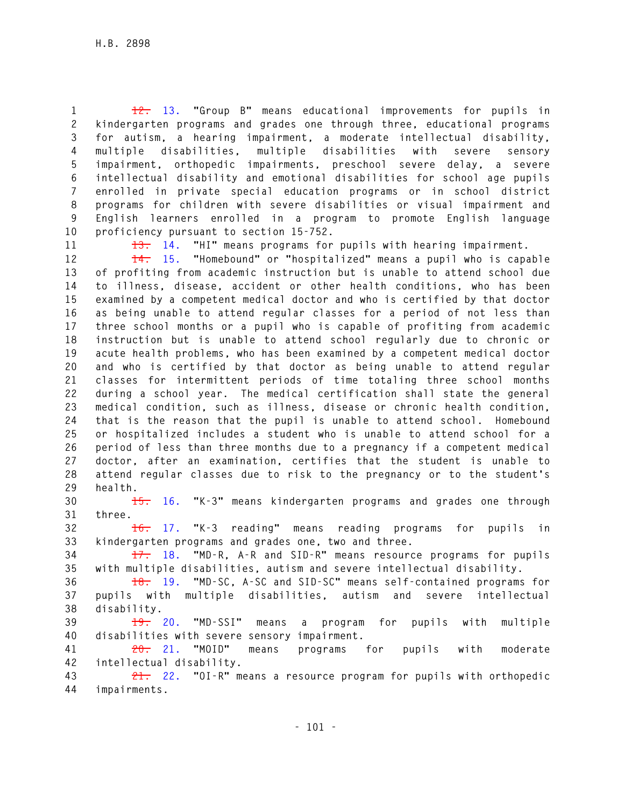**1 12. 13. "Group B" means educational improvements for pupils in 2 kindergarten programs and grades one through three, educational programs 3 for autism, a hearing impairment, a moderate intellectual disability, 4 multiple disabilities, multiple disabilities with severe sensory 5 impairment, orthopedic impairments, preschool severe delay, a severe 6 intellectual disability and emotional disabilities for school age pupils 7 enrolled in private special education programs or in school district 8 programs for children with severe disabilities or visual impairment and 9 English learners enrolled in a program to promote English language 10 proficiency pursuant to section 15-752.** 

**11 13. 14. "HI" means programs for pupils with hearing impairment.** 

**12 14. 15. "Homebound" or "hospitalized" means a pupil who is capable 13 of profiting from academic instruction but is unable to attend school due 14 to illness, disease, accident or other health conditions, who has been 15 examined by a competent medical doctor and who is certified by that doctor 16 as being unable to attend regular classes for a period of not less than 17 three school months or a pupil who is capable of profiting from academic 18 instruction but is unable to attend school regularly due to chronic or 19 acute health problems, who has been examined by a competent medical doctor 20 and who is certified by that doctor as being unable to attend regular 21 classes for intermittent periods of time totaling three school months 22 during a school year. The medical certification shall state the general 23 medical condition, such as illness, disease or chronic health condition, 24 that is the reason that the pupil is unable to attend school. Homebound 25 or hospitalized includes a student who is unable to attend school for a 26 period of less than three months due to a pregnancy if a competent medical 27 doctor, after an examination, certifies that the student is unable to 28 attend regular classes due to risk to the pregnancy or to the student's 29 health.** 

**30 15. 16. "K-3" means kindergarten programs and grades one through 31 three.** 

**32 16. 17. "K-3 reading" means reading programs for pupils in 33 kindergarten programs and grades one, two and three.** 

**34 17. 18. "MD-R, A-R and SID-R" means resource programs for pupils 35 with multiple disabilities, autism and severe intellectual disability.** 

**36 18. 19. "MD-SC, A-SC and SID-SC" means self-contained programs for 37 pupils with multiple disabilities, autism and severe intellectual 38 disability.** 

**39 19. 20. "MD-SSI" means a program for pupils with multiple 40 disabilities with severe sensory impairment.** 

**41 20. 21. "MOID" means programs for pupils with moderate 42 intellectual disability.** 

**43 21. 22. "OI-R" means a resource program for pupils with orthopedic 44 impairments.**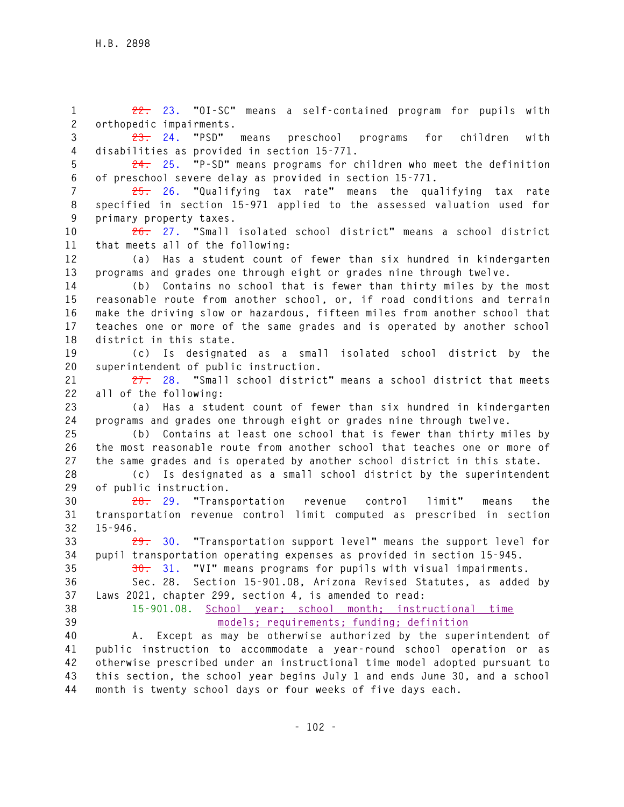**1 22. 23. "OI-SC" means a self-contained program for pupils with 2 orthopedic impairments.** 

**3 23. 24. "PSD" means preschool programs for children with 4 disabilities as provided in section 15-771.** 

- **5 24. 25. "P-SD" means programs for children who meet the definition**
- **6 of preschool severe delay as provided in section 15-771.**

**7 25. 26. "Qualifying tax rate" means the qualifying tax rate 8 specified in section 15-971 applied to the assessed valuation used for 9 primary property taxes.** 

**10 26. 27. "Small isolated school district" means a school district 11 that meets all of the following:** 

**12 (a) Has a student count of fewer than six hundred in kindergarten 13 programs and grades one through eight or grades nine through twelve.** 

**14 (b) Contains no school that is fewer than thirty miles by the most 15 reasonable route from another school, or, if road conditions and terrain 16 make the driving slow or hazardous, fifteen miles from another school that 17 teaches one or more of the same grades and is operated by another school 18 district in this state.** 

**19 (c) Is designated as a small isolated school district by the 20 superintendent of public instruction.** 

**21 27. 28. "Small school district" means a school district that meets 22 all of the following:** 

**23 (a) Has a student count of fewer than six hundred in kindergarten 24 programs and grades one through eight or grades nine through twelve.** 

**25 (b) Contains at least one school that is fewer than thirty miles by 26 the most reasonable route from another school that teaches one or more of 27 the same grades and is operated by another school district in this state.** 

**28 (c) Is designated as a small school district by the superintendent 29 of public instruction.** 

**30 28. 29. "Transportation revenue control limit" means the 31 transportation revenue control limit computed as prescribed in section 32 15-946.** 

**33 29. 30. "Transportation support level" means the support level for 34 pupil transportation operating expenses as provided in section 15-945.** 

**35 30. 31. "VI" means programs for pupils with visual impairments.** 

**36 Sec. 28. Section 15-901.08, Arizona Revised Statutes, as added by 37 Laws 2021, chapter 299, section 4, is amended to read:** 

**38 15-901.08. School year; school month; instructional time 39 models; requirements; funding; definition** 

**40 A. Except as may be otherwise authorized by the superintendent of 41 public instruction to accommodate a year-round school operation or as 42 otherwise prescribed under an instructional time model adopted pursuant to 43 this section, the school year begins July 1 and ends June 30, and a school 44 month is twenty school days or four weeks of five days each.**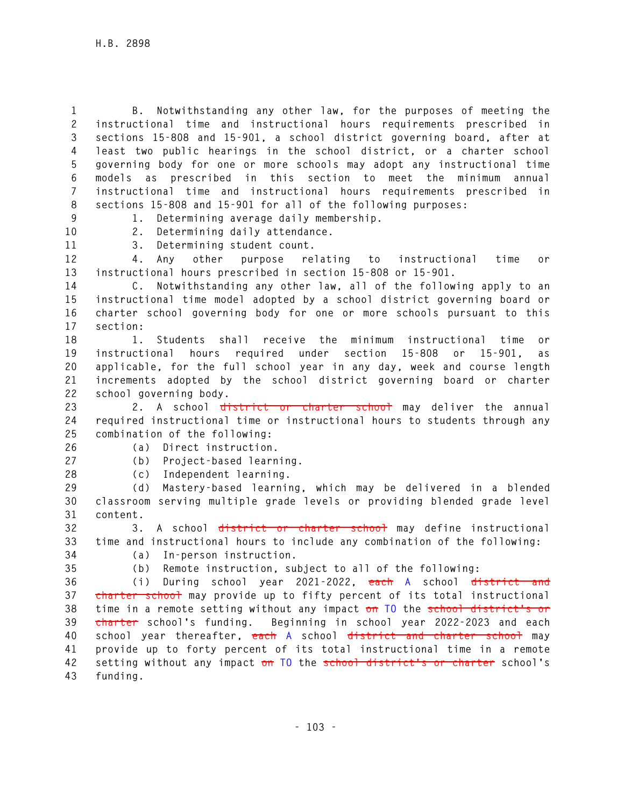**1 B. Notwithstanding any other law, for the purposes of meeting the 2 instructional time and instructional hours requirements prescribed in 3 sections 15-808 and 15-901, a school district governing board, after at 4 least two public hearings in the school district, or a charter school 5 governing body for one or more schools may adopt any instructional time 6 models as prescribed in this section to meet the minimum annual 7 instructional time and instructional hours requirements prescribed in 8 sections 15-808 and 15-901 for all of the following purposes:** 

**9 1. Determining average daily membership. 10 2. Determining daily attendance.** 

**11 3. Determining student count.** 

**12 4. Any other purpose relating to instructional time or 13 instructional hours prescribed in section 15-808 or 15-901.** 

**14 C. Notwithstanding any other law, all of the following apply to an 15 instructional time model adopted by a school district governing board or 16 charter school governing body for one or more schools pursuant to this 17 section:** 

**18 1. Students shall receive the minimum instructional time or 19 instructional hours required under section 15-808 or 15-901, as 20 applicable, for the full school year in any day, week and course length 21 increments adopted by the school district governing board or charter 22 school governing body.** 

**23 2. A school district or charter school may deliver the annual 24 required instructional time or instructional hours to students through any 25 combination of the following:** 

**26 (a) Direct instruction.** 

**27 (b) Project-based learning.** 

**28 (c) Independent learning.** 

**29 (d) Mastery-based learning, which may be delivered in a blended 30 classroom serving multiple grade levels or providing blended grade level 31 content.** 

**32 3. A school district or charter school may define instructional 33 time and instructional hours to include any combination of the following: 34 (a) In-person instruction.** 

**35 (b) Remote instruction, subject to all of the following:** 

**36 (i) During school year 2021-2022, each A school district and 37 charter school may provide up to fifty percent of its total instructional 38 time in a remote setting without any impact on TO the school district's or 39 charter school's funding. Beginning in school year 2022-2023 and each 40 school year thereafter, each A school district and charter school may 41 provide up to forty percent of its total instructional time in a remote 42 setting without any impact on TO the school district's or charter school's 43 funding.**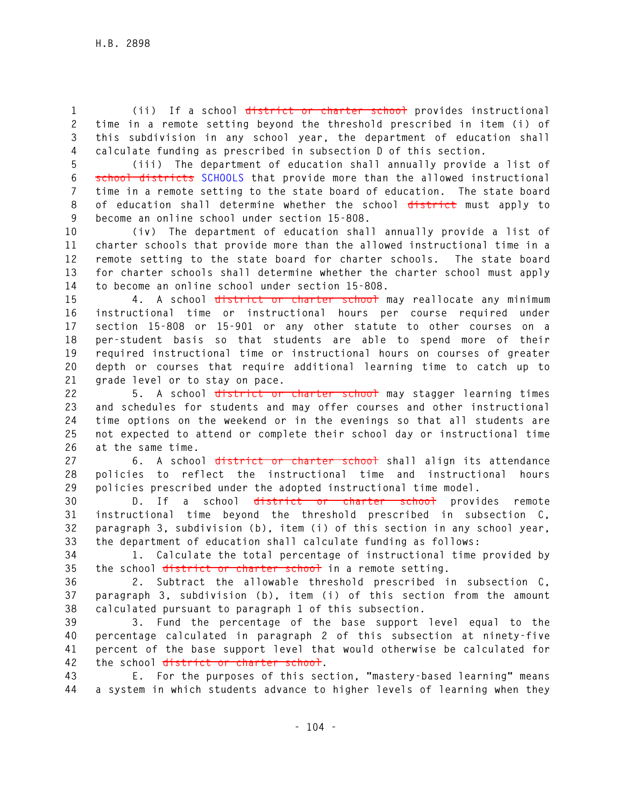**1 (ii) If a school district or charter school provides instructional 2 time in a remote setting beyond the threshold prescribed in item (i) of 3 this subdivision in any school year, the department of education shall 4 calculate funding as prescribed in subsection D of this section.** 

**5 (iii) The department of education shall annually provide a list of 6 school districts SCHOOLS that provide more than the allowed instructional 7 time in a remote setting to the state board of education. The state board 8 of education shall determine whether the school district must apply to 9 become an online school under section 15-808.** 

**10 (iv) The department of education shall annually provide a list of 11 charter schools that provide more than the allowed instructional time in a 12 remote setting to the state board for charter schools. The state board 13 for charter schools shall determine whether the charter school must apply 14 to become an online school under section 15-808.** 

**15 4. A school district or charter school may reallocate any minimum 16 instructional time or instructional hours per course required under 17 section 15-808 or 15-901 or any other statute to other courses on a 18 per-student basis so that students are able to spend more of their 19 required instructional time or instructional hours on courses of greater 20 depth or courses that require additional learning time to catch up to 21 grade level or to stay on pace.** 

**22 5. A school district or charter school may stagger learning times 23 and schedules for students and may offer courses and other instructional 24 time options on the weekend or in the evenings so that all students are 25 not expected to attend or complete their school day or instructional time 26 at the same time.** 

**27 6. A school district or charter school shall align its attendance 28 policies to reflect the instructional time and instructional hours 29 policies prescribed under the adopted instructional time model.** 

**30 D. If a school district or charter school provides remote 31 instructional time beyond the threshold prescribed in subsection C, 32 paragraph 3, subdivision (b), item (i) of this section in any school year, 33 the department of education shall calculate funding as follows:** 

**34 1. Calculate the total percentage of instructional time provided by 35 the school district or charter school in a remote setting.** 

**36 2. Subtract the allowable threshold prescribed in subsection C, 37 paragraph 3, subdivision (b), item (i) of this section from the amount 38 calculated pursuant to paragraph 1 of this subsection.** 

**39 3. Fund the percentage of the base support level equal to the 40 percentage calculated in paragraph 2 of this subsection at ninety-five 41 percent of the base support level that would otherwise be calculated for 42 the school district or charter school.** 

**43 E. For the purposes of this section, "mastery-based learning" means 44 a system in which students advance to higher levels of learning when they**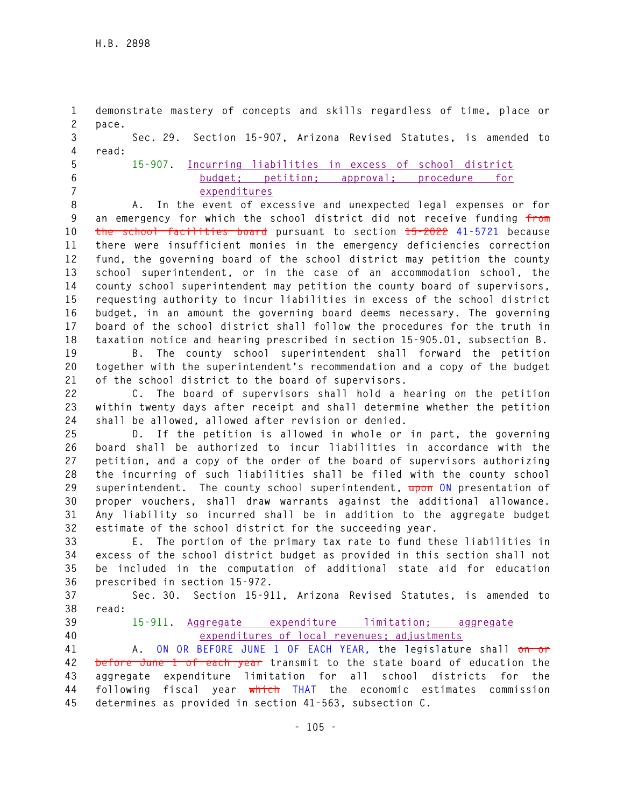**1 demonstrate mastery of concepts and skills regardless of time, place or 2 pace. 3 Sec. 29. Section 15-907, Arizona Revised Statutes, is amended to 4 read: 5 15-907. Incurring liabilities in excess of school district 6 budget; petition; approval; procedure for 7 expenditures 8 A. In the event of excessive and unexpected legal expenses or for 9 an emergency for which the school district did not receive funding from 10 the school facilities board pursuant to section 15-2022 41-5721 because 11 there were insufficient monies in the emergency deficiencies correction 12 fund, the governing board of the school district may petition the county 13 school superintendent, or in the case of an accommodation school, the 14 county school superintendent may petition the county board of supervisors, 15 requesting authority to incur liabilities in excess of the school district 16 budget, in an amount the governing board deems necessary. The governing 17 board of the school district shall follow the procedures for the truth in 18 taxation notice and hearing prescribed in section 15-905.01, subsection B. 19 B. The county school superintendent shall forward the petition 20 together with the superintendent's recommendation and a copy of the budget 21 of the school district to the board of supervisors. 22 C. The board of supervisors shall hold a hearing on the petition 23 within twenty days after receipt and shall determine whether the petition 24 shall be allowed, allowed after revision or denied. 25 D. If the petition is allowed in whole or in part, the governing 26 board shall be authorized to incur liabilities in accordance with the 27 petition, and a copy of the order of the board of supervisors authorizing 28 the incurring of such liabilities shall be filed with the county school 29 superintendent. The county school superintendent, upon ON presentation of 30 proper vouchers, shall draw warrants against the additional allowance. 31 Any liability so incurred shall be in addition to the aggregate budget 32 estimate of the school district for the succeeding year. 33 E. The portion of the primary tax rate to fund these liabilities in 34 excess of the school district budget as provided in this section shall not 35 be included in the computation of additional state aid for education 36 prescribed in section 15-972. 37 Sec. 30. Section 15-911, Arizona Revised Statutes, is amended to 38 read: 39 15-911. Aggregate expenditure limitation; aggregate 40 expenditures of local revenues; adjustments 41 A. ON OR BEFORE JUNE 1 OF EACH YEAR, the legislature shall on or 42 before June 1 of each year transmit to the state board of education the 43 aggregate expenditure limitation for all school districts for the 44 following fiscal year which THAT the economic estimates commission 45 determines as provided in section 41-563, subsection C.**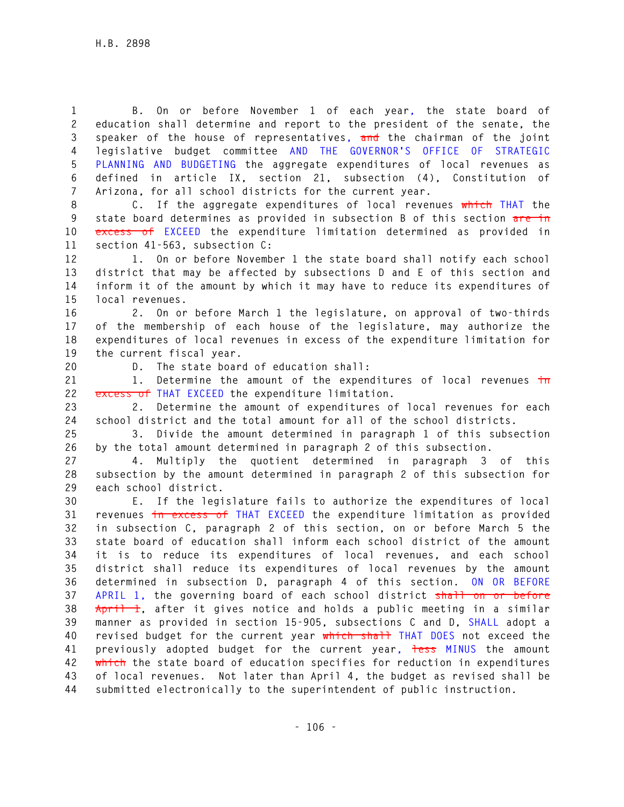**1 B. On or before November 1 of each year, the state board of 2 education shall determine and report to the president of the senate, the 3 speaker of the house of representatives, and the chairman of the joint 4 legislative budget committee AND THE GOVERNOR'S OFFICE OF STRATEGIC 5 PLANNING AND BUDGETING the aggregate expenditures of local revenues as 6 defined in article IX, section 21, subsection (4), Constitution of 7 Arizona, for all school districts for the current year.** 

**8 C. If the aggregate expenditures of local revenues which THAT the 9 state board determines as provided in subsection B of this section are in 10 excess of EXCEED the expenditure limitation determined as provided in 11 section 41-563, subsection C:** 

**12 1. On or before November 1 the state board shall notify each school 13 district that may be affected by subsections D and E of this section and 14 inform it of the amount by which it may have to reduce its expenditures of 15 local revenues.** 

**16 2. On or before March 1 the legislature, on approval of two-thirds 17 of the membership of each house of the legislature, may authorize the 18 expenditures of local revenues in excess of the expenditure limitation for 19 the current fiscal year.** 

**20 D. The state board of education shall:** 

**21 1. Determine the amount of the expenditures of local revenues in 22 excess of THAT EXCEED the expenditure limitation.** 

**23 2. Determine the amount of expenditures of local revenues for each 24 school district and the total amount for all of the school districts.** 

**25 3. Divide the amount determined in paragraph 1 of this subsection 26 by the total amount determined in paragraph 2 of this subsection.** 

**27 4. Multiply the quotient determined in paragraph 3 of this 28 subsection by the amount determined in paragraph 2 of this subsection for 29 each school district.** 

**30 E. If the legislature fails to authorize the expenditures of local 31 revenues in excess of THAT EXCEED the expenditure limitation as provided 32 in subsection C, paragraph 2 of this section, on or before March 5 the 33 state board of education shall inform each school district of the amount 34 it is to reduce its expenditures of local revenues, and each school 35 district shall reduce its expenditures of local revenues by the amount 36 determined in subsection D, paragraph 4 of this section. ON OR BEFORE 37 APRIL 1, the governing board of each school district shall on or before 38 April 1, after it gives notice and holds a public meeting in a similar 39 manner as provided in section 15-905, subsections C and D, SHALL adopt a 40 revised budget for the current year which shall THAT DOES not exceed the 41 previously adopted budget for the current year, less MINUS the amount 42 which the state board of education specifies for reduction in expenditures 43 of local revenues. Not later than April 4, the budget as revised shall be 44 submitted electronically to the superintendent of public instruction.**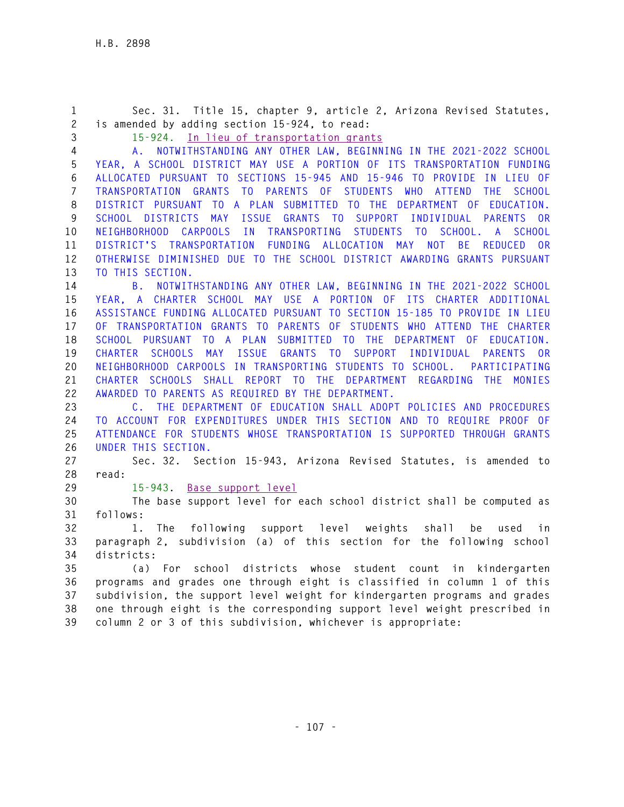**1 Sec. 31. Title 15, chapter 9, article 2, Arizona Revised Statutes, 2 is amended by adding section 15-924, to read: 3 15-924. In lieu of transportation grants 4 A. NOTWITHSTANDING ANY OTHER LAW, BEGINNING IN THE 2021-2022 SCHOOL 5 YEAR, A SCHOOL DISTRICT MAY USE A PORTION OF ITS TRANSPORTATION FUNDING 6 ALLOCATED PURSUANT TO SECTIONS 15-945 AND 15-946 TO PROVIDE IN LIEU OF 7 TRANSPORTATION GRANTS TO PARENTS OF STUDENTS WHO ATTEND THE SCHOOL 8 DISTRICT PURSUANT TO A PLAN SUBMITTED TO THE DEPARTMENT OF EDUCATION. 9 SCHOOL DISTRICTS MAY ISSUE GRANTS TO SUPPORT INDIVIDUAL PARENTS OR 10 NEIGHBORHOOD CARPOOLS IN TRANSPORTING STUDENTS TO SCHOOL. A SCHOOL 11 DISTRICT'S TRANSPORTATION FUNDING ALLOCATION MAY NOT BE REDUCED OR 12 OTHERWISE DIMINISHED DUE TO THE SCHOOL DISTRICT AWARDING GRANTS PURSUANT 13 TO THIS SECTION. 14 B. NOTWITHSTANDING ANY OTHER LAW, BEGINNING IN THE 2021-2022 SCHOOL 15 YEAR, A CHARTER SCHOOL MAY USE A PORTION OF ITS CHARTER ADDITIONAL 16 ASSISTANCE FUNDING ALLOCATED PURSUANT TO SECTION 15-185 TO PROVIDE IN LIEU 17 OF TRANSPORTATION GRANTS TO PARENTS OF STUDENTS WHO ATTEND THE CHARTER 18 SCHOOL PURSUANT TO A PLAN SUBMITTED TO THE DEPARTMENT OF EDUCATION. 19 CHARTER SCHOOLS MAY ISSUE GRANTS TO SUPPORT INDIVIDUAL PARENTS OR 20 NEIGHBORHOOD CARPOOLS IN TRANSPORTING STUDENTS TO SCHOOL. PARTICIPATING 21 CHARTER SCHOOLS SHALL REPORT TO THE DEPARTMENT REGARDING THE MONIES 22 AWARDED TO PARENTS AS REQUIRED BY THE DEPARTMENT. 23 C. THE DEPARTMENT OF EDUCATION SHALL ADOPT POLICIES AND PROCEDURES 24 TO ACCOUNT FOR EXPENDITURES UNDER THIS SECTION AND TO REQUIRE PROOF OF 25 ATTENDANCE FOR STUDENTS WHOSE TRANSPORTATION IS SUPPORTED THROUGH GRANTS 26 UNDER THIS SECTION. 27 Sec. 32. Section 15-943, Arizona Revised Statutes, is amended to 28 read: 29 15-943. Base support level 30 The base support level for each school district shall be computed as 31 follows: 32 1. The following support level weights shall be used in 33 paragraph 2, subdivision (a) of this section for the following school 34 districts: 35 (a) For school districts whose student count in kindergarten 36 programs and grades one through eight is classified in column 1 of this 37 subdivision, the support level weight for kindergarten programs and grades 38 one through eight is the corresponding support level weight prescribed in 39 column 2 or 3 of this subdivision, whichever is appropriate:**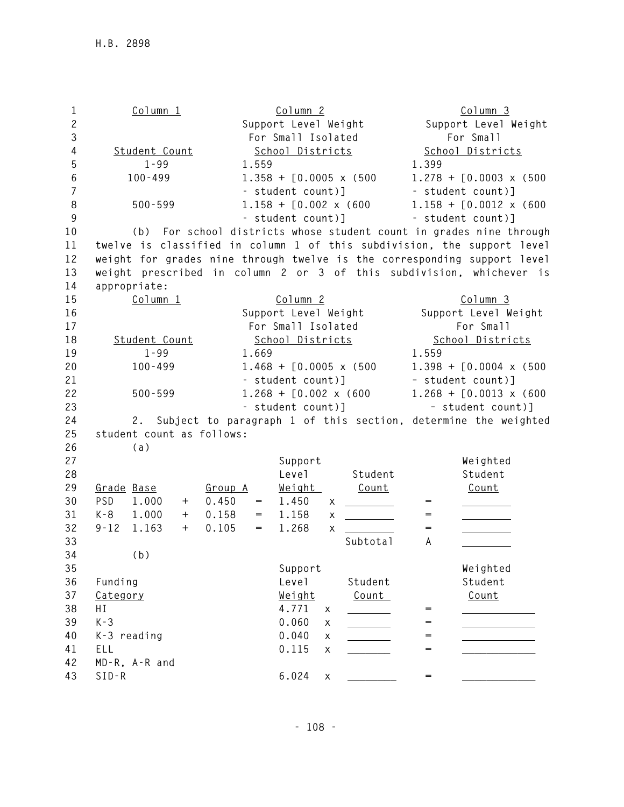**1 Column 1 Column 2 Column 3 2 Support Level Weight Support Level Weight 3 For Small Isolated For Small 4 Student Count School Districts School Districts 5 1-99 1.559 1.399 6 100-499 1.358 + [0.0005 x (500 1.278 + [0.0003 x (500 7 - student count)] - student count)] 8 500-599 1.158 + [0.002 x (600 1.158 + [0.0012 x (600 9 - student count)] - student count)] 10 (b) For school districts whose student count in grades nine through 11 twelve is classified in column 1 of this subdivision, the support level 12 weight for grades nine through twelve is the corresponding support level 13 weight prescribed in column 2 or 3 of this subdivision, whichever is 14 appropriate: 15 Column 1 Column 2 Column 3 16 Support Level Weight Support Level Weight 17 For Small Isolated For Small 18 Student Count School Districts School Districts 19 1-99 1.669 1.559 20 100-499 1.468 + [0.0005 x (500 1.398 + [0.0004 x (500 21 - student count)] – student count)] 22 500-599 1.268 + [0.002 x (600 1.268 + [0.0013 x (600 23 - student count)] – student count)] 24 2. Subject to paragraph 1 of this section, determine the weighted 25 student count as follows: 26 (a) 27 Support Weighted**  28 **Level Student Student** Student Student **29 Grade Base Group A Weight Count Count**  30 PSD 1.000 + 0.450 = 1.450 x \_\_\_\_\_\_\_\_ = 31 K-8 1.000 + 0.158 = 1.158 x <u>\_\_\_\_\_\_\_\_</u> = **32 9-12 1.163 + 0.105 = 1.268 x = 33 Subtotal A 34 (b) 35 Support Weighted 36 Funding Level Student Student 37 Category Weight Count Count 38 HI 4.771 x = 39 K-3 0.060 x = 40 K-3 reading 0.040 x = 41 ELL 0.115 x \_\_\_\_\_\_\_ = \_\_\_\_\_\_\_\_\_\_\_\_ 42 MD-R, A-R and 43 SID-R 6.024 x \_\_\_\_\_\_\_\_ = \_\_\_\_\_\_\_\_\_\_\_\_**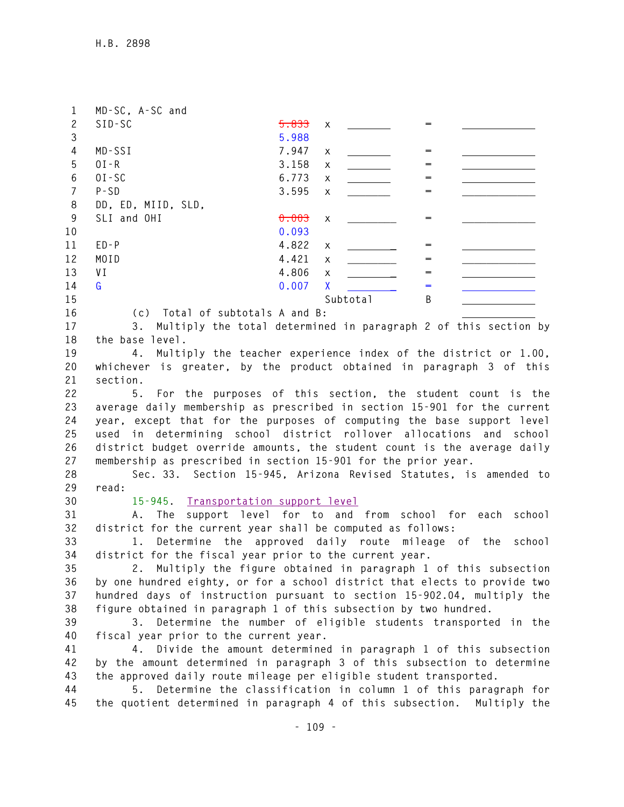| 1              | MD-SC, A-SC and                                                                                                                                 |       |          |             |                   |                                                      |
|----------------|-------------------------------------------------------------------------------------------------------------------------------------------------|-------|----------|-------------|-------------------|------------------------------------------------------|
| $\mathbf{2}$   | $SID-SC$                                                                                                                                        | 5.833 | X        |             | $=$               |                                                      |
| 3              |                                                                                                                                                 | 5.988 |          |             |                   |                                                      |
| $\overline{4}$ | MD-SSI                                                                                                                                          | 7.947 | X        |             | $=$               |                                                      |
| 5              | $0I - R$                                                                                                                                        | 3.158 | X        |             | $=$               |                                                      |
| $6\,$          | $0I-SC$                                                                                                                                         | 6.773 | X        |             | =                 |                                                      |
| $\overline{7}$ | $P - SD$                                                                                                                                        | 3.595 | X        |             | $=$               |                                                      |
| 8              | DD, ED, MIID, SLD,                                                                                                                              |       |          |             |                   |                                                      |
| 9              | SLI and OHI                                                                                                                                     | 0.003 | X        |             | $=$               |                                                      |
| 10             |                                                                                                                                                 | 0.093 |          |             |                   |                                                      |
| 11             | $ED - P$                                                                                                                                        | 4.822 |          |             | $\qquad \qquad =$ |                                                      |
| 12             | MOID                                                                                                                                            | 4.421 | X        |             | $=$               |                                                      |
|                |                                                                                                                                                 |       | X        |             |                   |                                                      |
| 13             | V I                                                                                                                                             | 4.806 | X        |             | $=$               |                                                      |
| 14             | G                                                                                                                                               | 0.007 | <b>X</b> |             | =                 |                                                      |
| 15             |                                                                                                                                                 |       |          | Subtotal    | B                 |                                                      |
| 16             | (c) Total of subtotals A and B:                                                                                                                 |       |          |             |                   |                                                      |
| 17             | Multiply the total determined in paragraph 2 of this section by<br>3.                                                                           |       |          |             |                   |                                                      |
| 18             | the base level.                                                                                                                                 |       |          |             |                   |                                                      |
| 19             | Multiply the teacher experience index of the district or 1.00,<br>4.                                                                            |       |          |             |                   |                                                      |
| 20             | whichever is greater, by the product obtained in paragraph 3 of this                                                                            |       |          |             |                   |                                                      |
| 21             | section.                                                                                                                                        |       |          |             |                   |                                                      |
| 22             | For the purposes of this section, the student count is the<br>5.                                                                                |       |          |             |                   |                                                      |
| 23             | average daily membership as prescribed in section 15-901 for the current                                                                        |       |          |             |                   |                                                      |
| 24             | year, except that for the purposes of computing the base support level                                                                          |       |          |             |                   |                                                      |
| 25             | used in determining school district rollover allocations and school                                                                             |       |          |             |                   |                                                      |
| 26             | district budget override amounts, the student count is the average daily                                                                        |       |          |             |                   |                                                      |
| 27             | membership as prescribed in section 15-901 for the prior year.                                                                                  |       |          |             |                   |                                                      |
| 28             | Sec. 33. Section 15-945, Arizona Revised Statutes, is amended to                                                                                |       |          |             |                   |                                                      |
| 29             | read:                                                                                                                                           |       |          |             |                   |                                                      |
| 30             | 15-945. Transportation support level                                                                                                            |       |          |             |                   |                                                      |
| 31             | A. The                                                                                                                                          |       |          |             |                   | support level for to and from school for each school |
| 32             | district for the current year shall be computed as follows:                                                                                     |       |          |             |                   |                                                      |
| 33             | Determine the approved<br>1.                                                                                                                    |       |          | daily route | mileage of        | the<br>school                                        |
| 34             | district for the fiscal year prior to the current year.                                                                                         |       |          |             |                   |                                                      |
| 35             | 2. Multiply the figure obtained in paragraph 1 of this subsection                                                                               |       |          |             |                   |                                                      |
| 36             | by one hundred eighty, or for a school district that elects to provide two                                                                      |       |          |             |                   |                                                      |
| 37             | hundred days of instruction pursuant to section 15-902.04, multiply the                                                                         |       |          |             |                   |                                                      |
| 38             | figure obtained in paragraph 1 of this subsection by two hundred.                                                                               |       |          |             |                   |                                                      |
| 39             | Determine the number of eligible students transported in the<br>3.                                                                              |       |          |             |                   |                                                      |
| 40             | fiscal year prior to the current year.                                                                                                          |       |          |             |                   |                                                      |
| 41             | Divide the amount determined in paragraph 1 of this subsection<br>4.                                                                            |       |          |             |                   |                                                      |
| 42             |                                                                                                                                                 |       |          |             |                   |                                                      |
| 43             | by the amount determined in paragraph 3 of this subsection to determine<br>the approved daily route mileage per eligible student transported.   |       |          |             |                   |                                                      |
| 44             |                                                                                                                                                 |       |          |             |                   |                                                      |
|                |                                                                                                                                                 |       |          |             |                   |                                                      |
| 45             | Determine the classification in column 1 of this paragraph for<br>5.<br>the quotient determined in paragraph 4 of this subsection. Multiply the |       |          |             |                   |                                                      |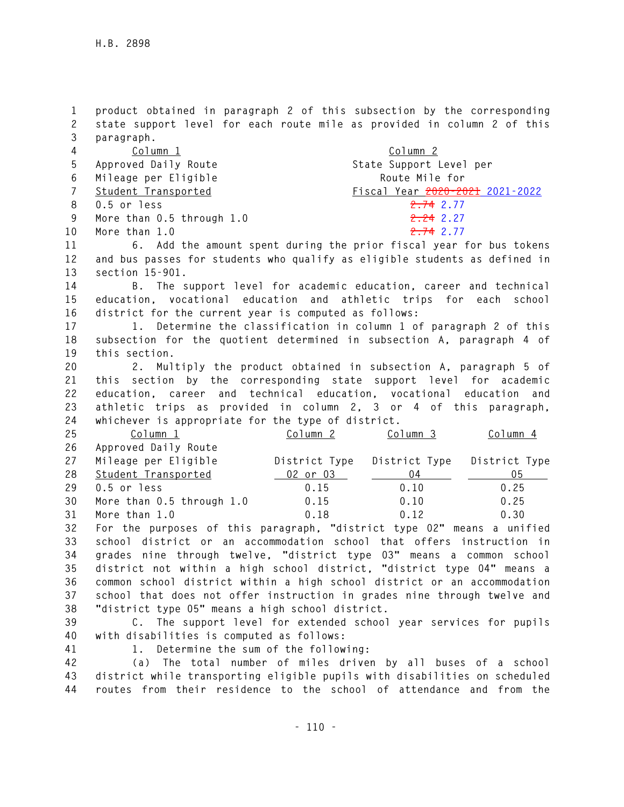**1 product obtained in paragraph 2 of this subsection by the corresponding 2 state support level for each route mile as provided in column 2 of this 3 paragraph.** 

| 4   | Column 1                      | Column 2                        |
|-----|-------------------------------|---------------------------------|
| 5   | Approved Daily Route          | State Support Level per         |
|     | 6 Mileage per Eligible        | Route Mile for                  |
|     | 7 Student Transported         | Fiscal Year 2020-2021 2021-2022 |
|     | 8 0.5 or less                 | <del>2.74</del> 2.77            |
| - 9 | More than $0.5$ through $1.0$ | <del>2.24</del> 2.27            |
|     | 10 More than 1.0              | 2.742.77                        |

**11 6. Add the amount spent during the prior fiscal year for bus tokens 12 and bus passes for students who qualify as eligible students as defined in 13 section 15-901.** 

**14 B. The support level for academic education, career and technical 15 education, vocational education and athletic trips for each school 16 district for the current year is computed as follows:** 

**17 1. Determine the classification in column 1 of paragraph 2 of this 18 subsection for the quotient determined in subsection A, paragraph 4 of 19 this section.** 

**20 2. Multiply the product obtained in subsection A, paragraph 5 of 21 this section by the corresponding state support level for academic 22 education, career and technical education, vocational education and 23 athletic trips as provided in column 2, 3 or 4 of this paragraph, 24 whichever is appropriate for the type of district.** 

| 25 | Column 1                  | Column <sub>2</sub> | Column 3 | Column 4                    |
|----|---------------------------|---------------------|----------|-----------------------------|
| 26 | Approved Daily Route      |                     |          |                             |
| 27 | Mileage per Eligible      | District Type       |          | District Type District Type |
| 28 | Student Transported       | $_0$ 02 or 03       | 04       | 05                          |
| 29 | 0.5 or less               | 0.15                | 0.10     | 0.25                        |
| 30 | More than 0.5 through 1.0 | 0.15                | 0.10     | 0.25                        |
| 31 | More than 1.0             | 0.18                | 0.12     | 0.30                        |

**32 For the purposes of this paragraph, "district type 02" means a unified 33 school district or an accommodation school that offers instruction in 34 grades nine through twelve, "district type 03" means a common school 35 district not within a high school district, "district type 04" means a 36 common school district within a high school district or an accommodation 37 school that does not offer instruction in grades nine through twelve and 38 "district type 05" means a high school district.** 

**39 C. The support level for extended school year services for pupils 40 with disabilities is computed as follows:** 

**41 1. Determine the sum of the following:** 

**42 (a) The total number of miles driven by all buses of a school 43 district while transporting eligible pupils with disabilities on scheduled 44 routes from their residence to the school of attendance and from the**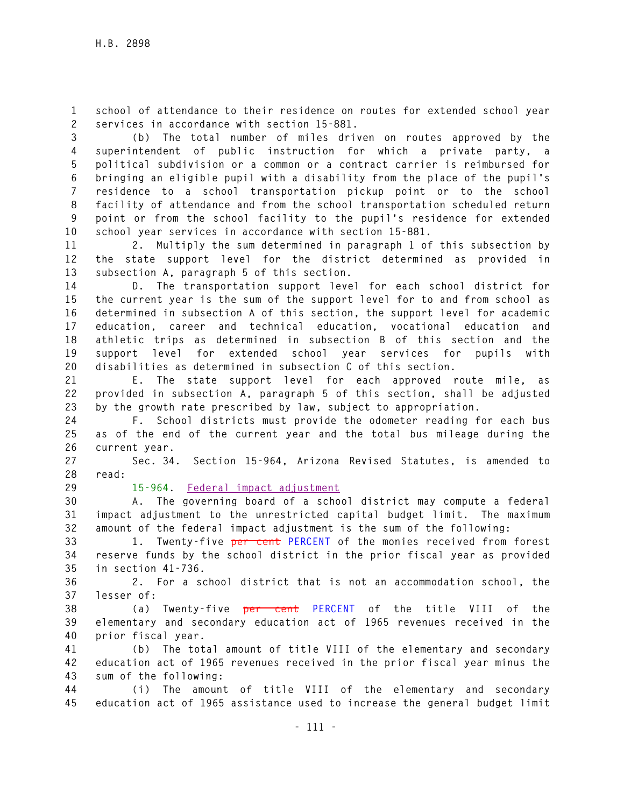**1 school of attendance to their residence on routes for extended school year 2 services in accordance with section 15-881.** 

**3 (b) The total number of miles driven on routes approved by the 4 superintendent of public instruction for which a private party, a 5 political subdivision or a common or a contract carrier is reimbursed for 6 bringing an eligible pupil with a disability from the place of the pupil's 7 residence to a school transportation pickup point or to the school 8 facility of attendance and from the school transportation scheduled return 9 point or from the school facility to the pupil's residence for extended 10 school year services in accordance with section 15-881.** 

**11 2. Multiply the sum determined in paragraph 1 of this subsection by 12 the state support level for the district determined as provided in 13 subsection A, paragraph 5 of this section.** 

**14 D. The transportation support level for each school district for 15 the current year is the sum of the support level for to and from school as 16 determined in subsection A of this section, the support level for academic 17 education, career and technical education, vocational education and 18 athletic trips as determined in subsection B of this section and the 19 support level for extended school year services for pupils with 20 disabilities as determined in subsection C of this section.** 

**21 E. The state support level for each approved route mile, as 22 provided in subsection A, paragraph 5 of this section, shall be adjusted 23 by the growth rate prescribed by law, subject to appropriation.** 

**24 F. School districts must provide the odometer reading for each bus 25 as of the end of the current year and the total bus mileage during the 26 current year.** 

**27 Sec. 34. Section 15-964, Arizona Revised Statutes, is amended to 28 read:** 

**29 15-964. Federal impact adjustment**

**30 A. The governing board of a school district may compute a federal 31 impact adjustment to the unrestricted capital budget limit. The maximum 32 amount of the federal impact adjustment is the sum of the following:** 

**33 1. Twenty-five per cent PERCENT of the monies received from forest 34 reserve funds by the school district in the prior fiscal year as provided 35 in section 41-736.** 

**36 2. For a school district that is not an accommodation school, the 37 lesser of:** 

**38 (a) Twenty-five per cent PERCENT of the title VIII of the 39 elementary and secondary education act of 1965 revenues received in the 40 prior fiscal year.** 

**41 (b) The total amount of title VIII of the elementary and secondary 42 education act of 1965 revenues received in the prior fiscal year minus the 43 sum of the following:** 

**44 (i) The amount of title VIII of the elementary and secondary 45 education act of 1965 assistance used to increase the general budget limit**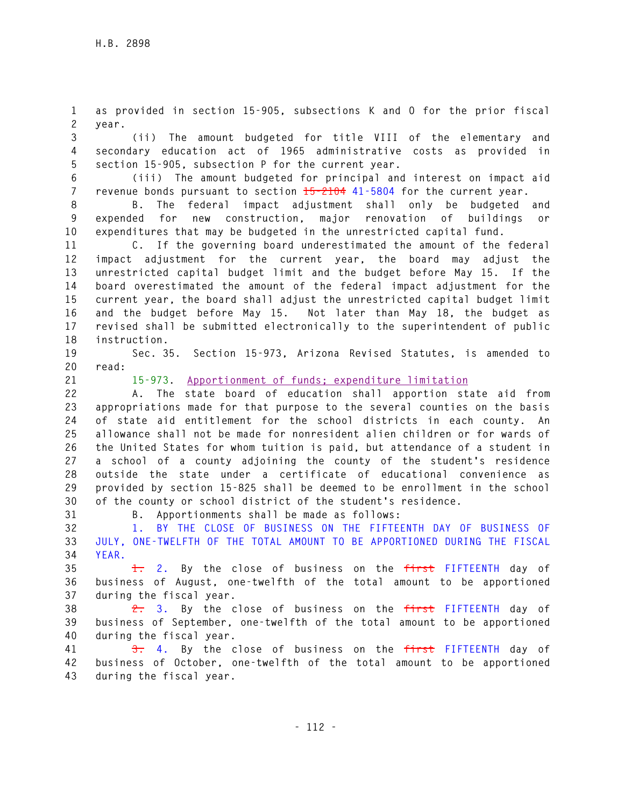**1 as provided in section 15-905, subsections K and O for the prior fiscal 2 year.** 

**3 (ii) The amount budgeted for title VIII of the elementary and 4 secondary education act of 1965 administrative costs as provided in 5 section 15-905, subsection P for the current year.** 

**6 (iii) The amount budgeted for principal and interest on impact aid 7 revenue bonds pursuant to section 15-2104 41-5804 for the current year.** 

**8 B. The federal impact adjustment shall only be budgeted and 9 expended for new construction, major renovation of buildings or 10 expenditures that may be budgeted in the unrestricted capital fund.** 

**11 C. If the governing board underestimated the amount of the federal 12 impact adjustment for the current year, the board may adjust the 13 unrestricted capital budget limit and the budget before May 15. If the 14 board overestimated the amount of the federal impact adjustment for the 15 current year, the board shall adjust the unrestricted capital budget limit 16 and the budget before May 15. Not later than May 18, the budget as 17 revised shall be submitted electronically to the superintendent of public 18 instruction.** 

**19 Sec. 35. Section 15-973, Arizona Revised Statutes, is amended to 20 read:** 

**21 15-973. Apportionment of funds; expenditure limitation**

**22 A. The state board of education shall apportion state aid from 23 appropriations made for that purpose to the several counties on the basis 24 of state aid entitlement for the school districts in each county. An 25 allowance shall not be made for nonresident alien children or for wards of 26 the United States for whom tuition is paid, but attendance of a student in 27 a school of a county adjoining the county of the student's residence 28 outside the state under a certificate of educational convenience as 29 provided by section 15-825 shall be deemed to be enrollment in the school 30 of the county or school district of the student's residence.** 

**31 B. Apportionments shall be made as follows:** 

**32 1. BY THE CLOSE OF BUSINESS ON THE FIFTEENTH DAY OF BUSINESS OF 33 JULY, ONE-TWELFTH OF THE TOTAL AMOUNT TO BE APPORTIONED DURING THE FISCAL 34 YEAR.** 

**35 1. 2. By the close of business on the first FIFTEENTH day of 36 business of August, one-twelfth of the total amount to be apportioned 37 during the fiscal year.** 

**38 2. 3. By the close of business on the first FIFTEENTH day of 39 business of September, one-twelfth of the total amount to be apportioned 40 during the fiscal year.** 

**41 3. 4. By the close of business on the first FIFTEENTH day of 42 business of October, one-twelfth of the total amount to be apportioned 43 during the fiscal year.**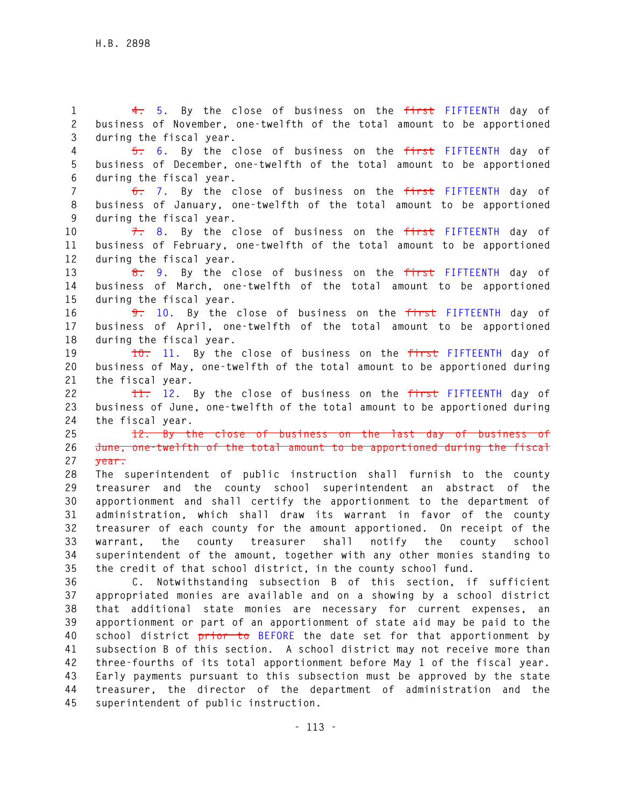**2 business of November, one-twelfth of the total amount to be apportioned 3 during the fiscal year. 4 5. 6. By the close of business on the first FIFTEENTH day of 5 business of December, one-twelfth of the total amount to be apportioned 6 during the fiscal year. 7 6. 7. By the close of business on the first FIFTEENTH day of 8 business of January, one-twelfth of the total amount to be apportioned 9 during the fiscal year. 10 7. 8. By the close of business on the first FIFTEENTH day of 11 business of February, one-twelfth of the total amount to be apportioned 12 during the fiscal year. 13 8. 9. By the close of business on the first FIFTEENTH day of 14 business of March, one-twelfth of the total amount to be apportioned 15 during the fiscal year. 16 9. 10. By the close of business on the first FIFTEENTH day of 17 business of April, one-twelfth of the total amount to be apportioned 18 during the fiscal year. 19 10. 11. By the close of business on the first FIFTEENTH day of 20 business of May, one-twelfth of the total amount to be apportioned during 21 the fiscal year. 22 11. 12. By the close of business on the first FIFTEENTH day of 23 business of June, one-twelfth of the total amount to be apportioned during 24 the fiscal year. 25 12. By the close of business on the last day of business of 26 June, one-twelfth of the total amount to be apportioned during the fiscal 27 year. 28 The superintendent of public instruction shall furnish to the county 29 treasurer and the county school superintendent an abstract of the 30 apportionment and shall certify the apportionment to the department of 31 administration, which shall draw its warrant in favor of the county 32 treasurer of each county for the amount apportioned. On receipt of the 33 warrant, the county treasurer shall notify the county school** 

**1 4. 5. By the close of business on the first FIFTEENTH day of** 

**34 superintendent of the amount, together with any other monies standing to 35 the credit of that school district, in the county school fund. 36 C. Notwithstanding subsection B of this section, if sufficient 37 appropriated monies are available and on a showing by a school district 38 that additional state monies are necessary for current expenses, an 39 apportionment or part of an apportionment of state aid may be paid to the 40 school district prior to BEFORE the date set for that apportionment by 41 subsection B of this section. A school district may not receive more than 42 three-fourths of its total apportionment before May 1 of the fiscal year. 43 Early payments pursuant to this subsection must be approved by the state 44 treasurer, the director of the department of administration and the 45 superintendent of public instruction.**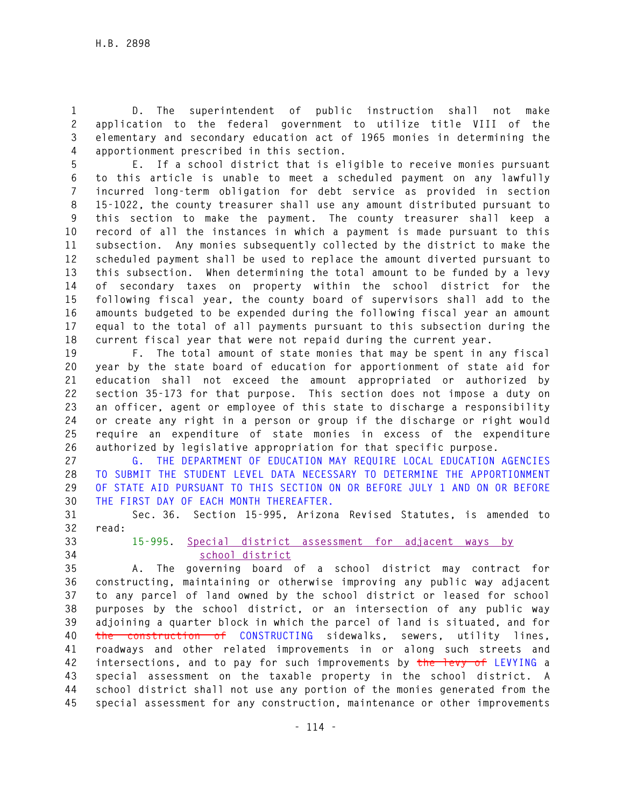**1 D. The superintendent of public instruction shall not make 2 application to the federal government to utilize title VIII of the 3 elementary and secondary education act of 1965 monies in determining the 4 apportionment prescribed in this section.** 

**5 E. If a school district that is eligible to receive monies pursuant 6 to this article is unable to meet a scheduled payment on any lawfully 7 incurred long-term obligation for debt service as provided in section 8 15-1022, the county treasurer shall use any amount distributed pursuant to 9 this section to make the payment. The county treasurer shall keep a 10 record of all the instances in which a payment is made pursuant to this 11 subsection. Any monies subsequently collected by the district to make the 12 scheduled payment shall be used to replace the amount diverted pursuant to 13 this subsection. When determining the total amount to be funded by a levy 14 of secondary taxes on property within the school district for the 15 following fiscal year, the county board of supervisors shall add to the 16 amounts budgeted to be expended during the following fiscal year an amount 17 equal to the total of all payments pursuant to this subsection during the 18 current fiscal year that were not repaid during the current year.** 

**19 F. The total amount of state monies that may be spent in any fiscal 20 year by the state board of education for apportionment of state aid for 21 education shall not exceed the amount appropriated or authorized by 22 section 35-173 for that purpose. This section does not impose a duty on 23 an officer, agent or employee of this state to discharge a responsibility 24 or create any right in a person or group if the discharge or right would 25 require an expenditure of state monies in excess of the expenditure 26 authorized by legislative appropriation for that specific purpose.** 

**27 G. THE DEPARTMENT OF EDUCATION MAY REQUIRE LOCAL EDUCATION AGENCIES 28 TO SUBMIT THE STUDENT LEVEL DATA NECESSARY TO DETERMINE THE APPORTIONMENT 29 OF STATE AID PURSUANT TO THIS SECTION ON OR BEFORE JULY 1 AND ON OR BEFORE 30 THE FIRST DAY OF EACH MONTH THEREAFTER.** 

**31 Sec. 36. Section 15-995, Arizona Revised Statutes, is amended to 32 read:** 

**33 15-995. Special district assessment for adjacent ways by 34 school district**

**35 A. The governing board of a school district may contract for 36 constructing, maintaining or otherwise improving any public way adjacent 37 to any parcel of land owned by the school district or leased for school 38 purposes by the school district, or an intersection of any public way 39 adjoining a quarter block in which the parcel of land is situated, and for 40 the construction of CONSTRUCTING sidewalks, sewers, utility lines, 41 roadways and other related improvements in or along such streets and 42 intersections, and to pay for such improvements by the levy of LEVYING a 43 special assessment on the taxable property in the school district. A 44 school district shall not use any portion of the monies generated from the 45 special assessment for any construction, maintenance or other improvements**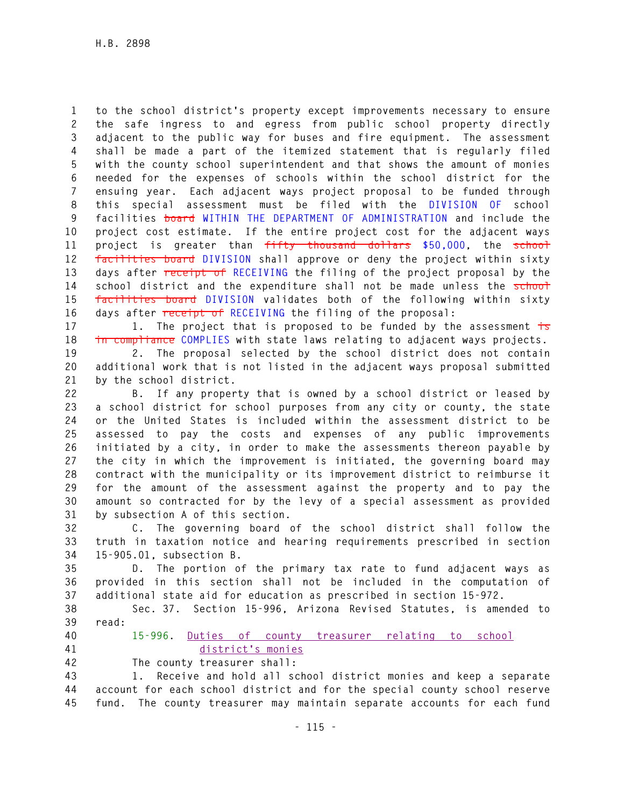**1 to the school district's property except improvements necessary to ensure 2 the safe ingress to and egress from public school property directly 3 adjacent to the public way for buses and fire equipment. The assessment 4 shall be made a part of the itemized statement that is regularly filed 5 with the county school superintendent and that shows the amount of monies 6 needed for the expenses of schools within the school district for the 7 ensuing year. Each adjacent ways project proposal to be funded through 8 this special assessment must be filed with the DIVISION OF school 9 facilities board WITHIN THE DEPARTMENT OF ADMINISTRATION and include the 10 project cost estimate. If the entire project cost for the adjacent ways 11 project is greater than fifty thousand dollars \$50,000, the school 12 facilities board DIVISION shall approve or deny the project within sixty 13 days after receipt of RECEIVING the filing of the project proposal by the 14 school district and the expenditure shall not be made unless the school 15 facilities board DIVISION validates both of the following within sixty 16 days after receipt of RECEIVING the filing of the proposal:** 

**17 1. The project that is proposed to be funded by the assessment is 18 in compliance COMPLIES with state laws relating to adjacent ways projects.** 

**19 2. The proposal selected by the school district does not contain 20 additional work that is not listed in the adjacent ways proposal submitted 21 by the school district.** 

**22 B. If any property that is owned by a school district or leased by 23 a school district for school purposes from any city or county, the state 24 or the United States is included within the assessment district to be 25 assessed to pay the costs and expenses of any public improvements 26 initiated by a city, in order to make the assessments thereon payable by 27 the city in which the improvement is initiated, the governing board may 28 contract with the municipality or its improvement district to reimburse it 29 for the amount of the assessment against the property and to pay the 30 amount so contracted for by the levy of a special assessment as provided 31 by subsection A of this section.** 

**32 C. The governing board of the school district shall follow the 33 truth in taxation notice and hearing requirements prescribed in section 34 15-905.01, subsection B.** 

**35 D. The portion of the primary tax rate to fund adjacent ways as 36 provided in this section shall not be included in the computation of 37 additional state aid for education as prescribed in section 15-972.** 

**38 Sec. 37. Section 15-996, Arizona Revised Statutes, is amended to 39 read:** 

- 
- **40 15-996. Duties of county treasurer relating to school 41 district's monies**
- 

**42 The county treasurer shall:** 

**43 1. Receive and hold all school district monies and keep a separate 44 account for each school district and for the special county school reserve 45 fund. The county treasurer may maintain separate accounts for each fund**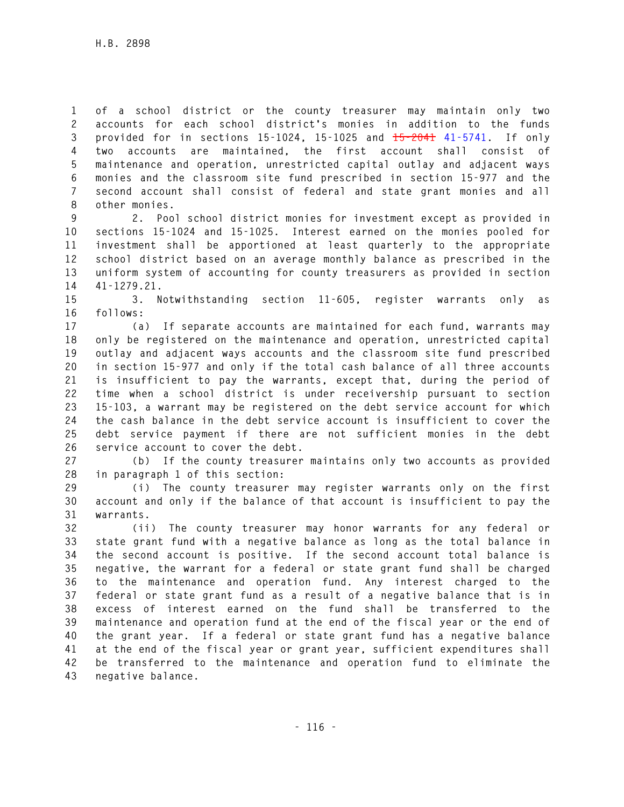**1 of a school district or the county treasurer may maintain only two 2 accounts for each school district's monies in addition to the funds 3 provided for in sections 15-1024, 15-1025 and 15-2041 41-5741. If only 4 two accounts are maintained, the first account shall consist of 5 maintenance and operation, unrestricted capital outlay and adjacent ways 6 monies and the classroom site fund prescribed in section 15-977 and the 7 second account shall consist of federal and state grant monies and all 8 other monies.** 

**9 2. Pool school district monies for investment except as provided in 10 sections 15-1024 and 15-1025. Interest earned on the monies pooled for 11 investment shall be apportioned at least quarterly to the appropriate 12 school district based on an average monthly balance as prescribed in the 13 uniform system of accounting for county treasurers as provided in section 14 41-1279.21.** 

**15 3. Notwithstanding section 11-605, register warrants only as 16 follows:** 

**17 (a) If separate accounts are maintained for each fund, warrants may 18 only be registered on the maintenance and operation, unrestricted capital 19 outlay and adjacent ways accounts and the classroom site fund prescribed 20 in section 15-977 and only if the total cash balance of all three accounts 21 is insufficient to pay the warrants, except that, during the period of 22 time when a school district is under receivership pursuant to section 23 15-103, a warrant may be registered on the debt service account for which 24 the cash balance in the debt service account is insufficient to cover the 25 debt service payment if there are not sufficient monies in the debt 26 service account to cover the debt.** 

**27 (b) If the county treasurer maintains only two accounts as provided 28 in paragraph 1 of this section:** 

**29 (i) The county treasurer may register warrants only on the first 30 account and only if the balance of that account is insufficient to pay the 31 warrants.** 

**32 (ii) The county treasurer may honor warrants for any federal or 33 state grant fund with a negative balance as long as the total balance in 34 the second account is positive. If the second account total balance is 35 negative, the warrant for a federal or state grant fund shall be charged 36 to the maintenance and operation fund. Any interest charged to the 37 federal or state grant fund as a result of a negative balance that is in 38 excess of interest earned on the fund shall be transferred to the 39 maintenance and operation fund at the end of the fiscal year or the end of 40 the grant year. If a federal or state grant fund has a negative balance 41 at the end of the fiscal year or grant year, sufficient expenditures shall 42 be transferred to the maintenance and operation fund to eliminate the 43 negative balance.**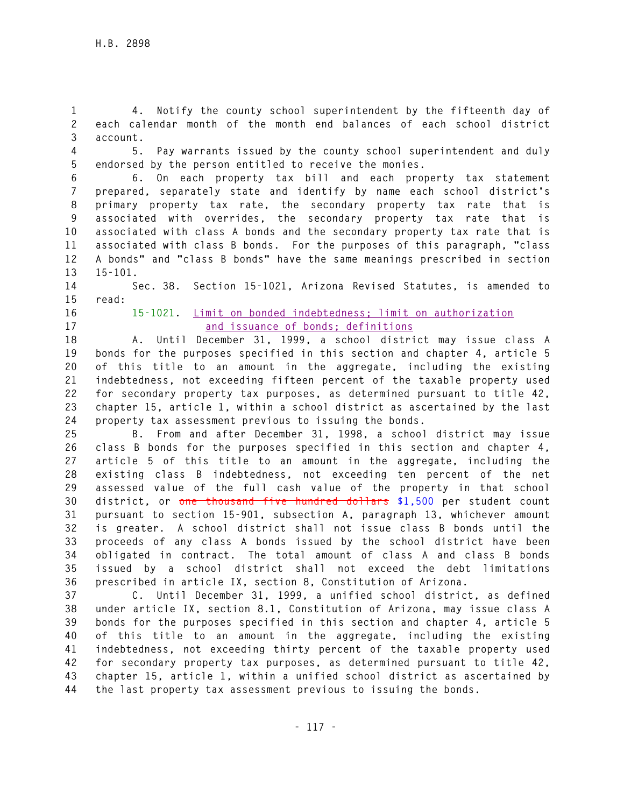**1 4. Notify the county school superintendent by the fifteenth day of 2 each calendar month of the month end balances of each school district 3 account.** 

**4 5. Pay warrants issued by the county school superintendent and duly 5 endorsed by the person entitled to receive the monies.** 

**6 6. On each property tax bill and each property tax statement 7 prepared, separately state and identify by name each school district's 8 primary property tax rate, the secondary property tax rate that is 9 associated with overrides, the secondary property tax rate that is 10 associated with class A bonds and the secondary property tax rate that is 11 associated with class B bonds. For the purposes of this paragraph, "class 12 A bonds" and "class B bonds" have the same meanings prescribed in section 13 15-101.** 

**14 Sec. 38. Section 15-1021, Arizona Revised Statutes, is amended to 15 read:** 

- 
- 

## **16 15-1021. Limit on bonded indebtedness; limit on authorization 17 and issuance of bonds; definitions**

**18 A. Until December 31, 1999, a school district may issue class A 19 bonds for the purposes specified in this section and chapter 4, article 5 20 of this title to an amount in the aggregate, including the existing 21 indebtedness, not exceeding fifteen percent of the taxable property used 22 for secondary property tax purposes, as determined pursuant to title 42, 23 chapter 15, article 1, within a school district as ascertained by the last 24 property tax assessment previous to issuing the bonds.** 

**25 B. From and after December 31, 1998, a school district may issue 26 class B bonds for the purposes specified in this section and chapter 4, 27 article 5 of this title to an amount in the aggregate, including the 28 existing class B indebtedness, not exceeding ten percent of the net 29 assessed value of the full cash value of the property in that school 30 district, or one thousand five hundred dollars \$1,500 per student count 31 pursuant to section 15-901, subsection A, paragraph 13, whichever amount 32 is greater. A school district shall not issue class B bonds until the 33 proceeds of any class A bonds issued by the school district have been 34 obligated in contract. The total amount of class A and class B bonds 35 issued by a school district shall not exceed the debt limitations 36 prescribed in article IX, section 8, Constitution of Arizona.** 

**37 C. Until December 31, 1999, a unified school district, as defined 38 under article IX, section 8.1, Constitution of Arizona, may issue class A 39 bonds for the purposes specified in this section and chapter 4, article 5 40 of this title to an amount in the aggregate, including the existing 41 indebtedness, not exceeding thirty percent of the taxable property used 42 for secondary property tax purposes, as determined pursuant to title 42, 43 chapter 15, article 1, within a unified school district as ascertained by 44 the last property tax assessment previous to issuing the bonds.**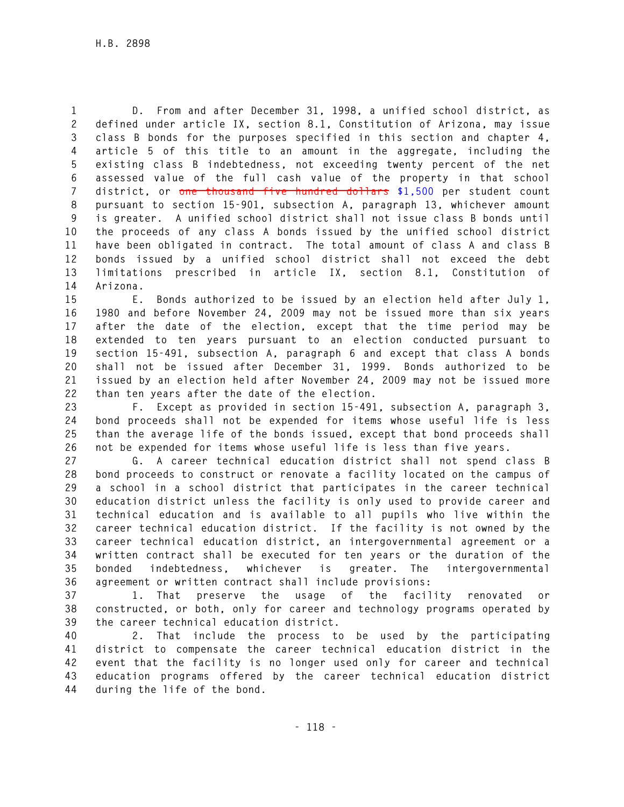**1 D. From and after December 31, 1998, a unified school district, as 2 defined under article IX, section 8.1, Constitution of Arizona, may issue 3 class B bonds for the purposes specified in this section and chapter 4, 4 article 5 of this title to an amount in the aggregate, including the 5 existing class B indebtedness, not exceeding twenty percent of the net 6 assessed value of the full cash value of the property in that school 7 district, or one thousand five hundred dollars \$1,500 per student count 8 pursuant to section 15-901, subsection A, paragraph 13, whichever amount 9 is greater. A unified school district shall not issue class B bonds until 10 the proceeds of any class A bonds issued by the unified school district 11 have been obligated in contract. The total amount of class A and class B 12 bonds issued by a unified school district shall not exceed the debt 13 limitations prescribed in article IX, section 8.1, Constitution of 14 Arizona.** 

**15 E. Bonds authorized to be issued by an election held after July 1, 16 1980 and before November 24, 2009 may not be issued more than six years 17 after the date of the election, except that the time period may be 18 extended to ten years pursuant to an election conducted pursuant to 19 section 15-491, subsection A, paragraph 6 and except that class A bonds 20 shall not be issued after December 31, 1999. Bonds authorized to be 21 issued by an election held after November 24, 2009 may not be issued more 22 than ten years after the date of the election.** 

**23 F. Except as provided in section 15-491, subsection A, paragraph 3, 24 bond proceeds shall not be expended for items whose useful life is less 25 than the average life of the bonds issued, except that bond proceeds shall 26 not be expended for items whose useful life is less than five years.** 

**27 G. A career technical education district shall not spend class B 28 bond proceeds to construct or renovate a facility located on the campus of 29 a school in a school district that participates in the career technical 30 education district unless the facility is only used to provide career and 31 technical education and is available to all pupils who live within the 32 career technical education district. If the facility is not owned by the 33 career technical education district, an intergovernmental agreement or a 34 written contract shall be executed for ten years or the duration of the 35 bonded indebtedness, whichever is greater. The intergovernmental 36 agreement or written contract shall include provisions:** 

**37 1. That preserve the usage of the facility renovated or 38 constructed, or both, only for career and technology programs operated by 39 the career technical education district.** 

**40 2. That include the process to be used by the participating 41 district to compensate the career technical education district in the 42 event that the facility is no longer used only for career and technical 43 education programs offered by the career technical education district 44 during the life of the bond.**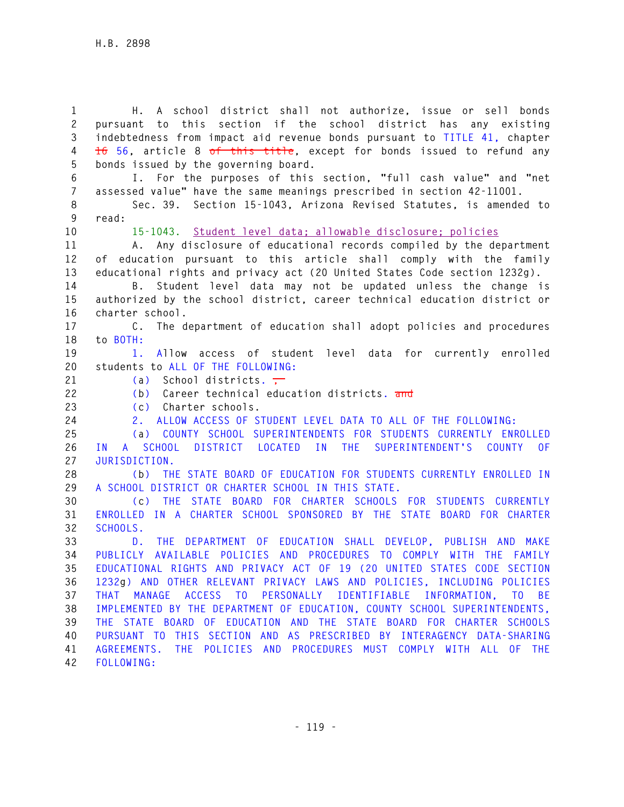**1 H. A school district shall not authorize, issue or sell bonds 2 pursuant to this section if the school district has any existing 3 indebtedness from impact aid revenue bonds pursuant to TITLE 41, chapter 4 16 56, article 8 of this title, except for bonds issued to refund any 5 bonds issued by the governing board. 6 I. For the purposes of this section, "full cash value" and "net 7 assessed value" have the same meanings prescribed in section 42-11001. 8 Sec. 39. Section 15-1043, Arizona Revised Statutes, is amended to 9 read: 10 15-1043. Student level data; allowable disclosure; policies 11 A. Any disclosure of educational records compiled by the department 12 of education pursuant to this article shall comply with the family 13 educational rights and privacy act (20 United States Code section 1232g). 14 B. Student level data may not be updated unless the change is 15 authorized by the school district, career technical education district or 16 charter school. 17 C. The department of education shall adopt policies and procedures 18 to BOTH: 19 1. Allow access of student level data for currently enrolled 20 students to ALL OF THE FOLLOWING:**  21 (a) School districts. **22 (b) Career technical education districts. and 23 (c) Charter schools. 24 2. ALLOW ACCESS OF STUDENT LEVEL DATA TO ALL OF THE FOLLOWING: 25 (a) COUNTY SCHOOL SUPERINTENDENTS FOR STUDENTS CURRENTLY ENROLLED 26 IN A SCHOOL DISTRICT LOCATED IN THE SUPERINTENDENT'S COUNTY OF 27 JURISDICTION. 28 (b) THE STATE BOARD OF EDUCATION FOR STUDENTS CURRENTLY ENROLLED IN 29 A SCHOOL DISTRICT OR CHARTER SCHOOL IN THIS STATE. 30 (c) THE STATE BOARD FOR CHARTER SCHOOLS FOR STUDENTS CURRENTLY 31 ENROLLED IN A CHARTER SCHOOL SPONSORED BY THE STATE BOARD FOR CHARTER 32 SCHOOLS. 33 D. THE DEPARTMENT OF EDUCATION SHALL DEVELOP, PUBLISH AND MAKE 34 PUBLICLY AVAILABLE POLICIES AND PROCEDURES TO COMPLY WITH THE FAMILY 35 EDUCATIONAL RIGHTS AND PRIVACY ACT OF 19 (20 UNITED STATES CODE SECTION 36 1232g) AND OTHER RELEVANT PRIVACY LAWS AND POLICIES, INCLUDING POLICIES 37 THAT MANAGE ACCESS TO PERSONALLY IDENTIFIABLE INFORMATION, TO BE 38 IMPLEMENTED BY THE DEPARTMENT OF EDUCATION, COUNTY SCHOOL SUPERINTENDENTS, 39 THE STATE BOARD OF EDUCATION AND THE STATE BOARD FOR CHARTER SCHOOLS 40 PURSUANT TO THIS SECTION AND AS PRESCRIBED BY INTERAGENCY DATA-SHARING 41 AGREEMENTS. THE POLICIES AND PROCEDURES MUST COMPLY WITH ALL OF THE 42 FOLLOWING:**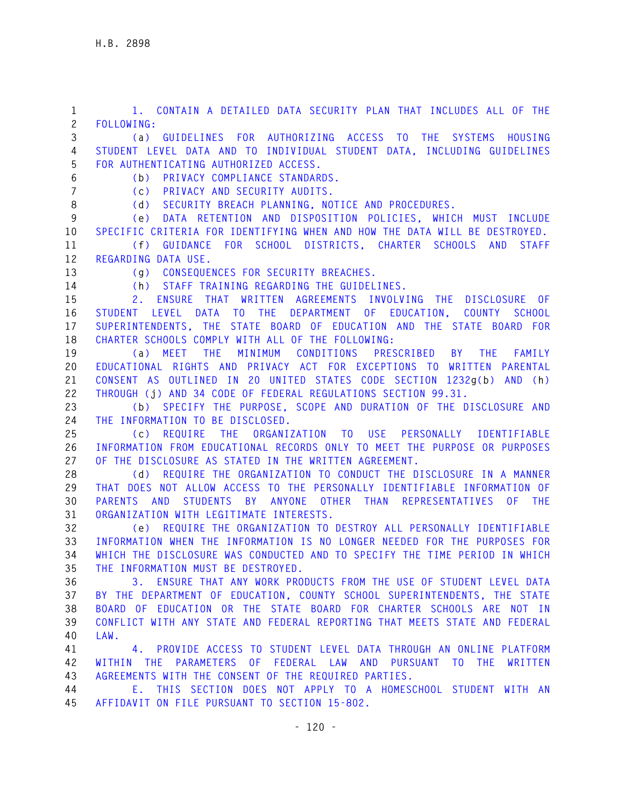**1 1. CONTAIN A DETAILED DATA SECURITY PLAN THAT INCLUDES ALL OF THE 2 FOLLOWING: 3 (a) GUIDELINES FOR AUTHORIZING ACCESS TO THE SYSTEMS HOUSING 4 STUDENT LEVEL DATA AND TO INDIVIDUAL STUDENT DATA, INCLUDING GUIDELINES 5 FOR AUTHENTICATING AUTHORIZED ACCESS. 6 (b) PRIVACY COMPLIANCE STANDARDS. 7 (c) PRIVACY AND SECURITY AUDITS. 8 (d) SECURITY BREACH PLANNING, NOTICE AND PROCEDURES. 9 (e) DATA RETENTION AND DISPOSITION POLICIES, WHICH MUST INCLUDE 10 SPECIFIC CRITERIA FOR IDENTIFYING WHEN AND HOW THE DATA WILL BE DESTROYED. 11 (f) GUIDANCE FOR SCHOOL DISTRICTS, CHARTER SCHOOLS AND STAFF 12 REGARDING DATA USE. 13 (g) CONSEQUENCES FOR SECURITY BREACHES. 14 (h) STAFF TRAINING REGARDING THE GUIDELINES. 15 2. ENSURE THAT WRITTEN AGREEMENTS INVOLVING THE DISCLOSURE OF 16 STUDENT LEVEL DATA TO THE DEPARTMENT OF EDUCATION, COUNTY SCHOOL 17 SUPERINTENDENTS, THE STATE BOARD OF EDUCATION AND THE STATE BOARD FOR 18 CHARTER SCHOOLS COMPLY WITH ALL OF THE FOLLOWING: 19 (a) MEET THE MINIMUM CONDITIONS PRESCRIBED BY THE FAMILY 20 EDUCATIONAL RIGHTS AND PRIVACY ACT FOR EXCEPTIONS TO WRITTEN PARENTAL 21 CONSENT AS OUTLINED IN 20 UNITED STATES CODE SECTION 1232g(b) AND (h) 22 THROUGH (j) AND 34 CODE OF FEDERAL REGULATIONS SECTION 99.31. 23 (b) SPECIFY THE PURPOSE, SCOPE AND DURATION OF THE DISCLOSURE AND 24 THE INFORMATION TO BE DISCLOSED. 25 (c) REQUIRE THE ORGANIZATION TO USE PERSONALLY IDENTIFIABLE 26 INFORMATION FROM EDUCATIONAL RECORDS ONLY TO MEET THE PURPOSE OR PURPOSES 27 OF THE DISCLOSURE AS STATED IN THE WRITTEN AGREEMENT. 28 (d) REQUIRE THE ORGANIZATION TO CONDUCT THE DISCLOSURE IN A MANNER 29 THAT DOES NOT ALLOW ACCESS TO THE PERSONALLY IDENTIFIABLE INFORMATION OF 30 PARENTS AND STUDENTS BY ANYONE OTHER THAN REPRESENTATIVES OF THE 31 ORGANIZATION WITH LEGITIMATE INTERESTS. 32 (e) REQUIRE THE ORGANIZATION TO DESTROY ALL PERSONALLY IDENTIFIABLE 33 INFORMATION WHEN THE INFORMATION IS NO LONGER NEEDED FOR THE PURPOSES FOR 34 WHICH THE DISCLOSURE WAS CONDUCTED AND TO SPECIFY THE TIME PERIOD IN WHICH 35 THE INFORMATION MUST BE DESTROYED. 36 3. ENSURE THAT ANY WORK PRODUCTS FROM THE USE OF STUDENT LEVEL DATA 37 BY THE DEPARTMENT OF EDUCATION, COUNTY SCHOOL SUPERINTENDENTS, THE STATE 38 BOARD OF EDUCATION OR THE STATE BOARD FOR CHARTER SCHOOLS ARE NOT IN 39 CONFLICT WITH ANY STATE AND FEDERAL REPORTING THAT MEETS STATE AND FEDERAL 40 LAW. 41 4. PROVIDE ACCESS TO STUDENT LEVEL DATA THROUGH AN ONLINE PLATFORM 42 WITHIN THE PARAMETERS OF FEDERAL LAW AND PURSUANT TO THE WRITTEN 43 AGREEMENTS WITH THE CONSENT OF THE REQUIRED PARTIES. 44 E. THIS SECTION DOES NOT APPLY TO A HOMESCHOOL STUDENT WITH AN 45 AFFIDAVIT ON FILE PURSUANT TO SECTION 15-802.**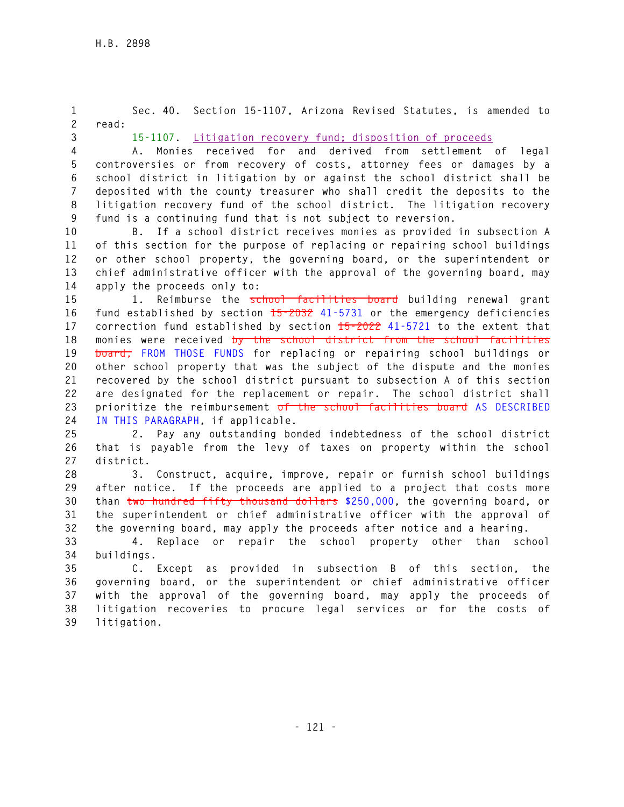**1 Sec. 40. Section 15-1107, Arizona Revised Statutes, is amended to 2 read: 3 15-1107. Litigation recovery fund; disposition of proceeds 4 A. Monies received for and derived from settlement of legal 5 controversies or from recovery of costs, attorney fees or damages by a 6 school district in litigation by or against the school district shall be 7 deposited with the county treasurer who shall credit the deposits to the 8 litigation recovery fund of the school district. The litigation recovery 9 fund is a continuing fund that is not subject to reversion. 10 B. If a school district receives monies as provided in subsection A 11 of this section for the purpose of replacing or repairing school buildings 12 or other school property, the governing board, or the superintendent or 13 chief administrative officer with the approval of the governing board, may 14 apply the proceeds only to: 15 1. Reimburse the school facilities board building renewal grant 16 fund established by section 15-2032 41-5731 or the emergency deficiencies 17 correction fund established by section 15-2022 41-5721 to the extent that 18 monies were received by the school district from the school facilities 19 board, FROM THOSE FUNDS for replacing or repairing school buildings or 20 other school property that was the subject of the dispute and the monies 21 recovered by the school district pursuant to subsection A of this section 22 are designated for the replacement or repair. The school district shall 23 prioritize the reimbursement of the school facilities board AS DESCRIBED 24 IN THIS PARAGRAPH, if applicable. 25 2. Pay any outstanding bonded indebtedness of the school district 26 that is payable from the levy of taxes on property within the school 27 district. 28 3. Construct, acquire, improve, repair or furnish school buildings 29 after notice. If the proceeds are applied to a project that costs more 30 than two hundred fifty thousand dollars \$250,000, the governing board, or** 

**31 the superintendent or chief administrative officer with the approval of 32 the governing board, may apply the proceeds after notice and a hearing. 33 4. Replace or repair the school property other than school** 

**34 buildings.** 

**35 C. Except as provided in subsection B of this section, the 36 governing board, or the superintendent or chief administrative officer 37 with the approval of the governing board, may apply the proceeds of 38 litigation recoveries to procure legal services or for the costs of 39 litigation.**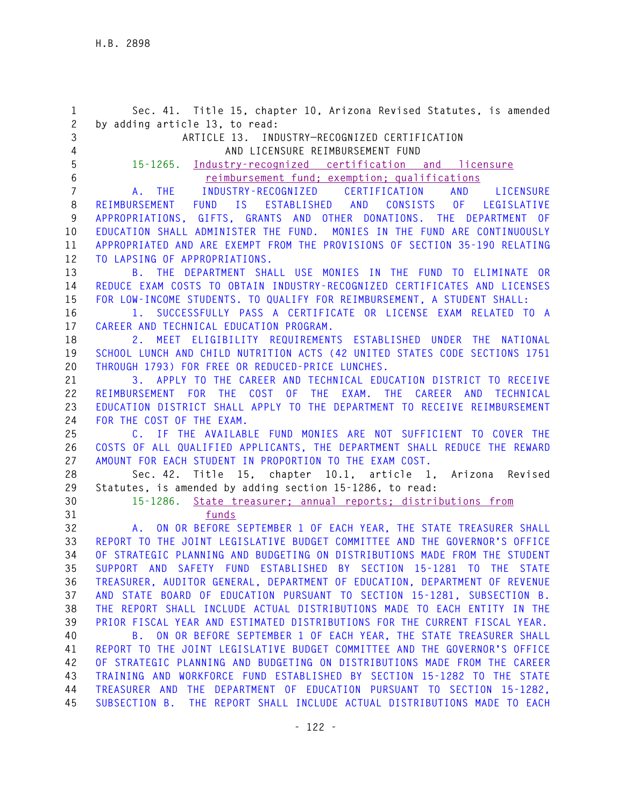**1 Sec. 41. Title 15, chapter 10, Arizona Revised Statutes, is amended 2 by adding article 13, to read: 3 ARTICLE 13. INDUSTRY—RECOGNIZED CERTIFICATION 4 AND LICENSURE REIMBURSEMENT FUND 5 15-1265. Industry-recognized certification and licensure 6 reimbursement fund; exemption; qualifications 7 A. THE INDUSTRY-RECOGNIZED CERTIFICATION AND LICENSURE 8 REIMBURSEMENT FUND IS ESTABLISHED AND CONSISTS OF LEGISLATIVE 9 APPROPRIATIONS, GIFTS, GRANTS AND OTHER DONATIONS. THE DEPARTMENT OF 10 EDUCATION SHALL ADMINISTER THE FUND. MONIES IN THE FUND ARE CONTINUOUSLY 11 APPROPRIATED AND ARE EXEMPT FROM THE PROVISIONS OF SECTION 35-190 RELATING 12 TO LAPSING OF APPROPRIATIONS. 13 B. THE DEPARTMENT SHALL USE MONIES IN THE FUND TO ELIMINATE OR 14 REDUCE EXAM COSTS TO OBTAIN INDUSTRY-RECOGNIZED CERTIFICATES AND LICENSES 15 FOR LOW-INCOME STUDENTS. TO QUALIFY FOR REIMBURSEMENT, A STUDENT SHALL: 16 1. SUCCESSFULLY PASS A CERTIFICATE OR LICENSE EXAM RELATED TO A 17 CAREER AND TECHNICAL EDUCATION PROGRAM. 18 2. MEET ELIGIBILITY REQUIREMENTS ESTABLISHED UNDER THE NATIONAL 19 SCHOOL LUNCH AND CHILD NUTRITION ACTS (42 UNITED STATES CODE SECTIONS 1751 20 THROUGH 1793) FOR FREE OR REDUCED-PRICE LUNCHES. 21 3. APPLY TO THE CAREER AND TECHNICAL EDUCATION DISTRICT TO RECEIVE 22 REIMBURSEMENT FOR THE COST OF THE EXAM. THE CAREER AND TECHNICAL 23 EDUCATION DISTRICT SHALL APPLY TO THE DEPARTMENT TO RECEIVE REIMBURSEMENT 24 FOR THE COST OF THE EXAM. 25 C. IF THE AVAILABLE FUND MONIES ARE NOT SUFFICIENT TO COVER THE 26 COSTS OF ALL QUALIFIED APPLICANTS, THE DEPARTMENT SHALL REDUCE THE REWARD 27 AMOUNT FOR EACH STUDENT IN PROPORTION TO THE EXAM COST. 28 Sec. 42. Title 15, chapter 10.1, article 1, Arizona Revised 29 Statutes, is amended by adding section 15-1286, to read: 30 15-1286. State treasurer; annual reports; distributions from 31 funds 32 A. ON OR BEFORE SEPTEMBER 1 OF EACH YEAR, THE STATE TREASURER SHALL 33 REPORT TO THE JOINT LEGISLATIVE BUDGET COMMITTEE AND THE GOVERNOR'S OFFICE 34 OF STRATEGIC PLANNING AND BUDGETING ON DISTRIBUTIONS MADE FROM THE STUDENT 35 SUPPORT AND SAFETY FUND ESTABLISHED BY SECTION 15-1281 TO THE STATE 36 TREASURER, AUDITOR GENERAL, DEPARTMENT OF EDUCATION, DEPARTMENT OF REVENUE 37 AND STATE BOARD OF EDUCATION PURSUANT TO SECTION 15-1281, SUBSECTION B. 38 THE REPORT SHALL INCLUDE ACTUAL DISTRIBUTIONS MADE TO EACH ENTITY IN THE 39 PRIOR FISCAL YEAR AND ESTIMATED DISTRIBUTIONS FOR THE CURRENT FISCAL YEAR. 40 B. ON OR BEFORE SEPTEMBER 1 OF EACH YEAR, THE STATE TREASURER SHALL 41 REPORT TO THE JOINT LEGISLATIVE BUDGET COMMITTEE AND THE GOVERNOR'S OFFICE 42 OF STRATEGIC PLANNING AND BUDGETING ON DISTRIBUTIONS MADE FROM THE CAREER 43 TRAINING AND WORKFORCE FUND ESTABLISHED BY SECTION 15-1282 TO THE STATE 44 TREASURER AND THE DEPARTMENT OF EDUCATION PURSUANT TO SECTION 15-1282, 45 SUBSECTION B. THE REPORT SHALL INCLUDE ACTUAL DISTRIBUTIONS MADE TO EACH**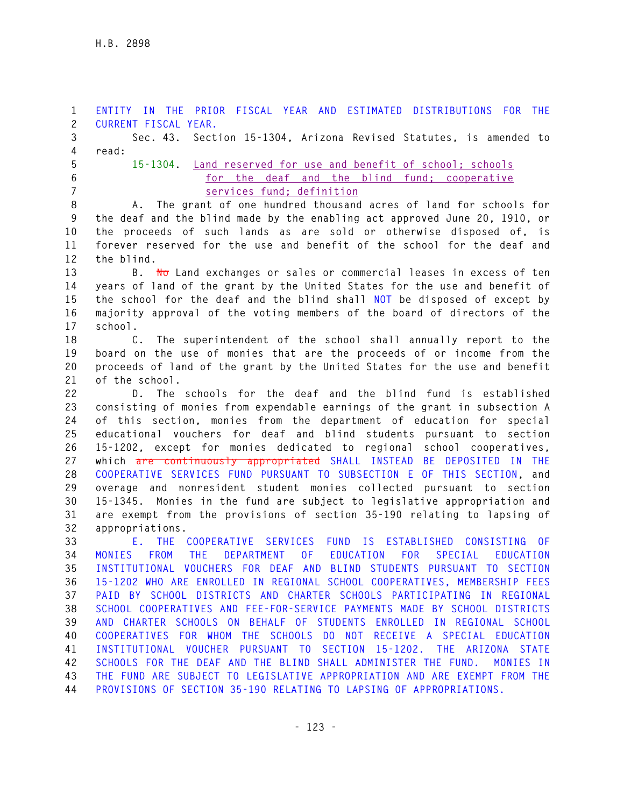**1 ENTITY IN THE PRIOR FISCAL YEAR AND ESTIMATED DISTRIBUTIONS FOR THE 2 CURRENT FISCAL YEAR. 3 Sec. 43. Section 15-1304, Arizona Revised Statutes, is amended to 4 read: 5 15-1304. Land reserved for use and benefit of school; schools 6 for the deaf and the blind fund; cooperative 7 services fund; definition 8 A. The grant of one hundred thousand acres of land for schools for 9 the deaf and the blind made by the enabling act approved June 20, 1910, or 10 the proceeds of such lands as are sold or otherwise disposed of, is 11 forever reserved for the use and benefit of the school for the deaf and 12 the blind. 13 B. No Land exchanges or sales or commercial leases in excess of ten 14 years of land of the grant by the United States for the use and benefit of 15 the school for the deaf and the blind shall NOT be disposed of except by 16 majority approval of the voting members of the board of directors of the 17 school. 18 C. The superintendent of the school shall annually report to the 19 board on the use of monies that are the proceeds of or income from the 20 proceeds of land of the grant by the United States for the use and benefit 21 of the school. 22 D. The schools for the deaf and the blind fund is established 23 consisting of monies from expendable earnings of the grant in subsection A 24 of this section, monies from the department of education for special 25 educational vouchers for deaf and blind students pursuant to section 26 15-1202, except for monies dedicated to regional school cooperatives, 27 which are continuously appropriated SHALL INSTEAD BE DEPOSITED IN THE 28 COOPERATIVE SERVICES FUND PURSUANT TO SUBSECTION E OF THIS SECTION, and 29 overage and nonresident student monies collected pursuant to section 30 15-1345. Monies in the fund are subject to legislative appropriation and 31 are exempt from the provisions of section 35-190 relating to lapsing of 32 appropriations. 33 E. THE COOPERATIVE SERVICES FUND IS ESTABLISHED CONSISTING OF 34 MONIES FROM THE DEPARTMENT OF EDUCATION FOR SPECIAL EDUCATION 35 INSTITUTIONAL VOUCHERS FOR DEAF AND BLIND STUDENTS PURSUANT TO SECTION 36 15-1202 WHO ARE ENROLLED IN REGIONAL SCHOOL COOPERATIVES, MEMBERSHIP FEES 37 PAID BY SCHOOL DISTRICTS AND CHARTER SCHOOLS PARTICIPATING IN REGIONAL 38 SCHOOL COOPERATIVES AND FEE-FOR-SERVICE PAYMENTS MADE BY SCHOOL DISTRICTS 39 AND CHARTER SCHOOLS ON BEHALF OF STUDENTS ENROLLED IN REGIONAL SCHOOL 40 COOPERATIVES FOR WHOM THE SCHOOLS DO NOT RECEIVE A SPECIAL EDUCATION 41 INSTITUTIONAL VOUCHER PURSUANT TO SECTION 15-1202. THE ARIZONA STATE 42 SCHOOLS FOR THE DEAF AND THE BLIND SHALL ADMINISTER THE FUND. MONIES IN 43 THE FUND ARE SUBJECT TO LEGISLATIVE APPROPRIATION AND ARE EXEMPT FROM THE 44 PROVISIONS OF SECTION 35-190 RELATING TO LAPSING OF APPROPRIATIONS.**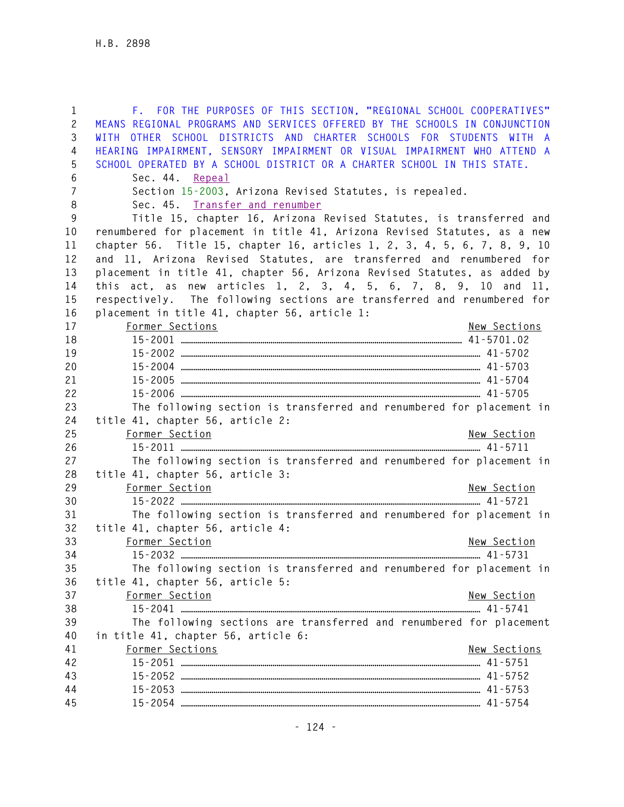| $\mathbf{1}$   | F. FOR THE PURPOSES OF THIS SECTION, "REGIONAL SCHOOL COOPERATIVES"        |
|----------------|----------------------------------------------------------------------------|
| $\mathbf{2}$   | MEANS REGIONAL PROGRAMS AND SERVICES OFFERED BY THE SCHOOLS IN CONJUNCTION |
| 3              | WITH OTHER SCHOOL DISTRICTS AND CHARTER SCHOOLS FOR STUDENTS WITH A        |
| 4              | HEARING IMPAIRMENT, SENSORY IMPAIRMENT OR VISUAL IMPAIRMENT WHO ATTEND A   |
| 5              | SCHOOL OPERATED BY A SCHOOL DISTRICT OR A CHARTER SCHOOL IN THIS STATE.    |
| 6              | Sec. 44. Repeal                                                            |
| $\overline{7}$ | Section 15-2003, Arizona Revised Statutes, is repealed.                    |
| 8              | Sec. 45. Transfer and renumber                                             |
| 9              | Title 15, chapter 16, Arizona Revised Statutes, is transferred and         |
| 10             | renumbered for placement in title 41, Arizona Revised Statutes, as a new   |
| 11             | chapter 56. Title 15, chapter 16, articles 1, 2, 3, 4, 5, 6, 7, 8, 9, 10   |
| 12             | and 11, Arizona Revised Statutes, are transferred and renumbered for       |
| 13             | placement in title 41, chapter 56, Arizona Revised Statutes, as added by   |
| 14             | this act, as new articles 1, 2, 3, 4, 5, 6, 7, 8, 9, 10 and 11,            |
| 15             | respectively. The following sections are transferred and renumbered for    |
| 16             | placement in title 41, chapter 56, article 1:                              |
| 17             | Former Sections<br>New Sections                                            |
| 18             |                                                                            |
| 19             |                                                                            |
| 20             |                                                                            |
| 21             |                                                                            |
| 22             |                                                                            |
| 23             | The following section is transferred and renumbered for placement in       |
| 24             | title 41, chapter 56, article 2:                                           |
| 25             | Former Section<br>New Section                                              |
| 26             |                                                                            |
| 27             | The following section is transferred and renumbered for placement in       |
| 28             | title 41, chapter 56, article 3:                                           |
| 29             | Former Section<br>New Section                                              |
| 30             |                                                                            |
| 31             | The following section is transferred and renumbered for placement in       |
| 32             | title 41, chapter 56, article 4:                                           |
| 33             | Former Section<br>New Section                                              |
| 34             | 15 - 2032<br>41-5731                                                       |
| 35             | The following section is transferred and renumbered for placement in       |
| 36             | title 41, chapter 56, article 5:                                           |
| 37             | Former Section<br>New Section                                              |
| 38             |                                                                            |
| 39             | The following sections are transferred and renumbered for placement        |
| 40             | in title 41, chapter 56, article 6:                                        |
| 41             | Former Sections<br>New Sections                                            |
| 42             |                                                                            |
| 43             |                                                                            |
| 44             |                                                                            |
| 45             |                                                                            |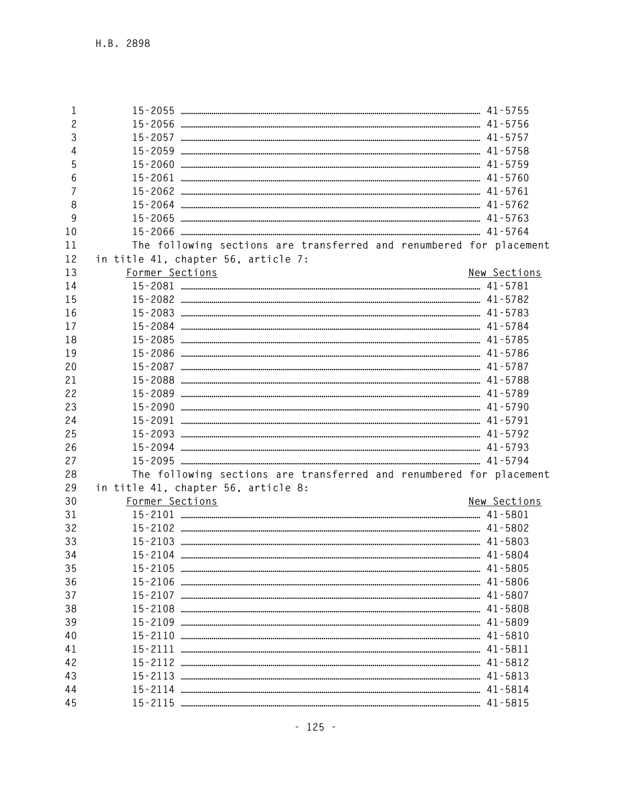| 1              |                                                                     |              |
|----------------|---------------------------------------------------------------------|--------------|
| $\overline{c}$ |                                                                     |              |
| 3              |                                                                     |              |
| 4              |                                                                     |              |
| 5              |                                                                     |              |
| 6              |                                                                     |              |
| $\overline{7}$ |                                                                     |              |
| 8              |                                                                     |              |
| 9              |                                                                     |              |
| 10             |                                                                     |              |
| 11             | The following sections are transferred and renumbered for placement |              |
| 12             | in title 41, chapter 56, article 7:                                 |              |
| 13             | Former Sections                                                     | New Sections |
| 14             |                                                                     |              |
| 15             |                                                                     |              |
| 16             |                                                                     |              |
| 17             |                                                                     |              |
| 18             |                                                                     |              |
| 19             |                                                                     |              |
| 20             |                                                                     |              |
| 21             |                                                                     |              |
| 22             |                                                                     |              |
| 23             |                                                                     |              |
| 24             |                                                                     |              |
| 25             |                                                                     |              |
| 26             |                                                                     |              |
| 27             |                                                                     |              |
| 28             | The following sections are transferred and renumbered for placement |              |
| 29             | in title 41, chapter 56, article 8:                                 |              |
| 30             | Former Sections                                                     | New Sections |
| 31             |                                                                     |              |
| 32             |                                                                     |              |
| 33             |                                                                     |              |
| 34             |                                                                     |              |
| 35             |                                                                     |              |
| 36             |                                                                     |              |
| 37             |                                                                     |              |
| 38             |                                                                     |              |
| 39             |                                                                     |              |
| 40             |                                                                     |              |
| 41             |                                                                     |              |
| 42             |                                                                     |              |
| 43             |                                                                     |              |
| 44             |                                                                     |              |
| 45             |                                                                     |              |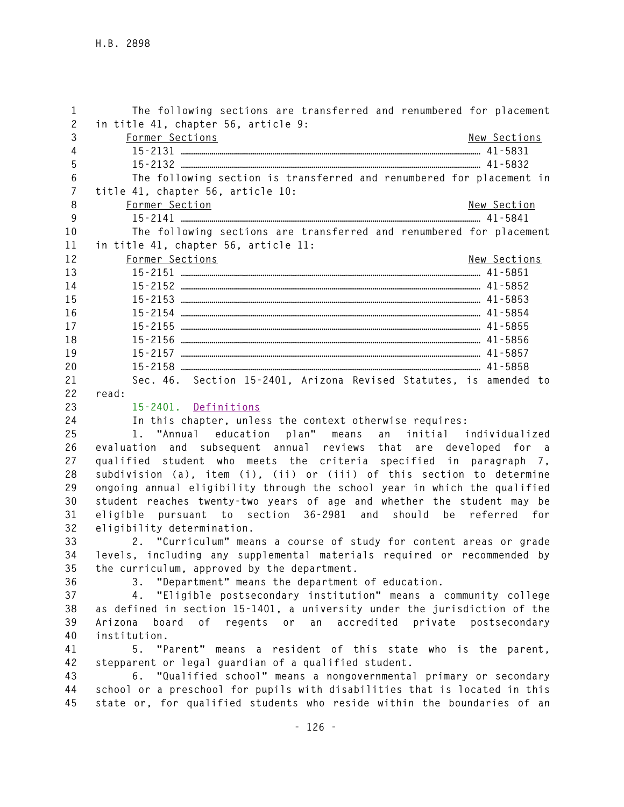| 1<br>$\overline{c}$ | The following sections are transferred and renumbered for placement<br>in title 41, chapter 56, article 9:                                       |
|---------------------|--------------------------------------------------------------------------------------------------------------------------------------------------|
| 3                   | Former Sections<br>New Sections                                                                                                                  |
| $\overline{4}$      |                                                                                                                                                  |
| 5                   |                                                                                                                                                  |
| 6                   | The following section is transferred and renumbered for placement in                                                                             |
| $\overline{7}$      | title 41, chapter 56, article 10:                                                                                                                |
| 8                   | New Section                                                                                                                                      |
| 9                   | Former Section                                                                                                                                   |
| 10                  | The following sections are transferred and renumbered for placement                                                                              |
| 11                  | in title 41, chapter 56, article 11:                                                                                                             |
| 12                  |                                                                                                                                                  |
|                     | Former Sections<br>New Sections                                                                                                                  |
| 13                  |                                                                                                                                                  |
| 14                  |                                                                                                                                                  |
| 15                  |                                                                                                                                                  |
| 16                  |                                                                                                                                                  |
| 17                  |                                                                                                                                                  |
| 18                  |                                                                                                                                                  |
| 19                  |                                                                                                                                                  |
| 20                  |                                                                                                                                                  |
| 21                  | Sec. 46. Section 15-2401, Arizona Revised Statutes, is amended to                                                                                |
| 22                  | read:                                                                                                                                            |
| 23                  | 15-2401. Definitions                                                                                                                             |
| 24                  | In this chapter, unless the context otherwise requires:                                                                                          |
| 25                  | 1. "Annual education plan" means<br>an initial individualized                                                                                    |
| 26                  | evaluation and subsequent annual reviews that are developed for a                                                                                |
| 27                  | qualified student who meets the criteria specified in paragraph 7,                                                                               |
| 28                  | subdivision (a), item (i), (ii) or (iii) of this section to determine                                                                            |
| 29                  | ongoing annual eligibility through the school year in which the qualified                                                                        |
| 30                  | student reaches twenty-two years of age and whether the student may be                                                                           |
| 31                  | pursuant to section 36-2981 and should be<br>referred<br>eligible<br>for                                                                         |
| 32                  | eligibility determination.                                                                                                                       |
| 33                  | 2. "Curriculum" means a course of study for content areas or grade                                                                               |
| 34                  | levels, including any supplemental materials required or recommended by                                                                          |
| 35                  | the curriculum, approved by the department.                                                                                                      |
| 36                  | "Department" means the department of education.<br>3.                                                                                            |
| 37                  | "Eligible postsecondary institution" means a community college<br>4.                                                                             |
| 38                  | as defined in section 15-1401, a university under the jurisdiction of the                                                                        |
| 39                  | board<br>regents or<br>an<br>accredited private<br>Arizona<br>0f<br>postsecondary                                                                |
| 40                  | institution.                                                                                                                                     |
| 41                  | 5. "Parent" means a resident of this state who is the parent,                                                                                    |
| 42                  | stepparent or legal guardian of a qualified student.                                                                                             |
| 43                  |                                                                                                                                                  |
|                     |                                                                                                                                                  |
| 44                  | 6. "Qualified school" means a nongovernmental primary or secondary<br>school or a preschool for pupils with disabilities that is located in this |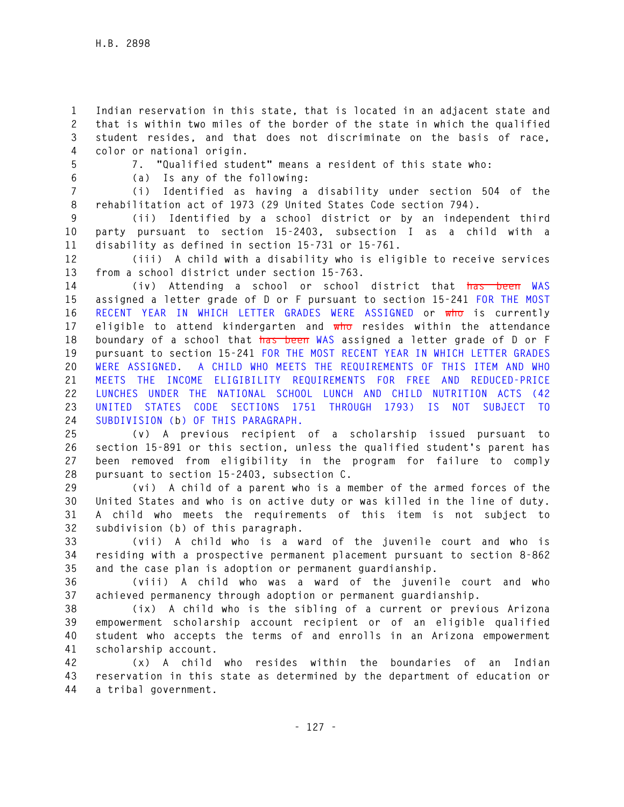**1 Indian reservation in this state, that is located in an adjacent state and 2 that is within two miles of the border of the state in which the qualified 3 student resides, and that does not discriminate on the basis of race, 4 color or national origin.** 

**5 7. "Qualified student" means a resident of this state who: 6 (a) Is any of the following:** 

**7 (i) Identified as having a disability under section 504 of the 8 rehabilitation act of 1973 (29 United States Code section 794).** 

**9 (ii) Identified by a school district or by an independent third 10 party pursuant to section 15-2403, subsection I as a child with a 11 disability as defined in section 15-731 or 15-761.** 

**12 (iii) A child with a disability who is eligible to receive services 13 from a school district under section 15-763.** 

**14 (iv) Attending a school or school district that has been WAS 15 assigned a letter grade of D or F pursuant to section 15-241 FOR THE MOST 16 RECENT YEAR IN WHICH LETTER GRADES WERE ASSIGNED or who is currently 17 eligible to attend kindergarten and who resides within the attendance 18 boundary of a school that has been WAS assigned a letter grade of D or F 19 pursuant to section 15-241 FOR THE MOST RECENT YEAR IN WHICH LETTER GRADES 20 WERE ASSIGNED. A CHILD WHO MEETS THE REQUIREMENTS OF THIS ITEM AND WHO 21 MEETS THE INCOME ELIGIBILITY REQUIREMENTS FOR FREE AND REDUCED-PRICE 22 LUNCHES UNDER THE NATIONAL SCHOOL LUNCH AND CHILD NUTRITION ACTS (42 23 UNITED STATES CODE SECTIONS 1751 THROUGH 1793) IS NOT SUBJECT TO 24 SUBDIVISION (b) OF THIS PARAGRAPH.** 

**25 (v) A previous recipient of a scholarship issued pursuant to 26 section 15-891 or this section, unless the qualified student's parent has 27 been removed from eligibility in the program for failure to comply 28 pursuant to section 15-2403, subsection C.** 

**29 (vi) A child of a parent who is a member of the armed forces of the 30 United States and who is on active duty or was killed in the line of duty. 31 A child who meets the requirements of this item is not subject to 32 subdivision (b) of this paragraph.** 

**33 (vii) A child who is a ward of the juvenile court and who is 34 residing with a prospective permanent placement pursuant to section 8-862 35 and the case plan is adoption or permanent guardianship.** 

**36 (viii) A child who was a ward of the juvenile court and who 37 achieved permanency through adoption or permanent guardianship.** 

**38 (ix) A child who is the sibling of a current or previous Arizona 39 empowerment scholarship account recipient or of an eligible qualified 40 student who accepts the terms of and enrolls in an Arizona empowerment 41 scholarship account.** 

**42 (x) A child who resides within the boundaries of an Indian 43 reservation in this state as determined by the department of education or 44 a tribal government.**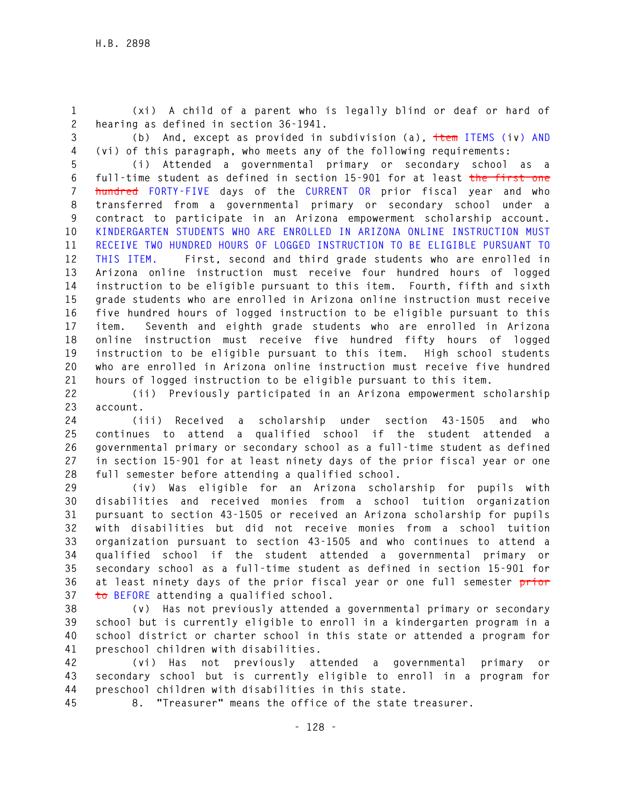**1 (xi) A child of a parent who is legally blind or deaf or hard of 2 hearing as defined in section 36-1941.** 

**3 (b) And, except as provided in subdivision (a), item ITEMS (iv) AND 4 (vi) of this paragraph, who meets any of the following requirements:** 

**5 (i) Attended a governmental primary or secondary school as a 6 full-time student as defined in section 15-901 for at least the first one 7 hundred FORTY-FIVE days of the CURRENT OR prior fiscal year and who 8 transferred from a governmental primary or secondary school under a 9 contract to participate in an Arizona empowerment scholarship account. 10 KINDERGARTEN STUDENTS WHO ARE ENROLLED IN ARIZONA ONLINE INSTRUCTION MUST 11 RECEIVE TWO HUNDRED HOURS OF LOGGED INSTRUCTION TO BE ELIGIBLE PURSUANT TO 12 THIS ITEM. First, second and third grade students who are enrolled in 13 Arizona online instruction must receive four hundred hours of logged 14 instruction to be eligible pursuant to this item. Fourth, fifth and sixth 15 grade students who are enrolled in Arizona online instruction must receive 16 five hundred hours of logged instruction to be eligible pursuant to this 17 item. Seventh and eighth grade students who are enrolled in Arizona 18 online instruction must receive five hundred fifty hours of logged 19 instruction to be eligible pursuant to this item. High school students 20 who are enrolled in Arizona online instruction must receive five hundred 21 hours of logged instruction to be eligible pursuant to this item.** 

**22 (ii) Previously participated in an Arizona empowerment scholarship 23 account.** 

**24 (iii) Received a scholarship under section 43-1505 and who 25 continues to attend a qualified school if the student attended a 26 governmental primary or secondary school as a full-time student as defined 27 in section 15-901 for at least ninety days of the prior fiscal year or one 28 full semester before attending a qualified school.** 

**29 (iv) Was eligible for an Arizona scholarship for pupils with 30 disabilities and received monies from a school tuition organization 31 pursuant to section 43-1505 or received an Arizona scholarship for pupils 32 with disabilities but did not receive monies from a school tuition 33 organization pursuant to section 43-1505 and who continues to attend a 34 qualified school if the student attended a governmental primary or 35 secondary school as a full-time student as defined in section 15-901 for 36 at least ninety days of the prior fiscal year or one full semester prior 37 to BEFORE attending a qualified school.** 

**38 (v) Has not previously attended a governmental primary or secondary 39 school but is currently eligible to enroll in a kindergarten program in a 40 school district or charter school in this state or attended a program for 41 preschool children with disabilities.** 

**42 (vi) Has not previously attended a governmental primary or 43 secondary school but is currently eligible to enroll in a program for 44 preschool children with disabilities in this state.** 

**45 8. "Treasurer" means the office of the state treasurer.**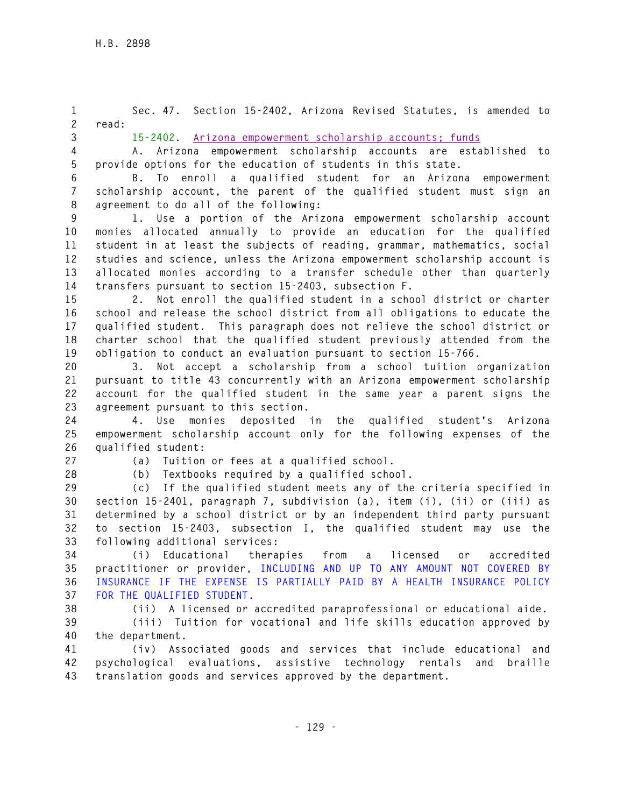**1 Sec. 47. Section 15-2402, Arizona Revised Statutes, is amended to 2 read: 3 15-2402. Arizona empowerment scholarship accounts; funds 4 A. Arizona empowerment scholarship accounts are established to 5 provide options for the education of students in this state. 6 B. To enroll a qualified student for an Arizona empowerment 7 scholarship account, the parent of the qualified student must sign an 8 agreement to do all of the following: 9 1. Use a portion of the Arizona empowerment scholarship account 10 monies allocated annually to provide an education for the qualified 11 student in at least the subjects of reading, grammar, mathematics, social 12 studies and science, unless the Arizona empowerment scholarship account is 13 allocated monies according to a transfer schedule other than quarterly 14 transfers pursuant to section 15-2403, subsection F. 15 2. Not enroll the qualified student in a school district or charter 16 school and release the school district from all obligations to educate the 17 qualified student. This paragraph does not relieve the school district or 18 charter school that the qualified student previously attended from the 19 obligation to conduct an evaluation pursuant to section 15-766. 20 3. Not accept a scholarship from a school tuition organization 21 pursuant to title 43 concurrently with an Arizona empowerment scholarship 22 account for the qualified student in the same year a parent signs the 23 agreement pursuant to this section. 24 4. Use monies deposited in the qualified student's Arizona 25 empowerment scholarship account only for the following expenses of the 26 qualified student: 27 (a) Tuition or fees at a qualified school. 28 (b) Textbooks required by a qualified school.** 

**29 (c) If the qualified student meets any of the criteria specified in 30 section 15-2401, paragraph 7, subdivision (a), item (i), (ii) or (iii) as 31 determined by a school district or by an independent third party pursuant 32 to section 15-2403, subsection I, the qualified student may use the 33 following additional services:** 

**34 (i) Educational therapies from a licensed or accredited 35 practitioner or provider, INCLUDING AND UP TO ANY AMOUNT NOT COVERED BY 36 INSURANCE IF THE EXPENSE IS PARTIALLY PAID BY A HEALTH INSURANCE POLICY 37 FOR THE QUALIFIED STUDENT.** 

**38 (ii) A licensed or accredited paraprofessional or educational aide.** 

**39 (iii) Tuition for vocational and life skills education approved by 40 the department.** 

**41 (iv) Associated goods and services that include educational and 42 psychological evaluations, assistive technology rentals and braille 43 translation goods and services approved by the department.**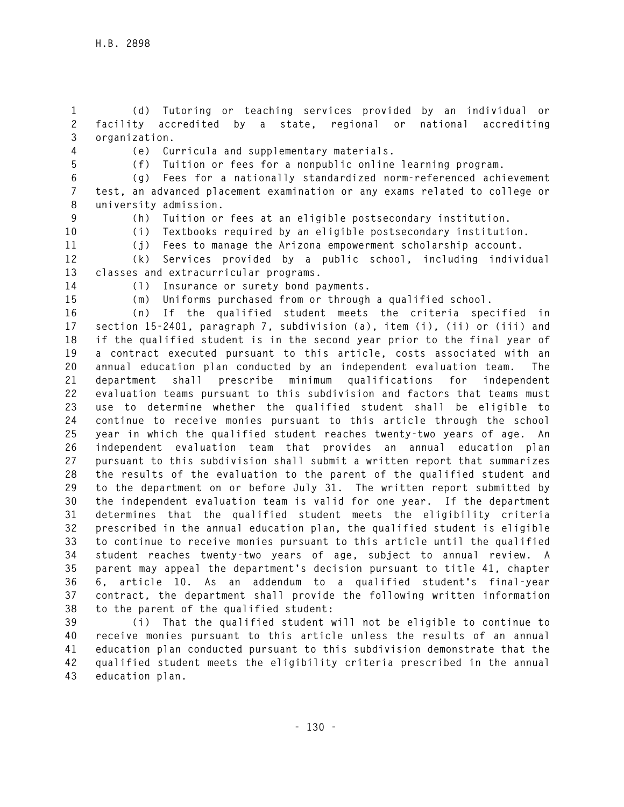**1 (d) Tutoring or teaching services provided by an individual or 2 facility accredited by a state, regional or national accrediting 3 organization.** 

**4 (e) Curricula and supplementary materials.** 

**5 (f) Tuition or fees for a nonpublic online learning program.** 

**6 (g) Fees for a nationally standardized norm-referenced achievement 7 test, an advanced placement examination or any exams related to college or 8 university admission.** 

**9 (h) Tuition or fees at an eligible postsecondary institution.** 

**10 (i) Textbooks required by an eligible postsecondary institution.** 

**11 (j) Fees to manage the Arizona empowerment scholarship account.** 

**12 (k) Services provided by a public school, including individual 13 classes and extracurricular programs.** 

**14 (l) Insurance or surety bond payments.** 

**15 (m) Uniforms purchased from or through a qualified school.** 

**16 (n) If the qualified student meets the criteria specified in 17 section 15-2401, paragraph 7, subdivision (a), item (i), (ii) or (iii) and 18 if the qualified student is in the second year prior to the final year of 19 a contract executed pursuant to this article, costs associated with an 20 annual education plan conducted by an independent evaluation team. The 21 department shall prescribe minimum qualifications for independent 22 evaluation teams pursuant to this subdivision and factors that teams must 23 use to determine whether the qualified student shall be eligible to 24 continue to receive monies pursuant to this article through the school 25 year in which the qualified student reaches twenty-two years of age. An 26 independent evaluation team that provides an annual education plan 27 pursuant to this subdivision shall submit a written report that summarizes 28 the results of the evaluation to the parent of the qualified student and 29 to the department on or before July 31. The written report submitted by 30 the independent evaluation team is valid for one year. If the department 31 determines that the qualified student meets the eligibility criteria 32 prescribed in the annual education plan, the qualified student is eligible 33 to continue to receive monies pursuant to this article until the qualified 34 student reaches twenty-two years of age, subject to annual review. A 35 parent may appeal the department's decision pursuant to title 41, chapter 36 6, article 10. As an addendum to a qualified student's final-year 37 contract, the department shall provide the following written information 38 to the parent of the qualified student:** 

**39 (i) That the qualified student will not be eligible to continue to 40 receive monies pursuant to this article unless the results of an annual 41 education plan conducted pursuant to this subdivision demonstrate that the 42 qualified student meets the eligibility criteria prescribed in the annual 43 education plan.**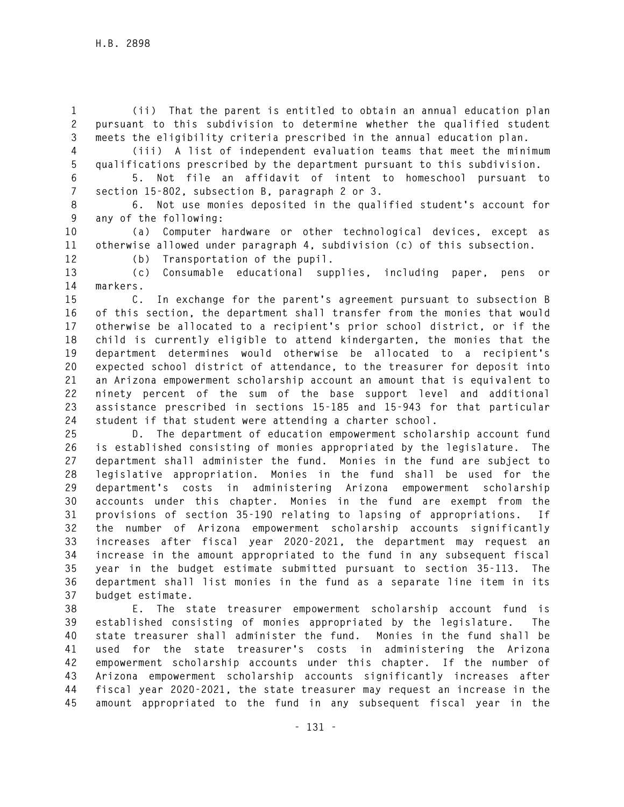**1 (ii) That the parent is entitled to obtain an annual education plan 2 pursuant to this subdivision to determine whether the qualified student 3 meets the eligibility criteria prescribed in the annual education plan.** 

**4 (iii) A list of independent evaluation teams that meet the minimum 5 qualifications prescribed by the department pursuant to this subdivision.** 

**6 5. Not file an affidavit of intent to homeschool pursuant to 7 section 15-802, subsection B, paragraph 2 or 3.** 

**8 6. Not use monies deposited in the qualified student's account for 9 any of the following:** 

**10 (a) Computer hardware or other technological devices, except as 11 otherwise allowed under paragraph 4, subdivision (c) of this subsection.** 

**12 (b) Transportation of the pupil.** 

**13 (c) Consumable educational supplies, including paper, pens or 14 markers.** 

**15 C. In exchange for the parent's agreement pursuant to subsection B 16 of this section, the department shall transfer from the monies that would 17 otherwise be allocated to a recipient's prior school district, or if the 18 child is currently eligible to attend kindergarten, the monies that the 19 department determines would otherwise be allocated to a recipient's 20 expected school district of attendance, to the treasurer for deposit into 21 an Arizona empowerment scholarship account an amount that is equivalent to 22 ninety percent of the sum of the base support level and additional 23 assistance prescribed in sections 15-185 and 15-943 for that particular 24 student if that student were attending a charter school.** 

**25 D. The department of education empowerment scholarship account fund 26 is established consisting of monies appropriated by the legislature. The 27 department shall administer the fund. Monies in the fund are subject to 28 legislative appropriation. Monies in the fund shall be used for the 29 department's costs in administering Arizona empowerment scholarship 30 accounts under this chapter. Monies in the fund are exempt from the 31 provisions of section 35-190 relating to lapsing of appropriations. If 32 the number of Arizona empowerment scholarship accounts significantly 33 increases after fiscal year 2020-2021, the department may request an 34 increase in the amount appropriated to the fund in any subsequent fiscal 35 year in the budget estimate submitted pursuant to section 35-113. The 36 department shall list monies in the fund as a separate line item in its 37 budget estimate.** 

**38 E. The state treasurer empowerment scholarship account fund is 39 established consisting of monies appropriated by the legislature. The 40 state treasurer shall administer the fund. Monies in the fund shall be 41 used for the state treasurer's costs in administering the Arizona 42 empowerment scholarship accounts under this chapter. If the number of 43 Arizona empowerment scholarship accounts significantly increases after 44 fiscal year 2020-2021, the state treasurer may request an increase in the 45 amount appropriated to the fund in any subsequent fiscal year in the**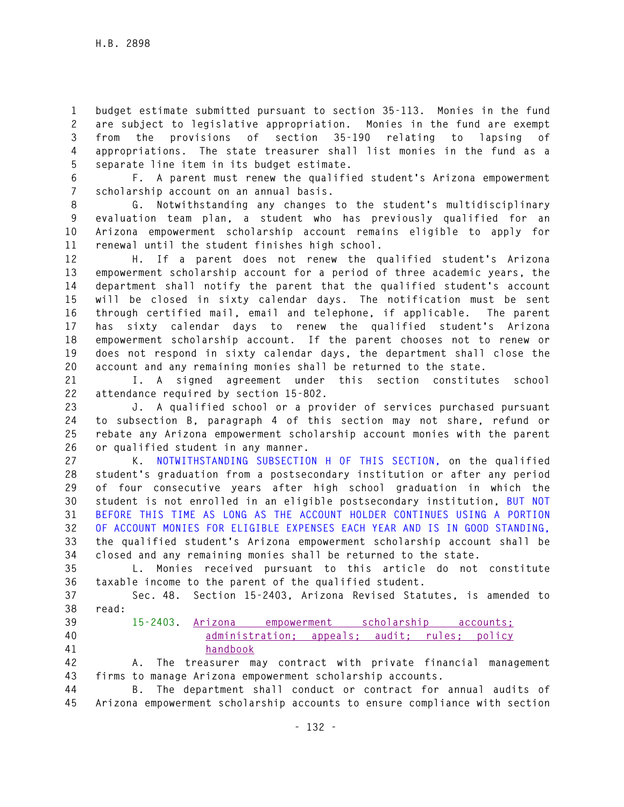**1 budget estimate submitted pursuant to section 35-113. Monies in the fund 2 are subject to legislative appropriation. Monies in the fund are exempt 3 from the provisions of section 35-190 relating to lapsing of 4 appropriations. The state treasurer shall list monies in the fund as a 5 separate line item in its budget estimate.** 

**6 F. A parent must renew the qualified student's Arizona empowerment 7 scholarship account on an annual basis.** 

**8 G. Notwithstanding any changes to the student's multidisciplinary 9 evaluation team plan, a student who has previously qualified for an 10 Arizona empowerment scholarship account remains eligible to apply for 11 renewal until the student finishes high school.** 

**12 H. If a parent does not renew the qualified student's Arizona 13 empowerment scholarship account for a period of three academic years, the 14 department shall notify the parent that the qualified student's account 15 will be closed in sixty calendar days. The notification must be sent 16 through certified mail, email and telephone, if applicable. The parent 17 has sixty calendar days to renew the qualified student's Arizona 18 empowerment scholarship account. If the parent chooses not to renew or 19 does not respond in sixty calendar days, the department shall close the 20 account and any remaining monies shall be returned to the state.** 

**21 I. A signed agreement under this section constitutes school 22 attendance required by section 15-802.** 

**23 J. A qualified school or a provider of services purchased pursuant 24 to subsection B, paragraph 4 of this section may not share, refund or 25 rebate any Arizona empowerment scholarship account monies with the parent 26 or qualified student in any manner.** 

**27 K. NOTWITHSTANDING SUBSECTION H OF THIS SECTION, on the qualified 28 student's graduation from a postsecondary institution or after any period 29 of four consecutive years after high school graduation in which the 30 student is not enrolled in an eligible postsecondary institution, BUT NOT 31 BEFORE THIS TIME AS LONG AS THE ACCOUNT HOLDER CONTINUES USING A PORTION 32 OF ACCOUNT MONIES FOR ELIGIBLE EXPENSES EACH YEAR AND IS IN GOOD STANDING, 33 the qualified student's Arizona empowerment scholarship account shall be 34 closed and any remaining monies shall be returned to the state.** 

**35 L. Monies received pursuant to this article do not constitute 36 taxable income to the parent of the qualified student.** 

**37 Sec. 48. Section 15-2403, Arizona Revised Statutes, is amended to 38 read:** 

- 
- 
- 

**39 15-2403. Arizona empowerment scholarship accounts; 40 administration; appeals; audit; rules; policy 41 handbook**

**42 A. The treasurer may contract with private financial management 43 firms to manage Arizona empowerment scholarship accounts.** 

**44 B. The department shall conduct or contract for annual audits of 45 Arizona empowerment scholarship accounts to ensure compliance with section**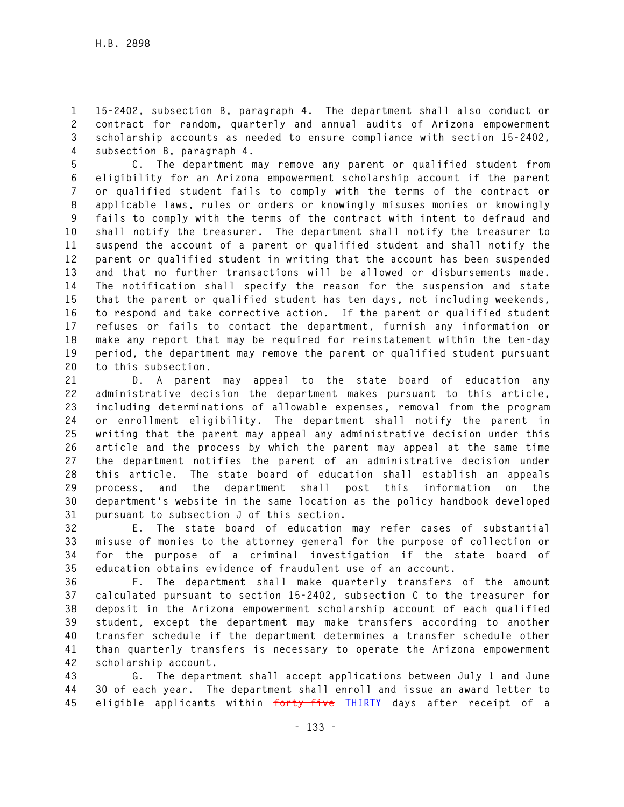**1 15-2402, subsection B, paragraph 4. The department shall also conduct or 2 contract for random, quarterly and annual audits of Arizona empowerment 3 scholarship accounts as needed to ensure compliance with section 15-2402, 4 subsection B, paragraph 4.** 

**5 C. The department may remove any parent or qualified student from 6 eligibility for an Arizona empowerment scholarship account if the parent 7 or qualified student fails to comply with the terms of the contract or 8 applicable laws, rules or orders or knowingly misuses monies or knowingly 9 fails to comply with the terms of the contract with intent to defraud and 10 shall notify the treasurer. The department shall notify the treasurer to 11 suspend the account of a parent or qualified student and shall notify the 12 parent or qualified student in writing that the account has been suspended 13 and that no further transactions will be allowed or disbursements made. 14 The notification shall specify the reason for the suspension and state 15 that the parent or qualified student has ten days, not including weekends, 16 to respond and take corrective action. If the parent or qualified student 17 refuses or fails to contact the department, furnish any information or 18 make any report that may be required for reinstatement within the ten-day 19 period, the department may remove the parent or qualified student pursuant 20 to this subsection.** 

**21 D. A parent may appeal to the state board of education any 22 administrative decision the department makes pursuant to this article, 23 including determinations of allowable expenses, removal from the program 24 or enrollment eligibility. The department shall notify the parent in 25 writing that the parent may appeal any administrative decision under this 26 article and the process by which the parent may appeal at the same time 27 the department notifies the parent of an administrative decision under 28 this article. The state board of education shall establish an appeals 29 process, and the department shall post this information on the 30 department's website in the same location as the policy handbook developed 31 pursuant to subsection J of this section.** 

**32 E. The state board of education may refer cases of substantial 33 misuse of monies to the attorney general for the purpose of collection or 34 for the purpose of a criminal investigation if the state board of 35 education obtains evidence of fraudulent use of an account.** 

**36 F. The department shall make quarterly transfers of the amount 37 calculated pursuant to section 15-2402, subsection C to the treasurer for 38 deposit in the Arizona empowerment scholarship account of each qualified 39 student, except the department may make transfers according to another 40 transfer schedule if the department determines a transfer schedule other 41 than quarterly transfers is necessary to operate the Arizona empowerment 42 scholarship account.** 

**43 G. The department shall accept applications between July 1 and June 44 30 of each year. The department shall enroll and issue an award letter to 45 eligible applicants within forty-five THIRTY days after receipt of a**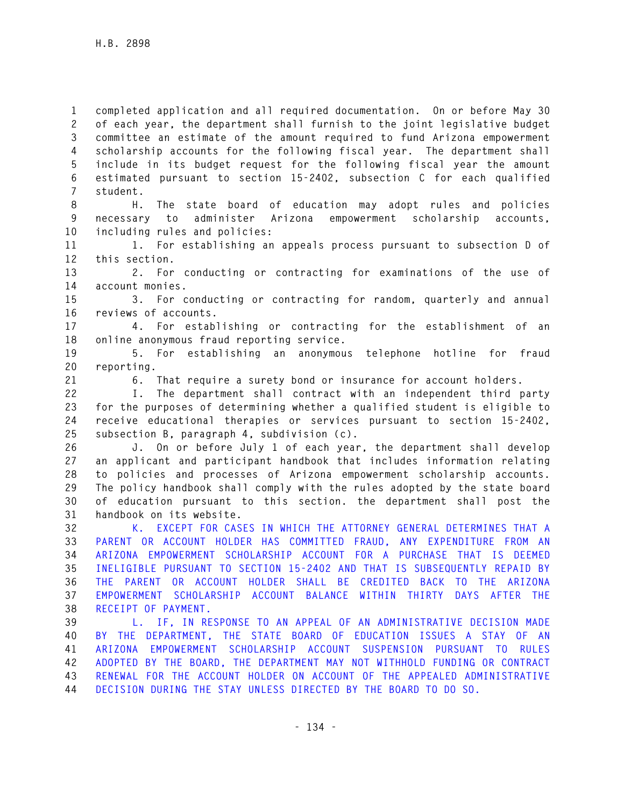**1 completed application and all required documentation. On or before May 30 2 of each year, the department shall furnish to the joint legislative budget 3 committee an estimate of the amount required to fund Arizona empowerment 4 scholarship accounts for the following fiscal year. The department shall 5 include in its budget request for the following fiscal year the amount 6 estimated pursuant to section 15-2402, subsection C for each qualified 7 student.** 

**8 H. The state board of education may adopt rules and policies 9 necessary to administer Arizona empowerment scholarship accounts, 10 including rules and policies:** 

**11 1. For establishing an appeals process pursuant to subsection D of 12 this section.** 

**13 2. For conducting or contracting for examinations of the use of 14 account monies.** 

**15 3. For conducting or contracting for random, quarterly and annual 16 reviews of accounts.** 

**17 4. For establishing or contracting for the establishment of an 18 online anonymous fraud reporting service.** 

**19 5. For establishing an anonymous telephone hotline for fraud 20 reporting.** 

**21 6. That require a surety bond or insurance for account holders.** 

**22 I. The department shall contract with an independent third party 23 for the purposes of determining whether a qualified student is eligible to 24 receive educational therapies or services pursuant to section 15-2402, 25 subsection B, paragraph 4, subdivision (c).** 

**26 J. On or before July 1 of each year, the department shall develop 27 an applicant and participant handbook that includes information relating 28 to policies and processes of Arizona empowerment scholarship accounts. 29 The policy handbook shall comply with the rules adopted by the state board 30 of education pursuant to this section. the department shall post the 31 handbook on its website.** 

**32 K. EXCEPT FOR CASES IN WHICH THE ATTORNEY GENERAL DETERMINES THAT A 33 PARENT OR ACCOUNT HOLDER HAS COMMITTED FRAUD, ANY EXPENDITURE FROM AN 34 ARIZONA EMPOWERMENT SCHOLARSHIP ACCOUNT FOR A PURCHASE THAT IS DEEMED 35 INELIGIBLE PURSUANT TO SECTION 15-2402 AND THAT IS SUBSEQUENTLY REPAID BY 36 THE PARENT OR ACCOUNT HOLDER SHALL BE CREDITED BACK TO THE ARIZONA 37 EMPOWERMENT SCHOLARSHIP ACCOUNT BALANCE WITHIN THIRTY DAYS AFTER THE 38 RECEIPT OF PAYMENT.** 

**39 L. IF, IN RESPONSE TO AN APPEAL OF AN ADMINISTRATIVE DECISION MADE 40 BY THE DEPARTMENT, THE STATE BOARD OF EDUCATION ISSUES A STAY OF AN 41 ARIZONA EMPOWERMENT SCHOLARSHIP ACCOUNT SUSPENSION PURSUANT TO RULES 42 ADOPTED BY THE BOARD, THE DEPARTMENT MAY NOT WITHHOLD FUNDING OR CONTRACT 43 RENEWAL FOR THE ACCOUNT HOLDER ON ACCOUNT OF THE APPEALED ADMINISTRATIVE 44 DECISION DURING THE STAY UNLESS DIRECTED BY THE BOARD TO DO SO.**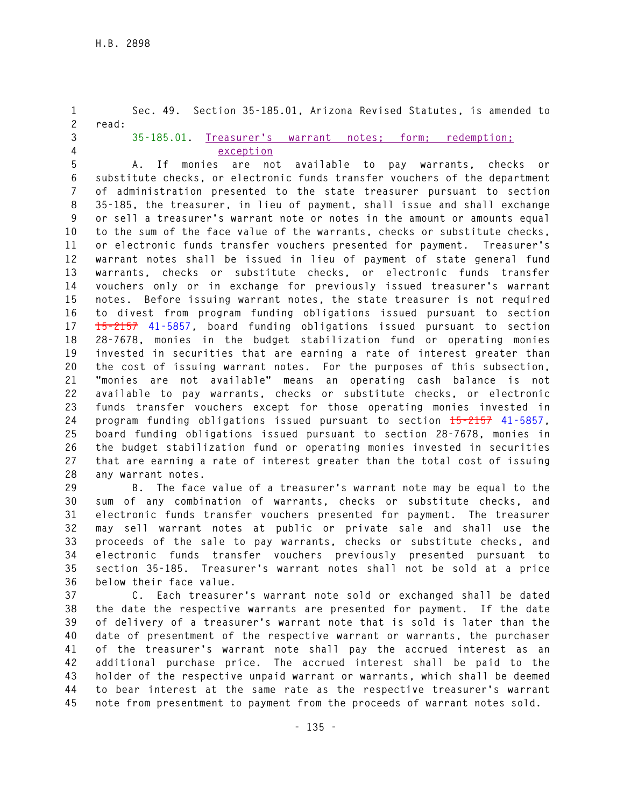**1 Sec. 49. Section 35-185.01, Arizona Revised Statutes, is amended to 2 read: 3 35-185.01. Treasurer's warrant notes; form; redemption; 4 exception 5 A. If monies are not available to pay warrants, checks or 6 substitute checks, or electronic funds transfer vouchers of the department 7 of administration presented to the state treasurer pursuant to section 8 35-185, the treasurer, in lieu of payment, shall issue and shall exchange 9 or sell a treasurer's warrant note or notes in the amount or amounts equal 10 to the sum of the face value of the warrants, checks or substitute checks, 11 or electronic funds transfer vouchers presented for payment. Treasurer's 12 warrant notes shall be issued in lieu of payment of state general fund 13 warrants, checks or substitute checks, or electronic funds transfer 14 vouchers only or in exchange for previously issued treasurer's warrant 15 notes. Before issuing warrant notes, the state treasurer is not required 16 to divest from program funding obligations issued pursuant to section 17 15-2157 41-5857, board funding obligations issued pursuant to section 18 28-7678, monies in the budget stabilization fund or operating monies 19 invested in securities that are earning a rate of interest greater than 20 the cost of issuing warrant notes. For the purposes of this subsection, 21 "monies are not available" means an operating cash balance is not 22 available to pay warrants, checks or substitute checks, or electronic 23 funds transfer vouchers except for those operating monies invested in 24 program funding obligations issued pursuant to section 15-2157 41-5857, 25 board funding obligations issued pursuant to section 28-7678, monies in 26 the budget stabilization fund or operating monies invested in securities 27 that are earning a rate of interest greater than the total cost of issuing 28 any warrant notes.** 

**29 B. The face value of a treasurer's warrant note may be equal to the 30 sum of any combination of warrants, checks or substitute checks, and 31 electronic funds transfer vouchers presented for payment. The treasurer 32 may sell warrant notes at public or private sale and shall use the 33 proceeds of the sale to pay warrants, checks or substitute checks, and 34 electronic funds transfer vouchers previously presented pursuant to 35 section 35-185. Treasurer's warrant notes shall not be sold at a price 36 below their face value.** 

**37 C. Each treasurer's warrant note sold or exchanged shall be dated 38 the date the respective warrants are presented for payment. If the date 39 of delivery of a treasurer's warrant note that is sold is later than the 40 date of presentment of the respective warrant or warrants, the purchaser 41 of the treasurer's warrant note shall pay the accrued interest as an 42 additional purchase price. The accrued interest shall be paid to the 43 holder of the respective unpaid warrant or warrants, which shall be deemed 44 to bear interest at the same rate as the respective treasurer's warrant 45 note from presentment to payment from the proceeds of warrant notes sold.**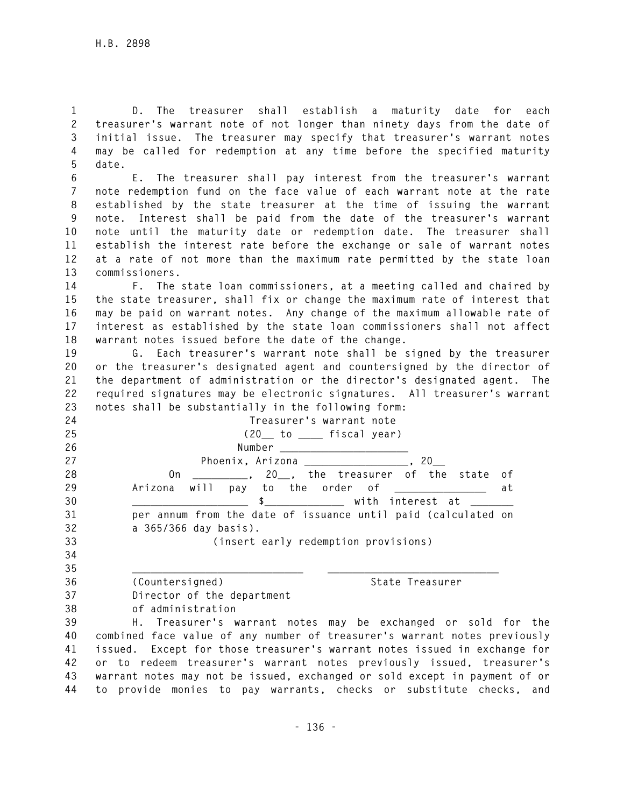**1 D. The treasurer shall establish a maturity date for each 2 treasurer's warrant note of not longer than ninety days from the date of 3 initial issue. The treasurer may specify that treasurer's warrant notes 4 may be called for redemption at any time before the specified maturity 5 date.** 

**6 E. The treasurer shall pay interest from the treasurer's warrant 7 note redemption fund on the face value of each warrant note at the rate 8 established by the state treasurer at the time of issuing the warrant 9 note. Interest shall be paid from the date of the treasurer's warrant 10 note until the maturity date or redemption date. The treasurer shall 11 establish the interest rate before the exchange or sale of warrant notes 12 at a rate of not more than the maximum rate permitted by the state loan 13 commissioners.** 

**14 F. The state loan commissioners, at a meeting called and chaired by 15 the state treasurer, shall fix or change the maximum rate of interest that 16 may be paid on warrant notes. Any change of the maximum allowable rate of 17 interest as established by the state loan commissioners shall not affect 18 warrant notes issued before the date of the change.** 

**19 G. Each treasurer's warrant note shall be signed by the treasurer 20 or the treasurer's designated agent and countersigned by the director of 21 the department of administration or the director's designated agent. The 22 required signatures may be electronic signatures. All treasurer's warrant 23 notes shall be substantially in the following form:** 

| 24 | Treasurer's warrant note                                                               |
|----|----------------------------------------------------------------------------------------|
| 25 | $(20$ to $1$ fiscal year)                                                              |
| 26 |                                                                                        |
| 27 | Phoenix, Arizona _________________,<br>20                                              |
| 28 | _________, 20__, the treasurer of the state<br>0n<br>of                                |
| 29 | will pay to the order of $\begin{array}{ccc} \text{with} \end{array}$<br>Arizona<br>at |
| 30 | \$ with interest at                                                                    |
| 31 | per annum from the date of issuance until paid (calculated on                          |
| 32 | a 365/366 day basis).                                                                  |
| 33 | (insert early redemption provisions)                                                   |
| 34 |                                                                                        |
| 35 |                                                                                        |
| 36 | (Countersigned)<br>State Treasurer                                                     |
| 37 | Director of the department                                                             |
| 38 | of administration                                                                      |
| 39 | H. Treasurer's warrant notes may be exchanged or sold for the                          |
|    |                                                                                        |

**40 combined face value of any number of treasurer's warrant notes previously 41 issued. Except for those treasurer's warrant notes issued in exchange for 42 or to redeem treasurer's warrant notes previously issued, treasurer's 43 warrant notes may not be issued, exchanged or sold except in payment of or 44 to provide monies to pay warrants, checks or substitute checks, and**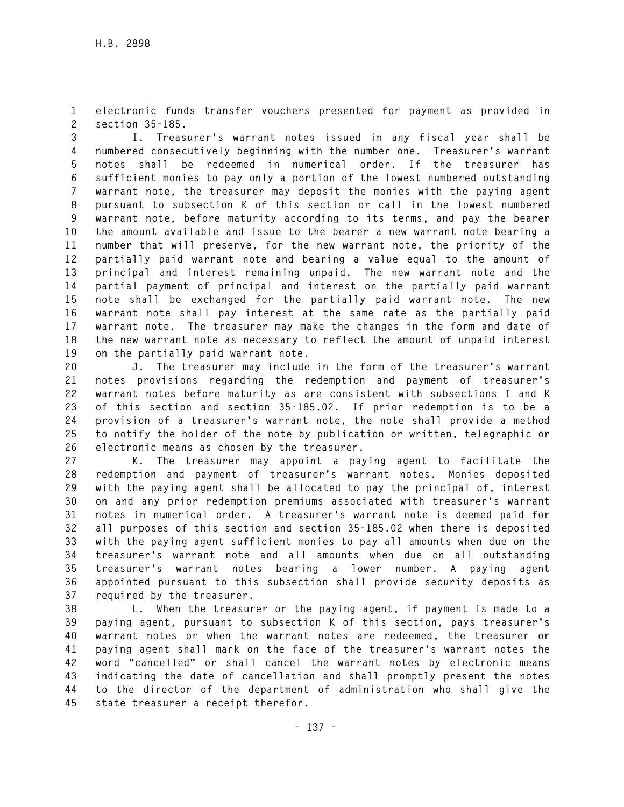**1 electronic funds transfer vouchers presented for payment as provided in 2 section 35-185.** 

**3 I. Treasurer's warrant notes issued in any fiscal year shall be 4 numbered consecutively beginning with the number one. Treasurer's warrant 5 notes shall be redeemed in numerical order. If the treasurer has 6 sufficient monies to pay only a portion of the lowest numbered outstanding 7 warrant note, the treasurer may deposit the monies with the paying agent 8 pursuant to subsection K of this section or call in the lowest numbered 9 warrant note, before maturity according to its terms, and pay the bearer 10 the amount available and issue to the bearer a new warrant note bearing a 11 number that will preserve, for the new warrant note, the priority of the 12 partially paid warrant note and bearing a value equal to the amount of 13 principal and interest remaining unpaid. The new warrant note and the 14 partial payment of principal and interest on the partially paid warrant 15 note shall be exchanged for the partially paid warrant note. The new 16 warrant note shall pay interest at the same rate as the partially paid 17 warrant note. The treasurer may make the changes in the form and date of 18 the new warrant note as necessary to reflect the amount of unpaid interest 19 on the partially paid warrant note.** 

**20 J. The treasurer may include in the form of the treasurer's warrant 21 notes provisions regarding the redemption and payment of treasurer's 22 warrant notes before maturity as are consistent with subsections I and K 23 of this section and section 35-185.02. If prior redemption is to be a 24 provision of a treasurer's warrant note, the note shall provide a method 25 to notify the holder of the note by publication or written, telegraphic or 26 electronic means as chosen by the treasurer.** 

**27 K. The treasurer may appoint a paying agent to facilitate the 28 redemption and payment of treasurer's warrant notes. Monies deposited 29 with the paying agent shall be allocated to pay the principal of, interest 30 on and any prior redemption premiums associated with treasurer's warrant 31 notes in numerical order. A treasurer's warrant note is deemed paid for 32 all purposes of this section and section 35-185.02 when there is deposited 33 with the paying agent sufficient monies to pay all amounts when due on the 34 treasurer's warrant note and all amounts when due on all outstanding 35 treasurer's warrant notes bearing a lower number. A paying agent 36 appointed pursuant to this subsection shall provide security deposits as 37 required by the treasurer.** 

**38 L. When the treasurer or the paying agent, if payment is made to a 39 paying agent, pursuant to subsection K of this section, pays treasurer's 40 warrant notes or when the warrant notes are redeemed, the treasurer or 41 paying agent shall mark on the face of the treasurer's warrant notes the 42 word "cancelled" or shall cancel the warrant notes by electronic means 43 indicating the date of cancellation and shall promptly present the notes 44 to the director of the department of administration who shall give the 45 state treasurer a receipt therefor.**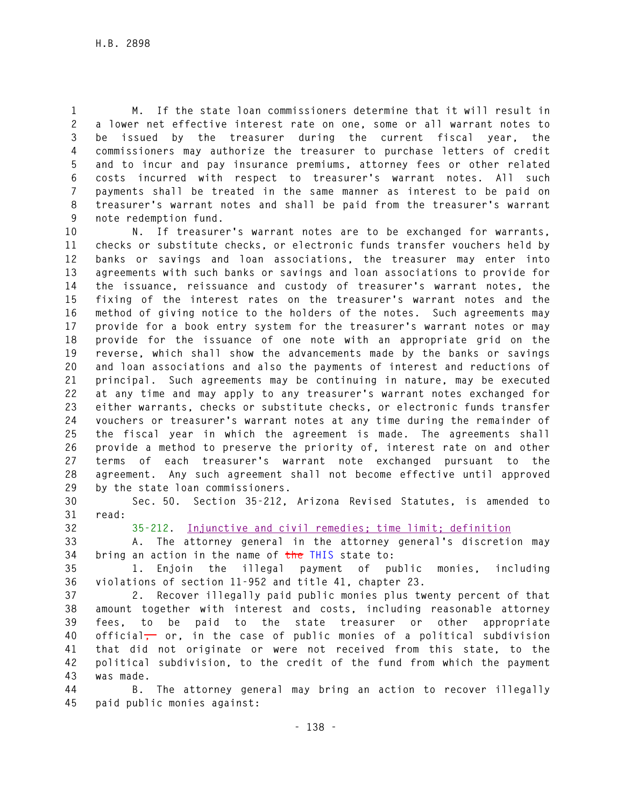**1 M. If the state loan commissioners determine that it will result in 2 a lower net effective interest rate on one, some or all warrant notes to 3 be issued by the treasurer during the current fiscal year, the 4 commissioners may authorize the treasurer to purchase letters of credit 5 and to incur and pay insurance premiums, attorney fees or other related 6 costs incurred with respect to treasurer's warrant notes. All such 7 payments shall be treated in the same manner as interest to be paid on 8 treasurer's warrant notes and shall be paid from the treasurer's warrant 9 note redemption fund.** 

**10 N. If treasurer's warrant notes are to be exchanged for warrants, 11 checks or substitute checks, or electronic funds transfer vouchers held by 12 banks or savings and loan associations, the treasurer may enter into 13 agreements with such banks or savings and loan associations to provide for 14 the issuance, reissuance and custody of treasurer's warrant notes, the 15 fixing of the interest rates on the treasurer's warrant notes and the 16 method of giving notice to the holders of the notes. Such agreements may 17 provide for a book entry system for the treasurer's warrant notes or may 18 provide for the issuance of one note with an appropriate grid on the 19 reverse, which shall show the advancements made by the banks or savings 20 and loan associations and also the payments of interest and reductions of 21 principal. Such agreements may be continuing in nature, may be executed 22 at any time and may apply to any treasurer's warrant notes exchanged for 23 either warrants, checks or substitute checks, or electronic funds transfer 24 vouchers or treasurer's warrant notes at any time during the remainder of 25 the fiscal year in which the agreement is made. The agreements shall 26 provide a method to preserve the priority of, interest rate on and other 27 terms of each treasurer's warrant note exchanged pursuant to the 28 agreement. Any such agreement shall not become effective until approved 29 by the state loan commissioners.** 

**30 Sec. 50. Section 35-212, Arizona Revised Statutes, is amended to 31 read:** 

**32 35-212. Injunctive and civil remedies; time limit; definition**

**33 A. The attorney general in the attorney general's discretion may 34 bring an action in the name of the THIS state to:** 

**35 1. Enjoin the illegal payment of public monies, including 36 violations of section 11-952 and title 41, chapter 23.** 

**37 2. Recover illegally paid public monies plus twenty percent of that 38 amount together with interest and costs, including reasonable attorney 39 fees, to be paid to the state treasurer or other appropriate 40 official, or, in the case of public monies of a political subdivision 41 that did not originate or were not received from this state, to the 42 political subdivision, to the credit of the fund from which the payment 43 was made.** 

**44 B. The attorney general may bring an action to recover illegally 45 paid public monies against:**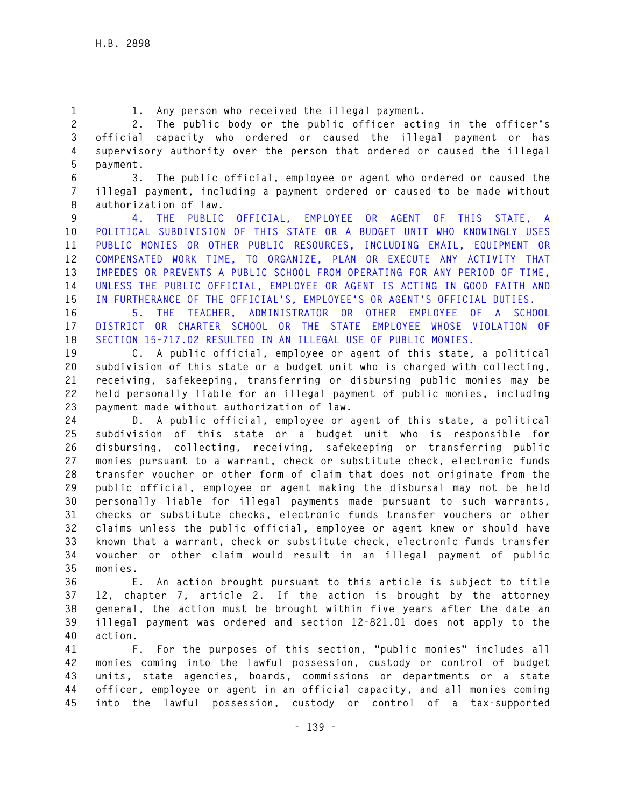**1 1. Any person who received the illegal payment.** 

**2 2. The public body or the public officer acting in the officer's 3 official capacity who ordered or caused the illegal payment or has 4 supervisory authority over the person that ordered or caused the illegal 5 payment.** 

**6 3. The public official, employee or agent who ordered or caused the 7 illegal payment, including a payment ordered or caused to be made without 8 authorization of law.** 

**9 4. THE PUBLIC OFFICIAL, EMPLOYEE OR AGENT OF THIS STATE, A 10 POLITICAL SUBDIVISION OF THIS STATE OR A BUDGET UNIT WHO KNOWINGLY USES 11 PUBLIC MONIES OR OTHER PUBLIC RESOURCES, INCLUDING EMAIL, EQUIPMENT OR 12 COMPENSATED WORK TIME, TO ORGANIZE, PLAN OR EXECUTE ANY ACTIVITY THAT 13 IMPEDES OR PREVENTS A PUBLIC SCHOOL FROM OPERATING FOR ANY PERIOD OF TIME, 14 UNLESS THE PUBLIC OFFICIAL, EMPLOYEE OR AGENT IS ACTING IN GOOD FAITH AND 15 IN FURTHERANCE OF THE OFFICIAL'S, EMPLOYEE'S OR AGENT'S OFFICIAL DUTIES.** 

**16 5. THE TEACHER, ADMINISTRATOR OR OTHER EMPLOYEE OF A SCHOOL 17 DISTRICT OR CHARTER SCHOOL OR THE STATE EMPLOYEE WHOSE VIOLATION OF 18 SECTION 15-717.02 RESULTED IN AN ILLEGAL USE OF PUBLIC MONIES.** 

**19 C. A public official, employee or agent of this state, a political 20 subdivision of this state or a budget unit who is charged with collecting, 21 receiving, safekeeping, transferring or disbursing public monies may be 22 held personally liable for an illegal payment of public monies, including 23 payment made without authorization of law.** 

**24 D. A public official, employee or agent of this state, a political 25 subdivision of this state or a budget unit who is responsible for 26 disbursing, collecting, receiving, safekeeping or transferring public 27 monies pursuant to a warrant, check or substitute check, electronic funds 28 transfer voucher or other form of claim that does not originate from the 29 public official, employee or agent making the disbursal may not be held 30 personally liable for illegal payments made pursuant to such warrants, 31 checks or substitute checks, electronic funds transfer vouchers or other 32 claims unless the public official, employee or agent knew or should have 33 known that a warrant, check or substitute check, electronic funds transfer 34 voucher or other claim would result in an illegal payment of public 35 monies.** 

**36 E. An action brought pursuant to this article is subject to title 37 12, chapter 7, article 2. If the action is brought by the attorney 38 general, the action must be brought within five years after the date an 39 illegal payment was ordered and section 12-821.01 does not apply to the 40 action.** 

**41 F. For the purposes of this section, "public monies" includes all 42 monies coming into the lawful possession, custody or control of budget 43 units, state agencies, boards, commissions or departments or a state 44 officer, employee or agent in an official capacity, and all monies coming 45 into the lawful possession, custody or control of a tax-supported**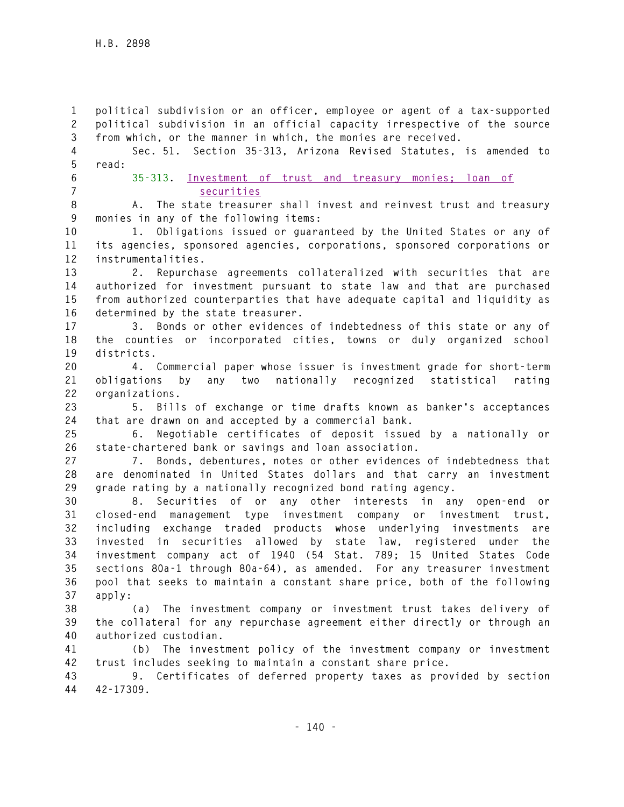**1 political subdivision or an officer, employee or agent of a tax-supported 2 political subdivision in an official capacity irrespective of the source 3 from which, or the manner in which, the monies are received. 4 Sec. 51. Section 35-313, Arizona Revised Statutes, is amended to 5 read: 6 35-313. Investment of trust and treasury monies; loan of 7 securities 8 A. The state treasurer shall invest and reinvest trust and treasury 9 monies in any of the following items: 10 1. Obligations issued or guaranteed by the United States or any of 11 its agencies, sponsored agencies, corporations, sponsored corporations or 12 instrumentalities. 13 2. Repurchase agreements collateralized with securities that are 14 authorized for investment pursuant to state law and that are purchased 15 from authorized counterparties that have adequate capital and liquidity as 16 determined by the state treasurer. 17 3. Bonds or other evidences of indebtedness of this state or any of 18 the counties or incorporated cities, towns or duly organized school 19 districts. 20 4. Commercial paper whose issuer is investment grade for short-term 21 obligations by any two nationally recognized statistical rating 22 organizations. 23 5. Bills of exchange or time drafts known as banker's acceptances 24 that are drawn on and accepted by a commercial bank. 25 6. Negotiable certificates of deposit issued by a nationally or 26 state-chartered bank or savings and loan association. 27 7. Bonds, debentures, notes or other evidences of indebtedness that 28 are denominated in United States dollars and that carry an investment 29 grade rating by a nationally recognized bond rating agency. 30 8. Securities of or any other interests in any open-end or 31 closed-end management type investment company or investment trust, 32 including exchange traded products whose underlying investments are 33 invested in securities allowed by state law, registered under the 34 investment company act of 1940 (54 Stat. 789; 15 United States Code 35 sections 80a-1 through 80a-64), as amended. For any treasurer investment 36 pool that seeks to maintain a constant share price, both of the following 37 apply: 38 (a) The investment company or investment trust takes delivery of 39 the collateral for any repurchase agreement either directly or through an 40 authorized custodian. 41 (b) The investment policy of the investment company or investment 42 trust includes seeking to maintain a constant share price. 43 9. Certificates of deferred property taxes as provided by section 44 42-17309.**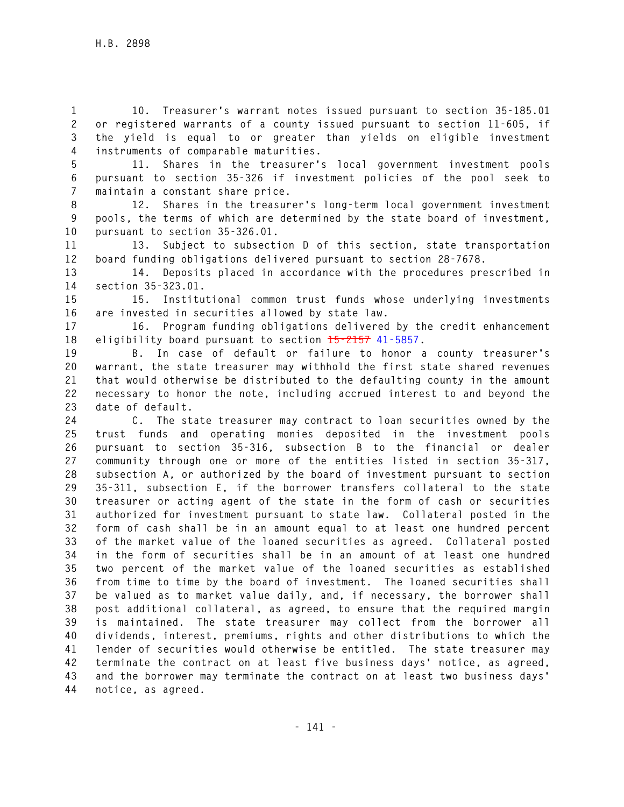**1 10. Treasurer's warrant notes issued pursuant to section 35-185.01 2 or registered warrants of a county issued pursuant to section 11-605, if 3 the yield is equal to or greater than yields on eligible investment 4 instruments of comparable maturities.** 

**5 11. Shares in the treasurer's local government investment pools 6 pursuant to section 35-326 if investment policies of the pool seek to 7 maintain a constant share price.** 

**8 12. Shares in the treasurer's long-term local government investment 9 pools, the terms of which are determined by the state board of investment, 10 pursuant to section 35-326.01.** 

**11 13. Subject to subsection D of this section, state transportation 12 board funding obligations delivered pursuant to section 28-7678.** 

**13 14. Deposits placed in accordance with the procedures prescribed in 14 section 35-323.01.** 

**15 15. Institutional common trust funds whose underlying investments 16 are invested in securities allowed by state law.** 

**17 16. Program funding obligations delivered by the credit enhancement 18 eligibility board pursuant to section 15-2157 41-5857.** 

**19 B. In case of default or failure to honor a county treasurer's 20 warrant, the state treasurer may withhold the first state shared revenues 21 that would otherwise be distributed to the defaulting county in the amount 22 necessary to honor the note, including accrued interest to and beyond the 23 date of default.** 

**24 C. The state treasurer may contract to loan securities owned by the 25 trust funds and operating monies deposited in the investment pools 26 pursuant to section 35-316, subsection B to the financial or dealer 27 community through one or more of the entities listed in section 35-317, 28 subsection A, or authorized by the board of investment pursuant to section 29 35-311, subsection E, if the borrower transfers collateral to the state 30 treasurer or acting agent of the state in the form of cash or securities 31 authorized for investment pursuant to state law. Collateral posted in the 32 form of cash shall be in an amount equal to at least one hundred percent 33 of the market value of the loaned securities as agreed. Collateral posted 34 in the form of securities shall be in an amount of at least one hundred 35 two percent of the market value of the loaned securities as established 36 from time to time by the board of investment. The loaned securities shall 37 be valued as to market value daily, and, if necessary, the borrower shall 38 post additional collateral, as agreed, to ensure that the required margin 39 is maintained. The state treasurer may collect from the borrower all 40 dividends, interest, premiums, rights and other distributions to which the 41 lender of securities would otherwise be entitled. The state treasurer may 42 terminate the contract on at least five business days' notice, as agreed, 43 and the borrower may terminate the contract on at least two business days' 44 notice, as agreed.**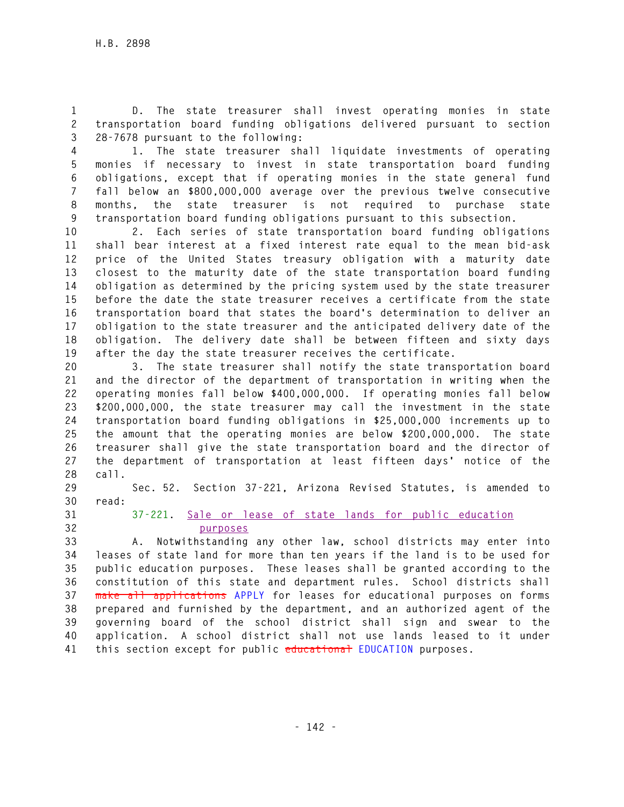**1 D. The state treasurer shall invest operating monies in state 2 transportation board funding obligations delivered pursuant to section 3 28-7678 pursuant to the following:** 

**4 1. The state treasurer shall liquidate investments of operating 5 monies if necessary to invest in state transportation board funding 6 obligations, except that if operating monies in the state general fund 7 fall below an \$800,000,000 average over the previous twelve consecutive 8 months, the state treasurer is not required to purchase state 9 transportation board funding obligations pursuant to this subsection.** 

**10 2. Each series of state transportation board funding obligations 11 shall bear interest at a fixed interest rate equal to the mean bid-ask 12 price of the United States treasury obligation with a maturity date 13 closest to the maturity date of the state transportation board funding 14 obligation as determined by the pricing system used by the state treasurer 15 before the date the state treasurer receives a certificate from the state 16 transportation board that states the board's determination to deliver an 17 obligation to the state treasurer and the anticipated delivery date of the 18 obligation. The delivery date shall be between fifteen and sixty days 19 after the day the state treasurer receives the certificate.** 

**20 3. The state treasurer shall notify the state transportation board 21 and the director of the department of transportation in writing when the 22 operating monies fall below \$400,000,000. If operating monies fall below 23 \$200,000,000, the state treasurer may call the investment in the state 24 transportation board funding obligations in \$25,000,000 increments up to 25 the amount that the operating monies are below \$200,000,000. The state 26 treasurer shall give the state transportation board and the director of 27 the department of transportation at least fifteen days' notice of the 28 call.** 

**29 Sec. 52. Section 37-221, Arizona Revised Statutes, is amended to 30 read:** 

**31 37-221. Sale or lease of state lands for public education 32 purposes**

**33 A. Notwithstanding any other law, school districts may enter into 34 leases of state land for more than ten years if the land is to be used for 35 public education purposes. These leases shall be granted according to the 36 constitution of this state and department rules. School districts shall 37 make all applications APPLY for leases for educational purposes on forms 38 prepared and furnished by the department, and an authorized agent of the 39 governing board of the school district shall sign and swear to the 40 application. A school district shall not use lands leased to it under 41 this section except for public educational EDUCATION purposes.**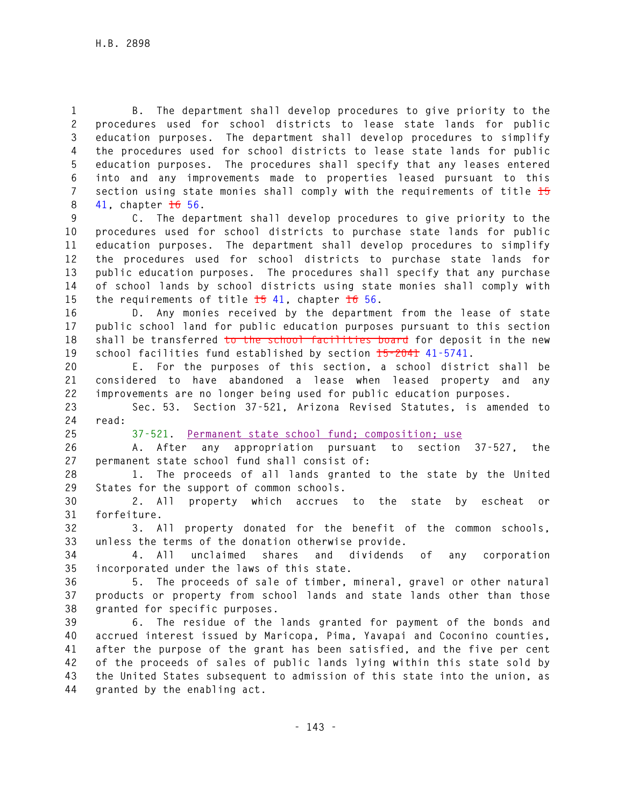**1 B. The department shall develop procedures to give priority to the 2 procedures used for school districts to lease state lands for public 3 education purposes. The department shall develop procedures to simplify 4 the procedures used for school districts to lease state lands for public 5 education purposes. The procedures shall specify that any leases entered 6 into and any improvements made to properties leased pursuant to this 7 section using state monies shall comply with the requirements of title 15 8 41, chapter 16 56.** 

**9 C. The department shall develop procedures to give priority to the 10 procedures used for school districts to purchase state lands for public 11 education purposes. The department shall develop procedures to simplify 12 the procedures used for school districts to purchase state lands for 13 public education purposes. The procedures shall specify that any purchase 14 of school lands by school districts using state monies shall comply with 15 the requirements of title 15 41, chapter 16 56.** 

**16 D. Any monies received by the department from the lease of state 17 public school land for public education purposes pursuant to this section 18 shall be transferred to the school facilities board for deposit in the new 19 school facilities fund established by section 15-2041 41-5741.** 

**20 E. For the purposes of this section, a school district shall be 21 considered to have abandoned a lease when leased property and any 22 improvements are no longer being used for public education purposes.** 

**23 Sec. 53. Section 37-521, Arizona Revised Statutes, is amended to 24 read:** 

**25 37-521. Permanent state school fund; composition; use**

**26 A. After any appropriation pursuant to section 37-527, the 27 permanent state school fund shall consist of:** 

**28 1. The proceeds of all lands granted to the state by the United 29 States for the support of common schools.** 

**30 2. All property which accrues to the state by escheat or 31 forfeiture.** 

**32 3. All property donated for the benefit of the common schools, 33 unless the terms of the donation otherwise provide.** 

**34 4. All unclaimed shares and dividends of any corporation 35 incorporated under the laws of this state.** 

**36 5. The proceeds of sale of timber, mineral, gravel or other natural 37 products or property from school lands and state lands other than those 38 granted for specific purposes.** 

**39 6. The residue of the lands granted for payment of the bonds and 40 accrued interest issued by Maricopa, Pima, Yavapai and Coconino counties, 41 after the purpose of the grant has been satisfied, and the five per cent 42 of the proceeds of sales of public lands lying within this state sold by 43 the United States subsequent to admission of this state into the union, as 44 granted by the enabling act.**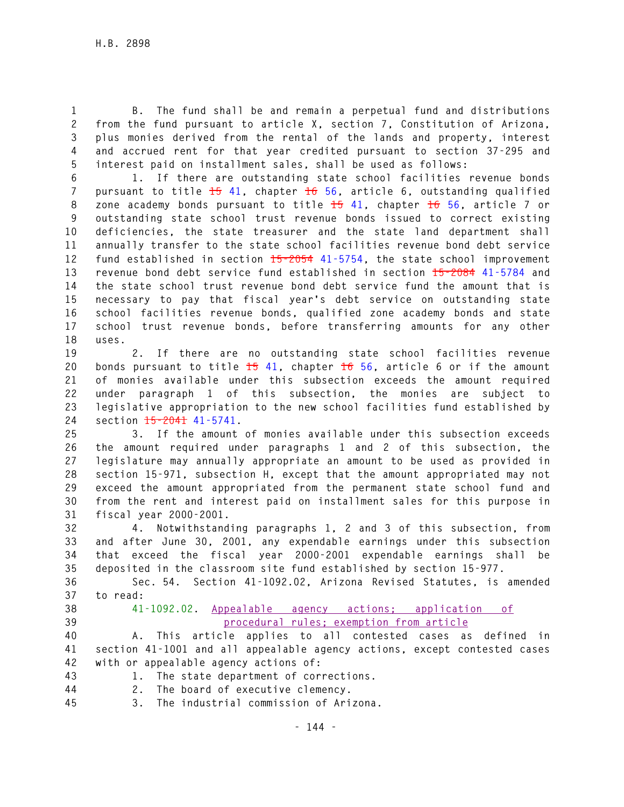**1 B. The fund shall be and remain a perpetual fund and distributions 2 from the fund pursuant to article X, section 7, Constitution of Arizona, 3 plus monies derived from the rental of the lands and property, interest 4 and accrued rent for that year credited pursuant to section 37-295 and 5 interest paid on installment sales, shall be used as follows:** 

**6 1. If there are outstanding state school facilities revenue bonds 7 pursuant to title 15 41, chapter 16 56, article 6, outstanding qualified 8 zone academy bonds pursuant to title 15 41, chapter 16 56, article 7 or 9 outstanding state school trust revenue bonds issued to correct existing 10 deficiencies, the state treasurer and the state land department shall 11 annually transfer to the state school facilities revenue bond debt service 12 fund established in section 15-2054 41-5754, the state school improvement 13 revenue bond debt service fund established in section 15-2084 41-5784 and 14 the state school trust revenue bond debt service fund the amount that is 15 necessary to pay that fiscal year's debt service on outstanding state 16 school facilities revenue bonds, qualified zone academy bonds and state 17 school trust revenue bonds, before transferring amounts for any other 18 uses.** 

**19 2. If there are no outstanding state school facilities revenue 20 bonds pursuant to title 15 41, chapter 16 56, article 6 or if the amount 21 of monies available under this subsection exceeds the amount required 22 under paragraph 1 of this subsection, the monies are subject to 23 legislative appropriation to the new school facilities fund established by 24 section 15-2041 41-5741.** 

**25 3. If the amount of monies available under this subsection exceeds 26 the amount required under paragraphs 1 and 2 of this subsection, the 27 legislature may annually appropriate an amount to be used as provided in 28 section 15-971, subsection H, except that the amount appropriated may not 29 exceed the amount appropriated from the permanent state school fund and 30 from the rent and interest paid on installment sales for this purpose in 31 fiscal year 2000-2001.** 

**32 4. Notwithstanding paragraphs 1, 2 and 3 of this subsection, from 33 and after June 30, 2001, any expendable earnings under this subsection 34 that exceed the fiscal year 2000-2001 expendable earnings shall be 35 deposited in the classroom site fund established by section 15-977.** 

**36 Sec. 54. Section 41-1092.02, Arizona Revised Statutes, is amended 37 to read:** 

- 
- 

**38 41-1092.02. Appealable agency actions; application of 39 procedural rules; exemption from article**

**40 A. This article applies to all contested cases as defined in 41 section 41-1001 and all appealable agency actions, except contested cases 42 with or appealable agency actions of:** 

- **43 1. The state department of corrections.**
- **44 2. The board of executive clemency.**
- **45 3. The industrial commission of Arizona.**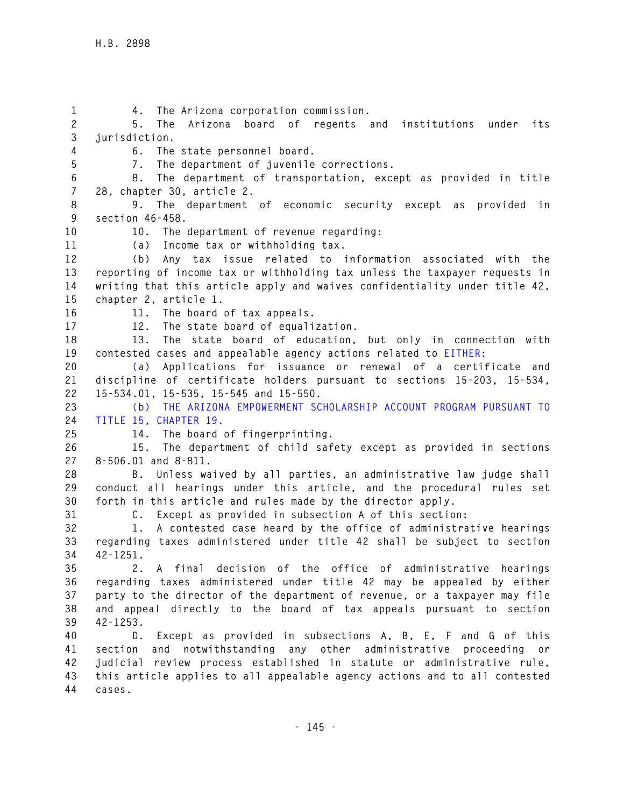**1 4. The Arizona corporation commission. 2 5. The Arizona board of regents and institutions under its 3 jurisdiction. 4 6. The state personnel board. 5 7. The department of juvenile corrections. 6 8. The department of transportation, except as provided in title 7 28, chapter 30, article 2. 8 9. The department of economic security except as provided in 9 section 46-458. 10 10. The department of revenue regarding: 11 (a) Income tax or withholding tax. 12 (b) Any tax issue related to information associated with the 13 reporting of income tax or withholding tax unless the taxpayer requests in 14 writing that this article apply and waives confidentiality under title 42, 15 chapter 2, article 1. 16 11. The board of tax appeals. 17 12. The state board of equalization. 18 13. The state board of education, but only in connection with 19 contested cases and appealable agency actions related to EITHER: 20 (a) Applications for issuance or renewal of a certificate and 21 discipline of certificate holders pursuant to sections 15-203, 15-534, 22 15-534.01, 15-535, 15-545 and 15-550. 23 (b) THE ARIZONA EMPOWERMENT SCHOLARSHIP ACCOUNT PROGRAM PURSUANT TO 24 TITLE 15, CHAPTER 19. 25 14. The board of fingerprinting. 26 15. The department of child safety except as provided in sections 27 8-506.01 and 8-811. 28 B. Unless waived by all parties, an administrative law judge shall 29 conduct all hearings under this article, and the procedural rules set 30 forth in this article and rules made by the director apply. 31 C. Except as provided in subsection A of this section: 32 1. A contested case heard by the office of administrative hearings 33 regarding taxes administered under title 42 shall be subject to section 34 42-1251. 35 2. A final decision of the office of administrative hearings 36 regarding taxes administered under title 42 may be appealed by either 37 party to the director of the department of revenue, or a taxpayer may file 38 and appeal directly to the board of tax appeals pursuant to section 39 42-1253. 40 D. Except as provided in subsections A, B, E, F and G of this 41 section and notwithstanding any other administrative proceeding or 42 judicial review process established in statute or administrative rule, 43 this article applies to all appealable agency actions and to all contested 44 cases.**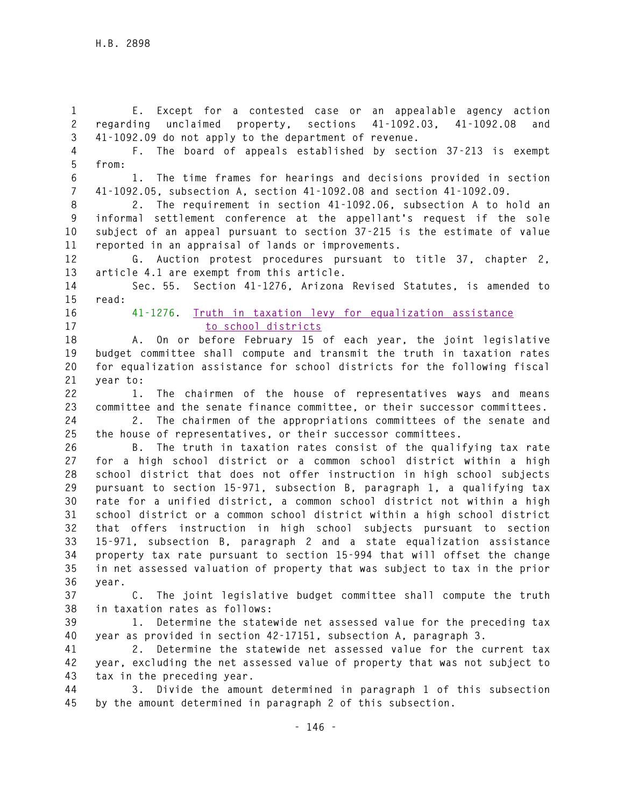**1 E. Except for a contested case or an appealable agency action 2 regarding unclaimed property, sections 41-1092.03, 41-1092.08 and 3 41-1092.09 do not apply to the department of revenue.** 

**4 F. The board of appeals established by section 37-213 is exempt 5 from:** 

**6 1. The time frames for hearings and decisions provided in section 7 41-1092.05, subsection A, section 41-1092.08 and section 41-1092.09.** 

**8 2. The requirement in section 41-1092.06, subsection A to hold an 9 informal settlement conference at the appellant's request if the sole 10 subject of an appeal pursuant to section 37-215 is the estimate of value 11 reported in an appraisal of lands or improvements.** 

**12 G. Auction protest procedures pursuant to title 37, chapter 2, 13 article 4.1 are exempt from this article.** 

**14 Sec. 55. Section 41-1276, Arizona Revised Statutes, is amended to 15 read:** 

**16 41-1276. Truth in taxation levy for equalization assistance 17 to school districts**

**18 A. On or before February 15 of each year, the joint legislative 19 budget committee shall compute and transmit the truth in taxation rates 20 for equalization assistance for school districts for the following fiscal 21 year to:** 

**22 1. The chairmen of the house of representatives ways and means 23 committee and the senate finance committee, or their successor committees.** 

**24 2. The chairmen of the appropriations committees of the senate and 25 the house of representatives, or their successor committees.** 

**26 B. The truth in taxation rates consist of the qualifying tax rate 27 for a high school district or a common school district within a high 28 school district that does not offer instruction in high school subjects 29 pursuant to section 15-971, subsection B, paragraph 1, a qualifying tax 30 rate for a unified district, a common school district not within a high 31 school district or a common school district within a high school district 32 that offers instruction in high school subjects pursuant to section 33 15-971, subsection B, paragraph 2 and a state equalization assistance 34 property tax rate pursuant to section 15-994 that will offset the change 35 in net assessed valuation of property that was subject to tax in the prior 36 year.** 

**37 C. The joint legislative budget committee shall compute the truth 38 in taxation rates as follows:** 

**39 1. Determine the statewide net assessed value for the preceding tax 40 year as provided in section 42-17151, subsection A, paragraph 3.** 

**41 2. Determine the statewide net assessed value for the current tax 42 year, excluding the net assessed value of property that was not subject to 43 tax in the preceding year.** 

**44 3. Divide the amount determined in paragraph 1 of this subsection 45 by the amount determined in paragraph 2 of this subsection.**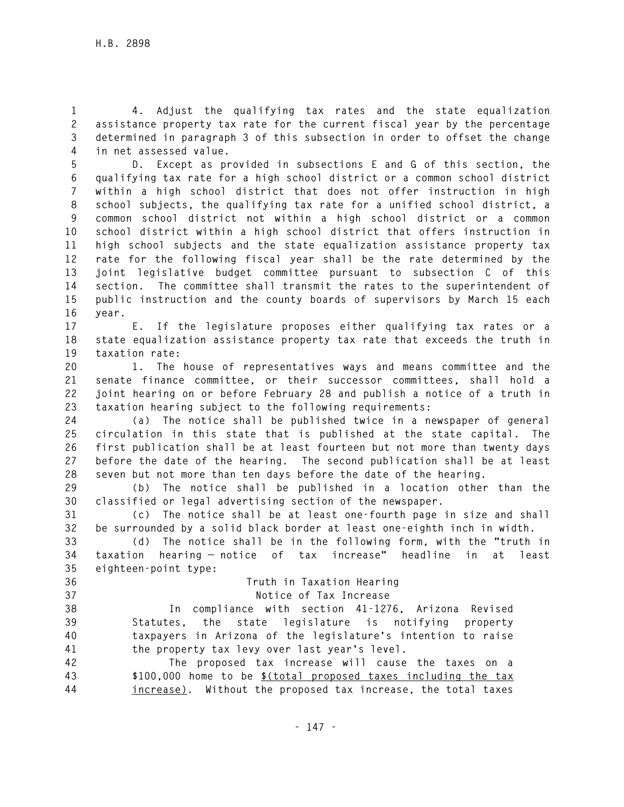**1 4. Adjust the qualifying tax rates and the state equalization 2 assistance property tax rate for the current fiscal year by the percentage 3 determined in paragraph 3 of this subsection in order to offset the change 4 in net assessed value.** 

**5 D. Except as provided in subsections E and G of this section, the 6 qualifying tax rate for a high school district or a common school district 7 within a high school district that does not offer instruction in high 8 school subjects, the qualifying tax rate for a unified school district, a 9 common school district not within a high school district or a common 10 school district within a high school district that offers instruction in** 

**11 high school subjects and the state equalization assistance property tax 12 rate for the following fiscal year shall be the rate determined by the 13 joint legislative budget committee pursuant to subsection C of this 14 section. The committee shall transmit the rates to the superintendent of 15 public instruction and the county boards of supervisors by March 15 each 16 year.** 

**17 E. If the legislature proposes either qualifying tax rates or a 18 state equalization assistance property tax rate that exceeds the truth in 19 taxation rate:** 

**20 1. The house of representatives ways and means committee and the 21 senate finance committee, or their successor committees, shall hold a 22 joint hearing on or before February 28 and publish a notice of a truth in 23 taxation hearing subject to the following requirements:** 

**24 (a) The notice shall be published twice in a newspaper of general 25 circulation in this state that is published at the state capital. The 26 first publication shall be at least fourteen but not more than twenty days 27 before the date of the hearing. The second publication shall be at least 28 seven but not more than ten days before the date of the hearing.** 

**29 (b) The notice shall be published in a location other than the 30 classified or legal advertising section of the newspaper.** 

**31 (c) The notice shall be at least one-fourth page in size and shall 32 be surrounded by a solid black border at least one-eighth inch in width.** 

**33 (d) The notice shall be in the following form, with the "truth in 34 taxation hearing — notice of tax increase" headline in at least 35 eighteen-point type:** 

**36 Truth in Taxation Hearing 37 Notice of Tax Increase 38 In compliance with section 41-1276, Arizona Revised 39 Statutes, the state legislature is notifying property 40 taxpayers in Arizona of the legislature's intention to raise 41 the property tax levy over last year's level. 42 The proposed tax increase will cause the taxes on a** 

**43 \$100,000 home to be \$(total proposed taxes including the tax 44 increase). Without the proposed tax increase, the total taxes**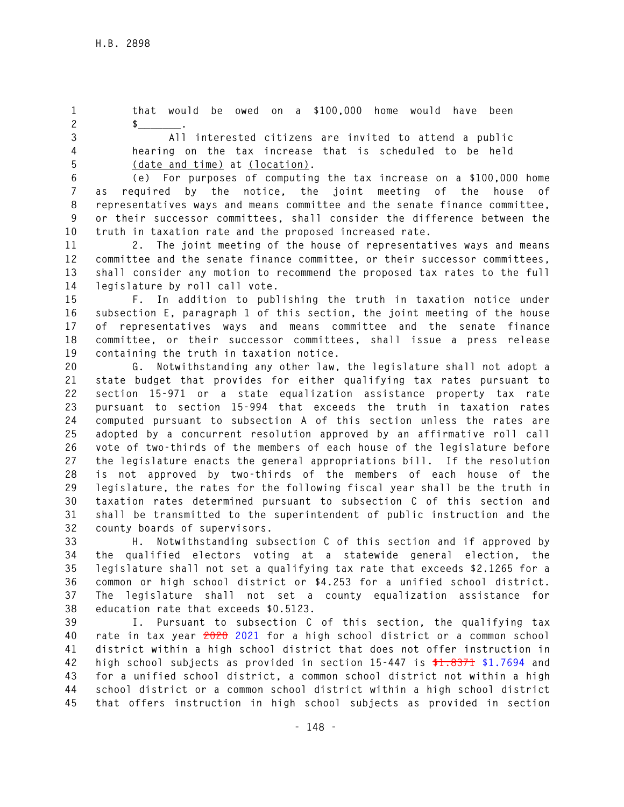**1 that would be owed on a \$100,000 home would have been 2 \$\_\_\_\_\_\_\_.** 

**3 All interested citizens are invited to attend a public 4 hearing on the tax increase that is scheduled to be held 5 (date and time) at (location).** 

**6 (e) For purposes of computing the tax increase on a \$100,000 home 7 as required by the notice, the joint meeting of the house of 8 representatives ways and means committee and the senate finance committee, 9 or their successor committees, shall consider the difference between the 10 truth in taxation rate and the proposed increased rate.** 

**11 2. The joint meeting of the house of representatives ways and means 12 committee and the senate finance committee, or their successor committees, 13 shall consider any motion to recommend the proposed tax rates to the full 14 legislature by roll call vote.** 

**15 F. In addition to publishing the truth in taxation notice under 16 subsection E, paragraph 1 of this section, the joint meeting of the house 17 of representatives ways and means committee and the senate finance 18 committee, or their successor committees, shall issue a press release 19 containing the truth in taxation notice.** 

**20 G. Notwithstanding any other law, the legislature shall not adopt a 21 state budget that provides for either qualifying tax rates pursuant to 22 section 15-971 or a state equalization assistance property tax rate 23 pursuant to section 15-994 that exceeds the truth in taxation rates 24 computed pursuant to subsection A of this section unless the rates are 25 adopted by a concurrent resolution approved by an affirmative roll call 26 vote of two-thirds of the members of each house of the legislature before 27 the legislature enacts the general appropriations bill. If the resolution 28 is not approved by two-thirds of the members of each house of the 29 legislature, the rates for the following fiscal year shall be the truth in 30 taxation rates determined pursuant to subsection C of this section and 31 shall be transmitted to the superintendent of public instruction and the 32 county boards of supervisors.** 

**33 H. Notwithstanding subsection C of this section and if approved by 34 the qualified electors voting at a statewide general election, the 35 legislature shall not set a qualifying tax rate that exceeds \$2.1265 for a 36 common or high school district or \$4.253 for a unified school district. 37 The legislature shall not set a county equalization assistance for 38 education rate that exceeds \$0.5123.** 

**39 I. Pursuant to subsection C of this section, the qualifying tax 40 rate in tax year 2020 2021 for a high school district or a common school 41 district within a high school district that does not offer instruction in 42 high school subjects as provided in section 15-447 is \$1.8371 \$1.7694 and 43 for a unified school district, a common school district not within a high 44 school district or a common school district within a high school district 45 that offers instruction in high school subjects as provided in section**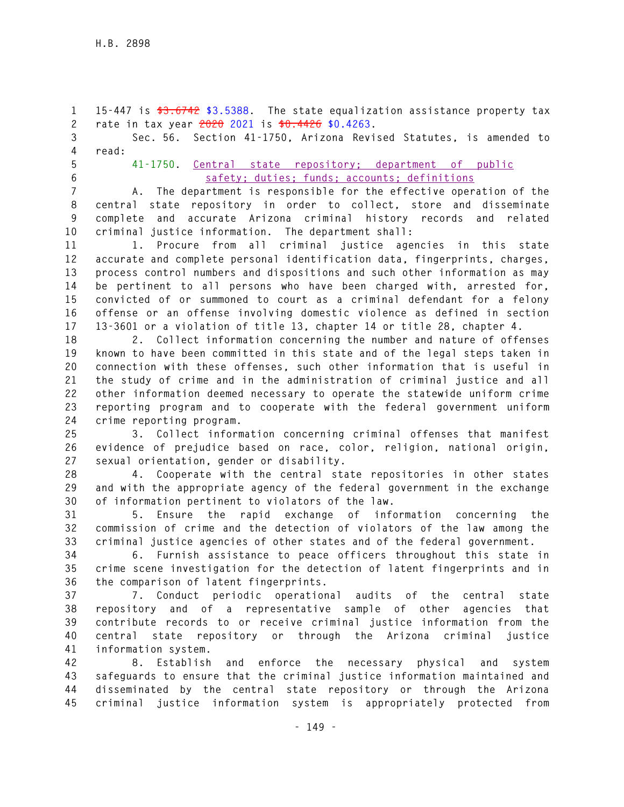**1 15-447 is \$3.6742 \$3.5388. The state equalization assistance property tax 2 rate in tax year 2020 2021 is \$0.4426 \$0.4263.** 

**3 Sec. 56. Section 41-1750, Arizona Revised Statutes, is amended to 4 read:** 

## **5 41-1750. Central state repository; department of public 6 safety; duties; funds; accounts; definitions**

**7 A. The department is responsible for the effective operation of the 8 central state repository in order to collect, store and disseminate 9 complete and accurate Arizona criminal history records and related 10 criminal justice information. The department shall:** 

**11 1. Procure from all criminal justice agencies in this state 12 accurate and complete personal identification data, fingerprints, charges, 13 process control numbers and dispositions and such other information as may 14 be pertinent to all persons who have been charged with, arrested for, 15 convicted of or summoned to court as a criminal defendant for a felony 16 offense or an offense involving domestic violence as defined in section 17 13-3601 or a violation of title 13, chapter 14 or title 28, chapter 4.** 

**18 2. Collect information concerning the number and nature of offenses 19 known to have been committed in this state and of the legal steps taken in 20 connection with these offenses, such other information that is useful in 21 the study of crime and in the administration of criminal justice and all 22 other information deemed necessary to operate the statewide uniform crime 23 reporting program and to cooperate with the federal government uniform 24 crime reporting program.** 

**25 3. Collect information concerning criminal offenses that manifest 26 evidence of prejudice based on race, color, religion, national origin, 27 sexual orientation, gender or disability.** 

**28 4. Cooperate with the central state repositories in other states 29 and with the appropriate agency of the federal government in the exchange 30 of information pertinent to violators of the law.** 

**31 5. Ensure the rapid exchange of information concerning the 32 commission of crime and the detection of violators of the law among the 33 criminal justice agencies of other states and of the federal government.** 

**34 6. Furnish assistance to peace officers throughout this state in 35 crime scene investigation for the detection of latent fingerprints and in 36 the comparison of latent fingerprints.** 

**37 7. Conduct periodic operational audits of the central state 38 repository and of a representative sample of other agencies that 39 contribute records to or receive criminal justice information from the 40 central state repository or through the Arizona criminal justice 41 information system.** 

**42 8. Establish and enforce the necessary physical and system 43 safeguards to ensure that the criminal justice information maintained and 44 disseminated by the central state repository or through the Arizona 45 criminal justice information system is appropriately protected from**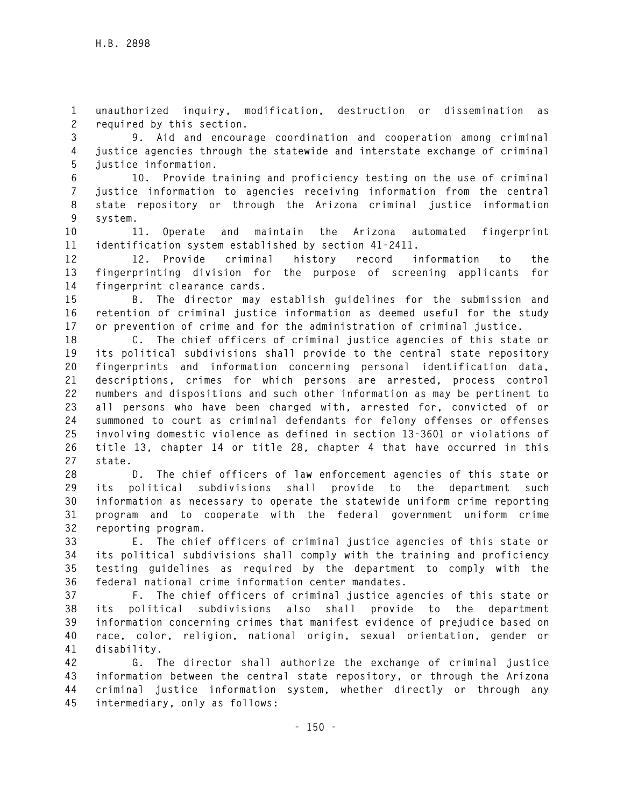**1 unauthorized inquiry, modification, destruction or dissemination as 2 required by this section.** 

**3 9. Aid and encourage coordination and cooperation among criminal 4 justice agencies through the statewide and interstate exchange of criminal 5 justice information.** 

**6 10. Provide training and proficiency testing on the use of criminal 7 justice information to agencies receiving information from the central 8 state repository or through the Arizona criminal justice information 9 system.** 

**10 11. Operate and maintain the Arizona automated fingerprint 11 identification system established by section 41-2411.** 

**12 12. Provide criminal history record information to the 13 fingerprinting division for the purpose of screening applicants for 14 fingerprint clearance cards.** 

**15 B. The director may establish guidelines for the submission and 16 retention of criminal justice information as deemed useful for the study 17 or prevention of crime and for the administration of criminal justice.** 

**18 C. The chief officers of criminal justice agencies of this state or 19 its political subdivisions shall provide to the central state repository 20 fingerprints and information concerning personal identification data, 21 descriptions, crimes for which persons are arrested, process control 22 numbers and dispositions and such other information as may be pertinent to 23 all persons who have been charged with, arrested for, convicted of or 24 summoned to court as criminal defendants for felony offenses or offenses 25 involving domestic violence as defined in section 13-3601 or violations of 26 title 13, chapter 14 or title 28, chapter 4 that have occurred in this 27 state.** 

**28 D. The chief officers of law enforcement agencies of this state or 29 its political subdivisions shall provide to the department such 30 information as necessary to operate the statewide uniform crime reporting 31 program and to cooperate with the federal government uniform crime 32 reporting program.** 

**33 E. The chief officers of criminal justice agencies of this state or 34 its political subdivisions shall comply with the training and proficiency 35 testing guidelines as required by the department to comply with the 36 federal national crime information center mandates.** 

**37 F. The chief officers of criminal justice agencies of this state or 38 its political subdivisions also shall provide to the department 39 information concerning crimes that manifest evidence of prejudice based on 40 race, color, religion, national origin, sexual orientation, gender or 41 disability.** 

**42 G. The director shall authorize the exchange of criminal justice 43 information between the central state repository, or through the Arizona 44 criminal justice information system, whether directly or through any 45 intermediary, only as follows:**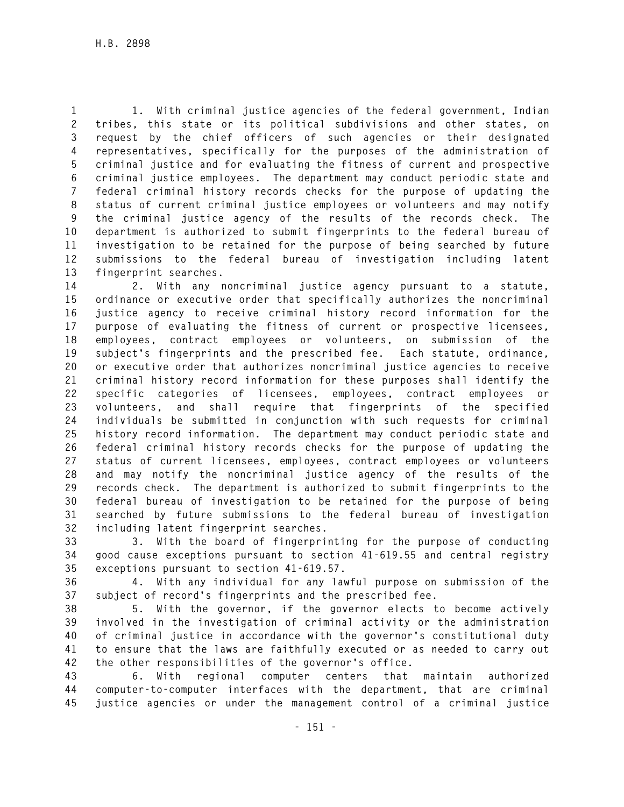**1 1. With criminal justice agencies of the federal government, Indian 2 tribes, this state or its political subdivisions and other states, on 3 request by the chief officers of such agencies or their designated 4 representatives, specifically for the purposes of the administration of 5 criminal justice and for evaluating the fitness of current and prospective 6 criminal justice employees. The department may conduct periodic state and 7 federal criminal history records checks for the purpose of updating the 8 status of current criminal justice employees or volunteers and may notify 9 the criminal justice agency of the results of the records check. The 10 department is authorized to submit fingerprints to the federal bureau of 11 investigation to be retained for the purpose of being searched by future 12 submissions to the federal bureau of investigation including latent 13 fingerprint searches.** 

**14 2. With any noncriminal justice agency pursuant to a statute, 15 ordinance or executive order that specifically authorizes the noncriminal 16 justice agency to receive criminal history record information for the 17 purpose of evaluating the fitness of current or prospective licensees, 18 employees, contract employees or volunteers, on submission of the 19 subject's fingerprints and the prescribed fee. Each statute, ordinance, 20 or executive order that authorizes noncriminal justice agencies to receive 21 criminal history record information for these purposes shall identify the 22 specific categories of licensees, employees, contract employees or 23 volunteers, and shall require that fingerprints of the specified 24 individuals be submitted in conjunction with such requests for criminal 25 history record information. The department may conduct periodic state and 26 federal criminal history records checks for the purpose of updating the 27 status of current licensees, employees, contract employees or volunteers 28 and may notify the noncriminal justice agency of the results of the 29 records check. The department is authorized to submit fingerprints to the 30 federal bureau of investigation to be retained for the purpose of being 31 searched by future submissions to the federal bureau of investigation 32 including latent fingerprint searches.** 

**33 3. With the board of fingerprinting for the purpose of conducting 34 good cause exceptions pursuant to section 41-619.55 and central registry 35 exceptions pursuant to section 41-619.57.** 

**36 4. With any individual for any lawful purpose on submission of the 37 subject of record's fingerprints and the prescribed fee.** 

**38 5. With the governor, if the governor elects to become actively 39 involved in the investigation of criminal activity or the administration 40 of criminal justice in accordance with the governor's constitutional duty 41 to ensure that the laws are faithfully executed or as needed to carry out 42 the other responsibilities of the governor's office.** 

**43 6. With regional computer centers that maintain authorized 44 computer-to-computer interfaces with the department, that are criminal 45 justice agencies or under the management control of a criminal justice**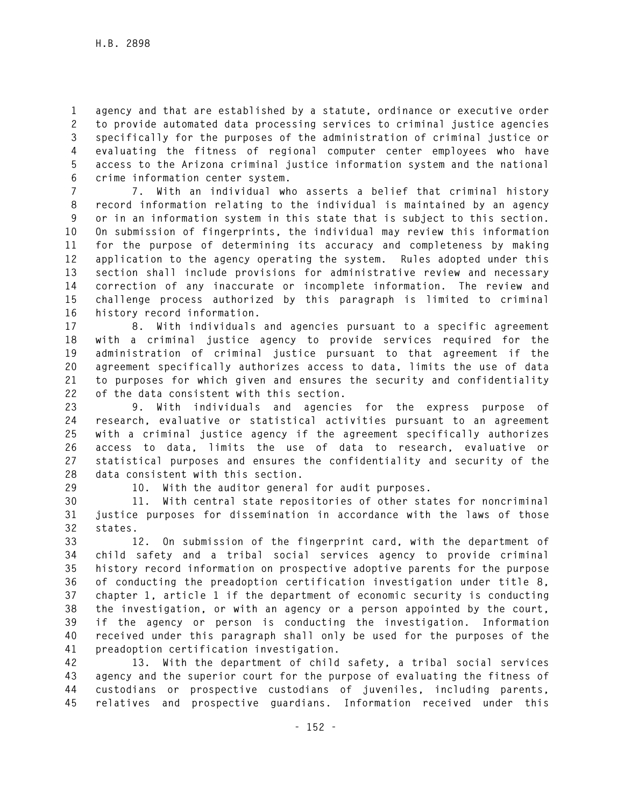**1 agency and that are established by a statute, ordinance or executive order 2 to provide automated data processing services to criminal justice agencies 3 specifically for the purposes of the administration of criminal justice or 4 evaluating the fitness of regional computer center employees who have 5 access to the Arizona criminal justice information system and the national 6 crime information center system.** 

**7 7. With an individual who asserts a belief that criminal history 8 record information relating to the individual is maintained by an agency 9 or in an information system in this state that is subject to this section. 10 On submission of fingerprints, the individual may review this information 11 for the purpose of determining its accuracy and completeness by making 12 application to the agency operating the system. Rules adopted under this 13 section shall include provisions for administrative review and necessary 14 correction of any inaccurate or incomplete information. The review and 15 challenge process authorized by this paragraph is limited to criminal 16 history record information.** 

**17 8. With individuals and agencies pursuant to a specific agreement 18 with a criminal justice agency to provide services required for the 19 administration of criminal justice pursuant to that agreement if the 20 agreement specifically authorizes access to data, limits the use of data 21 to purposes for which given and ensures the security and confidentiality 22 of the data consistent with this section.** 

**23 9. With individuals and agencies for the express purpose of 24 research, evaluative or statistical activities pursuant to an agreement 25 with a criminal justice agency if the agreement specifically authorizes 26 access to data, limits the use of data to research, evaluative or 27 statistical purposes and ensures the confidentiality and security of the 28 data consistent with this section.** 

**29 10. With the auditor general for audit purposes.** 

**30 11. With central state repositories of other states for noncriminal 31 justice purposes for dissemination in accordance with the laws of those 32 states.** 

**33 12. On submission of the fingerprint card, with the department of 34 child safety and a tribal social services agency to provide criminal 35 history record information on prospective adoptive parents for the purpose 36 of conducting the preadoption certification investigation under title 8, 37 chapter 1, article 1 if the department of economic security is conducting 38 the investigation, or with an agency or a person appointed by the court, 39 if the agency or person is conducting the investigation. Information 40 received under this paragraph shall only be used for the purposes of the 41 preadoption certification investigation.** 

**42 13. With the department of child safety, a tribal social services 43 agency and the superior court for the purpose of evaluating the fitness of 44 custodians or prospective custodians of juveniles, including parents, 45 relatives and prospective guardians. Information received under this**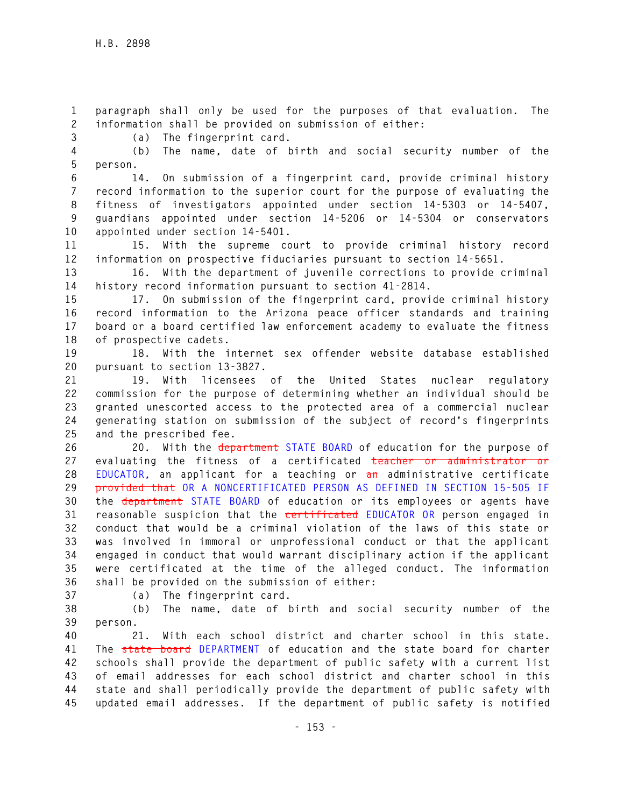**1 paragraph shall only be used for the purposes of that evaluation. The 2 information shall be provided on submission of either:** 

**3 (a) The fingerprint card.** 

**4 (b) The name, date of birth and social security number of the 5 person.** 

**6 14. On submission of a fingerprint card, provide criminal history 7 record information to the superior court for the purpose of evaluating the 8 fitness of investigators appointed under section 14-5303 or 14-5407, 9 guardians appointed under section 14-5206 or 14-5304 or conservators 10 appointed under section 14-5401.** 

**11 15. With the supreme court to provide criminal history record 12 information on prospective fiduciaries pursuant to section 14-5651.** 

**13 16. With the department of juvenile corrections to provide criminal 14 history record information pursuant to section 41-2814.** 

**15 17. On submission of the fingerprint card, provide criminal history 16 record information to the Arizona peace officer standards and training 17 board or a board certified law enforcement academy to evaluate the fitness 18 of prospective cadets.** 

**19 18. With the internet sex offender website database established 20 pursuant to section 13-3827.** 

**21 19. With licensees of the United States nuclear regulatory 22 commission for the purpose of determining whether an individual should be 23 granted unescorted access to the protected area of a commercial nuclear 24 generating station on submission of the subject of record's fingerprints 25 and the prescribed fee.** 

**26 20. With the department STATE BOARD of education for the purpose of 27 evaluating the fitness of a certificated teacher or administrator or 28 EDUCATOR, an applicant for a teaching or an administrative certificate 29 provided that OR A NONCERTIFICATED PERSON AS DEFINED IN SECTION 15-505 IF 30 the department STATE BOARD of education or its employees or agents have 31 reasonable suspicion that the certificated EDUCATOR OR person engaged in 32 conduct that would be a criminal violation of the laws of this state or 33 was involved in immoral or unprofessional conduct or that the applicant 34 engaged in conduct that would warrant disciplinary action if the applicant 35 were certificated at the time of the alleged conduct. The information 36 shall be provided on the submission of either:** 

**37 (a) The fingerprint card.** 

**38 (b) The name, date of birth and social security number of the 39 person.** 

**40 21. With each school district and charter school in this state. 41 The state board DEPARTMENT of education and the state board for charter 42 schools shall provide the department of public safety with a current list 43 of email addresses for each school district and charter school in this 44 state and shall periodically provide the department of public safety with 45 updated email addresses. If the department of public safety is notified**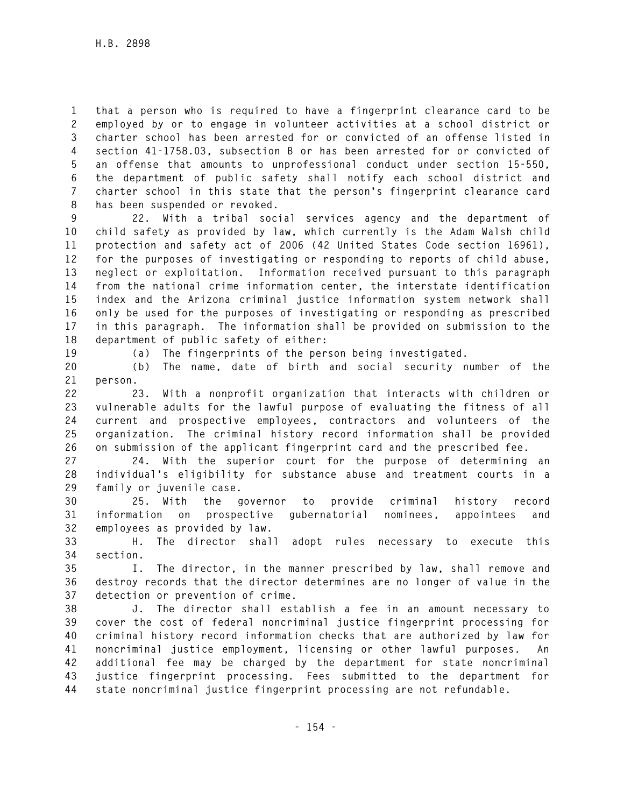**1 that a person who is required to have a fingerprint clearance card to be 2 employed by or to engage in volunteer activities at a school district or 3 charter school has been arrested for or convicted of an offense listed in 4 section 41-1758.03, subsection B or has been arrested for or convicted of 5 an offense that amounts to unprofessional conduct under section 15-550, 6 the department of public safety shall notify each school district and 7 charter school in this state that the person's fingerprint clearance card 8 has been suspended or revoked.** 

**9 22. With a tribal social services agency and the department of 10 child safety as provided by law, which currently is the Adam Walsh child 11 protection and safety act of 2006 (42 United States Code section 16961), 12 for the purposes of investigating or responding to reports of child abuse, 13 neglect or exploitation. Information received pursuant to this paragraph 14 from the national crime information center, the interstate identification 15 index and the Arizona criminal justice information system network shall 16 only be used for the purposes of investigating or responding as prescribed 17 in this paragraph. The information shall be provided on submission to the 18 department of public safety of either:** 

**19 (a) The fingerprints of the person being investigated.** 

**20 (b) The name, date of birth and social security number of the 21 person.** 

**22 23. With a nonprofit organization that interacts with children or 23 vulnerable adults for the lawful purpose of evaluating the fitness of all 24 current and prospective employees, contractors and volunteers of the 25 organization. The criminal history record information shall be provided 26 on submission of the applicant fingerprint card and the prescribed fee.** 

**27 24. With the superior court for the purpose of determining an 28 individual's eligibility for substance abuse and treatment courts in a 29 family or juvenile case.** 

**30 25. With the governor to provide criminal history record 31 information on prospective gubernatorial nominees, appointees and 32 employees as provided by law.** 

**33 H. The director shall adopt rules necessary to execute this 34 section.** 

**35 I. The director, in the manner prescribed by law, shall remove and 36 destroy records that the director determines are no longer of value in the 37 detection or prevention of crime.** 

**38 J. The director shall establish a fee in an amount necessary to 39 cover the cost of federal noncriminal justice fingerprint processing for 40 criminal history record information checks that are authorized by law for 41 noncriminal justice employment, licensing or other lawful purposes. An 42 additional fee may be charged by the department for state noncriminal 43 justice fingerprint processing. Fees submitted to the department for 44 state noncriminal justice fingerprint processing are not refundable.**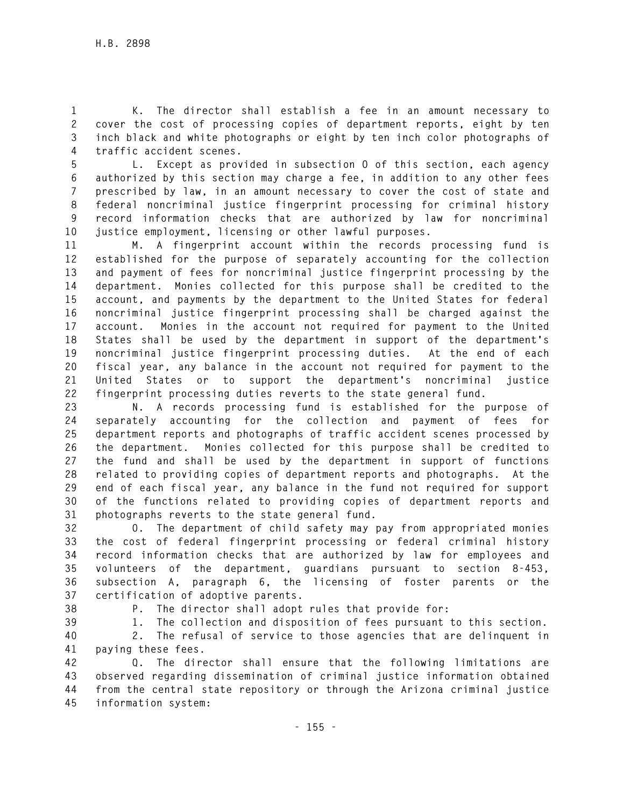**1 K. The director shall establish a fee in an amount necessary to 2 cover the cost of processing copies of department reports, eight by ten 3 inch black and white photographs or eight by ten inch color photographs of 4 traffic accident scenes.** 

**5 L. Except as provided in subsection O of this section, each agency 6 authorized by this section may charge a fee, in addition to any other fees 7 prescribed by law, in an amount necessary to cover the cost of state and 8 federal noncriminal justice fingerprint processing for criminal history 9 record information checks that are authorized by law for noncriminal 10 justice employment, licensing or other lawful purposes.** 

**11 M. A fingerprint account within the records processing fund is 12 established for the purpose of separately accounting for the collection 13 and payment of fees for noncriminal justice fingerprint processing by the 14 department. Monies collected for this purpose shall be credited to the 15 account, and payments by the department to the United States for federal 16 noncriminal justice fingerprint processing shall be charged against the 17 account. Monies in the account not required for payment to the United 18 States shall be used by the department in support of the department's 19 noncriminal justice fingerprint processing duties. At the end of each 20 fiscal year, any balance in the account not required for payment to the 21 United States or to support the department's noncriminal justice 22 fingerprint processing duties reverts to the state general fund.** 

**23 N. A records processing fund is established for the purpose of 24 separately accounting for the collection and payment of fees for 25 department reports and photographs of traffic accident scenes processed by 26 the department. Monies collected for this purpose shall be credited to 27 the fund and shall be used by the department in support of functions 28 related to providing copies of department reports and photographs. At the 29 end of each fiscal year, any balance in the fund not required for support 30 of the functions related to providing copies of department reports and 31 photographs reverts to the state general fund.** 

**32 O. The department of child safety may pay from appropriated monies 33 the cost of federal fingerprint processing or federal criminal history 34 record information checks that are authorized by law for employees and 35 volunteers of the department, guardians pursuant to section 8-453, 36 subsection A, paragraph 6, the licensing of foster parents or the 37 certification of adoptive parents.** 

**38 P. The director shall adopt rules that provide for:** 

**39 1. The collection and disposition of fees pursuant to this section.** 

**40 2. The refusal of service to those agencies that are delinquent in 41 paying these fees.** 

**42 Q. The director shall ensure that the following limitations are 43 observed regarding dissemination of criminal justice information obtained 44 from the central state repository or through the Arizona criminal justice 45 information system:**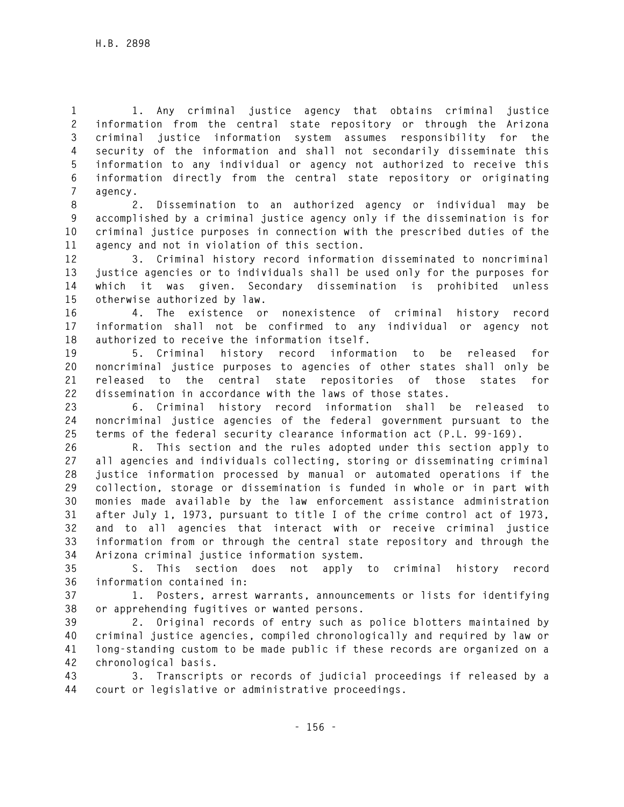**1 1. Any criminal justice agency that obtains criminal justice 2 information from the central state repository or through the Arizona 3 criminal justice information system assumes responsibility for the 4 security of the information and shall not secondarily disseminate this 5 information to any individual or agency not authorized to receive this 6 information directly from the central state repository or originating 7 agency.** 

**8 2. Dissemination to an authorized agency or individual may be 9 accomplished by a criminal justice agency only if the dissemination is for 10 criminal justice purposes in connection with the prescribed duties of the 11 agency and not in violation of this section.** 

**12 3. Criminal history record information disseminated to noncriminal 13 justice agencies or to individuals shall be used only for the purposes for 14 which it was given. Secondary dissemination is prohibited unless 15 otherwise authorized by law.** 

**16 4. The existence or nonexistence of criminal history record 17 information shall not be confirmed to any individual or agency not 18 authorized to receive the information itself.** 

**19 5. Criminal history record information to be released for 20 noncriminal justice purposes to agencies of other states shall only be 21 released to the central state repositories of those states for 22 dissemination in accordance with the laws of those states.** 

**23 6. Criminal history record information shall be released to 24 noncriminal justice agencies of the federal government pursuant to the 25 terms of the federal security clearance information act (P.L. 99-169).** 

**26 R. This section and the rules adopted under this section apply to 27 all agencies and individuals collecting, storing or disseminating criminal 28 justice information processed by manual or automated operations if the 29 collection, storage or dissemination is funded in whole or in part with 30 monies made available by the law enforcement assistance administration 31 after July 1, 1973, pursuant to title I of the crime control act of 1973, 32 and to all agencies that interact with or receive criminal justice 33 information from or through the central state repository and through the 34 Arizona criminal justice information system.** 

**35 S. This section does not apply to criminal history record 36 information contained in:** 

**37 1. Posters, arrest warrants, announcements or lists for identifying 38 or apprehending fugitives or wanted persons.** 

**39 2. Original records of entry such as police blotters maintained by 40 criminal justice agencies, compiled chronologically and required by law or 41 long-standing custom to be made public if these records are organized on a 42 chronological basis.** 

**43 3. Transcripts or records of judicial proceedings if released by a 44 court or legislative or administrative proceedings.**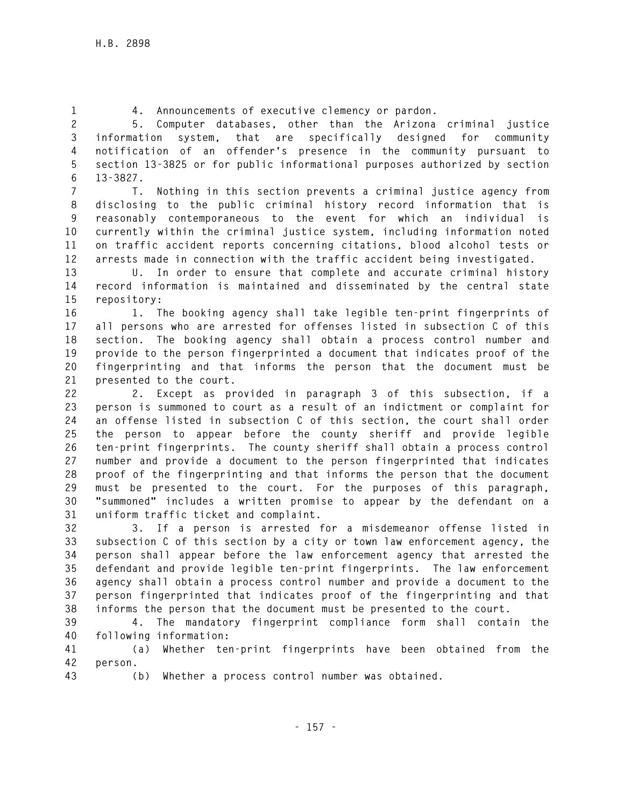**1 4. Announcements of executive clemency or pardon.** 

**2 5. Computer databases, other than the Arizona criminal justice 3 information system, that are specifically designed for community 4 notification of an offender's presence in the community pursuant to 5 section 13-3825 or for public informational purposes authorized by section 6 13-3827.** 

**7 T. Nothing in this section prevents a criminal justice agency from 8 disclosing to the public criminal history record information that is 9 reasonably contemporaneous to the event for which an individual is 10 currently within the criminal justice system, including information noted 11 on traffic accident reports concerning citations, blood alcohol tests or 12 arrests made in connection with the traffic accident being investigated.** 

**13 U. In order to ensure that complete and accurate criminal history 14 record information is maintained and disseminated by the central state 15 repository:** 

**16 1. The booking agency shall take legible ten-print fingerprints of 17 all persons who are arrested for offenses listed in subsection C of this 18 section. The booking agency shall obtain a process control number and 19 provide to the person fingerprinted a document that indicates proof of the 20 fingerprinting and that informs the person that the document must be 21 presented to the court.** 

**22 2. Except as provided in paragraph 3 of this subsection, if a 23 person is summoned to court as a result of an indictment or complaint for 24 an offense listed in subsection C of this section, the court shall order 25 the person to appear before the county sheriff and provide legible 26 ten-print fingerprints. The county sheriff shall obtain a process control 27 number and provide a document to the person fingerprinted that indicates 28 proof of the fingerprinting and that informs the person that the document 29 must be presented to the court. For the purposes of this paragraph, 30 "summoned" includes a written promise to appear by the defendant on a 31 uniform traffic ticket and complaint.** 

**32 3. If a person is arrested for a misdemeanor offense listed in 33 subsection C of this section by a city or town law enforcement agency, the 34 person shall appear before the law enforcement agency that arrested the 35 defendant and provide legible ten-print fingerprints. The law enforcement 36 agency shall obtain a process control number and provide a document to the 37 person fingerprinted that indicates proof of the fingerprinting and that 38 informs the person that the document must be presented to the court.** 

**39 4. The mandatory fingerprint compliance form shall contain the 40 following information:** 

**41 (a) Whether ten-print fingerprints have been obtained from the 42 person.** 

**43 (b) Whether a process control number was obtained.**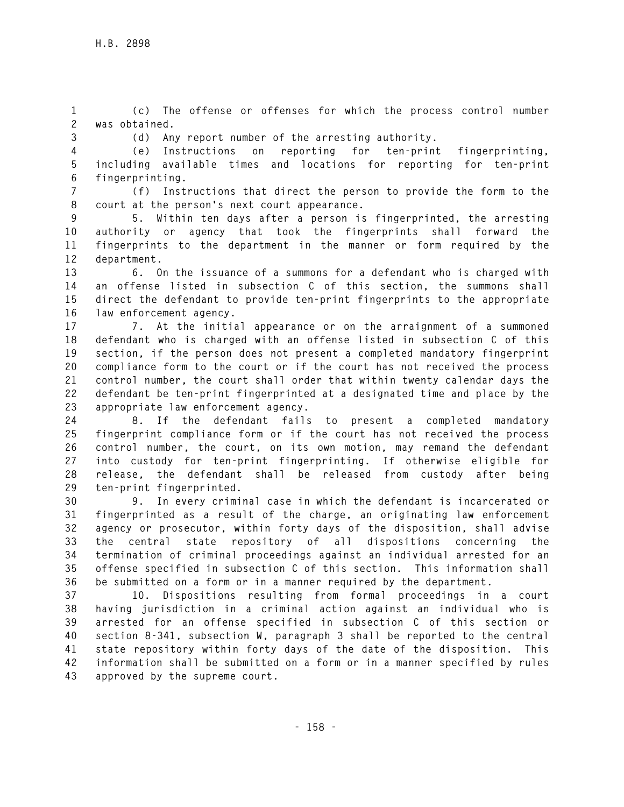**1 (c) The offense or offenses for which the process control number 2 was obtained.** 

**3 (d) Any report number of the arresting authority.** 

**4 (e) Instructions on reporting for ten-print fingerprinting, 5 including available times and locations for reporting for ten-print 6 fingerprinting.** 

**7 (f) Instructions that direct the person to provide the form to the 8 court at the person's next court appearance.** 

**9 5. Within ten days after a person is fingerprinted, the arresting 10 authority or agency that took the fingerprints shall forward the 11 fingerprints to the department in the manner or form required by the 12 department.** 

**13 6. On the issuance of a summons for a defendant who is charged with 14 an offense listed in subsection C of this section, the summons shall 15 direct the defendant to provide ten-print fingerprints to the appropriate 16 law enforcement agency.** 

**17 7. At the initial appearance or on the arraignment of a summoned 18 defendant who is charged with an offense listed in subsection C of this 19 section, if the person does not present a completed mandatory fingerprint 20 compliance form to the court or if the court has not received the process 21 control number, the court shall order that within twenty calendar days the 22 defendant be ten-print fingerprinted at a designated time and place by the 23 appropriate law enforcement agency.** 

**24 8. If the defendant fails to present a completed mandatory 25 fingerprint compliance form or if the court has not received the process 26 control number, the court, on its own motion, may remand the defendant 27 into custody for ten-print fingerprinting. If otherwise eligible for 28 release, the defendant shall be released from custody after being 29 ten-print fingerprinted.** 

**30 9. In every criminal case in which the defendant is incarcerated or 31 fingerprinted as a result of the charge, an originating law enforcement 32 agency or prosecutor, within forty days of the disposition, shall advise 33 the central state repository of all dispositions concerning the 34 termination of criminal proceedings against an individual arrested for an 35 offense specified in subsection C of this section. This information shall 36 be submitted on a form or in a manner required by the department.** 

**37 10. Dispositions resulting from formal proceedings in a court 38 having jurisdiction in a criminal action against an individual who is 39 arrested for an offense specified in subsection C of this section or 40 section 8-341, subsection W, paragraph 3 shall be reported to the central 41 state repository within forty days of the date of the disposition. This 42 information shall be submitted on a form or in a manner specified by rules 43 approved by the supreme court.**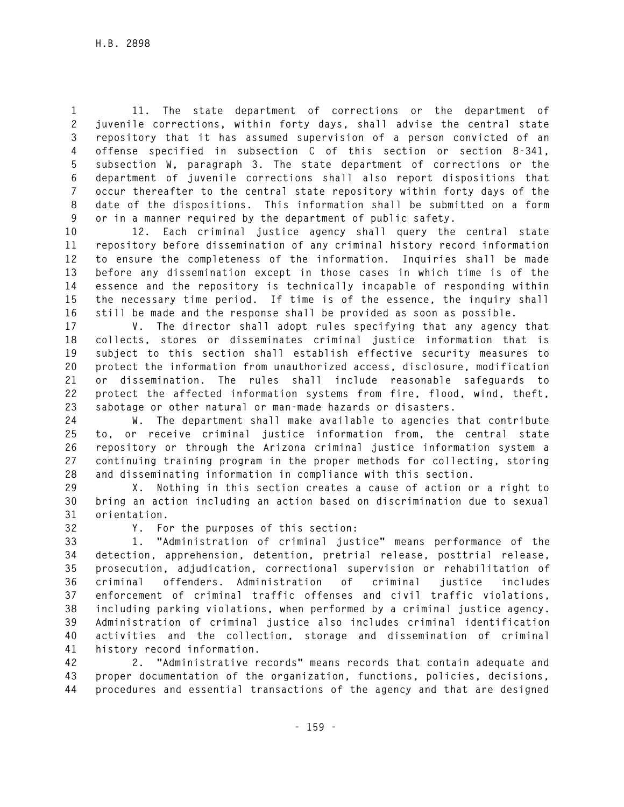**1 11. The state department of corrections or the department of 2 juvenile corrections, within forty days, shall advise the central state 3 repository that it has assumed supervision of a person convicted of an 4 offense specified in subsection C of this section or section 8-341, 5 subsection W, paragraph 3. The state department of corrections or the 6 department of juvenile corrections shall also report dispositions that 7 occur thereafter to the central state repository within forty days of the 8 date of the dispositions. This information shall be submitted on a form 9 or in a manner required by the department of public safety.** 

**10 12. Each criminal justice agency shall query the central state 11 repository before dissemination of any criminal history record information 12 to ensure the completeness of the information. Inquiries shall be made 13 before any dissemination except in those cases in which time is of the 14 essence and the repository is technically incapable of responding within 15 the necessary time period. If time is of the essence, the inquiry shall 16 still be made and the response shall be provided as soon as possible.** 

**17 V. The director shall adopt rules specifying that any agency that 18 collects, stores or disseminates criminal justice information that is 19 subject to this section shall establish effective security measures to 20 protect the information from unauthorized access, disclosure, modification 21 or dissemination. The rules shall include reasonable safeguards to 22 protect the affected information systems from fire, flood, wind, theft, 23 sabotage or other natural or man-made hazards or disasters.** 

**24 W. The department shall make available to agencies that contribute 25 to, or receive criminal justice information from, the central state 26 repository or through the Arizona criminal justice information system a 27 continuing training program in the proper methods for collecting, storing 28 and disseminating information in compliance with this section.** 

**29 X. Nothing in this section creates a cause of action or a right to 30 bring an action including an action based on discrimination due to sexual 31 orientation.** 

**32 Y. For the purposes of this section:** 

**33 1. "Administration of criminal justice" means performance of the 34 detection, apprehension, detention, pretrial release, posttrial release, 35 prosecution, adjudication, correctional supervision or rehabilitation of 36 criminal offenders. Administration of criminal justice includes 37 enforcement of criminal traffic offenses and civil traffic violations, 38 including parking violations, when performed by a criminal justice agency. 39 Administration of criminal justice also includes criminal identification 40 activities and the collection, storage and dissemination of criminal 41 history record information.** 

**42 2. "Administrative records" means records that contain adequate and 43 proper documentation of the organization, functions, policies, decisions, 44 procedures and essential transactions of the agency and that are designed**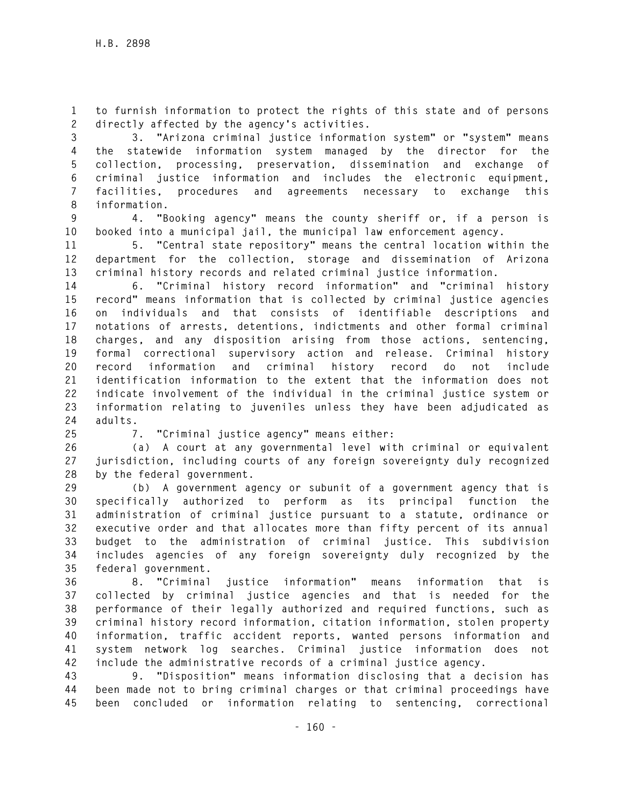**1 to furnish information to protect the rights of this state and of persons 2 directly affected by the agency's activities.** 

**3 3. "Arizona criminal justice information system" or "system" means 4 the statewide information system managed by the director for the 5 collection, processing, preservation, dissemination and exchange of 6 criminal justice information and includes the electronic equipment, 7 facilities, procedures and agreements necessary to exchange this 8 information.** 

**9 4. "Booking agency" means the county sheriff or, if a person is 10 booked into a municipal jail, the municipal law enforcement agency.** 

**11 5. "Central state repository" means the central location within the 12 department for the collection, storage and dissemination of Arizona 13 criminal history records and related criminal justice information.** 

**14 6. "Criminal history record information" and "criminal history 15 record" means information that is collected by criminal justice agencies 16 on individuals and that consists of identifiable descriptions and 17 notations of arrests, detentions, indictments and other formal criminal 18 charges, and any disposition arising from those actions, sentencing, 19 formal correctional supervisory action and release. Criminal history 20 record information and criminal history record do not include 21 identification information to the extent that the information does not 22 indicate involvement of the individual in the criminal justice system or 23 information relating to juveniles unless they have been adjudicated as 24 adults.** 

**25 7. "Criminal justice agency" means either:** 

**26 (a) A court at any governmental level with criminal or equivalent 27 jurisdiction, including courts of any foreign sovereignty duly recognized 28 by the federal government.** 

**29 (b) A government agency or subunit of a government agency that is 30 specifically authorized to perform as its principal function the 31 administration of criminal justice pursuant to a statute, ordinance or 32 executive order and that allocates more than fifty percent of its annual 33 budget to the administration of criminal justice. This subdivision 34 includes agencies of any foreign sovereignty duly recognized by the 35 federal government.** 

**36 8. "Criminal justice information" means information that is 37 collected by criminal justice agencies and that is needed for the 38 performance of their legally authorized and required functions, such as 39 criminal history record information, citation information, stolen property 40 information, traffic accident reports, wanted persons information and 41 system network log searches. Criminal justice information does not 42 include the administrative records of a criminal justice agency.** 

**43 9. "Disposition" means information disclosing that a decision has 44 been made not to bring criminal charges or that criminal proceedings have 45 been concluded or information relating to sentencing, correctional**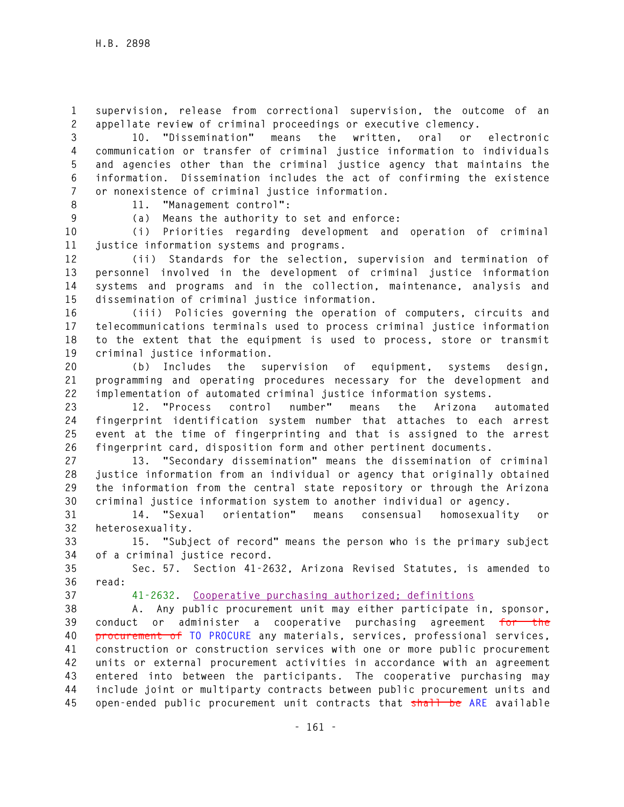**1 supervision, release from correctional supervision, the outcome of an 2 appellate review of criminal proceedings or executive clemency.** 

**3 10. "Dissemination" means the written, oral or electronic 4 communication or transfer of criminal justice information to individuals 5 and agencies other than the criminal justice agency that maintains the 6 information. Dissemination includes the act of confirming the existence 7 or nonexistence of criminal justice information.** 

**8 11. "Management control":** 

**9 (a) Means the authority to set and enforce:** 

**10 (i) Priorities regarding development and operation of criminal 11 justice information systems and programs.** 

**12 (ii) Standards for the selection, supervision and termination of 13 personnel involved in the development of criminal justice information 14 systems and programs and in the collection, maintenance, analysis and 15 dissemination of criminal justice information.** 

**16 (iii) Policies governing the operation of computers, circuits and 17 telecommunications terminals used to process criminal justice information 18 to the extent that the equipment is used to process, store or transmit 19 criminal justice information.** 

**20 (b) Includes the supervision of equipment, systems design, 21 programming and operating procedures necessary for the development and 22 implementation of automated criminal justice information systems.** 

**23 12. "Process control number" means the Arizona automated 24 fingerprint identification system number that attaches to each arrest 25 event at the time of fingerprinting and that is assigned to the arrest 26 fingerprint card, disposition form and other pertinent documents.** 

**27 13. "Secondary dissemination" means the dissemination of criminal 28 justice information from an individual or agency that originally obtained 29 the information from the central state repository or through the Arizona 30 criminal justice information system to another individual or agency.** 

**31 14. "Sexual orientation" means consensual homosexuality or 32 heterosexuality.** 

**33 15. "Subject of record" means the person who is the primary subject 34 of a criminal justice record.** 

**35 Sec. 57. Section 41-2632, Arizona Revised Statutes, is amended to 36 read:** 

**37 41-2632. Cooperative purchasing authorized; definitions**

**38 A. Any public procurement unit may either participate in, sponsor, 39 conduct or administer a cooperative purchasing agreement for the 40 procurement of TO PROCURE any materials, services, professional services, 41 construction or construction services with one or more public procurement 42 units or external procurement activities in accordance with an agreement 43 entered into between the participants. The cooperative purchasing may 44 include joint or multiparty contracts between public procurement units and 45 open-ended public procurement unit contracts that shall be ARE available**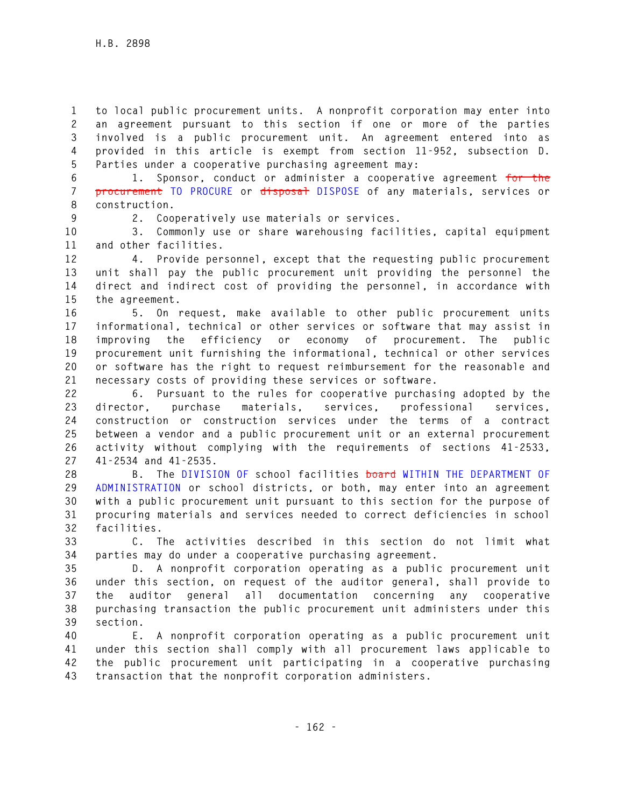**1 to local public procurement units. A nonprofit corporation may enter into 2 an agreement pursuant to this section if one or more of the parties 3 involved is a public procurement unit. An agreement entered into as 4 provided in this article is exempt from section 11-952, subsection D. 5 Parties under a cooperative purchasing agreement may:** 

**6 1. Sponsor, conduct or administer a cooperative agreement for the 7 procurement TO PROCURE or disposal DISPOSE of any materials, services or 8 construction.** 

**9 2. Cooperatively use materials or services.** 

**10 3. Commonly use or share warehousing facilities, capital equipment 11 and other facilities.** 

**12 4. Provide personnel, except that the requesting public procurement 13 unit shall pay the public procurement unit providing the personnel the 14 direct and indirect cost of providing the personnel, in accordance with 15 the agreement.** 

**16 5. On request, make available to other public procurement units 17 informational, technical or other services or software that may assist in 18 improving the efficiency or economy of procurement. The public 19 procurement unit furnishing the informational, technical or other services 20 or software has the right to request reimbursement for the reasonable and 21 necessary costs of providing these services or software.** 

**22 6. Pursuant to the rules for cooperative purchasing adopted by the 23 director, purchase materials, services, professional services, 24 construction or construction services under the terms of a contract 25 between a vendor and a public procurement unit or an external procurement 26 activity without complying with the requirements of sections 41-2533, 27 41-2534 and 41-2535.** 

**28 B. The DIVISION OF school facilities board WITHIN THE DEPARTMENT OF 29 ADMINISTRATION or school districts, or both, may enter into an agreement 30 with a public procurement unit pursuant to this section for the purpose of 31 procuring materials and services needed to correct deficiencies in school 32 facilities.** 

**33 C. The activities described in this section do not limit what 34 parties may do under a cooperative purchasing agreement.** 

**35 D. A nonprofit corporation operating as a public procurement unit 36 under this section, on request of the auditor general, shall provide to 37 the auditor general all documentation concerning any cooperative 38 purchasing transaction the public procurement unit administers under this 39 section.** 

**40 E. A nonprofit corporation operating as a public procurement unit 41 under this section shall comply with all procurement laws applicable to 42 the public procurement unit participating in a cooperative purchasing 43 transaction that the nonprofit corporation administers.**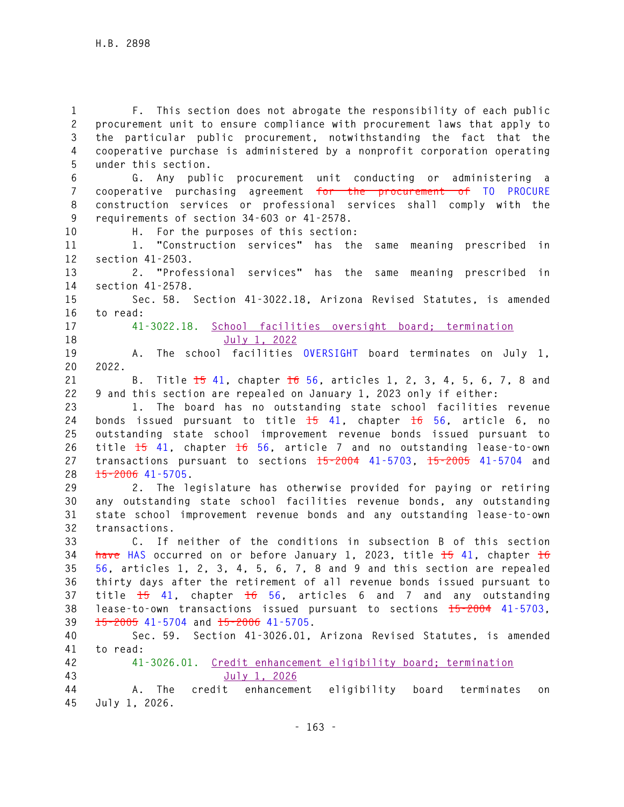**1 F. This section does not abrogate the responsibility of each public 2 procurement unit to ensure compliance with procurement laws that apply to 3 the particular public procurement, notwithstanding the fact that the 4 cooperative purchase is administered by a nonprofit corporation operating 5 under this section. 6 G. Any public procurement unit conducting or administering a 7 cooperative purchasing agreement for the procurement of TO PROCURE 8 construction services or professional services shall comply with the 9 requirements of section 34-603 or 41-2578. 10 H. For the purposes of this section: 11 1. "Construction services" has the same meaning prescribed in 12 section 41-2503. 13 2. "Professional services" has the same meaning prescribed in 14 section 41-2578. 15 Sec. 58. Section 41-3022.18, Arizona Revised Statutes, is amended 16 to read: 17 41-3022.18. School facilities oversight board; termination 18 July 1, 2022 19 A. The school facilities OVERSIGHT board terminates on July 1, 20 2022. 21 B. Title 15 41, chapter 16 56, articles 1, 2, 3, 4, 5, 6, 7, 8 and 22 9 and this section are repealed on January 1, 2023 only if either: 23 1. The board has no outstanding state school facilities revenue 24 bonds issued pursuant to title 15 41, chapter 16 56, article 6, no 25 outstanding state school improvement revenue bonds issued pursuant to 26 title 15 41, chapter 16 56, article 7 and no outstanding lease-to-own 27 transactions pursuant to sections 15-2004 41-5703, 15-2005 41-5704 and 28 15-2006 41-5705. 29 2. The legislature has otherwise provided for paying or retiring 30 any outstanding state school facilities revenue bonds, any outstanding 31 state school improvement revenue bonds and any outstanding lease-to-own 32 transactions. 33 C. If neither of the conditions in subsection B of this section 34 have HAS occurred on or before January 1, 2023, title 15 41, chapter 16 35 56, articles 1, 2, 3, 4, 5, 6, 7, 8 and 9 and this section are repealed 36 thirty days after the retirement of all revenue bonds issued pursuant to 37 title 15 41, chapter 16 56, articles 6 and 7 and any outstanding 38 lease-to-own transactions issued pursuant to sections 15-2004 41-5703, 39 15-2005 41-5704 and 15-2006 41-5705. 40 Sec. 59. Section 41-3026.01, Arizona Revised Statutes, is amended 41 to read: 42 41-3026.01. Credit enhancement eligibility board; termination 43 July 1, 2026 44 A. The credit enhancement eligibility board terminates on 45 July 1, 2026.**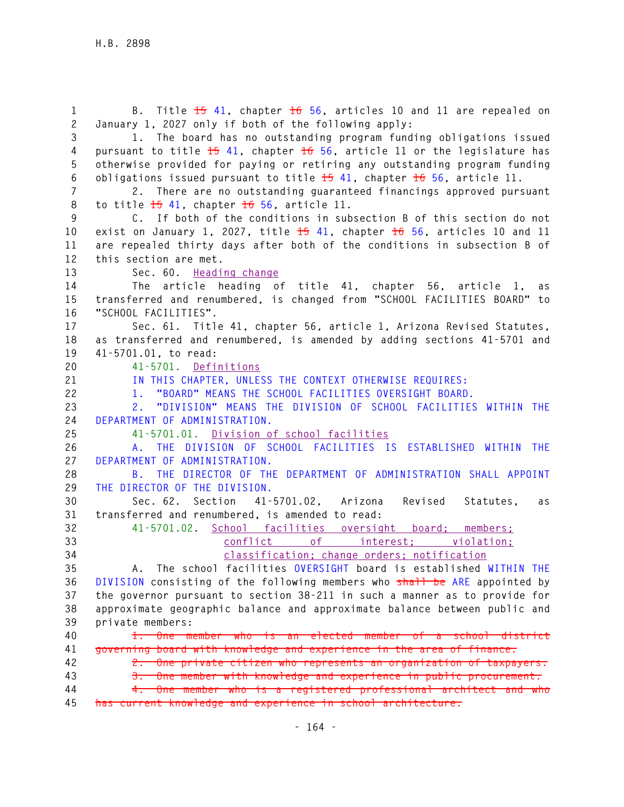**1 B. Title 15 41, chapter 16 56, articles 10 and 11 are repealed on 2 January 1, 2027 only if both of the following apply: 3 1. The board has no outstanding program funding obligations issued 4 pursuant to title 15 41, chapter 16 56, article 11 or the legislature has 5 otherwise provided for paying or retiring any outstanding program funding 6 obligations issued pursuant to title 15 41, chapter 16 56, article 11. 7 2. There are no outstanding guaranteed financings approved pursuant 8 to title 15 41, chapter 16 56, article 11. 9 C. If both of the conditions in subsection B of this section do not 10 exist on January 1, 2027, title 15 41, chapter 16 56, articles 10 and 11 11 are repealed thirty days after both of the conditions in subsection B of 12 this section are met. 13 Sec. 60. Heading change 14 The article heading of title 41, chapter 56, article 1, as 15 transferred and renumbered, is changed from "SCHOOL FACILITIES BOARD" to 16 "SCHOOL FACILITIES". 17 Sec. 61. Title 41, chapter 56, article 1, Arizona Revised Statutes, 18 as transferred and renumbered, is amended by adding sections 41-5701 and 19 41-5701.01, to read: 20 41-5701. Definitions 21 IN THIS CHAPTER, UNLESS THE CONTEXT OTHERWISE REQUIRES: 22 1. "BOARD" MEANS THE SCHOOL FACILITIES OVERSIGHT BOARD. 23 2. "DIVISION" MEANS THE DIVISION OF SCHOOL FACILITIES WITHIN THE 24 DEPARTMENT OF ADMINISTRATION. 25 41-5701.01. Division of school facilities 26 A. THE DIVISION OF SCHOOL FACILITIES IS ESTABLISHED WITHIN THE 27 DEPARTMENT OF ADMINISTRATION. 28 B. THE DIRECTOR OF THE DEPARTMENT OF ADMINISTRATION SHALL APPOINT 29 THE DIRECTOR OF THE DIVISION. 30 Sec. 62. Section 41-5701.02, Arizona Revised Statutes, as 31 transferred and renumbered, is amended to read: 32 41-5701.02. School facilities oversight board; members; 33 conflict of interest; violation; 34 classification; change orders; notification 35 A. The school facilities OVERSIGHT board is established WITHIN THE 36 DIVISION consisting of the following members who shall be ARE appointed by 37 the governor pursuant to section 38-211 in such a manner as to provide for 38 approximate geographic balance and approximate balance between public and 39 private members: 40 1. One member who is an elected member of a school district 41 governing board with knowledge and experience in the area of finance. 42 2. One private citizen who represents an organization of taxpayers. 43 3. One member with knowledge and experience in public procurement. 44 4. One member who is a registered professional architect and who 45 has current knowledge and experience in school architecture.**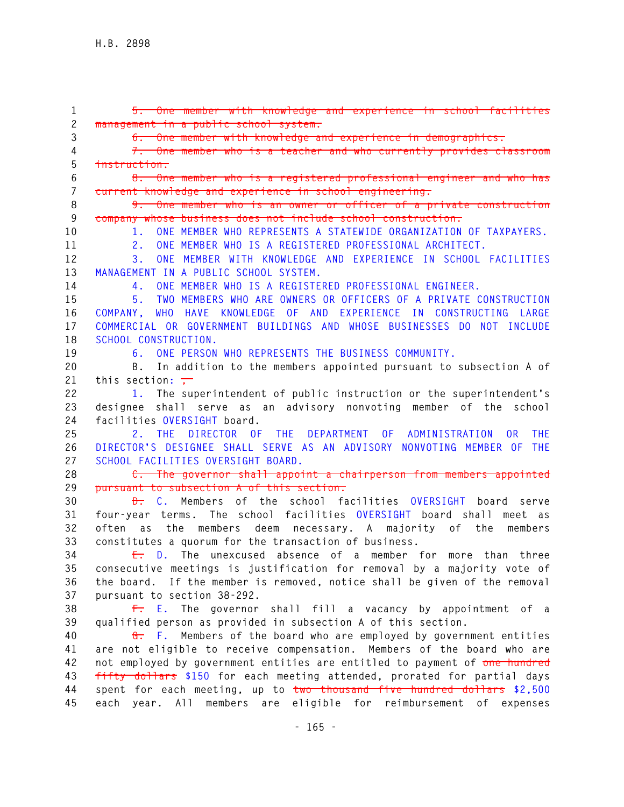**1 5. One member with knowledge and experience in school facilities 2 management in a public school system. 3 6. One member with knowledge and experience in demographics. 4 7. One member who is a teacher and who currently provides classroom 5 instruction. 6 8. One member who is a registered professional engineer and who has 7 current knowledge and experience in school engineering. 8 9. One member who is an owner or officer of a private construction 9 company whose business does not include school construction. 10 1. ONE MEMBER WHO REPRESENTS A STATEWIDE ORGANIZATION OF TAXPAYERS. 11 2. ONE MEMBER WHO IS A REGISTERED PROFESSIONAL ARCHITECT. 12 3. ONE MEMBER WITH KNOWLEDGE AND EXPERIENCE IN SCHOOL FACILITIES 13 MANAGEMENT IN A PUBLIC SCHOOL SYSTEM. 14 4. ONE MEMBER WHO IS A REGISTERED PROFESSIONAL ENGINEER. 15 5. TWO MEMBERS WHO ARE OWNERS OR OFFICERS OF A PRIVATE CONSTRUCTION 16 COMPANY, WHO HAVE KNOWLEDGE OF AND EXPERIENCE IN CONSTRUCTING LARGE 17 COMMERCIAL OR GOVERNMENT BUILDINGS AND WHOSE BUSINESSES DO NOT INCLUDE 18 SCHOOL CONSTRUCTION. 19 6. ONE PERSON WHO REPRESENTS THE BUSINESS COMMUNITY. 20 B. In addition to the members appointed pursuant to subsection A of**  21 this section:  $\frac{1}{1}$ **22 1. The superintendent of public instruction or the superintendent's 23 designee shall serve as an advisory nonvoting member of the school 24 facilities OVERSIGHT board. 25 2. THE DIRECTOR OF THE DEPARTMENT OF ADMINISTRATION OR THE 26 DIRECTOR'S DESIGNEE SHALL SERVE AS AN ADVISORY NONVOTING MEMBER OF THE 27 SCHOOL FACILITIES OVERSIGHT BOARD. 28 C. The governor shall appoint a chairperson from members appointed 29 pursuant to subsection A of this section. 30 D. C. Members of the school facilities OVERSIGHT board serve 31 four-year terms. The school facilities OVERSIGHT board shall meet as 32 often as the members deem necessary. A majority of the members 33 constitutes a quorum for the transaction of business. 34 E. D. The unexcused absence of a member for more than three 35 consecutive meetings is justification for removal by a majority vote of 36 the board. If the member is removed, notice shall be given of the removal 37 pursuant to section 38-292. 38 F. E. The governor shall fill a vacancy by appointment of a 39 qualified person as provided in subsection A of this section. 40 G. F. Members of the board who are employed by government entities 41 are not eligible to receive compensation. Members of the board who are 42 not employed by government entities are entitled to payment of one hundred 43 fifty dollars \$150 for each meeting attended, prorated for partial days 44 spent for each meeting, up to two thousand five hundred dollars \$2,500 45 each year. All members are eligible for reimbursement of expenses**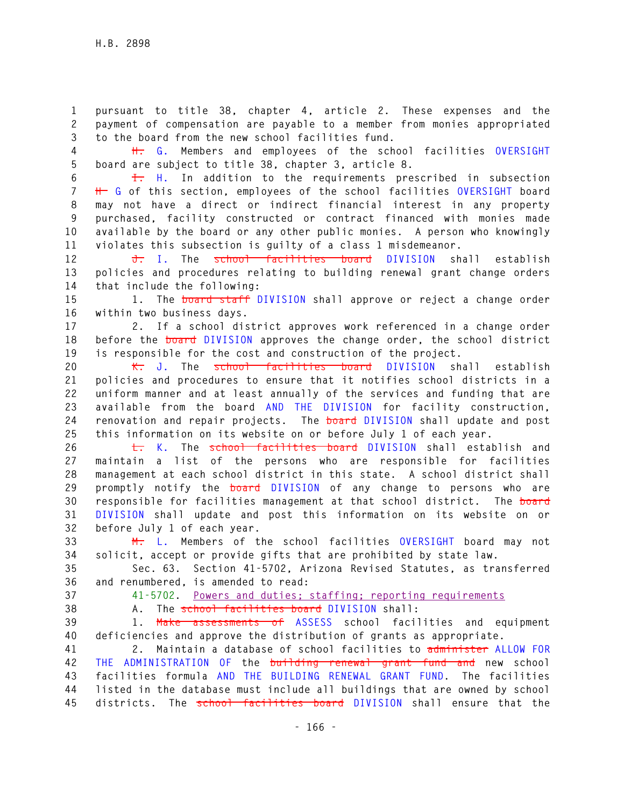**1 pursuant to title 38, chapter 4, article 2. These expenses and the 2 payment of compensation are payable to a member from monies appropriated 3 to the board from the new school facilities fund.** 

**4 H. G. Members and employees of the school facilities OVERSIGHT 5 board are subject to title 38, chapter 3, article 8.** 

**6 I. H. In addition to the requirements prescribed in subsection 7 H G of this section, employees of the school facilities OVERSIGHT board 8 may not have a direct or indirect financial interest in any property 9 purchased, facility constructed or contract financed with monies made 10 available by the board or any other public monies. A person who knowingly 11 violates this subsection is guilty of a class 1 misdemeanor.** 

**12 J. I. The school facilities board DIVISION shall establish 13 policies and procedures relating to building renewal grant change orders 14 that include the following:** 

**15 1. The board staff DIVISION shall approve or reject a change order 16 within two business days.** 

**17 2. If a school district approves work referenced in a change order 18 before the board DIVISION approves the change order, the school district 19 is responsible for the cost and construction of the project.** 

**20 K. J. The school facilities board DIVISION shall establish 21 policies and procedures to ensure that it notifies school districts in a 22 uniform manner and at least annually of the services and funding that are 23 available from the board AND THE DIVISION for facility construction, 24 renovation and repair projects. The board DIVISION shall update and post 25 this information on its website on or before July 1 of each year.** 

**26 L. K. The school facilities board DIVISION shall establish and 27 maintain a list of the persons who are responsible for facilities 28 management at each school district in this state. A school district shall 29 promptly notify the board DIVISION of any change to persons who are 30 responsible for facilities management at that school district. The board 31 DIVISION shall update and post this information on its website on or 32 before July 1 of each year.** 

**33 M. L. Members of the school facilities OVERSIGHT board may not 34 solicit, accept or provide gifts that are prohibited by state law.** 

**35 Sec. 63. Section 41-5702, Arizona Revised Statutes, as transferred 36 and renumbered, is amended to read:** 

**37 41-5702. Powers and duties; staffing; reporting requirements**

**38 A. The school facilities board DIVISION shall:** 

**39 1. Make assessments of ASSESS school facilities and equipment 40 deficiencies and approve the distribution of grants as appropriate.** 

**41 2. Maintain a database of school facilities to administer ALLOW FOR 42 THE ADMINISTRATION OF the building renewal grant fund and new school 43 facilities formula AND THE BUILDING RENEWAL GRANT FUND. The facilities 44 listed in the database must include all buildings that are owned by school 45 districts. The school facilities board DIVISION shall ensure that the**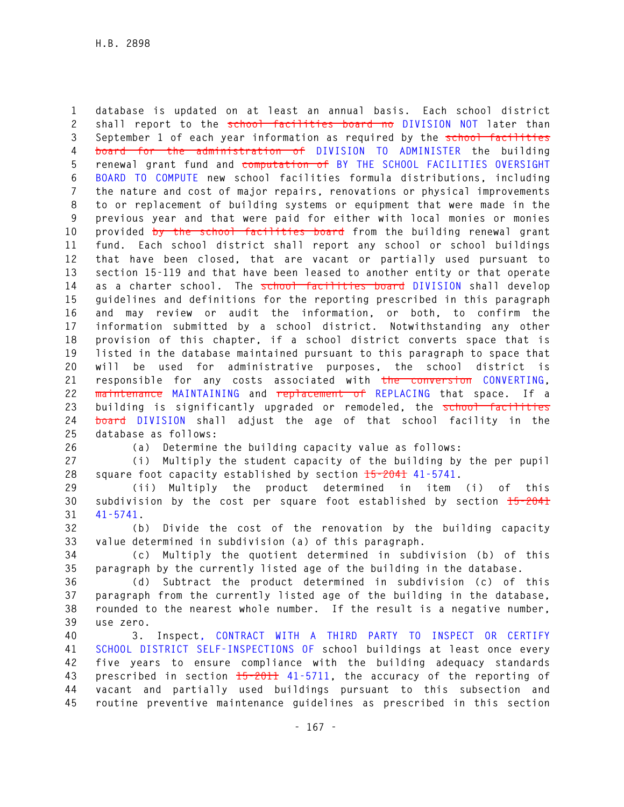**1 database is updated on at least an annual basis. Each school district 2 shall report to the school facilities board no DIVISION NOT later than 3 September 1 of each year information as required by the school facilities 4 board for the administration of DIVISION TO ADMINISTER the building 5 renewal grant fund and computation of BY THE SCHOOL FACILITIES OVERSIGHT 6 BOARD TO COMPUTE new school facilities formula distributions, including 7 the nature and cost of major repairs, renovations or physical improvements 8 to or replacement of building systems or equipment that were made in the 9 previous year and that were paid for either with local monies or monies 10 provided by the school facilities board from the building renewal grant 11 fund. Each school district shall report any school or school buildings 12 that have been closed, that are vacant or partially used pursuant to 13 section 15-119 and that have been leased to another entity or that operate 14 as a charter school. The school facilities board DIVISION shall develop 15 guidelines and definitions for the reporting prescribed in this paragraph 16 and may review or audit the information, or both, to confirm the 17 information submitted by a school district. Notwithstanding any other 18 provision of this chapter, if a school district converts space that is 19 listed in the database maintained pursuant to this paragraph to space that 20 will be used for administrative purposes, the school district is 21 responsible for any costs associated with the conversion CONVERTING, 22 maintenance MAINTAINING and replacement of REPLACING that space. If a 23 building is significantly upgraded or remodeled, the school facilities 24 board DIVISION shall adjust the age of that school facility in the 25 database as follows:** 

**26 (a) Determine the building capacity value as follows:** 

**27 (i) Multiply the student capacity of the building by the per pupil 28 square foot capacity established by section 15-2041 41-5741.** 

**29 (ii) Multiply the product determined in item (i) of this 30 subdivision by the cost per square foot established by section 15-2041 31 41-5741.** 

**32 (b) Divide the cost of the renovation by the building capacity 33 value determined in subdivision (a) of this paragraph.** 

**34 (c) Multiply the quotient determined in subdivision (b) of this 35 paragraph by the currently listed age of the building in the database.** 

**36 (d) Subtract the product determined in subdivision (c) of this 37 paragraph from the currently listed age of the building in the database, 38 rounded to the nearest whole number. If the result is a negative number, 39 use zero.** 

**40 3. Inspect, CONTRACT WITH A THIRD PARTY TO INSPECT OR CERTIFY 41 SCHOOL DISTRICT SELF-INSPECTIONS OF school buildings at least once every 42 five years to ensure compliance with the building adequacy standards 43 prescribed in section 15-2011 41-5711, the accuracy of the reporting of 44 vacant and partially used buildings pursuant to this subsection and 45 routine preventive maintenance guidelines as prescribed in this section**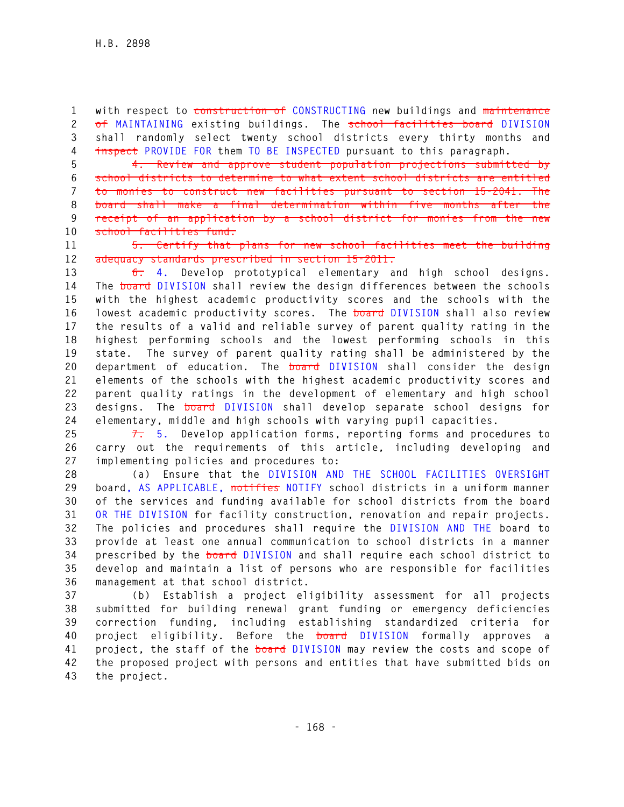**1 with respect to construction of CONSTRUCTING new buildings and maintenance 2 of MAINTAINING existing buildings. The school facilities board DIVISION 3 shall randomly select twenty school districts every thirty months and 4 inspect PROVIDE FOR them TO BE INSPECTED pursuant to this paragraph.**

**5 4. Review and approve student population projections submitted by 6 school districts to determine to what extent school districts are entitled 7 to monies to construct new facilities pursuant to section 15-2041. The 8 board shall make a final determination within five months after the 9 receipt of an application by a school district for monies from the new 10 school facilities fund.** 

**11 5. Certify that plans for new school facilities meet the building 12 adequacy standards prescribed in section 15-2011.** 

**13 6. 4. Develop prototypical elementary and high school designs. 14 The board DIVISION shall review the design differences between the schools 15 with the highest academic productivity scores and the schools with the 16 lowest academic productivity scores. The board DIVISION shall also review 17 the results of a valid and reliable survey of parent quality rating in the 18 highest performing schools and the lowest performing schools in this 19 state. The survey of parent quality rating shall be administered by the 20 department of education. The board DIVISION shall consider the design 21 elements of the schools with the highest academic productivity scores and 22 parent quality ratings in the development of elementary and high school 23 designs. The board DIVISION shall develop separate school designs for 24 elementary, middle and high schools with varying pupil capacities.** 

**25 7. 5. Develop application forms, reporting forms and procedures to 26 carry out the requirements of this article, including developing and 27 implementing policies and procedures to:** 

**28 (a) Ensure that the DIVISION AND THE SCHOOL FACILITIES OVERSIGHT 29 board, AS APPLICABLE, notifies NOTIFY school districts in a uniform manner 30 of the services and funding available for school districts from the board 31 OR THE DIVISION for facility construction, renovation and repair projects. 32 The policies and procedures shall require the DIVISION AND THE board to 33 provide at least one annual communication to school districts in a manner 34 prescribed by the board DIVISION and shall require each school district to 35 develop and maintain a list of persons who are responsible for facilities 36 management at that school district.** 

**37 (b) Establish a project eligibility assessment for all projects 38 submitted for building renewal grant funding or emergency deficiencies 39 correction funding, including establishing standardized criteria for 40 project eligibility. Before the board DIVISION formally approves a 41 project, the staff of the board DIVISION may review the costs and scope of 42 the proposed project with persons and entities that have submitted bids on 43 the project.**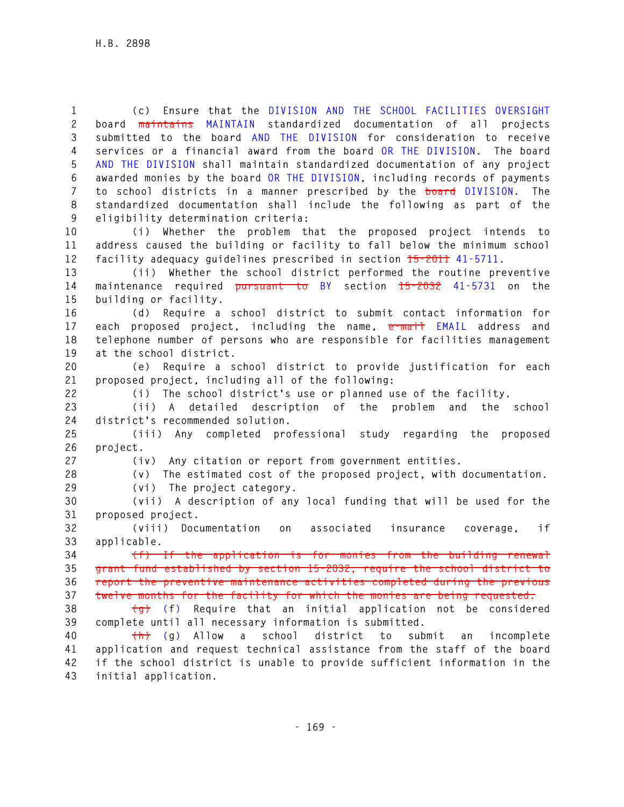**1 (c) Ensure that the DIVISION AND THE SCHOOL FACILITIES OVERSIGHT 2 board maintains MAINTAIN standardized documentation of all projects 3 submitted to the board AND THE DIVISION for consideration to receive 4 services or a financial award from the board OR THE DIVISION. The board 5 AND THE DIVISION shall maintain standardized documentation of any project 6 awarded monies by the board OR THE DIVISION, including records of payments 7 to school districts in a manner prescribed by the board DIVISION. The 8 standardized documentation shall include the following as part of the 9 eligibility determination criteria:** 

**10 (i) Whether the problem that the proposed project intends to 11 address caused the building or facility to fall below the minimum school 12 facility adequacy guidelines prescribed in section 15-2011 41-5711.** 

**13 (ii) Whether the school district performed the routine preventive 14 maintenance required pursuant to BY section 15-2032 41-5731 on the 15 building or facility.** 

**16 (d) Require a school district to submit contact information for 17 each proposed project, including the name, e-mail EMAIL address and 18 telephone number of persons who are responsible for facilities management 19 at the school district.** 

**20 (e) Require a school district to provide justification for each 21 proposed project, including all of the following:** 

**22 (i) The school district's use or planned use of the facility.** 

**23 (ii) A detailed description of the problem and the school 24 district's recommended solution.** 

**25 (iii) Any completed professional study regarding the proposed 26 project.** 

**27 (iv) Any citation or report from government entities.** 

**28 (v) The estimated cost of the proposed project, with documentation.** 

**29 (vi) The project category.** 

**30 (vii) A description of any local funding that will be used for the 31 proposed project.** 

**32 (viii) Documentation on associated insurance coverage, if 33 applicable.** 

**34 (f) If the application is for monies from the building renewal 35 grant fund established by section 15-2032, require the school district to 36 report the preventive maintenance activities completed during the previous 37 twelve months for the facility for which the monies are being requested.** 

**38 (g) (f) Require that an initial application not be considered 39 complete until all necessary information is submitted.** 

**40 (h) (g) Allow a school district to submit an incomplete 41 application and request technical assistance from the staff of the board 42 if the school district is unable to provide sufficient information in the 43 initial application.**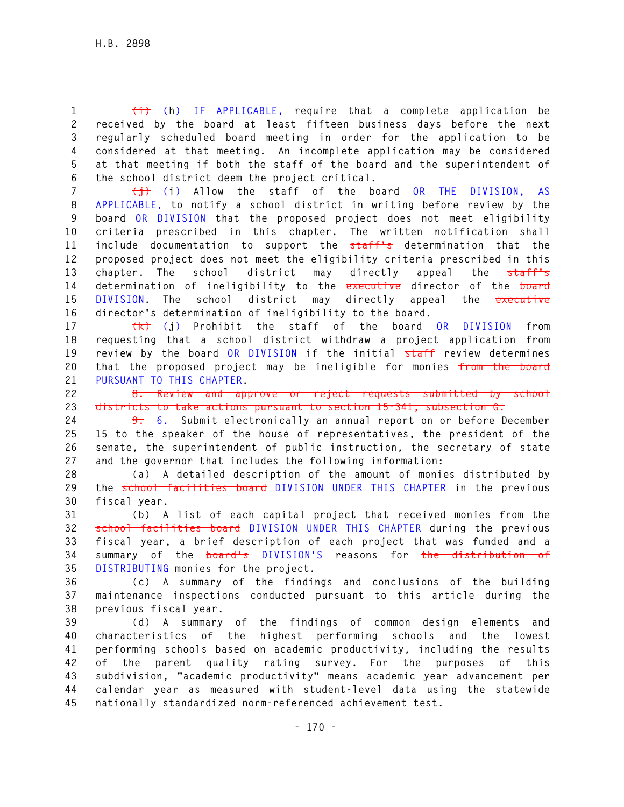**1 (i) (h) IF APPLICABLE, require that a complete application be 2 received by the board at least fifteen business days before the next 3 regularly scheduled board meeting in order for the application to be 4 considered at that meeting. An incomplete application may be considered 5 at that meeting if both the staff of the board and the superintendent of 6 the school district deem the project critical.** 

**7 (j) (i) Allow the staff of the board OR THE DIVISION, AS 8 APPLICABLE, to notify a school district in writing before review by the 9 board OR DIVISION that the proposed project does not meet eligibility 10 criteria prescribed in this chapter. The written notification shall 11 include documentation to support the staff's determination that the 12 proposed project does not meet the eligibility criteria prescribed in this 13 chapter. The school district may directly appeal the staff's 14 determination of ineligibility to the executive director of the board 15 DIVISION. The school district may directly appeal the executive 16 director's determination of ineligibility to the board.** 

**17 (k) (j) Prohibit the staff of the board OR DIVISION from 18 requesting that a school district withdraw a project application from 19 review by the board OR DIVISION if the initial staff review determines 20 that the proposed project may be ineligible for monies from the board 21 PURSUANT TO THIS CHAPTER.** 

**22 8. Review and approve or reject requests submitted by school 23 districts to take actions pursuant to section 15-341, subsection G.** 

**24 9. 6. Submit electronically an annual report on or before December 25 15 to the speaker of the house of representatives, the president of the 26 senate, the superintendent of public instruction, the secretary of state 27 and the governor that includes the following information:** 

**28 (a) A detailed description of the amount of monies distributed by 29 the school facilities board DIVISION UNDER THIS CHAPTER in the previous 30 fiscal year.** 

**31 (b) A list of each capital project that received monies from the 32 school facilities board DIVISION UNDER THIS CHAPTER during the previous 33 fiscal year, a brief description of each project that was funded and a 34 summary of the board's DIVISION'S reasons for the distribution of 35 DISTRIBUTING monies for the project.** 

**36 (c) A summary of the findings and conclusions of the building 37 maintenance inspections conducted pursuant to this article during the 38 previous fiscal year.** 

**39 (d) A summary of the findings of common design elements and 40 characteristics of the highest performing schools and the lowest 41 performing schools based on academic productivity, including the results 42 of the parent quality rating survey. For the purposes of this 43 subdivision, "academic productivity" means academic year advancement per 44 calendar year as measured with student-level data using the statewide 45 nationally standardized norm-referenced achievement test.**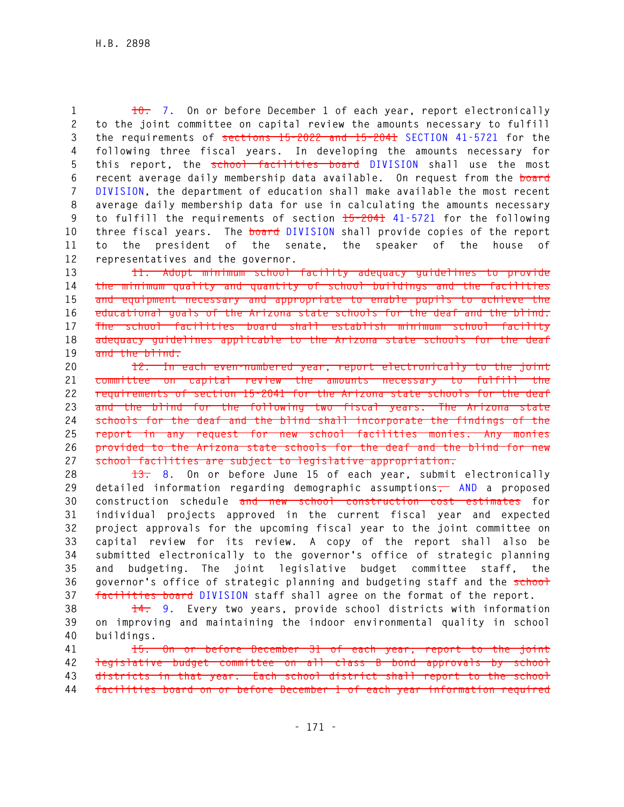**1 10. 7. On or before December 1 of each year, report electronically 2 to the joint committee on capital review the amounts necessary to fulfill 3 the requirements of sections 15-2022 and 15-2041 SECTION 41-5721 for the 4 following three fiscal years. In developing the amounts necessary for 5 this report, the school facilities board DIVISION shall use the most 6 recent average daily membership data available. On request from the board 7 DIVISION, the department of education shall make available the most recent 8 average daily membership data for use in calculating the amounts necessary 9 to fulfill the requirements of section 15-2041 41-5721 for the following 10 three fiscal years. The board DIVISION shall provide copies of the report 11 to the president of the senate, the speaker of the house of 12 representatives and the governor.** 

**13 11. Adopt minimum school facility adequacy guidelines to provide 14 the minimum quality and quantity of school buildings and the facilities 15 and equipment necessary and appropriate to enable pupils to achieve the 16 educational goals of the Arizona state schools for the deaf and the blind. 17 The school facilities board shall establish minimum school facility 18 adequacy guidelines applicable to the Arizona state schools for the deaf 19 and the blind.** 

**20 12. In each even-numbered year, report electronically to the joint 21 committee on capital review the amounts necessary to fulfill the 22 requirements of section 15-2041 for the Arizona state schools for the deaf 23 and the blind for the following two fiscal years. The Arizona state 24 schools for the deaf and the blind shall incorporate the findings of the 25 report in any request for new school facilities monies. Any monies 26 provided to the Arizona state schools for the deaf and the blind for new 27 school facilities are subject to legislative appropriation.** 

**28 13. 8. On or before June 15 of each year, submit electronically 29 detailed information regarding demographic assumptions, AND a proposed 30 construction schedule and new school construction cost estimates for 31 individual projects approved in the current fiscal year and expected 32 project approvals for the upcoming fiscal year to the joint committee on 33 capital review for its review. A copy of the report shall also be 34 submitted electronically to the governor's office of strategic planning 35 and budgeting. The joint legislative budget committee staff, the**  36 governor's office of strategic planning and budgeting staff and the school **37 facilities board DIVISION staff shall agree on the format of the report.** 

**38 14. 9. Every two years, provide school districts with information 39 on improving and maintaining the indoor environmental quality in school 40 buildings.** 

**41 15. On or before December 31 of each year, report to the joint 42 legislative budget committee on all class B bond approvals by school 43 districts in that year. Each school district shall report to the school 44 facilities board on or before December 1 of each year information required**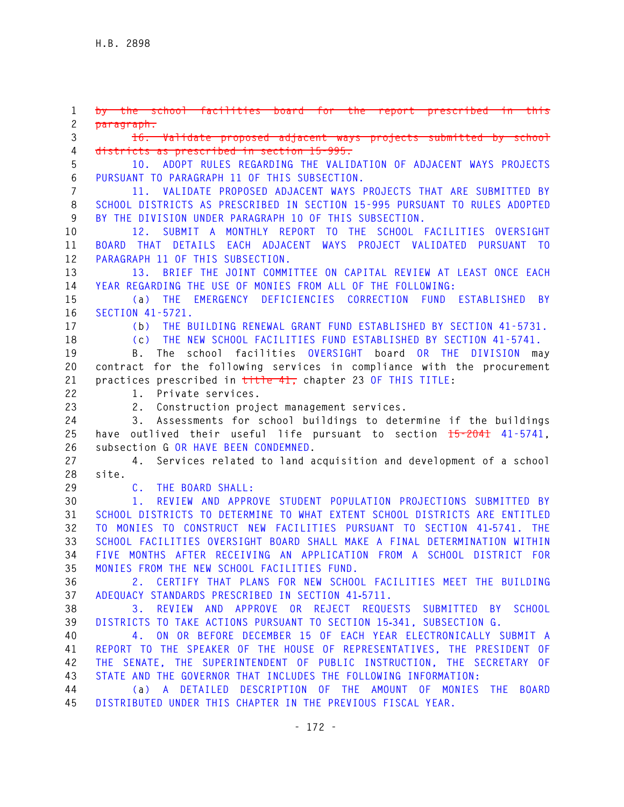**1 by the school facilities board for the report prescribed in this 2 paragraph. 3 16. Validate proposed adjacent ways projects submitted by school 4 districts as prescribed in section 15-995. 5 10. ADOPT RULES REGARDING THE VALIDATION OF ADJACENT WAYS PROJECTS 6 PURSUANT TO PARAGRAPH 11 OF THIS SUBSECTION. 7 11. VALIDATE PROPOSED ADJACENT WAYS PROJECTS THAT ARE SUBMITTED BY 8 SCHOOL DISTRICTS AS PRESCRIBED IN SECTION 15-995 PURSUANT TO RULES ADOPTED 9 BY THE DIVISION UNDER PARAGRAPH 10 OF THIS SUBSECTION. 10 12. SUBMIT A MONTHLY REPORT TO THE SCHOOL FACILITIES OVERSIGHT 11 BOARD THAT DETAILS EACH ADJACENT WAYS PROJECT VALIDATED PURSUANT TO 12 PARAGRAPH 11 OF THIS SUBSECTION. 13 13. BRIEF THE JOINT COMMITTEE ON CAPITAL REVIEW AT LEAST ONCE EACH 14 YEAR REGARDING THE USE OF MONIES FROM ALL OF THE FOLLOWING: 15 (a) THE EMERGENCY DEFICIENCIES CORRECTION FUND ESTABLISHED BY 16 SECTION 41-5721. 17 (b) THE BUILDING RENEWAL GRANT FUND ESTABLISHED BY SECTION 41-5731. 18 (c) THE NEW SCHOOL FACILITIES FUND ESTABLISHED BY SECTION 41-5741. 19 B. The school facilities OVERSIGHT board OR THE DIVISION may 20 contract for the following services in compliance with the procurement 21 practices prescribed in title 41, chapter 23 OF THIS TITLE: 22 1. Private services. 23 2. Construction project management services. 24 3. Assessments for school buildings to determine if the buildings 25 have outlived their useful life pursuant to section 15-2041 41-5741, 26 subsection G OR HAVE BEEN CONDEMNED. 27 4. Services related to land acquisition and development of a school 28 site. 29 C. THE BOARD SHALL: 30 1. REVIEW AND APPROVE STUDENT POPULATION PROJECTIONS SUBMITTED BY 31 SCHOOL DISTRICTS TO DETERMINE TO WHAT EXTENT SCHOOL DISTRICTS ARE ENTITLED 32 TO MONIES TO CONSTRUCT NEW FACILITIES PURSUANT TO SECTION 41**‑**5741. THE 33 SCHOOL FACILITIES OVERSIGHT BOARD SHALL MAKE A FINAL DETERMINATION WITHIN 34 FIVE MONTHS AFTER RECEIVING AN APPLICATION FROM A SCHOOL DISTRICT FOR 35 MONIES FROM THE NEW SCHOOL FACILITIES FUND. 36 2. CERTIFY THAT PLANS FOR NEW SCHOOL FACILITIES MEET THE BUILDING 37 ADEQUACY STANDARDS PRESCRIBED IN SECTION 41**‑**5711. 38 3. REVIEW AND APPROVE OR REJECT REQUESTS SUBMITTED BY SCHOOL 39 DISTRICTS TO TAKE ACTIONS PURSUANT TO SECTION 15**‑**341, SUBSECTION G. 40 4. ON OR BEFORE DECEMBER 15 OF EACH YEAR ELECTRONICALLY SUBMIT A 41 REPORT TO THE SPEAKER OF THE HOUSE OF REPRESENTATIVES, THE PRESIDENT OF 42 THE SENATE, THE SUPERINTENDENT OF PUBLIC INSTRUCTION, THE SECRETARY OF 43 STATE AND THE GOVERNOR THAT INCLUDES THE FOLLOWING INFORMATION: 44 (a) A DETAILED DESCRIPTION OF THE AMOUNT OF MONIES THE BOARD 45 DISTRIBUTED UNDER THIS CHAPTER IN THE PREVIOUS FISCAL YEAR.**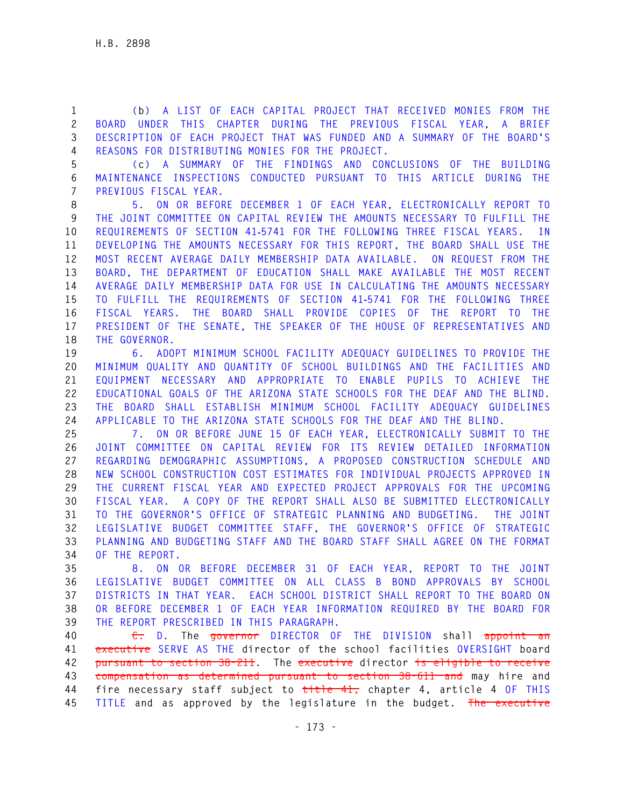**1 (b) A LIST OF EACH CAPITAL PROJECT THAT RECEIVED MONIES FROM THE 2 BOARD UNDER THIS CHAPTER DURING THE PREVIOUS FISCAL YEAR, A BRIEF 3 DESCRIPTION OF EACH PROJECT THAT WAS FUNDED AND A SUMMARY OF THE BOARD'S 4 REASONS FOR DISTRIBUTING MONIES FOR THE PROJECT.** 

**5 (c) A SUMMARY OF THE FINDINGS AND CONCLUSIONS OF THE BUILDING 6 MAINTENANCE INSPECTIONS CONDUCTED PURSUANT TO THIS ARTICLE DURING THE 7 PREVIOUS FISCAL YEAR.** 

**8 5. ON OR BEFORE DECEMBER 1 OF EACH YEAR, ELECTRONICALLY REPORT TO 9 THE JOINT COMMITTEE ON CAPITAL REVIEW THE AMOUNTS NECESSARY TO FULFILL THE 10 REQUIREMENTS OF SECTION 41**‑**5741 FOR THE FOLLOWING THREE FISCAL YEARS. IN 11 DEVELOPING THE AMOUNTS NECESSARY FOR THIS REPORT, THE BOARD SHALL USE THE 12 MOST RECENT AVERAGE DAILY MEMBERSHIP DATA AVAILABLE. ON REQUEST FROM THE 13 BOARD, THE DEPARTMENT OF EDUCATION SHALL MAKE AVAILABLE THE MOST RECENT 14 AVERAGE DAILY MEMBERSHIP DATA FOR USE IN CALCULATING THE AMOUNTS NECESSARY 15 TO FULFILL THE REQUIREMENTS OF SECTION 41**‑**5741 FOR THE FOLLOWING THREE 16 FISCAL YEARS. THE BOARD SHALL PROVIDE COPIES OF THE REPORT TO THE 17 PRESIDENT OF THE SENATE, THE SPEAKER OF THE HOUSE OF REPRESENTATIVES AND 18 THE GOVERNOR.** 

**19 6. ADOPT MINIMUM SCHOOL FACILITY ADEQUACY GUIDELINES TO PROVIDE THE 20 MINIMUM QUALITY AND QUANTITY OF SCHOOL BUILDINGS AND THE FACILITIES AND 21 EQUIPMENT NECESSARY AND APPROPRIATE TO ENABLE PUPILS TO ACHIEVE THE 22 EDUCATIONAL GOALS OF THE ARIZONA STATE SCHOOLS FOR THE DEAF AND THE BLIND. 23 THE BOARD SHALL ESTABLISH MINIMUM SCHOOL FACILITY ADEQUACY GUIDELINES 24 APPLICABLE TO THE ARIZONA STATE SCHOOLS FOR THE DEAF AND THE BLIND.** 

**25 7. ON OR BEFORE JUNE 15 OF EACH YEAR, ELECTRONICALLY SUBMIT TO THE 26 JOINT COMMITTEE ON CAPITAL REVIEW FOR ITS REVIEW DETAILED INFORMATION 27 REGARDING DEMOGRAPHIC ASSUMPTIONS, A PROPOSED CONSTRUCTION SCHEDULE AND 28 NEW SCHOOL CONSTRUCTION COST ESTIMATES FOR INDIVIDUAL PROJECTS APPROVED IN 29 THE CURRENT FISCAL YEAR AND EXPECTED PROJECT APPROVALS FOR THE UPCOMING 30 FISCAL YEAR. A COPY OF THE REPORT SHALL ALSO BE SUBMITTED ELECTRONICALLY 31 TO THE GOVERNOR'S OFFICE OF STRATEGIC PLANNING AND BUDGETING. THE JOINT 32 LEGISLATIVE BUDGET COMMITTEE STAFF, THE GOVERNOR'S OFFICE OF STRATEGIC 33 PLANNING AND BUDGETING STAFF AND THE BOARD STAFF SHALL AGREE ON THE FORMAT 34 OF THE REPORT.** 

**35 8. ON OR BEFORE DECEMBER 31 OF EACH YEAR, REPORT TO THE JOINT 36 LEGISLATIVE BUDGET COMMITTEE ON ALL CLASS B BOND APPROVALS BY SCHOOL 37 DISTRICTS IN THAT YEAR. EACH SCHOOL DISTRICT SHALL REPORT TO THE BOARD ON 38 OR BEFORE DECEMBER 1 OF EACH YEAR INFORMATION REQUIRED BY THE BOARD FOR 39 THE REPORT PRESCRIBED IN THIS PARAGRAPH.**

**40 C. D. The governor DIRECTOR OF THE DIVISION shall appoint an 41 executive SERVE AS THE director of the school facilities OVERSIGHT board 42 pursuant to section 38-211. The executive director is eligible to receive 43 compensation as determined pursuant to section 38-611 and may hire and 44 fire necessary staff subject to title 41, chapter 4, article 4 OF THIS 45 TITLE and as approved by the legislature in the budget. The executive**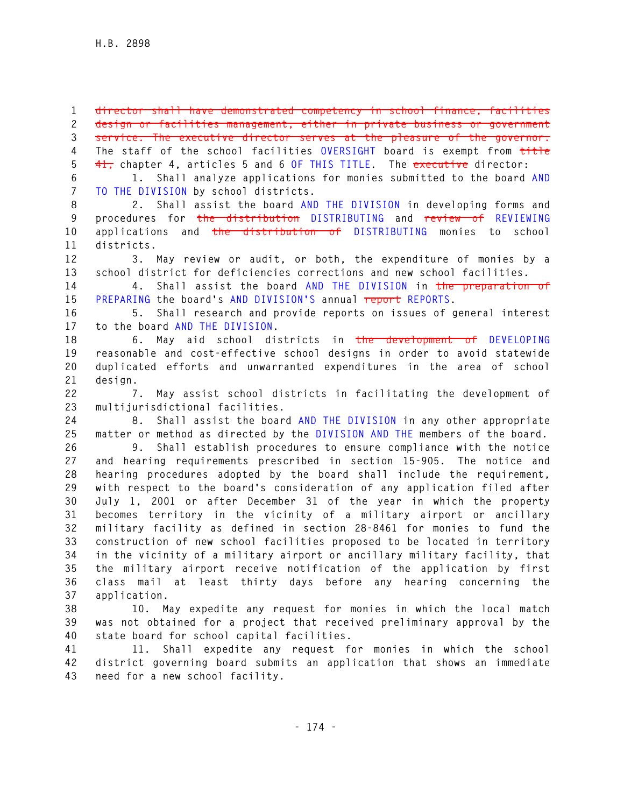**1 director shall have demonstrated competency in school finance, facilities 2 design or facilities management, either in private business or government 3 service. The executive director serves at the pleasure of the governor. 4 The staff of the school facilities OVERSIGHT board is exempt from title 5 41, chapter 4, articles 5 and 6 OF THIS TITLE. The executive director:** 

**6 1. Shall analyze applications for monies submitted to the board AND 7 TO THE DIVISION by school districts.** 

**8 2. Shall assist the board AND THE DIVISION in developing forms and 9 procedures for the distribution DISTRIBUTING and review of REVIEWING 10 applications and the distribution of DISTRIBUTING monies to school 11 districts.** 

**12 3. May review or audit, or both, the expenditure of monies by a 13 school district for deficiencies corrections and new school facilities.** 

**14 4. Shall assist the board AND THE DIVISION in the preparation of 15 PREPARING the board's AND DIVISION'S annual report REPORTS.** 

**16 5. Shall research and provide reports on issues of general interest 17 to the board AND THE DIVISION.** 

**18 6. May aid school districts in the development of DEVELOPING 19 reasonable and cost-effective school designs in order to avoid statewide 20 duplicated efforts and unwarranted expenditures in the area of school 21 design.** 

**22 7. May assist school districts in facilitating the development of 23 multijurisdictional facilities.** 

**24 8. Shall assist the board AND THE DIVISION in any other appropriate 25 matter or method as directed by the DIVISION AND THE members of the board.** 

**26 9. Shall establish procedures to ensure compliance with the notice 27 and hearing requirements prescribed in section 15-905. The notice and 28 hearing procedures adopted by the board shall include the requirement, 29 with respect to the board's consideration of any application filed after 30 July 1, 2001 or after December 31 of the year in which the property 31 becomes territory in the vicinity of a military airport or ancillary 32 military facility as defined in section 28-8461 for monies to fund the 33 construction of new school facilities proposed to be located in territory 34 in the vicinity of a military airport or ancillary military facility, that 35 the military airport receive notification of the application by first 36 class mail at least thirty days before any hearing concerning the 37 application.** 

**38 10. May expedite any request for monies in which the local match 39 was not obtained for a project that received preliminary approval by the 40 state board for school capital facilities.** 

**41 11. Shall expedite any request for monies in which the school 42 district governing board submits an application that shows an immediate 43 need for a new school facility.**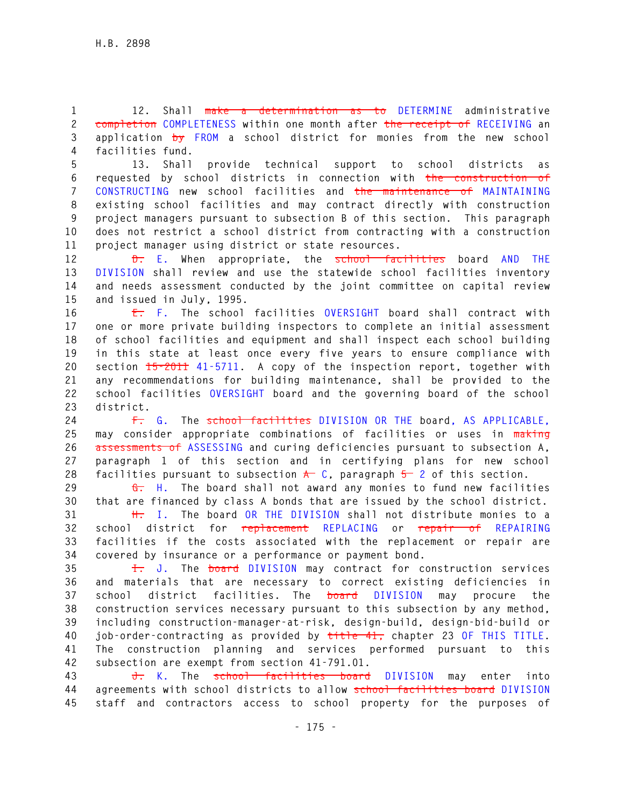**1 12. Shall make a determination as to DETERMINE administrative 2 completion COMPLETENESS within one month after the receipt of RECEIVING an 3 application by FROM a school district for monies from the new school 4 facilities fund.** 

**5 13. Shall provide technical support to school districts as 6 requested by school districts in connection with the construction of 7 CONSTRUCTING new school facilities and the maintenance of MAINTAINING 8 existing school facilities and may contract directly with construction 9 project managers pursuant to subsection B of this section. This paragraph 10 does not restrict a school district from contracting with a construction 11 project manager using district or state resources.** 

**12 D. E. When appropriate, the school facilities board AND THE 13 DIVISION shall review and use the statewide school facilities inventory 14 and needs assessment conducted by the joint committee on capital review 15 and issued in July, 1995.** 

**16 E. F. The school facilities OVERSIGHT board shall contract with 17 one or more private building inspectors to complete an initial assessment 18 of school facilities and equipment and shall inspect each school building 19 in this state at least once every five years to ensure compliance with 20 section 15-2011 41-5711. A copy of the inspection report, together with 21 any recommendations for building maintenance, shall be provided to the 22 school facilities OVERSIGHT board and the governing board of the school 23 district.** 

**24 F. G. The school facilities DIVISION OR THE board, AS APPLICABLE, 25 may consider appropriate combinations of facilities or uses in making 26 assessments of ASSESSING and curing deficiencies pursuant to subsection A, 27 paragraph 1 of this section and in certifying plans for new school**  28 facilities pursuant to subsection  $\star$  C, paragraph  $5$  2 of this section.

**29 G. H. The board shall not award any monies to fund new facilities 30 that are financed by class A bonds that are issued by the school district.** 

**31 H. I. The board OR THE DIVISION shall not distribute monies to a 32 school district for replacement REPLACING or repair of REPAIRING 33 facilities if the costs associated with the replacement or repair are 34 covered by insurance or a performance or payment bond.** 

**35 I. J. The board DIVISION may contract for construction services 36 and materials that are necessary to correct existing deficiencies in 37 school district facilities. The board DIVISION may procure the 38 construction services necessary pursuant to this subsection by any method, 39 including construction-manager-at-risk, design-build, design-bid-build or 40 job-order-contracting as provided by title 41, chapter 23 OF THIS TITLE. 41 The construction planning and services performed pursuant to this 42 subsection are exempt from section 41-791.01.** 

**43 J. K. The school facilities board DIVISION may enter into 44 agreements with school districts to allow school facilities board DIVISION 45 staff and contractors access to school property for the purposes of**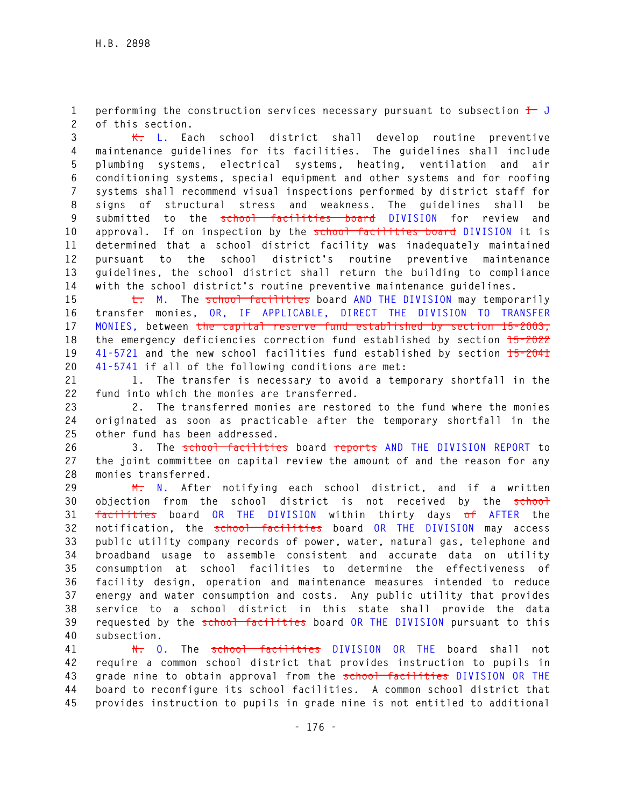**1** performing the construction services necessary pursuant to subsection  $\frac{1}{\sqrt{1-\frac{1}{n}}}$ **2 of this section.** 

**3 K. L. Each school district shall develop routine preventive 4 maintenance guidelines for its facilities. The guidelines shall include 5 plumbing systems, electrical systems, heating, ventilation and air 6 conditioning systems, special equipment and other systems and for roofing 7 systems shall recommend visual inspections performed by district staff for 8 signs of structural stress and weakness. The guidelines shall be 9 submitted to the school facilities board DIVISION for review and 10 approval. If on inspection by the school facilities board DIVISION it is 11 determined that a school district facility was inadequately maintained 12 pursuant to the school district's routine preventive maintenance 13 guidelines, the school district shall return the building to compliance 14 with the school district's routine preventive maintenance guidelines.** 

**15 L. M. The school facilities board AND THE DIVISION may temporarily 16 transfer monies, OR, IF APPLICABLE, DIRECT THE DIVISION TO TRANSFER 17 MONIES, between the capital reserve fund established by section 15-2003, 18 the emergency deficiencies correction fund established by section 15-2022 19 41-5721 and the new school facilities fund established by section 15-2041 20 41-5741 if all of the following conditions are met:** 

**21 1. The transfer is necessary to avoid a temporary shortfall in the 22 fund into which the monies are transferred.** 

**23 2. The transferred monies are restored to the fund where the monies 24 originated as soon as practicable after the temporary shortfall in the 25 other fund has been addressed.** 

**26 3. The school facilities board reports AND THE DIVISION REPORT to 27 the joint committee on capital review the amount of and the reason for any 28 monies transferred.** 

**29 M. N. After notifying each school district, and if a written 30 objection from the school district is not received by the school 31 facilities board OR THE DIVISION within thirty days of AFTER the 32 notification, the school facilities board OR THE DIVISION may access 33 public utility company records of power, water, natural gas, telephone and 34 broadband usage to assemble consistent and accurate data on utility 35 consumption at school facilities to determine the effectiveness of 36 facility design, operation and maintenance measures intended to reduce 37 energy and water consumption and costs. Any public utility that provides 38 service to a school district in this state shall provide the data 39 requested by the school facilities board OR THE DIVISION pursuant to this 40 subsection.** 

**41 N. O. The school facilities DIVISION OR THE board shall not 42 require a common school district that provides instruction to pupils in 43 grade nine to obtain approval from the school facilities DIVISION OR THE 44 board to reconfigure its school facilities. A common school district that 45 provides instruction to pupils in grade nine is not entitled to additional**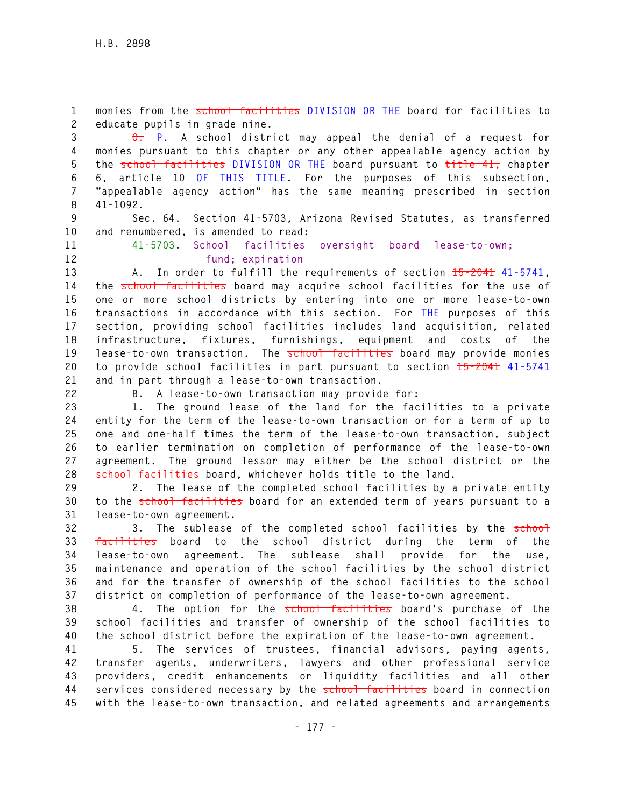**1 monies from the school facilities DIVISION OR THE board for facilities to 2 educate pupils in grade nine.** 

**3 O. P. A school district may appeal the denial of a request for 4 monies pursuant to this chapter or any other appealable agency action by 5 the school facilities DIVISION OR THE board pursuant to title 41, chapter 6 6, article 10 OF THIS TITLE. For the purposes of this subsection, 7 "appealable agency action" has the same meaning prescribed in section 8 41-1092.** 

**9 Sec. 64. Section 41-5703, Arizona Revised Statutes, as transferred 10 and renumbered, is amended to read:** 

**11 41-5703. School facilities oversight board lease-to-own; 12 fund; expiration**

**13 A. In order to fulfill the requirements of section 15-2041 41-5741, 14 the school facilities board may acquire school facilities for the use of 15 one or more school districts by entering into one or more lease-to-own 16 transactions in accordance with this section. For THE purposes of this 17 section, providing school facilities includes land acquisition, related 18 infrastructure, fixtures, furnishings, equipment and costs of the**  19 lease-to-own transaction. The **school facilities** board may provide monies **20 to provide school facilities in part pursuant to section 15-2041 41-5741 21 and in part through a lease-to-own transaction.** 

**22 B. A lease-to-own transaction may provide for:** 

**23 1. The ground lease of the land for the facilities to a private 24 entity for the term of the lease-to-own transaction or for a term of up to 25 one and one-half times the term of the lease-to-own transaction, subject 26 to earlier termination on completion of performance of the lease-to-own 27 agreement. The ground lessor may either be the school district or the 28 school facilities board, whichever holds title to the land.** 

**29 2. The lease of the completed school facilities by a private entity 30 to the school facilities board for an extended term of years pursuant to a 31 lease-to-own agreement.** 

**32 3. The sublease of the completed school facilities by the school 33 facilities board to the school district during the term of the 34 lease-to-own agreement. The sublease shall provide for the use, 35 maintenance and operation of the school facilities by the school district 36 and for the transfer of ownership of the school facilities to the school 37 district on completion of performance of the lease-to-own agreement.** 

**38 4. The option for the school facilities board's purchase of the 39 school facilities and transfer of ownership of the school facilities to 40 the school district before the expiration of the lease-to-own agreement.** 

**41 5. The services of trustees, financial advisors, paying agents, 42 transfer agents, underwriters, lawyers and other professional service 43 providers, credit enhancements or liquidity facilities and all other 44 services considered necessary by the school facilities board in connection 45 with the lease-to-own transaction, and related agreements and arrangements**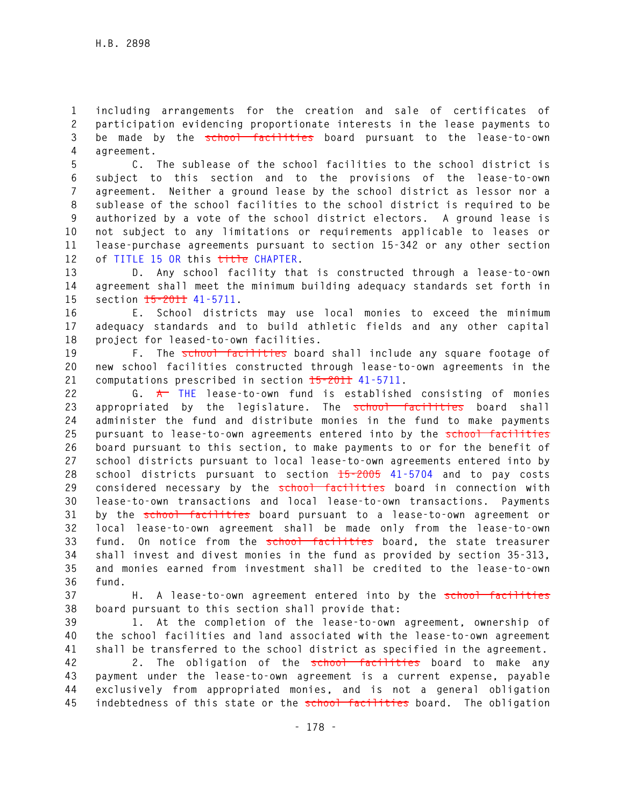**1 including arrangements for the creation and sale of certificates of 2 participation evidencing proportionate interests in the lease payments to 3 be made by the school facilities board pursuant to the lease-to-own 4 agreement.** 

**5 C. The sublease of the school facilities to the school district is 6 subject to this section and to the provisions of the lease-to-own 7 agreement. Neither a ground lease by the school district as lessor nor a 8 sublease of the school facilities to the school district is required to be 9 authorized by a vote of the school district electors. A ground lease is 10 not subject to any limitations or requirements applicable to leases or 11 lease-purchase agreements pursuant to section 15-342 or any other section 12 of TITLE 15 OR this title CHAPTER.** 

**13 D. Any school facility that is constructed through a lease-to-own 14 agreement shall meet the minimum building adequacy standards set forth in 15 section 15-2011 41-5711.** 

**16 E. School districts may use local monies to exceed the minimum 17 adequacy standards and to build athletic fields and any other capital 18 project for leased-to-own facilities.** 

19 **F.** The **school facilities** board shall include any square footage of **20 new school facilities constructed through lease-to-own agreements in the 21 computations prescribed in section 15-2011 41-5711.** 

**22 G. A THE lease-to-own fund is established consisting of monies 23 appropriated by the legislature. The school facilities board shall 24 administer the fund and distribute monies in the fund to make payments 25 pursuant to lease-to-own agreements entered into by the school facilities 26 board pursuant to this section, to make payments to or for the benefit of 27 school districts pursuant to local lease-to-own agreements entered into by 28 school districts pursuant to section 15-2005 41-5704 and to pay costs**  29 considered necessary by the school facilities board in connection with **30 lease-to-own transactions and local lease-to-own transactions. Payments 31 by the school facilities board pursuant to a lease-to-own agreement or 32 local lease-to-own agreement shall be made only from the lease-to-own**  33 fund. On notice from the school facilities board, the state treasurer **34 shall invest and divest monies in the fund as provided by section 35-313, 35 and monies earned from investment shall be credited to the lease-to-own 36 fund.** 

**37 H. A lease-to-own agreement entered into by the school facilities 38 board pursuant to this section shall provide that:** 

**39 1. At the completion of the lease-to-own agreement, ownership of 40 the school facilities and land associated with the lease-to-own agreement 41 shall be transferred to the school district as specified in the agreement.** 

**42 2. The obligation of the school facilities board to make any 43 payment under the lease-to-own agreement is a current expense, payable 44 exclusively from appropriated monies, and is not a general obligation 45 indebtedness of this state or the school facilities board. The obligation**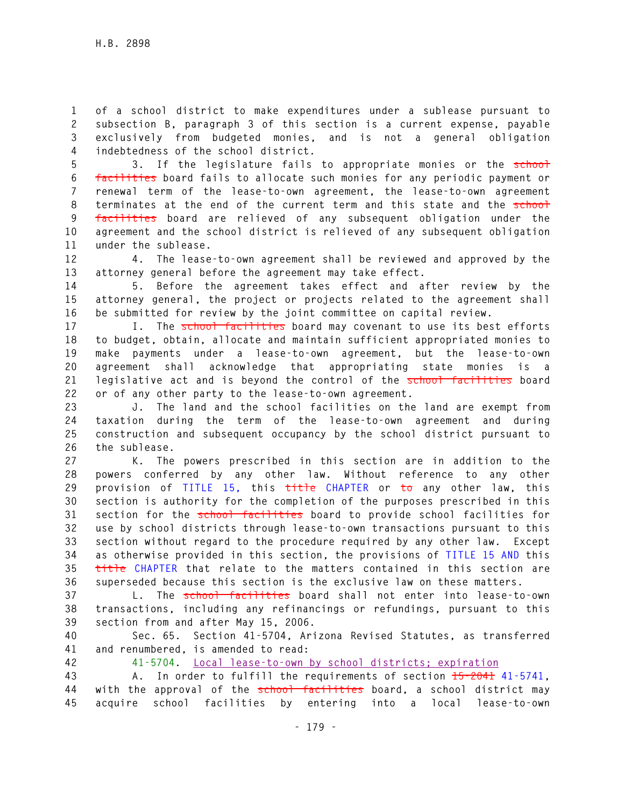**1 of a school district to make expenditures under a sublease pursuant to 2 subsection B, paragraph 3 of this section is a current expense, payable 3 exclusively from budgeted monies, and is not a general obligation 4 indebtedness of the school district.** 

**5 3. If the legislature fails to appropriate monies or the school 6 facilities board fails to allocate such monies for any periodic payment or 7 renewal term of the lease-to-own agreement, the lease-to-own agreement**  8 terminates at the end of the current term and this state and the school **9 facilities board are relieved of any subsequent obligation under the 10 agreement and the school district is relieved of any subsequent obligation 11 under the sublease.** 

**12 4. The lease-to-own agreement shall be reviewed and approved by the 13 attorney general before the agreement may take effect.** 

**14 5. Before the agreement takes effect and after review by the 15 attorney general, the project or projects related to the agreement shall 16 be submitted for review by the joint committee on capital review.** 

**17 I. The school facilities board may covenant to use its best efforts 18 to budget, obtain, allocate and maintain sufficient appropriated monies to 19 make payments under a lease-to-own agreement, but the lease-to-own 20 agreement shall acknowledge that appropriating state monies is a 21 legislative act and is beyond the control of the school facilities board 22 or of any other party to the lease-to-own agreement.** 

**23 J. The land and the school facilities on the land are exempt from 24 taxation during the term of the lease-to-own agreement and during 25 construction and subsequent occupancy by the school district pursuant to 26 the sublease.** 

**27 K. The powers prescribed in this section are in addition to the 28 powers conferred by any other law. Without reference to any other 29 provision of TITLE 15, this title CHAPTER or to any other law, this 30 section is authority for the completion of the purposes prescribed in this 31 section for the school facilities board to provide school facilities for 32 use by school districts through lease-to-own transactions pursuant to this 33 section without regard to the procedure required by any other law. Except 34 as otherwise provided in this section, the provisions of TITLE 15 AND this 35 title CHAPTER that relate to the matters contained in this section are 36 superseded because this section is the exclusive law on these matters.** 

**37 L. The school facilities board shall not enter into lease-to-own 38 transactions, including any refinancings or refundings, pursuant to this 39 section from and after May 15, 2006.** 

**40 Sec. 65. Section 41-5704, Arizona Revised Statutes, as transferred 41 and renumbered, is amended to read:** 

**42 41-5704. Local lease-to-own by school districts; expiration**

**43 A. In order to fulfill the requirements of section 15-2041 41-5741, 44 with the approval of the school facilities board, a school district may 45 acquire school facilities by entering into a local lease-to-own**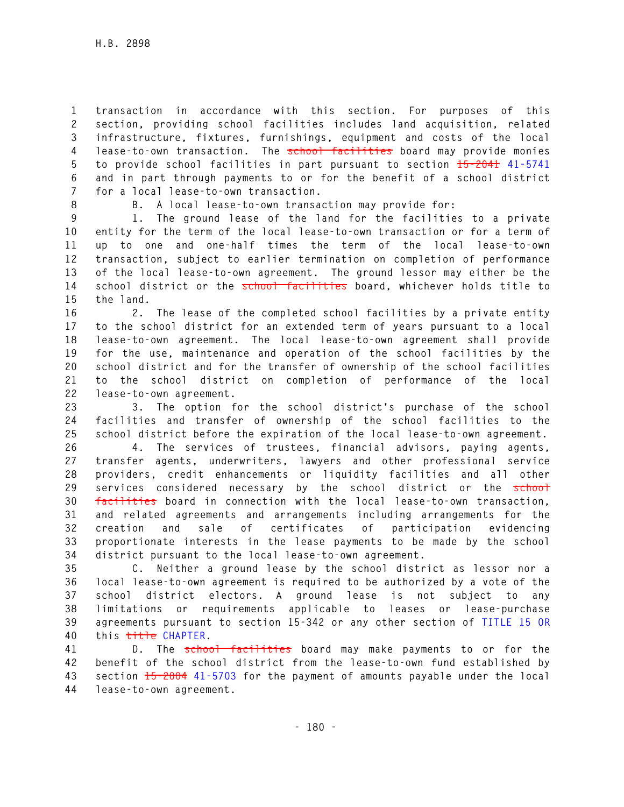**1 transaction in accordance with this section. For purposes of this 2 section, providing school facilities includes land acquisition, related 3 infrastructure, fixtures, furnishings, equipment and costs of the local 4 lease-to-own transaction. The school facilities board may provide monies 5 to provide school facilities in part pursuant to section 15-2041 41-5741 6 and in part through payments to or for the benefit of a school district 7 for a local lease-to-own transaction.** 

**8 B. A local lease-to-own transaction may provide for:** 

**9 1. The ground lease of the land for the facilities to a private 10 entity for the term of the local lease-to-own transaction or for a term of 11 up to one and one-half times the term of the local lease-to-own 12 transaction, subject to earlier termination on completion of performance 13 of the local lease-to-own agreement. The ground lessor may either be the 14 school district or the school facilities board, whichever holds title to 15 the land.** 

**16 2. The lease of the completed school facilities by a private entity 17 to the school district for an extended term of years pursuant to a local 18 lease-to-own agreement. The local lease-to-own agreement shall provide 19 for the use, maintenance and operation of the school facilities by the 20 school district and for the transfer of ownership of the school facilities 21 to the school district on completion of performance of the local 22 lease-to-own agreement.** 

**23 3. The option for the school district's purchase of the school 24 facilities and transfer of ownership of the school facilities to the 25 school district before the expiration of the local lease-to-own agreement.** 

**26 4. The services of trustees, financial advisors, paying agents, 27 transfer agents, underwriters, lawyers and other professional service 28 providers, credit enhancements or liquidity facilities and all other 29 services considered necessary by the school district or the school 30 facilities board in connection with the local lease-to-own transaction, 31 and related agreements and arrangements including arrangements for the 32 creation and sale of certificates of participation evidencing 33 proportionate interests in the lease payments to be made by the school 34 district pursuant to the local lease-to-own agreement.** 

**35 C. Neither a ground lease by the school district as lessor nor a 36 local lease-to-own agreement is required to be authorized by a vote of the 37 school district electors. A ground lease is not subject to any 38 limitations or requirements applicable to leases or lease-purchase 39 agreements pursuant to section 15-342 or any other section of TITLE 15 OR 40 this title CHAPTER.** 

**41 D. The school facilities board may make payments to or for the 42 benefit of the school district from the lease-to-own fund established by 43 section 15-2004 41-5703 for the payment of amounts payable under the local 44 lease-to-own agreement.**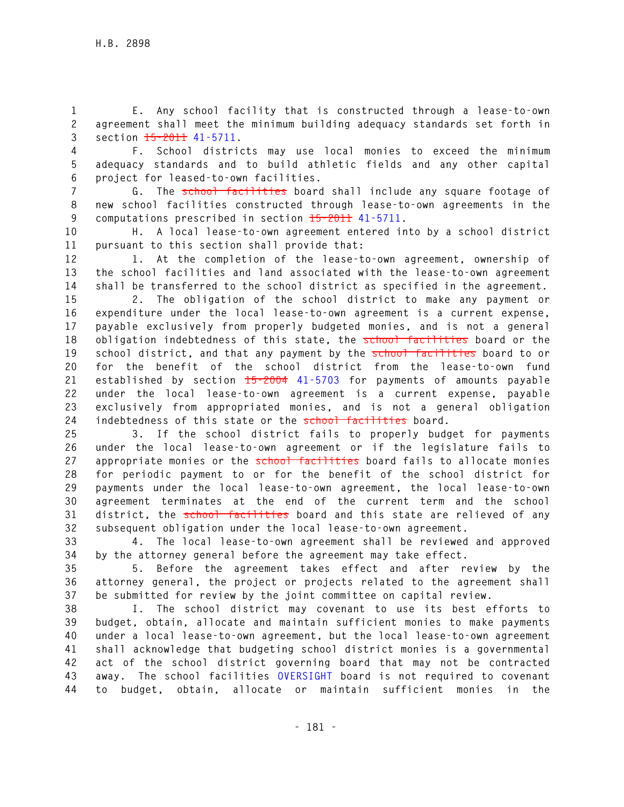**1 E. Any school facility that is constructed through a lease-to-own 2 agreement shall meet the minimum building adequacy standards set forth in 3 section 15-2011 41-5711.** 

**4 F. School districts may use local monies to exceed the minimum 5 adequacy standards and to build athletic fields and any other capital 6 project for leased-to-own facilities.** 

**7 G. The school facilities board shall include any square footage of 8 new school facilities constructed through lease-to-own agreements in the 9 computations prescribed in section 15-2011 41-5711.** 

**10 H. A local lease-to-own agreement entered into by a school district 11 pursuant to this section shall provide that:** 

**12 1. At the completion of the lease-to-own agreement, ownership of 13 the school facilities and land associated with the lease-to-own agreement 14 shall be transferred to the school district as specified in the agreement.** 

**15 2. The obligation of the school district to make any payment or 16 expenditure under the local lease-to-own agreement is a current expense, 17 payable exclusively from properly budgeted monies, and is not a general**  18 obligation indebtedness of this state, the school facilities board or the 19 school district, and that any payment by the school facilities board to or **20 for the benefit of the school district from the lease-to-own fund 21 established by section 15-2004 41-5703 for payments of amounts payable 22 under the local lease-to-own agreement is a current expense, payable 23 exclusively from appropriated monies, and is not a general obligation**  24 indebtedness of this state or the **school facilities** board.

**25 3. If the school district fails to properly budget for payments 26 under the local lease-to-own agreement or if the legislature fails to**  27 appropriate monies or the **school facilities** board fails to allocate monies **28 for periodic payment to or for the benefit of the school district for 29 payments under the local lease-to-own agreement, the local lease-to-own 30 agreement terminates at the end of the current term and the school 31 district, the school facilities board and this state are relieved of any 32 subsequent obligation under the local lease-to-own agreement.** 

**33 4. The local lease-to-own agreement shall be reviewed and approved 34 by the attorney general before the agreement may take effect.** 

**35 5. Before the agreement takes effect and after review by the 36 attorney general, the project or projects related to the agreement shall 37 be submitted for review by the joint committee on capital review.** 

**38 I. The school district may covenant to use its best efforts to 39 budget, obtain, allocate and maintain sufficient monies to make payments 40 under a local lease-to-own agreement, but the local lease-to-own agreement 41 shall acknowledge that budgeting school district monies is a governmental 42 act of the school district governing board that may not be contracted 43 away. The school facilities OVERSIGHT board is not required to covenant 44 to budget, obtain, allocate or maintain sufficient monies in the**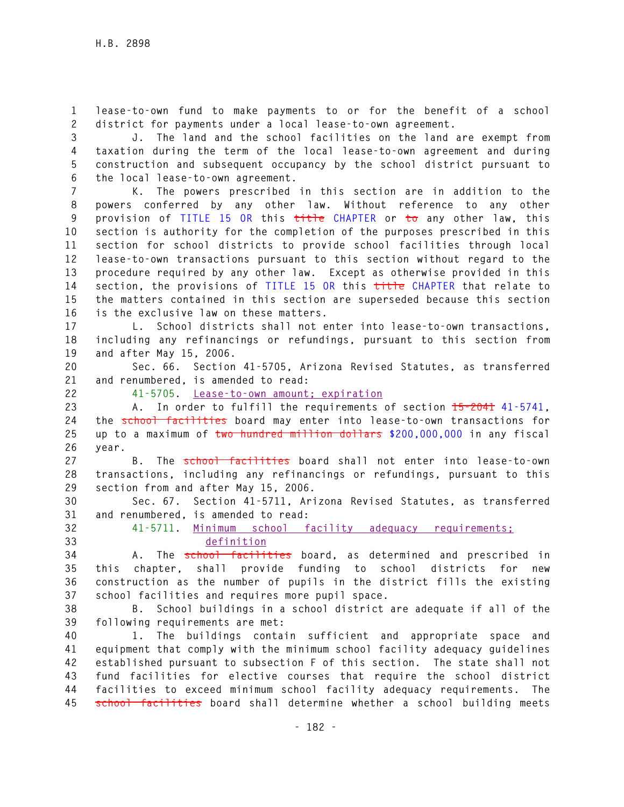**1 lease-to-own fund to make payments to or for the benefit of a school 2 district for payments under a local lease-to-own agreement.** 

**3 J. The land and the school facilities on the land are exempt from 4 taxation during the term of the local lease-to-own agreement and during 5 construction and subsequent occupancy by the school district pursuant to 6 the local lease-to-own agreement.** 

**7 K. The powers prescribed in this section are in addition to the 8 powers conferred by any other law. Without reference to any other 9 provision of TITLE 15 OR this title CHAPTER or to any other law, this 10 section is authority for the completion of the purposes prescribed in this 11 section for school districts to provide school facilities through local 12 lease-to-own transactions pursuant to this section without regard to the 13 procedure required by any other law. Except as otherwise provided in this 14 section, the provisions of TITLE 15 OR this title CHAPTER that relate to 15 the matters contained in this section are superseded because this section 16 is the exclusive law on these matters.** 

**17 L. School districts shall not enter into lease-to-own transactions, 18 including any refinancings or refundings, pursuant to this section from 19 and after May 15, 2006.** 

**20 Sec. 66. Section 41-5705, Arizona Revised Statutes, as transferred 21 and renumbered, is amended to read:** 

**22 41-5705. Lease-to-own amount; expiration**

**23 A. In order to fulfill the requirements of section 15-2041 41-5741, 24 the school facilities board may enter into lease-to-own transactions for 25 up to a maximum of two hundred million dollars \$200,000,000 in any fiscal 26 year.** 

**27 B. The school facilities board shall not enter into lease-to-own 28 transactions, including any refinancings or refundings, pursuant to this 29 section from and after May 15, 2006.** 

**30 Sec. 67. Section 41-5711, Arizona Revised Statutes, as transferred 31 and renumbered, is amended to read:** 

**32 41-5711. Minimum school facility adequacy requirements; 33 definition**

**34 A. The school facilities board, as determined and prescribed in 35 this chapter, shall provide funding to school districts for new 36 construction as the number of pupils in the district fills the existing 37 school facilities and requires more pupil space.** 

**38 B. School buildings in a school district are adequate if all of the 39 following requirements are met:** 

**40 1. The buildings contain sufficient and appropriate space and 41 equipment that comply with the minimum school facility adequacy guidelines 42 established pursuant to subsection F of this section. The state shall not 43 fund facilities for elective courses that require the school district 44 facilities to exceed minimum school facility adequacy requirements. The 45 school facilities board shall determine whether a school building meets**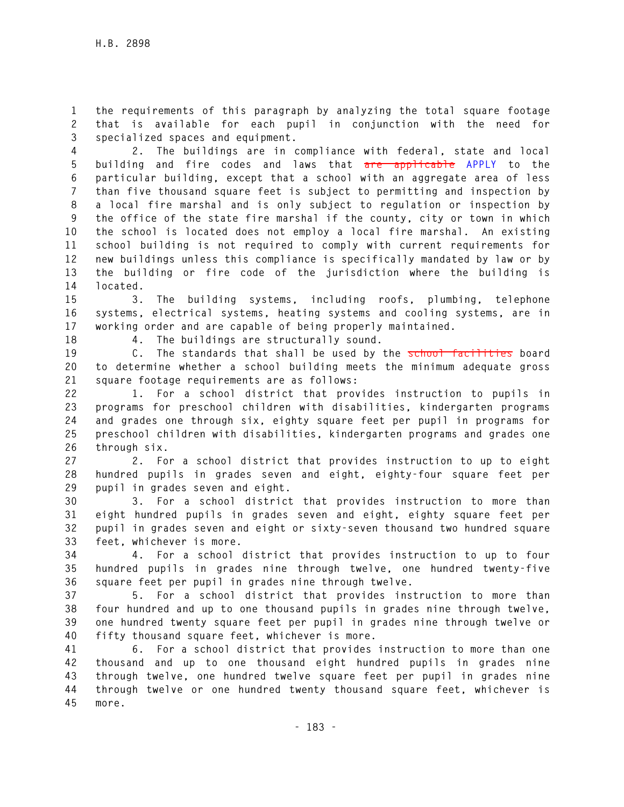**1 the requirements of this paragraph by analyzing the total square footage 2 that is available for each pupil in conjunction with the need for 3 specialized spaces and equipment.** 

**4 2. The buildings are in compliance with federal, state and local 5 building and fire codes and laws that are applicable APPLY to the 6 particular building, except that a school with an aggregate area of less 7 than five thousand square feet is subject to permitting and inspection by 8 a local fire marshal and is only subject to regulation or inspection by 9 the office of the state fire marshal if the county, city or town in which 10 the school is located does not employ a local fire marshal. An existing 11 school building is not required to comply with current requirements for 12 new buildings unless this compliance is specifically mandated by law or by 13 the building or fire code of the jurisdiction where the building is 14 located.** 

**15 3. The building systems, including roofs, plumbing, telephone 16 systems, electrical systems, heating systems and cooling systems, are in 17 working order and are capable of being properly maintained.** 

**18 4. The buildings are structurally sound.** 

**19 C. The standards that shall be used by the school facilities board 20 to determine whether a school building meets the minimum adequate gross 21 square footage requirements are as follows:** 

**22 1. For a school district that provides instruction to pupils in 23 programs for preschool children with disabilities, kindergarten programs 24 and grades one through six, eighty square feet per pupil in programs for 25 preschool children with disabilities, kindergarten programs and grades one 26 through six.** 

**27 2. For a school district that provides instruction to up to eight 28 hundred pupils in grades seven and eight, eighty-four square feet per 29 pupil in grades seven and eight.** 

**30 3. For a school district that provides instruction to more than 31 eight hundred pupils in grades seven and eight, eighty square feet per 32 pupil in grades seven and eight or sixty-seven thousand two hundred square 33 feet, whichever is more.** 

**34 4. For a school district that provides instruction to up to four 35 hundred pupils in grades nine through twelve, one hundred twenty-five 36 square feet per pupil in grades nine through twelve.** 

**37 5. For a school district that provides instruction to more than 38 four hundred and up to one thousand pupils in grades nine through twelve, 39 one hundred twenty square feet per pupil in grades nine through twelve or 40 fifty thousand square feet, whichever is more.** 

**41 6. For a school district that provides instruction to more than one 42 thousand and up to one thousand eight hundred pupils in grades nine 43 through twelve, one hundred twelve square feet per pupil in grades nine 44 through twelve or one hundred twenty thousand square feet, whichever is 45 more.**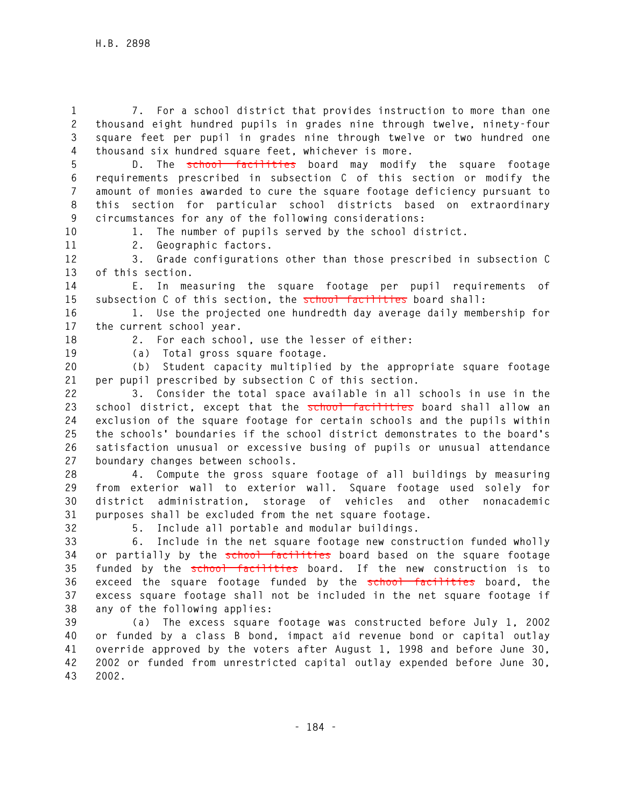**1 7. For a school district that provides instruction to more than one 2 thousand eight hundred pupils in grades nine through twelve, ninety-four 3 square feet per pupil in grades nine through twelve or two hundred one 4 thousand six hundred square feet, whichever is more.** 

**5 D. The school facilities board may modify the square footage 6 requirements prescribed in subsection C of this section or modify the 7 amount of monies awarded to cure the square footage deficiency pursuant to 8 this section for particular school districts based on extraordinary 9 circumstances for any of the following considerations:** 

**10 1. The number of pupils served by the school district.** 

**11 2. Geographic factors.** 

**12 3. Grade configurations other than those prescribed in subsection C 13 of this section.** 

**14 E. In measuring the square footage per pupil requirements of 15 subsection C of this section, the school facilities board shall:** 

**16 1. Use the projected one hundredth day average daily membership for 17 the current school year.** 

**18 2. For each school, use the lesser of either:** 

**19 (a) Total gross square footage.** 

**20 (b) Student capacity multiplied by the appropriate square footage 21 per pupil prescribed by subsection C of this section.** 

**22 3. Consider the total space available in all schools in use in the**  23 school district, except that the school facilities board shall allow an **24 exclusion of the square footage for certain schools and the pupils within 25 the schools' boundaries if the school district demonstrates to the board's 26 satisfaction unusual or excessive busing of pupils or unusual attendance 27 boundary changes between schools.** 

**28 4. Compute the gross square footage of all buildings by measuring 29 from exterior wall to exterior wall. Square footage used solely for 30 district administration, storage of vehicles and other nonacademic 31 purposes shall be excluded from the net square footage.** 

**32 5. Include all portable and modular buildings.** 

**33 6. Include in the net square footage new construction funded wholly 34 or partially by the school facilities board based on the square footage 35 funded by the school facilities board. If the new construction is to 36 exceed the square footage funded by the school facilities board, the 37 excess square footage shall not be included in the net square footage if 38 any of the following applies:** 

**39 (a) The excess square footage was constructed before July 1, 2002 40 or funded by a class B bond, impact aid revenue bond or capital outlay 41 override approved by the voters after August 1, 1998 and before June 30, 42 2002 or funded from unrestricted capital outlay expended before June 30, 43 2002.**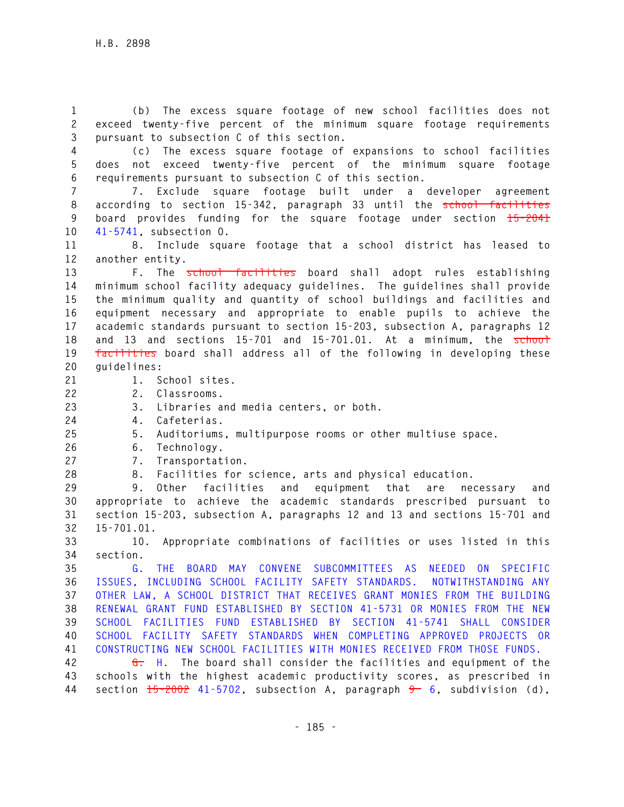**1 (b) The excess square footage of new school facilities does not 2 exceed twenty-five percent of the minimum square footage requirements 3 pursuant to subsection C of this section.** 

**4 (c) The excess square footage of expansions to school facilities 5 does not exceed twenty-five percent of the minimum square footage 6 requirements pursuant to subsection C of this section.** 

**7 7. Exclude square footage built under a developer agreement 8 according to section 15-342, paragraph 33 until the school facilities 9 board provides funding for the square footage under section 15-2041 10 41-5741, subsection O.** 

**11 8. Include square footage that a school district has leased to 12 another entity.** 

**13 F. The school facilities board shall adopt rules establishing 14 minimum school facility adequacy guidelines. The guidelines shall provide 15 the minimum quality and quantity of school buildings and facilities and 16 equipment necessary and appropriate to enable pupils to achieve the 17 academic standards pursuant to section 15-203, subsection A, paragraphs 12**  18 and 13 and sections 15-701 and 15-701.01. At a minimum, the school **19 facilities board shall address all of the following in developing these 20 guidelines:** 

- **21 1. School sites.**
- **22 2. Classrooms.**
- **23 3. Libraries and media centers, or both.**
- **24 4. Cafeterias.**
- **25 5. Auditoriums, multipurpose rooms or other multiuse space.**
- **26 6. Technology.**
- **27 7. Transportation.**

**28 8. Facilities for science, arts and physical education.** 

**29 9. Other facilities and equipment that are necessary and 30 appropriate to achieve the academic standards prescribed pursuant to 31 section 15-203, subsection A, paragraphs 12 and 13 and sections 15-701 and 32 15-701.01.** 

**33 10. Appropriate combinations of facilities or uses listed in this 34 section.** 

**35 G. THE BOARD MAY CONVENE SUBCOMMITTEES AS NEEDED ON SPECIFIC 36 ISSUES, INCLUDING SCHOOL FACILITY SAFETY STANDARDS. NOTWITHSTANDING ANY 37 OTHER LAW, A SCHOOL DISTRICT THAT RECEIVES GRANT MONIES FROM THE BUILDING 38 RENEWAL GRANT FUND ESTABLISHED BY SECTION 41-5731 OR MONIES FROM THE NEW 39 SCHOOL FACILITIES FUND ESTABLISHED BY SECTION 41-5741 SHALL CONSIDER 40 SCHOOL FACILITY SAFETY STANDARDS WHEN COMPLETING APPROVED PROJECTS OR 41 CONSTRUCTING NEW SCHOOL FACILITIES WITH MONIES RECEIVED FROM THOSE FUNDS.**

**42 G. H. The board shall consider the facilities and equipment of the 43 schools with the highest academic productivity scores, as prescribed in**  44 section  $15-2002$  41-5702, subsection A, paragraph  $9-6$ , subdivision (d),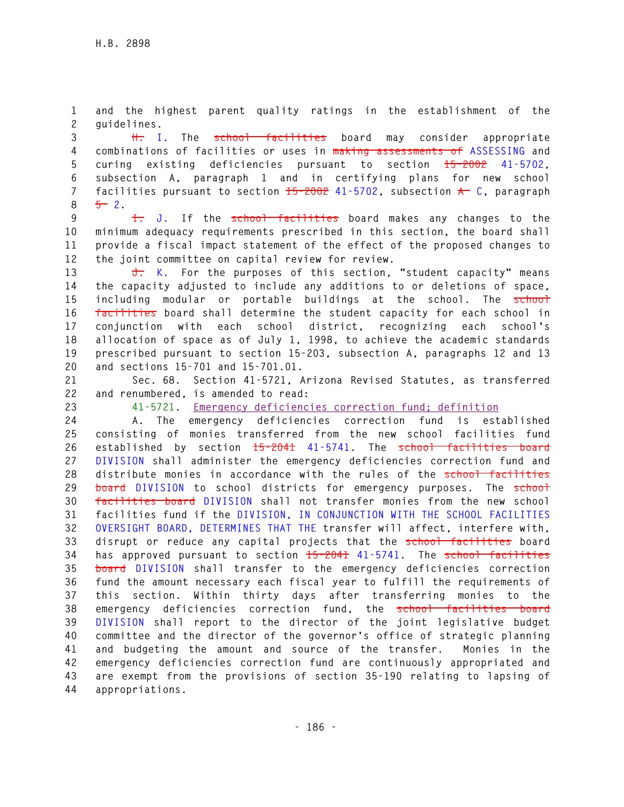**1 and the highest parent quality ratings in the establishment of the 2 guidelines.** 

**3 H. I. The school facilities board may consider appropriate 4 combinations of facilities or uses in making assessments of ASSESSING and 5 curing existing deficiencies pursuant to section 15-2002 41-5702, 6 subsection A, paragraph 1 and in certifying plans for new school 7 facilities pursuant to section 15-2002 41-5702, subsection A C, paragraph 8 5 2.** 

**9 I. J. If the school facilities board makes any changes to the 10 minimum adequacy requirements prescribed in this section, the board shall 11 provide a fiscal impact statement of the effect of the proposed changes to 12 the joint committee on capital review for review.** 

**13 J. K. For the purposes of this section, "student capacity" means 14 the capacity adjusted to include any additions to or deletions of space, 15 including modular or portable buildings at the school. The school 16 facilities board shall determine the student capacity for each school in 17 conjunction with each school district, recognizing each school's 18 allocation of space as of July 1, 1998, to achieve the academic standards 19 prescribed pursuant to section 15-203, subsection A, paragraphs 12 and 13 20 and sections 15-701 and 15-701.01.** 

**21 Sec. 68. Section 41-5721, Arizona Revised Statutes, as transferred 22 and renumbered, is amended to read:** 

**23 41-5721. Emergency deficiencies correction fund; definition** 

**24 A. The emergency deficiencies correction fund is established 25 consisting of monies transferred from the new school facilities fund 26 established by section 15-2041 41-5741. The school facilities board 27 DIVISION shall administer the emergency deficiencies correction fund and 28 distribute monies in accordance with the rules of the school facilities**  29 **board** DIVISION to school districts for emergency purposes. The school **30 facilities board DIVISION shall not transfer monies from the new school 31 facilities fund if the DIVISION, IN CONJUNCTION WITH THE SCHOOL FACILITIES 32 OVERSIGHT BOARD, DETERMINES THAT THE transfer will affect, interfere with, 33 disrupt or reduce any capital projects that the school facilities board 34 has approved pursuant to section 15-2041 41-5741. The school facilities 35 board DIVISION shall transfer to the emergency deficiencies correction 36 fund the amount necessary each fiscal year to fulfill the requirements of 37 this section. Within thirty days after transferring monies to the 38 emergency deficiencies correction fund, the school facilities board 39 DIVISION shall report to the director of the joint legislative budget 40 committee and the director of the governor's office of strategic planning 41 and budgeting the amount and source of the transfer. Monies in the 42 emergency deficiencies correction fund are continuously appropriated and 43 are exempt from the provisions of section 35-190 relating to lapsing of 44 appropriations.**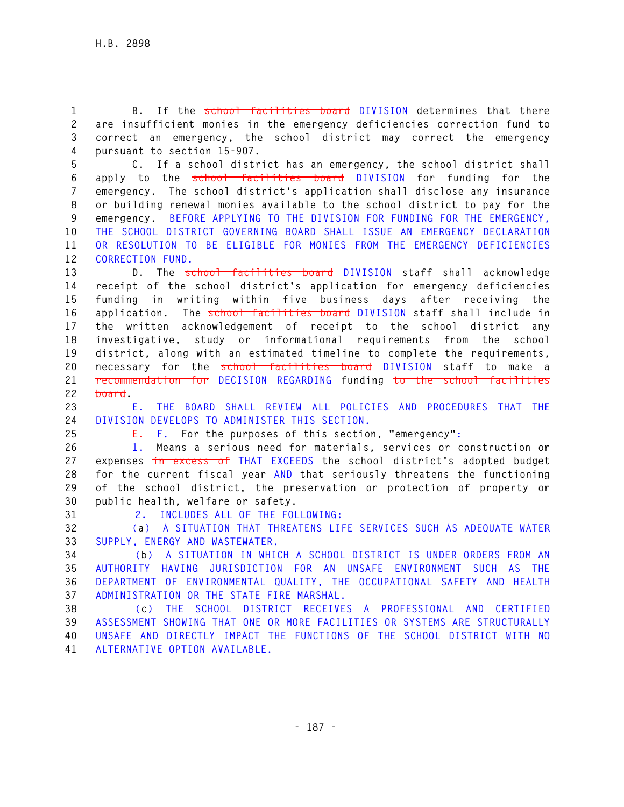**1 B. If the school facilities board DIVISION determines that there 2 are insufficient monies in the emergency deficiencies correction fund to 3 correct an emergency, the school district may correct the emergency 4 pursuant to section 15-907.** 

**5 C. If a school district has an emergency, the school district shall 6 apply to the school facilities board DIVISION for funding for the 7 emergency. The school district's application shall disclose any insurance 8 or building renewal monies available to the school district to pay for the 9 emergency. BEFORE APPLYING TO THE DIVISION FOR FUNDING FOR THE EMERGENCY, 10 THE SCHOOL DISTRICT GOVERNING BOARD SHALL ISSUE AN EMERGENCY DECLARATION 11 OR RESOLUTION TO BE ELIGIBLE FOR MONIES FROM THE EMERGENCY DEFICIENCIES 12 CORRECTION FUND.**

**13 D. The school facilities board DIVISION staff shall acknowledge 14 receipt of the school district's application for emergency deficiencies 15 funding in writing within five business days after receiving the 16 application. The school facilities board DIVISION staff shall include in 17 the written acknowledgement of receipt to the school district any 18 investigative, study or informational requirements from the school 19 district, along with an estimated timeline to complete the requirements, 20 necessary for the school facilities board DIVISION staff to make a 21 recommendation for DECISION REGARDING funding to the school facilities 22 board.** 

**23 E. THE BOARD SHALL REVIEW ALL POLICIES AND PROCEDURES THAT THE 24 DIVISION DEVELOPS TO ADMINISTER THIS SECTION.** 

**25 E. F. For the purposes of this section, "emergency":** 

**26 1. Means a serious need for materials, services or construction or 27 expenses in excess of THAT EXCEEDS the school district's adopted budget 28 for the current fiscal year AND that seriously threatens the functioning 29 of the school district, the preservation or protection of property or 30 public health, welfare or safety.** 

**31 2. INCLUDES ALL OF THE FOLLOWING:** 

**32 (a) A SITUATION THAT THREATENS LIFE SERVICES SUCH AS ADEQUATE WATER 33 SUPPLY, ENERGY AND WASTEWATER.** 

**34 (b) A SITUATION IN WHICH A SCHOOL DISTRICT IS UNDER ORDERS FROM AN 35 AUTHORITY HAVING JURISDICTION FOR AN UNSAFE ENVIRONMENT SUCH AS THE 36 DEPARTMENT OF ENVIRONMENTAL QUALITY, THE OCCUPATIONAL SAFETY AND HEALTH 37 ADMINISTRATION OR THE STATE FIRE MARSHAL.** 

**38 (c) THE SCHOOL DISTRICT RECEIVES A PROFESSIONAL AND CERTIFIED 39 ASSESSMENT SHOWING THAT ONE OR MORE FACILITIES OR SYSTEMS ARE STRUCTURALLY 40 UNSAFE AND DIRECTLY IMPACT THE FUNCTIONS OF THE SCHOOL DISTRICT WITH NO 41 ALTERNATIVE OPTION AVAILABLE.**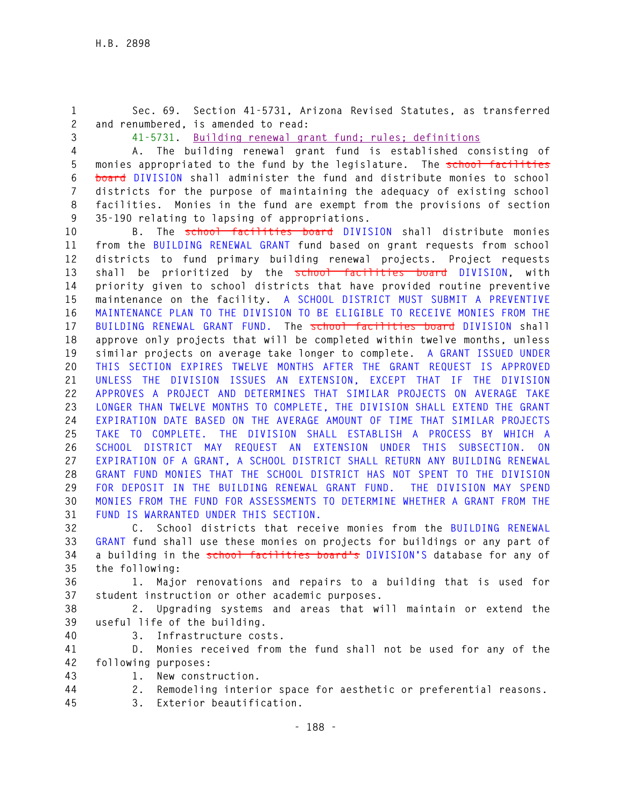**1 Sec. 69. Section 41-5731, Arizona Revised Statutes, as transferred 2 and renumbered, is amended to read:** 

**3 41-5731. Building renewal grant fund; rules; definitions**

**4 A. The building renewal grant fund is established consisting of 5 monies appropriated to the fund by the legislature. The school facilities 6 board DIVISION shall administer the fund and distribute monies to school 7 districts for the purpose of maintaining the adequacy of existing school 8 facilities. Monies in the fund are exempt from the provisions of section 9 35-190 relating to lapsing of appropriations.** 

**10 B. The school facilities board DIVISION shall distribute monies 11 from the BUILDING RENEWAL GRANT fund based on grant requests from school 12 districts to fund primary building renewal projects. Project requests 13 shall be prioritized by the school facilities board DIVISION, with 14 priority given to school districts that have provided routine preventive 15 maintenance on the facility. A SCHOOL DISTRICT MUST SUBMIT A PREVENTIVE 16 MAINTENANCE PLAN TO THE DIVISION TO BE ELIGIBLE TO RECEIVE MONIES FROM THE 17 BUILDING RENEWAL GRANT FUND. The school facilities board DIVISION shall 18 approve only projects that will be completed within twelve months, unless 19 similar projects on average take longer to complete. A GRANT ISSUED UNDER 20 THIS SECTION EXPIRES TWELVE MONTHS AFTER THE GRANT REQUEST IS APPROVED 21 UNLESS THE DIVISION ISSUES AN EXTENSION, EXCEPT THAT IF THE DIVISION 22 APPROVES A PROJECT AND DETERMINES THAT SIMILAR PROJECTS ON AVERAGE TAKE 23 LONGER THAN TWELVE MONTHS TO COMPLETE, THE DIVISION SHALL EXTEND THE GRANT 24 EXPIRATION DATE BASED ON THE AVERAGE AMOUNT OF TIME THAT SIMILAR PROJECTS 25 TAKE TO COMPLETE. THE DIVISION SHALL ESTABLISH A PROCESS BY WHICH A 26 SCHOOL DISTRICT MAY REQUEST AN EXTENSION UNDER THIS SUBSECTION. ON 27 EXPIRATION OF A GRANT, A SCHOOL DISTRICT SHALL RETURN ANY BUILDING RENEWAL 28 GRANT FUND MONIES THAT THE SCHOOL DISTRICT HAS NOT SPENT TO THE DIVISION 29 FOR DEPOSIT IN THE BUILDING RENEWAL GRANT FUND. THE DIVISION MAY SPEND 30 MONIES FROM THE FUND FOR ASSESSMENTS TO DETERMINE WHETHER A GRANT FROM THE 31 FUND IS WARRANTED UNDER THIS SECTION.**

**32 C. School districts that receive monies from the BUILDING RENEWAL 33 GRANT fund shall use these monies on projects for buildings or any part of 34 a building in the school facilities board's DIVISION'S database for any of 35 the following:** 

**36 1. Major renovations and repairs to a building that is used for 37 student instruction or other academic purposes.** 

**38 2. Upgrading systems and areas that will maintain or extend the 39 useful life of the building.** 

**40 3. Infrastructure costs.** 

**41 D. Monies received from the fund shall not be used for any of the 42 following purposes:** 

**43 1. New construction.** 

**44 2. Remodeling interior space for aesthetic or preferential reasons.** 

**45 3. Exterior beautification.**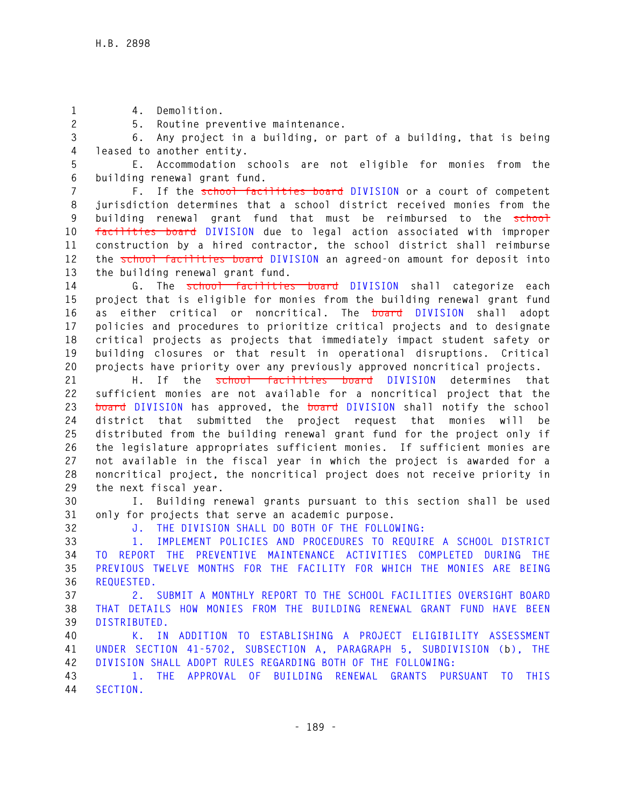**1 4. Demolition.** 

**2 5. Routine preventive maintenance.** 

**3 6. Any project in a building, or part of a building, that is being 4 leased to another entity.** 

**5 E. Accommodation schools are not eligible for monies from the 6 building renewal grant fund.** 

**7 F. If the school facilities board DIVISION or a court of competent 8 jurisdiction determines that a school district received monies from the 9 building renewal grant fund that must be reimbursed to the school 10 facilities board DIVISION due to legal action associated with improper 11 construction by a hired contractor, the school district shall reimburse 12 the school facilities board DIVISION an agreed-on amount for deposit into 13 the building renewal grant fund.** 

**14 G. The school facilities board DIVISION shall categorize each 15 project that is eligible for monies from the building renewal grant fund 16 as either critical or noncritical. The board DIVISION shall adopt 17 policies and procedures to prioritize critical projects and to designate 18 critical projects as projects that immediately impact student safety or 19 building closures or that result in operational disruptions. Critical 20 projects have priority over any previously approved noncritical projects.** 

**21 H. If the school facilities board DIVISION determines that 22 sufficient monies are not available for a noncritical project that the 23 board DIVISION has approved, the board DIVISION shall notify the school 24 district that submitted the project request that monies will be 25 distributed from the building renewal grant fund for the project only if 26 the legislature appropriates sufficient monies. If sufficient monies are 27 not available in the fiscal year in which the project is awarded for a 28 noncritical project, the noncritical project does not receive priority in 29 the next fiscal year.** 

**30 I. Building renewal grants pursuant to this section shall be used 31 only for projects that serve an academic purpose.** 

**32 J. THE DIVISION SHALL DO BOTH OF THE FOLLOWING:** 

**33 1. IMPLEMENT POLICIES AND PROCEDURES TO REQUIRE A SCHOOL DISTRICT 34 TO REPORT THE PREVENTIVE MAINTENANCE ACTIVITIES COMPLETED DURING THE 35 PREVIOUS TWELVE MONTHS FOR THE FACILITY FOR WHICH THE MONIES ARE BEING 36 REQUESTED.** 

**37 2. SUBMIT A MONTHLY REPORT TO THE SCHOOL FACILITIES OVERSIGHT BOARD 38 THAT DETAILS HOW MONIES FROM THE BUILDING RENEWAL GRANT FUND HAVE BEEN 39 DISTRIBUTED.** 

**40 K. IN ADDITION TO ESTABLISHING A PROJECT ELIGIBILITY ASSESSMENT 41 UNDER SECTION 41-5702, SUBSECTION A, PARAGRAPH 5, SUBDIVISION (b), THE 42 DIVISION SHALL ADOPT RULES REGARDING BOTH OF THE FOLLOWING:** 

**43 1. THE APPROVAL OF BUILDING RENEWAL GRANTS PURSUANT TO THIS 44 SECTION.**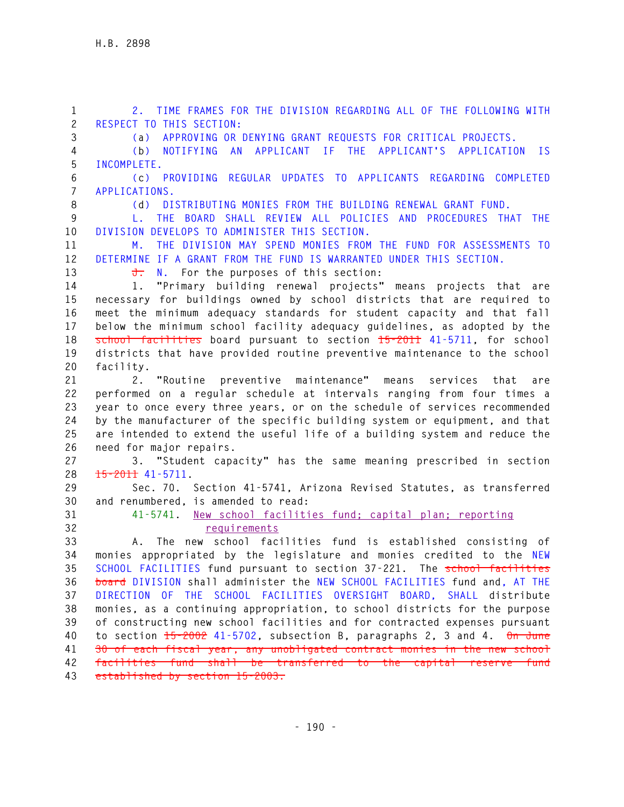**1 2. TIME FRAMES FOR THE DIVISION REGARDING ALL OF THE FOLLOWING WITH 2 RESPECT TO THIS SECTION: 3 (a) APPROVING OR DENYING GRANT REQUESTS FOR CRITICAL PROJECTS. 4 (b) NOTIFYING AN APPLICANT IF THE APPLICANT'S APPLICATION IS 5 INCOMPLETE. 6 (c) PROVIDING REGULAR UPDATES TO APPLICANTS REGARDING COMPLETED 7 APPLICATIONS. 8 (d) DISTRIBUTING MONIES FROM THE BUILDING RENEWAL GRANT FUND. 9 L. THE BOARD SHALL REVIEW ALL POLICIES AND PROCEDURES THAT THE 10 DIVISION DEVELOPS TO ADMINISTER THIS SECTION. 11 M. THE DIVISION MAY SPEND MONIES FROM THE FUND FOR ASSESSMENTS TO 12 DETERMINE IF A GRANT FROM THE FUND IS WARRANTED UNDER THIS SECTION.** 13 **J.** N. For the purposes of this section: **14 1. "Primary building renewal projects" means projects that are 15 necessary for buildings owned by school districts that are required to 16 meet the minimum adequacy standards for student capacity and that fall 17 below the minimum school facility adequacy guidelines, as adopted by the 18 school facilities board pursuant to section 15-2011 41-5711, for school 19 districts that have provided routine preventive maintenance to the school 20 facility. 21 2. "Routine preventive maintenance" means services that are 22 performed on a regular schedule at intervals ranging from four times a 23 year to once every three years, or on the schedule of services recommended 24 by the manufacturer of the specific building system or equipment, and that 25 are intended to extend the useful life of a building system and reduce the 26 need for major repairs. 27 3. "Student capacity" has the same meaning prescribed in section 28 15-2011 41-5711. 29 Sec. 70. Section 41-5741, Arizona Revised Statutes, as transferred 30 and renumbered, is amended to read: 31 41-5741. New school facilities fund; capital plan; reporting 32 requirements 33 A. The new school facilities fund is established consisting of 34 monies appropriated by the legislature and monies credited to the NEW 35 SCHOOL FACILITIES fund pursuant to section 37-221. The school facilities 36 board DIVISION shall administer the NEW SCHOOL FACILITIES fund and, AT THE 37 DIRECTION OF THE SCHOOL FACILITIES OVERSIGHT BOARD, SHALL distribute 38 monies, as a continuing appropriation, to school districts for the purpose 39 of constructing new school facilities and for contracted expenses pursuant 40 to section 15-2002 41-5702, subsection B, paragraphs 2, 3 and 4. On June 41 30 of each fiscal year, any unobligated contract monies in the new school 42 facilities fund shall be transferred to the capital reserve fund 43 established by section 15-2003.**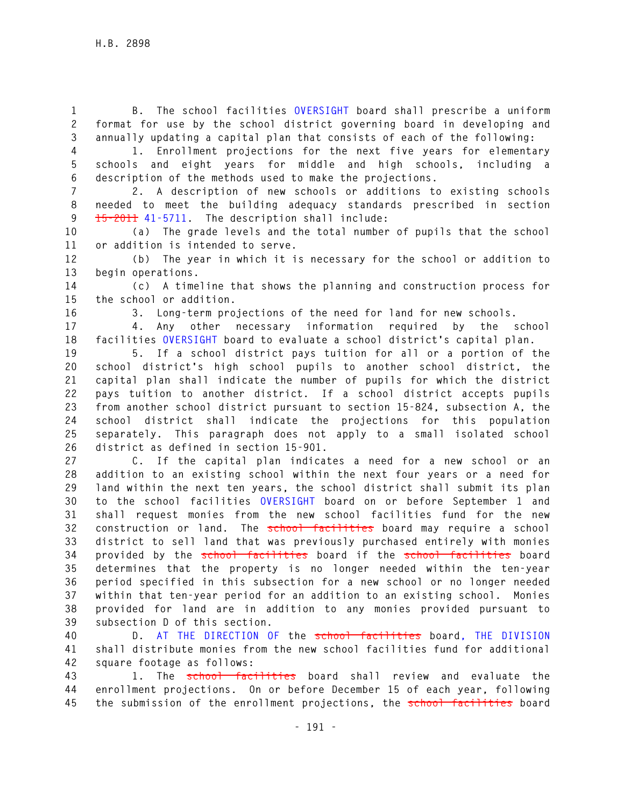**1 B. The school facilities OVERSIGHT board shall prescribe a uniform 2 format for use by the school district governing board in developing and 3 annually updating a capital plan that consists of each of the following:** 

**4 1. Enrollment projections for the next five years for elementary 5 schools and eight years for middle and high schools, including a 6 description of the methods used to make the projections.** 

**7 2. A description of new schools or additions to existing schools 8 needed to meet the building adequacy standards prescribed in section 9 15-2011 41-5711. The description shall include:** 

**10 (a) The grade levels and the total number of pupils that the school 11 or addition is intended to serve.** 

**12 (b) The year in which it is necessary for the school or addition to 13 begin operations.** 

**14 (c) A timeline that shows the planning and construction process for 15 the school or addition.** 

**16 3. Long-term projections of the need for land for new schools.** 

**17 4. Any other necessary information required by the school 18 facilities OVERSIGHT board to evaluate a school district's capital plan.** 

**19 5. If a school district pays tuition for all or a portion of the 20 school district's high school pupils to another school district, the 21 capital plan shall indicate the number of pupils for which the district 22 pays tuition to another district. If a school district accepts pupils 23 from another school district pursuant to section 15-824, subsection A, the 24 school district shall indicate the projections for this population 25 separately. This paragraph does not apply to a small isolated school 26 district as defined in section 15-901.** 

**27 C. If the capital plan indicates a need for a new school or an 28 addition to an existing school within the next four years or a need for 29 land within the next ten years, the school district shall submit its plan 30 to the school facilities OVERSIGHT board on or before September 1 and 31 shall request monies from the new school facilities fund for the new 32 construction or land. The school facilities board may require a school 33 district to sell land that was previously purchased entirely with monies 34 provided by the school facilities board if the school facilities board 35 determines that the property is no longer needed within the ten-year 36 period specified in this subsection for a new school or no longer needed 37 within that ten-year period for an addition to an existing school. Monies 38 provided for land are in addition to any monies provided pursuant to 39 subsection D of this section.** 

**40 D. AT THE DIRECTION OF the school facilities board, THE DIVISION 41 shall distribute monies from the new school facilities fund for additional 42 square footage as follows:** 

**43 1. The school facilities board shall review and evaluate the 44 enrollment projections. On or before December 15 of each year, following 45 the submission of the enrollment projections, the school facilities board**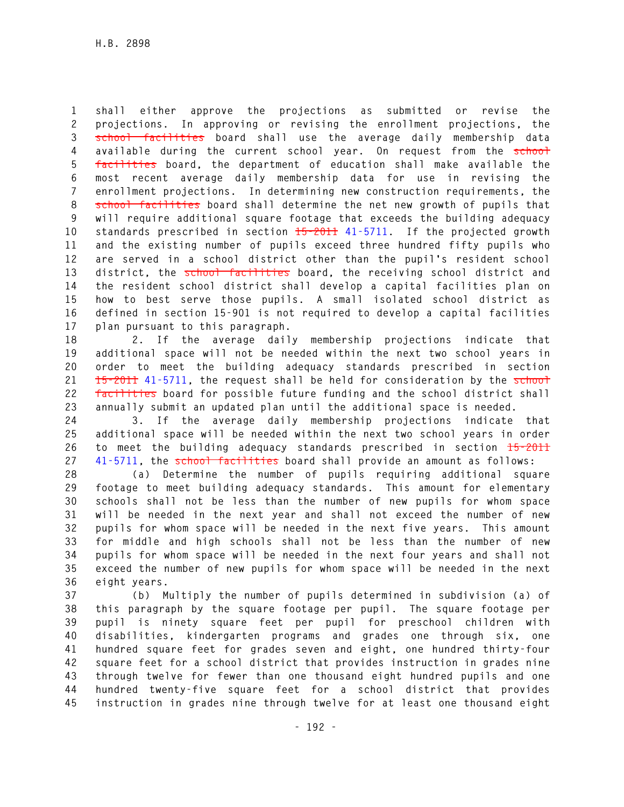**1 shall either approve the projections as submitted or revise the 2 projections. In approving or revising the enrollment projections, the 3 school facilities board shall use the average daily membership data**  4 available during the current school year. On request from the school **5 facilities board, the department of education shall make available the 6 most recent average daily membership data for use in revising the 7 enrollment projections. In determining new construction requirements, the 8 school facilities board shall determine the net new growth of pupils that 9 will require additional square footage that exceeds the building adequacy 10 standards prescribed in section 15-2011 41-5711. If the projected growth 11 and the existing number of pupils exceed three hundred fifty pupils who 12 are served in a school district other than the pupil's resident school 13 district, the school facilities board, the receiving school district and 14 the resident school district shall develop a capital facilities plan on 15 how to best serve those pupils. A small isolated school district as 16 defined in section 15-901 is not required to develop a capital facilities 17 plan pursuant to this paragraph.** 

**18 2. If the average daily membership projections indicate that 19 additional space will not be needed within the next two school years in 20 order to meet the building adequacy standards prescribed in section**  21 **15-2011** 41-5711, the request shall be held for consideration by the school **22 facilities board for possible future funding and the school district shall 23 annually submit an updated plan until the additional space is needed.** 

**24 3. If the average daily membership projections indicate that 25 additional space will be needed within the next two school years in order 26 to meet the building adequacy standards prescribed in section 15-2011 27 41-5711, the school facilities board shall provide an amount as follows:** 

**28 (a) Determine the number of pupils requiring additional square 29 footage to meet building adequacy standards. This amount for elementary 30 schools shall not be less than the number of new pupils for whom space 31 will be needed in the next year and shall not exceed the number of new 32 pupils for whom space will be needed in the next five years. This amount 33 for middle and high schools shall not be less than the number of new 34 pupils for whom space will be needed in the next four years and shall not 35 exceed the number of new pupils for whom space will be needed in the next 36 eight years.** 

**37 (b) Multiply the number of pupils determined in subdivision (a) of 38 this paragraph by the square footage per pupil. The square footage per 39 pupil is ninety square feet per pupil for preschool children with 40 disabilities, kindergarten programs and grades one through six, one 41 hundred square feet for grades seven and eight, one hundred thirty-four 42 square feet for a school district that provides instruction in grades nine 43 through twelve for fewer than one thousand eight hundred pupils and one 44 hundred twenty-five square feet for a school district that provides 45 instruction in grades nine through twelve for at least one thousand eight**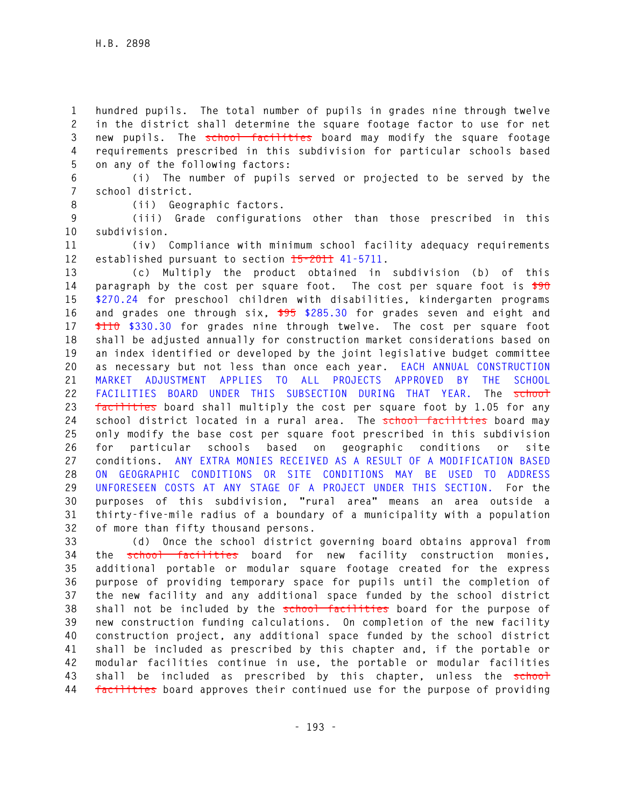**1 hundred pupils. The total number of pupils in grades nine through twelve 2 in the district shall determine the square footage factor to use for net 3 new pupils. The school facilities board may modify the square footage 4 requirements prescribed in this subdivision for particular schools based 5 on any of the following factors:** 

**6 (i) The number of pupils served or projected to be served by the 7 school district.** 

**8 (ii) Geographic factors.** 

**9 (iii) Grade configurations other than those prescribed in this 10 subdivision.** 

**11 (iv) Compliance with minimum school facility adequacy requirements 12 established pursuant to section 15-2011 41-5711.** 

**13 (c) Multiply the product obtained in subdivision (b) of this 14 paragraph by the cost per square foot. The cost per square foot is \$90 15 \$270.24 for preschool children with disabilities, kindergarten programs 16 and grades one through six, \$95 \$285.30 for grades seven and eight and 17 \$110 \$330.30 for grades nine through twelve. The cost per square foot 18 shall be adjusted annually for construction market considerations based on 19 an index identified or developed by the joint legislative budget committee 20 as necessary but not less than once each year. EACH ANNUAL CONSTRUCTION 21 MARKET ADJUSTMENT APPLIES TO ALL PROJECTS APPROVED BY THE SCHOOL**  22 FACILITIES BOARD UNDER THIS SUBSECTION DURING THAT YEAR. The school **23 facilities board shall multiply the cost per square foot by 1.05 for any**  24 school district located in a rural area. The school facilities board may **25 only modify the base cost per square foot prescribed in this subdivision 26 for particular schools based on geographic conditions or site 27 conditions. ANY EXTRA MONIES RECEIVED AS A RESULT OF A MODIFICATION BASED 28 ON GEOGRAPHIC CONDITIONS OR SITE CONDITIONS MAY BE USED TO ADDRESS 29 UNFORESEEN COSTS AT ANY STAGE OF A PROJECT UNDER THIS SECTION. For the 30 purposes of this subdivision, "rural area" means an area outside a 31 thirty-five-mile radius of a boundary of a municipality with a population 32 of more than fifty thousand persons.** 

**33 (d) Once the school district governing board obtains approval from 34 the school facilities board for new facility construction monies, 35 additional portable or modular square footage created for the express 36 purpose of providing temporary space for pupils until the completion of 37 the new facility and any additional space funded by the school district 38 shall not be included by the school facilities board for the purpose of 39 new construction funding calculations. On completion of the new facility 40 construction project, any additional space funded by the school district 41 shall be included as prescribed by this chapter and, if the portable or 42 modular facilities continue in use, the portable or modular facilities**  43 shall be included as prescribed by this chapter, unless the schoot **44 facilities board approves their continued use for the purpose of providing**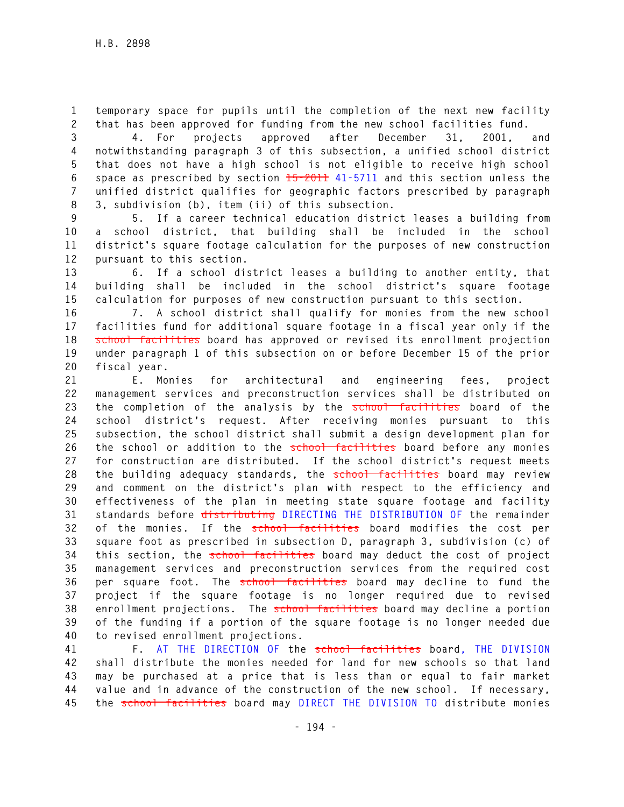**1 temporary space for pupils until the completion of the next new facility 2 that has been approved for funding from the new school facilities fund.** 

**3 4. For projects approved after December 31, 2001, and 4 notwithstanding paragraph 3 of this subsection, a unified school district 5 that does not have a high school is not eligible to receive high school 6 space as prescribed by section 15-2011 41-5711 and this section unless the 7 unified district qualifies for geographic factors prescribed by paragraph 8 3, subdivision (b), item (ii) of this subsection.** 

**9 5. If a career technical education district leases a building from 10 a school district, that building shall be included in the school 11 district's square footage calculation for the purposes of new construction 12 pursuant to this section.** 

**13 6. If a school district leases a building to another entity, that 14 building shall be included in the school district's square footage 15 calculation for purposes of new construction pursuant to this section.** 

**16 7. A school district shall qualify for monies from the new school 17 facilities fund for additional square footage in a fiscal year only if the 18 school facilities board has approved or revised its enrollment projection 19 under paragraph 1 of this subsection on or before December 15 of the prior 20 fiscal year.** 

**21 E. Monies for architectural and engineering fees, project 22 management services and preconstruction services shall be distributed on 23 the completion of the analysis by the school facilities board of the 24 school district's request. After receiving monies pursuant to this 25 subsection, the school district shall submit a design development plan for 26 the school or addition to the school facilities board before any monies 27 for construction are distributed. If the school district's request meets 28 the building adequacy standards, the school facilities board may review 29 and comment on the district's plan with respect to the efficiency and 30 effectiveness of the plan in meeting state square footage and facility 31 standards before distributing DIRECTING THE DISTRIBUTION OF the remainder 32 of the monies. If the school facilities board modifies the cost per 33 square foot as prescribed in subsection D, paragraph 3, subdivision (c) of 34 this section, the school facilities board may deduct the cost of project 35 management services and preconstruction services from the required cost 36 per square foot. The school facilities board may decline to fund the 37 project if the square footage is no longer required due to revised 38 enrollment projections. The school facilities board may decline a portion 39 of the funding if a portion of the square footage is no longer needed due 40 to revised enrollment projections.** 

**41 F. AT THE DIRECTION OF the school facilities board, THE DIVISION 42 shall distribute the monies needed for land for new schools so that land 43 may be purchased at a price that is less than or equal to fair market 44 value and in advance of the construction of the new school. If necessary, 45 the school facilities board may DIRECT THE DIVISION TO distribute monies**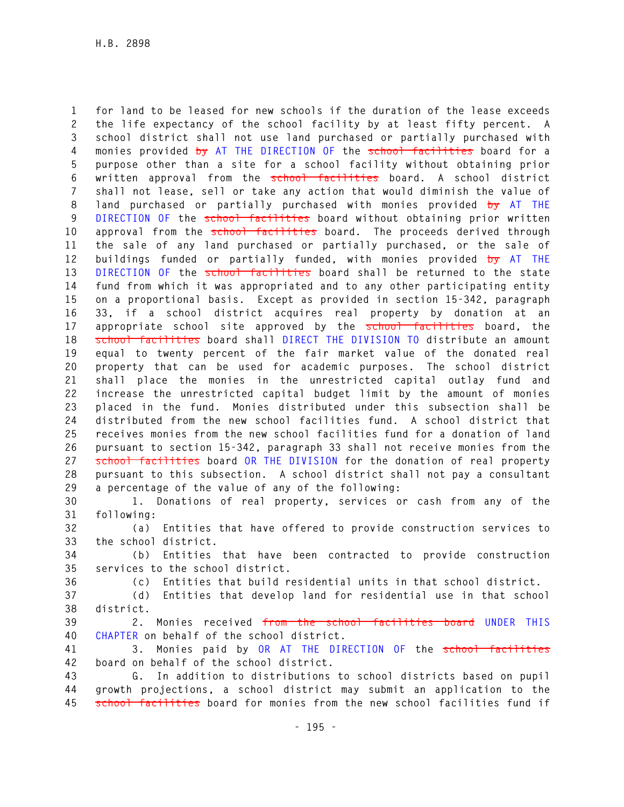**1 for land to be leased for new schools if the duration of the lease exceeds 2 the life expectancy of the school facility by at least fifty percent. A 3 school district shall not use land purchased or partially purchased with 4 monies provided by AT THE DIRECTION OF the school facilities board for a 5 purpose other than a site for a school facility without obtaining prior 6 written approval from the school facilities board. A school district 7 shall not lease, sell or take any action that would diminish the value of 8 land purchased or partially purchased with monies provided by AT THE 9 DIRECTION OF the school facilities board without obtaining prior written 10 approval from the school facilities board. The proceeds derived through 11 the sale of any land purchased or partially purchased, or the sale of 12 buildings funded or partially funded, with monies provided by AT THE**  13 DIRECTION OF the school facilities board shall be returned to the state **14 fund from which it was appropriated and to any other participating entity 15 on a proportional basis. Except as provided in section 15-342, paragraph 16 33, if a school district acquires real property by donation at an 17 appropriate school site approved by the school facilities board, the 18 school facilities board shall DIRECT THE DIVISION TO distribute an amount 19 equal to twenty percent of the fair market value of the donated real 20 property that can be used for academic purposes. The school district 21 shall place the monies in the unrestricted capital outlay fund and 22 increase the unrestricted capital budget limit by the amount of monies 23 placed in the fund. Monies distributed under this subsection shall be 24 distributed from the new school facilities fund. A school district that 25 receives monies from the new school facilities fund for a donation of land 26 pursuant to section 15-342, paragraph 33 shall not receive monies from the 27 school facilities board OR THE DIVISION for the donation of real property 28 pursuant to this subsection. A school district shall not pay a consultant 29 a percentage of the value of any of the following:** 

**30 1. Donations of real property, services or cash from any of the 31 following:** 

**32 (a) Entities that have offered to provide construction services to 33 the school district.** 

**34 (b) Entities that have been contracted to provide construction 35 services to the school district.** 

**36 (c) Entities that build residential units in that school district.** 

**37 (d) Entities that develop land for residential use in that school 38 district.** 

**39 2. Monies received from the school facilities board UNDER THIS 40 CHAPTER on behalf of the school district.** 

**41 3. Monies paid by OR AT THE DIRECTION OF the school facilities 42 board on behalf of the school district.** 

**43 G. In addition to distributions to school districts based on pupil 44 growth projections, a school district may submit an application to the 45 school facilities board for monies from the new school facilities fund if**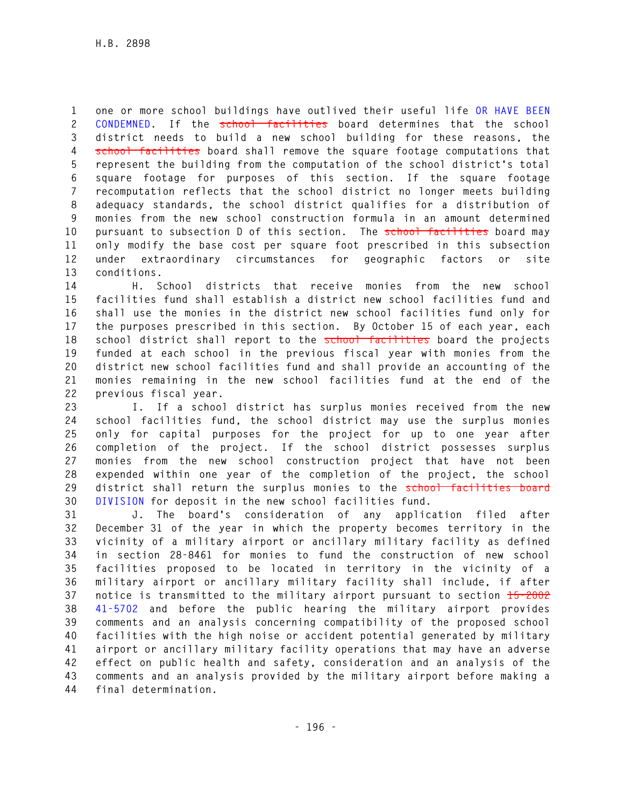**1 one or more school buildings have outlived their useful life OR HAVE BEEN 2 CONDEMNED. If the school facilities board determines that the school 3 district needs to build a new school building for these reasons, the 4 school facilities board shall remove the square footage computations that 5 represent the building from the computation of the school district's total 6 square footage for purposes of this section. If the square footage 7 recomputation reflects that the school district no longer meets building 8 adequacy standards, the school district qualifies for a distribution of 9 monies from the new school construction formula in an amount determined 10 pursuant to subsection D of this section. The school facilities board may 11 only modify the base cost per square foot prescribed in this subsection 12 under extraordinary circumstances for geographic factors or site 13 conditions.** 

**14 H. School districts that receive monies from the new school 15 facilities fund shall establish a district new school facilities fund and 16 shall use the monies in the district new school facilities fund only for 17 the purposes prescribed in this section. By October 15 of each year, each 18 school district shall report to the school facilities board the projects 19 funded at each school in the previous fiscal year with monies from the 20 district new school facilities fund and shall provide an accounting of the 21 monies remaining in the new school facilities fund at the end of the 22 previous fiscal year.** 

**23 I. If a school district has surplus monies received from the new 24 school facilities fund, the school district may use the surplus monies 25 only for capital purposes for the project for up to one year after 26 completion of the project. If the school district possesses surplus 27 monies from the new school construction project that have not been 28 expended within one year of the completion of the project, the school 29 district shall return the surplus monies to the school facilities board 30 DIVISION for deposit in the new school facilities fund.** 

**31 J. The board's consideration of any application filed after 32 December 31 of the year in which the property becomes territory in the 33 vicinity of a military airport or ancillary military facility as defined 34 in section 28-8461 for monies to fund the construction of new school 35 facilities proposed to be located in territory in the vicinity of a 36 military airport or ancillary military facility shall include, if after 37 notice is transmitted to the military airport pursuant to section 15-2002 38 41-5702 and before the public hearing the military airport provides 39 comments and an analysis concerning compatibility of the proposed school 40 facilities with the high noise or accident potential generated by military 41 airport or ancillary military facility operations that may have an adverse 42 effect on public health and safety, consideration and an analysis of the 43 comments and an analysis provided by the military airport before making a 44 final determination.**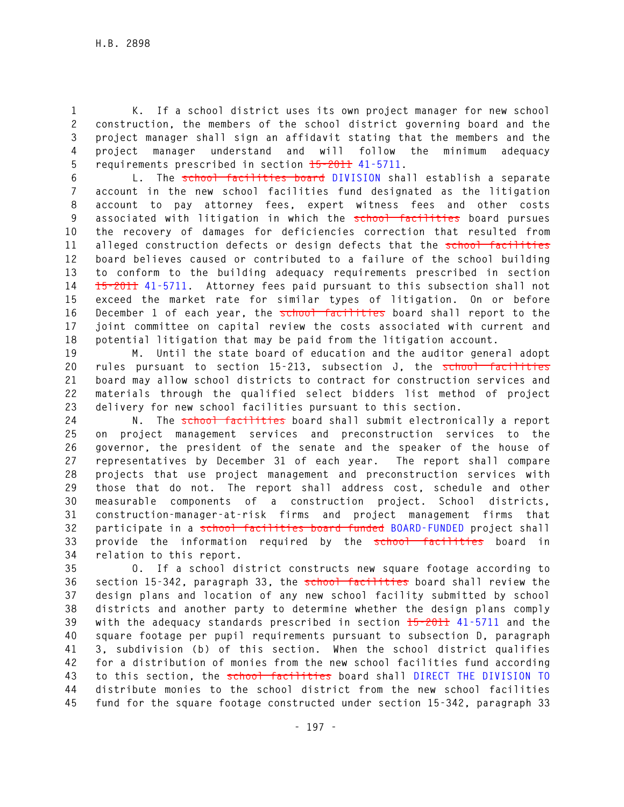**1 K. If a school district uses its own project manager for new school 2 construction, the members of the school district governing board and the 3 project manager shall sign an affidavit stating that the members and the 4 project manager understand and will follow the minimum adequacy 5 requirements prescribed in section 15-2011 41-5711.** 

**6 L. The school facilities board DIVISION shall establish a separate 7 account in the new school facilities fund designated as the litigation 8 account to pay attorney fees, expert witness fees and other costs 9 associated with litigation in which the school facilities board pursues 10 the recovery of damages for deficiencies correction that resulted from 11 alleged construction defects or design defects that the school facilities 12 board believes caused or contributed to a failure of the school building 13 to conform to the building adequacy requirements prescribed in section 14 15-2011 41-5711. Attorney fees paid pursuant to this subsection shall not 15 exceed the market rate for similar types of litigation. On or before 16 December 1 of each year, the school facilities board shall report to the 17 joint committee on capital review the costs associated with current and 18 potential litigation that may be paid from the litigation account.** 

**19 M. Until the state board of education and the auditor general adopt 20 rules pursuant to section 15-213, subsection J, the school facilities 21 board may allow school districts to contract for construction services and 22 materials through the qualified select bidders list method of project 23 delivery for new school facilities pursuant to this section.** 

24 **N.** The **school facilities** board shall submit electronically a report **25 on project management services and preconstruction services to the 26 governor, the president of the senate and the speaker of the house of 27 representatives by December 31 of each year. The report shall compare 28 projects that use project management and preconstruction services with 29 those that do not. The report shall address cost, schedule and other 30 measurable components of a construction project. School districts, 31 construction-manager-at-risk firms and project management firms that 32 participate in a school facilities board funded BOARD-FUNDED project shall 33 provide the information required by the school facilities board in 34 relation to this report.** 

**35 O. If a school district constructs new square footage according to 36 section 15-342, paragraph 33, the school facilities board shall review the 37 design plans and location of any new school facility submitted by school 38 districts and another party to determine whether the design plans comply 39 with the adequacy standards prescribed in section 15-2011 41-5711 and the 40 square footage per pupil requirements pursuant to subsection D, paragraph 41 3, subdivision (b) of this section. When the school district qualifies 42 for a distribution of monies from the new school facilities fund according 43 to this section, the school facilities board shall DIRECT THE DIVISION TO 44 distribute monies to the school district from the new school facilities 45 fund for the square footage constructed under section 15-342, paragraph 33**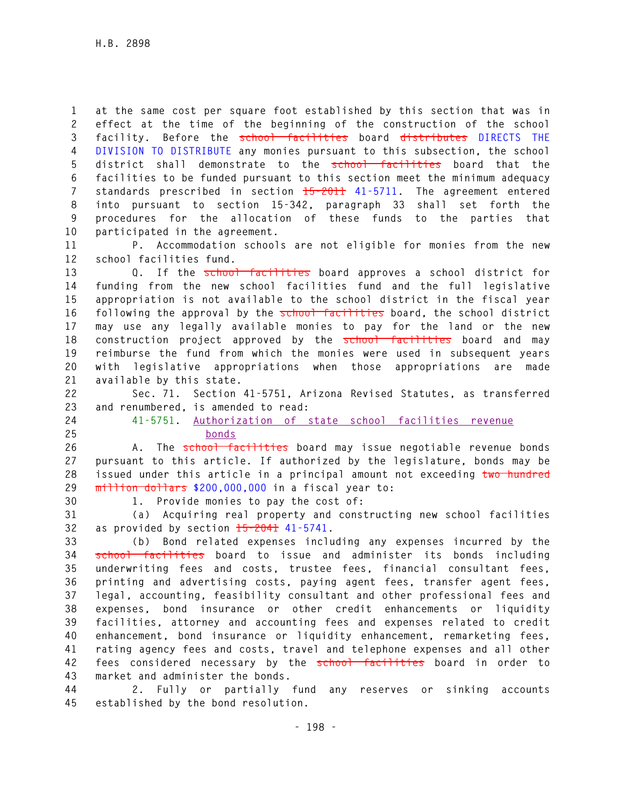**1 at the same cost per square foot established by this section that was in 2 effect at the time of the beginning of the construction of the school 3 facility. Before the school facilities board distributes DIRECTS THE 4 DIVISION TO DISTRIBUTE any monies pursuant to this subsection, the school 5 district shall demonstrate to the school facilities board that the 6 facilities to be funded pursuant to this section meet the minimum adequacy 7 standards prescribed in section 15-2011 41-5711. The agreement entered 8 into pursuant to section 15-342, paragraph 33 shall set forth the 9 procedures for the allocation of these funds to the parties that 10 participated in the agreement.** 

**11 P. Accommodation schools are not eligible for monies from the new 12 school facilities fund.** 

**13 Q. If the school facilities board approves a school district for 14 funding from the new school facilities fund and the full legislative 15 appropriation is not available to the school district in the fiscal year 16 following the approval by the school facilities board, the school district 17 may use any legally available monies to pay for the land or the new 18 construction project approved by the school facilities board and may 19 reimburse the fund from which the monies were used in subsequent years 20 with legislative appropriations when those appropriations are made 21 available by this state.** 

**22 Sec. 71. Section 41-5751, Arizona Revised Statutes, as transferred 23 and renumbered, is amended to read:** 

**24 41-5751. Authorization of state school facilities revenue 25 bonds**

**26 A. The school facilities board may issue negotiable revenue bonds 27 pursuant to this article. If authorized by the legislature, bonds may be 28 issued under this article in a principal amount not exceeding two hundred 29 million dollars \$200,000,000 in a fiscal year to:** 

**30 1. Provide monies to pay the cost of:** 

**31 (a) Acquiring real property and constructing new school facilities 32 as provided by section 15-2041 41-5741.** 

**33 (b) Bond related expenses including any expenses incurred by the 34 school facilities board to issue and administer its bonds including 35 underwriting fees and costs, trustee fees, financial consultant fees, 36 printing and advertising costs, paying agent fees, transfer agent fees, 37 legal, accounting, feasibility consultant and other professional fees and 38 expenses, bond insurance or other credit enhancements or liquidity 39 facilities, attorney and accounting fees and expenses related to credit 40 enhancement, bond insurance or liquidity enhancement, remarketing fees, 41 rating agency fees and costs, travel and telephone expenses and all other 42 fees considered necessary by the school facilities board in order to 43 market and administer the bonds.** 

**44 2. Fully or partially fund any reserves or sinking accounts 45 established by the bond resolution.**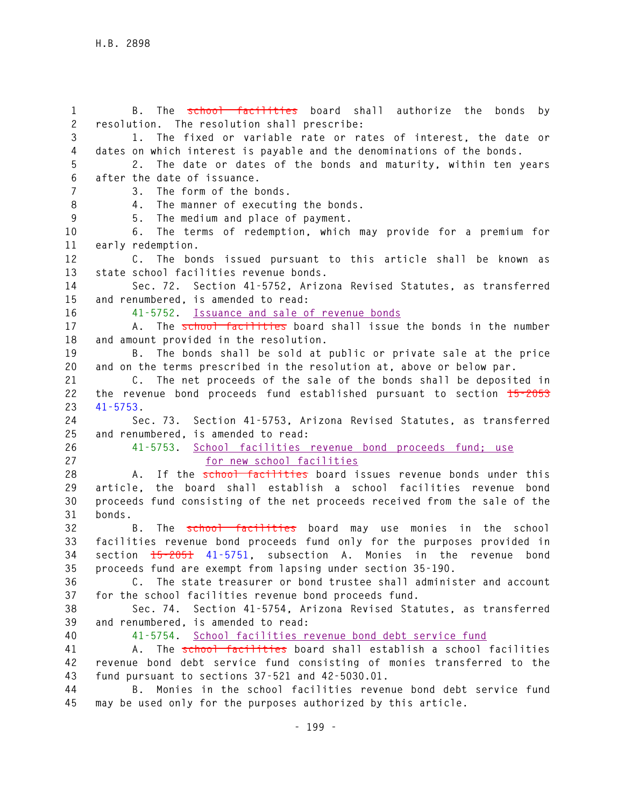**1 B. The school facilities board shall authorize the bonds by 2 resolution. The resolution shall prescribe: 3 1. The fixed or variable rate or rates of interest, the date or 4 dates on which interest is payable and the denominations of the bonds. 5 2. The date or dates of the bonds and maturity, within ten years 6 after the date of issuance. 7 3. The form of the bonds. 8 4. The manner of executing the bonds. 9 5. The medium and place of payment. 10 6. The terms of redemption, which may provide for a premium for 11 early redemption. 12 C. The bonds issued pursuant to this article shall be known as 13 state school facilities revenue bonds. 14 Sec. 72. Section 41-5752, Arizona Revised Statutes, as transferred 15 and renumbered, is amended to read: 16 41-5752. Issuance and sale of revenue bonds 17 A. The school facilities board shall issue the bonds in the number 18 and amount provided in the resolution. 19 B. The bonds shall be sold at public or private sale at the price 20 and on the terms prescribed in the resolution at, above or below par. 21 C. The net proceeds of the sale of the bonds shall be deposited in 22 the revenue bond proceeds fund established pursuant to section 15-2053 23 41-5753. 24 Sec. 73. Section 41-5753, Arizona Revised Statutes, as transferred 25 and renumbered, is amended to read: 26 41-5753. School facilities revenue bond proceeds fund; use 27 for new school facilities 28 A. If the school facilities board issues revenue bonds under this 29 article, the board shall establish a school facilities revenue bond 30 proceeds fund consisting of the net proceeds received from the sale of the 31 bonds. 32 B. The school facilities board may use monies in the school 33 facilities revenue bond proceeds fund only for the purposes provided in 34 section 15-2051 41-5751, subsection A. Monies in the revenue bond 35 proceeds fund are exempt from lapsing under section 35-190. 36 C. The state treasurer or bond trustee shall administer and account 37 for the school facilities revenue bond proceeds fund. 38 Sec. 74. Section 41-5754, Arizona Revised Statutes, as transferred 39 and renumbered, is amended to read: 40 41-5754. School facilities revenue bond debt service fund 41 A. The school facilities board shall establish a school facilities 42 revenue bond debt service fund consisting of monies transferred to the 43 fund pursuant to sections 37-521 and 42-5030.01. 44 B. Monies in the school facilities revenue bond debt service fund** 

**45 may be used only for the purposes authorized by this article.**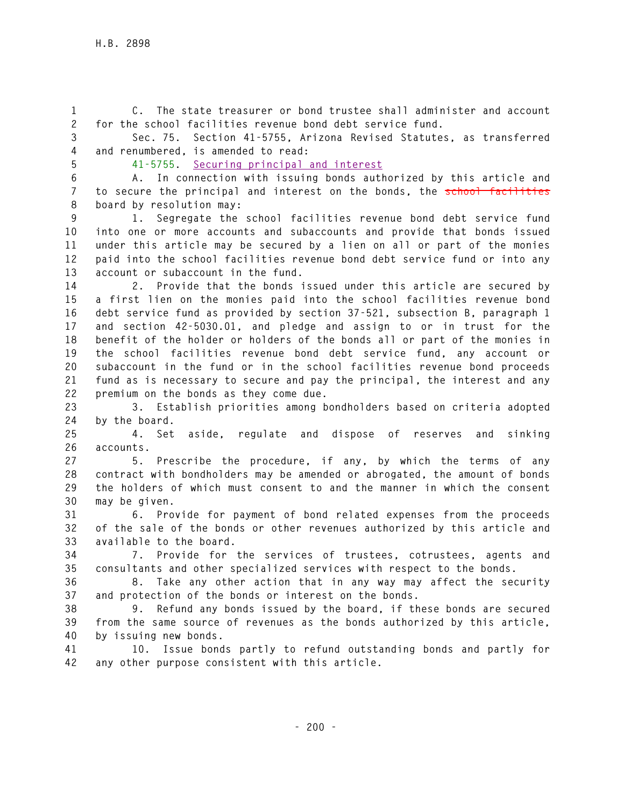**1 C. The state treasurer or bond trustee shall administer and account 2 for the school facilities revenue bond debt service fund.** 

**3 Sec. 75. Section 41-5755, Arizona Revised Statutes, as transferred 4 and renumbered, is amended to read:** 

**5 41-5755. Securing principal and interest** 

**6 A. In connection with issuing bonds authorized by this article and 7 to secure the principal and interest on the bonds, the school facilities 8 board by resolution may:** 

**9 1. Segregate the school facilities revenue bond debt service fund 10 into one or more accounts and subaccounts and provide that bonds issued 11 under this article may be secured by a lien on all or part of the monies 12 paid into the school facilities revenue bond debt service fund or into any 13 account or subaccount in the fund.** 

**14 2. Provide that the bonds issued under this article are secured by 15 a first lien on the monies paid into the school facilities revenue bond 16 debt service fund as provided by section 37-521, subsection B, paragraph 1 17 and section 42-5030.01, and pledge and assign to or in trust for the 18 benefit of the holder or holders of the bonds all or part of the monies in 19 the school facilities revenue bond debt service fund, any account or 20 subaccount in the fund or in the school facilities revenue bond proceeds 21 fund as is necessary to secure and pay the principal, the interest and any 22 premium on the bonds as they come due.** 

**23 3. Establish priorities among bondholders based on criteria adopted 24 by the board.** 

**25 4. Set aside, regulate and dispose of reserves and sinking 26 accounts.** 

**27 5. Prescribe the procedure, if any, by which the terms of any 28 contract with bondholders may be amended or abrogated, the amount of bonds 29 the holders of which must consent to and the manner in which the consent 30 may be given.** 

**31 6. Provide for payment of bond related expenses from the proceeds 32 of the sale of the bonds or other revenues authorized by this article and 33 available to the board.** 

**34 7. Provide for the services of trustees, cotrustees, agents and 35 consultants and other specialized services with respect to the bonds.** 

**36 8. Take any other action that in any way may affect the security 37 and protection of the bonds or interest on the bonds.** 

**38 9. Refund any bonds issued by the board, if these bonds are secured 39 from the same source of revenues as the bonds authorized by this article, 40 by issuing new bonds.** 

**41 10. Issue bonds partly to refund outstanding bonds and partly for 42 any other purpose consistent with this article.**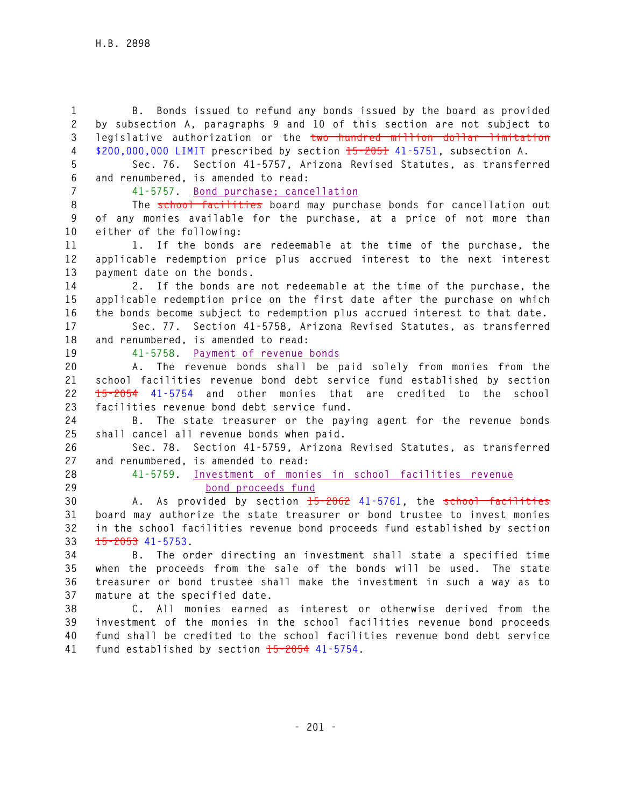**1 B. Bonds issued to refund any bonds issued by the board as provided 2 by subsection A, paragraphs 9 and 10 of this section are not subject to 3 legislative authorization or the two hundred million dollar limitation 4 \$200,000,000 LIMIT prescribed by section 15-2051 41-5751, subsection A. 5 Sec. 76. Section 41-5757, Arizona Revised Statutes, as transferred 6 and renumbered, is amended to read: 7 41-5757. Bond purchase; cancellation 8 The school facilities board may purchase bonds for cancellation out 9 of any monies available for the purchase, at a price of not more than 10 either of the following: 11 1. If the bonds are redeemable at the time of the purchase, the 12 applicable redemption price plus accrued interest to the next interest 13 payment date on the bonds. 14 2. If the bonds are not redeemable at the time of the purchase, the 15 applicable redemption price on the first date after the purchase on which 16 the bonds become subject to redemption plus accrued interest to that date. 17 Sec. 77. Section 41-5758, Arizona Revised Statutes, as transferred 18 and renumbered, is amended to read: 19 41-5758. Payment of revenue bonds 20 A. The revenue bonds shall be paid solely from monies from the 21 school facilities revenue bond debt service fund established by section 22 15-2054 41-5754 and other monies that are credited to the school 23 facilities revenue bond debt service fund. 24 B. The state treasurer or the paying agent for the revenue bonds 25 shall cancel all revenue bonds when paid. 26 Sec. 78. Section 41-5759, Arizona Revised Statutes, as transferred 27 and renumbered, is amended to read: 28 41-5759. Investment of monies in school facilities revenue 29 bond proceeds fund 30 A. As provided by section 15-2062 41-5761, the school facilities 31 board may authorize the state treasurer or bond trustee to invest monies 32 in the school facilities revenue bond proceeds fund established by section 33 15-2053 41-5753. 34 B. The order directing an investment shall state a specified time 35 when the proceeds from the sale of the bonds will be used. The state 36 treasurer or bond trustee shall make the investment in such a way as to 37 mature at the specified date. 38 C. All monies earned as interest or otherwise derived from the 39 investment of the monies in the school facilities revenue bond proceeds 40 fund shall be credited to the school facilities revenue bond debt service 41 fund established by section 15-2054 41-5754.**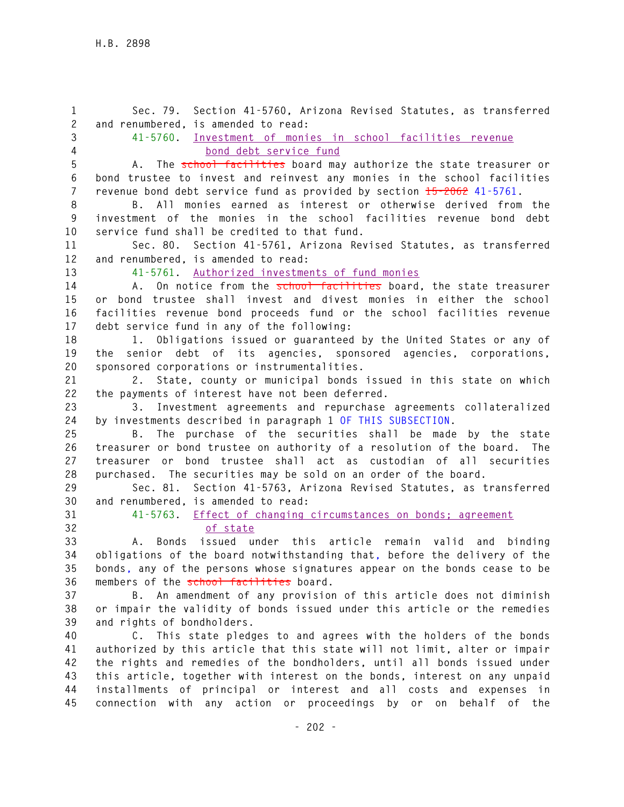**1 Sec. 79. Section 41-5760, Arizona Revised Statutes, as transferred 2 and renumbered, is amended to read: 3 41-5760. Investment of monies in school facilities revenue 4 bond debt service fund 5 A. The school facilities board may authorize the state treasurer or 6 bond trustee to invest and reinvest any monies in the school facilities 7 revenue bond debt service fund as provided by section 15-2062 41-5761. 8 B. All monies earned as interest or otherwise derived from the 9 investment of the monies in the school facilities revenue bond debt 10 service fund shall be credited to that fund. 11 Sec. 80. Section 41-5761, Arizona Revised Statutes, as transferred 12 and renumbered, is amended to read: 13 41-5761. Authorized investments of fund monies 14 A. On notice from the school facilities board, the state treasurer 15 or bond trustee shall invest and divest monies in either the school 16 facilities revenue bond proceeds fund or the school facilities revenue 17 debt service fund in any of the following: 18 1. Obligations issued or guaranteed by the United States or any of 19 the senior debt of its agencies, sponsored agencies, corporations, 20 sponsored corporations or instrumentalities. 21 2. State, county or municipal bonds issued in this state on which 22 the payments of interest have not been deferred. 23 3. Investment agreements and repurchase agreements collateralized 24 by investments described in paragraph 1 OF THIS SUBSECTION. 25 B. The purchase of the securities shall be made by the state 26 treasurer or bond trustee on authority of a resolution of the board. The 27 treasurer or bond trustee shall act as custodian of all securities 28 purchased. The securities may be sold on an order of the board. 29 Sec. 81. Section 41-5763, Arizona Revised Statutes, as transferred 30 and renumbered, is amended to read: 31 41-5763. Effect of changing circumstances on bonds; agreement 32 of state 33 A. Bonds issued under this article remain valid and binding 34 obligations of the board notwithstanding that, before the delivery of the 35 bonds, any of the persons whose signatures appear on the bonds cease to be 36 members of the school facilities board. 37 B. An amendment of any provision of this article does not diminish 38 or impair the validity of bonds issued under this article or the remedies 39 and rights of bondholders. 40 C. This state pledges to and agrees with the holders of the bonds 41 authorized by this article that this state will not limit, alter or impair 42 the rights and remedies of the bondholders, until all bonds issued under 43 this article, together with interest on the bonds, interest on any unpaid 44 installments of principal or interest and all costs and expenses in 45 connection with any action or proceedings by or on behalf of the**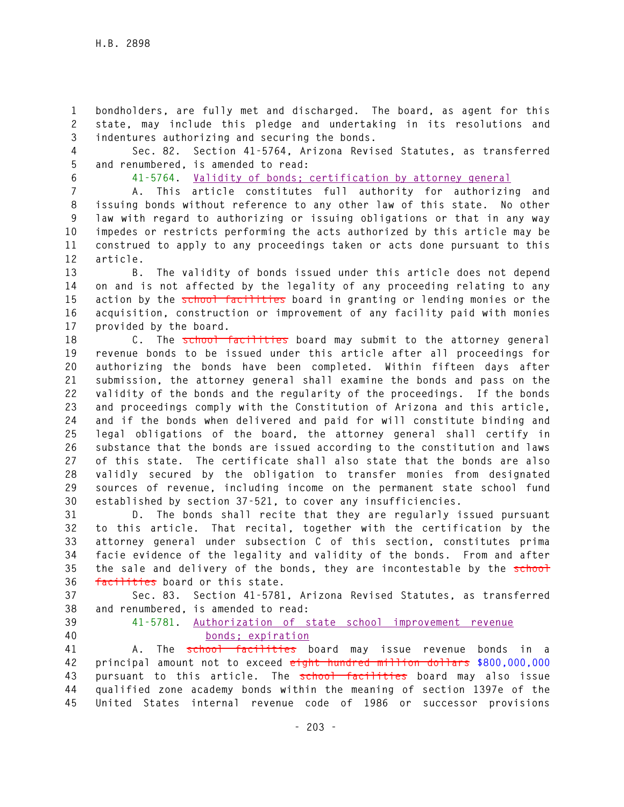**1 bondholders, are fully met and discharged. The board, as agent for this 2 state, may include this pledge and undertaking in its resolutions and 3 indentures authorizing and securing the bonds.** 

**4 Sec. 82. Section 41-5764, Arizona Revised Statutes, as transferred 5 and renumbered, is amended to read:** 

**6 41-5764. Validity of bonds; certification by attorney general**

**7 A. This article constitutes full authority for authorizing and 8 issuing bonds without reference to any other law of this state. No other 9 law with regard to authorizing or issuing obligations or that in any way 10 impedes or restricts performing the acts authorized by this article may be 11 construed to apply to any proceedings taken or acts done pursuant to this 12 article.** 

**13 B. The validity of bonds issued under this article does not depend 14 on and is not affected by the legality of any proceeding relating to any**  15 action by the school facilities board in granting or lending monies or the **16 acquisition, construction or improvement of any facility paid with monies 17 provided by the board.** 

18 **C.** The school facilities board may submit to the attorney general **19 revenue bonds to be issued under this article after all proceedings for 20 authorizing the bonds have been completed. Within fifteen days after 21 submission, the attorney general shall examine the bonds and pass on the 22 validity of the bonds and the regularity of the proceedings. If the bonds 23 and proceedings comply with the Constitution of Arizona and this article, 24 and if the bonds when delivered and paid for will constitute binding and 25 legal obligations of the board, the attorney general shall certify in 26 substance that the bonds are issued according to the constitution and laws 27 of this state. The certificate shall also state that the bonds are also 28 validly secured by the obligation to transfer monies from designated 29 sources of revenue, including income on the permanent state school fund 30 established by section 37-521, to cover any insufficiencies.** 

**31 D. The bonds shall recite that they are regularly issued pursuant 32 to this article. That recital, together with the certification by the 33 attorney general under subsection C of this section, constitutes prima 34 facie evidence of the legality and validity of the bonds. From and after**  35 the sale and delivery of the bonds, they are incontestable by the school **36 facilities board or this state.** 

**37 Sec. 83. Section 41-5781, Arizona Revised Statutes, as transferred 38 and renumbered, is amended to read:** 

**39 41-5781. Authorization of state school improvement revenue 40 bonds; expiration**

**41 A. The school facilities board may issue revenue bonds in a 42 principal amount not to exceed eight hundred million dollars \$800,000,000 43 pursuant to this article. The school facilities board may also issue 44 qualified zone academy bonds within the meaning of section 1397e of the 45 United States internal revenue code of 1986 or successor provisions**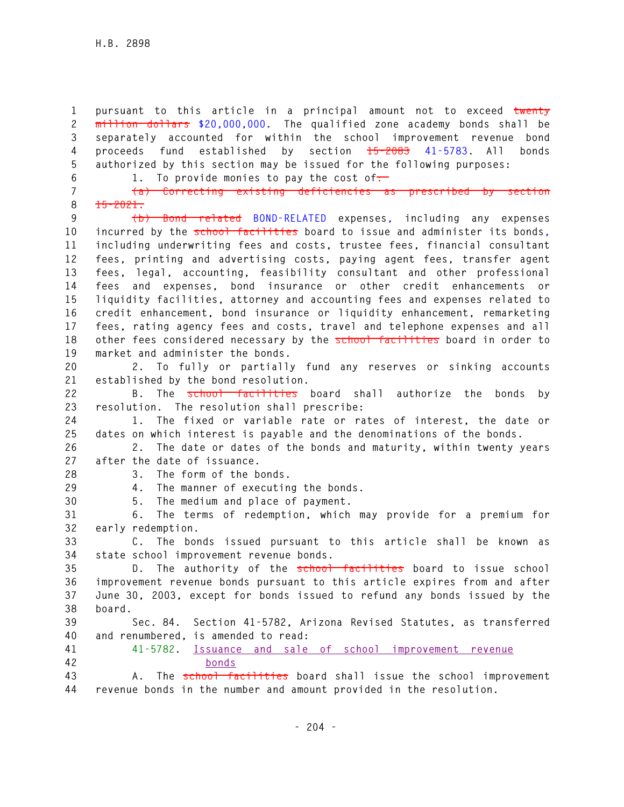**1 pursuant to this article in a principal amount not to exceed twenty 2 million dollars \$20,000,000. The qualified zone academy bonds shall be 3 separately accounted for within the school improvement revenue bond 4 proceeds fund established by section 15-2083 41-5783. All bonds 5 authorized by this section may be issued for the following purposes:** 

**8 15-2021.** 

**6 1.** To provide monies to pay the cost of. **7 (a) Correcting existing deficiencies as prescribed by section** 

**9 (b) Bond related BOND-RELATED expenses, including any expenses 10 incurred by the school facilities board to issue and administer its bonds, 11 including underwriting fees and costs, trustee fees, financial consultant 12 fees, printing and advertising costs, paying agent fees, transfer agent 13 fees, legal, accounting, feasibility consultant and other professional 14 fees and expenses, bond insurance or other credit enhancements or 15 liquidity facilities, attorney and accounting fees and expenses related to 16 credit enhancement, bond insurance or liquidity enhancement, remarketing 17 fees, rating agency fees and costs, travel and telephone expenses and all 18 other fees considered necessary by the school facilities board in order to 19 market and administer the bonds.** 

**20 2. To fully or partially fund any reserves or sinking accounts 21 established by the bond resolution.** 

**22 B. The school facilities board shall authorize the bonds by 23 resolution. The resolution shall prescribe:** 

**24 1. The fixed or variable rate or rates of interest, the date or 25 dates on which interest is payable and the denominations of the bonds.** 

**26 2. The date or dates of the bonds and maturity, within twenty years 27 after the date of issuance.** 

**28 3. The form of the bonds.** 

**29 4. The manner of executing the bonds.** 

**30 5. The medium and place of payment.** 

**31 6. The terms of redemption, which may provide for a premium for 32 early redemption.** 

**33 C. The bonds issued pursuant to this article shall be known as 34 state school improvement revenue bonds.** 

**35 D. The authority of the school facilities board to issue school 36 improvement revenue bonds pursuant to this article expires from and after 37 June 30, 2003, except for bonds issued to refund any bonds issued by the 38 board.** 

**39 Sec. 84. Section 41-5782, Arizona Revised Statutes, as transferred 40 and renumbered, is amended to read:** 

**41 41-5782. Issuance and sale of school improvement revenue 42 bonds**

**43 A. The school facilities board shall issue the school improvement 44 revenue bonds in the number and amount provided in the resolution.**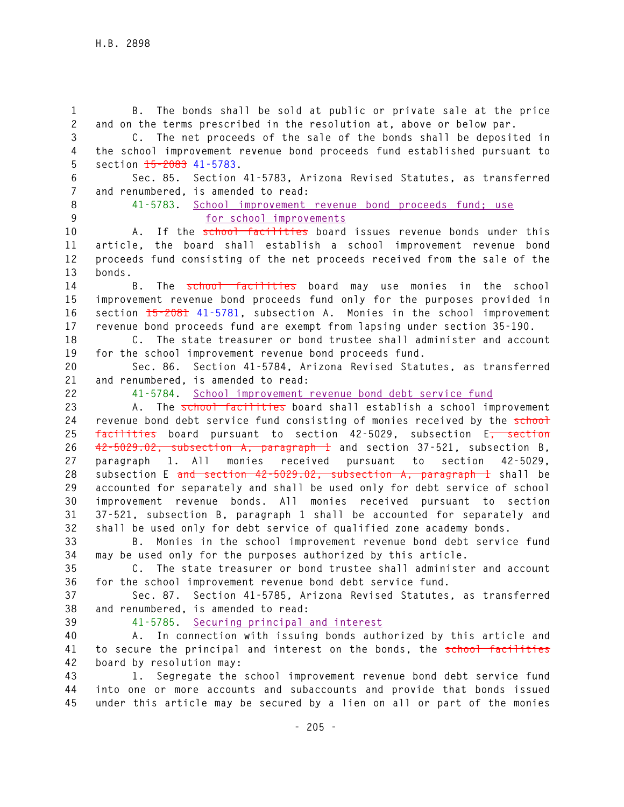**1 B. The bonds shall be sold at public or private sale at the price 2 and on the terms prescribed in the resolution at, above or below par. 3 C. The net proceeds of the sale of the bonds shall be deposited in 4 the school improvement revenue bond proceeds fund established pursuant to 5 section 15-2083 41-5783. 6 Sec. 85. Section 41-5783, Arizona Revised Statutes, as transferred 7 and renumbered, is amended to read: 8 41-5783. School improvement revenue bond proceeds fund; use 9 for school improvements 10 A. If the school facilities board issues revenue bonds under this 11 article, the board shall establish a school improvement revenue bond 12 proceeds fund consisting of the net proceeds received from the sale of the 13 bonds. 14 B. The school facilities board may use monies in the school 15 improvement revenue bond proceeds fund only for the purposes provided in 16 section 15-2081 41-5781, subsection A. Monies in the school improvement 17 revenue bond proceeds fund are exempt from lapsing under section 35-190. 18 C. The state treasurer or bond trustee shall administer and account 19 for the school improvement revenue bond proceeds fund. 20 Sec. 86. Section 41-5784, Arizona Revised Statutes, as transferred 21 and renumbered, is amended to read: 22 41-5784. School improvement revenue bond debt service fund 23 A. The school facilities board shall establish a school improvement**  24 revenue bond debt service fund consisting of monies received by the school **25 facilities board pursuant to section 42-5029, subsection E, section 26 42-5029.02, subsection A, paragraph 1 and section 37-521, subsection B, 27 paragraph 1. All monies received pursuant to section 42-5029, 28 subsection E and section 42-5029.02, subsection A, paragraph 1 shall be 29 accounted for separately and shall be used only for debt service of school 30 improvement revenue bonds. All monies received pursuant to section 31 37-521, subsection B, paragraph 1 shall be accounted for separately and 32 shall be used only for debt service of qualified zone academy bonds. 33 B. Monies in the school improvement revenue bond debt service fund 34 may be used only for the purposes authorized by this article. 35 C. The state treasurer or bond trustee shall administer and account 36 for the school improvement revenue bond debt service fund. 37 Sec. 87. Section 41-5785, Arizona Revised Statutes, as transferred 38 and renumbered, is amended to read: 39 41-5785. Securing principal and interest 40 A. In connection with issuing bonds authorized by this article and 41 to secure the principal and interest on the bonds, the school facilities 42 board by resolution may: 43 1. Segregate the school improvement revenue bond debt service fund 44 into one or more accounts and subaccounts and provide that bonds issued 45 under this article may be secured by a lien on all or part of the monies**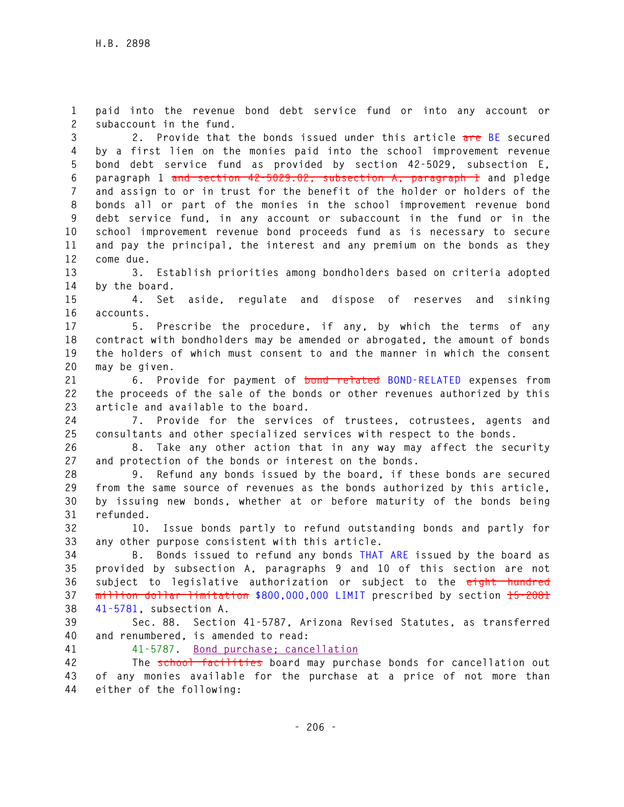**1 paid into the revenue bond debt service fund or into any account or 2 subaccount in the fund.** 

**3 2. Provide that the bonds issued under this article are BE secured 4 by a first lien on the monies paid into the school improvement revenue 5 bond debt service fund as provided by section 42-5029, subsection E, 6 paragraph 1 and section 42-5029.02, subsection A, paragraph 1 and pledge 7 and assign to or in trust for the benefit of the holder or holders of the 8 bonds all or part of the monies in the school improvement revenue bond 9 debt service fund, in any account or subaccount in the fund or in the 10 school improvement revenue bond proceeds fund as is necessary to secure 11 and pay the principal, the interest and any premium on the bonds as they 12 come due.** 

**13 3. Establish priorities among bondholders based on criteria adopted 14 by the board.** 

**15 4. Set aside, regulate and dispose of reserves and sinking 16 accounts.** 

**17 5. Prescribe the procedure, if any, by which the terms of any 18 contract with bondholders may be amended or abrogated, the amount of bonds 19 the holders of which must consent to and the manner in which the consent 20 may be given.** 

**21 6. Provide for payment of bond related BOND-RELATED expenses from 22 the proceeds of the sale of the bonds or other revenues authorized by this 23 article and available to the board.** 

**24 7. Provide for the services of trustees, cotrustees, agents and 25 consultants and other specialized services with respect to the bonds.** 

**26 8. Take any other action that in any way may affect the security 27 and protection of the bonds or interest on the bonds.** 

**28 9. Refund any bonds issued by the board, if these bonds are secured 29 from the same source of revenues as the bonds authorized by this article, 30 by issuing new bonds, whether at or before maturity of the bonds being 31 refunded.** 

**32 10. Issue bonds partly to refund outstanding bonds and partly for 33 any other purpose consistent with this article.** 

**34 B. Bonds issued to refund any bonds THAT ARE issued by the board as 35 provided by subsection A, paragraphs 9 and 10 of this section are not 36 subject to legislative authorization or subject to the eight hundred 37 million dollar limitation \$800,000,000 LIMIT prescribed by section 15-2081 38 41-5781, subsection A.** 

**39 Sec. 88. Section 41-5787, Arizona Revised Statutes, as transferred 40 and renumbered, is amended to read:** 

**41 41-5787. Bond purchase; cancellation**

**42 The school facilities board may purchase bonds for cancellation out 43 of any monies available for the purchase at a price of not more than 44 either of the following:**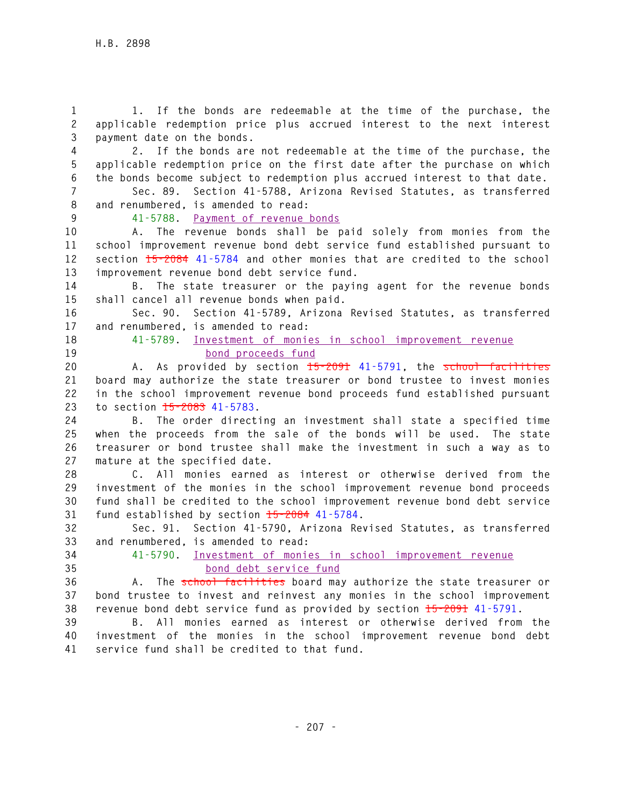**1 1. If the bonds are redeemable at the time of the purchase, the 2 applicable redemption price plus accrued interest to the next interest 3 payment date on the bonds.** 

**4 2. If the bonds are not redeemable at the time of the purchase, the 5 applicable redemption price on the first date after the purchase on which 6 the bonds become subject to redemption plus accrued interest to that date.** 

**7 Sec. 89. Section 41-5788, Arizona Revised Statutes, as transferred 8 and renumbered, is amended to read:** 

**9 41-5788. Payment of revenue bonds**

**10 A. The revenue bonds shall be paid solely from monies from the 11 school improvement revenue bond debt service fund established pursuant to 12 section 15-2084 41-5784 and other monies that are credited to the school 13 improvement revenue bond debt service fund.** 

**14 B. The state treasurer or the paying agent for the revenue bonds 15 shall cancel all revenue bonds when paid.** 

**16 Sec. 90. Section 41-5789, Arizona Revised Statutes, as transferred 17 and renumbered, is amended to read:** 

**18 41-5789. Investment of monies in school improvement revenue 19 bond proceeds fund**

**20 A. As provided by section 15-2091 41-5791, the school facilities 21 board may authorize the state treasurer or bond trustee to invest monies 22 in the school improvement revenue bond proceeds fund established pursuant 23 to section 15-2083 41-5783.** 

**24 B. The order directing an investment shall state a specified time 25 when the proceeds from the sale of the bonds will be used. The state 26 treasurer or bond trustee shall make the investment in such a way as to 27 mature at the specified date.** 

**28 C. All monies earned as interest or otherwise derived from the 29 investment of the monies in the school improvement revenue bond proceeds 30 fund shall be credited to the school improvement revenue bond debt service 31 fund established by section 15-2084 41-5784.** 

**32 Sec. 91. Section 41-5790, Arizona Revised Statutes, as transferred 33 and renumbered, is amended to read:** 

**34 41-5790. Investment of monies in school improvement revenue 35 bond debt service fund**

**36 A. The school facilities board may authorize the state treasurer or 37 bond trustee to invest and reinvest any monies in the school improvement 38 revenue bond debt service fund as provided by section 15-2091 41-5791.** 

**39 B. All monies earned as interest or otherwise derived from the 40 investment of the monies in the school improvement revenue bond debt 41 service fund shall be credited to that fund.**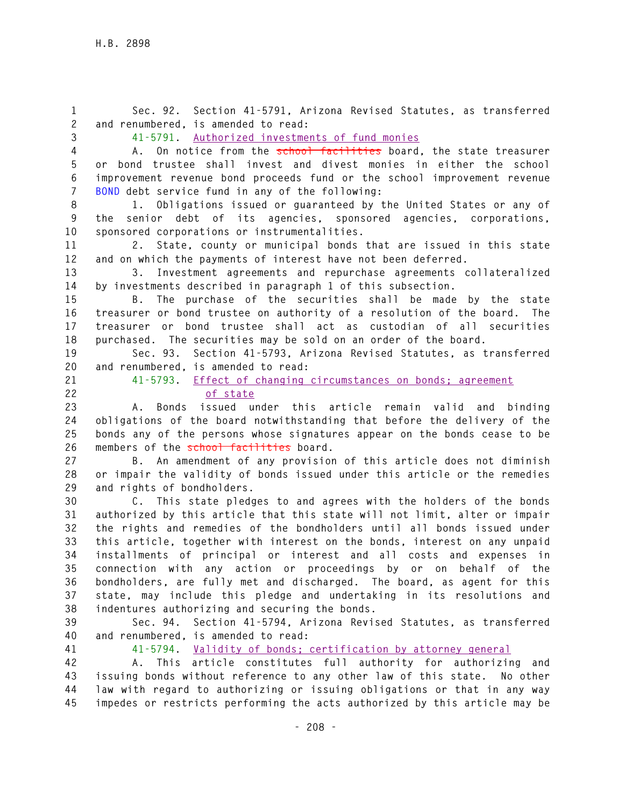**1 Sec. 92. Section 41-5791, Arizona Revised Statutes, as transferred 2 and renumbered, is amended to read: 3 41-5791. Authorized investments of fund monies 4 A. On notice from the school facilities board, the state treasurer 5 or bond trustee shall invest and divest monies in either the school 6 improvement revenue bond proceeds fund or the school improvement revenue 7 BOND debt service fund in any of the following: 8 1. Obligations issued or guaranteed by the United States or any of 9 the senior debt of its agencies, sponsored agencies, corporations, 10 sponsored corporations or instrumentalities. 11 2. State, county or municipal bonds that are issued in this state 12 and on which the payments of interest have not been deferred. 13 3. Investment agreements and repurchase agreements collateralized 14 by investments described in paragraph 1 of this subsection. 15 B. The purchase of the securities shall be made by the state 16 treasurer or bond trustee on authority of a resolution of the board. The 17 treasurer or bond trustee shall act as custodian of all securities 18 purchased. The securities may be sold on an order of the board. 19 Sec. 93. Section 41-5793, Arizona Revised Statutes, as transferred 20 and renumbered, is amended to read: 21 41-5793. Effect of changing circumstances on bonds; agreement 22 of state 23 A. Bonds issued under this article remain valid and binding 24 obligations of the board notwithstanding that before the delivery of the 25 bonds any of the persons whose signatures appear on the bonds cease to be**  26 members of the school facilities board. **27 B. An amendment of any provision of this article does not diminish 28 or impair the validity of bonds issued under this article or the remedies 29 and rights of bondholders. 30 C. This state pledges to and agrees with the holders of the bonds 31 authorized by this article that this state will not limit, alter or impair 32 the rights and remedies of the bondholders until all bonds issued under 33 this article, together with interest on the bonds, interest on any unpaid 34 installments of principal or interest and all costs and expenses in 35 connection with any action or proceedings by or on behalf of the 36 bondholders, are fully met and discharged. The board, as agent for this 37 state, may include this pledge and undertaking in its resolutions and 38 indentures authorizing and securing the bonds. 39 Sec. 94. Section 41-5794, Arizona Revised Statutes, as transferred 40 and renumbered, is amended to read: 41 41-5794. Validity of bonds; certification by attorney general 42 A. This article constitutes full authority for authorizing and 43 issuing bonds without reference to any other law of this state. No other 44 law with regard to authorizing or issuing obligations or that in any way 45 impedes or restricts performing the acts authorized by this article may be**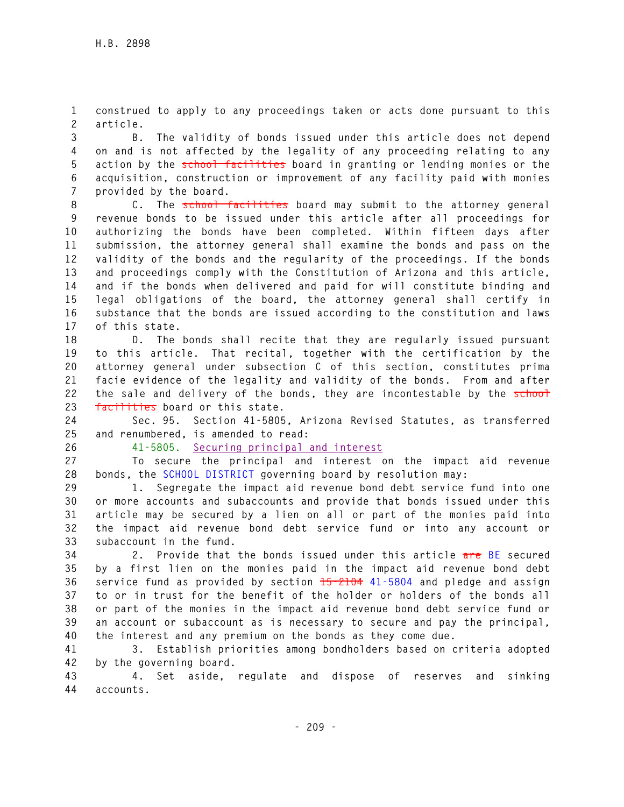**1 construed to apply to any proceedings taken or acts done pursuant to this 2 article.** 

**3 B. The validity of bonds issued under this article does not depend 4 on and is not affected by the legality of any proceeding relating to any 5 action by the school facilities board in granting or lending monies or the 6 acquisition, construction or improvement of any facility paid with monies 7 provided by the board.** 

**8 C. The school facilities board may submit to the attorney general 9 revenue bonds to be issued under this article after all proceedings for 10 authorizing the bonds have been completed. Within fifteen days after 11 submission, the attorney general shall examine the bonds and pass on the 12 validity of the bonds and the regularity of the proceedings. If the bonds 13 and proceedings comply with the Constitution of Arizona and this article, 14 and if the bonds when delivered and paid for will constitute binding and 15 legal obligations of the board, the attorney general shall certify in 16 substance that the bonds are issued according to the constitution and laws 17 of this state.** 

**18 D. The bonds shall recite that they are regularly issued pursuant 19 to this article. That recital, together with the certification by the 20 attorney general under subsection C of this section, constitutes prima 21 facie evidence of the legality and validity of the bonds. From and after**  22 the sale and delivery of the bonds, they are incontestable by the school **23 facilities board or this state.** 

**24 Sec. 95. Section 41-5805, Arizona Revised Statutes, as transferred 25 and renumbered, is amended to read:** 

**26 41-5805. Securing principal and interest**

**27 To secure the principal and interest on the impact aid revenue 28 bonds, the SCHOOL DISTRICT governing board by resolution may:** 

**29 1. Segregate the impact aid revenue bond debt service fund into one 30 or more accounts and subaccounts and provide that bonds issued under this 31 article may be secured by a lien on all or part of the monies paid into 32 the impact aid revenue bond debt service fund or into any account or 33 subaccount in the fund.** 

**34 2. Provide that the bonds issued under this article are BE secured 35 by a first lien on the monies paid in the impact aid revenue bond debt 36 service fund as provided by section 15-2104 41-5804 and pledge and assign 37 to or in trust for the benefit of the holder or holders of the bonds all 38 or part of the monies in the impact aid revenue bond debt service fund or 39 an account or subaccount as is necessary to secure and pay the principal, 40 the interest and any premium on the bonds as they come due.** 

**41 3. Establish priorities among bondholders based on criteria adopted 42 by the governing board.** 

**43 4. Set aside, regulate and dispose of reserves and sinking 44 accounts.**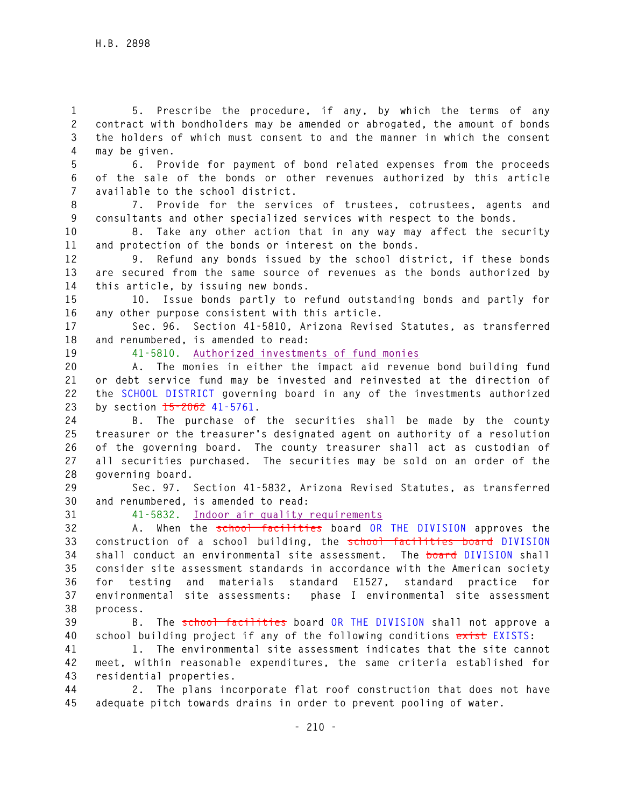**1 5. Prescribe the procedure, if any, by which the terms of any 2 contract with bondholders may be amended or abrogated, the amount of bonds 3 the holders of which must consent to and the manner in which the consent 4 may be given.** 

**5 6. Provide for payment of bond related expenses from the proceeds 6 of the sale of the bonds or other revenues authorized by this article 7 available to the school district.** 

**8 7. Provide for the services of trustees, cotrustees, agents and 9 consultants and other specialized services with respect to the bonds.** 

**10 8. Take any other action that in any way may affect the security 11 and protection of the bonds or interest on the bonds.** 

**12 9. Refund any bonds issued by the school district, if these bonds 13 are secured from the same source of revenues as the bonds authorized by 14 this article, by issuing new bonds.** 

**15 10. Issue bonds partly to refund outstanding bonds and partly for 16 any other purpose consistent with this article.** 

**17 Sec. 96. Section 41-5810, Arizona Revised Statutes, as transferred 18 and renumbered, is amended to read:** 

**19 41-5810. Authorized investments of fund monies**

**20 A. The monies in either the impact aid revenue bond building fund 21 or debt service fund may be invested and reinvested at the direction of 22 the SCHOOL DISTRICT governing board in any of the investments authorized 23 by section 15-2062 41-5761.** 

**24 B. The purchase of the securities shall be made by the county 25 treasurer or the treasurer's designated agent on authority of a resolution 26 of the governing board. The county treasurer shall act as custodian of 27 all securities purchased. The securities may be sold on an order of the 28 governing board.** 

**29 Sec. 97. Section 41-5832, Arizona Revised Statutes, as transferred 30 and renumbered, is amended to read:** 

**31 41-5832. Indoor air quality requirements**

**32 A. When the school facilities board OR THE DIVISION approves the 33 construction of a school building, the school facilities board DIVISION 34 shall conduct an environmental site assessment. The board DIVISION shall 35 consider site assessment standards in accordance with the American society 36 for testing and materials standard E1527, standard practice for 37 environmental site assessments: phase I environmental site assessment 38 process.** 

**39 B. The school facilities board OR THE DIVISION shall not approve a 40 school building project if any of the following conditions exist EXISTS:** 

**41 1. The environmental site assessment indicates that the site cannot 42 meet, within reasonable expenditures, the same criteria established for 43 residential properties.** 

**44 2. The plans incorporate flat roof construction that does not have 45 adequate pitch towards drains in order to prevent pooling of water.**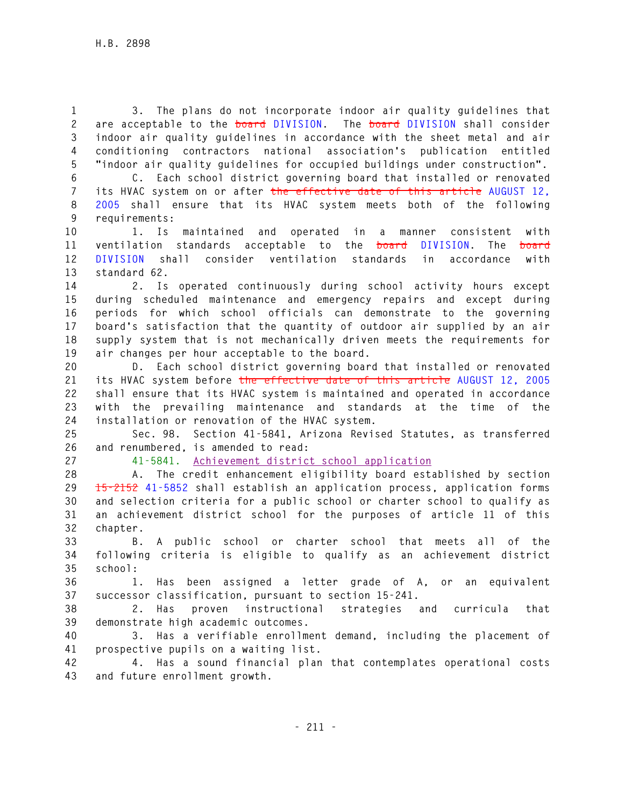**1 3. The plans do not incorporate indoor air quality guidelines that 2 are acceptable to the board DIVISION. The board DIVISION shall consider 3 indoor air quality guidelines in accordance with the sheet metal and air 4 conditioning contractors national association's publication entitled 5 "indoor air quality guidelines for occupied buildings under construction".** 

**6 C. Each school district governing board that installed or renovated 7 its HVAC system on or after the effective date of this article AUGUST 12, 8 2005 shall ensure that its HVAC system meets both of the following 9 requirements:** 

**10 1. Is maintained and operated in a manner consistent with 11 ventilation standards acceptable to the board DIVISION. The board 12 DIVISION shall consider ventilation standards in accordance with 13 standard 62.** 

**14 2. Is operated continuously during school activity hours except 15 during scheduled maintenance and emergency repairs and except during 16 periods for which school officials can demonstrate to the governing 17 board's satisfaction that the quantity of outdoor air supplied by an air 18 supply system that is not mechanically driven meets the requirements for 19 air changes per hour acceptable to the board.** 

**20 D. Each school district governing board that installed or renovated 21 its HVAC system before the effective date of this article AUGUST 12, 2005 22 shall ensure that its HVAC system is maintained and operated in accordance 23 with the prevailing maintenance and standards at the time of the 24 installation or renovation of the HVAC system.** 

**25 Sec. 98. Section 41-5841, Arizona Revised Statutes, as transferred 26 and renumbered, is amended to read:** 

**27 41-5841. Achievement district school application**

**28 A. The credit enhancement eligibility board established by section 29 15-2152 41-5852 shall establish an application process, application forms 30 and selection criteria for a public school or charter school to qualify as 31 an achievement district school for the purposes of article 11 of this 32 chapter.** 

**33 B. A public school or charter school that meets all of the 34 following criteria is eligible to qualify as an achievement district 35 school:** 

**36 1. Has been assigned a letter grade of A, or an equivalent 37 successor classification, pursuant to section 15-241.** 

**38 2. Has proven instructional strategies and curricula that 39 demonstrate high academic outcomes.** 

**40 3. Has a verifiable enrollment demand, including the placement of 41 prospective pupils on a waiting list.** 

**42 4. Has a sound financial plan that contemplates operational costs 43 and future enrollment growth.**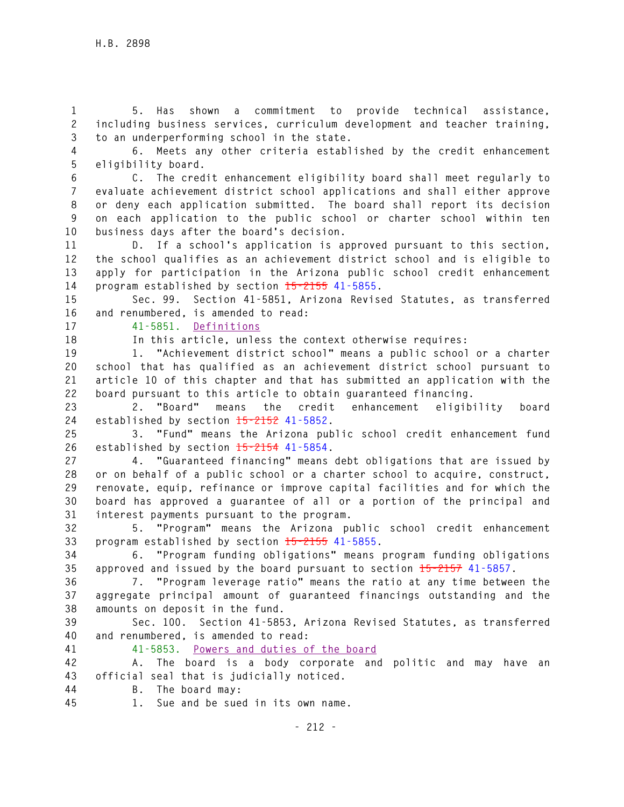**1 5. Has shown a commitment to provide technical assistance, 2 including business services, curriculum development and teacher training, 3 to an underperforming school in the state.** 

**4 6. Meets any other criteria established by the credit enhancement 5 eligibility board.** 

**6 C. The credit enhancement eligibility board shall meet regularly to 7 evaluate achievement district school applications and shall either approve 8 or deny each application submitted. The board shall report its decision 9 on each application to the public school or charter school within ten 10 business days after the board's decision.** 

**11 D. If a school's application is approved pursuant to this section, 12 the school qualifies as an achievement district school and is eligible to 13 apply for participation in the Arizona public school credit enhancement 14 program established by section 15-2155 41-5855.** 

**15 Sec. 99. Section 41-5851, Arizona Revised Statutes, as transferred 16 and renumbered, is amended to read:** 

**17 41-5851. Definitions**

**18 In this article, unless the context otherwise requires:** 

**19 1. "Achievement district school" means a public school or a charter 20 school that has qualified as an achievement district school pursuant to 21 article 10 of this chapter and that has submitted an application with the 22 board pursuant to this article to obtain guaranteed financing.** 

**23 2. "Board" means the credit enhancement eligibility board 24 established by section 15-2152 41-5852.** 

**25 3. "Fund" means the Arizona public school credit enhancement fund 26 established by section 15-2154 41-5854.** 

**27 4. "Guaranteed financing" means debt obligations that are issued by 28 or on behalf of a public school or a charter school to acquire, construct, 29 renovate, equip, refinance or improve capital facilities and for which the 30 board has approved a guarantee of all or a portion of the principal and 31 interest payments pursuant to the program.** 

**32 5. "Program" means the Arizona public school credit enhancement 33 program established by section 15-2155 41-5855.** 

**34 6. "Program funding obligations" means program funding obligations 35 approved and issued by the board pursuant to section 15-2157 41-5857.** 

**36 7. "Program leverage ratio" means the ratio at any time between the 37 aggregate principal amount of guaranteed financings outstanding and the 38 amounts on deposit in the fund.** 

**39 Sec. 100. Section 41-5853, Arizona Revised Statutes, as transferred 40 and renumbered, is amended to read:** 

**41 41-5853. Powers and duties of the board**

**42 A. The board is a body corporate and politic and may have an 43 official seal that is judicially noticed.** 

**44 B. The board may:** 

**45 1. Sue and be sued in its own name.**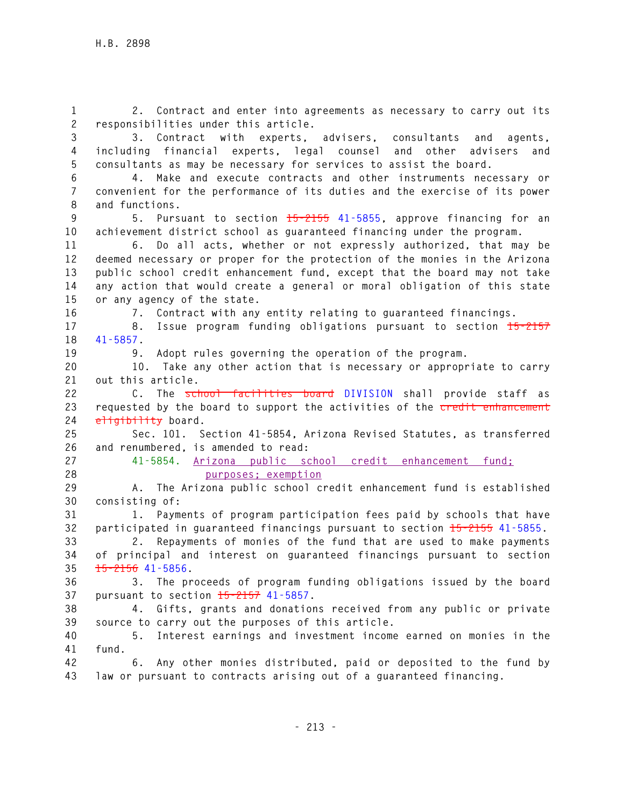**1 2. Contract and enter into agreements as necessary to carry out its 2 responsibilities under this article. 3 3. Contract with experts, advisers, consultants and agents, 4 including financial experts, legal counsel and other advisers and 5 consultants as may be necessary for services to assist the board. 6 4. Make and execute contracts and other instruments necessary or 7 convenient for the performance of its duties and the exercise of its power 8 and functions. 9 5. Pursuant to section 15-2155 41-5855, approve financing for an 10 achievement district school as guaranteed financing under the program. 11 6. Do all acts, whether or not expressly authorized, that may be 12 deemed necessary or proper for the protection of the monies in the Arizona 13 public school credit enhancement fund, except that the board may not take 14 any action that would create a general or moral obligation of this state 15 or any agency of the state. 16 7. Contract with any entity relating to guaranteed financings. 17 8. Issue program funding obligations pursuant to section 15-2157 18 41-5857. 19 9. Adopt rules governing the operation of the program. 20 10. Take any other action that is necessary or appropriate to carry 21 out this article. 22 C. The school facilities board DIVISION shall provide staff as 23 requested by the board to support the activities of the credit enhancement 24 eligibility board. 25 Sec. 101. Section 41-5854, Arizona Revised Statutes, as transferred 26 and renumbered, is amended to read: 27 41-5854. Arizona public school credit enhancement fund; 28 purposes; exemption 29 A. The Arizona public school credit enhancement fund is established 30 consisting of: 31 1. Payments of program participation fees paid by schools that have 32 participated in guaranteed financings pursuant to section 15-2155 41-5855. 33 2. Repayments of monies of the fund that are used to make payments 34 of principal and interest on guaranteed financings pursuant to section 35 15-2156 41-5856. 36 3. The proceeds of program funding obligations issued by the board 37 pursuant to section 15-2157 41-5857. 38 4. Gifts, grants and donations received from any public or private 39 source to carry out the purposes of this article. 40 5. Interest earnings and investment income earned on monies in the 41 fund. 42 6. Any other monies distributed, paid or deposited to the fund by 43 law or pursuant to contracts arising out of a guaranteed financing.**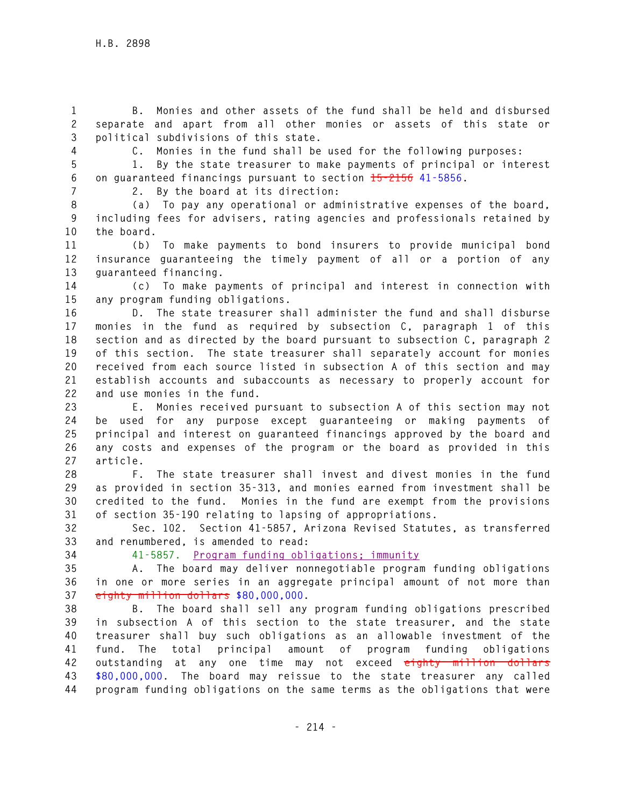**1 B. Monies and other assets of the fund shall be held and disbursed 2 separate and apart from all other monies or assets of this state or 3 political subdivisions of this state.** 

**4 C. Monies in the fund shall be used for the following purposes:** 

**5 1. By the state treasurer to make payments of principal or interest 6 on guaranteed financings pursuant to section 15-2156 41-5856.** 

**7 2. By the board at its direction:** 

**8 (a) To pay any operational or administrative expenses of the board, 9 including fees for advisers, rating agencies and professionals retained by 10 the board.** 

**11 (b) To make payments to bond insurers to provide municipal bond 12 insurance guaranteeing the timely payment of all or a portion of any 13 guaranteed financing.** 

**14 (c) To make payments of principal and interest in connection with 15 any program funding obligations.** 

**16 D. The state treasurer shall administer the fund and shall disburse 17 monies in the fund as required by subsection C, paragraph 1 of this 18 section and as directed by the board pursuant to subsection C, paragraph 2 19 of this section. The state treasurer shall separately account for monies 20 received from each source listed in subsection A of this section and may 21 establish accounts and subaccounts as necessary to properly account for 22 and use monies in the fund.** 

**23 E. Monies received pursuant to subsection A of this section may not 24 be used for any purpose except guaranteeing or making payments of 25 principal and interest on guaranteed financings approved by the board and 26 any costs and expenses of the program or the board as provided in this 27 article.** 

**28 F. The state treasurer shall invest and divest monies in the fund 29 as provided in section 35-313, and monies earned from investment shall be 30 credited to the fund. Monies in the fund are exempt from the provisions 31 of section 35-190 relating to lapsing of appropriations.** 

**32 Sec. 102. Section 41-5857, Arizona Revised Statutes, as transferred 33 and renumbered, is amended to read:** 

**34 41-5857. Program funding obligations; immunity**

**35 A. The board may deliver nonnegotiable program funding obligations 36 in one or more series in an aggregate principal amount of not more than 37 eighty million dollars \$80,000,000.** 

**38 B. The board shall sell any program funding obligations prescribed 39 in subsection A of this section to the state treasurer, and the state 40 treasurer shall buy such obligations as an allowable investment of the 41 fund. The total principal amount of program funding obligations 42 outstanding at any one time may not exceed eighty million dollars 43 \$80,000,000. The board may reissue to the state treasurer any called 44 program funding obligations on the same terms as the obligations that were**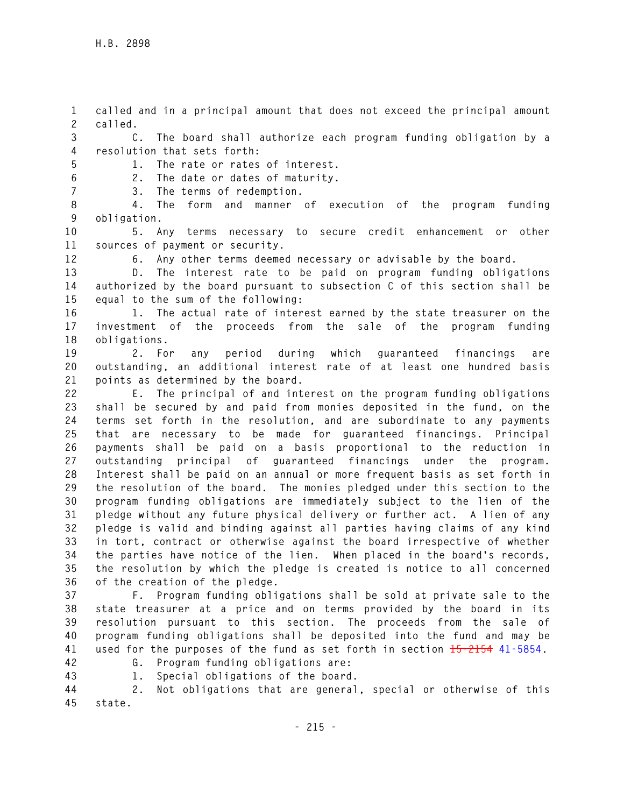**1 called and in a principal amount that does not exceed the principal amount 2 called.** 

**3 C. The board shall authorize each program funding obligation by a 4 resolution that sets forth:** 

**5 1. The rate or rates of interest. 6 2. The date or dates of maturity.** 

**7 3. The terms of redemption.** 

**8 4. The form and manner of execution of the program funding 9 obligation.** 

**10 5. Any terms necessary to secure credit enhancement or other 11 sources of payment or security.** 

**12 6. Any other terms deemed necessary or advisable by the board.** 

**13 D. The interest rate to be paid on program funding obligations 14 authorized by the board pursuant to subsection C of this section shall be 15 equal to the sum of the following:** 

**16 1. The actual rate of interest earned by the state treasurer on the 17 investment of the proceeds from the sale of the program funding 18 obligations.** 

**19 2. For any period during which guaranteed financings are 20 outstanding, an additional interest rate of at least one hundred basis 21 points as determined by the board.** 

**22 E. The principal of and interest on the program funding obligations 23 shall be secured by and paid from monies deposited in the fund, on the 24 terms set forth in the resolution, and are subordinate to any payments 25 that are necessary to be made for guaranteed financings. Principal 26 payments shall be paid on a basis proportional to the reduction in 27 outstanding principal of guaranteed financings under the program. 28 Interest shall be paid on an annual or more frequent basis as set forth in 29 the resolution of the board. The monies pledged under this section to the 30 program funding obligations are immediately subject to the lien of the 31 pledge without any future physical delivery or further act. A lien of any 32 pledge is valid and binding against all parties having claims of any kind 33 in tort, contract or otherwise against the board irrespective of whether 34 the parties have notice of the lien. When placed in the board's records, 35 the resolution by which the pledge is created is notice to all concerned 36 of the creation of the pledge.** 

**37 F. Program funding obligations shall be sold at private sale to the 38 state treasurer at a price and on terms provided by the board in its 39 resolution pursuant to this section. The proceeds from the sale of 40 program funding obligations shall be deposited into the fund and may be 41 used for the purposes of the fund as set forth in section 15-2154 41-5854.** 

- 
- **42 G. Program funding obligations are:**

**43 1. Special obligations of the board.** 

**44 2. Not obligations that are general, special or otherwise of this 45 state.**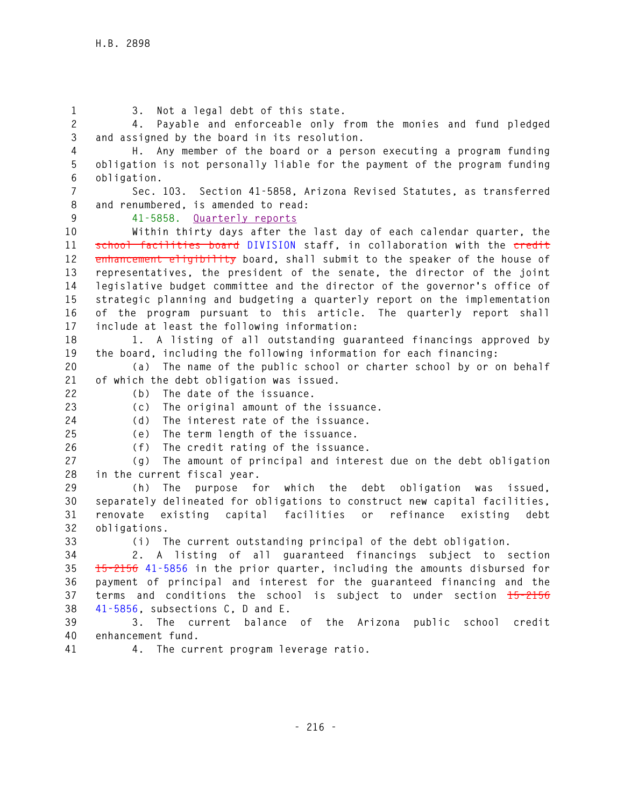**1 3. Not a legal debt of this state. 2 4. Payable and enforceable only from the monies and fund pledged 3 and assigned by the board in its resolution. 4 H. Any member of the board or a person executing a program funding 5 obligation is not personally liable for the payment of the program funding 6 obligation. 7 Sec. 103. Section 41-5858, Arizona Revised Statutes, as transferred 8 and renumbered, is amended to read: 9 41-5858. Quarterly reports 10 Within thirty days after the last day of each calendar quarter, the 11 school facilities board DIVISION staff, in collaboration with the credit 12 enhancement eligibility board, shall submit to the speaker of the house of 13 representatives, the president of the senate, the director of the joint 14 legislative budget committee and the director of the governor's office of 15 strategic planning and budgeting a quarterly report on the implementation 16 of the program pursuant to this article. The quarterly report shall 17 include at least the following information: 18 1. A listing of all outstanding guaranteed financings approved by 19 the board, including the following information for each financing: 20 (a) The name of the public school or charter school by or on behalf 21 of which the debt obligation was issued. 22 (b) The date of the issuance. 23 (c) The original amount of the issuance. 24 (d) The interest rate of the issuance. 25 (e) The term length of the issuance. 26 (f) The credit rating of the issuance. 27 (g) The amount of principal and interest due on the debt obligation 28 in the current fiscal year. 29 (h) The purpose for which the debt obligation was issued, 30 separately delineated for obligations to construct new capital facilities, 31 renovate existing capital facilities or refinance existing debt 32 obligations. 33 (i) The current outstanding principal of the debt obligation. 34 2. A listing of all guaranteed financings subject to section 35 15-2156 41-5856 in the prior quarter, including the amounts disbursed for 36 payment of principal and interest for the guaranteed financing and the 37 terms and conditions the school is subject to under section 15-2156 38 41-5856, subsections C, D and E. 39 3. The current balance of the Arizona public school credit 40 enhancement fund. 41 4. The current program leverage ratio.**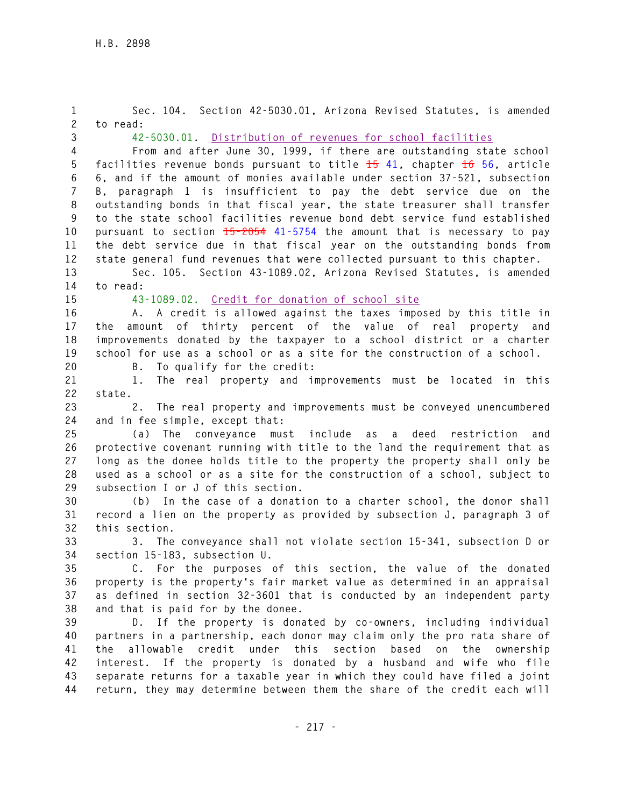**1 Sec. 104. Section 42-5030.01, Arizona Revised Statutes, is amended 2 to read: 3 42-5030.01. Distribution of revenues for school facilities 4 From and after June 30, 1999, if there are outstanding state school 5 facilities revenue bonds pursuant to title 15 41, chapter 16 56, article 6 6, and if the amount of monies available under section 37-521, subsection 7 B, paragraph 1 is insufficient to pay the debt service due on the 8 outstanding bonds in that fiscal year, the state treasurer shall transfer 9 to the state school facilities revenue bond debt service fund established 10 pursuant to section 15-2054 41-5754 the amount that is necessary to pay 11 the debt service due in that fiscal year on the outstanding bonds from 12 state general fund revenues that were collected pursuant to this chapter. 13 Sec. 105. Section 43-1089.02, Arizona Revised Statutes, is amended 14 to read: 15 43-1089.02. Credit for donation of school site 16 A. A credit is allowed against the taxes imposed by this title in 17 the amount of thirty percent of the value of real property and 18 improvements donated by the taxpayer to a school district or a charter 19 school for use as a school or as a site for the construction of a school. 20 B. To qualify for the credit: 21 1. The real property and improvements must be located in this 22 state. 23 2. The real property and improvements must be conveyed unencumbered 24 and in fee simple, except that: 25 (a) The conveyance must include as a deed restriction and 26 protective covenant running with title to the land the requirement that as 27 long as the donee holds title to the property the property shall only be 28 used as a school or as a site for the construction of a school, subject to 29 subsection I or J of this section. 30 (b) In the case of a donation to a charter school, the donor shall 31 record a lien on the property as provided by subsection J, paragraph 3 of 32 this section. 33 3. The conveyance shall not violate section 15-341, subsection D or 34 section 15-183, subsection U. 35 C. For the purposes of this section, the value of the donated 36 property is the property's fair market value as determined in an appraisal 37 as defined in section 32-3601 that is conducted by an independent party 38 and that is paid for by the donee. 39 D. If the property is donated by co-owners, including individual 40 partners in a partnership, each donor may claim only the pro rata share of 41 the allowable credit under this section based on the ownership 42 interest. If the property is donated by a husband and wife who file 43 separate returns for a taxable year in which they could have filed a joint 44 return, they may determine between them the share of the credit each will**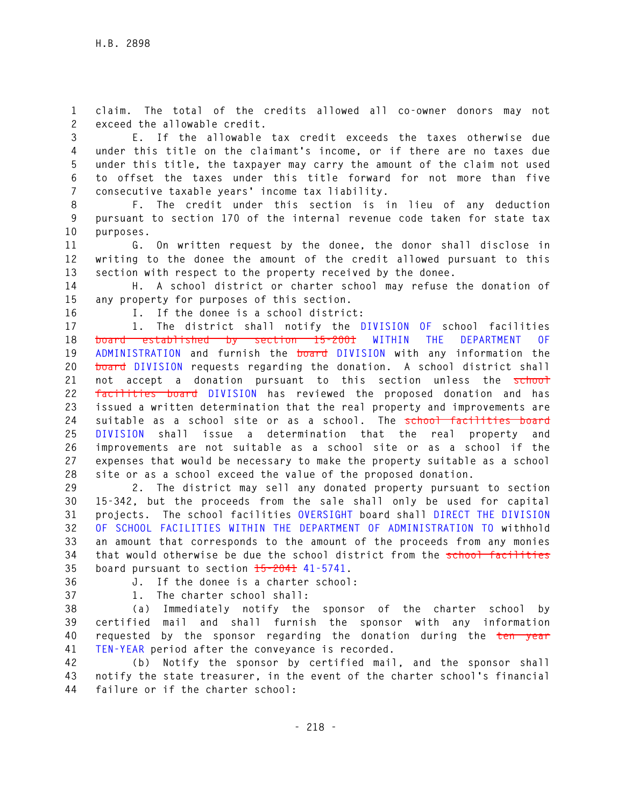**1 claim. The total of the credits allowed all co-owner donors may not 2 exceed the allowable credit.** 

**3 E. If the allowable tax credit exceeds the taxes otherwise due 4 under this title on the claimant's income, or if there are no taxes due 5 under this title, the taxpayer may carry the amount of the claim not used 6 to offset the taxes under this title forward for not more than five 7 consecutive taxable years' income tax liability.** 

**8 F. The credit under this section is in lieu of any deduction 9 pursuant to section 170 of the internal revenue code taken for state tax 10 purposes.** 

**11 G. On written request by the donee, the donor shall disclose in 12 writing to the donee the amount of the credit allowed pursuant to this 13 section with respect to the property received by the donee.** 

**14 H. A school district or charter school may refuse the donation of 15 any property for purposes of this section.** 

**16 I. If the donee is a school district:** 

**17 1. The district shall notify the DIVISION OF school facilities 18 board established by section 15-2001 WITHIN THE DEPARTMENT OF 19 ADMINISTRATION and furnish the board DIVISION with any information the 20 board DIVISION requests regarding the donation. A school district shall**  21 not accept a donation pursuant to this section unless the school **22 facilities board DIVISION has reviewed the proposed donation and has 23 issued a written determination that the real property and improvements are 24 suitable as a school site or as a school. The school facilities board 25 DIVISION shall issue a determination that the real property and 26 improvements are not suitable as a school site or as a school if the 27 expenses that would be necessary to make the property suitable as a school 28 site or as a school exceed the value of the proposed donation.** 

**29 2. The district may sell any donated property pursuant to section 30 15-342, but the proceeds from the sale shall only be used for capital 31 projects. The school facilities OVERSIGHT board shall DIRECT THE DIVISION 32 OF SCHOOL FACILITIES WITHIN THE DEPARTMENT OF ADMINISTRATION TO withhold 33 an amount that corresponds to the amount of the proceeds from any monies 34 that would otherwise be due the school district from the school facilities 35 board pursuant to section 15-2041 41-5741.** 

**36 J. If the donee is a charter school:** 

**37 1. The charter school shall:** 

**38 (a) Immediately notify the sponsor of the charter school by 39 certified mail and shall furnish the sponsor with any information 40 requested by the sponsor regarding the donation during the ten year 41 TEN-YEAR period after the conveyance is recorded.** 

**42 (b) Notify the sponsor by certified mail, and the sponsor shall 43 notify the state treasurer, in the event of the charter school's financial 44 failure or if the charter school:**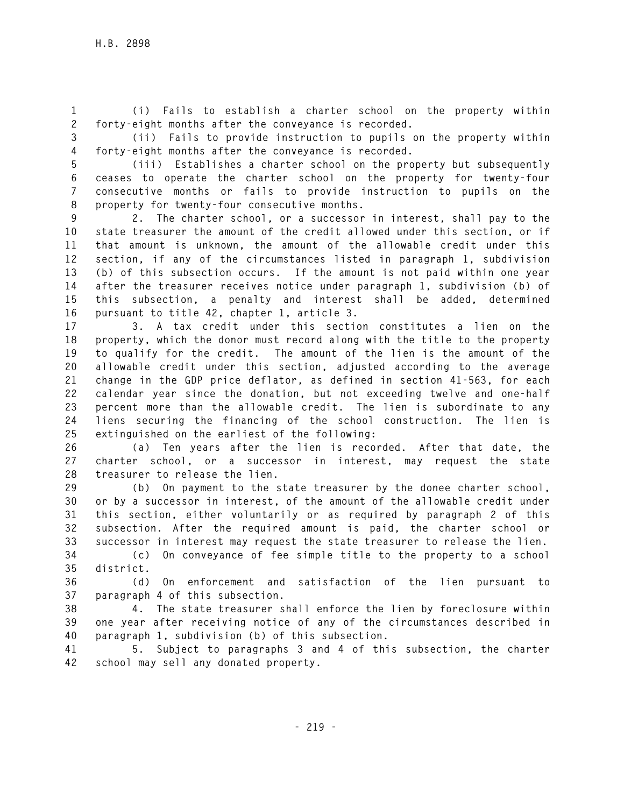**1 (i) Fails to establish a charter school on the property within 2 forty-eight months after the conveyance is recorded.** 

**3 (ii) Fails to provide instruction to pupils on the property within 4 forty-eight months after the conveyance is recorded.** 

**5 (iii) Establishes a charter school on the property but subsequently 6 ceases to operate the charter school on the property for twenty-four 7 consecutive months or fails to provide instruction to pupils on the 8 property for twenty-four consecutive months.** 

**9 2. The charter school, or a successor in interest, shall pay to the 10 state treasurer the amount of the credit allowed under this section, or if 11 that amount is unknown, the amount of the allowable credit under this 12 section, if any of the circumstances listed in paragraph 1, subdivision 13 (b) of this subsection occurs. If the amount is not paid within one year 14 after the treasurer receives notice under paragraph 1, subdivision (b) of 15 this subsection, a penalty and interest shall be added, determined 16 pursuant to title 42, chapter 1, article 3.** 

**17 3. A tax credit under this section constitutes a lien on the 18 property, which the donor must record along with the title to the property 19 to qualify for the credit. The amount of the lien is the amount of the 20 allowable credit under this section, adjusted according to the average 21 change in the GDP price deflator, as defined in section 41-563, for each 22 calendar year since the donation, but not exceeding twelve and one-half 23 percent more than the allowable credit. The lien is subordinate to any 24 liens securing the financing of the school construction. The lien is 25 extinguished on the earliest of the following:** 

**26 (a) Ten years after the lien is recorded. After that date, the 27 charter school, or a successor in interest, may request the state 28 treasurer to release the lien.** 

**29 (b) On payment to the state treasurer by the donee charter school, 30 or by a successor in interest, of the amount of the allowable credit under 31 this section, either voluntarily or as required by paragraph 2 of this 32 subsection. After the required amount is paid, the charter school or 33 successor in interest may request the state treasurer to release the lien.** 

**34 (c) On conveyance of fee simple title to the property to a school 35 district.** 

**36 (d) On enforcement and satisfaction of the lien pursuant to 37 paragraph 4 of this subsection.** 

**38 4. The state treasurer shall enforce the lien by foreclosure within 39 one year after receiving notice of any of the circumstances described in 40 paragraph 1, subdivision (b) of this subsection.** 

**41 5. Subject to paragraphs 3 and 4 of this subsection, the charter 42 school may sell any donated property.**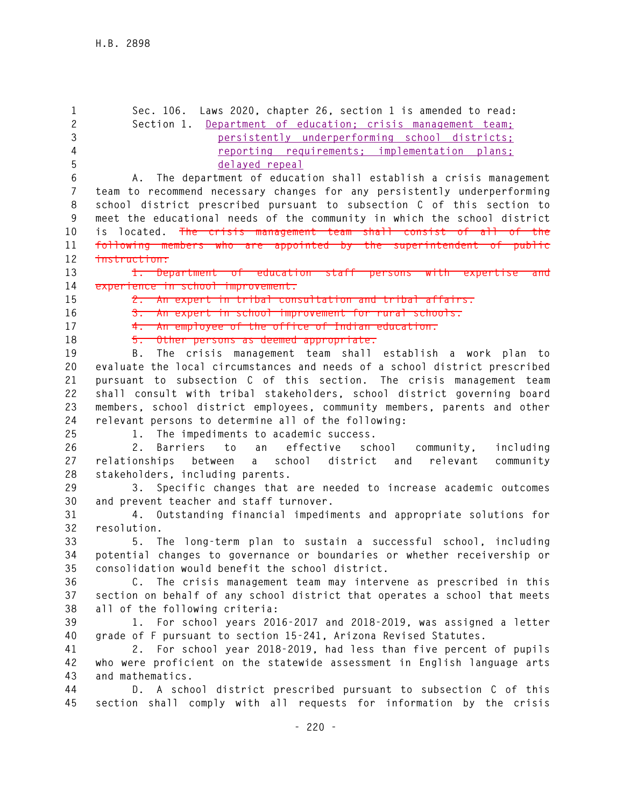| $\mathbf{1}$<br>$\mathbf{2}$<br>3 | Sec. 106. Laws 2020, chapter 26, section 1 is amended to read:<br>Section 1. Department of education; crisis management team;<br>persistently underperforming school districts; |
|-----------------------------------|---------------------------------------------------------------------------------------------------------------------------------------------------------------------------------|
| 4                                 | reporting requirements; implementation plans;                                                                                                                                   |
| 5                                 | delayed repeal                                                                                                                                                                  |
| 6                                 | A. The department of education shall establish a crisis management                                                                                                              |
| $\overline{7}$                    | team to recommend necessary changes for any persistently underperforming                                                                                                        |
| 8                                 | school district prescribed pursuant to subsection C of this section to                                                                                                          |
| 9                                 | meet the educational needs of the community in which the school district                                                                                                        |
| 10                                | The crisis management team shall consist of all of the<br>is located.                                                                                                           |
| 11                                | following members who are appointed by the superintendent of public                                                                                                             |
| 12                                | instruction:                                                                                                                                                                    |
| 13                                | 1. Department of education staff persons with expertise and                                                                                                                     |
| 14                                | experience in school improvement.                                                                                                                                               |
| 15                                | 2. An expert in tribal consultation and tribal affairs.                                                                                                                         |
| 16                                | 3. An expert in school improvement for rural schools.                                                                                                                           |
| 17                                | 4. An employee of the office of Indian education.                                                                                                                               |
| 18                                | 5. Other persons as deemed appropriate.                                                                                                                                         |
| 19                                | The crisis management team shall establish a work plan to<br>B.                                                                                                                 |
| 20                                | evaluate the local circumstances and needs of a school district prescribed                                                                                                      |
| 21                                | pursuant to subsection C of this section. The crisis management team                                                                                                            |
| 22                                | shall consult with tribal stakeholders, school district governing board                                                                                                         |
| 23                                | members, school district employees, community members, parents and other                                                                                                        |
| 24                                | relevant persons to determine all of the following:                                                                                                                             |
| 25                                | 1. The impediments to academic success.                                                                                                                                         |
| 26                                | Barriers to an effective school community,<br>including<br>2.                                                                                                                   |
| 27                                | a school district and<br>relevant<br>community<br>relationships between                                                                                                         |
| 28                                | stakeholders, including parents.                                                                                                                                                |
| 29                                | Specific changes that are needed to increase academic outcomes<br>3.                                                                                                            |
| 30                                | and prevent teacher and staff turnover.                                                                                                                                         |
| 31                                | 4. Outstanding financial impediments and appropriate solutions for                                                                                                              |
| 32                                | resolution.                                                                                                                                                                     |
| 33                                | 5. The long-term plan to sustain a successful school, including                                                                                                                 |
| 34                                | potential changes to governance or boundaries or whether receivership or                                                                                                        |
| 35                                | consolidation would benefit the school district.                                                                                                                                |
| 36                                | C. The crisis management team may intervene as prescribed in this                                                                                                               |
| 37                                | section on behalf of any school district that operates a school that meets                                                                                                      |
| 38                                | all of the following criteria:                                                                                                                                                  |
| 39                                | 1. For school years 2016-2017 and 2018-2019, was assigned a letter                                                                                                              |
| 40                                | grade of F pursuant to section 15-241, Arizona Revised Statutes.                                                                                                                |
| 41                                | 2. For school year 2018-2019, had less than five percent of pupils                                                                                                              |
| 42                                | who were proficient on the statewide assessment in English language arts                                                                                                        |
| 43                                | and mathematics.                                                                                                                                                                |
| 44                                | D. A school district prescribed pursuant to subsection C of this                                                                                                                |
| 45                                | section shall comply with all requests for information by the crisis                                                                                                            |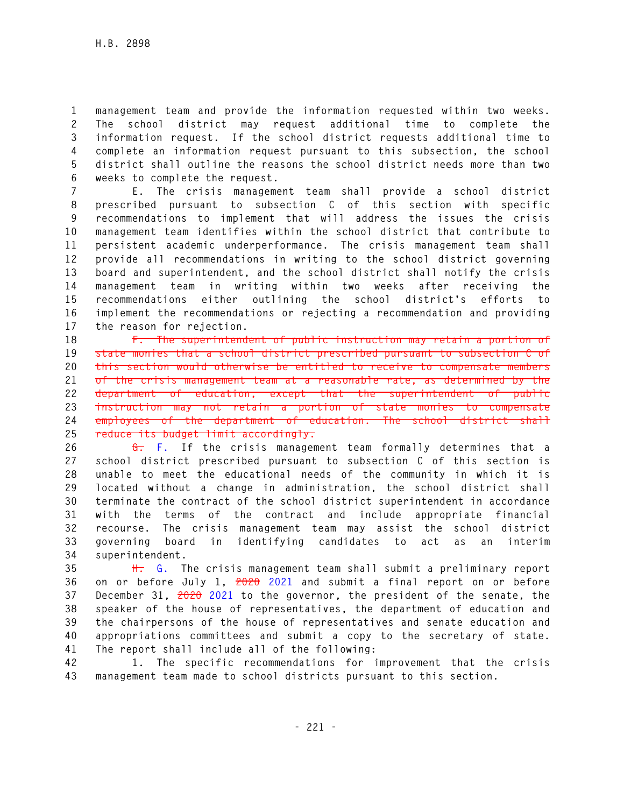**1 management team and provide the information requested within two weeks. 2 The school district may request additional time to complete the 3 information request. If the school district requests additional time to 4 complete an information request pursuant to this subsection, the school 5 district shall outline the reasons the school district needs more than two 6 weeks to complete the request.** 

**7 E. The crisis management team shall provide a school district 8 prescribed pursuant to subsection C of this section with specific 9 recommendations to implement that will address the issues the crisis 10 management team identifies within the school district that contribute to 11 persistent academic underperformance. The crisis management team shall 12 provide all recommendations in writing to the school district governing 13 board and superintendent, and the school district shall notify the crisis 14 management team in writing within two weeks after receiving the 15 recommendations either outlining the school district's efforts to 16 implement the recommendations or rejecting a recommendation and providing 17 the reason for rejection.** 

**18 F. The superintendent of public instruction may retain a portion of 19 state monies that a school district prescribed pursuant to subsection C of 20 this section would otherwise be entitled to receive to compensate members 21 of the crisis management team at a reasonable rate, as determined by the 22 department of education, except that the superintendent of public 23 instruction may not retain a portion of state monies to compensate 24 employees of the department of education. The school district shall 25 reduce its budget limit accordingly.** 

**26 G. F. If the crisis management team formally determines that a 27 school district prescribed pursuant to subsection C of this section is 28 unable to meet the educational needs of the community in which it is 29 located without a change in administration, the school district shall 30 terminate the contract of the school district superintendent in accordance 31 with the terms of the contract and include appropriate financial 32 recourse. The crisis management team may assist the school district 33 governing board in identifying candidates to act as an interim 34 superintendent.** 

**35 H. G. The crisis management team shall submit a preliminary report 36 on or before July 1, 2020 2021 and submit a final report on or before 37 December 31, 2020 2021 to the governor, the president of the senate, the 38 speaker of the house of representatives, the department of education and 39 the chairpersons of the house of representatives and senate education and 40 appropriations committees and submit a copy to the secretary of state. 41 The report shall include all of the following:** 

**42 1. The specific recommendations for improvement that the crisis 43 management team made to school districts pursuant to this section.**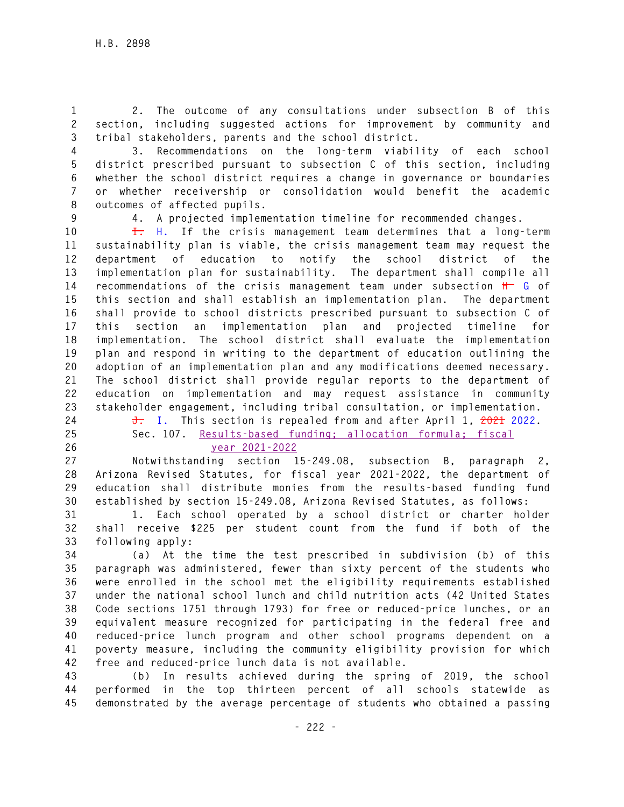**1 2. The outcome of any consultations under subsection B of this 2 section, including suggested actions for improvement by community and 3 tribal stakeholders, parents and the school district.** 

**4 3. Recommendations on the long-term viability of each school 5 district prescribed pursuant to subsection C of this section, including 6 whether the school district requires a change in governance or boundaries 7 or whether receivership or consolidation would benefit the academic 8 outcomes of affected pupils.** 

**9 4. A projected implementation timeline for recommended changes.** 

**10 I. H. If the crisis management team determines that a long-term 11 sustainability plan is viable, the crisis management team may request the 12 department of education to notify the school district of the 13 implementation plan for sustainability. The department shall compile all 14 recommendations of the crisis management team under subsection H G of 15 this section and shall establish an implementation plan. The department 16 shall provide to school districts prescribed pursuant to subsection C of 17 this section an implementation plan and projected timeline for 18 implementation. The school district shall evaluate the implementation 19 plan and respond in writing to the department of education outlining the 20 adoption of an implementation plan and any modifications deemed necessary. 21 The school district shall provide regular reports to the department of 22 education on implementation and may request assistance in community 23 stakeholder engagement, including tribal consultation, or implementation.** 

- 
- 
- 

**24 J. I. This section is repealed from and after April 1, 2021 2022. 25 Sec. 107. Results-based funding; allocation formula; fiscal 26 year 2021-2022**

**27 Notwithstanding section 15-249.08, subsection B, paragraph 2, 28 Arizona Revised Statutes, for fiscal year 2021-2022, the department of 29 education shall distribute monies from the results-based funding fund 30 established by section 15-249.08, Arizona Revised Statutes, as follows:** 

**31 1. Each school operated by a school district or charter holder 32 shall receive \$225 per student count from the fund if both of the 33 following apply:** 

**34 (a) At the time the test prescribed in subdivision (b) of this 35 paragraph was administered, fewer than sixty percent of the students who 36 were enrolled in the school met the eligibility requirements established 37 under the national school lunch and child nutrition acts (42 United States 38 Code sections 1751 through 1793) for free or reduced-price lunches, or an 39 equivalent measure recognized for participating in the federal free and 40 reduced-price lunch program and other school programs dependent on a 41 poverty measure, including the community eligibility provision for which 42 free and reduced-price lunch data is not available.** 

**43 (b) In results achieved during the spring of 2019, the school 44 performed in the top thirteen percent of all schools statewide as 45 demonstrated by the average percentage of students who obtained a passing**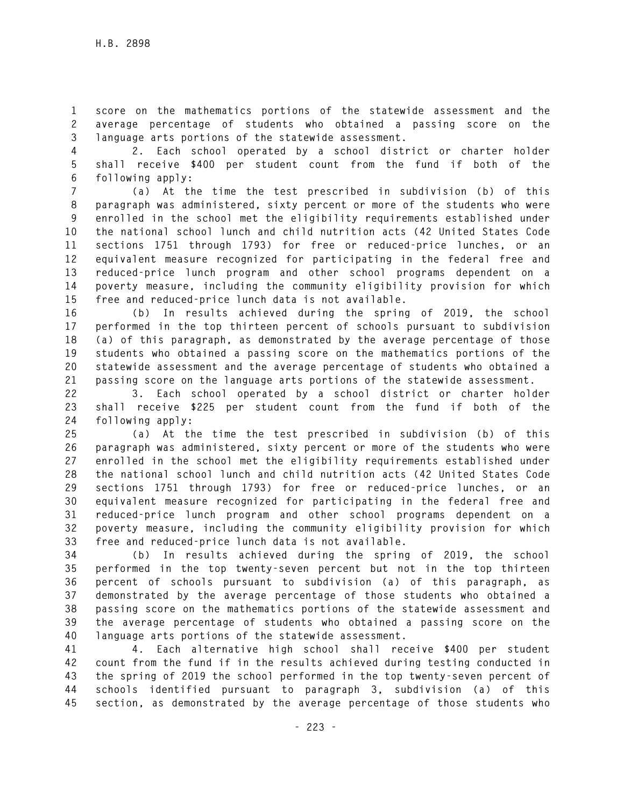**1 score on the mathematics portions of the statewide assessment and the 2 average percentage of students who obtained a passing score on the 3 language arts portions of the statewide assessment.** 

**4 2. Each school operated by a school district or charter holder 5 shall receive \$400 per student count from the fund if both of the 6 following apply:** 

**7 (a) At the time the test prescribed in subdivision (b) of this 8 paragraph was administered, sixty percent or more of the students who were 9 enrolled in the school met the eligibility requirements established under 10 the national school lunch and child nutrition acts (42 United States Code 11 sections 1751 through 1793) for free or reduced-price lunches, or an 12 equivalent measure recognized for participating in the federal free and 13 reduced-price lunch program and other school programs dependent on a 14 poverty measure, including the community eligibility provision for which 15 free and reduced-price lunch data is not available.** 

**16 (b) In results achieved during the spring of 2019, the school 17 performed in the top thirteen percent of schools pursuant to subdivision 18 (a) of this paragraph, as demonstrated by the average percentage of those 19 students who obtained a passing score on the mathematics portions of the 20 statewide assessment and the average percentage of students who obtained a 21 passing score on the language arts portions of the statewide assessment.** 

**22 3. Each school operated by a school district or charter holder 23 shall receive \$225 per student count from the fund if both of the 24 following apply:** 

**25 (a) At the time the test prescribed in subdivision (b) of this 26 paragraph was administered, sixty percent or more of the students who were 27 enrolled in the school met the eligibility requirements established under 28 the national school lunch and child nutrition acts (42 United States Code 29 sections 1751 through 1793) for free or reduced-price lunches, or an 30 equivalent measure recognized for participating in the federal free and 31 reduced-price lunch program and other school programs dependent on a 32 poverty measure, including the community eligibility provision for which 33 free and reduced-price lunch data is not available.** 

**34 (b) In results achieved during the spring of 2019, the school 35 performed in the top twenty-seven percent but not in the top thirteen 36 percent of schools pursuant to subdivision (a) of this paragraph, as 37 demonstrated by the average percentage of those students who obtained a 38 passing score on the mathematics portions of the statewide assessment and 39 the average percentage of students who obtained a passing score on the 40 language arts portions of the statewide assessment.** 

**41 4. Each alternative high school shall receive \$400 per student 42 count from the fund if in the results achieved during testing conducted in 43 the spring of 2019 the school performed in the top twenty-seven percent of 44 schools identified pursuant to paragraph 3, subdivision (a) of this 45 section, as demonstrated by the average percentage of those students who**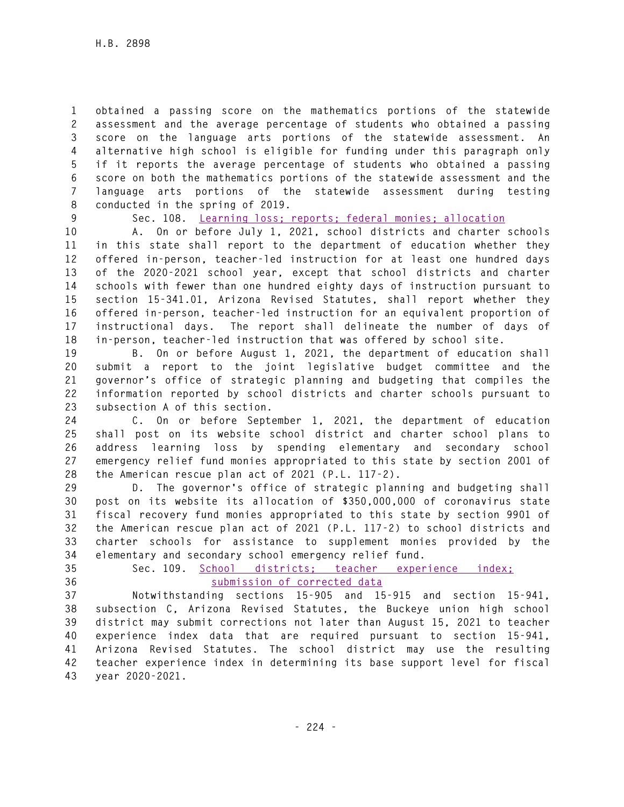**1 obtained a passing score on the mathematics portions of the statewide 2 assessment and the average percentage of students who obtained a passing 3 score on the language arts portions of the statewide assessment. An 4 alternative high school is eligible for funding under this paragraph only 5 if it reports the average percentage of students who obtained a passing 6 score on both the mathematics portions of the statewide assessment and the 7 language arts portions of the statewide assessment during testing 8 conducted in the spring of 2019.** 

**9 Sec. 108. Learning loss; reports; federal monies; allocation**

**10 A. On or before July 1, 2021, school districts and charter schools 11 in this state shall report to the department of education whether they 12 offered in-person, teacher-led instruction for at least one hundred days 13 of the 2020-2021 school year, except that school districts and charter 14 schools with fewer than one hundred eighty days of instruction pursuant to 15 section 15-341.01, Arizona Revised Statutes, shall report whether they 16 offered in-person, teacher-led instruction for an equivalent proportion of 17 instructional days. The report shall delineate the number of days of 18 in-person, teacher-led instruction that was offered by school site.** 

**19 B. On or before August 1, 2021, the department of education shall 20 submit a report to the joint legislative budget committee and the 21 governor's office of strategic planning and budgeting that compiles the 22 information reported by school districts and charter schools pursuant to 23 subsection A of this section.** 

**24 C. On or before September 1, 2021, the department of education 25 shall post on its website school district and charter school plans to 26 address learning loss by spending elementary and secondary school 27 emergency relief fund monies appropriated to this state by section 2001 of 28 the American rescue plan act of 2021 (P.L. 117-2).** 

**29 D. The governor's office of strategic planning and budgeting shall 30 post on its website its allocation of \$350,000,000 of coronavirus state 31 fiscal recovery fund monies appropriated to this state by section 9901 of 32 the American rescue plan act of 2021 (P.L. 117-2) to school districts and 33 charter schools for assistance to supplement monies provided by the 34 elementary and secondary school emergency relief fund.** 

- 
- 

## **35 Sec. 109. School districts; teacher experience index; 36 submission of corrected data**

**37 Notwithstanding sections 15-905 and 15-915 and section 15-941, 38 subsection C, Arizona Revised Statutes, the Buckeye union high school 39 district may submit corrections not later than August 15, 2021 to teacher 40 experience index data that are required pursuant to section 15-941, 41 Arizona Revised Statutes. The school district may use the resulting 42 teacher experience index in determining its base support level for fiscal 43 year 2020-2021.**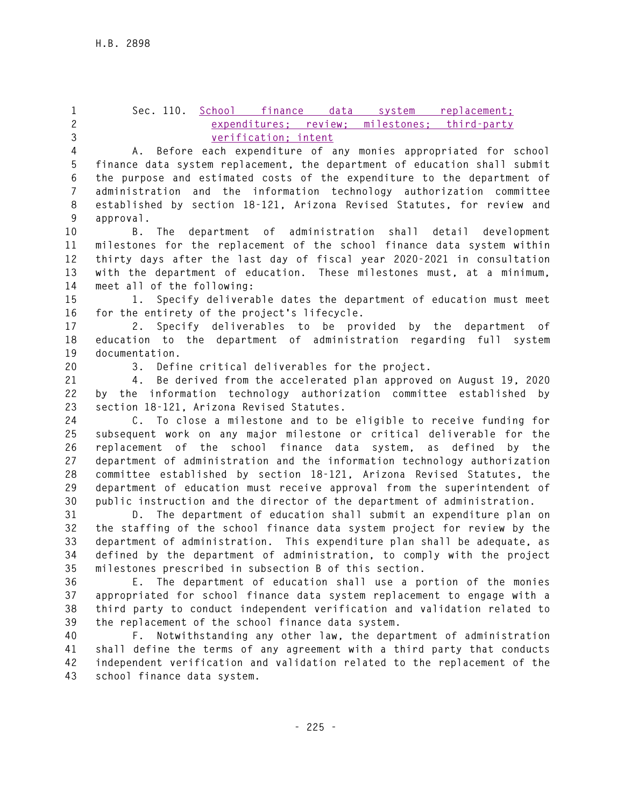**1 Sec. 110. School finance data system replacement; 2 expenditures; review; milestones; third-party** 

**3 verification; intent**

**4 A. Before each expenditure of any monies appropriated for school 5 finance data system replacement, the department of education shall submit 6 the purpose and estimated costs of the expenditure to the department of 7 administration and the information technology authorization committee 8 established by section 18-121, Arizona Revised Statutes, for review and 9 approval.** 

**10 B. The department of administration shall detail development 11 milestones for the replacement of the school finance data system within 12 thirty days after the last day of fiscal year 2020-2021 in consultation 13 with the department of education. These milestones must, at a minimum, 14 meet all of the following:** 

**15 1. Specify deliverable dates the department of education must meet 16 for the entirety of the project's lifecycle.** 

**17 2. Specify deliverables to be provided by the department of 18 education to the department of administration regarding full system 19 documentation.** 

**20 3. Define critical deliverables for the project.** 

**21 4. Be derived from the accelerated plan approved on August 19, 2020 22 by the information technology authorization committee established by 23 section 18-121, Arizona Revised Statutes.** 

**24 C. To close a milestone and to be eligible to receive funding for 25 subsequent work on any major milestone or critical deliverable for the 26 replacement of the school finance data system, as defined by the 27 department of administration and the information technology authorization 28 committee established by section 18-121, Arizona Revised Statutes, the 29 department of education must receive approval from the superintendent of 30 public instruction and the director of the department of administration.** 

**31 D. The department of education shall submit an expenditure plan on 32 the staffing of the school finance data system project for review by the 33 department of administration. This expenditure plan shall be adequate, as 34 defined by the department of administration, to comply with the project 35 milestones prescribed in subsection B of this section.** 

**36 E. The department of education shall use a portion of the monies 37 appropriated for school finance data system replacement to engage with a 38 third party to conduct independent verification and validation related to 39 the replacement of the school finance data system.** 

**40 F. Notwithstanding any other law, the department of administration 41 shall define the terms of any agreement with a third party that conducts 42 independent verification and validation related to the replacement of the 43 school finance data system.**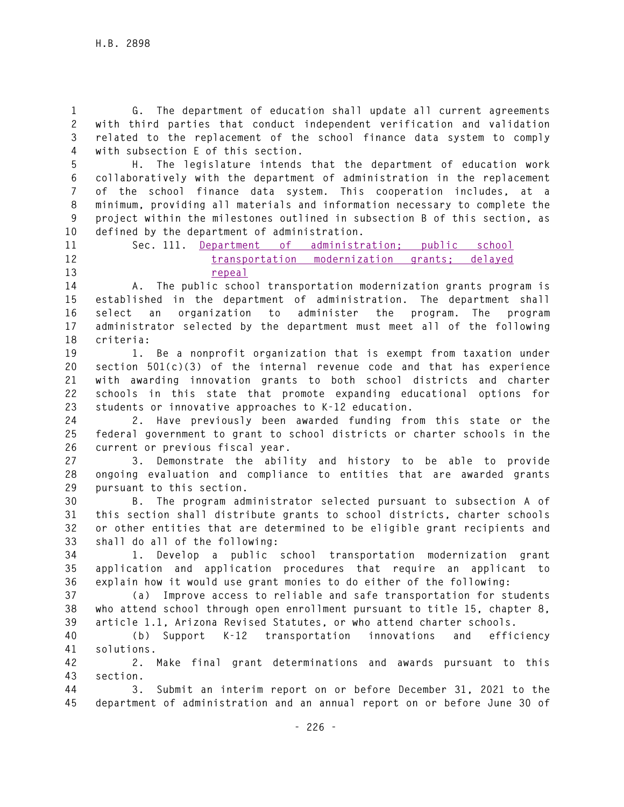**1 G. The department of education shall update all current agreements 2 with third parties that conduct independent verification and validation 3 related to the replacement of the school finance data system to comply 4 with subsection E of this section.** 

**5 H. The legislature intends that the department of education work 6 collaboratively with the department of administration in the replacement 7 of the school finance data system. This cooperation includes, at a 8 minimum, providing all materials and information necessary to complete the 9 project within the milestones outlined in subsection B of this section, as 10 defined by the department of administration.** 

## **11 Sec. 111. Department of administration; public school 12 transportation modernization grants; delayed 13 repeal**

**14 A. The public school transportation modernization grants program is 15 established in the department of administration. The department shall 16 select an organization to administer the program. The program 17 administrator selected by the department must meet all of the following 18 criteria:** 

**19 1. Be a nonprofit organization that is exempt from taxation under 20 section 501(c)(3) of the internal revenue code and that has experience 21 with awarding innovation grants to both school districts and charter 22 schools in this state that promote expanding educational options for 23 students or innovative approaches to K-12 education.** 

**24 2. Have previously been awarded funding from this state or the 25 federal government to grant to school districts or charter schools in the 26 current or previous fiscal year.** 

**27 3. Demonstrate the ability and history to be able to provide 28 ongoing evaluation and compliance to entities that are awarded grants 29 pursuant to this section.** 

**30 B. The program administrator selected pursuant to subsection A of 31 this section shall distribute grants to school districts, charter schools 32 or other entities that are determined to be eligible grant recipients and 33 shall do all of the following:** 

**34 1. Develop a public school transportation modernization grant 35 application and application procedures that require an applicant to 36 explain how it would use grant monies to do either of the following:** 

**37 (a) Improve access to reliable and safe transportation for students 38 who attend school through open enrollment pursuant to title 15, chapter 8, 39 article 1.1, Arizona Revised Statutes, or who attend charter schools.** 

**40 (b) Support K-12 transportation innovations and efficiency 41 solutions.** 

**42 2. Make final grant determinations and awards pursuant to this 43 section.** 

**44 3. Submit an interim report on or before December 31, 2021 to the 45 department of administration and an annual report on or before June 30 of**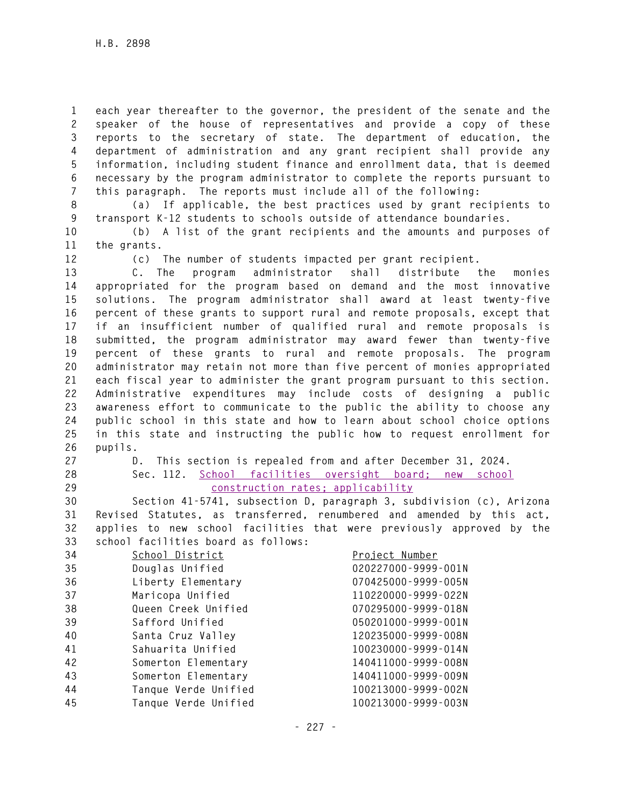**1 each year thereafter to the governor, the president of the senate and the 2 speaker of the house of representatives and provide a copy of these 3 reports to the secretary of state. The department of education, the 4 department of administration and any grant recipient shall provide any 5 information, including student finance and enrollment data, that is deemed 6 necessary by the program administrator to complete the reports pursuant to 7 this paragraph. The reports must include all of the following:** 

**8 (a) If applicable, the best practices used by grant recipients to 9 transport K-12 students to schools outside of attendance boundaries.** 

**10 (b) A list of the grant recipients and the amounts and purposes of 11 the grants.** 

**12 (c) The number of students impacted per grant recipient.** 

**13 C. The program administrator shall distribute the monies 14 appropriated for the program based on demand and the most innovative 15 solutions. The program administrator shall award at least twenty-five 16 percent of these grants to support rural and remote proposals, except that 17 if an insufficient number of qualified rural and remote proposals is 18 submitted, the program administrator may award fewer than twenty-five 19 percent of these grants to rural and remote proposals. The program 20 administrator may retain not more than five percent of monies appropriated 21 each fiscal year to administer the grant program pursuant to this section. 22 Administrative expenditures may include costs of designing a public 23 awareness effort to communicate to the public the ability to choose any 24 public school in this state and how to learn about school choice options 25 in this state and instructing the public how to request enrollment for 26 pupils.** 

- 
- 

**27 D. This section is repealed from and after December 31, 2024. 28 Sec. 112. School facilities oversight board; new school 29 construction rates; applicability**

**30 Section 41-5741, subsection D, paragraph 3, subdivision (c), Arizona 31 Revised Statutes, as transferred, renumbered and amended by this act, 32 applies to new school facilities that were previously approved by the 33 school facilities board as follows:** 

| 34 | School District      | Project Number      |
|----|----------------------|---------------------|
| 35 | Douglas Unified      | 020227000-9999-001N |
| 36 | Liberty Elementary   | 070425000-9999-005N |
| 37 | Maricopa Unified     | 110220000-9999-022N |
| 38 | Queen Creek Unified  | 070295000-9999-018N |
| 39 | Safford Unified      | 050201000-9999-001N |
| 40 | Santa Cruz Valley    | 120235000-9999-008N |
| 41 | Sahuarita Unified    | 100230000-9999-014N |
| 42 | Somerton Elementary  | 140411000-9999-008N |
| 43 | Somerton Elementary  | 140411000-9999-009N |
| 44 | Tanque Verde Unified | 100213000-9999-002N |
| 45 | Tanque Verde Unified | 100213000-9999-003N |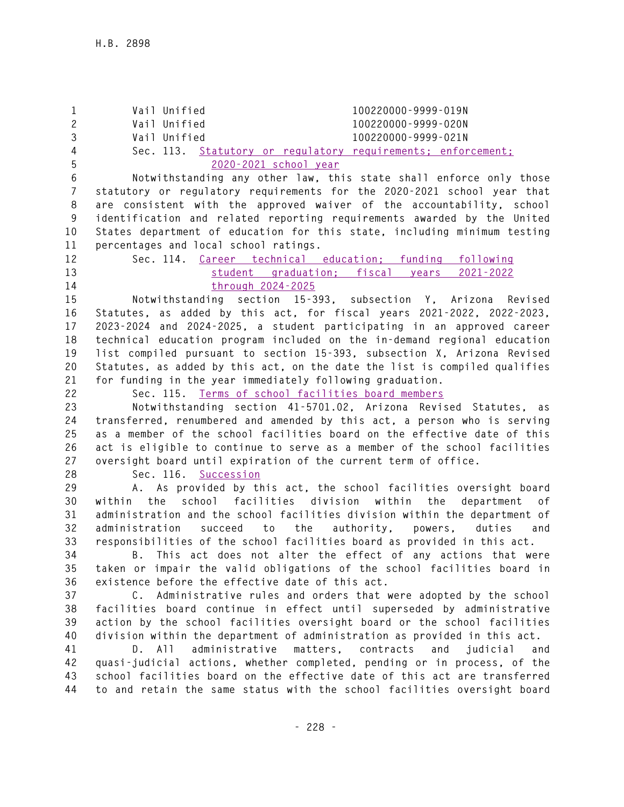**1 Vail Unified 100220000-9999-019N 2 Vail Unified 100220000-9999-020N 3 Vail Unified 100220000-9999-021N 4 Sec. 113. Statutory or regulatory requirements; enforcement; 5 2020-2021 school year 6 Notwithstanding any other law, this state shall enforce only those 7 statutory or regulatory requirements for the 2020-2021 school year that 8 are consistent with the approved waiver of the accountability, school 9 identification and related reporting requirements awarded by the United 10 States department of education for this state, including minimum testing 11 percentages and local school ratings. 12 Sec. 114. Career technical education; funding following 13 student graduation; fiscal years 2021-2022 14 through 2024-2025 15 Notwithstanding section 15-393, subsection Y, Arizona Revised 16 Statutes, as added by this act, for fiscal years 2021-2022, 2022-2023, 17 2023-2024 and 2024-2025, a student participating in an approved career 18 technical education program included on the in-demand regional education 19 list compiled pursuant to section 15-393, subsection X, Arizona Revised 20 Statutes, as added by this act, on the date the list is compiled qualifies 21 for funding in the year immediately following graduation. 22 Sec. 115. Terms of school facilities board members 23 Notwithstanding section 41-5701.02, Arizona Revised Statutes, as 24 transferred, renumbered and amended by this act, a person who is serving 25 as a member of the school facilities board on the effective date of this 26 act is eligible to continue to serve as a member of the school facilities 27 oversight board until expiration of the current term of office. 28 Sec. 116. Succession 29 A. As provided by this act, the school facilities oversight board 30 within the school facilities division within the department of 31 administration and the school facilities division within the department of 32 administration succeed to the authority, powers, duties and 33 responsibilities of the school facilities board as provided in this act. 34 B. This act does not alter the effect of any actions that were 35 taken or impair the valid obligations of the school facilities board in 36 existence before the effective date of this act. 37 C. Administrative rules and orders that were adopted by the school 38 facilities board continue in effect until superseded by administrative 39 action by the school facilities oversight board or the school facilities 40 division within the department of administration as provided in this act. 41 D. All administrative matters, contracts and judicial and 42 quasi-judicial actions, whether completed, pending or in process, of the 43 school facilities board on the effective date of this act are transferred 44 to and retain the same status with the school facilities oversight board**